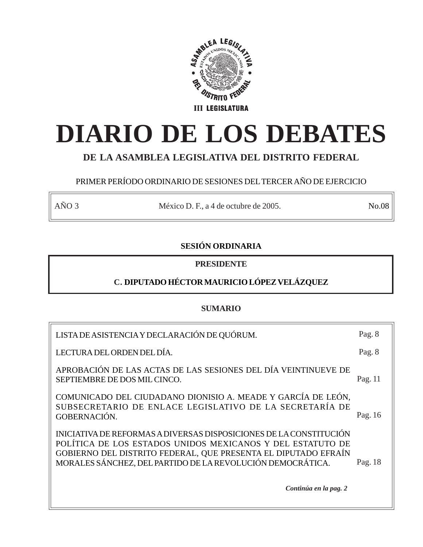

# **DIARIO DE LOS DEBATES**

# **DE LA ASAMBLEA LEGISLATIVA DEL DISTRITO FEDERAL**

# PRIMER PERÍODO ORDINARIO DE SESIONES DEL TERCER AÑO DE EJERCICIO

AÑO 3 México D. F., a 4 de octubre de 2005. No.08

# **SESIÓN ORDINARIA**

**PRESIDENTE**

# **C. DIPUTADO HÉCTOR MAURICIO LÓPEZ VELÁZQUEZ**

# **SUMARIO**

| LISTA DE ASISTENCIA Y DECLARACIÓN DE QUÓRUM.                                                                                                                                                                                                                     | Pag. 8  |
|------------------------------------------------------------------------------------------------------------------------------------------------------------------------------------------------------------------------------------------------------------------|---------|
| LECTURA DEL ORDEN DEL DÍA.                                                                                                                                                                                                                                       | Pag. 8  |
| APROBACIÓN DE LAS ACTAS DE LAS SESIONES DEL DÍA VEINTINUEVE DE<br>SEPTIEMBRE DE DOS MIL CINCO.                                                                                                                                                                   | Pag. 11 |
| COMUNICADO DEL CIUDADANO DIONISIO A. MEADE Y GARCÍA DE LEÓN,<br>SUBSECRETARIO DE ENLACE LEGISLATIVO DE LA SECRETARÍA DE<br>GOBERNACIÓN.                                                                                                                          | Pag. 16 |
| INICIATIVA DE REFORMAS A DIVERSAS DISPOSICIONES DE LA CONSTITUCIÓN<br>POLÍTICA DE LOS ESTADOS UNIDOS MEXICANOS Y DEL ESTATUTO DE<br>GOBIERNO DEL DISTRITO FEDERAL, QUE PRESENTA EL DIPUTADO EFRAÍN<br>MORALES SÁNCHEZ, DEL PARTIDO DE LA REVOLUCIÓN DEMOCRÁTICA. | Pag. 18 |
| Continúa en la pag. 2                                                                                                                                                                                                                                            |         |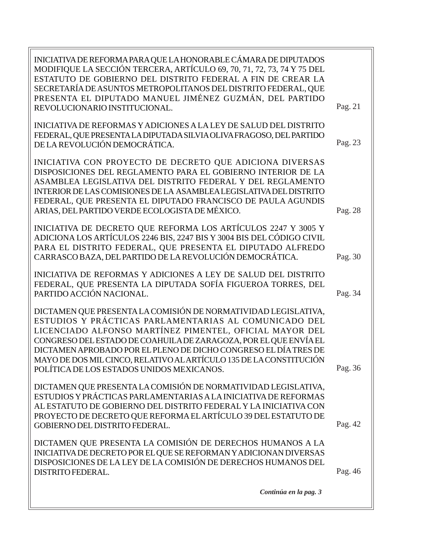INICIATIVA DE REFORMA PARA QUE LA HONORABLE CÁMARA DE DIPUTADOS MODIFIQUE LA SECCIÓN TERCERA, ARTÍCULO 69, 70, 71, 72, 73, 74 Y 75 DEL ESTATUTO DE GOBIERNO DEL DISTRITO FEDERAL A FIN DE CREAR LA SECRETARÍA DE ASUNTOS METROPOLITANOS DEL DISTRITO FEDERAL, QUE PRESENTA EL DIPUTADO MANUEL JIMÉNEZ GUZMÁN, DEL PARTIDO REVOLUCIONARIO INSTITUCIONAL. INICIATIVA DE REFORMAS Y ADICIONES A LA LEY DE SALUD DEL DISTRITO FEDERAL, QUE PRESENTA LA DIPUTADA SILVIA OLIVA FRAGOSO, DEL PARTIDO DE LA REVOLUCIÓN DEMOCRÁTICA. INICIATIVA CON PROYECTO DE DECRETO QUE ADICIONA DIVERSAS DISPOSICIONES DEL REGLAMENTO PARA EL GOBIERNO INTERIOR DE LA ASAMBLEA LEGISLATIVA DEL DISTRITO FEDERAL Y DEL REGLAMENTO INTERIOR DE LAS COMISIONES DE LA ASAMBLEA LEGISLATIVA DEL DISTRITO FEDERAL, QUE PRESENTA EL DIPUTADO FRANCISCO DE PAULA AGUNDIS ARIAS, DEL PARTIDO VERDE ECOLOGISTA DE MÉXICO. INICIATIVA DE DECRETO QUE REFORMA LOS ARTÍCULOS 2247 Y 3005 Y ADICIONA LOS ARTÍCULOS 2246 BIS, 2247 BIS Y 3004 BIS DEL CÓDIGO CIVIL PARA EL DISTRITO FEDERAL, QUE PRESENTA EL DIPUTADO ALFREDO CARRASCO BAZA, DEL PARTIDO DE LA REVOLUCIÓN DEMOCRÁTICA. INICIATIVA DE REFORMAS Y ADICIONES A LEY DE SALUD DEL DISTRITO FEDERAL, QUE PRESENTA LA DIPUTADA SOFÍA FIGUEROA TORRES, DEL PARTIDO ACCIÓN NACIONAL. DICTAMEN QUE PRESENTA LA COMISIÓN DE NORMATIVIDAD LEGISLATIVA, ESTUDIOS Y PRÁCTICAS PARLAMENTARIAS AL COMUNICADO DEL LICENCIADO ALFONSO MARTÍNEZ PIMENTEL, OFICIAL MAYOR DEL CONGRESO DEL ESTADO DE COAHUILA DE ZARAGOZA, POR EL QUE ENVÍA EL DICTAMEN APROBADO POR EL PLENO DE DICHO CONGRESO EL DÍA TRES DE MAYO DE DOS MIL CINCO, RELATIVO AL ARTÍCULO 135 DE LA CONSTITUCIÓN POLÍTICA DE LOS ESTADOS UNIDOS MEXICANOS. DICTAMEN QUE PRESENTA LA COMISIÓN DE NORMATIVIDAD LEGISLATIVA, ESTUDIOS Y PRÁCTICAS PARLAMENTARIAS A LA INICIATIVA DE REFORMAS AL ESTATUTO DE GOBIERNO DEL DISTRITO FEDERAL Y LA INICIATIVA CON PROYECTO DE DECRETO QUE REFORMA EL ARTÍCULO 39 DEL ESTATUTO DE GOBIERNO DEL DISTRITO FEDERAL. DICTAMEN QUE PRESENTA LA COMISIÓN DE DERECHOS HUMANOS A LA INICIATIVA DE DECRETO POR EL QUE SE REFORMAN Y ADICIONAN DIVERSAS DISPOSICIONES DE LA LEY DE LA COMISIÓN DE DERECHOS HUMANOS DEL DISTRITO FEDERAL. Pag. 42 Pag. 28 Pag. 30 Pag. 34 *Continúa en la pag. 3* Pag. 21 Pag. 23 Pag. 36 Pag. 46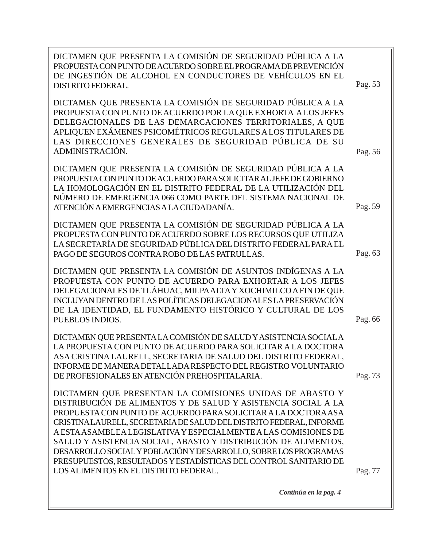| Pag. 53            |
|--------------------|
|                    |
| Pag. 56<br>Pag. 59 |
| Pag. 63            |
| Pag. 66            |
| Pag. 73            |
| Pag. 77            |
|                    |

*Continúa en la pag. 4*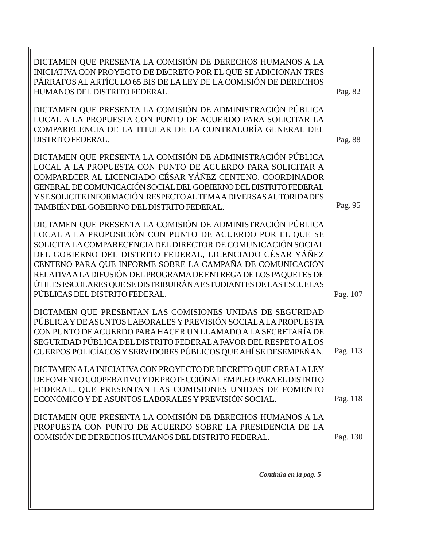| DICTAMEN QUE PRESENTA LA COMISIÓN DE DERECHOS HUMANOS A LA<br>INICIATIVA CON PROYECTO DE DECRETO POR EL QUE SE ADICIONAN TRES<br>PÁRRAFOS AL ARTÍCULO 65 BIS DE LA LEY DE LA COMISIÓN DE DERECHOS<br>HUMANOS DEL DISTRITO FEDERAL.                                                                                                                                                                                                                                                               | Pag. 82              |
|--------------------------------------------------------------------------------------------------------------------------------------------------------------------------------------------------------------------------------------------------------------------------------------------------------------------------------------------------------------------------------------------------------------------------------------------------------------------------------------------------|----------------------|
| DICTAMEN QUE PRESENTA LA COMISIÓN DE ADMINISTRACIÓN PÚBLICA<br>LOCAL A LA PROPUESTA CON PUNTO DE ACUERDO PARA SOLICITAR LA<br>COMPARECENCIA DE LA TITULAR DE LA CONTRALORÍA GENERAL DEL<br><b>DISTRITO FEDERAL.</b>                                                                                                                                                                                                                                                                              | Pag. 88              |
| DICTAMEN QUE PRESENTA LA COMISIÓN DE ADMINISTRACIÓN PÚBLICA<br>LOCAL A LA PROPUESTA CON PUNTO DE ACUERDO PARA SOLICITAR A<br>COMPARECER AL LICENCIADO CÉSAR YÁÑEZ CENTENO, COORDINADOR<br>GENERAL DE COMUNICACIÓN SOCIAL DEL GOBIERNO DEL DISTRITO FEDERAL<br>Y SE SOLICITE INFORMACIÓN RESPECTO AL TEMA A DIVERSAS AUTORIDADES<br>TAMBIÉN DEL GOBIERNO DEL DISTRITO FEDERAL.                                                                                                                    | Pag. 95              |
| DICTAMEN QUE PRESENTA LA COMISIÓN DE ADMINISTRACIÓN PÚBLICA<br>LOCAL A LA PROPOSICIÓN CON PUNTO DE ACUERDO POR EL QUE SE<br>SOLICITA LA COMPARECENCIA DEL DIRECTOR DE COMUNICACIÓN SOCIAL<br>DEL GOBIERNO DEL DISTRITO FEDERAL, LICENCIADO CÉSAR YÁÑEZ<br>CENTENO PARA QUE INFORME SOBRE LA CAMPAÑA DE COMUNICACIÓN<br>RELATIVA A LA DIFUSIÓN DEL PROGRAMA DE ENTREGA DE LOS PAQUETES DE<br>ÚTILES ESCOLARES QUE SE DISTRIBUIRÁN A ESTUDIANTES DE LAS ESCUELAS<br>PÚBLICAS DEL DISTRITO FEDERAL. |                      |
| DICTAMEN QUE PRESENTAN LAS COMISIONES UNIDAS DE SEGURIDAD<br>PÚBLICA Y DE ASUNTOS LABORALES Y PREVISIÓN SOCIAL A LA PROPUESTA<br>CON PUNTO DE ACUERDO PARA HACER UN LLAMADO A LA SECRETARÍA DE<br>SEGURIDAD PÚBLICA DEL DISTRITO FEDERAL A FAVOR DEL RESPETO A LOS<br>CUERPOS POLICÍACOS Y SERVIDORES PÚBLICOS QUE AHÍ SE DESEMPEÑAN.                                                                                                                                                            | Pag. 107<br>Pag. 113 |
| DICTAMEN A LA INICIATIVA CON PROYECTO DE DECRETO QUE CREA LA LEY<br>DE FOMENTO COOPERATIVO Y DE PROTECCIÓN AL EMPLEO PARA EL DISTRITO<br>FEDERAL, QUE PRESENTAN LAS COMISIONES UNIDAS DE FOMENTO<br>ECONÓMICO Y DE ASUNTOS LABORALES Y PREVISIÓN SOCIAL.                                                                                                                                                                                                                                         | Pag. 118             |
| DICTAMEN QUE PRESENTA LA COMISIÓN DE DERECHOS HUMANOS A LA<br>PROPUESTA CON PUNTO DE ACUERDO SOBRE LA PRESIDENCIA DE LA<br>COMISIÓN DE DERECHOS HUMANOS DEL DISTRITO FEDERAL.                                                                                                                                                                                                                                                                                                                    | Pag. 130             |
| Continúa en la pag. 5                                                                                                                                                                                                                                                                                                                                                                                                                                                                            |                      |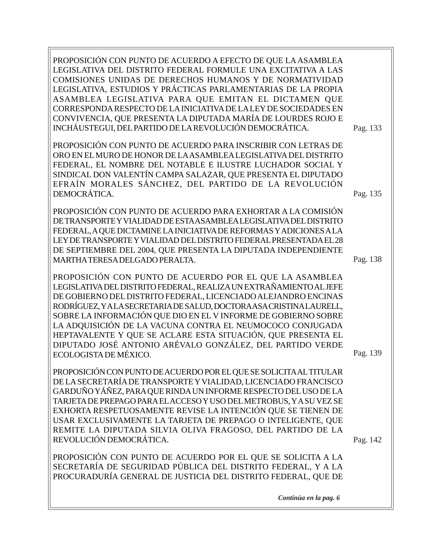Pag. 138 Pag. 139 Pag. 142 PROPOSICIÓN CON PUNTO DE ACUERDO A EFECTO DE QUE LA ASAMBLEA LEGISLATIVA DEL DISTRITO FEDERAL FORMULE UNA EXCITATIVA A LAS COMISIONES UNIDAS DE DERECHOS HUMANOS Y DE NORMATIVIDAD LEGISLATIVA, ESTUDIOS Y PRÁCTICAS PARLAMENTARIAS DE LA PROPIA ASAMBLEA LEGISLATIVA PARA QUE EMITAN EL DICTAMEN QUE CORRESPONDA RESPECTO DE LA INICIATIVA DE LA LEY DE SOCIEDADES EN CONVIVENCIA, QUE PRESENTA LA DIPUTADA MARÍA DE LOURDES ROJO E INCHÁUSTEGUI, DEL PARTIDO DE LA REVOLUCIÓN DEMOCRÁTICA. PROPOSICIÓN CON PUNTO DE ACUERDO PARA INSCRIBIR CON LETRAS DE ORO EN EL MURO DE HONOR DE LA ASAMBLEA LEGISLATIVA DEL DISTRITO FEDERAL, EL NOMBRE DEL NOTABLE E ILUSTRE LUCHADOR SOCIAL Y SINDICAL DON VALENTÍN CAMPA SALAZAR, QUE PRESENTA EL DIPUTADO EFRAÍN MORALES SÁNCHEZ, DEL PARTIDO DE LA REVOLUCIÓN DEMOCRÁTICA. PROPOSICIÓN CON PUNTO DE ACUERDO PARA EXHORTAR A LA COMISIÓN DE TRANSPORTE Y VIALIDAD DE ESTA ASAMBLEA LEGISLATIVA DEL DISTRITO FEDERAL, A QUE DICTAMINE LA INICIATIVA DE REFORMAS Y ADICIONES A LA LEY DE TRANSPORTE Y VIALIDAD DEL DISTRITO FEDERAL PRESENTADA EL 28 DE SEPTIEMBRE DEL 2004, QUE PRESENTA LA DIPUTADA INDEPENDIENTE MARTHA TERESA DELGADO PERALTA. PROPOSICIÓN CON PUNTO DE ACUERDO POR EL QUE LA ASAMBLEA LEGISLATIVA DEL DISTRITO FEDERAL, REALIZA UN EXTRAÑAMIENTO AL JEFE DE GOBIERNO DEL DISTRITO FEDERAL, LICENCIADO ALEJANDRO ENCINAS RODRÍGUEZ, Y A LA SECRETARIA DE SALUD, DOCTORA ASA CRISTINA LAURELL, SOBRE LA INFORMACIÓN QUE DIO EN EL V INFORME DE GOBIERNO SOBRE LA ADQUISICIÓN DE LA VACUNA CONTRA EL NEUMOCOCO CONJUGADA HEPTAVALENTE Y QUE SE ACLARE ESTA SITUACIÓN, QUE PRESENTA EL DIPUTADO JOSÉ ANTONIO ARÉVALO GONZÁLEZ, DEL PARTIDO VERDE ECOLOGISTA DE MÉXICO. PROPOSICIÓN CON PUNTO DE ACUERDO POR EL QUE SE SOLICITA AL TITULAR DE LA SECRETARÍA DE TRANSPORTE Y VIALIDAD, LICENCIADO FRANCISCO GARDUÑO YÁÑEZ, PARA QUE RINDA UN INFORME RESPECTO DEL USO DE LA TARJETA DE PREPAGO PARA EL ACCESO Y USO DEL METROBUS, Y A SU VEZ SE EXHORTA RESPETUOSAMENTE REVISE LA INTENCIÓN QUE SE TIENEN DE USAR EXCLUSIVAMENTE LA TARJETA DE PREPAGO O INTELIGENTE, QUE REMITE LA DIPUTADA SILVIA OLIVA FRAGOSO, DEL PARTIDO DE LA REVOLUCIÓN DEMOCRÁTICA. PROPOSICIÓN CON PUNTO DE ACUERDO POR EL QUE SE SOLICITA A LA SECRETARÍA DE SEGURIDAD PÚBLICA DEL DISTRITO FEDERAL, Y A LA PROCURADURÍA GENERAL DE JUSTICIA DEL DISTRITO FEDERAL, QUE DE Pag. 133 Pag. 135

*Continúa en la pag. 6*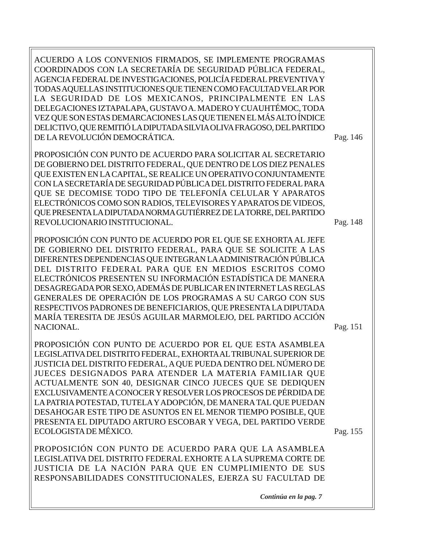ACUERDO A LOS CONVENIOS FIRMADOS, SE IMPLEMENTE PROGRAMAS COORDINADOS CON LA SECRETARÍA DE SEGURIDAD PÚBLICA FEDERAL, AGENCIA FEDERAL DE INVESTIGACIONES, POLICÍA FEDERAL PREVENTIVA Y TODAS AQUELLAS INSTITUCIONES QUE TIENEN COMO FACULTAD VELAR POR LA SEGURIDAD DE LOS MEXICANOS, PRINCIPALMENTE EN LAS DELEGACIONES IZTAPALAPA, GUSTAVO A. MADERO Y CUAUHTÉMOC, TODA VEZ QUE SON ESTAS DEMARCACIONES LAS QUE TIENEN EL MÁS ALTO ÍNDICE DELICTIVO, QUE REMITIÓ LA DIPUTADA SILVIA OLIVA FRAGOSO, DEL PARTIDO DE LA REVOLUCIÓN DEMOCRÁTICA.

PROPOSICIÓN CON PUNTO DE ACUERDO PARA SOLICITAR AL SECRETARIO DE GOBIERNO DEL DISTRITO FEDERAL, QUE DENTRO DE LOS DIEZ PENALES QUE EXISTEN EN LA CAPITAL, SE REALICE UN OPERATIVO CONJUNTAMENTE CON LA SECRETARÍA DE SEGURIDAD PÚBLICA DEL DISTRITO FEDERAL PARA QUE SE DECOMISE TODO TIPO DE TELEFONÍA CELULAR Y APARATOS ELECTRÓNICOS COMO SON RADIOS, TELEVISORES Y APARATOS DE VIDEOS, QUE PRESENTA LA DIPUTADA NORMA GUTIÉRREZ DE LA TORRE, DEL PARTIDO REVOLUCIONARIO INSTITUCIONAL.

PROPOSICIÓN CON PUNTO DE ACUERDO POR EL QUE SE EXHORTA AL JEFE DE GOBIERNO DEL DISTRITO FEDERAL, PARA QUE SE SOLICITE A LAS DIFERENTES DEPENDENCIAS QUE INTEGRAN LA ADMINISTRACIÓN PÚBLICA DEL DISTRITO FEDERAL PARA QUE EN MEDIOS ESCRITOS COMO ELECTRÓNICOS PRESENTEN SU INFORMACIÓN ESTADÍSTICA DE MANERA DESAGREGADA POR SEXO, ADEMÁS DE PUBLICAR EN INTERNET LAS REGLAS GENERALES DE OPERACIÓN DE LOS PROGRAMAS A SU CARGO CON SUS RESPECTIVOS PADRONES DE BENEFICIARIOS, QUE PRESENTA LA DIPUTADA MARÍA TERESITA DE JESÚS AGUILAR MARMOLEJO, DEL PARTIDO ACCIÓN NACIONAL.

PROPOSICIÓN CON PUNTO DE ACUERDO POR EL QUE ESTA ASAMBLEA LEGISLATIVA DEL DISTRITO FEDERAL, EXHORTA AL TRIBUNAL SUPERIOR DE JUSTICIA DEL DISTRITO FEDERAL, A QUE PUEDA DENTRO DEL NÚMERO DE JUECES DESIGNADOS PARA ATENDER LA MATERIA FAMILIAR QUE ACTUALMENTE SON 40, DESIGNAR CINCO JUECES QUE SE DEDIQUEN EXCLUSIVAMENTE A CONOCER Y RESOLVER LOS PROCESOS DE PÉRDIDA DE LA PATRIA POTESTAD, TUTELA Y ADOPCIÓN, DE MANERA TAL QUE PUEDAN DESAHOGAR ESTE TIPO DE ASUNTOS EN EL MENOR TIEMPO POSIBLE, QUE PRESENTA EL DIPUTADO ARTURO ESCOBAR Y VEGA, DEL PARTIDO VERDE ECOLOGISTA DE MÉXICO.

PROPOSICIÓN CON PUNTO DE ACUERDO PARA QUE LA ASAMBLEA LEGISLATIVA DEL DISTRITO FEDERAL EXHORTE A LA SUPREMA CORTE DE JUSTICIA DE LA NACIÓN PARA QUE EN CUMPLIMIENTO DE SUS RESPONSABILIDADES CONSTITUCIONALES, EJERZA SU FACULTAD DE

*Continúa en la pag. 7*

Pag. 146

Pag. 151

Pag. 148

Pag. 155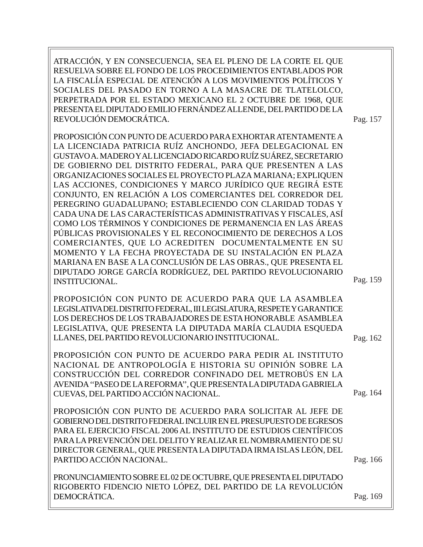ATRACCIÓN, Y EN CONSECUENCIA, SEA EL PLENO DE LA CORTE EL QUE RESUELVA SOBRE EL FONDO DE LOS PROCEDIMIENTOS ENTABLADOS POR LA FISCALÍA ESPECIAL DE ATENCIÓN A LOS MOVIMIENTOS POLÍTICOS Y SOCIALES DEL PASADO EN TORNO A LA MASACRE DE TLATELOLCO, PERPETRADA POR EL ESTADO MEXICANO EL 2 OCTUBRE DE 1968, QUE PRESENTA EL DIPUTADO EMILIO FERNÁNDEZ ALLENDE, DEL PARTIDO DE LA REVOLUCIÓN DEMOCRÁTICA.

Pag. 157

PROPOSICIÓN CON PUNTO DE ACUERDO PARA EXHORTAR ATENTAMENTE A LA LICENCIADA PATRICIA RUÍZ ANCHONDO, JEFA DELEGACIONAL EN GUSTAVO A. MADERO Y AL LICENCIADO RICARDO RUÍZ SUÁREZ, SECRETARIO DE GOBIERNO DEL DISTRITO FEDERAL, PARA QUE PRESENTEN A LAS ORGANIZACIONES SOCIALES EL PROYECTO PLAZA MARIANA; EXPLIQUEN LAS ACCIONES, CONDICIONES Y MARCO JURÍDICO QUE REGIRÁ ESTE CONJUNTO, EN RELACIÓN A LOS COMERCIANTES DEL CORREDOR DEL PEREGRINO GUADALUPANO; ESTABLECIENDO CON CLARIDAD TODAS Y CADA UNA DE LAS CARACTERÍSTICAS ADMINISTRATIVAS Y FISCALES, ASÍ COMO LOS TÉRMINOS Y CONDICIONES DE PERMANENCIA EN LAS ÁREAS PÚBLICAS PROVISIONALES Y EL RECONOCIMIENTO DE DERECHOS A LOS COMERCIANTES, QUE LO ACREDITEN DOCUMENTALMENTE EN SU MOMENTO Y LA FECHA PROYECTADA DE SU INSTALACIÓN EN PLAZA MARIANA EN BASE A LA CONCLUSIÓN DE LAS OBRAS., QUE PRESENTA EL DIPUTADO JORGE GARCÍA RODRÍGUEZ, DEL PARTIDO REVOLUCIONARIO INSTITUCIONAL.

PROPOSICIÓN CON PUNTO DE ACUERDO PARA QUE LA ASAMBLEA LEGISLATIVA DEL DISTRITO FEDERAL, III LEGISLATURA, RESPETE Y GARANTICE LOS DERECHOS DE LOS TRABAJADORES DE ESTA HONORABLE ASAMBLEA LEGISLATIVA, QUE PRESENTA LA DIPUTADA MARÍA CLAUDIA ESQUEDA LLANES, DEL PARTIDO REVOLUCIONARIO INSTITUCIONAL.

PROPOSICIÓN CON PUNTO DE ACUERDO PARA PEDIR AL INSTITUTO NACIONAL DE ANTROPOLOGÍA E HISTORIA SU OPINIÓN SOBRE LA CONSTRUCCIÓN DEL CORREDOR CONFINADO DEL METROBÚS EN LA AVENIDA ''PASEO DE LA REFORMA'', QUE PRESENTA LA DIPUTADA GABRIELA CUEVAS, DEL PARTIDO ACCIÓN NACIONAL.

PROPOSICIÓN CON PUNTO DE ACUERDO PARA SOLICITAR AL JEFE DE GOBIERNO DEL DISTRITO FEDERAL INCLUIR EN EL PRESUPUESTO DE EGRESOS PARA EL EJERCICIO FISCAL 2006 AL INSTITUTO DE ESTUDIOS CIENTÍFICOS PARA LA PREVENCIÓN DEL DELITO Y REALIZAR EL NOMBRAMIENTO DE SU DIRECTOR GENERAL, QUE PRESENTA LA DIPUTADA IRMA ISLAS LEÓN, DEL PARTIDO ACCIÓN NACIONAL.

PRONUNCIAMIENTO SOBRE EL 02 DE OCTUBRE, QUE PRESENTA EL DIPUTADO RIGOBERTO FIDENCIO NIETO LÓPEZ, DEL PARTIDO DE LA REVOLUCIÓN DEMOCRÁTICA.

Pag. 169

Pag. 166

Pag. 162

Pag. 159

Pag. 164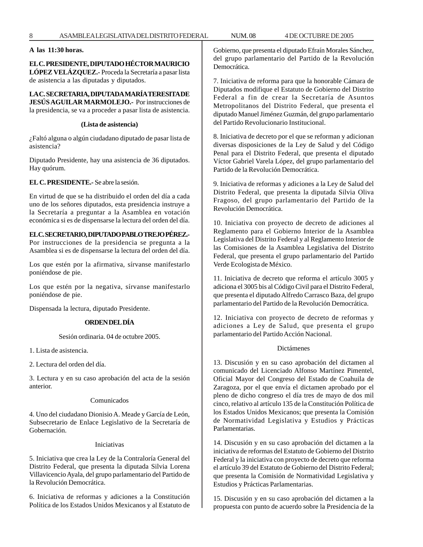## **A las 11:30 horas.**

# **EL C. PRESIDENTE, DIPUTADO HÉCTOR MAURICIO LÓPEZ VELÁZQUEZ.-** Proceda la Secretaría a pasar lista de asistencia a las diputadas y diputados.

**LA C. SECRETARIA, DIPUTADA MARÍA TERESITA DE JESÚS AGUILAR MARMOLEJO.-** Por instrucciones de la presidencia, se va a proceder a pasar lista de asistencia.

#### **(Lista de asistencia)**

¿Faltó alguna o algún ciudadano diputado de pasar lista de asistencia?

Diputado Presidente, hay una asistencia de 36 diputados. Hay quórum.

## **EL C. PRESIDENTE.-** Se abre la sesión.

En virtud de que se ha distribuido el orden del día a cada uno de los señores diputados, esta presidencia instruye a la Secretaría a preguntar a la Asamblea en votación económica si es de dispensarse la lectura del orden del día.

#### **EL C. SECRETARIO, DIPUTADO PABLO TREJO PÉREZ.-**

Por instrucciones de la presidencia se pregunta a la Asamblea si es de dispensarse la lectura del orden del día.

Los que estén por la afirmativa, sírvanse manifestarlo poniéndose de pie.

Los que estén por la negativa, sírvanse manifestarlo poniéndose de pie.

Dispensada la lectura, diputado Presidente.

# **ORDEN DEL DÍA**

Sesión ordinaria. 04 de octubre 2005.

1. Lista de asistencia.

2. Lectura del orden del día.

3. Lectura y en su caso aprobación del acta de la sesión anterior.

# Comunicados

4. Uno del ciudadano Dionisio A. Meade y García de León, Subsecretario de Enlace Legislativo de la Secretaría de Gobernación.

#### Iniciativas

5. Iniciativa que crea la Ley de la Contraloría General del Distrito Federal, que presenta la diputada Silvia Lorena Villavicencio Ayala, del grupo parlamentario del Partido de la Revolución Democrática.

6. Iniciativa de reformas y adiciones a la Constitución Política de los Estados Unidos Mexicanos y al Estatuto de Gobierno, que presenta el diputado Efraín Morales Sánchez, del grupo parlamentario del Partido de la Revolución Democrática.

7. Iniciativa de reforma para que la honorable Cámara de Diputados modifique el Estatuto de Gobierno del Distrito Federal a fin de crear la Secretaría de Asuntos Metropolitanos del Distrito Federal, que presenta el diputado Manuel Jiménez Guzmán, del grupo parlamentario del Partido Revolucionario Institucional.

8. Iniciativa de decreto por el que se reforman y adicionan diversas disposiciones de la Ley de Salud y del Código Penal para el Distrito Federal, que presenta el diputado Víctor Gabriel Varela López, del grupo parlamentario del Partido de la Revolución Democrática.

9. Iniciativa de reformas y adiciones a la Ley de Salud del Distrito Federal, que presenta la diputada Silvia Oliva Fragoso, del grupo parlamentario del Partido de la Revolución Democrática.

10. Iniciativa con proyecto de decreto de adiciones al Reglamento para el Gobierno Interior de la Asamblea Legislativa del Distrito Federal y al Reglamento Interior de las Comisiones de la Asamblea Legislativa del Distrito Federal, que presenta el grupo parlamentario del Partido Verde Ecologista de México.

11. Iniciativa de decreto que reforma el artículo 3005 y adiciona el 3005 bis al Código Civil para el Distrito Federal, que presenta el diputado Alfredo Carrasco Baza, del grupo parlamentario del Partido de la Revolución Democrática.

12. Iniciativa con proyecto de decreto de reformas y adiciones a Ley de Salud, que presenta el grupo parlamentario del Partido Acción Nacional.

#### Dictámenes

13. Discusión y en su caso aprobación del dictamen al comunicado del Licenciado Alfonso Martínez Pimentel, Oficial Mayor del Congreso del Estado de Coahuila de Zaragoza, por el que envía el dictamen aprobado por el pleno de dicho congreso el día tres de mayo de dos mil cinco, relativo al artículo 135 de la Constitución Política de los Estados Unidos Mexicanos; que presenta la Comisión de Normatividad Legislativa y Estudios y Prácticas Parlamentarias.

14. Discusión y en su caso aprobación del dictamen a la iniciativa de reformas del Estatuto de Gobierno del Distrito Federal y la iniciativa con proyecto de decreto que reforma el artículo 39 del Estatuto de Gobierno del Distrito Federal; que presenta la Comisión de Normatividad Legislativa y Estudios y Prácticas Parlamentarias.

15. Discusión y en su caso aprobación del dictamen a la propuesta con punto de acuerdo sobre la Presidencia de la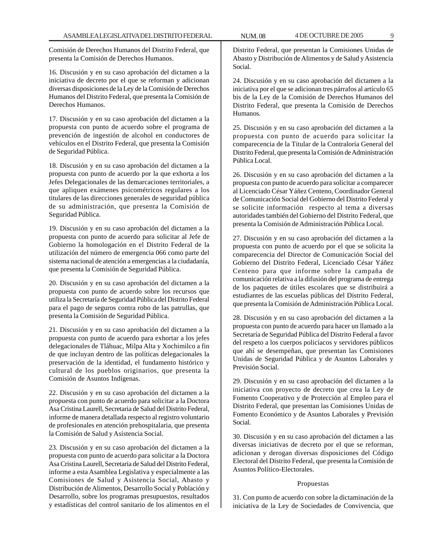Comisión de Derechos Humanos del Distrito Federal, que presenta la Comisión de Derechos Humanos.

16. Discusión y en su caso aprobación del dictamen a la iniciativa de decreto por el que se reforman y adicionan diversas disposiciones de la Ley de la Comisión de Derechos Humanos del Distrito Federal, que presenta la Comisión de Derechos Humanos.

17. Discusión y en su caso aprobación del dictamen a la propuesta con punto de acuerdo sobre el programa de prevención de ingestión de alcohol en conductores de vehículos en el Distrito Federal, que presenta la Comisión de Seguridad Pública.

18. Discusión y en su caso aprobación del dictamen a la propuesta con punto de acuerdo por la que exhorta a los Jefes Delegacionales de las demarcaciones territoriales, a que apliquen exámenes psicométricos regulares a los titulares de las direcciones generales de seguridad pública de su administración, que presenta la Comisión de Seguridad Pública.

19. Discusión y en su caso aprobación del dictamen a la propuesta con punto de acuerdo para solicitar al Jefe de Gobierno la homologación en el Distrito Federal de la utilización del número de emergencia 066 como parte del sistema nacional de atención a emergencias a la ciudadanía, que presenta la Comisión de Seguridad Pública.

20. Discusión y en su caso aprobación del dictamen a la propuesta con punto de acuerdo sobre los recursos que utiliza la Secretaría de Seguridad Pública del Distrito Federal para el pago de seguros contra robo de las patrullas, que presenta la Comisión de Seguridad Pública.

21. Discusión y en su caso aprobación del dictamen a la propuesta con punto de acuerdo para exhortar a los jefes delegacionales de Tláhuac, Milpa Alta y Xochimilco a fin de que incluyan dentro de las políticas delegacionales la preservación de la identidad, el fundamento histórico y cultural de los pueblos originarios, que presenta la Comisión de Asuntos Indígenas.

22. Discusión y en su caso aprobación del dictamen a la propuesta con punto de acuerdo para solicitar a la Doctora Asa Cristina Laurell, Secretaria de Salud del Distrito Federal, informe de manera detallada respecto al registro voluntario de profesionales en atención prehospitalaria, que presenta la Comisión de Salud y Asistencia Social.

23. Discusión y en su caso aprobación del dictamen a la propuesta con punto de acuerdo para solicitar a la Doctora Asa Cristina Laurell, Secretaria de Salud del Distrito Federal, informe a esta Asamblea Legislativa y especialmente a las Comisiones de Salud y Asistencia Social, Abasto y Distribución de Alimentos, Desarrollo Social y Población y Desarrollo, sobre los programas presupuestos, resultados y estadísticas del control sanitario de los alimentos en el

Distrito Federal, que presentan la Comisiones Unidas de Abasto y Distribución de Alimentos y de Salud y Asistencia Social.

24. Discusión y en su caso aprobación del dictamen a la iniciativa por el que se adicionan tres párrafos al artículo 65 bis de la Ley de la Comisión de Derechos Humanos del Distrito Federal, que presenta la Comisión de Derechos Humanos.

25. Discusión y en su caso aprobación del dictamen a la propuesta con punto de acuerdo para solicitar la comparecencia de la Titular de la Contraloría General del Distrito Federal, que presenta la Comisión de Administración Pública Local.

26. Discusión y en su caso aprobación del dictamen a la propuesta con punto de acuerdo para solicitar a comparecer al Licenciado César Yáñez Centeno, Coordinador General de Comunicación Social del Gobierno del Distrito Federal y se solicite información respecto al tema a diversas autoridades también del Gobierno del Distrito Federal, que presenta la Comisión de Administración Pública Local.

27. Discusión y en su caso aprobación del dictamen a la propuesta con punto de acuerdo por el que se solicita la comparecencia del Director de Comunicación Social del Gobierno del Distrito Federal, Licenciado César Yáñez Centeno para que informe sobre la campaña de comunicación relativa a la difusión del programa de entrega de los paquetes de útiles escolares que se distribuirá a estudiantes de las escuelas públicas del Distrito Federal, que presenta la Comisión de Administración Pública Local.

28. Discusión y en su caso aprobación del dictamen a la propuesta con punto de acuerdo para hacer un llamado a la Secretaría de Seguridad Pública del Distrito Federal a favor del respeto a los cuerpos policíacos y servidores públicos que ahí se desempeñan, que presentan las Comisiones Unidas de Seguridad Pública y de Asuntos Laborales y Previsión Social.

29. Discusión y en su caso aprobación del dictamen a la iniciativa con proyecto de decreto que crea la Ley de Fomento Cooperativo y de Protección al Empleo para el Distrito Federal, que presentan las Comisiones Unidas de Fomento Económico y de Asuntos Laborales y Previsión Social.

30. Discusión y en su caso aprobación del dictamen a las diversas iniciativas de decreto por el que se reforman, adicionan y derogan diversas disposiciones del Código Electoral del Distrito Federal, que presenta la Comisión de Asuntos Político-Electorales.

#### Propuestas

31. Con punto de acuerdo con sobre la dictaminación de la iniciativa de la Ley de Sociedades de Convivencia, que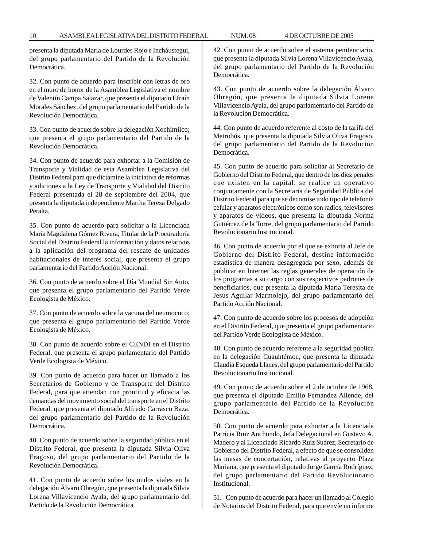presenta la diputada María de Lourdes Rojo e Incháustegui, del grupo parlamentario del Partido de la Revolución Democrática.

32. Con punto de acuerdo para inscribir con letras de oro en el muro de honor de la Asamblea Legislativa el nombre de Valentín Campa Salazar, que presenta el diputado Efraín Morales Sánchez, del grupo parlamentario del Partido de la Revolución Democrática.

33. Con punto de acuerdo sobre la delegación Xochimilco; que presenta el grupo parlamentario del Partido de la Revolución Democrática.

34. Con punto de acuerdo para exhortar a la Comisión de Transporte y Vialidad de esta Asamblea Legislativa del Distrito Federal para que dictamine la iniciativa de reformas y adiciones a la Ley de Transporte y Vialidad del Distrito Federal presentada el 28 de septiembre del 2004, que presenta la diputada independiente Martha Teresa Delgado Peralta.

35. Con punto de acuerdo para solicitar a la Licenciada María Magdalena Gómez Rivera, Titular de la Procuraduría Social del Distrito Federal la información y datos relativos a la aplicación del programa del rescate de unidades habitacionales de interés social, que presenta el grupo parlamentario del Partido Acción Nacional.

36. Con punto de acuerdo sobre el Día Mundial Sin Auto, que presenta el grupo parlamentario del Partido Verde Ecologista de México.

37. Con punto de acuerdo sobre la vacuna del neumococo; que presenta el grupo parlamentario del Partido Verde Ecologista de México.

38. Con punto de acuerdo sobre el CENDI en el Distrito Federal, que presenta el grupo parlamentario del Partido Verde Ecologista de México.

39. Con punto de acuerdo para hacer un llamado a los Secretarios de Gobierno y de Transporte del Distrito Federal, para que atiendan con prontitud y eficacia las demandas del movimiento social del transporte en el Distrito Federal, que presenta el diputado Alfredo Carrasco Baza, del grupo parlamentario del Partido de la Revolución Democrática.

40. Con punto de acuerdo sobre la seguridad pública en el Distrito Federal, que presenta la diputada Silvia Oliva Fragoso, del grupo parlamentario del Partido de la Revolución Democrática.

41. Con punto de acuerdo sobre los nudos viales en la delegación Álvaro Obregón, que presenta la diputada Silvia Lorena Villavicencio Ayala, del grupo parlamentario del Partido de la Revolución Democrática

42. Con punto de acuerdo sobre el sistema penitenciario, que presenta la diputada Silvia Lorena Villavicencio Ayala, del grupo parlamentario del Partido de la Revolución Democrática.

43. Con punto de acuerdo sobre la delegación Álvaro Obregón, que presenta la diputada Silvia Lorena Villavicencio Ayala, del grupo parlamentario del Partido de la Revolución Democrática.

44. Con punto de acuerdo referente al costo de la tarifa del Metrobús, que presenta la diputada Silvia Oliva Fragoso, del grupo parlamentario del Partido de la Revolución Democrática.

45. Con punto de acuerdo para solicitar al Secretario de Gobierno del Distrito Federal, que dentro de los diez penales que existen en la capital, se realice un operativo conjuntamente con la Secretaría de Seguridad Pública del Distrito Federal para que se decomise todo tipo de telefonía celular y aparatos electrónicos como son radios, televisores y aparatos de videos, que presenta la diputada Norma Gutiérrez de la Torre, del grupo parlamentario del Partido Revolucionario Institucional.

46. Con punto de acuerdo por el que se exhorta al Jefe de Gobierno del Distrito Federal, destine información estadística de manera desagregada por sexo, además de publicar en Internet las reglas generales de operación de los programas a su cargo con sus respectivos padrones de beneficiarios, que presenta la diputada María Teresita de Jesús Aguilar Marmolejo, del grupo parlamentario del Partido Acción Nacional.

47. Con punto de acuerdo sobre los procesos de adopción en el Distrito Federal, que presenta el grupo parlamentario del Partido Verde Ecologista de México.

48. Con punto de acuerdo referente a la seguridad pública en la delegación Cuauhtémoc, que presenta la diputada Claudia Esqueda Llanes, del grupo parlamentario del Partido Revolucionario Institucional.

49. Con punto de acuerdo sobre el 2 de octubre de 1968, que presenta el diputado Emilio Fernández Allende, del grupo parlamentario del Partido de la Revolución Democrática.

50. Con punto de acuerdo para exhortar a la Licenciada Patricia Ruiz Anchondo, Jefa Delegacional en Gustavo A. Madero y al Licenciado Ricardo Ruiz Suárez, Secretario de Gobierno del Distrito Federal, a efecto de que se consoliden las mesas de concertación, relativas al proyecto Plaza Mariana, que presenta el diputado Jorge García Rodríguez, del grupo parlamentario del Partido Revolucionario Institucional.

51. Con punto de acuerdo para hacer un llamado al Colegio de Notarios del Distrito Federal, para que envíe un informe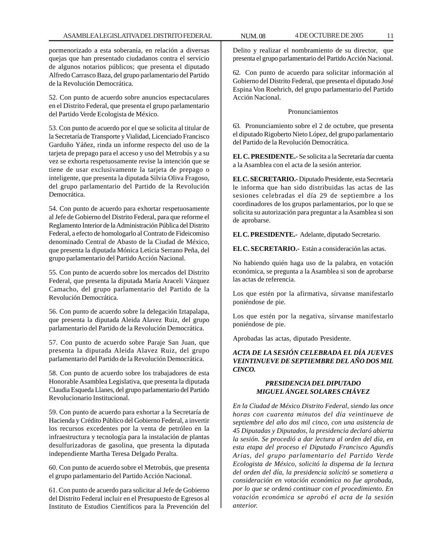pormenorizado a esta soberanía, en relación a diversas quejas que han presentado ciudadanos contra el servicio de algunos notarios públicos; que presenta el diputado Alfredo Carrasco Baza, del grupo parlamentario del Partido de la Revolución Democrática.

52. Con punto de acuerdo sobre anuncios espectaculares en el Distrito Federal, que presenta el grupo parlamentario del Partido Verde Ecologista de México.

53. Con punto de acuerdo por el que se solicita al titular de la Secretaría de Transporte y Vialidad, Licenciado Francisco Garduño Yáñez, rinda un informe respecto del uso de la tarjeta de prepago para el acceso y uso del Metrobús y a su vez se exhorta respetuosamente revise la intención que se tiene de usar exclusivamente la tarjeta de prepago o inteligente, que presenta la diputada Silvia Oliva Fragoso, del grupo parlamentario del Partido de la Revolución Democrática.

54. Con punto de acuerdo para exhortar respetuosamente al Jefe de Gobierno del Distrito Federal, para que reforme el Reglamento Interior de la Administración Pública del Distrito Federal, a efecto de homologarlo al Contrato de Fideicomiso denominado Central de Abasto de la Ciudad de México, que presenta la diputada Mónica Leticia Serrano Peña, del grupo parlamentario del Partido Acción Nacional.

55. Con punto de acuerdo sobre los mercados del Distrito Federal, que presenta la diputada María Araceli Vázquez Camacho, del grupo parlamentario del Partido de la Revolución Democrática.

56. Con punto de acuerdo sobre la delegación Iztapalapa, que presenta la diputada Aleida Alavez Ruiz, del grupo parlamentario del Partido de la Revolución Democrática.

57. Con punto de acuerdo sobre Paraje San Juan, que presenta la diputada Aleida Alavez Ruiz, del grupo parlamentario del Partido de la Revolución Democrática.

58. Con punto de acuerdo sobre los trabajadores de esta Honorable Asamblea Legislativa, que presenta la diputada Claudia Esqueda Llanes, del grupo parlamentario del Partido Revolucionario Institucional.

59. Con punto de acuerdo para exhortar a la Secretaría de Hacienda y Crédito Público del Gobierno Federal, a invertir los recursos excedentes por la venta de petróleo en la infraestructura y tecnología para la instalación de plantas desulfurizadoras de gasolina, que presenta la diputada independiente Martha Teresa Delgado Peralta.

60. Con punto de acuerdo sobre el Metrobús, que presenta el grupo parlamentario del Partido Acción Nacional.

61. Con punto de acuerdo para solicitar al Jefe de Gobierno del Distrito Federal incluir en el Presupuesto de Egresos al Instituto de Estudios Científicos para la Prevención del

Delito y realizar el nombramiento de su director, que presenta el grupo parlamentario del Partido Acción Nacional.

62. Con punto de acuerdo para solicitar información al Gobierno del Distrito Federal, que presenta el diputado José Espina Von Roehrich, del grupo parlamentario del Partido Acción Nacional.

Pronunciamientos

63. Pronunciamiento sobre el 2 de octubre, que presenta el diputado Rigoberto Nieto López, del grupo parlamentario del Partido de la Revolución Democrática.

**EL C. PRESIDENTE.-** Se solicita a la Secretaría dar cuenta a la Asamblea con el acta de la sesión anterior.

**EL C. SECRETARIO.-** Diputado Presidente, esta Secretaría le informa que han sido distribuidas las actas de las sesiones celebradas el día 29 de septiembre a los coordinadores de los grupos parlamentarios, por lo que se solicita su autorización para preguntar a la Asamblea si son de aprobarse.

**EL C. PRESIDENTE.-** Adelante, diputado Secretario.

**EL C. SECRETARIO.-** Están a consideración las actas.

No habiendo quién haga uso de la palabra, en votación económica, se pregunta a la Asamblea si son de aprobarse las actas de referencia.

Los que estén por la afirmativa, sírvanse manifestarlo poniéndose de pie.

Los que estén por la negativa, sírvanse manifestarlo poniéndose de pie.

Aprobadas las actas, diputado Presidente.

# *ACTA DE LA SESIÓN CELEBRADA EL DÍA JUEVES VEINTINUEVE DE SEPTIEMBRE DEL AÑO DOS MIL CINCO.*

# *PRESIDENCIA DEL DIPUTADO MIGUEL ÁNGEL SOLARES CHÁVEZ*

*En la Ciudad de México Distrito Federal, siendo las once horas con cuarenta minutos del día veintinueve de septiembre del año dos mil cinco, con una asistencia de 45 Diputadas y Diputados, la presidencia declaró abierta la sesión. Se procedió a dar lectura al orden del día, en esta etapa del proceso el Diputado Francisco Agundis Arias, del grupo parlamentario del Partido Verde Ecologista de México, solicitó la dispensa de la lectura del orden del día, la presidencia solicitó se sometiera a consideración en votación económica no fue aprobada, por lo que se ordenó continuar con el procedimiento. En votación económica se aprobó el acta de la sesión anterior.*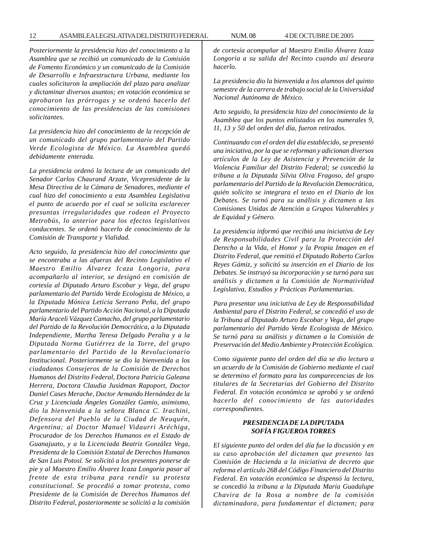*Posteriormente la presidencia hizo del conocimiento a la Asamblea que se recibió un comunicado de la Comisión de Fomento Económico y un comunicado de la Comisión de Desarrollo e Infraestructura Urbana, mediante los cuales solicitaron la ampliación del plazo para analizar y dictaminar diversos asuntos; en votación económica se aprobaron las prórrogas y se ordenó hacerlo del conocimiento de las presidencias de las comisiones solicitantes.*

*La presidencia hizo del conocimiento de la recepción de un comunicado del grupo parlamentario del Partido Verde Ecologista de México. La Asamblea quedó debidamente enterada.*

*La presidencia ordenó la lectura de un comunicado del Senador Carlos Chaurand Arzate, Vicepresidente de la Mesa Directiva de la Cámara de Senadores, mediante el cual hizo del conocimiento a esta Asamblea Legislativa el punto de acuerdo por el cual se solicita esclarecer presuntas irregularidades que rodean el Proyecto Metrobús, lo anterior para los efectos legislativos conducentes. Se ordenó hacerlo de conocimiento de la Comisión de Transporte y Vialidad.*

*Acto seguido, la presidencia hizo del conocimiento que se encontraba a las afueras del Recinto Legislativo el Maestro Emilio Álvarez Icaza Longoria, para acompañarlo al interior, se designó en comisión de cortesía al Diputado Arturo Escobar y Vega, del grupo parlamentario del Partido Verde Ecologista de México, a la Diputada Mónica Leticia Serrano Peña, del grupo parlamentario del Partido Acción Nacional, a la Diputada María Araceli Vázquez Camacho, del grupo parlamentario del Partido de la Revolución Democrática, a la Diputada Independiente, Martha Teresa Delgado Peralta y a la Diputada Norma Gutiérrez de la Torre, del grupo parlamentario del Partido de la Revolucionario Institucional. Posteriormente se dio la bienvenida a los ciudadanos Consejeros de la Comisión de Derechos Humanos del Distrito Federal, Doctora Patricia Galeana Herrera, Doctora Claudia Jusidman Rapoport, Doctor Daniel Cases Merache, Doctor Armando Hernández de la Cruz y Licenciada Ángeles González Gamio, asimismo, dio la bienvenida a la señora Blanca C. Irachini, Defensora del Pueblo de la Ciudad de Neuquén, Argentina; al Doctor Manuel Vidaurri Aréchiga, Procurador de los Derechos Humanos en el Estado de Guanajuato, y a la Licenciada Beatriz González Vega, Presidenta de la Comisión Estatal de Derechos Humanos de San Luis Potosí. Se solicitó a los presentes ponerse de pie y al Maestro Emilio Álvarez Icaza Longoria pasar al frente de esta tribuna para rendir su protesta constitucional. Se procedió a tomar protesta, como Presidente de la Comisión de Derechos Humanos del Distrito Federal, posteriormente se solicitó a la comisión* *de cortesía acompañar al Maestro Emilio Álvarez Icaza Longoria a su salida del Recinto cuando así deseara hacerlo.*

*La presidencia dio la bienvenida a los alumnos del quinto semestre de la carrera de trabajo social de la Universidad Nacional Autónoma de México.*

*Acto seguido, la presidencia hizo del conocimiento de la Asamblea que los puntos enlistados en los numerales 9, 11, 13 y 50 del orden del día, fueron retirados.*

*Continuando con el orden del día establecido, se presentó una iniciativa, por la que se reforman y adicionan diversos artículos de la Ley de Asistencia y Prevención de la Violencia Familiar del Distrito Federal; se concedió la tribuna a la Diputada Silvia Oliva Fragoso, del grupo parlamentario del Partido de la Revolución Democrática, quién solicito se integrara el texto en el Diario de los Debates. Se turnó para su análisis y dictamen a las Comisiones Unidas de Atención a Grupos Vulnerables y de Equidad y Género.*

*La presidencia informó que recibió una iniciativa de Ley de Responsabilidades Civil para la Protección del Derecho a la Vida, el Honor y la Propia Imagen en el Distrito Federal, que remitió el Diputado Roberto Carlos Reyes Gámiz, y solicitó su inserción en el Diario de los Debates. Se instruyó su incorporación y se turnó para sus análisis y dictamen a la Comisión de Normatividad Legislativa, Estudios y Prácticas Parlamentarias.*

*Para presentar una iniciativa de Ley de Responsabilidad Ambiental para el Distrito Federal, se concedió el uso de la Tribuna al Diputado Arturo Escobar y Vega, del grupo parlamentario del Partido Verde Ecologista de México. Se turnó para su análisis y dictamen a la Comisión de Preservación del Medio Ambiente y Protección Ecológica.*

*Como siguiente punto del orden del día se dio lectura a un acuerdo de la Comisión de Gobierno mediante el cual se determino el formato para las comparecencias de los titulares de la Secretarías del Gobierno del Distrito Federal. En votación económica se aprobó y se ordenó hacerlo del conocimiento de las autoridades correspondientes.*

# *PRESIDENCIA DE LA DIPUTADA SOFÍA FIGUEROA TORRES*

*El siguiente punto del orden del día fue la discusión y en su caso aprobación del dictamen que presento las Comisión de Hacienda a la iniciativa de decreto que reforma el artículo 268 del Código Financiero del Distrito Federal. En votación económica se dispensó la lectura, se concedió la tribuna a la Diputada María Guadalupe Chavira de la Rosa a nombre de la comisión dictaminadora, para fundamentar el dictamen; para*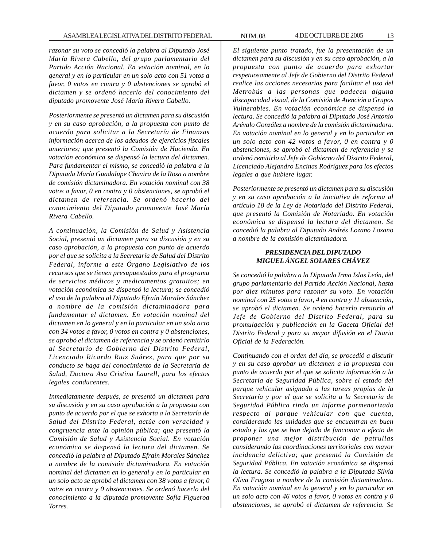*razonar su voto se concedió la palabra al Diputado José María Rivera Cabello, del grupo parlamentario del Partido Acción Nacional. En votación nominal, en lo general y en lo particular en un solo acto con 51 votos a favor, 0 votos en contra y 0 abstenciones se aprobó el dictamen y se ordenó hacerlo del conocimiento del diputado promovente José María Rivera Cabello.*

*Posteriormente se presentó un dictamen para su discusión y en su caso aprobación, a la propuesta con punto de acuerdo para solicitar a la Secretaría de Finanzas información acerca de los adeudos de ejercicios fiscales anteriores; que presentó la Comisión de Hacienda. En votación económica se dispensó la lectura del dictamen. Para fundamentar el mismo, se concedió la palabra a la Diputada María Guadalupe Chavira de la Rosa a nombre de comisión dictaminadora. En votación nominal con 38 votos a favor, 0 en contra y 0 abstenciones, se aprobó el dictamen de referencia. Se ordenó hacerlo del conocimiento del Diputado promovente José María Rivera Cabello.*

*A continuación, la Comisión de Salud y Asistencia Social, presentó un dictamen para su discusión y en su caso aprobación, a la propuesta con punto de acuerdo por el que se solicita a la Secretaría de Salud del Distrito Federal, informe a este Órgano Legislativo de los recursos que se tienen presupuestados para el programa de servicios médicos y medicamentos gratuitos; en votación económica se dispensó la lectura; se concedió el uso de la palabra al Diputado Efraín Morales Sánchez a nombre de la comisión dictaminadora para fundamentar el dictamen. En votación nominal del dictamen en lo general y en lo particular en un solo acto con 34 votos a favor, 0 votos en contra y 0 abstenciones, se aprobó el dictamen de referencia y se ordenó remitirlo al Secretario de Gobierno del Distrito Federal, Licenciado Ricardo Ruiz Suárez, para que por su conducto se haga del conocimiento de la Secretaria de Salud, Doctora Asa Cristina Laurell, para los efectos legales conducentes.*

*Inmediatamente después, se presentó un dictamen para su discusión y en su caso aprobación a la propuesta con punto de acuerdo por el que se exhorta a la Secretaría de Salud del Distrito Federal, actúe con veracidad y congruencia ante la opinión pública; que presentó la Comisión de Salud y Asistencia Social. En votación económica se dispensó la lectura del dictamen. Se concedió la palabra al Diputado Efraín Morales Sánchez a nombre de la comisión dictaminadora. En votación nominal del dictamen en lo general y en lo particular en un solo acto se aprobó el dictamen con 38 votos a favor, 0 votos en contra y 0 abstenciones. Se ordenó hacerlo del conocimiento a la diputada promovente Sofía Figueroa Torres.*

*El siguiente punto tratado, fue la presentación de un dictamen para su discusión y en su caso aprobación, a la propuesta con punto de acuerdo para exhortar respetuosamente al Jefe de Gobierno del Distrito Federal realice las acciones necesarias para facilitar el uso del Metrobús a las personas que padecen alguna discapacidad visual, de la Comisión de Atención a Grupos Vulnerables. En votación económica se dispensó la lectura. Se concedió la palabra al Diputado José Antonio Arévalo González a nombre de la comisión dictaminadora. En votación nominal en lo general y en lo particular en un solo acto con 42 votos a favor, 0 en contra y 0 abstenciones, se aprobó el dictamen de referencia y se ordenó remitirlo al Jefe de Gobierno del Distrito Federal, Licenciado Alejandro Encinas Rodríguez para los efectos legales a que hubiere lugar.*

*Posteriormente se presentó un dictamen para su discusión y en su caso aprobación a la iniciativa de reforma al artículo 18 de la Ley de Notariado del Distrito Federal, que presentó la Comisión de Notariado. En votación económica se dispensó la lectura del dictamen. Se concedió la palabra al Diputado Andrés Lozano Lozano a nombre de la comisión dictaminadora.*

## *PRESIDENCIA DEL DIPUTADO MIGUEL ÁNGEL SOLARES CHÁVEZ*

*Se concedió la palabra a la Diputada Irma Islas León, del grupo parlamentario del Partido Acción Nacional, hasta por diez minutos para razonar su voto. En votación nominal con 25 votos a favor, 4 en contra y 11 abstención, se aprobó el dictamen. Se ordenó hacerlo remitirlo al Jefe de Gobierno del Distrito Federal, para su promulgación y publicación en la Gaceta Oficial del Distrito Federal y para su mayor difusión en el Diario Oficial de la Federación.*

*Continuando con el orden del día, se procedió a discutir y en su caso aprobar un dictamen a la propuesta con punto de acuerdo por el que se solicita información a la Secretaría de Seguridad Pública, sobre el estado del parque vehicular asignado a las tareas propias de la Secretaría y por el que se solicita a la Secretaria de Seguridad Pública rinda un informe pormenorizado respecto al parque vehicular con que cuenta, considerando las unidades que se encuentran en buen estado y las que se han dejado de funcionar a efecto de proponer una mejor distribución de patrullas considerando las coordinaciones territoriales con mayor incidencia delictiva; que presentó la Comisión de Seguridad Pública. En votación económica se dispensó la lectura. Se concedió la palabra a la Diputada Silvia Oliva Fragoso a nombre de la comisión dictaminadora. En votación nominal en lo general y en lo particular en un solo acto con 46 votos a favor, 0 votos en contra y 0 abstenciones, se aprobó el dictamen de referencia. Se*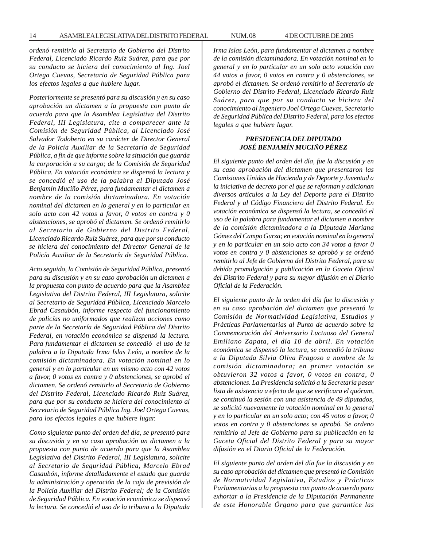*ordenó remitirlo al Secretario de Gobierno del Distrito Federal, Licenciado Ricardo Ruiz Suárez, para que por su conducto se hiciera del conocimiento al Ing. Joel Ortega Cuevas, Secretario de Seguridad Pública para los efectos legales a que hubiere lugar.*

*Posteriormente se presentó para su discusión y en su caso aprobación un dictamen a la propuesta con punto de acuerdo para que la Asamblea Legislativa del Distrito Federal, III Legislatura, cite a comparecer ante la Comisión de Seguridad Pública, al Licenciado José Salvador Todoberto en su carácter de Director General de la Policía Auxiliar de la Secretaría de Seguridad Pública, a fin de que informe sobre la situación que guarda la corporación a su cargo; de la Comisión de Seguridad Pública. En votación económica se dispensó la lectura y se concedió el uso de la palabra al Diputado José Benjamín Muciño Pérez, para fundamentar el dictamen a nombre de la comisión dictaminadora. En votación nominal del dictamen en lo general y en lo particular en solo acto con 42 votos a favor, 0 votos en contra y 0 abstenciones, se aprobó el dictamen. Se ordenó remitirlo al Secretario de Gobierno del Distrito Federal, Licenciado Ricardo Ruiz Suárez, para que por su conducto se hiciera del conocimiento del Director General de la Policía Auxiliar de la Secretaría de Seguridad Pública.*

*Acto seguido, la Comisión de Seguridad Pública, presentó para su discusión y en su caso aprobación un dictamen a la propuesta con punto de acuerdo para que la Asamblea Legislativa del Distrito Federal, III Legislatura, solicite al Secretario de Seguridad Pública, Licenciado Marcelo Ebrad Casaubón, informe respecto del funcionamiento de policías no uniformados que realizan acciones como parte de la Secretaría de Seguridad Pública del Distrito Federal, en votación económica se dispensó la lectura. Para fundamentar el dictamen se concedió el uso de la palabra a la Diputada Irma Islas León, a nombre de la comisión dictaminadora. En votación nominal en lo general y en lo particular en un mismo acto con 42 votos a favor, 0 votos en contra y 0 abstenciones, se aprobó el dictamen. Se ordenó remitirlo al Secretario de Gobierno del Distrito Federal, Licenciado Ricardo Ruiz Suárez, para que por su conducto se hiciera del conocimiento al Secretario de Seguridad Pública Ing. Joel Ortega Cuevas, para los efectos legales a que hubiere lugar.*

*Como siguiente punto del orden del día, se presentó para su discusión y en su caso aprobación un dictamen a la propuesta con punto de acuerdo para que la Asamblea Legislativa del Distrito Federal, III Legislatura, solicite al Secretario de Seguridad Pública, Marcelo Ebrad Casaubón, informe detalladamente el estado que guarda la administración y operación de la caja de previsión de la Policía Auxiliar del Distrito Federal; de la Comisión de Seguridad Pública. En votación económica se dispensó la lectura. Se concedió el uso de la tribuna a la Diputada* *Irma Islas León, para fundamentar el dictamen a nombre de la comisión dictaminadora. En votación nominal en lo general y en lo particular en un solo acto votación con 44 votos a favor, 0 votos en contra y 0 abstenciones, se aprobó el dictamen. Se ordenó remitirlo al Secretario de Gobierno del Distrito Federal, Licenciado Ricardo Ruiz Suárez, para que por su conducto se hiciera del conocimiento al Ingeniero Joel Ortega Cuevas, Secretario de Seguridad Pública del Distrito Federal, para los efectos legales a que hubiere lugar.*

### *PRESIDENCIA DEL DIPUTADO JOSÉ BENJAMÍN MUCIÑO PÉREZ*

*El siguiente punto del orden del día, fue la discusión y en su caso aprobación del dictamen que presentaron las Comisiones Unidas de Hacienda y de Deporte y Juventud a la iniciativa de decreto por el que se reforman y adicionan diversos artículos a la Ley del Deporte para el Distrito Federal y al Código Financiero del Distrito Federal. En votación económica se dispensó la lectura, se concedió el uso de la palabra para fundamentar el dictamen a nombre de la comisión dictaminadora a la Diputada Mariana Gómez del Campo Gurza; en votación nominal en lo general y en lo particular en un solo acto con 34 votos a favor 0 votos en contra y 0 abstenciones se aprobó y se ordenó remitirlo al Jefe de Gobierno del Distrito Federal, para su debida promulgación y publicación en la Gaceta Oficial del Distrito Federal y para su mayor difusión en el Diario Oficial de la Federación.*

*El siguiente punto de la orden del día fue la discusión y en su caso aprobación del dictamen que presentó la Comisión de Normatividad Legislativa, Estudios y Prácticas Parlamentarias al Punto de acuerdo sobre la Conmemoración del Aniversario Luctuoso del General Emiliano Zapata, el día 10 de abril. En votación económica se dispensó la lectura, se concedió la tribuna a la Diputada Silvia Oliva Fragoso a nombre de la comisión dictaminadora; en primer votación se obtuvieron 32 votos a favor, 0 votos en contra, 0 abstenciones. La Presidencia solicitó a la Secretaría pasar lista de asistencia a efecto de que se verificara el quórum, se continuó la sesión con una asistencia de 49 diputados, se solicitó nuevamente la votación nominal en lo general y en lo particular en un solo acto; con 45 votos a favor, 0 votos en contra y 0 abstenciones se aprobó. Se ordeno remitirlo al Jefe de Gobierno para su publicación en la Gaceta Oficial del Distrito Federal y para su mayor difusión en el Diario Oficial de la Federación.*

*El siguiente punto del orden del día fue la discusión y en su caso aprobación del dictamen que presentó la Comisión de Normatividad Legislativa, Estudios y Prácticas Parlamentarias a la propuesta con punto de acuerdo para exhortar a la Presidencia de la Diputación Permanente de este Honorable Órgano para que garantice las*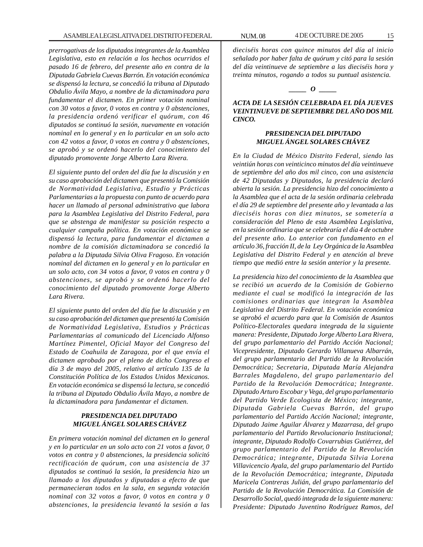*prerrogativas de los diputados integrantes de la Asamblea Legislativa, esto en relación a los hechos ocurridos el pasado 16 de febrero, del presente año en contra de la Diputada Gabriela Cuevas Barrón. En votación económica se dispensó la lectura, se concedió la tribuna al Diputado Obdulio Ávila Mayo, a nombre de la dictaminadora para fundamentar el dictamen. En primer votación nominal con 30 votos a favor, 0 votos en contra y 0 abstenciones, la presidencia ordenó verificar el quórum, con 46 diputados se continuó la sesión, nuevamente en votación nominal en lo general y en lo particular en un solo acto con 42 votos a favor, 0 votos en contra y 0 abstenciones, se aprobó y se ordenó hacerlo del conocimiento del diputado promovente Jorge Alberto Lara Rivera.*

*El siguiente punto del orden del día fue la discusión y en su caso aprobación del dictamen que presentó la Comisión de Normatividad Legislativa, Estudio y Prácticas Parlamentarias a la propuesta con punto de acuerdo para hacer un llamado al personal administrativo que labora para la Asamblea Legislativa del Distrito Federal, para que se abstenga de manifestar su posición respecto a cualquier campaña política. En votación económica se dispensó la lectura, para fundamentar el dictamen a nombre de la comisión dictaminadora se concedió la palabra a la Diputada Silvia Oliva Fragoso. En votación nominal del dictamen en lo general y en lo particular en un solo acto, con 34 votos a favor, 0 votos en contra y 0 abstenciones, se aprobó y se ordenó hacerlo del conocimiento del diputado promovente Jorge Alberto Lara Rivera.*

*El siguiente punto del orden del día fue la discusión y en su caso aprobación del dictamen que presentó la Comisión de Normatividad Legislativa, Estudios y Prácticas Parlamentarias al comunicado del Licenciado Alfonso Martínez Pimentel, Oficial Mayor del Congreso del Estado de Coahuila de Zaragoza, por el que envía el dictamen aprobado por el pleno de dicho Congreso el día 3 de mayo del 2005, relativo al artículo 135 de la Constitución Política de los Estados Unidos Mexicanos. En votación económica se dispensó la lectura, se concedió la tribuna al Diputado Obdulio Ávila Mayo, a nombre de la dictaminadora para fundamentar el dictamen.*

## *PRESIDENCIA DEL DIPUTADO MIGUEL ÁNGEL SOLARES CHÁVEZ*

*En primera votación nominal del dictamen en lo general y en lo particular en un solo acto con 21 votos a favor, 0 votos en contra y 0 abstenciones, la presidencia solicitó rectificación de quórum, con una asistencia de 37 diputados se continuó la sesión, la presidencia hizo un llamado a los diputados y diputadas a efecto de que permanecieran todos en la sala, en segunda votación nominal con 32 votos a favor, 0 votos en contra y 0 abstenciones, la presidencia levantó la sesión a las*

*dieciséis horas con quince minutos del día al inicio señalado por haber falta de quórum y citó para la sesión del día veintinueve de septiembre a las dieciséis hora y treinta minutos, rogando a todos su puntual asistencia.*

#### *\_\_\_\_\_ O \_\_\_\_\_*

*ACTA DE LA SESIÓN CELEBRADA EL DÍA JUEVES VEINTINUEVE DE SEPTIEMBRE DEL AÑO DOS MIL CINCO.*

# *PRESIDENCIA DEL DIPUTADO MIGUEL ÁNGEL SOLARES CHÁVEZ*

*En la Ciudad de México Distrito Federal, siendo las veintiún horas con veinticinco minutos del día veintinueve de septiembre del año dos mil cinco, con una asistencia de 42 Diputadas y Diputados, la presidencia declaró abierta la sesión. La presidencia hizo del conocimiento a la Asamblea que el acta de la sesión ordinaria celebrada el día 29 de septiembre del presente año y levantada a las dieciséis horas con diez minutos, se sometería a consideración del Pleno de esta Asamblea Legislativa, en la sesión ordinaria que se celebraría el día 4 de octubre del presente año. Lo anterior con fundamento en el artículo 36, fracción II, de la Ley Orgánica de la Asamblea Legislativa del Distrito Federal y en atención al breve tiempo que medió entre la sesión anterior y la presente.*

*La presidencia hizo del conocimiento de la Asamblea que se recibió un acuerdo de la Comisión de Gobierno mediante el cual se modificó la integración de las comisiones ordinarias que integran la Asamblea Legislativa del Distrito Federal. En votación económica se aprobó el acuerdo para que la Comisión de Asuntos Político-Electorales quedara integrada de la siguiente manera: Presidente, Diputado Jorge Alberto Lara Rivera, del grupo parlamentario del Partido Acción Nacional; Vicepresidente, Diputado Gerardo Villanueva Albarrán, del grupo parlamentario del Partido de la Revolución Democrática; Secretaria, Diputada María Alejandra Barrales Magdaleno, del grupo parlamentario del Partido de la Revolución Democrática; Integrante. Diputado Arturo Escobar y Vega, del grupo parlamentario del Partido Verde Ecologista de México; integrante, Diputada Gabriela Cuevas Barrón, del grupo parlamentario del Partido Acción Nacional; integrante, Diputado Jaime Aguilar Álvarez y Mazarrasa, del grupo parlamentario del Partido Revolucionario Institucional; integrante, Diputado Rodolfo Covarrubias Gutiérrez, del grupo parlamentario del Partido de la Revolución Democrática; integrante, Diputada Silvia Lorena Villavicencio Ayala, del grupo parlamentario del Partido de la Revolución Democrática; integrante, Diputada Maricela Contreras Julián, del grupo parlamentario del Partido de la Revolución Democrática. La Comisión de Desarrollo Social, quedó integrada de la siguiente manera: Presidente: Diputado Juventino Rodríguez Ramos, del*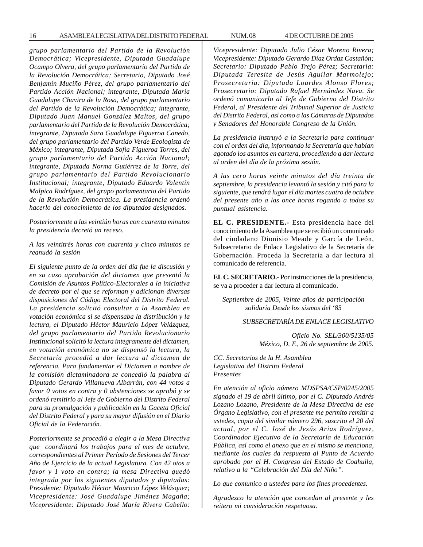16 ASAMBLEA LEGISLATIVA DEL DISTRITO FEDERAL NUM. 08 4 DE OCTUBRE DE 2005

*grupo parlamentario del Partido de la Revolución Democrática; Vicepresidente, Diputada Guadalupe Ocampo Olvera, del grupo parlamentario del Partido de la Revolución Democrática; Secretario, Diputado José Benjamín Muciño Pérez, del grupo parlamentario del Partido Acción Nacional; integrante, Diputada María Guadalupe Chavira de la Rosa, del grupo parlamentario del Partido de la Revolución Democrática; integrante, Diputado Juan Manuel González Maltos, del grupo parlamentario del Partido de la Revolución Democrática; integrante, Diputada Sara Guadalupe Figueroa Canedo, del grupo parlamentario del Partido Verde Ecologista de México; integrante, Diputada Sofía Figueroa Torres, del grupo parlamentario del Partido Acción Nacional; integrante, Diputada Norma Gutiérrez de la Torre, del grupo parlamentario del Partido Revolucionario Institucional; integrante, Diputado Eduardo Valentín Malpica Rodríguez, del grupo parlamentario del Partido de la Revolución Democrática. La presidencia ordenó hacerlo del conocimiento de los diputados designados.*

*Posteriormente a las veintiún horas con cuarenta minutos la presidencia decretó un receso.*

*A las veintitrés horas con cuarenta y cinco minutos se reanudó la sesión*

*El siguiente punto de la orden del día fue la discusión y en su caso aprobación del dictamen que presentó la Comisión de Asuntos Político-Electorales a la iniciativa de decreto por el que se reforman y adicionan diversas disposiciones del Código Electoral del Distrito Federal. La presidencia solicitó consultar a la Asamblea en votación económica si se dispensaba la distribución y la lectura, el Diputado Héctor Mauricio López Velázquez, del grupo parlamentario del Partido Revolucionario Institucional solicitó la lectura íntegramente del dictamen, en votación económica no se dispensó la lectura, la Secretaría procedió a dar lectura al dictamen de referencia. Para fundamentar el Dictamen a nombre de la comisión dictaminadora se concedió la palabra al Diputado Gerardo Villanueva Albarrán, con 44 votos a favor 0 votos en contra y 0 abstenciones se aprobó y se ordenó remitirlo al Jefe de Gobierno del Distrito Federal para su promulgación y publicación en la Gaceta Oficial del Distrito Federal y para su mayor difusión en el Diario Oficial de la Federación.*

*Posteriormente se procedió a elegir a la Mesa Directiva que coordinará los trabajos para el mes de octubre, correspondientes al Primer Período de Sesiones del Tercer Año de Ejercicio de la actual Legislatura. Con 42 otos a favor y 1 voto en contra; la mesa Directiva quedó integrada por los siguientes diputados y diputadas: Presidente: Diputado Héctor Mauricio López Velásquez; Vicepresidente: José Guadalupe Jiménez Magaña; Vicepresidente: Diputado José María Rivera Cabello:*

*Vicepresidente: Diputado Julio César Moreno Rivera; Vicepresidente: Diputado Gerardo Díaz Ordaz Castañón; Secretario: Diputado Pablo Trejo Pérez; Secretaria: Diputada Teresita de Jesús Aguilar Marmolejo; Prosecretaria: Diputada Lourdes Alonso Flores; Prosecretario: Diputado Rafael Hernández Nava. Se ordenó comunicarlo al Jefe de Gobierno del Distrito Federal, al Presidente del Tribunal Superior de Justicia del Distrito Federal, así como a las Cámaras de Diputados y Senadores del Honorable Congreso de la Unión.*

*La presidencia instruyó a la Secretaria para continuar con el orden del día, informando la Secretaría que habían agotado los asuntos en cartera, procediendo a dar lectura al orden del día de la próxima sesión.*

*A las cero horas veinte minutos del día treinta de septiembre, la presidencia levantó la sesión y citó para la siguiente, que tendrá lugar el día martes cuatro de octubre del presente año a las once horas rogando a todos su puntual asistencia.*

**EL C. PRESIDENTE.-** Esta presidencia hace del conocimiento de la Asamblea que se recibió un comunicado del ciudadano Dionisio Meade y García de León, Subsecretario de Enlace Legislativo de la Secretaría de Gobernación. Proceda la Secretaría a dar lectura al comunicado de referencia.

**EL C. SECRETARIO.-** Por instrucciones de la presidencia, se va a proceder a dar lectura al comunicado.

*Septiembre de 2005, Veinte años de participación solidaria Desde los sismos del '85*

*SUBSECRETARÍA DE ENLACE LEGISLATIVO*

*Oficio No. SEL/300/5135/05 México, D. F., 26 de septiembre de 2005.*

*CC. Secretarios de la H. Asamblea Legislativa del Distrito Federal Presentes*

*En atención al oficio número MDSPSA/CSP/0245/2005 signado el 19 de abril último, por el C. Diputado Andrés Lozano Lozano, Presidente de la Mesa Directiva de ese Órgano Legislativo, con el presente me permito remitir a ustedes, copia del similar número 296, suscrito el 20 del actual, por el C. José de Jesús Arias Rodríguez, Coordinador Ejecutivo de la Secretaría de Educación Pública, así como el anexo que en el mismo se menciona, mediante los cuales da respuesta al Punto de Acuerdo aprobado por el H. Congreso del Estado de Coahuila, relativo a la ''Celebración del Día del Niño''.*

*Lo que comunico a ustedes para los fines procedentes.*

*Agradezco la atención que concedan al presente y les reitero mi consideración respetuosa.*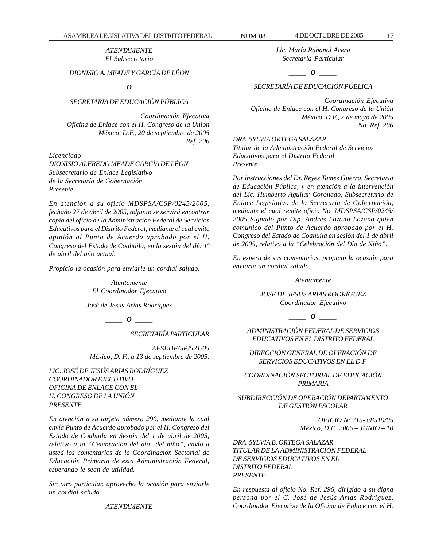#### *ATENTAMENTE El Subsecretario*

# *DIONISIO A. MEADE Y GARCÍA DE LÉON*

*\_\_\_\_\_ O \_\_\_\_\_*

# *SECRETARÍA DE EDUCACIÓN PÚBLICA*

*Coordinación Ejecutiva Oficina de Enlace con el H. Congreso de la Unión México, D.F., 20 de septiembre de 2005 Ref. 296*

*Licenciado DIONISIO ALFREDO MEADE GARCÍA DE LÉON Subsecretario de Enlace Legislativo de la Secretaría de Gobernación Presente*

*En atención a su oficio MDSPSA/CSP/0245/2005, fechado 27 de abril de 2005, adjunto se servirá encontrar copia del oficio de la Administración Federal de Servicios Educativos para el Distrito Federal, mediante el cual emite opinión al Punto de Acuerdo aprobado por el H. Congreso del Estado de Coahuila, en la sesión del día 1º de abril del año actual.*

*Propicio la ocasión para enviarle un cordial saludo.*

*Atentamente El Coordinador Ejecutivo*

*José de Jesús Arias Rodríguez*

*\_\_\_\_\_ O \_\_\_\_\_*

*SECRETARÍA PARTICULAR*

*AFSEDF/SP/521/05 México, D. F., a 13 de septiembre de 2005.*

*LIC. JOSÉ DE JESÚS ARIAS RODRÍGUEZ COORDINADOR EJECUTIVO OFICINA DE ENLACE CON EL H. CONGRESO DE LA UNIÓN PRESENTE*

*En atención a su tarjeta número 296, mediante la cual envía Punto de Acuerdo aprobado por el H. Congreso del Estado de Coahuila en Sesión del 1 de abril de 2005, relativo a la ''Celebración del día del niño'', envío a usted los comentarios de la Coordinación Sectorial de Educación Primaria de esta Administración Federal, esperando le sean de utilidad.*

*Sin otro particular, aprovecho la ocasión para enviarle un cordial saludo.*

*ATENTAMENTE*

*Lic. María Rabanal Acero Secretaría Particular*

*\_\_\_\_\_ O \_\_\_\_\_*

# *SECRETARÍA DE EDUCACIÓN PÚBLICA*

*Coordinación Ejecutiva Oficina de Enlace con el H. Congreso de la Unión México, D.F., 2 de mayo de 2005 No. Ref. 296*

*DRA. SYLVIA ORTEGA SALAZAR Titular de la Administración Federal de Servicios Educativos para el Distrito Federal Presente*

*Por instrucciones del Dr. Reyes Tamez Guerra, Secretario de Educación Pública, y en atención a la intervención del Lic. Humberto Aguilar Coronado, Subsecretario de Enlace Legislativo de la Secretaria de Gobernación, mediante el cual remite oficio No. MDSPSA/CSP/0245/ 2005 Signado por Dip. Andrés Lozano Lozano quien comunico del Punto de Acuerdo aprobado por el H. Congreso del Estado de Coahuila en sesión del 1 de abril de 2005, relativo a la ''Celebración del Día de Niño''.*

*En espera de sus comentarios, propicio la ocasión para enviarle un cordial saludo.*

#### *Atentamente*

*JOSÉ DE JESÚS ARIAS RODRÍGUEZ Coordinador Ejecutivo*

*\_\_\_\_\_ O \_\_\_\_\_*

*ADMINISTRACIÓN FEDERAL DE SERVICIOS EDUCATIVOS EN EL DISTRITO FEDERAL*

*DIRECCIÓN GENERAL DE OPERACIÓN DE SERVICIOS EDUCATIVOS EN EL D.F.*

*COORDINACIÓN SECTORIAL DE EDUCACIÓN PRIMARIA*

*SUBDIRECCIÓN DE OPERACIÓN DEPARTAMENTO DE GESTIÓN ESCOLAR*

> *OFICIO Nº 215-3/8519/05 México, D.F., 2005 – JUNIO – 10*

*DRA. SYLVIA B. ORTEGA SALAZAR TITULAR DE LA ADMINISTRACIÓN FEDERAL DE SERVICIOS EDUCATIVOS EN EL DISTRITO FEDERAL PRESENTE*

*En respuesta al oficio No. Ref. 296, dirigido a su digna persona por el C. José de Jesús Arias Rodríguez, Coordinador Ejecutivo de la Oficina de Enlace con el H.*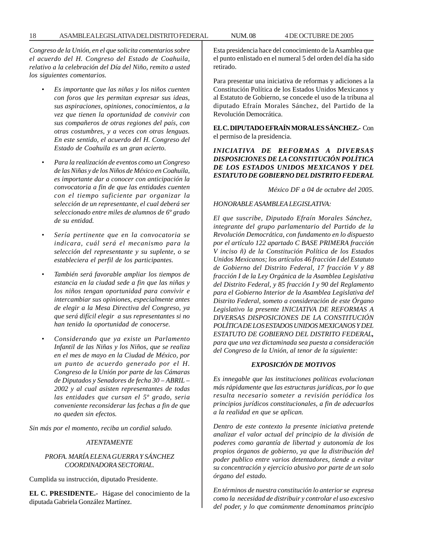*Congreso de la Unión, en el que solicita comentarios sobre el acuerdo del H. Congreso del Estado de Coahuila, relativo a la celebración del Día del Niño, remito a usted los siguientes comentarios.*

- *Es importante que las niñas y los niños cuenten con foros que les permitan expresar sus ideas, sus aspiraciones, opiniones, conocimientos, a la vez que tienen la oportunidad de convivir con sus compañeros de otras regiones del país, con otras costumbres, y a veces con otras lenguas. En este sentido, el acuerdo del H. Congreso del Estado de Coahuila es un gran acierto.*
- *Para la realización de eventos como un Congreso de las Niñas y de los Niños de México en Coahuila, es importante dar a conocer con anticipación la convocatoria a fin de que las entidades cuenten con el tiempo suficiente par organizar la selección de un representante, el cual deberá ser seleccionado entre miles de alumnos de 6º grado de su entidad.*
- *Sería pertinente que en la convocatoria se indicara, cuál será el mecanismo para la selección del representante y su suplente, o se estableciera el perfil de los participantes.*
- *También será favorable ampliar los tiempos de estancia en la ciudad sede a fin que las niñas y los niños tengan oportunidad para convivir e intercambiar sus opiniones, especialmente antes de elegir a la Mesa Directiva del Congreso, ya que será difícil elegir a sus representantes si no han tenido la oportunidad de conocerse.*
- *Considerando que ya existe un Parlamento Infantil de las Niñas y los Niños, que se realiza en el mes de mayo en la Ciudad de México, por un punto de acuerdo generado por el H. Congreso de la Unión por parte de las Cámaras de Diputados y Senadores de fecha 30 – ABRIL – 2002 y al cual asisten representantes de todas las entidades que cursan el 5º grado, seria conveniente reconsiderar las fechas a fin de que no queden sin efectos.*

*Sin más por el momento, reciba un cordial saludo.*

#### *ATENTAMENTE*

#### *PROFA. MARÍA ELENA GUERRA Y SÁNCHEZ COORDINADORA SECTORIAL.*

Cumplida su instrucción, diputado Presidente.

**EL C. PRESIDENTE.-** Hágase del conocimiento de la diputada Gabriela González Martínez.

Esta presidencia hace del conocimiento de la Asamblea que el punto enlistado en el numeral 5 del orden del día ha sido retirado.

Para presentar una iniciativa de reformas y adiciones a la Constitución Política de los Estados Unidos Mexicanos y al Estatuto de Gobierno, se concede el uso de la tribuna al diputado Efraín Morales Sánchez, del Partido de la Revolución Democrática.

**EL C. DIPUTADO EFRAÍN MORALES SÁNCHEZ.-** Con el permiso de la presidencia.

# *INICIATIVA DE REFORMAS A DIVERSAS DISPOSICIONES DE LA CONSTITUCIÓN POLÍTICA DE LOS ESTADOS UNIDOS MEXICANOS Y DEL ESTATUTO DE GOBIERNO DEL DISTRITO FEDERAL*

*México DF a 04 de octubre del 2005.*

#### *HONORABLE ASAMBLEA LEGISLATIVA:*

*El que suscribe, Diputado Efraín Morales Sánchez, integrante del grupo parlamentario del Partido de la Revolución Democrática, con fundamento en lo dispuesto por el artículo 122 apartado C BASE PRIMERA fracción V inciso ñ) de la Constitución Política de los Estados Unidos Mexicanos; los artículos 46 fracción I del Estatuto de Gobierno del Distrito Federal, 17 fracción V y 88 fracción I de la Ley Orgánica de la Asamblea Legislativa del Distrito Federal, y 85 fracción I y 90 del Reglamento para el Gobierno Interior de la Asamblea Legislativa del Distrito Federal, someto a consideración de este Órgano Legislativo la presente INICIATIVA DE REFORMAS A DIVERSAS DISPOSICIONES DE LA CONSTITUCIÓN POLÍTICA DE LOS ESTADOS UNIDOS MEXICANOS Y DEL ESTATUTO DE GOBIERNO DEL DISTRITO FEDERAL, para que una vez dictaminada sea puesta a consideración del Congreso de la Unión, al tenor de la siguiente:*

#### *EXPOSICIÓN DE MOTIVOS*

*Es innegable que las instituciones políticas evolucionan más rápidamente que las estructuras jurídicas, por lo que resulta necesario someter a revisión periódica los principios jurídicos constitucionales, a fin de adecuarlos a la realidad en que se aplican.*

*Dentro de este contexto la presente iniciativa pretende analizar el valor actual del principio de la división de poderes como garantía de libertad y autonomía de los propios órganos de gobierno, ya que la distribución del poder publico entre varios detentadores, tiende a evitar su concentración y ejercicio abusivo por parte de un solo órgano del estado.*

*En términos de nuestra constitución lo anterior se expresa como la necesidad de distribuir y controlar el uso excesivo del poder, y lo que comúnmente denominamos principio*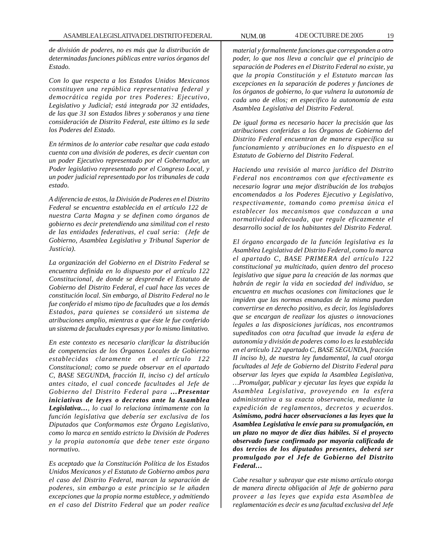*de división de poderes, no es más que la distribución de determinadas funciones públicas entre varios órganos del Estado.*

*Con lo que respecta a los Estados Unidos Mexicanos constituyen una república representativa federal y democrática regida por tres Poderes: Ejecutivo, Legislativo y Judicial; está integrada por 32 entidades, de las que 31 son Estados libres y soberanos y una tiene consideración de Distrito Federal, este último es la sede los Poderes del Estado.*

*En términos de lo anterior cabe resaltar que cada estado cuenta con una división de poderes, es decir cuentan con un poder Ejecutivo representado por el Gobernador, un Poder legislativo representado por el Congreso Local, y un poder judicial representado por los tribunales de cada estado.*

*A diferencia de estos, la División de Poderes en el Distrito Federal se encuentra establecida en el artículo 122 de nuestra Carta Magna y se definen como órganos de gobierno es decir pretendiendo una similitud con el resto de las entidades federativas, el cual seria: (Jefe de Gobierno, Asamblea Legislativa y Tribunal Superior de Justicia).*

*La organización del Gobierno en el Distrito Federal se encuentra definida en lo dispuesto por el artículo 122 Constitucional, de donde se desprende el Estatuto de Gobierno del Distrito Federal, el cual hace las veces de constitución local. Sin embargo, al Distrito Federal no le fue conferido el mismo tipo de facultades que a los demás Estados, para quienes se consideró un sistema de atribuciones amplio, mientras a que éste le fue conferido un sistema de facultades expresas y por lo mismo limitativo.*

*En este contexto es necesario clarificar la distribución de competencias de los Órganos Locales de Gobierno establecidas claramente en el artículo 122 Constitucional; como se puede observar en el apartado C, BASE SEGUNDA, fracción II, inciso c) del artículo antes citado, el cual concede facultades al Jefe de Gobierno del Distrito Federal para …Presentar iniciativas de leyes o decretos ante la Asamblea Legislativa…, lo cual lo relaciona íntimamente con la función legislativa que debería ser exclusiva de los Diputados que Conformamos este Órgano Legislativo, como lo marca en sentido estricto la División de Poderes y la propia autonomía que debe tener este órgano normativo.*

*Es aceptado que la Constitución Política de los Estados Unidos Mexicanos y el Estatuto de Gobierno ambos para el caso del Distrito Federal, marcan la separación de poderes, sin embargo a este principio se le añaden excepciones que la propia norma establece, y admitiendo en el caso del Distrito Federal que un poder realice*

*material y formalmente funciones que corresponden a otro poder, lo que nos lleva a concluir que el principio de separación de Poderes en el Distrito Federal no existe, ya que la propia Constitución y el Estatuto marcan las excepciones en la separación de poderes y funciones de los órganos de gobierno, lo que vulnera la autonomía de cada uno de ellos; en especifico la autonomía de esta Asamblea Legislativa del Distrito Federal.*

*De igual forma es necesario hacer la precisión que las atribuciones conferidas a los Órganos de Gobierno del Distrito Federal encuentran de manera específica su funcionamiento y atribuciones en lo dispuesto en el Estatuto de Gobierno del Distrito Federal.*

*Haciendo una revisión al marco jurídico del Distrito Federal nos encontramos con que efectivamente es necesario lograr una mejor distribución de los trabajos encomendados a los Poderes Ejecutivo y Legislativo, respectivamente, tomando como premisa única el establecer los mecanismos que conduzcan a una normatividad adecuada, que regule eficazmente el desarrollo social de los habitantes del Distrito Federal.*

*El órgano encargado de la función legislativa es la Asamblea Legislativa del Distrito Federal, como lo marca el apartado C, BASE PRIMERA del artículo 122 constitucional ya multicitado, quien dentro del proceso legislativo que sigue para la creación de las normas que habrán de regir la vida en sociedad del individuo, se encuentra en muchas ocasiones con limitaciones que le impiden que las normas emanadas de la misma puedan convertirse en derecho positivo, es decir, los legisladores que se encargan de realizar los ajustes o innovaciones legales a las disposiciones jurídicas, nos encontramos supeditados con otra facultad que invade la esfera de autonomía y división de poderes como lo es la establecida en el artículo 122 apartado C, BASE SEGUNDA, fracción II inciso b), de nuestra ley fundamental, la cual otorga facultades al Jefe de Gobierno del Distrito Federal para observar las leyes que expida la Asamblea Legislativa, …Promulgar, publicar y ejecutar las leyes que expida la Asamblea Legislativa, proveyendo en la esfera administrativa a su exacta observancia, mediante la expedición de reglamentos, decretos y acuerdos. Asimismo, podrá hacer observaciones a las leyes que la Asamblea Legislativa le envíe para su promulgación, en un plazo no mayor de diez días hábiles. Si el proyecto observado fuese confirmado por mayoría calificada de dos tercios de los diputados presentes, deberá ser promulgado por el Jefe de Gobierno del Distrito Federal…*

*Cabe resaltar y subrayar que este mismo artículo otorga de manera directa obligación al Jefe de gobierno para proveer a las leyes que expida esta Asamblea de reglamentación es decir es una facultad exclusiva del Jefe*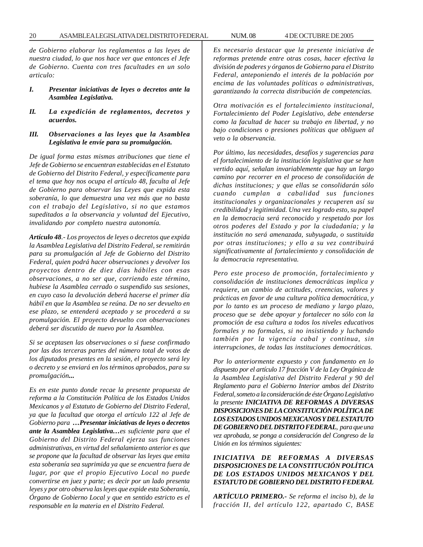*de Gobierno elaborar los reglamentos a las leyes de nuestra ciudad, lo que nos hace ver que entonces el Jefe de Gobierno. Cuenta con tres facultades en un solo articulo:*

- *I. Presentar iniciativas de leyes o decretos ante la Asamblea Legislativa.*
- *II. La expedición de reglamentos, decretos y acuerdos.*
- *III. Observaciones a las leyes que la Asamblea Legislativa le envíe para su promulgación.*

*De igual forma estas mismas atribuciones que tiene el Jefe de Gobierno se encuentran establecidas en el Estatuto de Gobierno del Distrito Federal, y específicamente para el tema que hoy nos ocupa el artículo 48, faculta al Jefe de Gobierno para observar las Leyes que expida esta soberanía, lo que demuestra una vez más que no basta con el trabajo del Legislativo, si no que estamos supeditados a la observancia y voluntad del Ejecutivo, invalidando por completo nuestra autonomía.*

*Artículo 48.- Los proyectos de leyes o decretos que expida la Asamblea Legislativa del Distrito Federal, se remitirán para su promulgación al Jefe de Gobierno del Distrito Federal, quien podrá hacer observaciones y devolver los proyectos dentro de diez días hábiles con esas observaciones, a no ser que, corriendo este término, hubiese la Asamblea cerrado o suspendido sus sesiones, en cuyo caso la devolución deberá hacerse el primer día hábil en que la Asamblea se reúna. De no ser devuelto en ese plazo, se entenderá aceptado y se procederá a su promulgación. El proyecto devuelto con observaciones deberá ser discutido de nuevo por la Asamblea.*

*Si se aceptasen las observaciones o si fuese confirmado por las dos terceras partes del número total de votos de los diputados presentes en la sesión, el proyecto será ley o decreto y se enviará en los términos aprobados, para su promulgación...*

*Es en este punto donde recae la presente propuesta de reforma a la Constitución Política de los Estados Unidos Mexicanos y al Estatuto de Gobierno del Distrito Federal, ya que la facultad que otorga el artículo 122 al Jefe de Gobierno para …Presentar iniciativas de leyes o decretos ante la Asamblea Legislativa…es suficiente para que el Gobierno del Distrito Federal ejerza sus funciones administrativas, en virtud del señalamiento anterior es que se propone que la facultad de observar las leyes que emita esta soberanía sea suprimida ya que se encuentra fuera de lugar, por que el propio Ejecutivo Local no puede convertirse en juez y parte; es decir por un lado presenta leyes y por otro observa las leyes que expide esta Soberanía, Órgano de Gobierno Local y que en sentido estricto es el responsable en la materia en el Distrito Federal.*

*Es necesario destacar que la presente iniciativa de reformas pretende entre otras cosas, hacer efectiva la división de poderes y órganos de Gobierno para el Distrito Federal, anteponiendo el interés de la población por encima de las voluntades políticas o administrativas, garantizando la correcta distribución de competencias.*

*Otra motivación es el fortalecimiento institucional, Fortalecimiento del Poder Legislativo, debe entenderse como la facultad de hacer su trabajo en libertad, y no bajo condiciones o presiones políticas que obliguen al veto o la observancia.*

*Por último, las necesidades, desafíos y sugerencias para el fortalecimiento de la institución legislativa que se han vertido aquí, señalan invariablemente que hay un largo camino por recorrer en el proceso de consolidación de dichas instituciones; y que ellas se consolidarán sólo cuando cumplan a cabalidad sus funciones institucionales y organizacionales y recuperen así su credibilidad y legitimidad. Una vez logrado esto, su papel en la democracia será reconocido y respetado por los otros poderes del Estado y por la ciudadanía; y la institución no será amenazada, subyugada, o sustituida por otras instituciones; y ello a su vez contribuirá significativamente al fortalecimiento y consolidación de la democracia representativa.*

*Pero este proceso de promoción, fortalecimiento y consolidación de instituciones democráticas implica y requiere, un cambio de actitudes, creencias, valores y prácticas en favor de una cultura política democrática, y por lo tanto es un proceso de mediano y largo plazo, proceso que se debe apoyar y fortalecer no sólo con la promoción de esa cultura a todos los niveles educativos formales y no formales, si no insistiendo y luchando también por la vigencia cabal y continua, sin interrupciones, de todas las instituciones democráticas.*

*Por lo anteriormente expuesto y con fundamento en lo dispuesto por el artículo 17 fracción V de la Ley Orgánica de la Asamblea Legislativa del Distrito Federal y 90 del Reglamento para el Gobierno Interior ambos del Distrito Federal, someto a la consideración de éste Órgano Legislativo la presente INICIATIVA DE REFORMAS A DIVERSAS DISPOSICIONES DE LA CONSTITUCIÓN POLÍTICA DE LOS ESTADOS UNIDOS MEXICANOS Y DEL ESTATUTO DE GOBIERNO DEL DISTRITO FEDERAL, para que una vez aprobada, se ponga a consideración del Congreso de la Unión en los términos siguientes:*

*INICIATIVA DE REFORMAS A DIVERSAS DISPOSICIONES DE LA CONSTITUCIÓN POLÍTICA DE LOS ESTADOS UNIDOS MEXICANOS Y DEL ESTATUTO DE GOBIERNO DEL DISTRITO FEDERAL*

*ARTÍCULO PRIMERO.- Se reforma el inciso b), de la fracción II, del artículo 122, apartado C, BASE*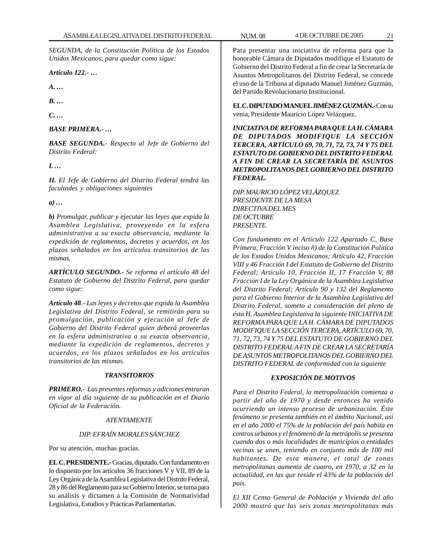*SEGUNDA, de la Constitución Política de los Estados Unidos Mexicanos, para quedar como sigue:*

*Artículo 122.- …*

*A. …*

*B. …*

*C. …*

*BASE PRIMERA.- …*

*BASE SEGUNDA.- Respecto al Jefe de Gobierno del Distrito Federal:*

*I. …*

*II. El Jefe de Gobierno del Distrito Federal tendrá las facultades y obligaciones siguientes*

*a) …*

*b) Promulgar, publicar y ejecutar las leyes que expida la Asamblea Legislativa, proveyendo en la esfera administrativa a su exacta observancia, mediante la expedición de reglamentos, decretos y acuerdos, en los plazos señalados en los artículos transitorios de las mismas.*

*ARTÍCULO SEGUNDO.- Se reforma el artículo 48 del Estatuto de Gobierno del Distrito Federal, para quedar como sigue:*

*Artículo 48.- Las leyes y decretos que expida la Asamblea Legislativa del Distrito Federal, se remitirán para su promulgación, publicación y ejecución al Jefe de Gobierno del Distrito Federal quien deberá proveerlas en la esfera administrativa a su exacta observancia, mediante la expedición de reglamentos, decretos y acuerdos, en los plazos señalados en los artículos transitorios de las mismas.*

# *TRANSITORIOS*

*PRIMERO.- Las presentes reformas y adiciones entraran en vigor al día siguiente de su publicación en el Diario Oficial de la Federación.*

#### *ATENTAMENTE*

# *DIP. EFRAÍN MORALES SÁNCHEZ*

Por su atención, muchas gracias.

**EL C. PRESIDENTE.-** Gracias, diputado. Con fundamento en lo dispuesto por los artículos 36 fracciones V y VII, 89 de la Ley Orgánica de la Asamblea Legislativa del Distrito Federal, 28 y 86 del Reglamento para su Gobierno Interior, se turna para su análisis y dictamen a la Comisión de Normatividad Legislativa, Estudios y Prácticas Parlamentarias.

Para presentar una iniciativa de reforma para que la honorable Cámara de Diputados modifique el Estatuto de Gobierno del Distrito Federal a fin de crear la Secretaría de Asuntos Metropolitanos del Distrito Federal, se concede el uso de la Tribuna al diputado Manuel Jiménez Guzmán, del Partido Revolucionario Institucional.

**EL C. DIPUTADO MANUEL JIMÉNEZ GUZMÁN.-** Con su venia, Presidente Mauricio López Velázquez.

*INICIATIVA DE REFORMA PARA QUE LA H. CÁMARA DE DIPUTADOS MODIFIQUE LA SECCIÓN TERCERA, ARTÍCULO 69, 70, 71, 72, 73, 74 Y 75 DEL ESTATUTO DE GOBIERNO DEL DISTRITO FEDERAL A FIN DE CREAR LA SECRETARÍA DE ASUNTOS METROPOLITANOS DEL GOBIERNO DEL DISTRITO FEDERAL.*

*DIP. MAURICIO LÓPEZ VELÁZQUEZ PRESIDENTE DE LA MESA DIRECTIVA DEL MES DE OCTUBRE PRESENTE.*

*Con fundamento en el Artículo 122 Apartado C, Base Primera, Fracción V inciso ñ) de la Constitución Política de los Estados Unidos Mexicanos; Artículo 42, Fracción VIII y 46 Fracción I del Estatuto de Gobierno del Distrito Federal; Artículo 10, Fracción II, 17 Fracción V, 88 Fracción I de la Ley Orgánica de la Asamblea Legislativa del Distrito Federal; Artículo 90 y 132 del Reglamento para el Gobierno Interior de la Asamblea Legislativa del Distrito Federal, someto a consideración del pleno de ésta H. Asamblea Legislativa la siguiente INICIATIVA DE REFORMA PARA QUE LA H. CÁMARA DE DIPUTADOS MODIFIQUE LA SECCIÓN TERCERA, ARTÍCULO 69, 70, 71, 72, 73, 74 Y 75 DEL ESTATUTO DE GOBIERNO DEL DISTRITO FEDERAL A FIN DE CREAR LA SECRETARÍA DE ASUNTOS METROPOLITANOS DEL GOBIERNO DEL DISTRITO FEDERAL de conformidad con la siguiente*

#### *EXPOSICIÓN DE MOTIVOS*

*Para el Distrito Federal, la metropolización comienza a partir del año de 1970 y desde entonces ha venido ocurriendo un intenso proceso de urbanización. Éste fenómeno se presenta también en el ámbito Nacional, así en el año 2000 el 75% de la población del país habita en centros urbanos y el fenómeno de la metrópolis se presenta cuando dos o más localidades de municipios o entidades vecinas se unen, teniendo en conjunto más de 100 mil habitantes. De esta manera, el total de zonas metropolitanas aumenta de cuatro, en 1970, a 32 en la actualidad, en las que reside el 43% de la población del país.*

*El XII Censo General de Población y Vivienda del año 2000 mostró que las seis zonas metropolitanas más*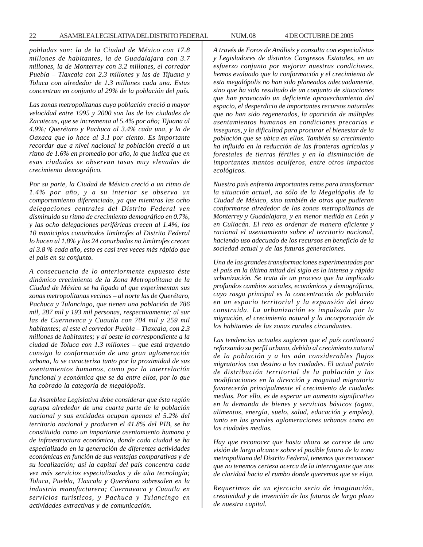*pobladas son: la de la Ciudad de México con 17.8 millones de habitantes, la de Guadalajara con 3.7 millones, la de Monterrey con 3.2 millones, el corredor Puebla – Tlaxcala con 2.3 millones y las de Tijuana y Toluca con alrededor de 1.3 millones cada una. Estas concentran en conjunto al 29% de la población del país.*

*Las zonas metropolitanas cuya población creció a mayor velocidad entre 1995 y 2000 son las de las ciudades de Zacatecas, que se incrementa al 5.4% por año; Tijuana al 4.9%; Querétaro y Pachuca al 3.4% cada una, y la de Oaxaca que lo hace al 3.1 por ciento. Es importante recordar que a nivel nacional la población creció a un ritmo de 1.6% en promedio por año, lo que indica que en esas ciudades se observan tasas muy elevadas de crecimiento demográfico.*

*Por su parte, la Ciudad de México creció a un ritmo de 1.4% por año, y a su interior se observa un comportamiento diferenciado, ya que mientras las ocho delegaciones centrales del Distrito Federal ven disminuido su ritmo de crecimiento demográfico en 0.7%, y las ocho delegaciones periféricas crecen al 1.4%, los 10 municipios conurbados limítrofes al Distrito Federal lo hacen al 1.8% y los 24 conurbados no limítrofes crecen al 3.8 % cada año, esto es casi tres veces más rápido que el país en su conjunto.*

*A consecuencia de lo anteriormente expuesto éste dinámico crecimiento de la Zona Metropolitana de la Ciudad de México se ha ligado al que experimentan sus zonas metropolitanas vecinas – al norte las de Querétaro, Pachuca y Tulancingo, que tienen una población de 786 mil, 287 mil y 193 mil personas, respectivamente; al sur las de Cuernavaca y Cuautla con 704 mil y 259 mil habitantes; al este el corredor Puebla – Tlaxcala, con 2.3 millones de habitantes; y al oeste la correspondiente a la ciudad de Toluca con 1.3 millones – que está trayendo consigo la conformación de una gran aglomeración urbana, la se caracteriza tanto por la proximidad de sus asentamientos humanos, como por la interrelación funcional y económica que se da entre ellos, por lo que ha cobrado la categoría de megalópolis.*

*La Asamblea Legislativa debe considerar que ésta región agrupa alrededor de una cuarta parte de la población nacional y sus entidades ocupan apenas el 5.2% del territorio nacional y producen el 41.8% del PIB, se ha constituido como un importante asentamiento humano y de infraestructura económica, donde cada ciudad se ha especializado en la generación de diferentes actividades económicas en función de sus ventajas comparativas y de su localización; así la capital del país concentra cada vez más servicios especializados y de alta tecnología; Toluca, Puebla, Tlaxcala y Querétaro sobresalen en la industria manufacturera; Cuernavaca y Cuautla en servicios turísticos, y Pachuca y Tulancingo en actividades extractivas y de comunicación.*

*A través de Foros de Análisis y consulta con especialistas y Legisladores de distintos Congresos Estatales, en un esfuerzo conjunto por mejorar nuestras condiciones, hemos evaluado que la conformación y el crecimiento de esta megalópolis no han sido planeados adecuadamente, sino que ha sido resultado de un conjunto de situaciones que han provocado un deficiente aprovechamiento del espacio, el desperdicio de importantes recursos naturales que no han sido regenerados, la aparición de múltiples asentamientos humanos en condiciones precarias e inseguras, y la dificultad para procurar el bienestar de la población que se ubica en ellos. También su crecimiento ha influido en la reducción de las fronteras agrícolas y forestales de tierras fértiles y en la disminución de importantes mantos acuíferos, entre otros impactos ecológicos.*

*Nuestro país enfrenta importantes retos para transformar la situación actual, no sólo de la Megalópolis de la Ciudad de México, sino también de otras que pudieran conformarse alrededor de las zonas metropolitanas de Monterrey y Guadalajara, y en menor medida en León y en Culiacán. El reto es ordenar de manera eficiente y racional el asentamiento sobre el territorio nacional, haciendo uso adecuado de los recursos en beneficio de la sociedad actual y de las futuras generaciones.*

*Una de las grandes transformaciones experimentadas por el país en la última mitad del siglo es la intensa y rápida urbanización. Se trata de un proceso que ha implicado profundos cambios sociales, económicos y demográficos, cuyo rasgo principal es la concentración de población en un espacio territorial y la expansión del área construida. La urbanización es impulsada por la migración, el crecimiento natural y la incorporación de los habitantes de las zonas rurales circundantes.*

*Las tendencias actuales sugieren que el país continuará reforzando su perfil urbano, debido al crecimiento natural de la población y a los aún considerables flujos migratorios con destino a las ciudades. El actual patrón de distribución territorial de la población y las modificaciones en la dirección y magnitud migratoria favorecerán principalmente el crecimiento de ciudades medias. Por ello, es de esperar un aumento significativo en la demanda de bienes y servicios básicos (agua, alimentos, energía, suelo, salud, educación y empleo), tanto en las grandes aglomeraciones urbanas como en las ciudades medias.*

*Hay que reconocer que hasta ahora se carece de una visión de largo alcance sobre el posible futuro de la zona metropolitana del Distrito Federal, tenemos que reconocer que no tenemos certeza acerca de la interrogante que nos de claridad hacia el rumbo donde queremos que se elija.*

*Requerimos de un ejercicio serio de imaginación, creatividad y de invención de los futuros de largo plazo de nuestra capital.*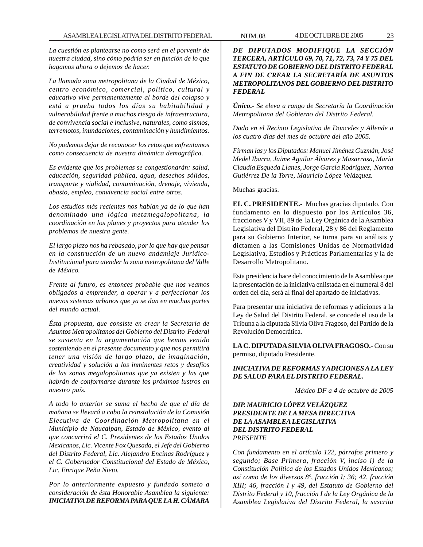*La cuestión es plantearse no como será en el porvenir de nuestra ciudad, sino cómo podría ser en función de lo que hagamos ahora o dejemos de hacer.*

*La llamada zona metropolitana de la Ciudad de México, centro económico, comercial, político, cultural y educativo vive permanentemente al borde del colapso y está a prueba todos los días su habitabilidad y vulnerabilidad frente a muchos riesgo de infraestructura, de convivencia social e inclusive, naturales, como sismos, terremotos, inundaciones, contaminación y hundimientos.*

*No podemos dejar de reconocer los retos que enfrentamos como consecuencia de nuestra dinámica demográfica.*

*Es evidente que los problemas se congestionarán: salud, educación, seguridad pública, agua, desechos sólidos, transporte y vialidad, contaminación, drenaje, vivienda, abasto, empleo, convivencia social entre otros.*

*Los estudios más recientes nos hablan ya de lo que han denominado una lógica metamegalopolitana, la coordinación en los planes y proyectos para atender los problemas de nuestra gente.*

*El largo plazo nos ha rebasado, por lo que hay que pensar en la construcción de un nuevo andamiaje Jurídico-Institucional para atender la zona metropolitana del Valle de México.*

*Frente al futuro, es entonces probable que nos veamos obligados a emprender, a operar y a perfeccionar los nuevos sistemas urbanos que ya se dan en muchas partes del mundo actual.*

*Ésta propuesta, que consiste en crear la Secretaría de Asuntos Metropolitanos del Gobierno del Distrito Federal se sustenta en la argumentación que hemos venido sosteniendo en el presente documento y que nos permitirá tener una visión de largo plazo, de imaginación, creatividad y solución a los inminentes retos y desafíos de las zonas megalopolitanas que ya existen y las que habrán de conformarse durante los próximos lustros en nuestro país.*

*A todo lo anterior se suma el hecho de que el día de mañana se llevará a cabo la reinstalación de la Comisión Ejecutiva de Coordinación Metropolitana en el Municipio de Naucalpan, Estado de México, evento al que concurrirá el C. Presidentes de los Estados Unidos Mexicanos, Lic. Vicente Fox Quesada, el Jefe del Gobierno del Distrito Federal, Lic. Alejandro Encinas Rodríguez y el C. Gobernador Constitucional del Estado de México, Lic. Enrique Peña Nieto.*

*Por lo anteriormente expuesto y fundado someto a consideración de ésta Honorable Asamblea la siguiente: INICIATIVA DE REFORMA PARA QUE LA H. CÁMARA*

*DE DIPUTADOS MODIFIQUE LA SECCIÓN TERCERA, ARTÍCULO 69, 70, 71, 72, 73, 74 Y 75 DEL ESTATUTO DE GOBIERNO DEL DISTRITO FEDERAL A FIN DE CREAR LA SECRETARÍA DE ASUNTOS METROPOLITANOS DEL GOBIERNO DEL DISTRITO FEDERAL*

*Único.- Se eleva a rango de Secretaría la Coordinación Metropolitana del Gobierno del Distrito Federal.*

*Dado en el Recinto Legislativo de Donceles y Allende a los cuatro días del mes de octubre del año 2005.*

*Firman las y los Diputados: Manuel Jiménez Guzmán, José Medel Ibarra, Jaime Aguilar Álvarez y Mazarrasa, María Claudia Esqueda Llanes, Jorge García Rodríguez, Norma Gutiérrez De la Torre, Mauricio López Velázquez.*

Muchas gracias.

**EL C. PRESIDENTE.-** Muchas gracias diputado. Con fundamento en lo dispuesto por los Artículos 36, fracciones V y VII, 89 de la Ley Orgánica de la Asamblea Legislativa del Distrito Federal, 28 y 86 del Reglamento para su Gobierno Interior, se turna para su análisis y dictamen a las Comisiones Unidas de Normatividad Legislativa, Estudios y Prácticas Parlamentarias y la de Desarrollo Metropolitano.

Esta presidencia hace del conocimiento de la Asamblea que la presentación de la iniciativa enlistada en el numeral 8 del orden del día, será al final del apartado de iniciativas.

Para presentar una iniciativa de reformas y adiciones a la Ley de Salud del Distrito Federal, se concede el uso de la Tribuna a la diputada Silvia Oliva Fragoso, del Partido de la Revolución Democrática.

**LA C. DIPUTADA SILVIA OLIVA FRAGOSO.-** Con su permiso, diputado Presidente.

# *INICIATIVA DE REFORMAS Y ADICIONES A LA LEY DE SALUD PARA EL DISTRITO FEDERAL.*

*México DF a 4 de octubre de 2005*

# *DIP. MAURICIO LÓPEZ VELÁZQUEZ PRESIDENTE DE LA MESA DIRECTIVA DE LA ASAMBLEA LEGISLATIVA DEL DISTRITO FEDERAL PRESENTE*

*Con fundamento en el artículo 122, párrafos primero y segundo; Base Primera, fracción V, inciso i) de la Constitución Política de los Estados Unidos Mexicanos; así como de los diversos 8º, fracción I; 36; 42, fracción XIII; 46, fracción I y 49, del Estatuto de Gobierno del Distrito Federal y 10, fracción I de la Ley Orgánica de la Asamblea Legislativa del Distrito Federal, la suscrita*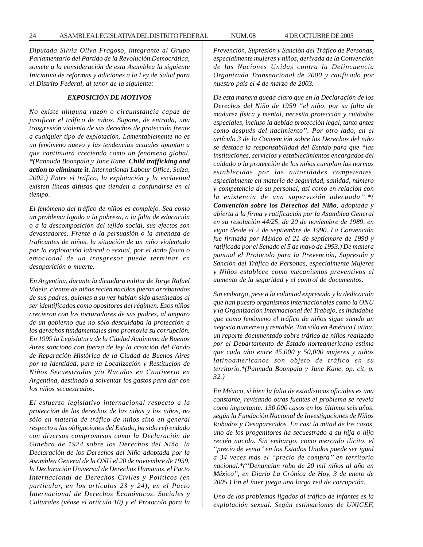*Diputada Silvia Oliva Fragoso, integrante al Grupo Parlamentario del Partido de la Revolución Democrática, somete a la consideración de esta Asamblea la siguiente Iniciativa de reformas y adiciones a la Ley de Salud para el Distrito Federal, al tenor de la siguiente:*

#### *EXPOSICIÓN DE MOTIVOS*

*No existe ninguna razón o circunstancia capaz de justificar el tráfico de niños. Supone, de entrada, una trasgresión violenta de sus derechos de protección frente a cualquier tipo de explotación. Lamentablemente no es un fenómeno nuevo y las tendencias actuales apuntan a que continuará creciendo como un fenómeno global. \*(Pannuda Boonpala y June Kane. Child trafficking and action to eliminate it, International Labour Office, Suiza, 2002.) Entre el tráfico, la explotación y la esclavitud existen líneas difusas que tienden a confundirse en el tiempo.*

*El fenómeno del tráfico de niños es complejo. Sea como un problema ligado a la pobreza, a la falta de educación o a la descomposición del tejido social, sus efectos son devastadores. Frente a la persuasión o la amenaza de traficantes de niños, la situación de un niño violentado por la explotación laboral o sexual, por el daño físico o emocional de un trasgresor puede terminar en desaparición o muerte.*

*En Argentina, durante la dictadura militar de Jorge Rafael Videla, cientos de niños recién nacidos fueron arrebatados de sus padres, quienes a su vez habían sido asesinados al ser identificados como opositores del régimen. Esos niños crecieron con los torturadores de sus padres, al amparo de un gobierno que no sólo descuidaba la protección a los derechos fundamentales sino promovía su corrupción. En 1999 la Legislatura de la Ciudad Autónoma de Buenos Aires sancionó con fuerza de ley la creación del Fondo de Reparación Histórica de la Ciudad de Buenos Aires por la Identidad, para la Localización y Restitución de Niños Secuestrados y/o Nacidos en Cautiverio en Argentina, destinado a solventar los gastos para dar con los niños secuestrados.*

*El esfuerzo legislativo internacional respecto a la protección de los derechos de las niñas y los niños, no sólo en materia de tráfico de niños sino en general respecto a las obligaciones del Estado, ha sido refrendado con diversos compromisos como la Declaración de Ginebra de 1924 sobre los Derechos del Niño, la Declaración de los Derechos del Niño adoptada por la Asamblea General de la ONU el 20 de noviembre de 1959, la Declaración Universal de Derechos Humanos, el Pacto Internacional de Derechos Civiles y Políticos (en particular, en los artículos 23 y 24), en el Pacto Internacional de Derechos Económicos, Sociales y Culturales (véase el artículo 10) y el Protocolo para la* *Prevención, Supresión y Sanción del Tráfico de Personas, especialmente mujeres y niños, derivada de la Convención de las Naciones Unidas contra la Delincuencia Organizada Transnacional de 2000 y ratificado por nuestro país el 4 de marzo de 2003.*

*De esta manera queda claro que en la Declaración de los Derechos del Niño de 1959 ''el niño, por su falta de madurez física y mental, necesita protección y cuidados especiales, incluso la debida protección legal, tanto antes como después del nacimiento''. Por otro lado, en el artículo 3 de la Convención sobre los Derechos del niño se destaca la responsabilidad del Estado para que ''las instituciones, servicios y establecimientos encargados del cuidado o la protección de los niños cumplan las normas establecidas por las autoridades competentes, especialmente en materia de seguridad, sanidad, número y competencia de su personal, así como en relación con la existencia de una supervisión adecuada''.\*( Convención sobre los Derechos del Niño, adoptada y abierta a la firma y ratificación por la Asamblea General en su resolución 44/25, de 20 de noviembre de 1989, en vigor desde el 2 de septiembre de 1990. La Convención fue firmada por México el 21 de septiembre de 1990 y ratificada por el Senado el 5 de mayo de 1993.) De manera puntual el Protocolo para la Prevención, Supresión y Sanción del Tráfico de Personas, especialmente Mujeres y Niños establece como mecanismos preventivos el aumento de la seguridad y el control de documentos.*

*Sin embargo, pese a la voluntad expresada y la dedicación que han puesto organismos internacionales como la ONU y la Organización Internacional del Trabajo, es indudable que como fenómeno el tráfico de niños sigue siendo un negocio numeroso y rentable. Tan sólo en América Latina, un reporte documentado sobre tráfico de niños realizado por el Departamento de Estado norteamericano estima que cada año entre 45,000 y 50,000 mujeres y niños latinoamericanos son objeto de tráfico en su territorio.\*(Pannuda Boonpala y June Kane, op. cit, p. 32.)*

*En México, si bien la falta de estadísticas oficiales es una constante, revisando otras fuentes el problema se revela como importante: 130,000 casos en los últimos seis años, según la Fundación Nacional de Investigaciones de Niños Robados y Desaparecidos. En casi la mitad de los casos, uno de los progenitores ha secuestrado a su hija o hijo recién nacido. Sin embargo, como mercado ilícito, el ''precio de venta'' en los Estados Unidos puede ser igual a 34 veces más el ''precio de compra'' en territorio nacional.\*(''Denuncian robo de 20 mil niños al año en México'', en Diario La Crónica de Hoy, 3 de enero de 2005.) En el ínter juega una larga red de corrupción.*

*Uno de los problemas ligados al tráfico de infantes es la explotación sexual. Según estimaciones de UNICEF,*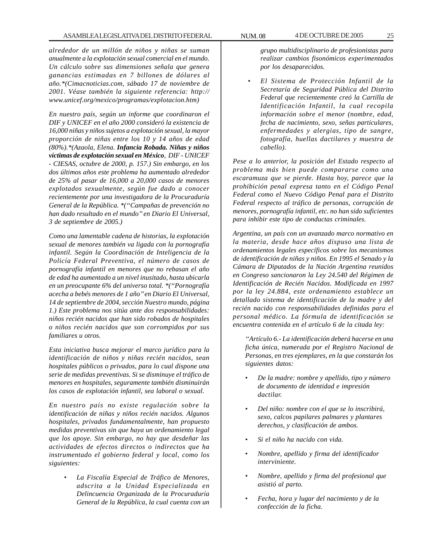*alrededor de un millón de niños y niñas se suman anualmente a la explotación sexual comercial en el mundo. Un cálculo sobre sus dimensiones señala que genera ganancias estimadas en 7 billones de dólares al año.\*(Cimacnoticias.com, sábado 17 de noviembre de 2001. Véase también la siguiente referencia: http:// www.unicef.org/mexico/programas/explotacion.htm)*

*En nuestro país, según un informe que coordinaron el DIF y UNICEF en el año 2000 consideró la existencia de 16,000 niñas y niños sujetos a explotación sexual, la mayor proporción de niñas entre los 10 y 14 años de edad (80%).\*(Azaola, Elena. Infancia Robada. Niñas y niños víctimas de explotación sexual en México, DIF - UNICEF - CIESAS, octubre de 2000, p. 157.) Sin embargo, en los dos últimos años este problema ha aumentado alrededor de 25% al pasar de 16,000 a 20,000 casos de menores explotados sexualmente, según fue dado a conocer recientemente por una investigadora de la Procuraduría General de la República. \*(''Campañas de prevención no han dado resultado en el mundo'' en Diario El Universal, 3 de septiembre de 2005.)*

*Como una lamentable cadena de historias, la explotación sexual de menores también va ligada con la pornografía infantil. Según la Coordinación de Inteligencia de la Policía Federal Preventiva, el número de casos de pornografía infantil en menores que no rebasan el año de edad ha aumentado a un nivel inusitado, hasta ubicarla en un preocupante 6% del universo total. \*(''Pornografía acecha a bebés menores de 1 año'' en Diario El Universal, 14 de septiembre de 2004, sección Nuestro mundo, página 1.) Este problema nos sitúa ante dos responsabilidades: niños recién nacidos que han sido robados de hospitales o niños recién nacidos que son corrompidos por sus familiares u otros.*

*Esta iniciativa busca mejorar el marco jurídico para la identificación de niños y niñas recién nacidos, sean hospitales públicos o privados, para lo cual dispone una serie de medidas preventivas. Si se disminuye el tráfico de menores en hospitales, seguramente también disminuirán los casos de explotación infantil, sea laboral o sexual.*

*En nuestro país no existe regulación sobre la identificación de niñas y niños recién nacidos. Algunos hospitales, privados fundamentalmente, han propuesto medidas preventivas sin que haya un ordenamiento legal que los apoye. Sin embargo, no hay que desdeñar las actividades de efectos directos o indirectos que ha instrumentado el gobierno federal y local, como los siguientes:*

> • *La Fiscalía Especial de Tráfico de Menores, adscrita a la Unidad Especializada en Delincuencia Organizada de la Procuraduría General de la República, la cual cuenta con un*

*grupo multidisciplinario de profesionistas para realizar cambios fisonómicos experimentados por los desaparecidos.*

• *El Sistema de Protección Infantil de la Secretaría de Seguridad Pública del Distrito Federal que recientemente creó la Cartilla de Identificación Infantil, la cual recopila información sobre el menor (nombre, edad, fecha de nacimiento, sexo, señas particulares, enfermedades y alergias, tipo de sangre, fotografía, huellas dactilares y muestra de cabello).*

*Pese a lo anterior, la posición del Estado respecto al problema más bien puede compararse como una escaramuza que se pierde. Hasta hoy, parece que la prohibición penal expresa tanto en el Código Penal Federal como el Nuevo Código Penal para el Distrito Federal respecto al tráfico de personas, corrupción de menores, pornografía infantil, etc. no han sido suficientes para inhibir este tipo de conductas criminales.*

*Argentina, un país con un avanzado marco normativo en la materia, desde hace años dispuso una lista de ordenamientos legales específicos sobre los mecanismos de identificación de niñas y niños. En 1995 el Senado y la Cámara de Diputados de la Nación Argentina reunidos en Congreso sancionaron la Ley 24.540 del Régimen de Identificación de Recién Nacidos. Modificada en 1997 por la ley 24.884, este ordenamiento establece un detallado sistema de identificación de la madre y del recién nacido con responsabilidades definidas para el personal médico. La fórmula de identificación se encuentra contenida en el artículo 6 de la citada ley:*

*''Artículo 6.- La identificación deberá hacerse en una ficha única, numerada por el Registro Nacional de Personas, en tres ejemplares, en la que constarán los siguientes datos:*

- *De la madre: nombre y apellido, tipo y número de documento de identidad e impresión dactilar.*
- *Del niño: nombre con el que se lo inscribirá, sexo, calcos papilares palmares y plantares derechos, y clasificación de ambos.*
- *Si el niño ha nacido con vida.*
- *Nombre, apellido y firma del identificador interviniente.*
- *Nombre, apellido y firma del profesional que asistió al parto.*
- *Fecha, hora y lugar del nacimiento y de la confección de la ficha.*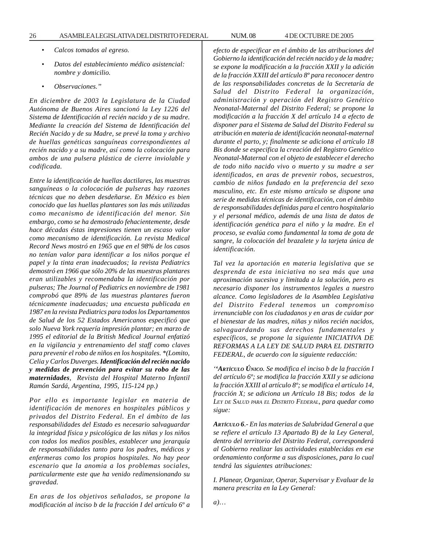- *Calcos tomados al egreso.*
- *Datos del establecimiento médico asistencial: nombre y domicilio.*
- *Observaciones.''*

*En diciembre de 2003 la Legislatura de la Ciudad Autónoma de Buenos Aires sancionó la Ley 1226 del Sistema de Identificación al recién nacido y de su madre. Mediante la creación del Sistema de Identificación del Recién Nacido y de su Madre, se prevé la toma y archivo de huellas genéticas sanguíneas correspondientes al recién nacido y a su madre, así como la colocación para ambos de una pulsera plástica de cierre inviolable y codificada.*

*Entre la identificación de huellas dactilares, las muestras sanguíneas o la colocación de pulseras hay razones técnicas que no deben desdeñarse. En México es bien conocido que las huellas plantares son las más utilizadas como mecanismo de identificación del menor. Sin embargo, como se ha demostrado fehacientemente, desde hace décadas éstas impresiones tienen un escaso valor como mecanismo de identificación. La revista Medical Record News mostró en 1965 que en el 98% de los casos no tenían valor para identificar a los niños porque el papel y la tinta eran inadecuados; la revista Pediatrics demostró en 1966 que sólo 20% de las muestras plantares eran utilizables y recomendaba la identificación por pulseras; The Journal of Pediatrics en noviembre de 1981 comprobó que 89% de las muestras plantares fueron técnicamente inadecuadas; una encuesta publicada en 1987 en la revista Pediatrics para todos los Departamentos de Salud de los 52 Estados Americanos especificó que solo Nueva York requería impresión plantar; en marzo de 1995 el editorial de la British Medical Journal enfatizó en la vigilancia y entrenamiento del staff como claves para prevenir el robo de niños en los hospitales. \*(Lomito, Celia y Carlos Duverges. Identificación del recién nacido y medidas de prevención para evitar su robo de las maternidades, Revista del Hospital Materno Infantil Ramón Sardá, Argentina, 1995, 115-124 pp.)*

*Por ello es importante legislar en materia de identificación de menores en hospitales públicos y privados del Distrito Federal. En el ámbito de las responsabilidades del Estado es necesario salvaguardar la integridad física y psicológica de las niñas y los niños con todos los medios posibles, establecer una jerarquía de responsabilidades tanto para los padres, médicos y enfermeras como los propios hospitales. No hay peor escenario que la anomia a los problemas sociales, particularmente este que ha venido redimensionando su gravedad.*

*En aras de los objetivos señalados, se propone la modificación al inciso b de la fracción I del artículo 6º a* *efecto de especificar en el ámbito de las atribuciones del Gobierno la identificación del recién nacido y de la madre; se expone la modificación a la fracción XXII y la adición de la fracción XXIII del artículo 8º para reconocer dentro de las responsabilidades concretas de la Secretaría de Salud del Distrito Federal la organización, administración y operación del Registro Genético Neonatal-Maternal del Distrito Federal; se propone la modificación a la fracción X del artículo 14 a efecto de disponer para el Sistema de Salud del Distrito Federal su atribución en materia de identificación neonatal-maternal durante el parto, y; finalmente se adiciona el artículo 18 Bis donde se especifica la creación del Registro Genético Neonatal-Maternal con el objeto de establecer el derecho de todo niño nacido vivo o muerto y su madre a ser identificados, en aras de prevenir robos, secuestros, cambio de niños fundado en la preferencia del sexo masculino, etc. En este mismo artículo se dispone una serie de medidas técnicas de identificación, con el ámbito de responsabilidades definidas para el centro hospitalario y el personal médico, además de una lista de datos de identificación genética para el niño y la madre. En el proceso, se evalúa como fundamental la toma de gota de sangre, la colocación del brazalete y la tarjeta única de identificación.*

*Tal vez la aportación en materia legislativa que se desprenda de esta iniciativa no sea más que una aproximación sucesiva y limitada a la solución, pero es necesario disponer los instrumentos legales a nuestro alcance. Como legisladores de la Asamblea Legislativa del Distrito Federal tenemos un compromiso irrenunciable con los ciudadanos y en aras de cuidar por el bienestar de las madres, niñas y niños recién nacidos, salvaguardando sus derechos fundamentales y específicos, se propone la siguiente INICIATIVA DE REFORMAS A LA LEY DE SALUD PARA EL DISTRITO FEDERAL, de acuerdo con la siguiente redacción:*

*''ARTÍCULO ÚNICO. Se modifica el inciso b de la fracción I del artículo 6º; se modifica la fracción XXII y se adiciona la fracción XXIII al artículo 8º; se modifica el artículo 14, fracción X; se adiciona un Artículo 18 Bis; todos de la LEY DE SALUD PARA EL DISTRITO FEDERAL, para quedar como sigue:*

*ARTÍCULO 6.- En las materias de Salubridad General a que se refiere el artículo 13 Apartado B) de la Ley General, dentro del territorio del Distrito Federal, corresponderá al Gobierno realizar las actividades establecidas en ese ordenamiento conforme a sus disposiciones, para lo cual tendrá las siguientes atribuciones:*

*I. Planear, Organizar, Operar, Supervisar y Evaluar de la manera prescrita en la Ley General:*

*a)…*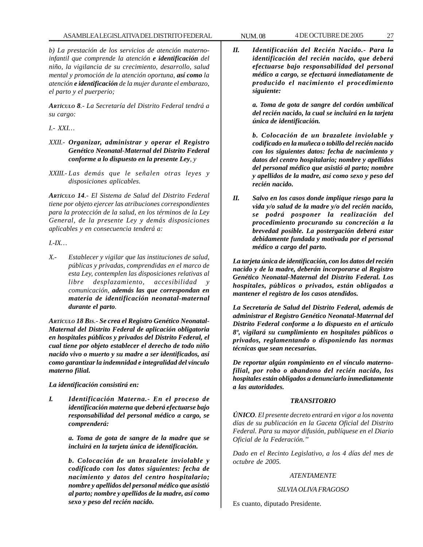*b) La prestación de los servicios de atención maternoinfantil que comprende la atención e identificación del niño, la vigilancia de su crecimiento, desarrollo, salud mental y promoción de la atención oportuna, así como la atención e identificación de la mujer durante el embarazo, el parto y el puerperio;*

*ARTÍCULO 8.- La Secretaría del Distrito Federal tendrá a su cargo:*

*I.- XXI…*

- *XXII.- Organizar, administrar y operar el Registro Genético Neonatal-Maternal del Distrito Federal conforme a lo dispuesto en la presente Ley, y*
- *XXIII.- Las demás que le señalen otras leyes y disposiciones aplicables.*

*ARTÍCULO 14.- El Sistema de Salud del Distrito Federal tiene por objeto ejercer las atribuciones correspondientes para la protección de la salud, en los términos de la Ley General, de la presente Ley y demás disposiciones aplicables y en consecuencia tenderá a:*

*I.-IX…*

*X.- Establecer y vigilar que las instituciones de salud, públicas y privadas, comprendidas en el marco de esta Ley, contemplen las disposiciones relativas al*  $libre$  desplazamiento, accesibilidad *comunicación, además las que correspondan en materia de identificación neonatal-maternal durante el parto.*

*ARTÍCULO 18 BIS.- Se crea el Registro Genético Neonatal-Maternal del Distrito Federal de aplicación obligatoria en hospitales públicos y privados del Distrito Federal, el cual tiene por objeto establecer el derecho de todo niño nacido vivo o muerto y su madre a ser identificados, así como garantizar la indemnidad e integralidad del vínculo materno filial.*

*La identificación consistirá en:*

*I. Identificación Materna.- En el proceso de identificación materna que deberá efectuarse bajo responsabilidad del personal médico a cargo, se comprenderá:*

> *a. Toma de gota de sangre de la madre que se incluirá en la tarjeta única de identificación.*

> *b. Colocación de un brazalete inviolable y codificado con los datos siguientes: fecha de nacimiento y datos del centro hospitalario; nombre y apellidos del personal médico que asistió al parto; nombre y apellidos de la madre, así como sexo y peso del recién nacido.*

*II. Identificación del Recién Nacido.- Para la identificación del recién nacido, que deberá efectuarse bajo responsabilidad del personal médico a cargo, se efectuará inmediatamente de producido el nacimiento el procedimiento siguiente:*

> *a. Toma de gota de sangre del cordón umbilical del recién nacido, la cual se incluirá en la tarjeta única de identificación.*

> *b. Colocación de un brazalete inviolable y codificado en la muñeca o tobillo del recién nacido con los siguientes datos: fecha de nacimiento y datos del centro hospitalario; nombre y apellidos del personal médico que asistió al parto; nombre y apellidos de la madre, así como sexo y peso del recién nacido.*

*II. Salvo en los casos donde implique riesgo para la vida y/o salud de la madre y/o del recién nacido, se podrá posponer la realización del procedimiento procurando su concreción a la brevedad posible. La postergación deberá estar debidamente fundada y motivada por el personal médico a cargo del parto.*

*La tarjeta única de identificación, con los datos del recién nacido y de la madre, deberán incorporarse al Registro Genético Neonatal-Maternal del Distrito Federal. Los hospitales, públicos o privados, están obligados a mantener el registro de los casos atendidos.*

*La Secretaría de Salud del Distrito Federal, además de administrar el Registro Genético Neonatal-Maternal del Distrito Federal conforme a lo dispuesto en el artículo 8º, vigilará su cumplimiento en hospitales públicos o privados, reglamentando o disponiendo las normas técnicas que sean necesarias.*

*De reportar algún rompimiento en el vínculo maternofilial, por robo o abandono del recién nacido, los hospitales están obligados a denunciarlo inmediatamente a las autoridades.*

# *TRANSITORIO*

*ÚNICO. El presente decreto entrará en vigor a los noventa días de su publicación en la Gaceta Oficial del Distrito Federal. Para su mayor difusión, publíquese en el Diario Oficial de la Federación.''*

*Dado en el Recinto Legislativo, a los 4 días del mes de octubre de 2005.*

# *ATENTAMENTE*

# *SILVIA OLIVA FRAGOSO*

Es cuanto, diputado Presidente.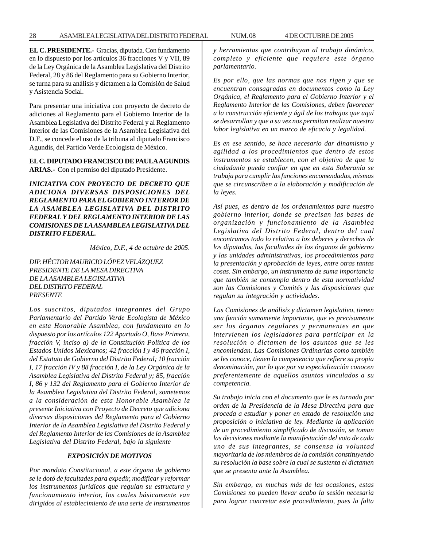**EL C. PRESIDENTE.-** Gracias, diputada. Con fundamento en lo dispuesto por los artículos 36 fracciones V y VII, 89 de la Ley Orgánica de la Asamblea Legislativa del Distrito Federal, 28 y 86 del Reglamento para su Gobierno Interior, se turna para su análisis y dictamen a la Comisión de Salud y Asistencia Social.

Para presentar una iniciativa con proyecto de decreto de adiciones al Reglamento para el Gobierno Interior de la Asamblea Legislativa del Distrito Federal y al Reglamento Interior de las Comisiones de la Asamblea Legislativa del D.F., se concede el uso de la tribuna al diputado Francisco Agundis, del Partido Verde Ecologista de México.

#### **EL C. DIPUTADO FRANCISCO DE PAULA AGUNDIS ARIAS.-** Con el permiso del diputado Presidente.

*INICIATIVA CON PROYECTO DE DECRETO QUE ADICIONA DIVERSAS DISPOSICIONES DEL REGLAMENTO PARA EL GOBIERNO INTERIOR DE LA ASAMBLEA LEGISLATIVA DEL DISTRITO FEDERAL Y DEL REGLAMENTO INTERIOR DE LAS COMISIONES DE LA ASAMBLEA LEGISLATIVA DEL DISTRITO FEDERAL.*

*México, D.F., 4 de octubre de 2005*.

*DIP. HÉCTOR MAURICIO LÓPEZ VELÁZQUEZ PRESIDENTE DE LA MESA DIRECTIVA DE LA ASAMBLEA LEGISLATIVA DEL DISTRITO FEDERAL PRESENTE*

*Los suscritos, diputados integrantes del Grupo Parlamentario del Partido Verde Ecologista de México en esta Honorable Asamblea, con fundamento en lo dispuesto por los artículos 122 Apartado O, Base Primera, fracción V, inciso a) de la Constitución Política de los Estados Unidos Mexicanos; 42 fracción I y 46 fracción I, del Estatuto de Gobierno del Distrito Federal; 10 fracción I, 17 fracción IV y 88 fracción I, de la Ley Orgánica de la Asamblea Legislativa del Distrito Federal y; 85, fracción I, 86 y 132 del Reglamento para el Gobierno Interior de la Asamblea Legislativa del Distrito Federal, sometemos a la consideración de esta Honorable Asamblea la presente Iniciativa con Proyecto de Decreto que adiciona diversas disposiciones del Reglamento para el Gobierno Interior de la Asamblea Legislativa del Distrito Federal y del Reglamento Interior de las Comisiones de la Asamblea Legislativa del Distrito Federal, bajo la siguiente*

## *EXPOSICIÓN DE MOTIVOS*

*Por mandato Constitucional, a este órgano de gobierno se le dotó de facultades para expedir, modificar y reformar los instrumentos jurídicos que regulan su estructura y funcionamiento interior, los cuales básicamente van dirigidos al establecimiento de una serie de instrumentos* *y herramientas que contribuyan al trabajo dinámico, completo y eficiente que requiere este órgano parlamentario.*

*Es por ello, que las normas que nos rigen y que se encuentran consagradas en documentos como la Ley Orgánica, el Reglamento para el Gobierno Interior y el Reglamento Interior de las Comisiones, deben favorecer a la construcción eficiente y ágil de los trabajos que aquí se desarrollan y que a su vez nos permitan realizar nuestra labor legislativa en un marco de eficacia y legalidad.*

*Es en ese sentido, se hace necesario dar dinamismo y agilidad a los procedimientos que dentro de estos instrumentos se establecen, con el objetivo de que la ciudadanía pueda confiar en que en esta Soberanía se trabaja para cumplir las funciones encomendadas, mismas que se circunscriben a la elaboración y modificación de la leyes.*

*Así pues, es dentro de los ordenamientos para nuestro gobierno interior, donde se precisan las bases de organización y funcionamiento de la Asamblea Legislativa del Distrito Federal, dentro del cual encontramos todo lo relativo a los deberes y derechos de los diputados, las facultades de los órganos de gobierno y las unidades administrativas, los procedimientos para la presentación y aprobación de leyes, entre otras tantas cosas. Sin embargo, un instrumento de suma importancia que también se contempla dentro de esta normatividad son las Comisiones y Comités y las disposiciones que regulan su integración y actividades.*

*Las Comisiones de análisis y dictamen legislativo, tienen una función sumamente importante, que es precisamente ser los órganos regulares y permanentes en que intervienen los legisladores para participar en la resolución o dictamen de los asuntos que se les encomiendan. Las Comisiones Ordinarias como también se les conoce, tienen la competencia que refiere su propia denominación, por lo que por su especialización conocen preferentemente de aquellos asuntos vinculados a su competencia.*

*Su trabajo inicia con el documento que le es turnado por orden de la Presidencia de la Mesa Directiva para que proceda a estudiar y poner en estado de resolución una proposición o iniciativa de ley. Mediante la aplicación de un procedimiento simplificado de discusión, se toman las decisiones mediante la manifestación del voto de cada uno de sus integrantes, se consensa la voluntad mayoritaria de los miembros de la comisión constituyendo su resolución la base sobre la cual se sustenta el dictamen que se presenta ante la Asamblea.*

*Sin embargo, en muchas más de las ocasiones, estas Comisiones no pueden llevar acabo la sesión necesaria para lograr concretar este procedimiento, pues la falta*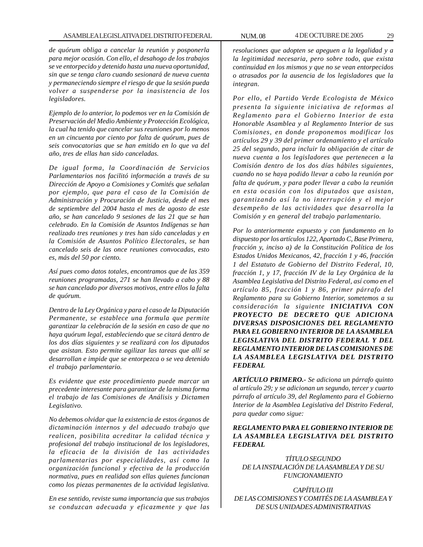*de quórum obliga a cancelar la reunión y posponerla para mejor ocasión. Con ello, el desahogo de los trabajos se ve entorpecido y detenido hasta una nueva oportunidad, sin que se tenga claro cuando sesionará de nueva cuenta y permaneciendo siempre el riesgo de que la sesión pueda volver a suspenderse por la inasistencia de los legisladores.*

*Ejemplo de lo anterior, lo podemos ver en la Comisión de Preservación del Medio Ambiente y Protección Ecológica, la cual ha tenido que cancelar sus reuniones por lo menos en un cincuenta por ciento por falta de quórum, pues de seis convocatorias que se han emitido en lo que va del año, tres de ellas han sido canceladas.*

*De igual forma, la Coordinación de Servicios Parlamentarios nos facilitó información a través de su Dirección de Apoyo a Comisiones y Comités que señalan por ejemplo, que para el caso de la Comisión de Administración y Procuración de Justicia, desde el mes de septiembre del 2004 hasta el mes de agosto de este año, se han cancelado 9 sesiones de las 21 que se han celebrado. En la Comisión de Asuntos Indígenas se han realizado tres reuniones y tres han sido canceladas y en la Comisión de Asuntos Político Electorales, se han cancelado seis de las once reuniones convocadas, esto es, más del 50 por ciento.*

*Así pues como datos totales, encontramos que de las 359 reuniones programadas, 271 se han llevado a cabo y 88 se han cancelado por diversos motivos, entre ellos la falta de quórum.*

*Dentro de la Ley Orgánica y para el caso de la Diputación Permanente, se establece una formula que permite garantizar la celebración de la sesión en caso de que no haya quórum legal, estableciendo que se citará dentro de los dos días siguientes y se realizará con los diputados que asistan. Esto permite agilizar las tareas que allí se desarrollan e impide que se entorpezca o se vea detenido el trabajo parlamentario.*

*Es evidente que este procedimiento puede marcar un precedente interesante para garantizar de la misma forma el trabajo de las Comisiones de Análisis y Dictamen Legislativo.*

*No debemos olvidar que la existencia de estos órganos de dictaminación internos y del adecuado trabajo que realicen, posibilita acreditar la calidad técnica y profesional del trabajo institucional de los legisladores, la eficacia de la división de 1as actividades parlamentarias por especialidades, así como la organización funcional y efectiva de la producción normativa, pues en realidad son ellas quienes funcionan como los piezas permanentes de la actividad legislativa.*

*En ese sentido, reviste suma importancia que sus trabajos se conduzcan adecuada y eficazmente y que las* *resoluciones que adopten se apeguen a la legalidad y a la legitimidad necesaria, pero sobre todo, que exista continuidad en los mismos y que no se vean entorpecidos o atrasados por la ausencia de los legisladores que la integran.*

*Por ello, el Partido Verde Ecologista de México presenta la siguiente iniciativa de reformas al Reglamento para el Gobierno Interior de esta Honorable Asamblea y al Reglamento Interior de sus Comisiones, en donde proponemos modificar los artículos 29 y 39 del primer ordenamiento y el artículo 25 del segundo, para incluir la obligación de citar de nueva cuenta a los legisladores que pertenecen a la Comisión dentro de los dos días hábiles siguientes, cuando no se haya podido llevar a cabo la reunión por falta de quórum, y para poder llevar a cabo la reunión en esta ocasión con los diputados que asistan, garantizando así la no interrupción y el mejor desempeño de las actividades que desarrolla la Comisión y en general del trabajo parlamentario.*

*Por lo anteriormente expuesto y con fundamento en lo dispuesto por los artículos 122, Apartado C, Base Primera, fracción y, inciso a) de la Constitución Política de los Estados Unidos Mexicanos, 42, fracción 1 y 46, fracción 1 del Estatuto de Gobierno del Distrito Federal, 10, fracción 1, y 17, fracción IV de la Ley Orgánica de la Asamblea Legislativa del Distrito Federal, así como en el artículo 85, fracción 1 y 86, primer párrafo del Reglamento para su Gobierno Interior, sometemos a su consideración la siguiente INICIATIVA CON PROYECTO DE DECRETO QUE ADICIONA DIVERSAS DISPOSICIONES DEL REGLAMENTO PARA EL GOBIERNO INTERIOR DE LA ASAMBLEA LEGISLATIVA DEL DISTRITO FEDERAL Y DEL REGLAMENTO INTERIOR DE LAS COMISIONES DE LA ASAMBLEA LEGISLATIVA DEL DISTRITO FEDERAL*

*ARTÍCULO PRIMERO.- Se adiciona un párrafo quinto al artículo 29; y se adicionan un segundo, tercer y cuarto párrafo al artículo 39, del Reglamento para el Gobierno Interior de la Asamblea Legislativa del Distrito Federal, para quedar como sigue:*

# *REGLAMENTO PARA EL GOBIERNO INTERIOR DE LA ASAMBLEA LEGISLATIVA DEL DISTRITO FEDERAL*

*TÍTULO SEGUNDO DE LA INSTALACIÓN DE LA ASAMBLEA Y DE SU FUNCIONAMIENTO*

*CAPÍTULO III DE LAS COMISIONES Y COMITÉS DE LA ASAMBLEA Y DE SUS UNIDADES ADMINISTRATIVAS*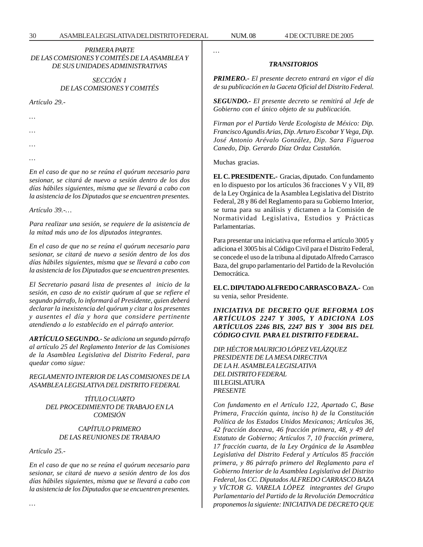*…*

# *PRIMERA PARTE DE LAS COMISIONES Y COMITÉS DE LA ASAMBLEA Y DE SUS UNIDADES ADMINISTRATIVAS*

# *SECCIÓN 1 DE LAS COMISIONES Y COMITÉS*

*Artículo 29.-*

*…*

*…*

*…*

*…*

*En el caso de que no se reúna el quórum necesario para sesionar, se citará de nuevo a sesión dentro de los dos días hábiles siguientes, misma que se llevará a cabo con la asistencia de los Diputados que se encuentren presentes.*

*Artículo 39.-…*

*Para realizar una sesión, se requiere de la asistencia de la mitad más uno de los diputados integrantes.*

*En el caso de que no se reúna el quórum necesario para sesionar, se citará de nuevo a sesión dentro de los dos días hábiles siguientes, misma que se llevará a cabo con la asistencia de los Diputados que se encuentren presentes.*

*El Secretario pasará lista de presentes al inicio de la sesión, en caso de no existir quórum al que se refiere el segundo párrafo, lo informará al Presidente, quien deberá declarar la inexistencia del quórum y citar a los presentes y ausentes el día y hora que considere pertinente atendiendo a lo establecido en el párrafo anterior.*

*ARTÍCULO SEGUNDO.- Se adiciona un segundo párrafo al artículo 25 del Reglamento Interior de las Comisiones de la Asamblea Legislativa del Distrito Federal, para quedar como sigue:*

*REGLAMENTO INTERIOR DE LAS COMISIONES DE LA ASAMBLEA LEGISLATIVA DEL DISTRITO FEDERAL*

> *TÍTULO CUARTO DEL PROCEDIMIENTO DE TRABAJO EN LA COMISIÓN*

# *CAPÍTULO PRIMERO DE LAS REUNIONES DE TRABAJO*

*Artículo 25.-*

*…*

*En el caso de que no se reúna el quórum necesario para sesionar, se citará de nuevo a sesión dentro de los dos días hábiles siguientes, misma que se llevará a cabo con la asistencia de los Diputados que se encuentren presentes.*

*TRANSITORIOS*

*PRIMERO.- El presente decreto entrará en vigor el día de su publicación en la Gaceta Oficial del Distrito Federal.*

*SEGUNDO.- El presente decreto se remitirá al Jefe de Gobierno con el único objeto de su publicación.*

*Firman por el Partido Verde Ecologista de México: Dip. Francisco Agundis Arias, Dip. Arturo Escobar Y Vega, Dip. José Antonio Arévalo González, Dip. Sara Figueroa Canedo, Dip. Gerardo Díaz Ordaz Castañón.*

Muchas gracias.

**EL C. PRESIDENTE.-** Gracias, diputado. Con fundamento en lo dispuesto por los artículos 36 fracciones V y VII, 89 de la Ley Orgánica de la Asamblea Legislativa del Distrito Federal, 28 y 86 del Reglamento para su Gobierno Interior, se turna para su análisis y dictamen a la Comisión de Normatividad Legislativa, Estudios y Prácticas Parlamentarias.

Para presentar una iniciativa que reforma el artículo 3005 y adiciona el 3005 bis al Código Civil para el Distrito Federal, se concede el uso de la tribuna al diputado Alfredo Carrasco Baza, del grupo parlamentario del Partido de la Revolución Democrática.

**EL C. DIPUTADO ALFREDO CARRASCO BAZA.-** Con su venia, señor Presidente.

*INICIATIVA DE DECRETO QUE REFORMA LOS ARTÍCULOS 2247 Y 3005, Y ADICIONA LOS ARTÍCULOS 2246 BIS, 2247 BIS Y 3004 BIS DEL CÓDIGO CIVIL PARA EL DISTRITO FEDERAL.*

*DIP. HÉCTOR MAURICIO LÓPEZ VELÁZQUEZ PRESIDENTE DE LA MESA DIRECTIVA DE LA H. ASAMBLEA LEGISLATIVA DEL DISTRITO FEDERAL* III LEGISLATURA *PRESENTE*

*Con fundamento en el Artículo 122, Apartado C, Base Primera, Fracción quinta, inciso h) de la Constitución Política de los Estados Unidos Mexicanos; Artículos 36, 42 fracción doceava, 46 fracción primera, 48, y 49 del Estatuto de Gobierno; Artículos 7, 10 fracción primera, 17 fracción cuarta, de la Ley Orgánica de la Asamblea Legislativa del Distrito Federal y Artículos 85 fracción primera, y 86 párrafo primero del Reglamento para el Gobierno Interior de la Asamblea Legislativa del Distrito Federal, los CC. Diputados ALFREDO CARRASCO BAZA y VÍCTOR G. VARELA LÓPEZ integrantes del Grupo Parlamentario del Partido de la Revolución Democrática proponemos la siguiente: INICIATIVA DE DECRETO QUE*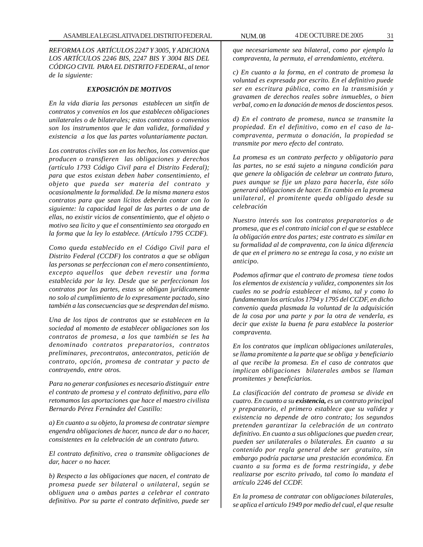*REFORMA LOS ARTÍCULOS 2247 Y 3005, Y ADICIONA LOS ARTÍCULOS 2246 BIS, 2247 BIS Y 3004 BIS DEL CÓDIGO CIVIL PARA EL DISTRITO FEDERAL, al tenor de la siguiente:*

# *EXPOSICIÓN DE MOTIVOS*

*En la vida diaria las personas establecen un sinfín de contratos y convenios en los que establecen obligaciones unilaterales o de bilaterales; estos contratos o convenios son los instrumentos que le dan validez, formalidad y existencia a los que las partes voluntariamente pactan.*

*Los contratos civiles son en los hechos, los convenios que producen o transfieren las obligaciones y derechos (artículo 1793 Código Civil para el Distrito Federal); para que estos existan deben haber consentimiento, el objeto que pueda ser materia del contrato y ocasionalmente la formalidad. De la misma manera estos contratos para que sean lícitos deberán contar con lo siguiente: la capacidad legal de las partes o de una de ellas, no existir vicios de consentimiento, que el objeto o motivo sea licito y que el consentimiento sea otorgado en la forma que la ley lo establece. (Artículo 1795 CCDF).*

*Como queda establecido en el Código Civil para el Distrito Federal (CCDF) los contratos a que se obligan las personas se perfeccionan con el mero consentimiento, excepto aquellos que deben revestir una forma establecida por la ley. Desde que se perfeccionan los contratos por las partes, estas se obligan jurídicamente no solo al cumplimiento de lo expresamente pactado, sino también a las consecuencias que se desprendan del mismo.*

*Una de los tipos de contratos que se establecen en la sociedad al momento de establecer obligaciones son los contratos de promesa, a los que también se les ha denominado contratos preparatorios, contratos preliminares, precontratos, antecontratos, petición de contrato, opción, promesa de contratar y pacto de contrayendo, entre otros.*

*Para no generar confusiones es necesario distinguir entre el contrato de promesa y el contrato definitivo, para ello retomamos las aportaciones que hace el maestro civilista Bernardo Pérez Fernández del Castillo:*

*a) En cuanto a su objeto, la promesa de contratar siempre engendra obligaciones de hacer, nunca de dar o no hacer, consistentes en la celebración de un contrato futuro.*

*El contrato definitivo, crea o transmite obligaciones de dar, hacer o no hacer.*

*b) Respecto a las obligaciones que nacen, el contrato de promesa puede ser bilateral o unilateral, según se obliguen una o ambas partes a celebrar el contrato definitivo. Por su parte el contrato definitivo, puede ser*

*que necesariamente sea bilateral, como por ejemplo la compraventa, la permuta, el arrendamiento, etcétera.*

*c) En cuanto a la forma, en el contrato de promesa la voluntad es expresada por escrito. En el definitivo puede ser en escritura pública, como en la transmisión y gravamen de derechos reales sobre inmuebles, o bien verbal, como en la donación de menos de doscientos pesos.*

*d) En el contrato de promesa, nunca se transmite la propiedad. En el definitivo, como en el caso de lacompraventa, permuta o donación, la propiedad se transmite por mero efecto del contrato.*

*La promesa es un contrato perfecto y obligatorio para las partes, no se está sujeto a ninguna condición para que genere la obligación de celebrar un contrato futuro, pues aunque se fije un plazo para hacerla, éste sólo generará obligaciones de hacer. En cambio en la promesa unilateral, el promitente queda obligado desde su celebración*

*Nuestro interés son los contratos preparatorios o de promesa, que es el contrato inicial con el que se establece la obligación entre dos partes; este contrato es similar en su formalidad al de compraventa, con la única diferencia de que en el primero no se entrega la cosa, y no existe un anticipo.*

*Podemos afirmar que el contrato de promesa tiene todos los elementos de existencia y validez, componentes sin los cuales no se podría establecer el mismo, tal y como lo fundamentan los artículos 1794 y 1795 del CCDF, en dicho convenio queda plasmada la voluntad de la adquisición de la cosa por una parte y por la otra de venderla, es decir que existe la buena fe para establece la posterior compraventa.*

*En los contratos que implican obligaciones unilaterales, se llama promitente a la parte que se obliga y beneficiario al que recibe la promesa. En el caso de contratos que implican obligaciones bilaterales ambos se llaman promitentes y beneficiarios.*

*La clasificación del contrato de promesa se divide en cuatro. En cuanto a su existencia, es un contrato principal y preparatorio, el primero establece que su validez y existencia no depende de otro contrato; los segundos pretenden garantizar la celebración de un contrato definitivo. En cuanto a sus obligaciones que pueden crear, pueden ser unilaterales o bilaterales. En cuanto a su contenido por regla general debe ser gratuito, sin embargo podría pactarse una prestación económica. En cuanto a su forma es de forma restringida, y debe realizarse por escrito privado, tal como lo mandata el artículo 2246 del CCDF.*

*En la promesa de contratar con obligaciones bilaterales, se aplica el articulo 1949 por medio del cual, el que resulte*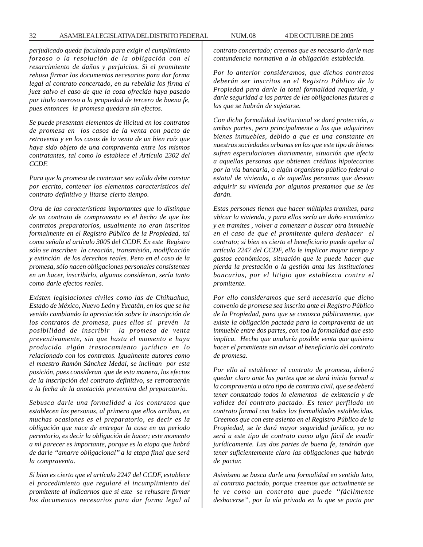*perjudicado queda facultado para exigir el cumplimiento forzoso o la resolución de la obligación con el resarcimiento de daños y perjuicios. Si el promitente rehusa firmar los documentos necesarios para dar forma legal al contrato concertado, en su rebeldía los firma el juez salvo el caso de que la cosa ofrecida haya pasado por titulo oneroso a la propiedad de tercero de buena fe, pues entonces la promesa quedara sin efectos.*

*Se puede presentan elementos de ilicitud en los contratos de promesa en los casos de la venta con pacto de retroventa y en los casos de la venta de un bien raíz que haya sido objeto de una compraventa entre los mismos contratantes, tal como lo establece el Artículo 2302 del CCDF.*

*Para que la promesa de contratar sea valida debe constar por escrito, contener los elementos característicos del contrato definitivo y litarse cierto tiempo.*

*Otra de las características importantes que lo distingue de un contrato de compraventa es el hecho de que los contratos preparatorios, usualmente no eran inscritos formalmente en el Registro Público de la Propiedad, tal como señala el artículo 3005 del CCDF. En este Registro sólo se inscriben la creación, transmisión, modificación y extinción de los derechos reales. Pero en el caso de la promesa, sólo nacen obligaciones personales consistentes en un hacer, inscribirlo, algunos consideran, sería tanto como darle efectos reales.*

*Existen legislaciones civiles como las de Chihuahua, Estado de México, Nuevo León y Yucatán, en los que se ha venido cambiando la apreciación sobre la inscripción de los contratos de promesa, pues ellos si prevén la posibilidad de inscribir la promesa de venta preventivamente, sin que hasta el momento e haya producido algún trastocamiento jurídico en lo relacionado con los contratos. Igualmente autores como el maestro Ramón Sánchez Medal, se inclinan por esta posición, pues consideran que de esta manera, los efectos de la inscripción del contrato definitivo, se retrotraerán a la fecha de la anotación preventiva del preparatorio.*

*Sebusca darle una formalidad a los contratos que establecen las personas, al primero que ellos arriban, en muchas ocasiones es el preparatorio, es decir es la obligación que nace de entregar la cosa en un periodo perentorio, es decir la obligación de hacer; este momento a mi parecer es importante, porque es la etapa que habrá de darle ''amarre obligacional'' a la etapa final que será la compraventa.*

*Si bien es cierto que el artículo 2247 del CCDF, establece el procedimiento que regularé el incumplimiento del promitente al indicarnos que si este se rehusare firmar los documentos necesarios para dar forma legal al* *contrato concertado; creemos que es necesario darle mas contundencia normativa a la obligación establecida.*

*Por lo anterior consideramos, que dichos contratos deberán ser inscritos en el Registro Público de la Propiedad para darle la total formalidad requerida, y darle seguridad a las partes de las obligaciones futuras a las que se habrán de sujetarse.*

*Con dicha formalidad institucional se dará protección, a ambas partes, pero principalmente a los que adquiriren bienes inmuebles, debido a que es una constante en nuestras sociedades urbanas en las que este tipo de bienes sufren especulaciones diariamente, situación que afecta a aquellas personas que obtienen créditos hipotecarios por la vía bancaria, o algún organismo público federal o estatal de vivienda, o de aquellas personas que desean adquirir su vivienda por algunos prestamos que se les darán.*

*Estas personas tienen que hacer múltiples tramites, para ubicar la vivienda, y para ellos sería un daño económico y en tramites , volver a comenzar a buscar otra inmueble en el caso de que el promitente quiera deshacer el contrato; si bien es cierto el beneficiario puede apelar al artículo 2247 del CCDF, ello le implicar mayor tiempo y gastos económicos, situación que le puede hacer que pierda la prestación o la gestión anta las instituciones bancarias, por el litigio que establezca contra el promitente.*

*Por ello consideramos que será necesario que dicho convenio de promesa sea inscrito ante el Registro Público de la Propiedad, para que se conozca públicamente, que existe la obligación pactada para la compraventa de un inmueble entre dos partes, con toa la formalidad que esto implica. Hecho que anularía posible venta que quisiera hacer el promitente sin avisar al beneficiario del contrato de promesa.*

*Por ello al establecer el contrato de promesa, deberá quedar claro ante las partes que se dará inicio formal a la compraventa u otro tipo de contrato civil, que se deberá tener constatado todos lo elementos de existencia y de validez del contrato pactado. Es tener perfilado un contrato formal con todas las formalidades establecidas. Creemos que con este asiento en el Registro Público de la Propiedad, se le dará mayor seguridad jurídica, ya no será a este tipo de contrato como algo fácil de evadir jurídicamente. Las dos partes de buena fe, tendrán que tener suficientemente claro las obligaciones que habrán de pactar.*

*Asimismo se busca darle una formalidad en sentido lato, al contrato pactado, porque creemos que actualmente se le ve como un contrato que puede ''fácilmente deshacerse'', por la vía privada en la que se pacta por*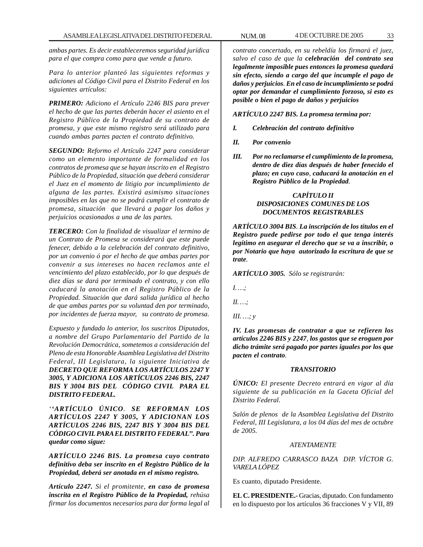*ambas partes. Es decir estableceremos seguridad jurídica para el que compra como para que vende a futuro.*

*Para lo anterior planteó las siguientes reformas y adiciones al Código Civil para el Distrito Federal en los siguientes artículos:*

*PRIMERO: Adiciono el Artículo 2246 BIS para prever el hecho de que las partes deberán hacer el asiento en el Registro Público de la Propiedad de su contrato de promesa, y que este mismo registro será utilizado para cuando ambas partes pacten el contrato definitivo.*

*SEGUNDO: Reformo el Artículo 2247 para considerar como un elemento importante de formalidad en los contratos de promesa que se hayan inscrito en el Registro Público de la Propiedad, situación que deberá considerar el Juez en el momento de litigio por incumplimiento de alguna de las partes. Existirá asimismo situaciones imposibles en las que no se podrá cumplir el contrato de promesa, situación que llevará a pagar los daños y perjuicios ocasionados a una de las partes.*

*TERCERO: Con la finalidad de visualizar el termino de un Contrato de Promesa se considerará que este puede fenecer, debido a la celebración del contrato definitivo, por un convenio ó por el hecho de que ambas partes por convenir a sus intereses no hacen reclamos ante el vencimiento del plazo establecido, por lo que después de diez días se dará por terminado el contrato, y con ello caducará la anotación en el Registro Público de la Propiedad. Situación que dará salida jurídica al hecho de que ambas partes por su voluntad den por terminado, por incidentes de fuerza mayor, su contrato de promesa.*

*Expuesto y fundado lo anterior, los suscritos Diputados, a nombre del Grupo Parlamentario del Partido de la Revolución Democrática, sometemos a consideración del Pleno de esta Honorable Asamblea Legislativa del Distrito Federal, III Legislatura, la siguiente Iniciativa de DECRETO QUE REFORMA LOS ARTÍCULOS 2247 Y 3005, Y ADICIONA LOS ARTÍCULOS 2246 BIS, 2247 BIS Y 3004 BIS DEL CÓDIGO CIVIL PARA EL DISTRITO FEDERAL.*

*''ARTÍCULO ÚNICO. SE REFORMAN LOS ARTÍCULOS 2247 Y 3005, Y ADICIONAN LOS ARTÍCULOS 2246 BIS, 2247 BIS Y 3004 BIS DEL CÓDIGO CIVIL PARA EL DISTRITO FEDERAL''. Para quedar como sigue:*

*ARTÍCULO 2246 BIS. La promesa cuyo contrato definitivo deba ser inscrito en el Registro Público de la Propiedad, deberá ser anotada en el mismo registro.*

*Artículo 2247. Si el promitente, en caso de promesa inscrita en el Registro Público de la Propiedad, rehúsa firmar los documentos necesarios para dar forma legal al*

*contrato concertado, en su rebeldía los firmará el juez, salvo el caso de que la celebración del contrato sea legalmente imposible pues entonces la promesa quedará sin efecto, siendo a cargo del que incumple el pago de daños y perjuicios. En el caso de incumplimiento se podrá optar por demandar el cumplimiento forzoso, si esto es posible o bien el pago de daños y perjuicios*

*ARTÍCULO 2247 BIS. La promesa termina por:*

- *I. Celebración del contrato definitivo*
- *II. Por convenio*
- *III. Por no reclamarse el cumplimiento de la promesa, dentro de diez días después de haber fenecido el plazo; en cuyo caso, caducará la anotación en el Registro Público de la Propiedad.*

# *CAPÍTULO II DISPOSICIONES COMUNES DE LOS DOCUMENTOS REGISTRABLES*

*ARTÍCULO 3004 BIS. La inscripción de los títulos en el Registro puede pedirse por todo el que tenga interés legítimo en asegurar el derecho que se va a inscribir, o por Notario que haya autorizado la escritura de que se trate.*

*ARTÍCULO 3005. Sólo se registrarán:*

*I. …;*

*II. …;*

*III. …; y*

*IV. Las promesas de contratar a que se refieren los artículos 2246 BIS y 2247, los gastos que se eroguen por dicho trámite será pagado por partes iguales por los que pacten el contrato.*

#### *TRANSITORIO*

*ÚNICO: El presente Decreto entrará en vigor al día siguiente de su publicación en la Gaceta Oficial del Distrito Federal.*

*Salón de plenos de la Asamblea Legislativa del Distrito Federal, III Legislatura, a los 04 días del mes de octubre de 2005.*

#### *ATENTAMENTE*

*DIP. ALFREDO CARRASCO BAZA DIP. VÍCTOR G. VARELA LÓPEZ*

Es cuanto, diputado Presidente.

**EL C. PRESIDENTE.-** Gracias, diputado. Con fundamento en lo dispuesto por los artículos 36 fracciones V y VII, 89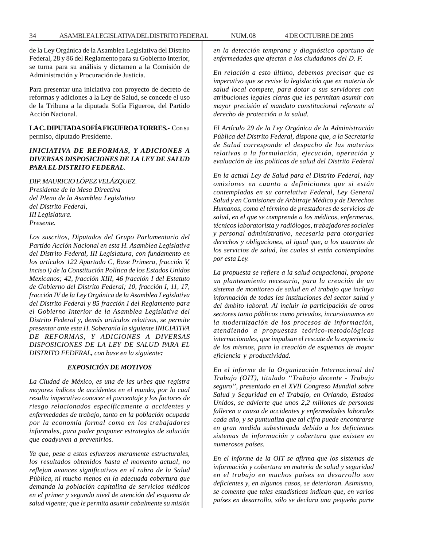de la Ley Orgánica de la Asamblea Legislativa del Distrito Federal, 28 y 86 del Reglamento para su Gobierno Interior, se turna para su análisis y dictamen a la Comisión de Administración y Procuración de Justicia.

Para presentar una iniciativa con proyecto de decreto de reformas y adiciones a la Ley de Salud, se concede el uso de la Tribuna a la diputada Sofía Figueroa, del Partido Acción Nacional.

**LA C. DIPUTADA SOFÍA FIGUEROA TORRES.-** Con su permiso, diputado Presidente.

# *INICIATIVA DE REFORMAS, Y ADICIONES A DIVERSAS DISPOSICIONES DE LA LEY DE SALUD PARA EL DISTRITO FEDERAL.*

*DIP. MAURICIO LÓPEZ VELÁZQUEZ. Presidente de la Mesa Directiva del Pleno de la Asamblea Legislativa del Distrito Federal, III Legislatura. Presente.*

*Los suscritos, Diputados del Grupo Parlamentario del Partido Acción Nacional en esta H. Asamblea Legislativa del Distrito Federal, III Legislatura, con fundamento en los artículos 122 Apartado C, Base Primera, fracción V, inciso i) de la Constitución Política de los Estados Unidos Mexicanos; 42, fracción XIII, 46 fracción I del Estatuto de Gobierno del Distrito Federal; 10, fracción I, 11, 17, fracción IV de la Ley Orgánica de la Asamblea Legislativa del Distrito Federal y 85 fracción I del Reglamento para el Gobierno Interior de la Asamblea Legislativa del Distrito Federal y, demás artículos relativos, se permite presentar ante esta H. Soberanía la siguiente INICIATIVA DE REFORMAS, Y ADICIONES A DIVERSAS DISPOSICIONES DE LA LEY DE SALUD PARA EL DISTRITO FEDERAL, con base en la siguiente:*

## *EXPOSICIÓN DE MOTIVOS*

*La Ciudad de México, es una de las urbes que registra mayores índices de accidentes en el mundo, por lo cual resulta imperativo conocer el porcentaje y los factores de riesgo relacionados específicamente a accidentes y enfermedades de trabajo, tanto en la población ocupada por la economía formal como en los trabajadores informales, para poder proponer estrategias de solución que coadyuven a prevenirlos.*

*Ya que, pese a estos esfuerzos meramente estructurales, los resultados obtenidos hasta el momento actual, no reflejan avances significativos en el rubro de la Salud Pública, ni mucho menos en la adecuada cobertura que demanda la población capitalina de servicios médicos en el primer y segundo nivel de atención del esquema de salud vigente; que le permita asumir cabalmente su misión* *en la detección temprana y diagnóstico oportuno de enfermedades que afectan a los ciudadanos del D. F.*

*En relación a esto último, debemos precisar que es imperativo que se revise la legislación que en materia de salud local compete, para dotar a sus servidores con atribuciones legales claras que les permitan asumir con mayor precisión el mandato constitucional referente al derecho de protección a la salud.*

*El Artículo 29 de la Ley Orgánica de la Administración Pública del Distrito Federal, dispone que, a la Secretaría de Salud corresponde el despacho de las materias relativas a la formulación, ejecución, operación y evaluación de las políticas de salud del Distrito Federal*

*En la actual Ley de Salud para el Distrito Federal, hay omisiones en cuanto a definiciones que si están contempladas en su correlativa Federal, Ley General Salud y en Comisiones de Arbitraje Médico y de Derechos Humanos, como el término de prestadores de servicios de salud, en el que se comprende a los médicos, enfermeras, técnicos laboratorista y radiólogos, trabajadores sociales y personal administrativo, necesaria para otorgarles derechos y obligaciones, al igual que, a los usuarios de los servicios de salud, los cuales si están contemplados por esta Ley.*

*La propuesta se refiere a la salud ocupacional, propone un planteamiento necesario, para la creación de un sistema de monitoreo de salud en el trabajo que incluya información de todas las instituciones del sector salud y del ámbito laboral. Al incluir la participación de otros sectores tanto públicos como privados, incursionamos en la modernización de los procesos de información, atendiendo a propuestas teórico-metodológicas internacionales, que impulsan el rescate de la experiencia de los mismos, para la creación de esquemas de mayor eficiencia y productividad*.

*En el informe de la Organización Internacional del Trabajo (OIT), titulado ''Trabajo decente - Trabajo seguro'', presentado en el XVII Congreso Mundial sobre Salud y Seguridad en el Trabajo, en Orlando, Estados Unidos, se advierte que unos 2,2 millones de personas fallecen a causa de accidentes y enfermedades laborales cada año, y se puntualiza que tal cifra puede encontrarse en gran medida subestimada debido a los deficientes sistemas de información y cobertura que existen en numerosos países.*

*En el informe de la OIT se afirma que los sistemas de información y cobertura en materia de salud y seguridad en el trabajo en muchos países en desarrollo son deficientes y, en algunos casos, se deterioran. Asimismo, se comenta que tales estadísticas indican que, en varios países en desarrollo, sólo se declara una pequeña parte*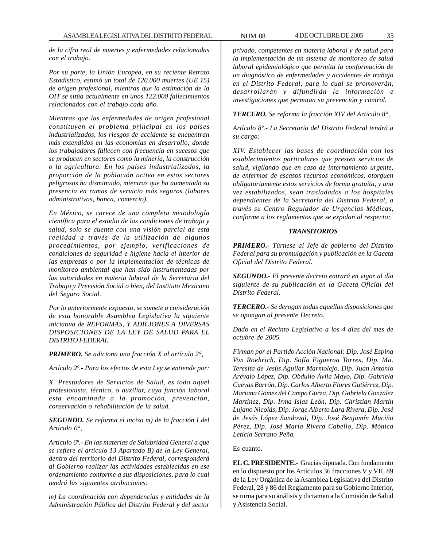*de la cifra real de muertes y enfermedades relacionadas con el trabajo.*

*Por su parte, la Unión Europea, en su reciente Retrato Estadístico, estimó un total de 120.000 muertes (UE 15) de origen profesional, mientras que la estimación de la OIT se sitúa actualmente en unos 122.000 fallecimientos relacionados con el trabajo cada año.*

*Mientras que las enfermedades de origen profesional constituyen el problema principal en los países industrializados, los riesgos de accidente se encuentran más extendidos en las economías en desarrollo, donde los trabajadores fallecen con frecuencia en sucesos que se producen en sectores como la minería, la construcción o la agricultura. En los países industrializados, la proporción de la población activa en estos sectores peligrosos ha disminuido, mientras que ha aumentado su presencia en ramas de servicio más seguros (labores administrativas, banca, comercio).*

*En México, se carece de una completa metodología científica para el estudio de las condiciones de trabajo y salud, solo se cuenta con una visión parcial de esta realidad a través de la utilización de algunos procedimientos, por ejemplo, verificaciones de condiciones de seguridad e higiene hacia el interior de las empresas o por la implementación de técnicas de monitoreo ambiental que han sido instrumentadas por las autoridades en materia laboral de la Secretaria del Trabajo y Previsión Social o bien, del Instituto Mexicano del Seguro Social.*

*Por lo anteriormente expuesto, se somete a consideración de esta honorable Asamblea Legislativa la siguiente iniciativa de REFORMAS, Y ADICIONES A DIVERSAS DISPOSICIONES DE LA LEY DE SALUD PARA EL DISTRITO FEDERAL.*

*PRIMERO. Se adiciona una fracción X al artículo 2°,*

*Artículo 2º.- Para los efectos de esta Ley se entiende por:*

*X. Prestadores de Servicios de Salud, es todo aquel profesionista, técnico, o auxiliar, cuya función laboral esta encaminada a la promoción, prevención, conservación o rehabilitación de la salud.*

*SEGUNDO. Se reforma el inciso m) de la fracción I del Artículo 6°,*

*Artículo 6º.- En las materias de Salubridad General a que se refiere el artículo 13 Apartado B) de la Ley General, dentro del territorio del Distrito Federal, corresponderá al Gobierno realizar las actividades establecidas en ese ordenamiento conforme a sus disposiciones, para lo cual tendrá las siguientes atribuciones:*

*m) La coordinación con dependencias y entidades de la Administración Pública del Distrito Federal y del sector* *privado, competentes en materia laboral y de salud para la implementación de un sistema de monitoreo de salud laboral epidemiológico que permita la conformación de un diagnóstico de enfermedades y accidentes de trabajo en el Distrito Federal, para lo cual se promoverán, desarrollarán y difundirán la información e investigaciones que permitan su prevención y control.*

*TERCERO. Se reforma la fracción XIV del Artículo 8°,*

*Artículo 8º.- La Secretaría del Distrito Federal tendrá a su cargo:*

*XIV. Establecer las bases de coordinación con los establecimientos particulares que presten servicios de salud, vigilando que en caso de internamiento urgente, de enfermos de escasos recursos económicos, otorguen obligatoriamente estos servicios de forma gratuita, y una vez estabilizados, sean trasladados a los hospitales dependientes de la Secretaría del Distrito Federal, a través su Centro Regulador de Urgencias Médicas, conforme a los reglamentos que se expidan al respecto;*

#### *TRANSITORIOS*

*PRIMERO.- Túrnese al Jefe de gobierno del Distrito Federal para su promulgación y publicación en la Gaceta Oficial del Distrito Federal.*

*SEGUNDO.- El presente decreto entrará en vigor al día siguiente de su publicación en la Gaceta Oficial del Distrito Federal.*

*TERCERO.- Se derogan todas aquellas disposiciones que se opongan al presente Decreto.*

*Dado en el Recinto Legislativo a los 4 días del mes de octubre de 2005.*

*Firman por el Partido Acción Nacional: Dip. José Espina Von Roehrich, Dip. Sofía Figueroa Torres, Dip. Ma. Teresita de Jesús Aguilar Marmolejo, Dip. Juan Antonio Arévalo López, Dip. Obdulio Ávila Mayo, Dip. Gabriela Cuevas Barrón, Dip. Carlos Alberto Flores Gutiérrez, Dip. Mariana Gómez del Campo Gurza, Dip. Gabriela González Martínez, Dip. Irma Islas León, Dip. Christian Martín Lujano Nicolás, Dip. Jorge Alberto Lara Rivera, Dip. José de Jesús López Sandoval, Dip. José Benjamín Muciño Pérez, Dip. José María Rivera Cabello, Dip. Mónica Leticia Serrano Peña.*

#### Es cuanto.

**EL C. PRESIDENTE.-** Gracias diputada. Con fundamento en lo dispuesto por los Artículos 36 fracciones V y VII, 89 de la Ley Orgánica de la Asamblea Legislativa del Distrito Federal, 28 y 86 del Reglamento para su Gobierno Interior, se turna para su análisis y dictamen a la Comisión de Salud y Asistencia Social.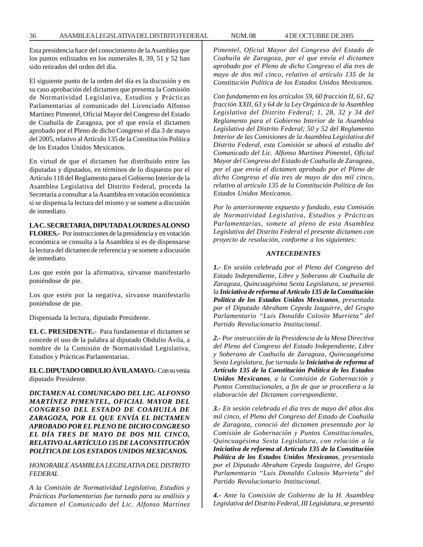Esta presidencia hace del conocimiento de la Asamblea que los puntos enlistados en los numerales 8, 39, 51 y 52 han sido retirados del orden del día.

El siguiente punto de la orden del día es la discusión y en su caso aprobación del dictamen que presenta la Comisión de Normatividad Legislativa, Estudios y Prácticas Parlamentarias al comunicado del Licenciado Alfonso Martínez Pimentel, Oficial Mayor del Congreso del Estado de Coahuila de Zaragoza, por el que envía el dictamen aprobado por el Pleno de dicho Congreso el día 3 de mayo del 2005, relativo al Artículo 135 de la Constitución Política de los Estados Unidos Mexicanos.

En virtud de que el dictamen fue distribuido entre las diputadas y diputados, en términos de lo dispuesto por el Artículo 118 del Reglamento para el Gobierno Interior de la Asamblea Legislativa del Distrito Federal, proceda la Secretaría a consultar a la Asamblea en votación económica si se dispensa la lectura del mismo y se somete a discusión de inmediato.

## **LA C. SECRETARIA, DIPUTADA LOURDES ALONSO**

**FLORES.-** Por instrucciones de la presidencia y en votación económica se consulta a la Asamblea si es de dispensarse la lectura del dictamen de referencia y se somete a discusión de inmediato.

Los que estén por la afirmativa, sírvanse manifestarlo poniéndose de pie.

Los que estén por la negativa, sírvanse manifestarlo poniéndose de pie.

Dispensada la lectura, diputado Presidente.

**EL C. PRESIDENTE.-** Para fundamentar el dictamen se concede el uso de la palabra al diputado Obdulio Ávila, a nombre de la Comisión de Normatividad Legislativa, Estudios y Prácticas Parlamentarias.

**EL C. DIPUTADO OBDULIO ÁVILA MAYO.-** Con su venia diputado Presidente.

*DICTAMEN AL COMUNICADO DEL LIC. ALFONSO MARTÍNEZ PIMENTEL, OFICIAL MAYOR DEL CONGRESO DEL ESTADO DE COAHUILA DE ZARAGOZA, POR EL QUE ENVÍA EL DICTAMEN APROBADO POR EL PLENO DE DICHO CONGRESO EL DÍA TRES DE MAYO DE DOS MIL CINCO, RELATIVO AL ARTÍCULO 135 DE LA CONSTITUCIÓN POLÍTICA DE LOS ESTADOS UNIDOS MEXICANOS.*

*HONORABLE ASAMBLEA LEGISLATIVA DEL DISTRITO FEDERAL*

*A la Comisión de Normatividad Legislativa, Estudios y Prácticas Parlamentarias fue turnado para su análisis y dictamen el Comunicado del Lic. Alfonso Martínez* *Pimentel, Oficial Mayor del Congreso del Estado de Coahuila de Zaragoza, por el que envía el dictamen aprobado por el Pleno de dicho Congreso el día tres de mayo de dos mil cinco, relativo al artículo 135 de la Constitución Política de los Estados Unidos Mexicanos.*

*Con fundamento en los artículos 59, 60 fracción II, 61, 62 fracción XXII, 63 y 64 de la Ley Orgánica de la Asamblea Legislativa del Distrito Federal; 1, 28, 32 y 34 del Reglamento para el Gobierno Interior de la Asamblea Legislativa del Distrito Federal; 50 y 52 del Reglamento Interior de las Comisiones de la Asamblea Legislativa del Distrito Federal, esta Comisión se abocó al estudio del Comunicado del Lic. Alfonso Martínez Pimentel, Oficial Mayor del Congreso del Estado de Coahuila de Zaragoza, por el que envía el dictamen aprobado por el Pleno de dicho Congreso el día tres de mayo de dos mil cinco, relativo al artículo 135 de la Constitución Política de los Estados Unidos Mexicanos.*

*Por lo anteriormente expuesto y fundado, esta Comisión de Normatividad Legislativa, Estudios y Prácticas Parlamentarias, somete al pleno de esta Asamblea Legislativa del Distrito Federal el presente dictamen con proyecto de resolución, conforme a los siguientes:*

#### *ANTECEDENTES*

*1.- En sesión celebrada por el Pleno del Congreso del Estado Independiente, Libre y Soberano de Coahuila de Zaragoza, Quincuagésima Sexta Legislatura, se presentó la Iniciativa de reforma al Artículo 135 de la Constitución Política de los Estados Unidos Mexicanos, presentada por el Diputado Abraham Cepeda Izaguirre, del Grupo Parlamentario ''Luis Donaldo Colosio Murrieta'' del Partido Revolucionario Institucional.*

*2.- Por instrucción de la Presidencia de la Mesa Directiva del Pleno del Congreso del Estado Independiente, Libre y Soberano de Coahuila de Zaragoza, Quincuagésima Sexta Legislatura, fue turnada la Iniciativa de reforma al Artículo 135 de la Constitución Política de los Estados Unidos Mexicanos, a la Comisión de Gobernación y Puntos Constitucionales, a fin de que se procediera a la elaboración del Dictamen correspondiente.*

*3.- En sesión celebrada el día tres de mayo del años dos mil cinco, el Pleno del Congreso del Estado de Coahuila de Zaragoza, conoció del dictamen presentado por la Comisión de Gobernación y Puntos Constitucionales, Quincuagésima Sexta Legislatura, con relación a la Iniciativa de reforma al Artículo 135 de la Constitución Política de los Estados Unidos Mexicanos, presentada por el Diputado Abraham Cepeda Izaguirre, del Grupo Parlamentario ''Luis Donaldo Colosio Murrieta'' del Partido Revolucionario Institucional.*

*4.- Ante la Comisión de Gobierno de la H. Asamblea Legislativa del Distrito Federal, III Legislatura, se presentó*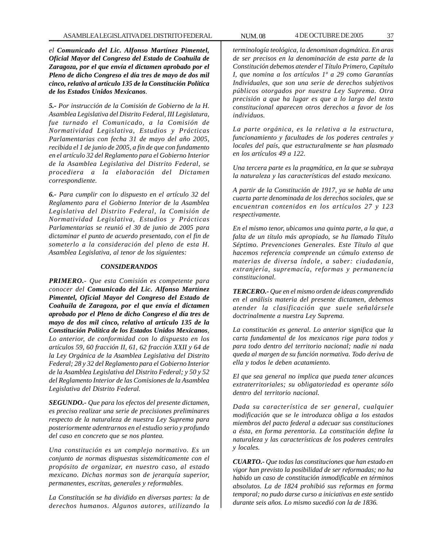*el Comunicado del Lic. Alfonso Martínez Pimentel, Oficial Mayor del Congreso del Estado de Coahuila de Zaragoza, por el que envía el dictamen aprobado por el Pleno de dicho Congreso el día tres de mayo de dos mil cinco, relativo al artículo 135 de la Constitución Política de los Estados Unidos Mexicanos.*

*5.- Por instrucción de la Comisión de Gobierno de la H. Asamblea Legislativa del Distrito Federal, III Legislatura, fue turnado el Comunicado, a la Comisión de Normatividad Legislativa, Estudios y Prácticas Parlamentarias con fecha 31 de mayo del año 2005, recibida el 1 de junio de 2005, a fin de que con fundamento en el artículo 32 del Reglamento para el Gobierno Interior de la Asamblea Legislativa del Distrito Federal, se procediera a la elaboración del Dictamen correspondiente.*

*6.- Para cumplir con lo dispuesto en el artículo 32 del Reglamento para el Gobierno Interior de la Asamblea Legislativa del Distrito Federal, la Comisión de Normatividad Legislativa, Estudios y Prácticas Parlamentarias se reunió el 30 de junio de 2005 para dictaminar el punto de acuerdo presentado, con el fin de someterlo a la consideración del pleno de esta H. Asamblea Legislativa, al tenor de los siguientes:*

# *CONSIDERANDOS*

*PRIMERO.- Que esta Comisión es competente para conocer del Comunicado del Lic. Alfonso Martínez Pimentel, Oficial Mayor del Congreso del Estado de Coahuila de Zaragoza, por el que envía el dictamen aprobado por el Pleno de dicho Congreso el día tres de mayo de dos mil cinco, relativo al artículo 135 de la Constitución Política de los Estados Unidos Mexicanos, Lo anterior, de conformidad con lo dispuesto en los artículos 59, 60 fracción II, 61, 62 fracción XXII y 64 de la Ley Orgánica de la Asamblea Legislativa del Distrito Federal; 28 y 32 del Reglamento para el Gobierno Interior de la Asamblea Legislativa del Distrito Federal; y 50 y 52 del Reglamento Interior de las Comisiones de la Asamblea Legislativa del Distrito Federal.*

*SEGUNDO.- Que para los efectos del presente dictamen, es preciso realizar una serie de precisiones preliminares respecto de la naturaleza de nuestra Ley Suprema para posteriormente adentrarnos en el estudio serio y profundo del caso en concreto que se nos plantea.*

*Una constitución es un complejo normativo. Es un conjunto de normas dispuestas sistemáticamente con el propósito de organizar, en nuestro caso, al estado mexicano. Dichas normas son de jerarquía superior, permanentes, escritas, generales y reformables.*

*La Constitución se ha dividido en diversas partes: la de derechos humanos. Algunos autores, utilizando la*

*terminología teológica, la denominan dogmática. En aras de ser precisos en la denominación de esta parte de la Constitución debemos atender el Título Primero, Capítulo I, que nomina a los artículos 1º a 29 como Garantías Individuales, que son una serie de derechos subjetivos públicos otorgados por nuestra Ley Suprema. Otra precisión a que ha lugar es que a lo largo del texto constitucional aparecen otros derechos a favor de los individuos.*

*La parte orgánica, es la relativa a la estructura, funcionamiento y facultades de los poderes centrales y locales del país, que estructuralmente se han plasmado en los artículos 49 a 122.*

*Una tercera parte es la pragmática, en la que se subraya la naturaleza y las características del estado mexicano.*

*A partir de la Constitución de 1917, ya se habla de una cuarta parte denominada de los derechos sociales, que se encuentran contenidos en los artículos 27 y 123 respectivamente.*

*En el mismo tenor, ubicamos una quinta parte, a la que, a falta de un título más apropiado, se ha llamado Título Séptimo. Prevenciones Generales. Este Título al que hacemos referencia comprende un cúmulo extenso de materias de diversa índole, a saber: ciudadanía, extranjería, supremacía, reformas y permanencia constitucional.*

*TERCERO.- Que en el mismo orden de ideas comprendido en el análisis materia del presente dictamen, debemos atender la clasificación que suele señalársele doctrinalmente a nuestra Ley Suprema.*

*La constitución es general. Lo anterior significa que la carta fundamental de los mexicanos rige para todos y para todo dentro del territorio nacional; nadie ni nada queda al margen de su función normativa. Todo deriva de ella y todos le deben acatamiento.*

*El que sea general no implica que pueda tener alcances extraterritoriales; su obligatoriedad es operante sólo dentro del territorio nacional.*

*Dada su característica de ser general, cualquier modificación que se le introduzca obliga a los estados miembros del pacto federal a adecuar sus constituciones a ésta, en forma perentoria. La constitución define la naturaleza y las características de los poderes centrales y locales.*

*CUARTO.- Que todas las constituciones que han estado en vigor han previsto la posibilidad de ser reformadas; no ha habido un caso de constitución inmodificable en términos absolutos. La de 1824 prohibió sus reformas en forma temporal; no pudo darse curso a iniciativas en este sentido durante seis años. Lo mismo sucedió con la de 1836.*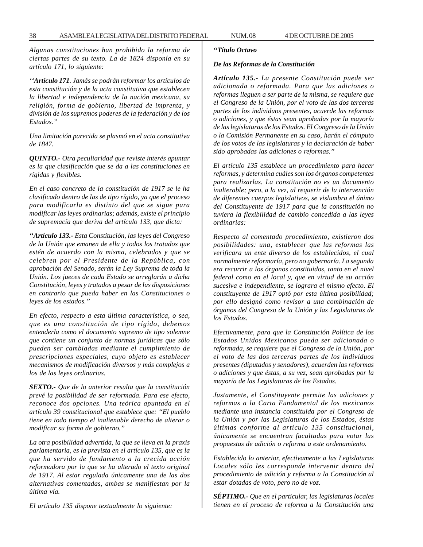*Algunas constituciones han prohibido la reforma de ciertas partes de su texto. La de 1824 disponía en su artículo 171, lo siguiente:*

*''Artículo 171. Jamás se podrán reformar los artículos de esta constitución y de la acta constitutiva que establecen la libertad e independencia de la nación mexicana, su religión, forma de gobierno, libertad de imprenta, y división de los supremos poderes de la federación y de los Estados.''*

*Una limitación parecida se plasmó en el acta constitutiva de 1847.*

*QUINTO.- Otra peculiaridad que reviste interés apuntar es la que clasificación que se da a las constituciones en rígidas y flexibles.*

*En el caso concreto de la constitución de 1917 se le ha clasificado dentro de las de tipo rígido, ya que el proceso para modificarla es distinto del que se sigue para modificar las leyes ordinarias; además, existe el principio de supremacía que deriva del artículo 133, que dicta:*

*''Artículo 133.- Esta Constitución, las leyes del Congreso de la Unión que emanen de ella y todos los tratados que estén de acuerdo con la misma, celebrados y que se celebren por el Presidente de la República, con aprobación del Senado, serán la Ley Suprema de toda la Unión. Los jueces de cada Estado se arreglarán a dicha Constitución, leyes y tratados a pesar de las disposiciones en contrario que pueda haber en las Constituciones o leyes de los estados.''*

*En efecto, respecto a esta última característica, o sea, que es una constitución de tipo rígido, debemos entenderla como el documento supremo de tipo solemne que contiene un conjunto de normas jurídicas que sólo pueden ser cambiadas mediante el cumplimiento de prescripciones especiales, cuyo objeto es establecer mecanismos de modificación diversos y más complejos a los de las leyes ordinarias.*

*SEXTO.- Que de lo anterior resulta que la constitución prevé la posibilidad de ser reformada. Para ese efecto, reconoce dos opciones. Una teórica apuntada en el artículo 39 constitucional que establece que: ''El pueblo tiene en todo tiempo el inalienable derecho de alterar o modificar su forma de gobierno.''*

*La otra posibilidad advertida, la que se lleva en la praxis parlamentaria, es la prevista en el artículo 135, que es la que ha servido de fundamento a la crecida acción reformadora por la que se ha alterado el texto original de 1917. Al estar regulada únicamente una de las dos alternativas comentadas, ambas se manifiestan por la última vía.*

*El artículo 135 dispone textualmente lo siguiente:*

### *''Título Octavo*

### *De las Reformas de la Constitución*

*Artículo 135.- La presente Constitución puede ser adicionada o reformada. Para que las adiciones o reformas lleguen a ser parte de la misma, se requiere que el Congreso de la Unión, por el voto de las dos terceras partes de los individuos presentes, acuerde las reformas o adiciones, y que éstas sean aprobadas por la mayoría de las legislaturas de los Estados. El Congreso de la Unión o la Comisión Permanente en su caso, harán el cómputo de los votos de las legislaturas y la declaración de haber sido aprobadas las adiciones o reformas.''*

*El artículo 135 establece un procedimiento para hacer reformas, y determina cuáles son los órganos competentes para realizarlas. La constitución no es un documento inalterable; pero, a la vez, al requerir de la intervención de diferentes cuerpos legislativos, se vislumbra el ánimo del Constituyente de 1917 para que la constitución no tuviera la flexibilidad de cambio concedida a las leyes ordinarias:*

*Respecto al comentado procedimiento, existieron dos posibilidades: una, establecer que las reformas las verificara un ente diverso de los establecidos, el cual normalmente reformaría, pero no gobernaría. La segunda era recurrir a los órganos constituidos, tanto en el nivel federal como en el local y, que en virtud de su acción sucesiva e independiente, se lograra el mismo efecto. El constituyente de 1917 optó por esta última posibilidad; por ello designó como revisor a una combinación de órganos del Congreso de la Unión y las Legislaturas de los Estados.*

*Efectivamente, para que la Constitución Política de los Estados Unidos Mexicanos pueda ser adicionada o reformada, se requiere que el Congreso de la Unión, por el voto de las dos terceras partes de los individuos presentes (diputados y senadores), acuerden las reformas o adiciones y que éstas, a su vez, sean aprobadas por la mayoría de las Legislaturas de los Estados.*

*Justamente, el Constituyente permite las adiciones y reformas a la Carta Fundamental de los mexicanos mediante una instancia constituida por el Congreso de la Unión y por las Legislaturas de los Estados, éstas últimas conforme al artículo 135 constitucional, únicamente se encuentran facultadas para votar las propuestas de adición o reforma a este ordenamiento.*

*Establecido lo anterior, efectivamente a las Legislaturas Locales sólo les corresponde intervenir dentro del procedimiento de adición y reforma a la Constitución al estar dotadas de voto, pero no de voz.*

*SÉPTIMO.- Que en el particular, las legislaturas locales tienen en el proceso de reforma a la Constitución una*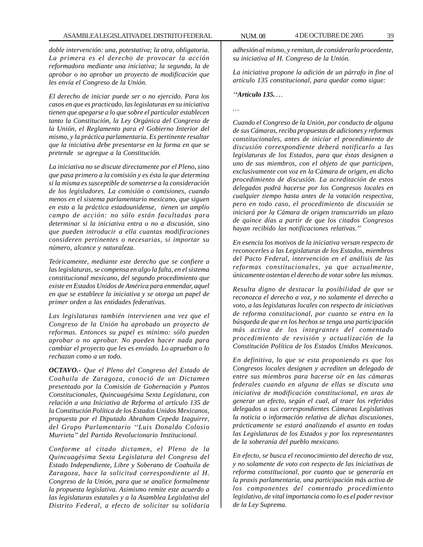*doble intervención: una, potestativa; la otra, obligatoria. La primera es el derecho de provocar la acción reformadora mediante una iniciativa; la segunda, la de aprobar o no aprobar un proyecto de modificación que les envía el Congreso de la Unión.*

*El derecho de iniciar puede ser o no ejercido. Para los casos en que es practicado, las legislaturas en su iniciativa tienen que apegarse a lo que sobre el particular establecen tanto la Constitución, la Ley Orgánica del Congreso de la Unión, el Reglamento para el Gobierno Interior del mismo, y la práctica parlamentaria. Es pertinente resaltar que la iniciativa debe presentarse en la forma en que se pretende se agregue a la Constitución.*

*La iniciativa no se discute directamente por el Pleno, sino que pasa primero a la comisión y es ésta la que determina si la misma es susceptible de someterse a la consideración de los legisladores. La comisión o comisiones, cuando menos en el sistema parlamentario mexicano, que siguen en esto a la práctica estadounidense, tienen un amplio campo de acción: no sólo están facultadas para determinar si la iniciativa entra o no a discusión, sino que pueden introducir a ella cuantas modificaciones consideren pertinentes o necesarias, si importar su número, alcance y naturaleza.*

*Teóricamente, mediante este derecho que se confiere a las legislaturas, se compensa en algo la falta, en el sistema constitucional mexicano, del segundo procedimiento que existe en Estados Unidos de América para enmendar, aquel en que se establece la iniciativa y se otorga un papel de primer orden a las entidades federativas.*

*Las legislaturas también intervienen una vez que el Congreso de la Unión ha aprobado un proyecto de reformas. Entonces su papel es mínimo: sólo pueden aprobar o no aprobar. No pueden hacer nada para cambiar el proyecto que les es enviado. Lo aprueban o lo rechazan como a un todo.*

*OCTAVO.- Que el Pleno del Congreso del Estado de Coahuila de Zaragoza, conoció de un Dictamen presentado por la Comisión de Gobernación y Puntos Constitucionales, Quincuagésima Sexta Legislatura, con relación a una Iniciativa de Reforma al artículo 135 de la Constitución Política de los Estados Unidos Mexicanos, propuesta por el Diputado Abraham Cepeda Izaguirre, del Grupo Parlamentario ''Luis Donaldo Colosio Murrieta'' del Partido Revolucionario Institucional.*

*Conforme al citado dictamen, el Pleno de la Quincuagésima Sexta Legislatura del Congreso del Estado Independiente, Libre y Soberano de Coahuila de Zaragoza, hace la solicitud correspondiente al H. Congreso de la Unión, para que se analice formalmente la propuesta legislativa. Asimismo remite este acuerdo a las legislaturas estatales y a la Asamblea Legislativa del Distrito Federal, a efecto de solicitar su solidaria*

*adhesión al mismo, y remitan, de considerarlo procedente, su iniciativa al H. Congreso de la Unión.*

*La iniciativa propone la adición de un párrafo in fine al artículo 135 constitucional, para quedar como sigue:*

*''Artículo 135. …*

*…*

*Cuando el Congreso de la Unión, por conducto de alguna de sus Cámaras, reciba propuestas de adiciones y reformas constitucionales, antes de iniciar el procedimiento de discusión correspondiente deberá notificarlo a las legislaturas de los Estados, para que éstas designen a uno de sus miembros, con el objeto de que participen, exclusivamente con voz en la Cámara de origen, en dicho procedimiento de discusión. La acreditación de estos delegados podrá hacerse por los Congresos locales en cualquier tiempo hasta antes de la votación respectiva, pero en todo caso, el procedimiento de discusión se iniciará por la Cámara de origen transcurrido un plazo de quince días a partir de que los citados Congresos hayan recibido las notificaciones relativas.''*

*En esencia los motivos de la iniciativa versan respecto de reconocerles a las Legislaturas de los Estados, miembros del Pacto Federal, intervención en el análisis de las reformas constitucionales, ya que actualmente, únicamente ostentan el derecho de votar sobre las mismas.*

*Resulta digno de destacar la posibilidad de que se reconozca el derecho a voz, y no solamente el derecho a voto, a las legislaturas locales con respecto de iniciativas de reforma constitucional, por cuanto se entra en la búsqueda de que en los hechos se tenga una participación más activa de los integrantes del comentado procedimiento de revisión y actualización de la Constitución Política de los Estados Unidos Mexicanos.*

*En definitiva, lo que se esta proponiendo es que los Congresos locales designen y acrediten un delegado de entre sus miembros para hacerse oír en las cámaras federales cuando en alguna de ellas se discuta una iniciativa de modificación constitucional, en aras de generar un efecto, según el cual, al traer los referidos delegados a sus correspondientes Cámaras Legislativas la noticia o información relativa de dichas discusiones, prácticamente se estará analizando el asunto en todas las Legislaturas de los Estados y por los representantes de la soberanía del pueblo mexicano.*

*En efecto, se busca el reconocimiento del derecho de voz, y no solamente de voto con respecto de las iniciativas de reforma constitucional, por cuanto que se generaría en la praxis parlamentaria, una participación más activa de los componentes del comentado procedimiento legislativo, de vital importancia como lo es el poder revisor de la Ley Suprema.*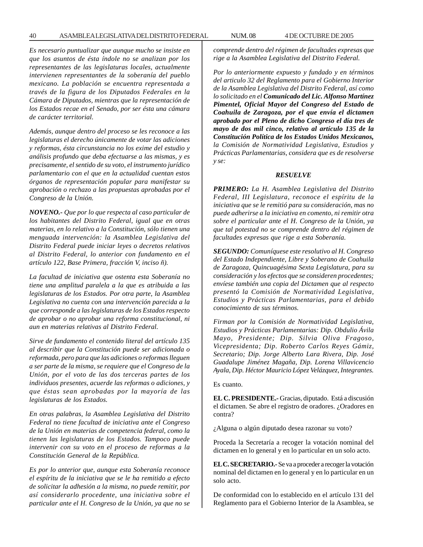*Es necesario puntualizar que aunque mucho se insiste en que los asuntos de ésta índole no se analizan por los representantes de las legislaturas locales, actualmente intervienen representantes de la soberanía del pueblo mexicano. La población se encuentra representada a través de la figura de los Diputados Federales en la Cámara de Diputados, mientras que la representación de los Estados recae en el Senado, por ser ésta una cámara de carácter territorial.*

*Además, aunque dentro del proceso se les reconoce a las legislaturas el derecho únicamente de votar las adiciones y reformas, ésta circunstancia no los exime del estudio y análisis profundo que deba efectuarse a las mismas, y es precisamente, el sentido de su voto, el instrumento jurídico parlamentario con el que en la actualidad cuentan estos órganos de representación popular para manifestar su aprobación o rechazo a las propuestas aprobadas por el Congreso de la Unión.*

*NOVENO.- Que por lo que respecta al caso particular de los habitantes del Distrito Federal, igual que en otras materias, en lo relativo a la Constitución, sólo tienen una menguada intervención: la Asamblea Legislativa del Distrito Federal puede iniciar leyes o decretos relativos al Distrito Federal, lo anterior con fundamento en el artículo 122, Base Primera, fracción V, inciso ñ).*

*La facultad de iniciativa que ostenta esta Soberanía no tiene una amplitud paralela a la que es atribuida a las legislaturas de los Estados. Por otra parte, la Asamblea Legislativa no cuenta con una intervención parecida a la que corresponde a las legislaturas de los Estados respecto de aprobar o no aprobar una reforma constitucional, ni aun en materias relativas al Distrito Federal.*

*Sirve de fundamento el contenido literal del artículo 135 al describir que la Constitución puede ser adicionada o reformada, pero para que las adiciones o reformas lleguen a ser parte de la misma, se requiere que el Congreso de la Unión, por el voto de las dos terceras partes de los individuos presentes, acuerde las reformas o adiciones, y que éstas sean aprobadas por la mayoría de las legislaturas de los Estados.*

*En otras palabras, la Asamblea Legislativa del Distrito Federal no tiene facultad de iniciativa ante el Congreso de la Unión en materias de competencia federal, como la tienen las legislaturas de los Estados. Tampoco puede intervenir con su voto en el proceso de reformas a la Constitución General de la República.*

*Es por lo anterior que, aunque esta Soberanía reconoce el espíritu de la iniciativa que se le ha remitido a efecto de solicitar la adhesión a la misma, no puede remitir, por así considerarlo procedente, una iniciativa sobre el particular ante el H. Congreso de la Unión, ya que no se* *comprende dentro del régimen de facultades expresas que rige a la Asamblea Legislativa del Distrito Federal.*

*Por lo anteriormente expuesto y fundado y en términos del articulo 32 del Reglamento para el Gobierno Interior de la Asamblea Legislativa del Distrito Federal, así como lo solicitado en el Comunicado del Lic. Alfonso Martínez Pimentel, Oficial Mayor del Congreso del Estado de Coahuila de Zaragoza, por el que envía el dictamen aprobado por el Pleno de dicho Congreso el día tres de mayo de dos mil cinco, relativo al artículo 135 de la Constitución Política de los Estados Unidos Mexicanos, la Comisión de Normatividad Legislativa, Estudios y Prácticas Parlamentarias, considera que es de resolverse y se:*

### *RESUELVE*

*PRIMERO: La H. Asamblea Legislativa del Distrito Federal, III Legislatura, reconoce el espíritu de la iniciativa que se le remitió para su consideración, mas no puede adherirse a la iniciativa en comento, ni remitir otra sobre el particular ante el H. Congreso de la Unión, ya que tal potestad no se comprende dentro del régimen de facultades expresas que rige a esta Soberanía.*

*SEGUNDO: Comuníquese este resolutivo al H. Congreso del Estado Independiente, Libre y Soberano de Coahuila de Zaragoza, Quincuagésima Sexta Legislatura, para su consideración y los efectos que se consideren procedentes; envíese también una copia del Dictamen que al respecto presentó la Comisión de Normatividad Legislativa, Estudios y Prácticas Parlamentarias, para el debido conocimiento de sus términos.*

*Firman por la Comisión de Normatividad Legislativa, Estudios y Prácticas Parlamentarias: Dip. Obdulio Ávila Mayo, Presidente; Dip. Silvia Oliva Fragoso, Vicepresidenta; Dip. Roberto Carlos Reyes Gámiz, Secretario; Dip. Jorge Alberto Lara Rivera, Dip. José Guadalupe Jiménez Magaña, Dip. Lorena Villavicencio Ayala, Dip. Héctor Mauricio López Velázquez, Integrantes.*

Es cuanto.

**EL C. PRESIDENTE.-** Gracias, diputado. Está a discusión el dictamen. Se abre el registro de oradores. ¿Oradores en contra?

¿Alguna o algún diputado desea razonar su voto?

Proceda la Secretaría a recoger la votación nominal del dictamen en lo general y en lo particular en un solo acto.

**EL C. SECRETARIO.-** Se va a proceder a recoger la votación nominal del dictamen en lo general y en lo particular en un solo acto.

De conformidad con lo establecido en el artículo 131 del Reglamento para el Gobierno Interior de la Asamblea, se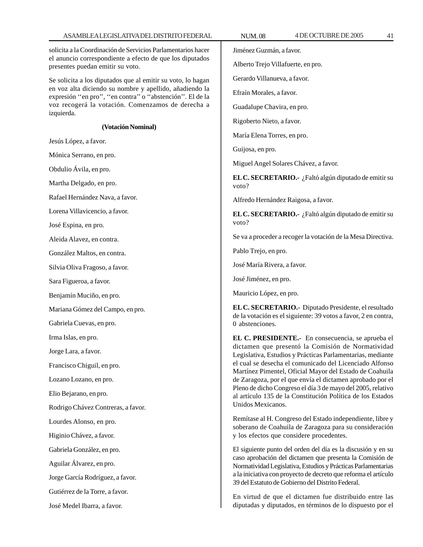solicita a la Coordinación de Servicios Parlamentarios hacer el anuncio correspondiente a efecto de que los diputados presentes puedan emitir su voto.

Se solicita a los diputados que al emitir su voto, lo hagan en voz alta diciendo su nombre y apellido, añadiendo la expresión ''en pro'', ''en contra'' o ''abstención''. El de la voz recogerá la votación. Comenzamos de derecha a izquierda.

## **(Votación Nominal)**

Jesús López, a favor.

Mónica Serrano, en pro.

Obdulio Ávila, en pro.

Martha Delgado, en pro.

Rafael Hernández Nava, a favor.

Lorena Villavicencio, a favor.

José Espina, en pro.

Aleida Alavez, en contra.

González Maltos, en contra.

Silvia Oliva Fragoso, a favor.

Sara Figueroa, a favor.

Benjamín Muciño, en pro.

Mariana Gómez del Campo, en pro.

Gabriela Cuevas, en pro.

Irma Islas, en pro.

Jorge Lara, a favor.

Francisco Chiguil, en pro.

Lozano Lozano, en pro.

Elio Bejarano, en pro.

Rodrigo Chávez Contreras, a favor.

Lourdes Alonso, en pro.

Higinio Chávez, a favor.

Gabriela González, en pro.

Aguilar Álvarez, en pro.

Jorge García Rodríguez, a favor.

Gutiérrez de la Torre, a favor.

José Medel Ibarra, a favor.

Jiménez Guzmán, a favor.

Alberto Trejo Villafuerte, en pro.

Gerardo Villanueva, a favor.

Efraín Morales, a favor.

Guadalupe Chavira, en pro.

Rigoberto Nieto, a favor.

María Elena Torres, en pro.

Guijosa, en pro.

Miguel Angel Solares Chávez, a favor.

**EL C. SECRETARIO.-** ¿Faltó algún diputado de emitir su voto?

Alfredo Hernández Raigosa, a favor.

**EL C. SECRETARIO.-** ¿Faltó algún diputado de emitir su voto?

Se va a proceder a recoger la votación de la Mesa Directiva.

Pablo Trejo, en pro.

José María Rivera, a favor.

José Jiménez, en pro.

Mauricio López, en pro.

**EL C. SECRETARIO.-** Diputado Presidente, el resultado de la votación es el siguiente: 39 votos a favor, 2 en contra, 0 abstenciones.

**EL C. PRESIDENTE.-** En consecuencia, se aprueba el dictamen que presentó la Comisión de Normatividad Legislativa, Estudios y Prácticas Parlamentarias, mediante el cual se desecha el comunicado del Licenciado Alfonso Martínez Pimentel, Oficial Mayor del Estado de Coahuila de Zaragoza, por el que envía el dictamen aprobado por el Pleno de dicho Congreso el día 3 de mayo del 2005, relativo al artículo 135 de la Constitución Política de los Estados Unidos Mexicanos.

Remítase al H. Congreso del Estado independiente, libre y soberano de Coahuila de Zaragoza para su consideración y los efectos que considere procedentes.

El siguiente punto del orden del día es la discusión y en su caso aprobación del dictamen que presenta la Comisión de Normatividad Legislativa, Estudios y Prácticas Parlamentarias a la iniciativa con proyecto de decreto que reforma el artículo 39 del Estatuto de Gobierno del Distrito Federal.

En virtud de que el dictamen fue distribuido entre las diputadas y diputados, en términos de lo dispuesto por el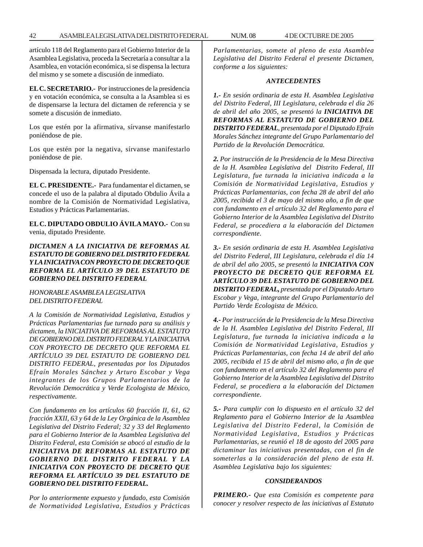artículo 118 del Reglamento para el Gobierno Interior de la Asamblea Legislativa, proceda la Secretaría a consultar a la Asamblea, en votación económica, si se dispensa la lectura del mismo y se somete a discusión de inmediato.

**EL C. SECRETARIO.-** Por instrucciones de la presidencia y en votación económica, se consulta a la Asamblea si es de dispensarse la lectura del dictamen de referencia y se somete a discusión de inmediato.

Los que estén por la afirmativa, sírvanse manifestarlo poniéndose de pie.

Los que estén por la negativa, sírvanse manifestarlo poniéndose de pie.

Dispensada la lectura, diputado Presidente.

**EL C. PRESIDENTE.-** Para fundamentar el dictamen, se concede el uso de la palabra al diputado Obdulio Ávila a nombre de la Comisión de Normatividad Legislativa, Estudios y Prácticas Parlamentarias.

**EL C. DIPUTADO OBDULIO ÁVILA MAYO.-** Con su venia, diputado Presidente.

*DICTAMEN A LA INICIATIVA DE REFORMAS AL ESTATUTO DE GOBIERNO DEL DISTRITO FEDERAL Y LA INICIATIVA CON PROYECTO DE DECRETO QUE REFORMA EL ARTÍCULO 39 DEL ESTATUTO DE GOBIERNO DEL DISTRITO FEDERAL*

*HONORABLE ASAMBLEA LEGISLATIVA DEL DISTRITO FEDERAL*

*A la Comisión de Normatividad Legislativa, Estudios y Prácticas Parlamentarias fue turnado para su análisis y dictamen, la INICIATIVA DE REFORMAS AL ESTATUTO DE GOBIERNO DEL DISTRITO FEDERAL Y LA INICIATIVA CON PROYECTO DE DECRETO QUE REFORMA EL ARTÍCULO 39 DEL ESTATUTO DE GOBIERNO DEL DISTRITO FEDERAL, presentadas por los Diputados Efraín Morales Sánchez y Arturo Escobar y Vega integrantes de los Grupos Parlamentarios de la Revolución Democrática y Verde Ecologista de México, respectivamente.*

*Con fundamento en los artículos 60 fracción II, 61, 62 fracción XXII, 63 y 64 de la Ley Orgánica de la Asamblea Legislativa del Distrito Federal; 32 y 33 del Reglamento para el Gobierno Interior de la Asamblea Legislativa del Distrito Federal, esta Comisión se abocó al estudio de la INICIATIVA DE REFORMAS AL ESTATUTO DE GOBIERNO DEL DISTRITO FEDERAL Y LA INICIATIVA CON PROYECTO DE DECRETO QUE REFORMA EL ARTÍCULO 39 DEL ESTATUTO DE GOBIERNO DEL DISTRITO FEDERAL.*

*Por lo anteriormente expuesto y fundado, esta Comisión de Normatividad Legislativa, Estudios y Prácticas* *Parlamentarias, somete al pleno de esta Asamblea Legislativa del Distrito Federal el presente Dictamen, conforme a los siguientes:*

### *ANTECEDENTES*

*1.- En sesión ordinaria de esta H. Asamblea Legislativa del Distrito Federal, III Legislatura, celebrada el día 26 de abril del año 2005, se presentó la INICIATIVA DE REFORMAS AL ESTATUTO DE GOBIERNO DEL DISTRITO FEDERAL, presentada por el Diputado Efraín Morales Sánchez integrante del Grupo Parlamentario del Partido de la Revolución Democrática.*

*2. Por instrucción de la Presidencia de la Mesa Directiva de la H. Asamblea Legislativa del Distrito Federal, III Legislatura, fue turnada la iniciativa indicada a la Comisión de Normatividad Legislativa, Estudios y Prácticas Parlamentarias, con fecha 28 de abril del año 2005, recibida el 3 de mayo del mismo año, a fin de que con fundamento en el artículo 32 del Reglamento para el Gobierno Interior de la Asamblea Legislativa del Distrito Federal, se procediera a la elaboración del Dictamen correspondiente.*

*3.- En sesión ordinaria de esta H. Asamblea Legislativa del Distrito Federal, III Legislatura, celebrada el día 14 de abril del año 2005, se presentó la INICIATIVA CON PROYECTO DE DECRETO QUE REFORMA EL ARTÍCULO 39 DEL ESTATUTO DE GOBIERNO DEL DISTRITO FEDERAL, presentada por el Diputado Arturo Escobar y Vega, integrante del Grupo Parlamentario del Partido Verde Ecologista de México.*

*4.- Por instrucción de la Presidencia de la Mesa Directiva de la H. Asamblea Legislativa del Distrito Federal, III Legislatura, fue turnada la iniciativa indicada a la Comisión de Normatividad Legislativa, Estudios y Prácticas Parlamentarias, con fecha 14 de abril del año 2005, recibida el 15 de abril del mismo año, a fin de que con fundamento en el artículo 32 del Reglamento para el Gobierno Interior de la Asamblea Legislativa del Distrito Federal, se procediera a la elaboración del Dictamen correspondiente.*

*5.- Para cumplir con lo dispuesto en el artículo 32 del Reglamento para el Gobierno Interior de la Asamblea Legislativa del Distrito Federal, la Comisión de Normatividad Legislativa, Estudios y Prácticas Parlamentarias, se reunió el 18 de agosto del 2005 para dictaminar las iniciativas presentadas, con el fin de someterlas a la consideración del pleno de esta H. Asamblea Legislativa bajo los siguientes:*

### *CONSIDERANDOS*

*PRIMERO.- Que esta Comisión es competente para conocer y resolver respecto de las iniciativas al Estatuto*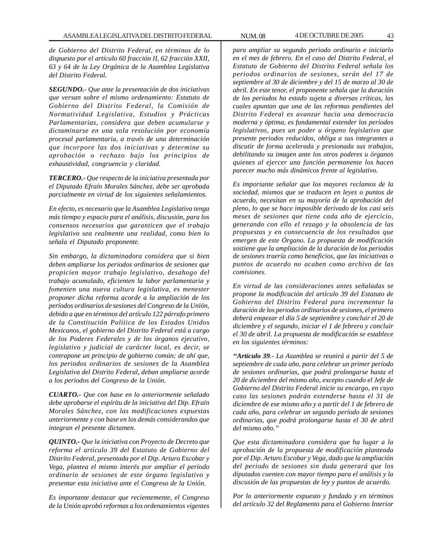*de Gobierno del Distrito Federal, en términos de lo dispuesto por el artículo 60 fracción II, 62 fracción XXII, 63 y 64 de la Ley Orgánica de la Asamblea Legislativa del Distrito Federal.*

*SEGUNDO.- Que ante la presentación de dos iniciativas que versan sobre el mismo ordenamiento: Estatuto de Gobierno del Distrito Federal, la Comisión de Normatividad Legislativa, Estudios y Prácticas Parlamentarias, considera que deben acumularse y dictaminarse en una sola resolución por economía procesal parlamentaria, a través de una determinación que incorpore las dos iniciativas y determine su aprobación o rechazo bajo los principios de exhaustividad, congruencia y claridad.*

*TERCERO.- Que respecto de la iniciativa presentada por el Diputado Efraín Morales Sánchez, debe ser aprobada parcialmente en virtud de los siguientes señalamientos.*

*En efecto, es necesario que la Asamblea Legislativa tenga más tiempo y espacio para el análisis, discusión, para los consensos necesarios que garanticen que el trabajo legislativo sea realmente una realidad, como bien lo señala el Diputado proponente.*

*Sin embargo, la dictaminadora considera que si bien deben ampliarse los periodos ordinarios de sesiones que propicien mayor trabajo legislativo, desahogo del trabajo acumulado, eficienten la labor parlamentaria y fomenten una nueva cultura legislativa, es menester proponer dicha reforma acorde a la ampliación de los períodos ordinarios de sesiones del Congreso de la Unión, debido a que en términos del artículo 122 párrafo primero de la Constitución Política de los Estados Unidos Mexicanos, el gobierno del Distrito Federal está a cargo de los Poderes Federales y de los órganos ejecutivo, legislativo y judicial de carácter local, es decir, se contrapone un principio de gobierno común; de ahí que, los periodos ordinarios de sesiones de la Asamblea Legislativa del Distrito Federal, deban ampliarse acorde a los periodos del Congreso de la Unión.*

*CUARTO.- Que con base en lo anteriormente señalado debe aprobarse el espíritu de la iniciativa del Dip. Efraín Morales Sánchez, con las modificaciones expuestas anteriormente y con base en los demás considerandos que integran el presente dictamen.*

*QUINTO.- Que la iniciativa con Proyecto de Decreto que reforma el artículo 39 del Estatuto de Gobierno del Distrito Federal, presentada por el Dip. Arturo Escobar y Vega, plantea el mismo interés por ampliar el período ordinario de sesiones de este órgano legislativo y presentar esta iniciativa ante el Congreso de la Unión.*

*Es importante destacar que recientemente, el Congreso de la Unión aprobó reformas a los ordenamientos vigentes*

*para ampliar su segundo periodo ordinario e iniciarlo en el mes de febrero. En el caso del Distrito Federal, el Estatuto de Gobierno del Distrito Federal señala los periodos ordinarios de sesiones, serán del 17 de septiembre al 30 de diciembre y del 15 de marzo al 30 de abril. En este tenor, el proponente señala que la duración de los periodos ha estado sujeta a diversas críticas, las cuales apuntan que una de las reformas pendientes del Distrito Federal es avanzar hacia una democracia moderna y óptima, es fundamental extender los períodos legislativos, pues un poder u órgano legislativo que presente periodos reducidos, obliga a sus integrantes a discutir de forma acelerada y presionada sus trabajos, debilitando su imagen ante los otros poderes u órganos quienes al ejercer una función permanente los hacen parecer mucho más dinámicos frente al legislativo.*

*Es importante señalar que los mayores reclamos de la sociedad, mismos que se traducen en leyes o puntos de acuerdo, necesitan en su mayoría de la aprobación del pleno, lo que se hace imposible derivado de los casi seis meses de sesiones que tiene cada año de ejercicio, generando con ello el rezago y la obsolencia de las propuestas y en consecuencia de los resultados que emergen de este Órgano. La propuesta de modificación sostiene que la ampliación de la duración de los periodos de sesiones traería como beneficios, que las iniciativas o puntos de acuerdo no acaben como archivo de las comisiones.*

*En virtud de las consideraciones antes señaladas se propone la modificación del artículo 39 del Estatuto de Gobierno del Distrito Federal para incrementar la duración de los periodos ordinarios de sesiones, el primero deberá empezar el día 5 de septiembre y concluir el 20 de diciembre y el segundo, iniciar el 1 de febrero y concluir el 30 de abril. La propuesta de modificación se establece en los siguientes términos:*

*''Artículo 39.- La Asamblea se reunirá a partir del 5 de septiembre de cada año, para celebrar un primer período de sesiones ordinarias, que podrá prolongarse hasta el 20 de diciembre del mismo año, excepto cuando el Jefe de Gobierno del Distrito Federal inicie su encargo, en cuyo caso las sesiones podrán extenderse hasta el 31 de diciembre de ese mismo año y a partir del 1 de febrero de cada año, para celebrar un segundo período de sesiones ordinarias, que podrá prolongarse hasta el 30 de abril del mismo año.''*

*Que esta dictaminadora considera que ha lugar a la aprobación de la propuesta de modificación planteada por el Dip. Arturo Escobar y Vega, dado que la ampliación del periodo de sesiones sin duda generará que los diputados cuenten con mayor tiempo para el análisis y la discusión de las propuestas de ley y puntos de acuerdo.*

*Por lo anteriormente expuesto y fundado y en términos del artículo 32 del Reglamento para el Gobierno Interior*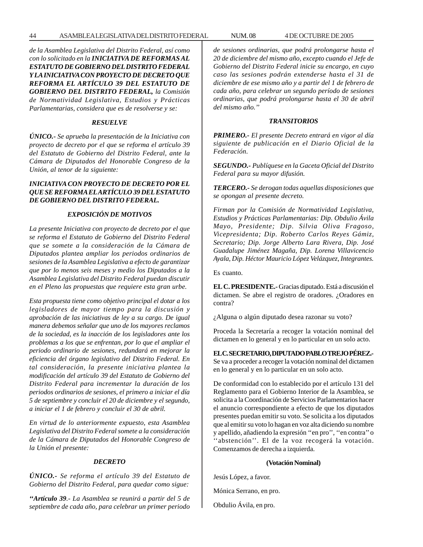*de la Asamblea Legislativa del Distrito Federal, así como con lo solicitado en la INICIATIVA DE REFORMAS AL ESTATUTO DE GOBIERNO DEL DISTRITO FEDERAL Y LA INICIATIVA CON PROYECTO DE DECRETO QUE REFORMA EL ARTÍCULO 39 DEL ESTATUTO DE GOBIERNO DEL DISTRITO FEDERAL, la Comisión de Normatividad Legislativa, Estudios y Prácticas Parlamentarias, considera que es de resolverse y se:*

## *RESUELVE*

*ÚNICO.- Se aprueba la presentación de la Iniciativa con proyecto de decreto por el que se reforma el artículo 39 del Estatuto de Gobierno del Distrito Federal, ante la Cámara de Diputados del Honorable Congreso de la Unión, al tenor de la siguiente:*

# *INICIATIVA CON PROYECTO DE DECRETO POR EL QUE SE REFORMA EL ARTÍCULO 39 DEL ESTATUTO DE GOBIERNO DEL DISTRITO FEDERAL.*

## *EXPOSICIÓN DE MOTIVOS*

*La presente Iniciativa con proyecto de decreto por el que se reforma el Estatuto de Gobierno del Distrito Federal que se somete a la consideración de la Cámara de Diputados plantea ampliar los periodos ordinarios de sesiones de la Asamblea Legislativa a efecto de garantizar que por lo menos seis meses y medio los Diputados a la Asamblea Legislativa del Distrito Federal puedan discutir en el Pleno las propuestas que requiere esta gran urbe.*

*Esta propuesta tiene como objetivo principal el dotar a los legisladores de mayor tiempo para la discusión y aprobación de las iniciativas de ley a su cargo. De igual manera debemos señalar que uno de los mayores reclamos de la sociedad, es la inacción de los legisladores ante los problemas a los que se enfrentan, por lo que el ampliar el periodo ordinario de sesiones, redundará en mejorar la eficiencia del órgano legislativo del Distrito Federal. En tal consideración, la presente iniciativa plantea la modificación del artículo 39 del Estatuto de Gobierno del Distrito Federal para incrementar la duración de los periodos ordinarios de sesiones, el primero a iniciar el día 5 de septiembre y concluir el 20 de diciembre y el segundo, a iniciar el 1 de febrero y concluir el 30 de abril.*

*En virtud de lo anteriormente expuesto, esta Asamblea Legislativa del Distrito Federal somete a la consideración de la Cámara de Diputados del Honorable Congreso de la Unión el presente:*

#### *DECRETO*

*ÚNICO.- Se reforma el artículo 39 del Estatuto de Gobierno del Distrito Federal, para quedar como sigue:*

*''Artículo 39.- La Asamblea se reunirá a partir del 5 de septiembre de cada año, para celebrar un primer periodo* *de sesiones ordinarias, que podrá prolongarse hasta el 20 de diciembre del mismo año, excepto cuando el Jefe de Gobierno del Distrito Federal inicie su encargo, en cuyo caso las sesiones podrán extenderse hasta el 31 de diciembre de ese mismo año y a partir del 1 de febrero de cada año, para celebrar un segundo período de sesiones ordinarias, que podrá prolongarse hasta el 30 de abril del mismo año.''*

#### *TRANSITORIOS*

*PRIMERO.- El presente Decreto entrará en vigor al día siguiente de publicación en el Diario Oficial de la Federación.*

*SEGUNDO.- Publíquese en la Gaceta Oficial del Distrito Federal para su mayor difusión.*

*TERCERO.- Se derogan todas aquellas disposiciones que se opongan al presente decreto.*

*Firman por la Comisión de Normatividad Legislativa, Estudios y Prácticas Parlamentarias: Dip. Obdulio Ávila Mayo, Presidente; Dip. Silvia Oliva Fragoso, Vicepresidenta; Dip. Roberto Carlos Reyes Gámiz, Secretario; Dip. Jorge Alberto Lara Rivera, Dip. José Guadalupe Jiménez Magaña, Dip. Lorena Villavicencio Ayala, Dip. Héctor Mauricio López Velázquez, Integrantes.*

Es cuanto.

**EL C. PRESIDENTE.-** Gracias diputado. Está a discusión el dictamen. Se abre el registro de oradores. ¿Oradores en contra?

¿Alguna o algún diputado desea razonar su voto?

Proceda la Secretaría a recoger la votación nominal del dictamen en lo general y en lo particular en un solo acto.

**EL C. SECRETARIO, DIPUTADO PABLO TREJO PÉREZ.-** Se va a proceder a recoger la votación nominal del dictamen en lo general y en lo particular en un solo acto.

De conformidad con lo establecido por el artículo 131 del Reglamento para el Gobierno Interior de la Asamblea, se solicita a la Coordinación de Servicios Parlamentarios hacer el anuncio correspondiente a efecto de que los diputados presentes puedan emitir su voto. Se solicita a los diputados que al emitir su voto lo hagan en voz alta diciendo su nombre y apellido, añadiendo la expresión ''en pro'', ''en contra'' o ''abstención''. El de la voz recogerá la votación. Comenzamos de derecha a izquierda.

#### **(Votación Nominal)**

Jesús López, a favor.

- Mónica Serrano, en pro.
- Obdulio Ávila, en pro.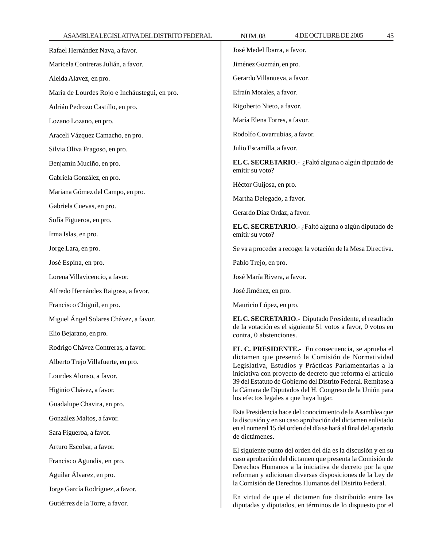| Rafael Hernández Nava, a favor.               | José Medel Ibarra, a favor.                                                                                                                                                                                                                                                                                                                                                                                                                                                                                                                                                                                         |
|-----------------------------------------------|---------------------------------------------------------------------------------------------------------------------------------------------------------------------------------------------------------------------------------------------------------------------------------------------------------------------------------------------------------------------------------------------------------------------------------------------------------------------------------------------------------------------------------------------------------------------------------------------------------------------|
| Maricela Contreras Julián, a favor.           | Jiménez Guzmán, en pro.                                                                                                                                                                                                                                                                                                                                                                                                                                                                                                                                                                                             |
| Aleida Alavez, en pro.                        | Gerardo Villanueva, a favor.                                                                                                                                                                                                                                                                                                                                                                                                                                                                                                                                                                                        |
| María de Lourdes Rojo e Incháustegui, en pro. | Efraín Morales, a favor.                                                                                                                                                                                                                                                                                                                                                                                                                                                                                                                                                                                            |
| Adrián Pedrozo Castillo, en pro.              | Rigoberto Nieto, a favor.                                                                                                                                                                                                                                                                                                                                                                                                                                                                                                                                                                                           |
| Lozano Lozano, en pro.                        | María Elena Torres, a favor.                                                                                                                                                                                                                                                                                                                                                                                                                                                                                                                                                                                        |
| Araceli Vázquez Camacho, en pro.              | Rodolfo Covarrubias, a favor.                                                                                                                                                                                                                                                                                                                                                                                                                                                                                                                                                                                       |
| Silvia Oliva Fragoso, en pro.                 | Julio Escamilla, a favor.                                                                                                                                                                                                                                                                                                                                                                                                                                                                                                                                                                                           |
| Benjamín Muciño, en pro.                      | <b>EL C. SECRETARIO.</b> - ¿Faltó alguna o algún diputado de<br>emitir su voto?                                                                                                                                                                                                                                                                                                                                                                                                                                                                                                                                     |
| Gabriela González, en pro.                    | Héctor Guijosa, en pro.<br>Martha Delegado, a favor.                                                                                                                                                                                                                                                                                                                                                                                                                                                                                                                                                                |
| Mariana Gómez del Campo, en pro.              |                                                                                                                                                                                                                                                                                                                                                                                                                                                                                                                                                                                                                     |
| Gabriela Cuevas, en pro.                      | Gerardo Díaz Ordaz, a favor.                                                                                                                                                                                                                                                                                                                                                                                                                                                                                                                                                                                        |
| Sofía Figueroa, en pro.                       | EL C. SECRETARIO.- ¿Faltó alguna o algún diputado de<br>emitir su voto?                                                                                                                                                                                                                                                                                                                                                                                                                                                                                                                                             |
| Irma Islas, en pro.                           |                                                                                                                                                                                                                                                                                                                                                                                                                                                                                                                                                                                                                     |
| Jorge Lara, en pro.                           | Se va a proceder a recoger la votación de la Mesa Directiva.                                                                                                                                                                                                                                                                                                                                                                                                                                                                                                                                                        |
| José Espina, en pro.                          | Pablo Trejo, en pro.                                                                                                                                                                                                                                                                                                                                                                                                                                                                                                                                                                                                |
| Lorena Villavicencio, a favor.                | José María Rivera, a favor.                                                                                                                                                                                                                                                                                                                                                                                                                                                                                                                                                                                         |
| Alfredo Hernández Raigosa, a favor.           | José Jiménez, en pro.                                                                                                                                                                                                                                                                                                                                                                                                                                                                                                                                                                                               |
| Francisco Chiguil, en pro.                    | Mauricio López, en pro.                                                                                                                                                                                                                                                                                                                                                                                                                                                                                                                                                                                             |
| Miguel Ángel Solares Chávez, a favor.         | EL C. SECRETARIO. - Diputado Presidente, el resultado<br>de la votación es el siguiente 51 votos a favor, 0 votos en<br>contra, 0 abstenciones.                                                                                                                                                                                                                                                                                                                                                                                                                                                                     |
| Elio Bejarano, en pro.                        |                                                                                                                                                                                                                                                                                                                                                                                                                                                                                                                                                                                                                     |
| Rodrigo Chávez Contreras, a favor.            | EL C. PRESIDENTE.- En consecuencia, se aprueba el<br>dictamen que presentó la Comisión de Normatividad<br>Legislativa, Estudios y Prácticas Parlamentarias a la<br>iniciativa con proyecto de decreto que reforma el artículo<br>39 del Estatuto de Gobierno del Distrito Federal. Remítase a<br>la Cámara de Diputados del H. Congreso de la Unión para<br>los efectos legales a que haya lugar.<br>Esta Presidencia hace del conocimiento de la Asamblea que<br>la discusión y en su caso aprobación del dictamen enlistado<br>en el numeral 15 del orden del día se hará al final del apartado<br>de dictámenes. |
| Alberto Trejo Villafuerte, en pro.            |                                                                                                                                                                                                                                                                                                                                                                                                                                                                                                                                                                                                                     |
| Lourdes Alonso, a favor.                      |                                                                                                                                                                                                                                                                                                                                                                                                                                                                                                                                                                                                                     |
| Higinio Chávez, a favor.                      |                                                                                                                                                                                                                                                                                                                                                                                                                                                                                                                                                                                                                     |
| Guadalupe Chavira, en pro.                    |                                                                                                                                                                                                                                                                                                                                                                                                                                                                                                                                                                                                                     |
| González Maltos, a favor.                     |                                                                                                                                                                                                                                                                                                                                                                                                                                                                                                                                                                                                                     |
| Sara Figueroa, a favor.                       |                                                                                                                                                                                                                                                                                                                                                                                                                                                                                                                                                                                                                     |
| Arturo Escobar, a favor.                      | El siguiente punto del orden del día es la discusión y en su<br>caso aprobación del dictamen que presenta la Comisión de<br>Derechos Humanos a la iniciativa de decreto por la que<br>reforman y adicionan diversas disposiciones de la Ley de<br>la Comisión de Derechos Humanos del Distrito Federal.<br>En virtud de que el dictamen fue distribuido entre las                                                                                                                                                                                                                                                   |
| Francisco Agundis, en pro.                    |                                                                                                                                                                                                                                                                                                                                                                                                                                                                                                                                                                                                                     |
| Aguilar Álvarez, en pro.                      |                                                                                                                                                                                                                                                                                                                                                                                                                                                                                                                                                                                                                     |
| Jorge García Rodríguez, a favor.              |                                                                                                                                                                                                                                                                                                                                                                                                                                                                                                                                                                                                                     |
| Gutiérrez de la Torre, a favor.               | diputadas y diputados, en términos de lo dispuesto por el                                                                                                                                                                                                                                                                                                                                                                                                                                                                                                                                                           |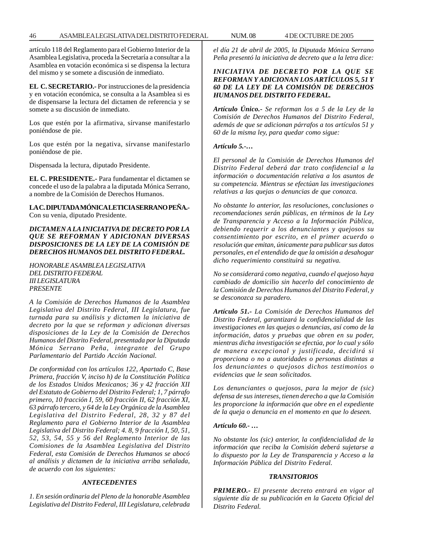artículo 118 del Reglamento para el Gobierno Interior de la Asamblea Legislativa, proceda la Secretaría a consultar a la Asamblea en votación económica si se dispensa la lectura del mismo y se somete a discusión de inmediato.

**EL C. SECRETARIO.-** Por instrucciones de la presidencia y en votación económica, se consulta a la Asamblea si es de dispensarse la lectura del dictamen de referencia y se somete a su discusión de inmediato.

Los que estén por la afirmativa, sírvanse manifestarlo poniéndose de pie.

Los que estén por la negativa, sírvanse manifestarlo poniéndose de pie.

Dispensada la lectura, diputado Presidente.

**EL C. PRESIDENTE.-** Para fundamentar el dictamen se concede el uso de la palabra a la diputada Mónica Serrano, a nombre de la Comisión de Derechos Humanos.

**LA C. DIPUTADA MÓNICA LETICIA SERRANO PEÑA.-** Con su venia, diputado Presidente.

# *DICTAMEN A LA INICIATIVA DE DECRETO POR LA QUE SE REFORMAN Y ADICIONAN DIVERSAS DISPOSICIONES DE LA LEY DE LA COMISIÓN DE DERECHOS HUMANOS DEL DISTRITO FEDERAL.*

*HONORABLE ASAMBLEA LEGISLATIVA DEL DISTRITO FEDERAL III LEGISLATURA PRESENTE*

*A la Comisión de Derechos Humanos de la Asamblea Legislativa del Distrito Federal, III Legislatura, fue turnada para su análisis y dictamen la iniciativa de decreto por la que se reforman y adicionan diversas disposiciones de la Ley de la Comisión de Derechos Humanos del Distrito Federal, presentada por la Diputada Mónica Serrano Peña, integrante del Grupo Parlamentario del Partido Acción Nacional.*

*De conformidad con los artículos 122, Apartado C, Base Primera, fracción V, inciso h) de la Constitución Política de los Estados Unidos Mexicanos; 36 y 42 fracción XII del Estatuto de Gobierno del Distrito Federal; 1, 7 párrafo primero, 10 fracción I, 59, 60 fracción II, 62 fracción XI, 63 párrafo tercero, y 64 de la Ley Orgánica de la Asamblea Legislativa del Distrito Federal, 28, 32 y 87 del Reglamento para el Gobierno Interior de la Asamblea Legislativa del Distrito Federal; 4. 8, 9 fracción I, 50, 51, 52, 53, 54, 55 y 56 del Reglamento Interior de las Comisiones de la Asamblea Legislativa del Distrito Federal, esta Comisión de Derechos Humanos se abocó al análisis y dictamen de la iniciativa arriba señalada, de acuerdo con los siguientes:*

# *ANTECEDENTES*

*1. En sesión ordinaria del Pleno de la honorable Asamblea Legislativa del Distrito Federal, III Legislatura, celebrada* *el día 21 de abril de 2005, la Diputada Mónica Serrano Peña presentó la iniciativa de decreto que a la letra dice:*

# *INICIATIVA DE DECRETO POR LA QUE SE REFORMAN Y ADICIONAN LOS ARTÍCULOS 5, 51 Y 60 DE LA LEY DE LA COMISIÓN DE DERECHOS HUMANOS DEL DISTRITO FEDERAL.*

*Artículo Único.- Se reforman los a 5 de la Ley de la Comisión de Derechos Humanos del Distrito Federal, además de que se adicionan párrafos a tos artículos 51 y 60 de la misma ley, para quedar como sigue:*

## *Artículo 5.-…*

*El personal de la Comisión de Derechos Humanos del Distrito Federal deberá dar trato confidencial a la información o documentación relativa a los asuntos de su competencia. Mientras se efectúan las investigaciones relativas a las quejas o denuncias de que conozca.*

*No obstante lo anterior, las resoluciones, conclusiones o recomendaciones serán públicas, en términos de la Ley de Transparencia y Acceso a la Información Pública, debiendo requerir a los denunciantes y quejosos su consentimiento por escrito, en el primer acuerdo o resolución que emitan, únicamente para publicar sus datos personales, en el entendido de que la omisión a desahogar dicho requerimiento constituirá su negativa.*

*No se considerará como negativa, cuando el quejoso haya cambiado de domicilio sin hacerlo del conocimiento de la Comisión de Derechos Humanos del Distrito Federal, y se desconozca su paradero.*

*Artículo 51.- La Comisión de Derechos Humanos del Distrito Federal, garantizará la confidencialidad de las investigaciones en las quejas o denuncias, así como de la información, datos y pruebas que obren en su poder, mientras dicha investigación se efectúa, por lo cual y sólo de manera excepcional y justificada, decidirá si proporciona o no a autoridades o personas distintas a los denunciantes o quejosos dichos testimonios o evidencias que le sean solicitados.*

*Los denunciantes o quejosos, para la mejor de (sic) defensa de sus intereses, tienen derecho a que la Comisión les proporcione la información que obre en el expediente de la queja o denuncia en el momento en que lo deseen.*

### *Artículo 60.- …*

*No obstante los (sic) anterior, la confidencialidad de la información que reciba la Comisión deberá sujetarse a lo dispuesto por la Ley de Transparencia y Acceso a la Información Pública del Distrito Federal.*

### *TRANSITORIOS*

*PRIMERO.- El presente decreto entrará en vigor al siguiente día de su publicación en la Gaceta Oficial del Distrito Federal.*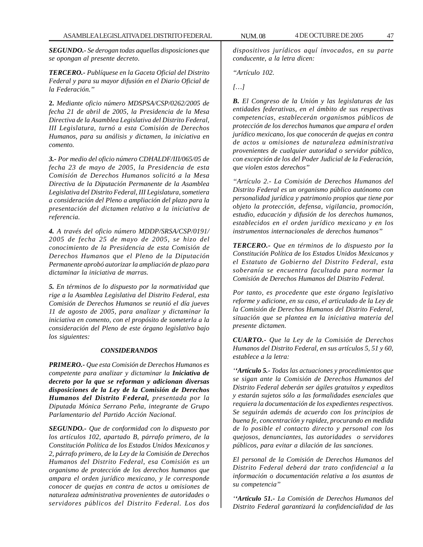*SEGUNDO.- Se derogan todas aquellas disposiciones que se opongan al presente decreto*.

*TERCERO.- Publíquese en la Gaceta Oficial del Distrito Federal y para su mayor difusión en el Diario Oficial de la Federación.''*

**2.** *Mediante oficio número MDSPSA/CSP/0262/2005 de fecha 21 de abril de 2005, la Presidencia de la Mesa Directiva de la Asamblea Legislativa del Distrito Federal, III Legislatura, turnó a esta Comisión de Derechos Humanos, para su análisis y dictamen, la iniciativa en comento.*

*3.- Por medio del oficio número CDHALDF/III/065/05 de fecha 23 de mayo de 2005, la Presidencia de esta Comisión de Derechos Humanos solicitó a la Mesa Directiva de la Diputación Permanente de la Asamblea Legislativa del Distrito Federal, III Legislatura, sometiera a consideración del Pleno a ampliación del plazo para la presentación del dictamen relativo a la iniciativa de referencia.*

*4. A través del oficio número MDDP/SRSA/CSP/0191/ 2005 de fecha 25 de mayo de 2005, se hizo del conocimiento de la Presidencia de esta Comisión de Derechos Humanos que el Pleno de la Diputación Permanente aprobó autorizar la ampliación de plazo para dictaminar la iniciativa de marras.*

*5. En términos de lo dispuesto por la normatividad que rige a la Asamblea Legislativa del Distrito Federal, esta Comisión de Derechos Humanos se reunió el día jueves 11 de agosto de 2005, para analizar y dictaminar la iniciativa en comento, con el propósito de someterla a la consideración del Pleno de este órgano legislativo bajo los siguientes:*

### *CONSIDERANDOS*

*PRIMERO.- Que esta Comisión de Derechos Humanos es competente para analizar y dictaminar la Iniciativa de decreto por la que se reforman y adicionan diversas disposiciones de la Ley de la Comisión de Derechos Humanos del Distrito Federal, presentada por la Diputada Mónica Serrano Peña, integrante de Grupo Parlamentario del Partido Acción Nacional.*

*SEGUNDO.- Que de conformidad con lo dispuesto por los artículos 102, apartado B, párrafo primero, de la Constitución Política de los Estados Unidos Mexicanos y 2, párrafo primero, de la Ley de la Comisión de Derechos Humanos del Distrito Federal, esa Comisión es un organismo de protección de los derechos humanos que ampara el orden jurídico mexicano, y le corresponde conocer de quejas en contra de actos u omisiones de naturaleza administrativa provenientes de autoridades o servidores públicos del Distrito Federal. Los dos*

*dispositivos jurídicos aquí invocados, en su parte conducente, a la letra dicen:*

*''Artículo 102.*

*[…]*

*B. El Congreso de la Unión y las legislaturas de las entidades federativas, en el ámbito de sus respectivas competencias, establecerán organismos públicos de protección de los derechos humanos que ampara el orden jurídico mexicano, los que conocerán de quejas en contra de actos u omisiones de naturaleza administrativa provenientes de cualquier autoridad o servidor público, con excepción de los del Poder Judicial de la Federación, que violen estos derechos''*

*''Artículo 2.- La Comisión de Derechos Humanos del Distrito Federal es un organismo público autónomo con personalidad jurídica y patrimonio propios que tiene por objeto la protección, defensa, vigilancia, promoción, estudio, educación y difusión de los derechos humanos, establecidos en el orden jurídico mexicano y en los instrumentos internacionales de derechos humanos''*

*TERCERO.- Que en términos de lo dispuesto por la Constitución Política de los Estados Unidos Mexicanos y el Estatuto de Gobierno del Distrito Federal, esta soberanía se encuentra facultada para normar la Comisión de Derechos Humanos del Distrito Federal.*

*Por tanto, es procedente que este órgano legislativo reforme y adicione, en su caso, el articulado de la Ley de la Comisión de Derechos Humanos del Distrito Federal, situación que se plantea en la iniciativa materia del presente dictamen.*

*CUARTO.- Que la Ley de la Comisión de Derechos Humanos del Distrito Federal, en sus artículos 5, 51 y 60, establece a la letra:*

*''Artículo 5.- Todas las actuaciones y procedimientos que se sigan ante la Comisión de Derechos Humanos del Distrito Federal deberán ser ágiles gratuitos y expeditos y estarán sujetos sólo a las formalidades esenciales que requiera la documentación de los expedientes respectivos. Se seguirán además de acuerdo con los principios de buena fe, concentración y rapidez, procurando en medida de lo posible el contacto directo y personal con los quejosos, denunciantes, las autoridades o servidores públicos, para evitar a dilación de las sanciones.*

*El personal de la Comisión de Derechos Humanos del Distrito Federal deberá dar trato confidencial a la información o documentación relativa a los asuntos de su competencia''*

*''Articulo 51.- La Comisión de Derechos Humanos del Distrito Federal garantizará la confidencialidad de las*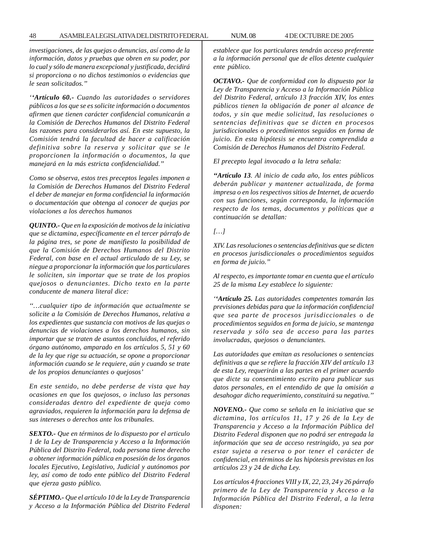*investigaciones, de las quejas o denuncias, así como de la información, datos y pruebas que obren en su poder, por lo cual y sólo de manera excepcional y justificada, decidirá si proporciona o no dichos testimonios o evidencias que le sean solicitados.''*

*''Artículo 60.- Cuando las autoridades o servidores públicos a los que se es solicite información o documentos afirmen que tienen carácter confidencial comunicarán a la Comisión de Derechos Humanos del Distrito Federal las razones para considerarlos así. En este supuesto, la Comisión tendrá la facultad de hacer a calificación definitiva sobre la reserva y solicitar que se le proporcionen la información o documentos, la que manejará en la más estricta confidencialidad.''*

*Como se observa, estos tres preceptos legales imponen a la Comisión de Derechos Humanos del Distrito Federal el deber de manejar en forma confidencial la información o documentación que obtenga al conocer de quejas por violaciones a los derechos humanos*

*QUINTO.- Que en la exposición de motivos de la iniciativa que se dictamina, específicamente en el tercer párrafo de la página tres, se pone de manifiesto la posibilidad de que la Comisión de Derechos Humanos del Distrito Federal, con base en el actual articulado de su Ley, se niegue a proporcionar la información que los particulares le soliciten, sin importar que se trate de los propios quejosos o denunciantes. Dicho texto en la parte conducente de manera literal dice:*

*''…cualquier tipo de información que actualmente se solicite a la Comisión de Derechos Humanos, relativa a los expedientes que sustancia con motivos de las quejas o denuncias de violaciones a los derechos humanos, sin importar que se traten de asuntos concluidos, el referido órgano autónomo, amparado en los artículos 5, 51 y 60 de la ley que rige su actuación, se opone a proporcionar información cuando se le requiere, aún y cuando se trate de los propios denunciantes o quejosos'*

*En este sentido, no debe perderse de vista que hay ocasiones en que los quejosos, o incluso las personas consideradas dentro del expediente de queja como agraviados, requieren la información para la defensa de sus intereses o derechos ante los tribunales.*

*SEXTO.- Que en términos de lo dispuesto por el articulo 1 de la Ley de Transparencia y Acceso a la Información Pública del Distrito Federal, toda persona tiene derecho a obtener información pública en posesión de los órganos locales Ejecutivo, Legislativo, Judicial y autónomos por ley, así como de todo ente público del Distrito Federal que ejerza gasto público.*

*SÉPTIMO.- Que el artículo 10 de la Ley de Transparencia y Acceso a la Información Pública del Distrito Federal* *establece que los particulares tendrán acceso preferente a la información personal que de ellos detente cualquier ente público.*

*OCTAVO.- Que de conformidad con lo dispuesto por la Ley de Transparencia y Acceso a la Información Pública del Distrito Federal, artículo 13 fracción XIV, los entes públicos tienen la obligación de poner al alcance de todos, y sin que medie solicitud, las resoluciones o sentencias definitivas que se dicten en procesos jurisdiccionales o procedimientos seguidos en forma de juicio. En esta hipótesis se encuentra comprendida a Comisión de Derechos Humanos del Distrito Federal.*

*El precepto legal invocado a la letra señala:*

*''Artículo 13. Al inicio de cada año, los entes públicos deberán publicar y mantener actualizada, de forma impresa o en los respectivos sitios de Internet, de acuerdo con sus funciones, según corresponda, la información respecto de los temas, documentos y políticas que a continuación se detallan:*

## *[…]*

*XIV. Las resoluciones o sentencias definitivas que se dicten en procesos jurisdiccionales o procedimientos seguidos en forma de juicio.''*

*Al respecto, es importante tomar en cuenta que el artículo 25 de la misma Ley establece lo siguiente:*

*''Artículo 25. Las autoridades competentes tomarán las previsiones debidas para que la información confidencial que sea parte de procesos jurisdiccionales o de procedimientos seguidos en forma de juicio, se mantenga reservada y sólo sea de acceso para las partes involucradas, quejosos o denunciantes.*

*Las autoridades que emitan as resoluciones o sentencias definitivas a que se refiere la fracción XIV del artículo 13 de esta Ley, requerirán a las partes en el primer acuerdo que dicte su consentimiento escrito para publicar sus datos personales, en el entendido de que la omisión a desahogar dicho requerimiento, constituirá su negativa.''*

*NOVENO.- Que como se señala en la iniciativa que se dictamina, los artículos 11, 17 y 26 de la Ley de Transparencia y Acceso a la Información Pública del Distrito Federal disponen que no podrá ser entregada la información que sea de acceso restringido, ya sea por estar sujeta a reserva o por tener el carácter de confidencial, en términos de las hipótesis previstas en los artículos 23 y 24 de dicha Ley.*

*Los artículos 4 fracciones VIII y IX, 22, 23, 24 y 26 párrafo primero de la Ley de Transparencia y Acceso a la Información Pública del Distrito Federal, a la letra disponen:*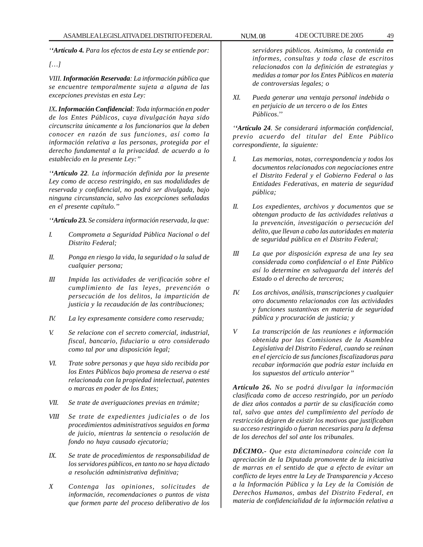*''Artículo 4. Para los efectos de esta Ley se entiende por:*

*[…]*

*VIII. Información Reservada: La información pública que se encuentre temporalmente sujeta a alguna de las excepciones previstas en esta Ley:*

*IX. Información Confidencial: Toda información en poder de los Entes Públicos, cuya divulgación haya sido circunscrita únicamente a los funcionarios que la deben conocer en razón de sus funciones, así como la información relativa a las personas, protegida por el derecho fundamental a la privacidad. de acuerdo a lo establecido en la presente Ley:''*

*''Artículo 22. La información definida por la presente Ley como de acceso restringido, en sus modalidades de reservada y confidencial, no podrá ser divulgada, bajo ninguna circunstancia, salvo las excepciones señaladas en el presente capítulo.''*

*''Artículo 23. Se considera información reservada, la que:*

- *I. Comprometa a Seguridad Pública Nacional o del Distrito Federal;*
- *II. Ponga en riesgo la vida, la seguridad o la salud de cualquier persona;*
- *III Impida las actividades de verificación sobre el cumplimiento de las leyes, prevención o persecución de los delitos, la impartición de justicia y la recaudación de las contribuciones;*
- *IV. La ley expresamente considere como reservada;*
- *V. Se relacione con el secreto comercial, industrial, fiscal, bancario, fiduciario u otro considerado como tal por una disposición legal;*
- *VI. Trate sobre personas y que haya sido recibida por los Entes Públicos bajo promesa de reserva o esté relacionada con la propiedad intelectual, patentes o marcas en poder de los Entes;*
- *VII. Se trate de averiguaciones previas en trámite;*
- *VIII Se trate de expedientes judiciales o de los procedimientos administrativos seguidos en forma de juicio, mientras la sentencia o resolución de fondo no haya causado ejecutoria;*
- *IX. Se trate de procedimientos de responsabilidad de los servidores públicos, en tanto no se haya dictado a resolución administrativa definitiva;*
- *X Contenga las opiniones, solicitudes de información, recomendaciones o puntos de vista que formen parte del proceso deliberativo de los*

*servidores públicos. Asimismo, la contenida en informes, consultas y toda clase de escritos relacionados con la definición de estrategias y medidas a tomar por los Entes Públicos en materia de controversias legales; o*

*XI. Pueda generar una ventaja personal indebida o en perjuicio de un tercero o de los Entes Públicos*.''

*''Artículo 24. Se considerará información confidencial, previo acuerdo del titular del Ente Público correspondiente, la siguiente:*

- *I. Las memorias, notas, correspondencia y todos los documentos relacionados con negociaciones entre el Distrito Federal y el Gobierno Federal o las Entidades Federativas, en materia de seguridad pública;*
- *II. Los expedientes, archivos y documentos que se obtengan producto de las actividades relativas a la prevención, investigación o persecución del delito, que llevan a cabo las autoridades en materia de seguridad pública en el Distrito Federal;*
- *III La que por disposición expresa de una ley sea considerada como confidencial o el Ente Público así lo determine en salvaguarda del interés del Estado o el derecho de terceros;*
- *IV. Los archivos, análisis, transcripciones y cualquier otro documento relacionados con las actividades y funciones sustantivas en materia de seguridad pública y procuración de justicia; y*
- *V La transcripción de las reuniones e información obtenida por las Comisiones de la Asamblea Legislativa del Distrito Federal, cuando se reúnan en el ejercicio de sus funciones fiscalizadoras para recabar información que podría estar incluida en los supuestos del articulo anterior''*

*Artículo 26. No se podrá divulgar la información clasificada como de acceso restringido, por un período de diez años contados a partir de su clasificación como tal, salvo que antes del cumplimiento del período de restricción dejaren de existir los motivos que justificaban su acceso restringido o fueran necesarias para la defensa de los derechos del sol ante los tribunales.*

*DÉCIMO.- Que esta dictaminadora coincide con la apreciación de la Diputada promovente de la iniciativa de marras en el sentido de que a efecto de evitar un conflicto de leyes entre la Ley de Transparencia y Acceso a la Información Pública y la Ley de la Comisión de Derechos Humanos, ambas del Distrito Federal, en materia de confidencialidad de la información relativa a*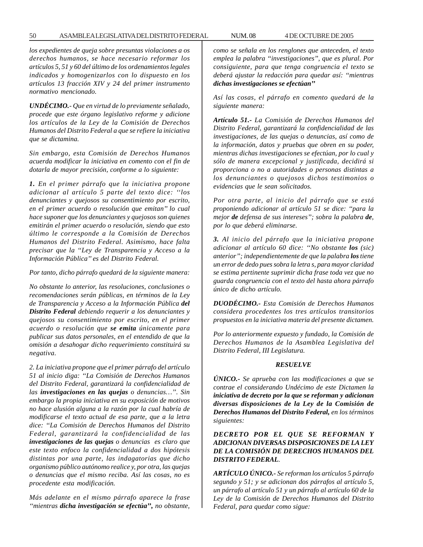*los expedientes de queja sobre presuntas violaciones a os derechos humanos, se hace necesario reformar los artículos 5, 51 y 60 del último de los ordenamientos legales indicados y homogenizarlos con lo dispuesto en los artículos 13 fracción XIV y 24 del primer instrumento normativo mencionado.*

*UNDÉCIMO.- Que en virtud de lo previamente señalado, procede que este órgano legislativo reforme y adicione los artículos de la Ley de la Comisión de Derechos Humanos del Distrito Federal a que se refiere la iniciativa que se dictamina.*

*Sin embargo, esta Comisión de Derechos Humanos acuerda modificar la iniciativa en comento con el fin de dotarla de mayor precisión, conforme a lo siguiente:*

*1. En el primer párrafo que la iniciativa propone adicionar al artículo 5 parte del texto dice: ''los denunciantes y quejosos su consentimiento por escrito, en el primer acuerdo o resolución que emitan'' lo cual hace suponer que los denunciantes y quejosos son quienes emitirán el primer acuerdo o resolución, siendo que esto último le corresponde a la Comisión de Derechos Humanos del Distrito Federal. Asimismo, hace falta precisar que la ''Ley de Transparencia y Acceso a la Información Pública'' es del Distrito Federal.*

*Por tanto, dicho párrafo quedará de la siguiente manera:*

*No obstante lo anterior, las resoluciones, conclusiones o recomendaciones serán públicas, en términos de la Ley de Transparencia y Acceso a la Información Pública del Distrito Federal debiendo requerir a los denunciantes y quejosos su consentimiento por escrito, en el primer acuerdo o resolución que se emita únicamente para publicar sus datos personales, en el entendido de que la omisión a desahogar dicho requerimiento constituirá su negativa.*

*2. La iniciativa propone que el primer párrafo del artículo 51 al inicio diga: ''La Comisión de Derechos Humanos del Distrito Federal, garantizará la confidencialidad de las investigaciones en las quejas o denuncias…''. Sin embargo la propia iniciativa en su exposición de motivos no hace alusión alguna a la razón por la cual habría de modificarse el texto actual de esa parte, que a la letra dice: ''La Comisión de Derechos Humanos del Distrito Federal, garantizará la confidencialidad de las investigaciones de las quejas o denuncias es claro que este texto enfoco la confidencialidad a dos hipótesis distintas por una parte, las indagatorias que dicho organismo público autónomo realice y, por otra, las quejas o denuncias que el mismo reciba. Así las cosas, no es procedente esta modificación.*

*Más adelante en el mismo párrafo aparece la frase ''mientras dicha investigación se efectúa'', no obstante,*

*como se señala en los renglones que anteceden, el texto emplea la palabra ''investigaciones'', que es plural. Por consiguiente, para que tenga congruencia el texto se deberá ajustar la redacción para quedar así: ''mientras dichas investigaciones se efectúan''*

*Así las cosas, el párrafo en comento quedará de la siguiente manera:*

*Artículo 51.- La Comisión de Derechos Humanos del Distrito Federal, garantizará la confidencialidad de las investigaciones, de las quejas o denuncias, así como de la información, datos y pruebas que obren en su poder, mientras dichas investigaciones se efectúan, por lo cual y sólo de manera excepcional y justificada, decidirá si proporciona o no a autoridades o personas distintas a los denunciantes o quejosos dichos testimonios o evidencias que le sean solicitados.*

*Por otra parte, al inicio del párrafo que se está proponiendo adicionar al artículo 51 se dice: ''para la mejor de defensa de sus intereses''; sobra la palabra de, por lo que deberá eliminarse.*

*3. Al inicio del párrafo que la iniciativa propone adicionar al artículo 60 dice: ''No obstante los (sic) anterior''; independientemente de que la palabra los tiene un error de dedo pues sobra la letra s, para mayor claridad se estima pertinente suprimir dicha frase toda vez que no guarda congruencia con el texto del hasta ahora párrafo único de dicho artículo.*

*DUODÉCIMO.- Esta Comisión de Derechos Humanos considera procedentes los tres artículos transitorios propuestos en la iniciativa materia del presente dictamen.*

*Por lo anteriormente expuesto y fundado, la Comisión de Derechos Humanos de la Asamblea Legislativa del Distrito Federal, III Legislatura.*

### *RESUELVE*

*ÚNICO.- Se aprueba con las modificaciones a que se contrae el considerando Undécimo de este Dictamen la iniciativa de decreto por la que se reforman y adicionan diversas disposiciones de la Ley de la Comisión de Derechos Humanos del Distrito Federal, en los términos siguientes:*

*DECRETO POR EL QUE SE REFORMAN Y ADICIONAN DIVERSAS DISPOSICIONES DE LA LEY DE LA COMISIÓN DE DERECHOS HUMANOS DEL DISTRITO FEDERAL*.

*ARTÍCULO ÚNICO.- Se reforman los artículos 5 párrafo segundo y 51; y se adicionan dos párrafos al artículo 5, un párrafo al artículo 51 y un párrafo al artículo 60 de la Ley de la Comisión de Derechos Humanos del Distrito Federal, para quedar como sigue:*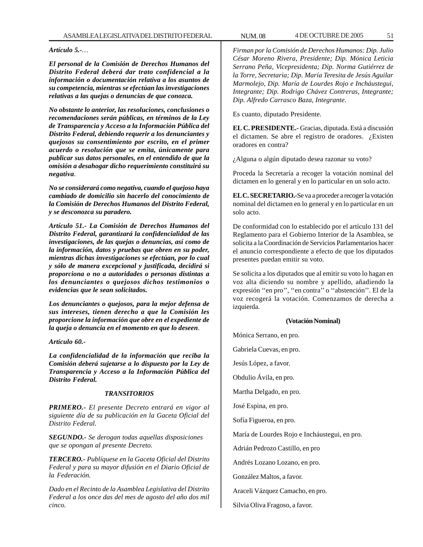*Artículo 5.-…*

*El personal de la Comisión de Derechos Humanos del Distrito Federal deberá dar trato confidencial a la información o documentación relativa a los asuntos de su competencia, mientras se efectúan las investigaciones relativas a las quejas o denuncias de que conozca.*

*No obstante lo anterior, las resoluciones, conclusiones o recomendaciones serán públicas, en términos de la Ley de Transparencia y Acceso a la Información Pública del Distrito Federal, debiendo requerir a los denunciantes y quejosos su consentimiento por escrito, en el primer acuerdo o resolución que se emita, únicamente para publicar sus datos personales, en el entendido de que la omisión a desahogar dicho requerimiento constituirá su negativa.*

*No se considerará como negativa, cuando el quejoso haya cambiado de domicilio sin hacerlo del conocimiento de la Comisión de Derechos Humanos del Distrito Federal, y se desconozca su paradero.*

*Artículo 51.- La Comisión de Derechos Humanos del Distrito Federal, garantizará la confidencialidad de las investigaciones, de las quejas o denuncias, así como de la información, datos y pruebas que obren en su poder, mientras dichas investigaciones se efectúan, por lo cual y sólo de manera excepcional y justificada, decidirá si proporciona o no a autoridades o personas distintas a los denunciantes o quejosos dichos testimonios o evidencias que le sean solicitados.*

*Los denunciantes o quejosos, para la mejor defensa de sus intereses, tienen derecho a que la Comisión les proporcione la información que obre en el expediente de la queja o denuncia en el momento en que lo deseen*.

*Artículo 60.-*

*La confidencialidad de la información que reciba la Comisión deberá sujetarse a lo dispuesto por la Ley de Transparencia y Acceso a la Información Pública del Distrito Federal.*

## *TRANSITORIOS*

*PRIMERO.- El presente Decreto entrará en vigor al siguiente día de su publicación en la Gaceta Oficial del Distrito Federal.*

*SEGUNDO.- Se derogan todas aquellas disposiciones que se opongan al presente Decreto.*

*TERCERO.- Publíquese en la Gaceta Oficial del Distrito Federal y para su mayor difusión en el Diario Oficial de la Federación.*

*Dado en el Recinto de la Asamblea Legislativa del Distrito Federal a los once das del mes de agosto del año dos mil cinco.*

*Firman por la Comisión de Derechos Humanos: Dip. Julio César Moreno Rivera, Presidente; Dip. Mónica Leticia Serrano Peña, Vicepresidenta; Dip. Norma Gutiérrez de la Torre, Secretaria; Dip. María Teresita de Jesús Aguilar Marmolejo, Dip. María de Lourdes Rojo e Incháustegui, Integrante; Dip. Rodrigo Chávez Contreras, Integrante; Dip. Alfredo Carrasco Baza, Integrante.*

Es cuanto, diputado Presidente.

**EL C. PRESIDENTE.-** Gracias, diputada. Está a discusión el dictamen. Se abre el registro de oradores. ¿Existen oradores en contra?

¿Alguna o algún diputado desea razonar su voto?

Proceda la Secretaría a recoger la votación nominal del dictamen en lo general y en lo particular en un solo acto.

**EL C. SECRETARIO.-**Se va a proceder a recoger la votación nominal del dictamen en lo general y en lo particular en un solo acto.

De conformidad con lo establecido por el artículo 131 del Reglamento para el Gobierno Interior de la Asamblea, se solicita a la Coordinación de Servicios Parlamentarios hacer el anuncio correspondiente a efecto de que los diputados presentes puedan emitir su voto.

Se solicita a los diputados que al emitir su voto lo hagan en voz alta diciendo su nombre y apellido, añadiendo la expresión ''en pro'', ''en contra'' o ''abstención''. El de la voz recogerá la votación. Comenzamos de derecha a izquierda.

### **(Votación Nominal)**

Mónica Serrano, en pro.

Gabriela Cuevas, en pro.

Jesús López, a favor.

Obdulio Ávila, en pro.

Martha Delgado, en pro.

José Espina, en pro.

Sofía Figueroa, en pro.

María de Lourdes Rojo e Incháustegui, en pro.

Adrián Pedrozo Castillo, en pro

Andrés Lozano Lozano, en pro.

González Maltos, a favor.

Araceli Vázquez Camacho, en pro.

Silvia Oliva Fragoso, a favor.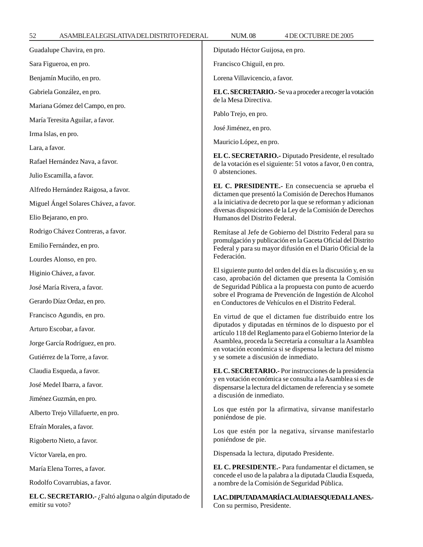Guadalupe Chavira, en pro. Sara Figueroa, en pro. Benjamín Muciño, en pro. Gabriela González, en pro. Mariana Gómez del Campo, en pro. María Teresita Aguilar, a favor. Irma Islas, en pro. Lara, a favor. Rafael Hernández Nava, a favor. Julio Escamilla, a favor. Alfredo Hernández Raigosa, a favor. Miguel Ángel Solares Chávez, a favor. Elio Bejarano, en pro. Rodrigo Chávez Contreras, a favor. Emilio Fernández, en pro. Lourdes Alonso, en pro. Higinio Chávez, a favor. José María Rivera, a favor. Gerardo Díaz Ordaz, en pro. Francisco Agundis, en pro. Arturo Escobar, a favor. Jorge García Rodríguez, en pro. Gutiérrez de la Torre, a favor. Claudia Esqueda, a favor. José Medel Ibarra, a favor. Jiménez Guzmán, en pro. Alberto Trejo Villafuerte, en pro. Efraín Morales, a favor. Rigoberto Nieto, a favor. Víctor Varela, en pro. María Elena Torres, a favor. Rodolfo Covarrubias, a favor. **EL C. SECRETARIO.-** ¿Faltó alguna o algún diputado de emitir su voto? Diputado Héctor Guijosa, en pro. Francisco Chiguil, en pro. Lorena Villavicencio, a favor. **EL C. SECRETARIO.-** Se va a proceder a recoger la votación de la Mesa Directiva. Pablo Trejo, en pro. José Jiménez, en pro. Mauricio López, en pro. **EL C. SECRETARIO.-** Diputado Presidente, el resultado de la votación es el siguiente: 51 votos a favor, 0 en contra, 0 abstenciones. **EL C. PRESIDENTE.-** En consecuencia se aprueba el dictamen que presentó la Comisión de Derechos Humanos a la iniciativa de decreto por la que se reforman y adicionan diversas disposiciones de la Ley de la Comisión de Derechos Humanos del Distrito Federal. Remítase al Jefe de Gobierno del Distrito Federal para su promulgación y publicación en la Gaceta Oficial del Distrito Federal y para su mayor difusión en el Diario Oficial de la Federación. El siguiente punto del orden del día es la discusión y, en su caso, aprobación del dictamen que presenta la Comisión de Seguridad Pública a la propuesta con punto de acuerdo sobre el Programa de Prevención de Ingestión de Alcohol en Conductores de Vehículos en el Distrito Federal. En virtud de que el dictamen fue distribuido entre los diputados y diputadas en términos de lo dispuesto por el artículo 118 del Reglamento para el Gobierno Interior de la Asamblea, proceda la Secretaría a consultar a la Asamblea en votación económica si se dispensa la lectura del mismo y se somete a discusión de inmediato. **EL C. SECRETARIO.-** Por instrucciones de la presidencia y en votación económica se consulta a la Asamblea si es de dispensarse la lectura del dictamen de referencia y se somete a discusión de inmediato. Los que estén por la afirmativa, sírvanse manifestarlo poniéndose de pie. Los que estén por la negativa, sírvanse manifestarlo poniéndose de pie. Dispensada la lectura, diputado Presidente. **EL C. PRESIDENTE.-** Para fundamentar el dictamen, se concede el uso de la palabra a la diputada Claudia Esqueda, a nombre de la Comisión de Seguridad Pública. **LA C. DIPUTADA MARÍA CLAUDIA ESQUEDA LLANES.-** Con su permiso, Presidente.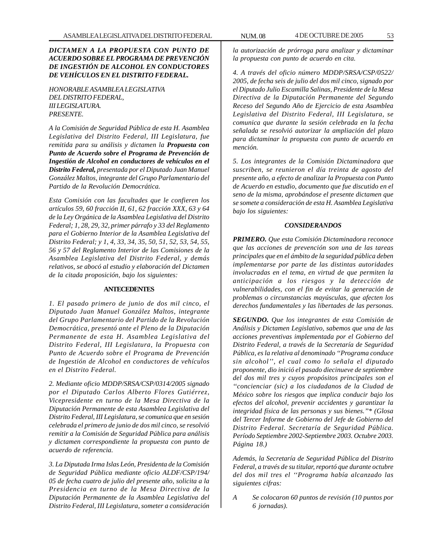# *DICTAMEN A LA PROPUESTA CON PUNTO DE ACUERDO SOBRE EL PROGRAMA DE PREVENCIÓN DE INGESTIÓN DE ALCOHOL EN CONDUCTORES DE VEHÍCULOS EN EL DISTRITO FEDERAL.*

*HONORABLE ASAMBLEA LEGISLATIVA DEL DISTRITO FEDERAL, III LEGISLATURA. PRESENTE.*

*A la Comisión de Seguridad Pública de esta H. Asamblea Legislativa del Distrito Federal, III Legislatura, fue remitida para su análisis y dictamen la Propuesta con Punto de Acuerdo sobre el Programa de Prevención de Ingestión de Alcohol en conductores de vehículos en el Distrito Federal, presentada por el Diputado Juan Manuel González Maltos, integrante del Grupo Parlamentario del Partido de la Revolución Democrática.*

*Esta Comisión con las facultades que le confieren los artículos 59, 60 fracción II, 61, 62 fracción XXX, 63 y 64 de la Ley Orgánica de la Asamblea Legislativa del Distrito Federal; 1, 28, 29, 32, primer párrafo y 33 del Reglamento para el Gobierno Interior de la Asamblea Legislativa del Distrito Federal; y 1, 4, 33, 34, 35, 50, 51, 52, 53, 54, 55, 56 y 57 del Reglamento Interior de las Comisiones de la Asamblea Legislativa del Distrito Federal, y demás relativos, se abocó al estudio y elaboración del Dictamen de la citada proposición, bajo los siguientes:*

# **ANTECEDENTES**

*1. El pasado primero de junio de dos mil cinco, el Diputado Juan Manuel González Maltos, integrante del Grupo Parlamentario del Partido de la Revolución Democrática, presentó ante el Pleno de la Diputación Permanente de esta H. Asamblea Legislativa del Distrito Federal, III Legislatura, la Propuesta con Punto de Acuerdo sobre el Programa de Prevención de Ingestión de Alcohol en conductores de vehículos en el Distrito Federal.*

*2. Mediante oficio MDDP/SRSA/CSP/0314/2005 signado por el Diputado Carlos Alberto Flores Gutiérrez, Vicepresidente en turno de la Mesa Directiva de la Diputación Permanente de esta Asamblea Legislativa del Distrito Federal, III Legislatura, se comunica que en sesión celebrada el primero de junio de dos mil cinco, se resolvió remitir a la Comisión de Seguridad Pública para análisis y dictamen correspondiente la propuesta con punto de acuerdo de referencia.*

*3. La Diputada Irma Islas León, Presidenta de la Comisión de Seguridad Pública mediante oficio ALDF/CSP/194/ 05 de fecha cuatro de julio del presente año, solicita a la Presidencia en turno de la Mesa Directiva de la Diputación Permanente de la Asamblea Legislativa del Distrito Federal, III Legislatura, someter a consideración*

*la autorización de prórroga para analizar y dictaminar la propuesta con punto de acuerdo en cita.*

*4. A través del oficio número MDDP/SRSA/CSP/0522/ 2005, de fecha seis de julio del dos mil cinco, signado por el Diputado Julio Escamilla Salinas, Presidente de la Mesa Directiva de la Diputación Permanente del Segundo Receso del Segundo Año de Ejercicio de esta Asamblea Legislativa del Distrito Federal, III Legislatura, se comunica que durante la sesión celebrada en la fecha señalada se resolvió autorizar la ampliación del plazo para dictaminar la propuesta con punto de acuerdo en mención.*

*5. Los integrantes de la Comisión Dictaminadora que suscriben, se reunieron el día treinta de agosto del presente año, a efecto de analizar la Propuesta con Punto de Acuerdo en estudio, documento que fue discutido en el seno de la misma, aprobándose el presente dictamen que se somete a consideración de esta H. Asamblea Legislativa bajo los siguientes:*

## *CONSIDERANDOS*

*PRIMERO. Que esta Comisión Dictaminadora reconoce que las acciones de prevención son una de las tareas principales que en el ámbito de la seguridad pública deben implementarse por parte de las distintas autoridades involucradas en el tema, en virtud de que permiten la anticipación a los riesgos y la detección de vulnerabilidades, con el fin de evitar la generación de problemas o circunstancias mayúsculas, que afecten los derechos fundamentales y las libertades de las personas.*

*SEGUNDO. Que los integrantes de esta Comisión de Análisis y Dictamen Legislativo, sabemos que una de las acciones preventivas implementada por el Gobierno del Distrito Federal, a través de la Secretaría de Seguridad Pública, es la relativa al denominado ''Programa conduce sin alcohol'', el cual como lo señala el diputado proponente, dio inició el pasado diecinueve de septiembre del dos mil tres y cuyos propósitos principales son el ''concienciar (sic) a los ciudadanos de la Ciudad de México sobre los riesgos que implica conducir bajo los efectos del alcohol, prevenir accidentes y garantizar la integridad física de las personas y sus bienes.''\* (Glosa del Tercer Informe de Gobierno del Jefe de Gobierno del Distrito Federal. Secretaría de Seguridad Pública. Período Septiembre 2002-Septiembre 2003. Octubre 2003. Página 18.)*

*Además, la Secretaría de Seguridad Pública del Distrito Federal, a través de su titular, reportó que durante octubre del dos mil tres el ''Programa había alcanzado las siguientes cifras:*

*A Se colocaron 60 puntos de revisión (10 puntos por 6 jornadas).*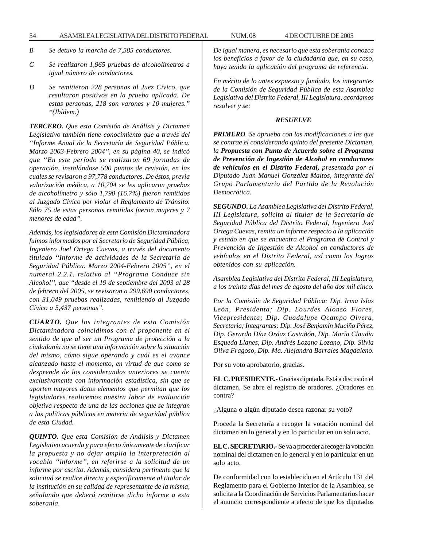- *B Se detuvo la marcha de 7,585 conductores.*
- *C Se realizaron 1,965 pruebas de alcoholímetros a igual número de conductores.*
- *D Se remitieron 228 personas al Juez Cívico, que resultaron positivos en la prueba aplicada. De estas personas, 218 son varones y 10 mujeres.'' \*(Ibídem.)*

*TERCERO. Que esta Comisión de Análisis y Dictamen Legislativo también tiene conocimiento que a través del ''Informe Anual de la Secretaría de Seguridad Pública. Marzo 2003-Febrero 2004'', en su página 40, se indicó que ''En este período se realizaron 69 jornadas de operación, instalándose 500 puntos de revisión, en las cuales se revisaron a 97,778 conductores. De éstos, previa valorización médica, a 10,704 se les aplicaron pruebas de alcoholímetro y sólo 1,790 (16.7%) fueron remitidos al Juzgado Cívico por violar el Reglamento de Tránsito. Sólo 75 de estas personas remitidas fueron mujeres y 7 menores de edad''.*

*Además, los legisladores de esta Comisión Dictaminadora fuimos informados por el Secretario de Seguridad Pública, Ingeniero Joel Ortega Cuevas, a través del documento titulado ''Informe de actividades de la Secretaría de Seguridad Pública. Marzo 2004-Febrero 2005'', en el numeral 2.2.1. relativo al ''Programa Conduce sin Alcohol'', que ''desde el 19 de septiembre del 2003 al 28 de febrero del 2005, se revisaron a 299,690 conductores, con 31,049 pruebas realizadas, remitiendo al Juzgado Cívico a 5,437 personas''.*

*CUARTO. Que los integrantes de esta Comisión Dictaminadora coincidimos con el proponente en el sentido de que al ser un Programa de protección a la ciudadanía no se tiene una información sobre la situación del mismo, cómo sigue operando y cuál es el avance alcanzado hasta el momento, en virtud de que como se desprende de los considerandos anteriores se cuenta exclusivamente con información estadística, sin que se aporten mayores datos elementos que permitan que los legisladores realicemos nuestra labor de evaluación objetiva respecto de una de las acciones que se integran a las políticas públicas en materia de seguridad pública de esta Ciudad.*

*QUINTO. Que esta Comisión de Análisis y Dictamen Legislativo acuerda y para efecto únicamente de clarificar la propuesta y no dejar amplia la interpretación al vocablo ''informe'', en referirse a la solicitud de un informe por escrito. Además, considera pertinente que la solicitud se realice directa y específicamente al titular de la institución en su calidad de representante de la misma, señalando que deberá remitirse dicho informe a esta soberanía.*

*De igual manera, es necesario que esta soberanía conozca los beneficios a favor de la ciudadanía que, en su caso, haya tenido la aplicación del programa de referencia.*

*En mérito de lo antes expuesto y fundado, los integrantes de la Comisión de Seguridad Pública de esta Asamblea Legislativa del Distrito Federal, III Legislatura, acordamos resolver y se:*

### *RESUELVE*

*PRIMERO. Se aprueba con las modificaciones a las que se contrae el considerando quinto del presente Dictamen, la Propuesta con Punto de Acuerdo sobre el Programa de Prevención de Ingestión de Alcohol en conductores de vehículos en el Distrito Federal, presentada por el Diputado Juan Manuel González Maltos, integrante del Grupo Parlamentario del Partido de la Revolución Democrática.*

*SEGUNDO. La Asamblea Legislativa del Distrito Federal, III Legislatura, solicita al titular de la Secretaría de Seguridad Pública del Distrito Federal, Ingeniero Joel Ortega Cuevas, remita un informe respecto a la aplicación y estado en que se encuentra el Programa de Control y Prevención de Ingestión de Alcohol en conductores de vehículos en el Distrito Federal, así como los logros obtenidos con su aplicación.*

*Asamblea Legislativa del Distrito Federal, III Legislatura, a los treinta días del mes de agosto del año dos mil cinco.*

*Por la Comisión de Seguridad Pública: Dip. Irma Islas León, Presidenta; Dip. Lourdes Alonso Flores, Vicepresidenta; Dip. Guadalupe Ocampo Olvera, Secretaria; Integrantes: Dip. José Benjamín Muciño Pérez, Dip. Gerardo Díaz Ordaz Castañón, Dip. María Claudia Esqueda Llanes, Dip. Andrés Lozano Lozano, Dip. Silvia Oliva Fragoso, Dip. Ma. Alejandra Barrales Magdaleno.*

Por su voto aprobatorio, gracias.

**EL C. PRESIDENTE.-** Gracias diputada. Está a discusión el dictamen. Se abre el registro de oradores. ¿Oradores en contra?

¿Alguna o algún diputado desea razonar su voto?

Proceda la Secretaría a recoger la votación nominal del dictamen en lo general y en lo particular en un solo acto.

**EL C. SECRETARIO.-** Se va a proceder a recoger la votación nominal del dictamen en lo general y en lo particular en un solo acto.

De conformidad con lo establecido en el Artículo 131 del Reglamento para el Gobierno Interior de la Asamblea, se solicita a la Coordinación de Servicios Parlamentarios hacer el anuncio correspondiente a efecto de que los diputados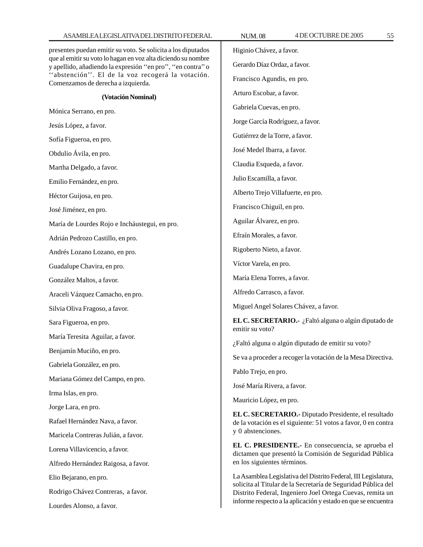# ASAMBLEA LEGISLATIVA DEL DISTRITO FEDERAL NUM. 08 4DE OCTUBRE DE 2005 55

presentes puedan emitir su voto. Se solicita a los diputados que al emitir su voto lo hagan en voz alta diciendo su nombre y apellido, añadiendo la expresión ''en pro'', ''en contra'' o ''abstención''. El de la voz recogerá la votación. Comenzamos de derecha a izquierda.

**(Votación Nominal)**

Mónica Serrano, en pro.

Jesús López, a favor.

Sofía Figueroa, en pro.

Obdulio Ávila, en pro.

Martha Delgado, a favor.

Emilio Fernández, en pro.

Héctor Guijosa, en pro.

José Jiménez, en pro.

María de Lourdes Rojo e Incháustegui, en pro.

Adrián Pedrozo Castillo, en pro.

Andrés Lozano Lozano, en pro.

Guadalupe Chavira, en pro.

González Maltos, a favor.

Araceli Vázquez Camacho, en pro.

Silvia Oliva Fragoso, a favor.

Sara Figueroa, en pro.

María Teresita Aguilar, a favor.

Benjamín Muciño, en pro.

Gabriela González, en pro.

Mariana Gómez del Campo, en pro.

Irma Islas, en pro.

Jorge Lara, en pro.

Rafael Hernández Nava, a favor.

Maricela Contreras Julián, a favor.

Lorena Villavicencio, a favor.

Alfredo Hernández Raigosa, a favor.

Elio Bejarano, en pro.

Rodrigo Chávez Contreras, a favor.

Lourdes Alonso, a favor.

Higinio Chávez, a favor. Gerardo Díaz Ordaz, a favor. Francisco Agundis, en pro. Arturo Escobar, a favor. Gabriela Cuevas, en pro. Jorge García Rodríguez, a favor. Gutiérrez de la Torre, a favor. José Medel Ibarra, a favor. Claudia Esqueda, a favor. Julio Escamilla, a favor. Alberto Trejo Villafuerte, en pro. Francisco Chiguil, en pro. Aguilar Álvarez, en pro. Efraín Morales, a favor. Rigoberto Nieto, a favor. Víctor Varela, en pro. María Elena Torres, a favor. Alfredo Carrasco, a favor. Miguel Angel Solares Chávez, a favor. **EL C. SECRETARIO.-** ¿Faltó alguna o algún diputado de emitir su voto? ¿Faltó alguna o algún diputado de emitir su voto? Se va a proceder a recoger la votación de la Mesa Directiva. Pablo Trejo, en pro. José María Rivera, a favor. Mauricio López, en pro. **EL C. SECRETARIO.-** Diputado Presidente, el resultado de la votación es el siguiente: 51 votos a favor, 0 en contra y 0 abstenciones. **EL C. PRESIDENTE.-** En consecuencia, se aprueba el dictamen que presentó la Comisión de Seguridad Pública en los siguientes términos. La Asamblea Legislativa del Distrito Federal, III Legislatura, solicita al Titular de la Secretaría de Seguridad Pública del Distrito Federal, Ingeniero Joel Ortega Cuevas, remita un informe respecto a la aplicación y estado en que se encuentra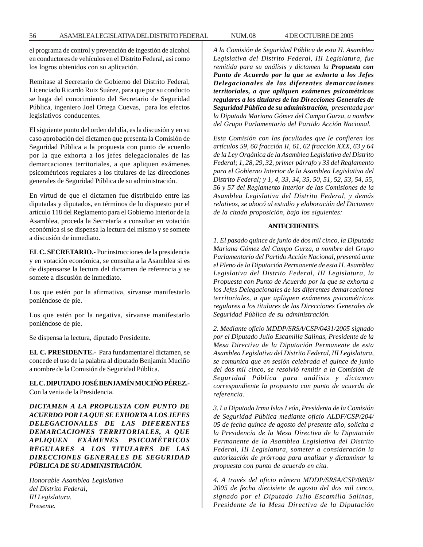el programa de control y prevención de ingestión de alcohol en conductores de vehículos en el Distrito Federal, así como los logros obtenidos con su aplicación.

Remítase al Secretario de Gobierno del Distrito Federal, Licenciado Ricardo Ruiz Suárez, para que por su conducto se haga del conocimiento del Secretario de Seguridad Pública, ingeniero Joel Ortega Cuevas, para los efectos legislativos conducentes.

El siguiente punto del orden del día, es la discusión y en su caso aprobación del dictamen que presenta la Comisión de Seguridad Pública a la propuesta con punto de acuerdo por la que exhorta a los jefes delegacionales de las demarcaciones territoriales, a que apliquen exámenes psicométricos regulares a los titulares de las direcciones generales de Seguridad Pública de su administración.

En virtud de que el dictamen fue distribuido entre las diputadas y diputados, en términos de lo dispuesto por el artículo 118 del Reglamento para el Gobierno Interior de la Asamblea, proceda la Secretaría a consultar en votación económica si se dispensa la lectura del mismo y se somete a discusión de inmediato.

**EL C. SECRETARIO.-** Por instrucciones de la presidencia y en votación económica, se consulta a la Asamblea si es de dispensarse la lectura del dictamen de referencia y se somete a discusión de inmediato.

Los que estén por la afirmativa, sírvanse manifestarlo poniéndose de pie.

Los que estén por la negativa, sírvanse manifestarlo poniéndose de pie.

Se dispensa la lectura, diputado Presidente.

**EL C. PRESIDENTE.-** Para fundamentar el dictamen, se concede el uso de la palabra al diputado Benjamín Muciño a nombre de la Comisión de Seguridad Pública.

**EL C. DIPUTADO JOSÉ BENJAMÍN MUCIÑO PÉREZ.-** Con la venia de la Presidencia.

*DICTAMEN A LA PROPUESTA CON PUNTO DE ACUERDO POR LA QUE SE EXHORTA A LOS JEFES DELEGACIONALES DE LAS DIFERENTES DEMARCACIONES TERRITORIALES, A QUE APLIQUEN EXÁMENES PSICOMÉTRICOS REGULARES A LOS TITULARES DE LAS DIRECCIONES GENERALES DE SEGURIDAD PÚBLICA DE SU ADMINISTRACIÓN.*

*Honorable Asamblea Legislativa del Distrito Federal, III Legislatura. Presente.*

*A la Comisión de Seguridad Pública de esta H. Asamblea Legislativa del Distrito Federal, III Legislatura, fue remitida para su análisis y dictamen la Propuesta con Punto de Acuerdo por la que se exhorta a los Jefes Delegacionales de las diferentes demarcaciones territoriales, a que apliquen exámenes psicométricos regulares a los titulares de las Direcciones Generales de Seguridad Pública de su administración, presentada por la Diputada Mariana Gómez del Campo Gurza, a nombre del Grupo Parlamentario del Partido Acción Nacional.*

*Esta Comisión con las facultades que le confieren los artículos 59, 60 fracción II, 61, 62 fracción XXX, 63 y 64 de la Ley Orgánica de la Asamblea Legislativa del Distrito Federal; 1, 28, 29, 32, primer párrafo y 33 del Reglamento para el Gobierno Interior de la Asamblea Legislativa del Distrito Federal; y 1, 4, 33, 34, 35, 50, 51, 52, 53, 54, 55, 56 y 57 del Reglamento Interior de las Comisiones de la Asamblea Legislativa del Distrito Federal, y demás relativos, se abocó al estudio y elaboración del Dictamen de la citada proposición, bajo los siguientes:*

## **ANTECEDENTES**

*1. El pasado quince de junio de dos mil cinco, la Diputada Mariana Gómez del Campo Gurza, a nombre del Grupo Parlamentario del Partido Acción Nacional, presentó ante el Pleno de la Diputación Permanente de esta H. Asamblea Legislativa del Distrito Federal, III Legislatura, la Propuesta con Punto de Acuerdo por la que se exhorta a los Jefes Delegacionales de las diferentes demarcaciones territoriales, a que apliquen exámenes psicométricos regulares a los titulares de las Direcciones Generales de Seguridad Pública de su administración.*

*2. Mediante oficio MDDP/SRSA/CSP/0431/2005 signado por el Diputado Julio Escamilla Salinas, Presidente de la Mesa Directiva de la Diputación Permanente de esta Asamblea Legislativa del Distrito Federal, III Legislatura, se comunica que en sesión celebrada el quince de junio del dos mil cinco, se resolvió remitir a la Comisión de Seguridad Pública para análisis y dictamen correspondiente la propuesta con punto de acuerdo de referencia.*

*3. La Diputada Irma Islas León, Presidenta de la Comisión de Seguridad Pública mediante oficio ALDF/CSP/204/ 05 de fecha quince de agosto del presente año, solicita a la Presidencia de la Mesa Directiva de la Diputación Permanente de la Asamblea Legislativa del Distrito Federal, III Legislatura, someter a consideración la autorización de prórroga para analizar y dictaminar la propuesta con punto de acuerdo en cita.*

*4. A través del oficio número MDDP/SRSA/CSP/0803/ 2005 de fecha diecisiete de agosto del dos mil cinco, signado por el Diputado Julio Escamilla Salinas, Presidente de la Mesa Directiva de la Diputación*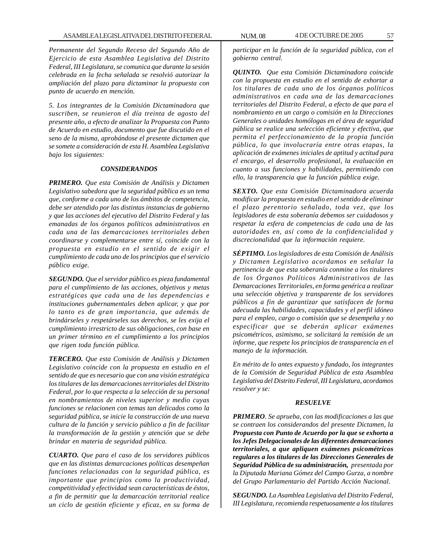*Permanente del Segundo Receso del Segundo Año de Ejercicio de esta Asamblea Legislativa del Distrito Federal, III Legislatura, se comunica que durante la sesión celebrada en la fecha señalada se resolvió autorizar la ampliación del plazo para dictaminar la propuesta con punto de acuerdo en mención.*

*5. Los integrantes de la Comisión Dictaminadora que suscriben, se reunieron el día treinta de agosto del presente año, a efecto de analizar la Propuesta con Punto de Acuerdo en estudio, documento que fue discutido en el seno de la misma, aprobándose el presente dictamen que se somete a consideración de esta H. Asamblea Legislativa bajo los siguientes:*

### *CONSIDERANDOS*

*PRIMERO. Que esta Comisión de Análisis y Dictamen Legislativo sabedora que la seguridad pública es un tema que, conforme a cada uno de los ámbitos de competencia, debe ser atendido por las distintas instancias de gobierno y que las acciones del ejecutivo del Distrito Federal y las emanadas de los órganos políticos administrativos en cada una de las demarcaciones territoriales deben coordinarse y complementarse entre sí, coincide con la propuesta en estudio en el sentido de exigir el cumplimiento de cada uno de los principios que el servicio público exige.*

*SEGUNDO. Que el servidor público es pieza fundamental para el cumplimiento de las acciones, objetivos y metas estratégicas que cada una de las dependencias e instituciones gubernamentales deben aplicar, y que por lo tanto es de gran importancia, que además de brindárseles y respetárseles sus derechos, se les exija el cumplimiento irrestricto de sus obligaciones, con base en un primer término en el cumplimiento a los principios que rigen toda función pública.*

*TERCERO. Que esta Comisión de Análisis y Dictamen Legislativo coincide con la propuesta en estudio en el sentido de que es necesario que con una visión estratégica los titulares de las demarcaciones territoriales del Distrito Federal, por lo que respecta a la selección de su personal en nombramientos de niveles superior y medio cuyas funciones se relacionen con temas tan delicados como la seguridad pública, se inicie la construcción de una nueva cultura de la función y servicio público a fin de facilitar la transformación de la gestión y atención que se debe brindar en materia de seguridad pública.*

*CUARTO. Que para el caso de los servidores públicos que en las distintas demarcaciones políticas desempeñan funciones relacionadas con la seguridad pública, es importante que principios como la productividad, competitividad y efectividad sean características de éstos, a fin de permitir que la demarcación territorial realice un ciclo de gestión eficiente y eficaz, en su forma de*

*participar en la función de la seguridad pública, con el gobierno central.*

*QUINTO. Que esta Comisión Dictaminadora coincide con la propuesta en estudio en el sentido de exhortar a los titulares de cada uno de los órganos políticos administrativos en cada una de las demarcaciones territoriales del Distrito Federal, a efecto de que para el nombramiento en un cargo o comisión en la Direcciones Generales o unidades homólogas en el área de seguridad pública se realice una selección eficiente y efectiva, que permita el perfeccionamiento de la propia función pública, lo que involucraría entre otras etapas, la aplicación de exámenes iniciales de aptitud y actitud para el encargo, el desarrollo profesional, la evaluación en cuanto a sus funciones y habilidades, permitiendo con ello, la transparencia que la función pública exige.*

*SEXTO. Que esta Comisión Dictaminadora acuerda modificar la propuesta en estudio en el sentido de eliminar el plazo perentorio señalado, toda vez, que los legisladores de esta soberanía debemos ser cuidadosos y respetar la esfera de competencias de cada una de las autoridades en, así como de la confidencialidad y discrecionalidad que la información requiere.*

*SÉPTIMO. Los legisladores de esta Comisión de Análisis y Dictamen Legislativo acordamos en señalar la pertinencia de que esta soberanía conmine a los titulares de los Órganos Políticos Administrativos de las Demarcaciones Territoriales, en forma genérica a realizar una selección objetiva y transparente de los servidores públicos a fin de garantizar que satisfacen de forma adecuada las habilidades, capacidades y el perfil idóneo para el empleo, cargo o comisión que se desempeña y no especificar que se deberán aplicar exámenes psicométricos, asimismo, se solicitará la remisión de un informe, que respete los principios de transparencia en el manejo de la información.*

*En mérito de lo antes expuesto y fundado, los integrantes de la Comisión de Seguridad Pública de esta Asamblea Legislativa del Distrito Federal, III Legislatura, acordamos resolver y se:*

### *RESUELVE*

*PRIMERO. Se aprueba, con las modificaciones a las que se contraen los considerandos del presente Dictamen, la Propuesta con Punto de Acuerdo por la que se exhorta a los Jefes Delegacionales de las diferentes demarcaciones territoriales, a que apliquen exámenes psicométricos regulares a los titulares de las Direcciones Generales de Seguridad Pública de su administración, presentada por la Diputada Mariana Gómez del Campo Gurza, a nombre del Grupo Parlamentario del Partido Acción Nacional.*

*SEGUNDO. La Asamblea Legislativa del Distrito Federal, III Legislatura, recomienda respetuosamente a los titulares*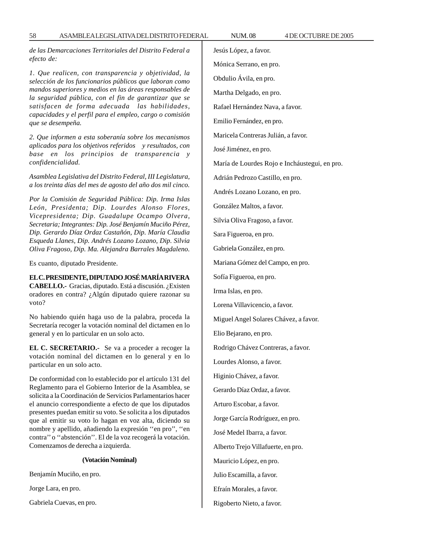*de las Demarcaciones Territoriales del Distrito Federal a efecto de:*

*1. Que realicen, con transparencia y objetividad, la selección de los funcionarios públicos que laboran como mandos superiores y medios en las áreas responsables de la seguridad pública, con el fin de garantizar que se satisfacen de forma adecuada las habilidades, capacidades y el perfil para el empleo, cargo o comisión que se desempeña.*

*2. Que informen a esta soberanía sobre los mecanismos aplicados para los objetivos referidos y resultados, con base en los principios de transparencia y confidencialidad.*

*Asamblea Legislativa del Distrito Federal, III Legislatura, a los treinta días del mes de agosto del año dos mil cinco.*

*Por la Comisión de Seguridad Pública: Dip. Irma Islas León, Presidenta; Dip. Lourdes Alonso Flores, Vicepresidenta; Dip. Guadalupe Ocampo Olvera, Secretaria; Integrantes: Dip. José Benjamín Muciño Pérez, Dip. Gerardo Díaz Ordaz Castañón, Dip. María Claudia Esqueda Llanes, Dip. Andrés Lozano Lozano, Dip. Silvia Oliva Fragoso, Dip. Ma. Alejandra Barrales Magdaleno.*

Es cuanto, diputado Presidente.

**EL C. PRESIDENTE, DIPUTADO JOSÉ MARÍA RIVERA CABELLO.-** Gracias, diputado. Está a discusión. ¿Existen oradores en contra? ¿Algún diputado quiere razonar su voto?

No habiendo quién haga uso de la palabra, proceda la Secretaría recoger la votación nominal del dictamen en lo general y en lo particular en un solo acto.

**EL C. SECRETARIO.-** Se va a proceder a recoger la votación nominal del dictamen en lo general y en lo particular en un solo acto.

De conformidad con lo establecido por el artículo 131 del Reglamento para el Gobierno Interior de la Asamblea, se solicita a la Coordinación de Servicios Parlamentarios hacer el anuncio correspondiente a efecto de que los diputados presentes puedan emitir su voto. Se solicita a los diputados que al emitir su voto lo hagan en voz alta, diciendo su nombre y apellido, añadiendo la expresión ''en pro'', ''en contra'' o ''abstención''. El de la voz recogerá la votación. Comenzamos de derecha a izquierda.

# **(Votación Nominal)**

Benjamín Muciño, en pro.

Jorge Lara, en pro.

Gabriela Cuevas, en pro.

Jesús López, a favor.

Mónica Serrano, en pro.

Obdulio Ávila, en pro.

Martha Delgado, en pro.

Rafael Hernández Nava, a favor.

Emilio Fernández, en pro.

Maricela Contreras Julián, a favor.

José Jiménez, en pro.

María de Lourdes Rojo e Incháustegui, en pro.

Adrián Pedrozo Castillo, en pro.

Andrés Lozano Lozano, en pro.

González Maltos, a favor.

Silvia Oliva Fragoso, a favor.

Sara Figueroa, en pro.

Gabriela González, en pro.

Mariana Gómez del Campo, en pro.

Sofía Figueroa, en pro.

Irma Islas, en pro.

Lorena Villavicencio, a favor.

Miguel Angel Solares Chávez, a favor.

Elio Bejarano, en pro.

Rodrigo Chávez Contreras, a favor.

Lourdes Alonso, a favor.

Higinio Chávez, a favor.

Gerardo Díaz Ordaz, a favor.

Arturo Escobar, a favor.

Jorge García Rodríguez, en pro.

José Medel Ibarra, a favor.

Alberto Trejo Villafuerte, en pro.

Mauricio López, en pro.

Julio Escamilla, a favor.

Efraín Morales, a favor.

Rigoberto Nieto, a favor.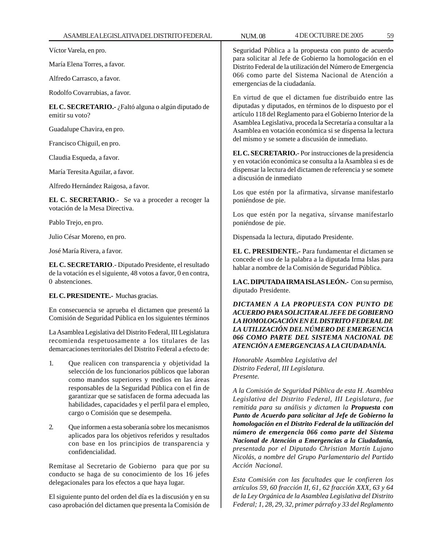Víctor Varela, en pro.

María Elena Torres, a favor.

Alfredo Carrasco, a favor.

Rodolfo Covarrubias, a favor.

**EL C. SECRETARIO.-** ¿Faltó alguna o algún diputado de emitir su voto?

Guadalupe Chavira, en pro.

Francisco Chiguil, en pro.

Claudia Esqueda, a favor.

María Teresita Aguilar, a favor.

Alfredo Hernández Raigosa, a favor.

**EL C. SECRETARIO**.- Se va a proceder a recoger la votación de la Mesa Directiva.

Pablo Trejo, en pro.

Julio César Moreno, en pro.

José María Rivera, a favor.

**EL C. SECRETARIO**.- Diputado Presidente, el resultado de la votación es el siguiente, 48 votos a favor, 0 en contra, 0 abstenciones.

**EL C. PRESIDENTE.-** Muchas gracias.

En consecuencia se aprueba el dictamen que presentó la Comisión de Seguridad Pública en los siguientes términos

La Asamblea Legislativa del Distrito Federal, III Legislatura recomienda respetuosamente a los titulares de las demarcaciones territoriales del Distrito Federal a efecto de:

- 1. Que realicen con transparencia y objetividad la selección de los funcionarios públicos que laboran como mandos superiores y medios en las áreas responsables de la Seguridad Pública con el fin de garantizar que se satisfacen de forma adecuada las habilidades, capacidades y el perfil para el empleo, cargo o Comisión que se desempeña.
- 2. Que informen a esta soberanía sobre los mecanismos aplicados para los objetivos referidos y resultados con base en los principios de transparencia y confidencialidad.

Remítase al Secretario de Gobierno para que por su conducto se haga de su conocimiento de los 16 jefes delegacionales para los efectos a que haya lugar.

El siguiente punto del orden del día es la discusión y en su caso aprobación del dictamen que presenta la Comisión de

Seguridad Pública a la propuesta con punto de acuerdo para solicitar al Jefe de Gobierno la homologación en el Distrito Federal de la utilización del Número de Emergencia 066 como parte del Sistema Nacional de Atención a emergencias de la ciudadanía.

En virtud de que el dictamen fue distribuido entre las diputadas y diputados, en términos de lo dispuesto por el artículo 118 del Reglamento para el Gobierno Interior de la Asamblea Legislativa, proceda la Secretaría a consultar a la Asamblea en votación económica si se dispensa la lectura del mismo y se somete a discusión de inmediato.

**EL C. SECRETARIO.-** Por instrucciones de la presidencia y en votación económica se consulta a la Asamblea si es de dispensar la lectura del dictamen de referencia y se somete a discusión de inmediato

Los que estén por la afirmativa, sírvanse manifestarlo poniéndose de pie.

Los que estén por la negativa, sírvanse manifestarlo poniéndose de pie.

Dispensada la lectura, diputado Presidente.

**EL C. PRESIDENTE.-** Para fundamentar el dictamen se concede el uso de la palabra a la diputada Irma Islas para hablar a nombre de la Comisión de Seguridad Pública.

**LA C. DIPUTADA IRMA ISLAS LEÓN.-** Con su permiso, diputado Presidente.

*DICTAMEN A LA PROPUESTA CON PUNTO DE ACUERDO PARA SOLICITAR AL JEFE DE GOBIERNO LA HOMOLOGACIÓN EN EL DISTRITO FEDERAL DE LA UTILIZACIÓN DEL NÚMERO DE EMERGENCIA 066 COMO PARTE DEL SISTEMA NACIONAL DE ATENCIÓN A EMERGENCIAS A LA CIUDADANÍA.*

*Honorable Asamblea Legislativa del Distrito Federal, III Legislatura. Presente.*

*A la Comisión de Seguridad Pública de esta H. Asamblea Legislativa del Distrito Federal, III Legislatura, fue remitida para su análisis y dictamen la Propuesta con Punto de Acuerdo para solicitar al Jefe de Gobierno la homologación en el Distrito Federal de la utilización del número de emergencia 066 como parte del Sistema Nacional de Atención a Emergencias a la Ciudadanía, presentada por el Diputado Christian Martín Lujano Nicolás, a nombre del Grupo Parlamentario del Partido Acción Nacional.*

*Esta Comisión con las facultades que le confieren los artículos 59, 60 fracción II, 61, 62 fracción XXX, 63 y 64 de la Ley Orgánica de la Asamblea Legislativa del Distrito Federal; 1, 28, 29, 32, primer párrafo y 33 del Reglamento*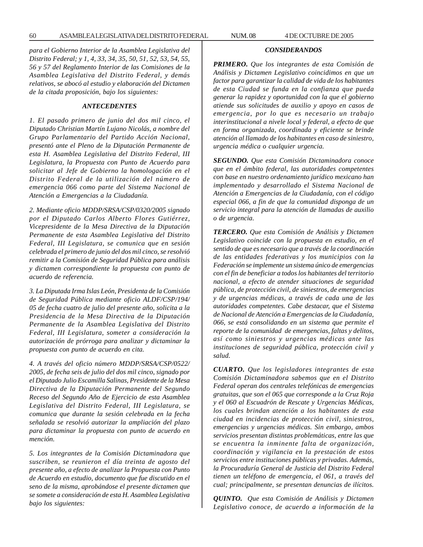*para el Gobierno Interior de la Asamblea Legislativa del Distrito Federal; y 1, 4, 33, 34, 35, 50, 51, 52, 53, 54, 55, 56 y 57 del Reglamento Interior de las Comisiones de la Asamblea Legislativa del Distrito Federal, y demás relativos, se abocó al estudio y elaboración del Dictamen de la citada proposición, bajo los siguientes:*

### *ANTECEDENTES*

*1. El pasado primero de junio del dos mil cinco, el Diputado Christian Martín Lujano Nicolás, a nombre del Grupo Parlamentario del Partido Acción Nacional, presentó ante el Pleno de la Diputación Permanente de esta H. Asamblea Legislativa del Distrito Federal, III Legislatura, la Propuesta con Punto de Acuerdo para solicitar al Jefe de Gobierno la homologación en el Distrito Federal de la utilización del número de emergencia 066 como parte del Sistema Nacional de Atención a Emergencias a la Ciudadanía.*

*2. Mediante oficio MDDP/SRSA/CSP/0320/2005 signado por el Diputado Carlos Alberto Flores Gutiérrez, Vicepresidente de la Mesa Directiva de la Diputación Permanente de esta Asamblea Legislativa del Distrito Federal, III Legislatura, se comunica que en sesión celebrada el primero de junio del dos mil cinco, se resolvió remitir a la Comisión de Seguridad Pública para análisis y dictamen correspondiente la propuesta con punto de acuerdo de referencia.*

*3. La Diputada Irma Islas León, Presidenta de la Comisión de Seguridad Pública mediante oficio ALDF/CSP/194/ 05 de fecha cuatro de julio del presente año, solicita a la Presidencia de la Mesa Directiva de la Diputación Permanente de la Asamblea Legislativa del Distrito Federal, III Legislatura, someter a consideración la autorización de prórroga para analizar y dictaminar la propuesta con punto de acuerdo en cita.*

*4. A través del oficio número MDDP/SRSA/CSP/0522/ 2005, de fecha seis de julio del dos mil cinco, signado por el Diputado Julio Escamilla Salinas, Presidente de la Mesa Directiva de la Diputación Permanente del Segundo Receso del Segundo Año de Ejercicio de esta Asamblea Legislativa del Distrito Federal, III Legislatura, se comunica que durante la sesión celebrada en la fecha señalada se resolvió autorizar la ampliación del plazo para dictaminar la propuesta con punto de acuerdo en mención.*

*5. Los integrantes de la Comisión Dictaminadora que suscriben, se reunieron el día treinta de agosto del presente año, a efecto de analizar la Propuesta con Punto de Acuerdo en estudio, documento que fue discutido en el seno de la misma, aprobándose el presente dictamen que se somete a consideración de esta H. Asamblea Legislativa bajo los siguientes:*

# *CONSIDERANDOS*

*PRIMERO. Que los integrantes de esta Comisión de Análisis y Dictamen Legislativo coincidimos en que un factor para garantizar la calidad de vida de los habitantes de esta Ciudad se funda en la confianza que pueda generar la rapidez y oportunidad con la que el gobierno atiende sus solicitudes de auxilio y apoyo en casos de emergencia, por lo que es necesario un trabajo interinstitucional a nivele local y federal, a efecto de que en forma organizada, coordinada y eficiente se brinde atención al llamado de los habitantes en caso de siniestro, urgencia médica o cualquier urgencia.*

*SEGUNDO. Que esta Comisión Dictaminadora conoce que en el ámbito federal, las autoridades competentes con base en nuestro ordenamiento jurídico mexicano han implementado y desarrollado el Sistema Nacional de Atención a Emergencias de la Ciudadanía, con el código especial 066, a fin de que la comunidad disponga de un servicio integral para la atención de llamadas de auxilio o de urgencia.*

*TERCERO. Que esta Comisión de Análisis y Dictamen Legislativo coincide con la propuesta en estudio, en el sentido de que es necesario que a través de la coordinación de las entidades federativas y los municipios con la Federación se implemente un sistema único de emergencias con el fin de beneficiar a todos los habitantes del territorio nacional, a efecto de atender situaciones de seguridad pública, de protección civil, de siniestros, de emergencias y de urgencias médicas, a través de cada una de las autoridades competentes. Cabe destacar, que el Sistema de Nacional de Atención a Emergencias de la Ciudadanía, 066, se está consolidando en un sistema que permite el reporte de la comunidad de emergencias, faltas y delitos, así como siniestros y urgencias médicas ante las instituciones de seguridad pública, protección civil y salud.*

*CUARTO. Que los legisladores integrantes de esta Comisión Dictaminadora sabemos que en el Distrito Federal operan dos centrales telefónicas de emergencias gratuitas, que son el 065 que corresponde a la Cruz Roja y el 060 al Escuadrón de Rescate y Urgencias Médicas, los cuales brindan atención a los habitantes de esta ciudad en incidencias de protección civil, siniestros, emergencias y urgencias médicas. Sin embargo, ambos servicios presentan distintas problemáticas, entre las que se encuentra la inminente falta de organización, coordinación y vigilancia en la prestación de estos servicios entre instituciones públicas y privadas. Además, la Procuraduría General de Justicia del Distrito Federal tienen un teléfono de emergencia, el 061, a través del cual; principalmente, se presentan denuncias de ilícitos.*

*QUINTO. Que esta Comisión de Análisis y Dictamen Legislativo conoce, de acuerdo a información de la*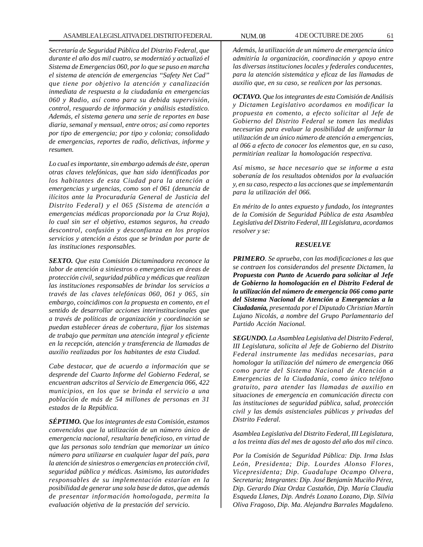*Secretaría de Seguridad Pública del Distrito Federal, que durante el año dos mil cuatro, se modernizó y actualizó el Sistema de Emergencias 060, por lo que se puso en marcha el sistema de atención de emergencias ''Safety Net Cad'' que tiene por objetivo la atención y canalización inmediata de respuesta a la ciudadanía en emergencias 060 y Radio, así como para su debida supervisión, control, resguardo de información y análisis estadístico. Además, el sistema genera una serie de reportes en base diaria, semanal y mensual, entre otros; así como reportes por tipo de emergencia; por tipo y colonia; consolidado de emergencias, reportes de radio, delictivas, informe y resumen.*

*Lo cual es importante, sin embargo además de éste, operan otras claves telefónicas, que han sido identificadas por los habitantes de esta Ciudad para la atención a emergencias y urgencias, como son el 061 (denuncia de ilícitos ante la Procuraduría General de Justicia del Distrito Federal) y el 065 (Sistema de atención a emergencias médicas proporcionada por la Cruz Roja), lo cual sin ser el objetivo, estamos seguros, ha creado descontrol, confusión y desconfianza en los propios servicios y atención a éstos que se brindan por parte de las instituciones responsables.*

*SEXTO. Que esta Comisión Dictaminadora reconoce la labor de atención a siniestros o emergencias en áreas de protección civil, seguridad pública y médicas que realizan las instituciones responsables de brindar los servicios a través de las claves telefónicas 060, 061 y 065, sin embargo, coincidimos con la propuesta en comento, en el sentido de desarrollar acciones interinstitucionales que a través de políticas de organización y coordinación se puedan establecer áreas de cobertura, fijar los sistemas de trabajo que permitan una atención integral y eficiente en la recepción, atención y transferencia de llamadas de auxilio realizadas por los habitantes de esta Ciudad.*

*Cabe destacar, que de acuerdo a información que se desprende del Cuarto Informe del Gobierno Federal, se encuentran adscritos al Servicio de Emergencia 066, 422 municipios, en los que se brinda el servicio a una población de más de 54 millones de personas en 31 estados de la República.*

*SÉPTIMO. Que los integrantes de esta Comisión, estamos convencidos que la utilización de un número único de emergencia nacional, resultaría beneficioso, en virtud de que las personas solo tendrían que memorizar un único número para utilizarse en cualquier lugar del país, para la atención de siniestros o emergencias en protección civil, seguridad pública y médicas. Asimismo, las autoridades responsables de su implementación estarían en la posibilidad de generar una sola base de datos, que además de presentar información homologada, permita la evaluación objetiva de la prestación del servicio.*

*Además, la utilización de un número de emergencia único admitiría la organización, coordinación y apoyo entre las diversas instituciones locales y federales conducentes, para la atención sistemática y eficaz de las llamadas de auxilio que, en su caso, se realicen por las personas.*

*OCTAVO. Que los integrantes de esta Comisión de Análisis y Dictamen Legislativo acordamos en modificar la propuesta en comento, a efecto solicitar al Jefe de Gobierno del Distrito Federal se tomen las medidas necesarias para evaluar la posibilidad de uniformar la utilización de un único número de atención a emergencias, al 066 a efecto de conocer los elementos que, en su caso, permitirían realizar la homologación respectiva.*

*Así mismo, se hace necesario que se informe a esta soberanía de los resultados obtenidos por la evaluación y, en su caso, respecto a las acciones que se implementarán para la utilización del 066.*

*En mérito de lo antes expuesto y fundado, los integrantes de la Comisión de Seguridad Pública de esta Asamblea Legislativa del Distrito Federal, III Legislatura, acordamos resolver y se:*

### *RESUELVE*

*PRIMERO. Se aprueba, con las modificaciones a las que se contraen los considerandos del presente Dictamen, la Propuesta con Punto de Acuerdo para solicitar al Jefe de Gobierno la homologación en el Distrito Federal de la utilización del número de emergencia 066 como parte del Sistema Nacional de Atención a Emergencias a la Ciudadanía, presentada por el Diputado Christian Martín Lujano Nicolás, a nombre del Grupo Parlamentario del Partido Acción Nacional.*

*SEGUNDO. La Asamblea Legislativa del Distrito Federal, III Legislatura, solicita al Jefe de Gobierno del Distrito Federal instrumente las medidas necesarias, para homologar la utilización del número de emergencia 066 como parte del Sistema Nacional de Atención a Emergencias de la Ciudadanía, como único teléfono gratuito, para atender las llamadas de auxilio en situaciones de emergencia en comunicación directa con las instituciones de seguridad pública, salud, protección civil y las demás asistenciales públicas y privadas del Distrito Federal.*

*Asamblea Legislativa del Distrito Federal, III Legislatura, a los treinta días del mes de agosto del año dos mil cinco.*

*Por la Comisión de Seguridad Pública: Dip. Irma Islas León, Presidenta; Dip. Lourdes Alonso Flores, Vicepresidenta; Dip. Guadalupe Ocampo Olvera, Secretaria; Integrantes: Dip. José Benjamín Muciño Pérez, Dip. Gerardo Díaz Ordaz Castañón, Dip. María Claudia Esqueda Llanes, Dip. Andrés Lozano Lozano, Dip. Silvia Oliva Fragoso, Dip. Ma. Alejandra Barrales Magdaleno.*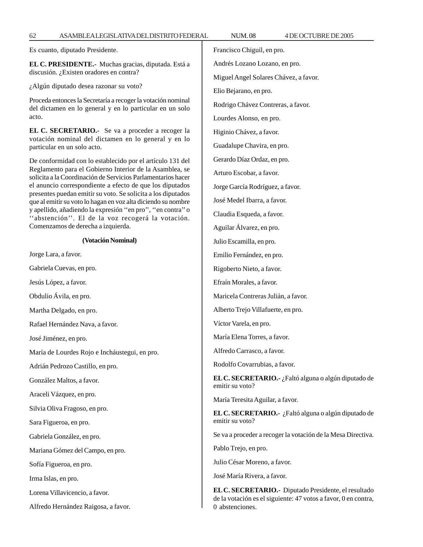Es cuanto, diputado Presidente.

**EL C. PRESIDENTE.-** Muchas gracias, diputada. Está a discusión. ¿Existen oradores en contra?

¿Algún diputado desea razonar su voto?

Proceda entonces la Secretaría a recoger la votación nominal del dictamen en lo general y en lo particular en un solo acto.

**EL C. SECRETARIO.-** Se va a proceder a recoger la votación nominal del dictamen en lo general y en lo particular en un solo acto.

De conformidad con lo establecido por el artículo 131 del Reglamento para el Gobierno Interior de la Asamblea, se solicita a la Coordinación de Servicios Parlamentarios hacer el anuncio correspondiente a efecto de que los diputados presentes puedan emitir su voto. Se solicita a los diputados que al emitir su voto lo hagan en voz alta diciendo su nombre y apellido, añadiendo la expresión ''en pro'', ''en contra'' o ''abstención''. El de la voz recogerá la votación. Comenzamos de derecha a izquierda.

## **(Votación Nominal)**

Jorge Lara, a favor.

Gabriela Cuevas, en pro.

Jesús López, a favor.

Obdulio Ávila, en pro.

Martha Delgado, en pro.

Rafael Hernández Nava, a favor.

José Jiménez, en pro.

María de Lourdes Rojo e Incháustegui, en pro.

Adrián Pedrozo Castillo, en pro.

González Maltos, a favor.

Araceli Vázquez, en pro.

Silvia Oliva Fragoso, en pro.

Sara Figueroa, en pro.

Gabriela González, en pro.

Mariana Gómez del Campo, en pro.

Sofía Figueroa, en pro.

Irma Islas, en pro.

Lorena Villavicencio, a favor.

Alfredo Hernández Raigosa, a favor.

62 ASAMBLEA LEGISLATIVA DEL DISTRITO FEDERAL NUM. 08 4 DE OCTUBRE DE 2005 Francisco Chiguil, en pro. Andrés Lozano Lozano, en pro. Miguel Angel Solares Chávez, a favor. Elio Bejarano, en pro. Rodrigo Chávez Contreras, a favor. Lourdes Alonso, en pro. Higinio Chávez, a favor. Guadalupe Chavira, en pro. Gerardo Díaz Ordaz, en pro. Arturo Escobar, a favor. Jorge García Rodríguez, a favor. José Medel Ibarra, a favor. Claudia Esqueda, a favor. Aguilar Álvarez, en pro. Julio Escamilla, en pro. Emilio Fernández, en pro. Rigoberto Nieto, a favor. Efraín Morales, a favor. Maricela Contreras Julián, a favor. Alberto Trejo Villafuerte, en pro. Víctor Varela, en pro. María Elena Torres, a favor. Alfredo Carrasco, a favor. Rodolfo Covarrubias, a favor. **EL C. SECRETARIO.-** ¿Faltó alguna o algún diputado de emitir su voto? María Teresita Aguilar, a favor. **EL C. SECRETARIO.-** ¿Faltó alguna o algún diputado de emitir su voto? Se va a proceder a recoger la votación de la Mesa Directiva. Pablo Trejo, en pro. Julio César Moreno, a favor. José María Rivera, a favor.

> **EL C. SECRETARIO.-** Diputado Presidente, el resultado de la votación es el siguiente: 47 votos a favor, 0 en contra, 0 abstenciones.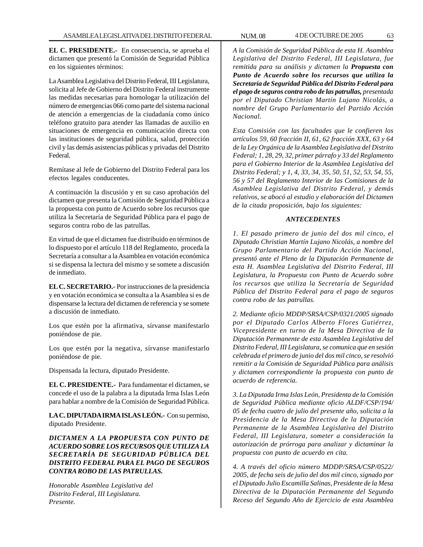**EL C. PRESIDENTE.-** En consecuencia, se aprueba el dictamen que presentó la Comisión de Seguridad Pública en los siguientes términos:

La Asamblea Legislativa del Distrito Federal, III Legislatura, solicita al Jefe de Gobierno del Distrito Federal instrumente las medidas necesarias para homologar la utilización del número de emergencias 066 como parte del sistema nacional de atención a emergencias de la ciudadanía como único teléfono gratuito para atender las llamadas de auxilio en situaciones de emergencia en comunicación directa con las instituciones de seguridad pública, salud, protección civil y las demás asistencias públicas y privadas del Distrito Federal.

Remítase al Jefe de Gobierno del Distrito Federal para los efectos legales conducentes.

A continuación la discusión y en su caso aprobación del dictamen que presenta la Comisión de Seguridad Pública a la propuesta con punto de Acuerdo sobre los recursos que utiliza la Secretaría de Seguridad Pública para el pago de seguros contra robo de las patrullas.

En virtud de que el dictamen fue distribuido en términos de lo dispuesto por el artículo 118 del Reglamento, proceda la Secretaría a consultar a la Asamblea en votación económica si se dispensa la lectura del mismo y se somete a discusión de inmediato.

**EL C. SECRETARIO.-** Por instrucciones de la presidencia y en votación económica se consulta a la Asamblea si es de dispensarse la lectura del dictamen de referencia y se somete a discusión de inmediato.

Los que estén por la afirmativa, sírvanse manifestarlo poniéndose de pie.

Los que estén por la negativa, sírvanse manifestarlo poniéndose de pie.

Dispensada la lectura, diputado Presidente.

**EL C. PRESIDENTE.-** Para fundamentar el dictamen, se concede el uso de la palabra a la diputada Irma Islas León para hablar a nombre de la Comisión de Seguridad Pública.

**LA C. DIPUTADA IRMA ISLAS LEÓN.-** Con su permiso, diputado Presidente.

*DICTAMEN A LA PROPUESTA CON PUNTO DE ACUERDO SOBRE LOS RECURSOS QUE UTILIZA LA SECRETARÍA DE SEGURIDAD PÚBLICA DEL DISTRITO FEDERAL PARA EL PAGO DE SEGUROS CONTRA ROBO DE LAS PATRULLAS.*

*Honorable Asamblea Legislativa del Distrito Federal, III Legislatura. Presente.*

*A la Comisión de Seguridad Pública de esta H. Asamblea Legislativa del Distrito Federal, III Legislatura, fue remitida para su análisis y dictamen la Propuesta con Punto de Acuerdo sobre los recursos que utiliza la Secretaría de Seguridad Pública del Distrito Federal para el pago de seguros contra robo de las patrullas, presentada por el Diputado Christian Martín Lujano Nicolás, a nombre del Grupo Parlamentario del Partido Acción Nacional.*

*Esta Comisión con las facultades que le confieren los artículos 59, 60 fracción II, 61, 62 fracción XXX, 63 y 64 de la Ley Orgánica de la Asamblea Legislativa del Distrito Federal; 1, 28, 29, 32, primer párrafo y 33 del Reglamento para el Gobierno Interior de la Asamblea Legislativa del Distrito Federal; y 1, 4, 33, 34, 35, 50, 51, 52, 53, 54, 55, 56 y 57 del Reglamento Interior de las Comisiones de la Asamblea Legislativa del Distrito Federal, y demás relativos, se abocó al estudio y elaboración del Dictamen de la citada proposición, bajo los siguientes:*

# *ANTECEDENTES*

*1. El pasado primero de junio del dos mil cinco, el Diputado Christian Martín Lujano Nicolás, a nombre del Grupo Parlamentario del Partido Acción Nacional, presentó ante el Pleno de la Diputación Permanente de esta H. Asamblea Legislativa del Distrito Federal, III Legislatura, la Propuesta con Punto de Acuerdo sobre los recursos que utiliza la Secretaría de Seguridad Pública del Distrito Federal para el pago de seguros contra robo de las patrullas.*

*2. Mediante oficio MDDP/SRSA/CSP/0321/2005 signado por el Diputado Carlos Alberto Flores Gutiérrez, Vicepresidente en turno de la Mesa Directiva de la Diputación Permanente de esta Asamblea Legislativa del Distrito Federal, III Legislatura, se comunica que en sesión celebrada el primero de junio del dos mil cinco, se resolvió remitir a la Comisión de Seguridad Pública para análisis y dictamen correspondiente la propuesta con punto de acuerdo de referencia.*

*3. La Diputada Irma Islas León, Presidenta de la Comisión de Seguridad Pública mediante oficio ALDF/CSP/194/ 05 de fecha cuatro de julio del presente año, solicita a la Presidencia de la Mesa Directiva de la Diputación Permanente de la Asamblea Legislativa del Distrito Federal, III Legislatura, someter a consideración la autorización de prórroga para analizar y dictaminar la propuesta con punto de acuerdo en cita.*

*4. A través del oficio número MDDP/SRSA/CSP/0522/ 2005, de fecha seis de julio del dos mil cinco, signado por el Diputado Julio Escamilla Salinas, Presidente de la Mesa Directiva de la Diputación Permanente del Segundo Receso del Segundo Año de Ejercicio de esta Asamblea*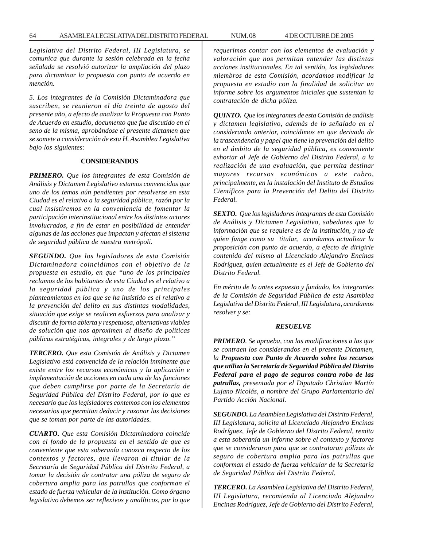*Legislativa del Distrito Federal, III Legislatura, se comunica que durante la sesión celebrada en la fecha señalada se resolvió autorizar la ampliación del plazo para dictaminar la propuesta con punto de acuerdo en mención.*

*5. Los integrantes de la Comisión Dictaminadora que suscriben, se reunieron el día treinta de agosto del presente año, a efecto de analizar la Propuesta con Punto de Acuerdo en estudio, documento que fue discutido en el seno de la misma, aprobándose el presente dictamen que se somete a consideración de esta H. Asamblea Legislativa bajo los siguientes:*

## **CONSIDERANDOS**

*PRIMERO. Que los integrantes de esta Comisión de Análisis y Dictamen Legislativo estamos convencidos que uno de los temas aún pendientes por resolverse en esta Ciudad es el relativo a la seguridad pública, razón por la cual insistiremos en la conveniencia de fomentar la participación interinstitucional entre los distintos actores involucrados, a fin de estar en posibilidad de entender algunas de las acciones que impactan y afectan el sistema de seguridad pública de nuestra metrópoli.*

*SEGUNDO. Que los legisladores de esta Comisión Dictaminadora coincidimos con el objetivo de la propuesta en estudio, en que ''uno de los principales reclamos de los habitantes de esta Ciudad es el relativo a la seguridad pública y uno de los principales planteamientos en los que se ha insistido es el relativo a la prevención del delito en sus distintas modalidades, situación que exige se realicen esfuerzos para analizar y discutir de forma abierta y respetuosa, alternativas viables de solución que nos aproximen al diseño de políticas públicas estratégicas, integrales y de largo plazo.''*

*TERCERO. Que esta Comisión de Análisis y Dictamen Legislativo está convencida de la relación inminente que existe entre los recursos económicos y la aplicación e implementación de acciones en cada una de las funciones que deben cumplirse por parte de la Secretaría de Seguridad Pública del Distrito Federal, por lo que es necesario que los legisladores contemos con los elementos necesarios que permitan deducir y razonar las decisiones que se toman por parte de las autoridades.*

*CUARTO. Que esta Comisión Dictaminadora coincide con el fondo de la propuesta en el sentido de que es conveniente que esta soberanía conozca respecto de los contextos y factores, que llevaron al titular de la Secretaría de Seguridad Pública del Distrito Federal, a tomar la decisión de contratar una póliza de seguro de cobertura amplia para las patrullas que conforman el estado de fuerza vehicular de la institución. Como órgano legislativo debemos ser reflexivos y analíticos, por lo que* *requerimos contar con los elementos de evaluación y valoración que nos permitan entender las distintas acciones institucionales. En tal sentido, los legisladores miembros de esta Comisión, acordamos modificar la propuesta en estudio con la finalidad de solicitar un informe sobre los argumentos iniciales que sustentan la contratación de dicha póliza.*

*QUINTO. Que los integrantes de esta Comisión de análisis y dictamen legislativo, además de lo señalado en el considerando anterior, coincidimos en que derivado de la trascendencia y papel que tiene la prevención del delito en el ámbito de la seguridad pública, es conveniente exhortar al Jefe de Gobierno del Distrito Federal, a la realización de una evaluación, que permita destinar mayores recursos económicos a este rubro, principalmente, en la instalación del Instituto de Estudios Científicos para la Prevención del Delito del Distrito Federal.*

*SEXTO. Que los legisladores integrantes de esta Comisión de Análisis y Dictamen Legislativo, sabedores que la información que se requiere es de la institución, y no de quien funge como su titular, acordamos actualizar la proposición con punto de acuerdo, a efecto de dirigirle contenido del mismo al Licenciado Alejandro Encinas Rodríguez, quien actualmente es el Jefe de Gobierno del Distrito Federal.*

*En mérito de lo antes expuesto y fundado, los integrantes de la Comisión de Seguridad Pública de esta Asamblea Legislativa del Distrito Federal, III Legislatura, acordamos resolver y se:*

#### *RESUELVE*

*PRIMERO. Se aprueba, con las modificaciones a las que se contraen los considerandos en el presente Dictamen, la Propuesta con Punto de Acuerdo sobre los recursos que utiliza la Secretaría de Seguridad Pública del Distrito Federal para el pago de seguros contra robo de las patrullas, presentada por el Diputado Christian Martín Lujano Nicolás, a nombre del Grupo Parlamentario del Partido Acción Nacional.*

*SEGUNDO. La Asamblea Legislativa del Distrito Federal, III Legislatura, solicita al Licenciado Alejandro Encinas Rodríguez, Jefe de Gobierno del Distrito Federal, remita a esta soberanía un informe sobre el contexto y factores que se consideraron para que se contrataran pólizas de seguro de cobertura amplia para las patrullas que conforman el estado de fuerza vehicular de la Secretaría de Seguridad Pública del Distrito Federal.*

*TERCERO. La Asamblea Legislativa del Distrito Federal, III Legislatura, recomienda al Licenciado Alejandro Encinas Rodríguez, Jefe de Gobierno del Distrito Federal,*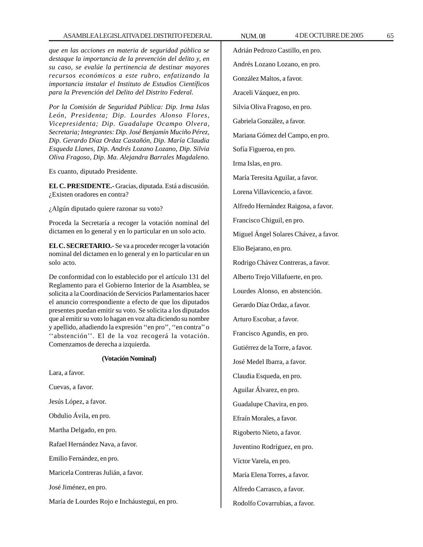# ASAMBLEA LEGISLATIVA DEL DISTRITO FEDERAL NUM. 08 4DE OCTUBRE DE 2005 65

*que en las acciones en materia de seguridad pública se destaque la importancia de la prevención del delito y, en su caso, se evalúe la pertinencia de destinar mayores recursos económicos a este rubro, enfatizando la importancia instalar el Instituto de Estudios Científicos para la Prevención del Delito del Distrito Federal.*

*Por la Comisión de Seguridad Pública: Dip. Irma Islas León, Presidenta; Dip. Lourdes Alonso Flores, Vicepresidenta; Dip. Guadalupe Ocampo Olvera, Secretaria; Integrantes: Dip. José Benjamín Muciño Pérez, Dip. Gerardo Díaz Ordaz Castañón, Dip. María Claudia Esqueda Llanes, Dip. Andrés Lozano Lozano, Dip. Silvia Oliva Fragoso, Dip. Ma. Alejandra Barrales Magdaleno.*

Es cuanto, diputado Presidente.

**EL C. PRESIDENTE.-** Gracias, diputada. Está a discusión. ¿Existen oradores en contra?

¿Algún diputado quiere razonar su voto?

Proceda la Secretaría a recoger la votación nominal del dictamen en lo general y en lo particular en un solo acto.

**EL C. SECRETARIO.-** Se va a proceder recoger la votación nominal del dictamen en lo general y en lo particular en un solo acto.

De conformidad con lo establecido por el artículo 131 del Reglamento para el Gobierno Interior de la Asamblea, se solicita a la Coordinación de Servicios Parlamentarios hacer el anuncio correspondiente a efecto de que los diputados presentes puedan emitir su voto. Se solicita a los diputados que al emitir su voto lo hagan en voz alta diciendo su nombre y apellido, añadiendo la expresión ''en pro'', ''en contra'' o "abstención". El de la voz recogerá la votación. Comenzamos de derecha a izquierda.

# **(Votación Nominal)**

Lara, a favor. Cuevas, a favor. Jesús López, a favor. Obdulio Ávila, en pro. Martha Delgado, en pro. Rafael Hernández Nava, a favor. Emilio Fernández, en pro. Maricela Contreras Julián, a favor. José Jiménez, en pro. María de Lourdes Rojo e Incháustegui, en pro. Adrián Pedrozo Castillo, en pro. Andrés Lozano Lozano, en pro. González Maltos, a favor. Araceli Vázquez, en pro. Silvia Oliva Fragoso, en pro. Gabriela González, a favor. Mariana Gómez del Campo, en pro. Sofía Figueroa, en pro. Irma Islas, en pro. María Teresita Aguilar, a favor. Lorena Villavicencio, a favor. Alfredo Hernández Raigosa, a favor. Francisco Chiguil, en pro. Miguel Ángel Solares Chávez, a favor. Elio Bejarano, en pro. Rodrigo Chávez Contreras, a favor. Alberto Trejo Villafuerte, en pro. Lourdes Alonso, en abstención. Gerardo Díaz Ordaz, a favor. Arturo Escobar, a favor. Francisco Agundis, en pro. Gutiérrez de la Torre, a favor. José Medel Ibarra, a favor. Claudia Esqueda, en pro. Aguilar Álvarez, en pro. Guadalupe Chavira, en pro. Efraín Morales, a favor. Rigoberto Nieto, a favor. Juventino Rodríguez, en pro. Víctor Varela, en pro. María Elena Torres, a favor. Alfredo Carrasco, a favor. Rodolfo Covarrubias, a favor.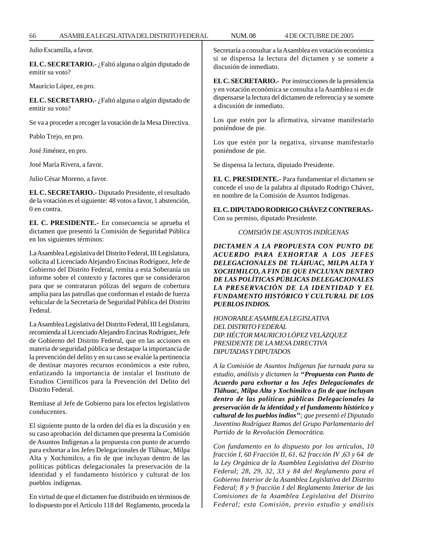Julio Escamilla, a favor.

**EL C. SECRETARIO.-** ¿Faltó alguna o algún diputado de emitir su voto?

Mauricio López, en pro.

**EL C. SECRETARIO.-** ¿Faltó alguna o algún diputado de emitir su voto?

Se va a proceder a recoger la votación de la Mesa Directiva.

Pablo Trejo, en pro.

José Jiménez, en pro.

José María Rivera, a favor.

Julio César Moreno, a favor.

**EL C. SECRETARIO.-** Diputado Presidente, el resultado de la votación es el siguiente: 48 votos a favor, 1 abstención, 0 en contra.

**EL C. PRESIDENTE.-** En consecuencia se aprueba el dictamen que presentó la Comisión de Seguridad Pública en los siguientes términos:

La Asamblea Legislativa del Distrito Federal, III Legislatura, solicita al Licenciado Alejandro Encinas Rodríguez, Jefe de Gobierno del Distrito Federal, remita a esta Soberanía un informe sobre el contexto y factores que se consideraron para que se contrataran pólizas del seguro de cobertura amplia para las patrullas que conforman el estado de fuerza vehicular de la Secretaría de Seguridad Pública del Distrito Federal.

La Asamblea Legislativa del Distrito Federal, III Legislatura, recomienda al Licenciado Alejandro Encinas Rodríguez, Jefe de Gobierno del Distrito Federal, que en las acciones en materia de seguridad pública se destaque la importancia de la prevención del delito y en su caso se evalúe la pertinencia de destinar mayores recursos económicos a este rubro, enfatizando la importancia de instalar el Instituto de Estudios Científicos para la Prevención del Delito del Distrito Federal.

Remítase al Jefe de Gobierno para los efectos legislativos conducentes.

El siguiente punto de la orden del día es la discusión y en su caso aprobación del dictamen que presenta la Comisión de Asuntos Indígenas a la propuesta con punto de acuerdo para exhortar a los Jefes Delegacionales de Tláhuac, Milpa Alta y Xochimilco, a fin de que incluyan dentro de las políticas públicas delegacionales la preservación de la identidad y el fundamento histórico y cultural de los pueblos indígenas.

En virtud de que el dictamen fue distribuido en términos de lo dispuesto por el Artículo 118 del Reglamento, proceda la Secretaría a consultar a la Asamblea en votación económica si se dispensa la lectura del dictamen y se somete a discusión de inmediato.

**EL C. SECRETARIO.-** Por instrucciones de la presidencia y en votación económica se consulta a la Asamblea si es de dispensarse la lectura del dictamen de referencia y se somete a discusión de inmediato.

Los que estén por la afirmativa, sírvanse manifestarlo poniéndose de pie.

Los que estén por la negativa, sírvanse manifestarlo poniéndose de pie.

Se dispensa la lectura, diputado Presidente.

**EL C. PRESIDENTE.-** Para fundamentar el dictamen se concede el uso de la palabra al diputado Rodrigo Chávez, en nombre de la Comisión de Asuntos Indígenas.

**EL C. DIPUTADO RODRIGO CHÁVEZ CONTRERAS.-** Con su permiso, diputado Presidente.

# *COMISIÓN DE ASUNTOS INDÍGENAS*

*DICTAMEN A LA PROPUESTA CON PUNTO DE ACUERDO PARA EXHORTAR A LOS JEFES DELEGACIONALES DE TLÁHUAC, MILPA ALTA Y XOCHIMILCO, A FIN DE QUE INCLUYAN DENTRO DE LAS POLÍTICAS PÚBLICAS DELEGACIONALES LA PRESERVACIÓN DE LA IDENTIDAD Y EL FUNDAMENTO HISTÓRICO Y CULTURAL DE LOS PUEBLOS INDIOS.*

*HONORABLE ASAMBLEA LEGISLATIVA DEL DISTRITO FEDERAL DIP. HÉCTOR MAURICIO LÓPEZ VELÁZQUEZ PRESIDENTE DE LA MESA DIRECTIVA DIPUTADAS Y DIPUTADOS*

*A la Comisión de Asuntos Indígenas fue turnada para su estudio, análisis y dictamen la ''Propuesta con Punto de Acuerdo para exhortar a los Jefes Delegacionales de Tláhuac, Milpa Alta y Xochimilco a fin de que incluyan dentro de las políticas públicas Delegacionales la preservación de la identidad y el fundamento histórico y cultural de los pueblos indios''; que presentó el Diputado Juventino Rodríguez Ramos del Grupo Parlamentario del Partido de la Revolución Democrática.*

*Con fundamento en lo dispuesto por los artículos, 10 fracción I, 60 Fracción II, 61, 62 fracción IV ,63 y 64 de la Ley Orgánica de la Asamblea Legislativa del Distrito Federal; 28, 29, 32, 33 y 84 del Reglamento para el Gobierno Interior de la Asamblea Legislativa del Distrito Federal; 8 y 9 fracción I del Reglamento Interior de las Comisiones de la Asamblea Legislativa del Distrito Federal; esta Comisión, previo estudio y análisis*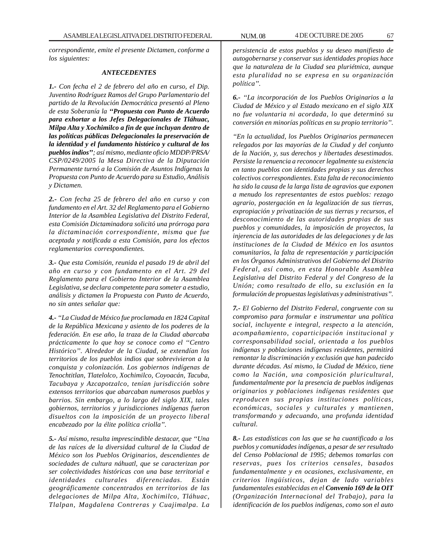*correspondiente, emite el presente Dictamen, conforme a los siguientes:*

## *ANTECEDENTES*

*1.- Con fecha el 2 de febrero del año en curso, el Dip. Juventino Rodríguez Ramos del Grupo Parlamentario del partido de la Revolución Democrática presentó al Pleno de esta Soberanía la ''Propuesta con Punto de Acuerdo para exhortar a los Jefes Delegacionales de Tláhuac, Milpa Alta y Xochimilco a fin de que incluyan dentro de las políticas públicas Delegacionales la preservación de la identidad y el fundamento histórico y cultural de los pueblos indios''; así mismo, mediante oficio MDDP/PRSA/ CSP/0249/2005 la Mesa Directiva de la Diputación Permanente turnó a la Comisión de Asuntos Indígenas la Propuesta con Punto de Acuerdo para su Estudio, Análisis y Dictamen.*

*2.- Con fecha 25 de febrero del año en curso y con fundamento en el Art. 32 del Reglamento para el Gobierno Interior de la Asamblea Legislativa del Distrito Federal, esta Comisión Dictaminadora solicitó una prórroga para la dictaminación correspondiente, misma que fue aceptada y notificada a esta Comisión, para los efectos reglamentarios correspondientes.*

*3.- Que esta Comisión, reunida el pasado 19 de abril del año en curso y con fundamento en el Art. 29 del Reglamento para el Gobierno Interior de la Asamblea Legislativa, se declara competente para someter a estudio, análisis y dictamen la Propuesta con Punto de Acuerdo, no sin antes señalar que:*

*4.- ''La Ciudad de México fue proclamada en 1824 Capital de la República Mexicana y asiento de los poderes de la federación. En ese año, la traza de la Ciudad abarcaba prácticamente lo que hoy se conoce como el ''Centro Histórico''. Alrededor de la Ciudad, se extendían los territorios de los pueblos indios que sobrevivieron a la conquista y colonización. Los gobiernos indígenas de Tenochtitlan, Tlatelolco, Xochimilco, Coyoacán, Tacuba, Tacubaya y Azcapotzalco, tenían jurisdicción sobre extensos territorios que abarcaban numerosos pueblos y barrios. Sin embargo, a lo largo del siglo XIX, tales gobiernos, territorios y jurisdicciones indígenas fueron disueltos con la imposición de un proyecto liberal encabezado por la élite política criolla''.*

*5.- Así mismo, resulta imprescindible destacar, que ''Una de las raíces de la diversidad cultural de la Ciudad de México son los Pueblos Originarios, descendientes de sociedades de cultura náhuatl, que se caracterizan por ser colectividades históricas con una base territorial e identidades culturales diferenciadas. Están geográficamente concentrados en territorios de las delegaciones de Milpa Alta, Xochimilco, Tláhuac, Tlalpan, Magdalena Contreras y Cuajimalpa. La*

*persistencia de estos pueblos y su deseo manifiesto de autogobernarse y conservar sus identidades propias hace que la naturaleza de la Ciudad sea pluriétnica, aunque esta pluralidad no se expresa en su organización política''.*

*6.- ''La incorporación de los Pueblos Originarios a la Ciudad de México y al Estado mexicano en el siglo XIX no fue voluntaria ni acordada, lo que determinó su conversión en minorías políticas en su propio territorio''.*

*''En la actualidad, los Pueblos Originarios permanecen relegados por las mayorías de la Ciudad y del conjunto de la Nación, y, sus derechos y libertades desestimados. Persiste la renuencia a reconocer legalmente su existencia en tanto pueblos con identidades propias y sus derechos colectivos correspondientes. Esta falta de reconocimiento ha sido la causa de la larga lista de agravios que exponen a menudo los representantes de estos pueblos: rezago agrario, postergación en la legalización de sus tierras, expropiación y privatización de sus tierras y recursos, el desconocimiento de las autoridades propias de sus pueblos y comunidades, la imposición de proyectos, la injerencia de las autoridades de las delegaciones y de las instituciones de la Ciudad de México en los asuntos comunitarios, la falta de representación y participación en los Órganos Administrativos del Gobierno del Distrito Federal, así como, en esta Honorable Asamblea Legislativa del Distrito Federal y del Congreso de la Unión; como resultado de ello, su exclusión en la formulación de propuestas legislativas y administrativas''.*

*7.- El Gobierno del Distrito Federal, congruente con su compromiso para formular e instrumentar una política social, incluyente e integral, respecto a la atención, acompañamiento, coparticipación institucional y corresponsabilidad social, orientada a los pueblos indígenas y poblaciones indígenas residentes, permitirá remontar la discriminación y exclusión que han padecido durante décadas. Así mismo, la Ciudad de México, tiene como la Nación, una composición pluricultural, fundamentalmente por la presencia de pueblos indígenas originarios y poblaciones indígenas residentes que reproducen sus propias instituciones políticas, económicas, sociales y culturales y mantienen, transformando y adecuando, una profunda identidad cultural.*

*8.- Las estadísticas con las que se ha cuantificado a los pueblos y comunidades indígenas, a pesar de ser resultado del Censo Poblacional de 1995; debemos tomarlas con reservas, pues los criterios censales, basados fundamentalmente y en ocasiones, exclusivamente, en criterios lingüísticos, dejan de lado variables fundamentales establecidas en el Convenio 169 de la OIT (Organización Internacional del Trabajo), para la identificación de los pueblos indígenas, como son el auto*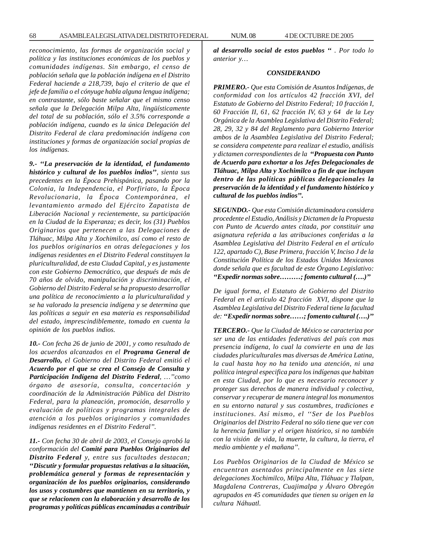*reconocimiento, las formas de organización social y política y las instituciones económicas de los pueblos y comunidades indígenas. Sin embargo, el censo de población señala que la población indígena en el Distrito Federal haciende a 218,739, bajo el criterio de que el jefe de familia o el cónyuge habla alguna lengua indígena; en contrastante, sólo baste señalar que el mismo censo señala que la Delegación Milpa Alta, lingüísticamente del total de su población, sólo el 3.5% corresponde a población indígena, cuando es la única Delegación del Distrito Federal de clara predominación indígena con instituciones y formas de organización social propias de los indígenas.*

*9.- ''La preservación de la identidad, el fundamento histórico y cultural de los pueblos indios'', sienta sus precedentes en la Época Prehispánica, pasando por la Colonia, la Independencia, el Porfiriato, la Época Revolucionaria, la Época Contemporánea, el levantamiento armado del Ejército Zapatista de Liberación Nacional y recientemente, su participación en la Ciudad de la Esperanza; es decir, los (31) Pueblos Originarios que pertenecen a las Delegaciones de Tláhuac, Milpa Alta y Xochimilco, así como el resto de los pueblos originarios en otras delegaciones y los indígenas residentes en el Distrito Federal constituyen la pluriculturalidad, de esta Ciudad Capital, y es justamente con este Gobierno Democrático, que después de más de 70 años de olvido, manipulación y discriminación, el Gobierno del Distrito Federal se ha propuesto desarrollar una política de reconocimiento a la pluriculturalidad y se ha valorado la presencia indígena y se determina que las políticas a seguir en esa materia es responsabilidad del estado, imprescindiblemente, tomado en cuenta la opinión de los pueblos indios.*

*10.- Con fecha 26 de junio de 2001, y como resultado de los acuerdos alcanzados en el Programa General de Desarrollo, el Gobierno del Distrito Federal emitió el Acuerdo por el que se crea el Consejo de Consulta y Participación Indígena del Distrito Federal, …''como órgano de asesoría, consulta, concertación y coordinación de la Administración Pública del Distrito Federal, para la planeación, promoción, desarrollo y evaluación de políticas y programas integrales de atención a los pueblos originarios y comunidades indígenas residentes en el Distrito Federal''.*

*11.- Con fecha 30 de abril de 2003, el Consejo aprobó la conformación del Comité para Pueblos Originarios del Distrito Federal y, entre sus facultades destacan; ''Discutir y formular propuestas relativas a la situación, problemática general y formas de representación y organización de los pueblos originarios, considerando los usos y costumbres que mantienen en su territorio, y que se relacionen con la elaboración y desarrollo de los programas y políticas públicas encaminadas a contribuir*

*al desarrollo social de estos pueblos '' . Por todo lo anterior y…*

### *CONSIDERANDO*

*PRIMERO.- Que esta Comisión de Asuntos Indígenas, de conformidad con los artículos 42 fracción XVI, del Estatuto de Gobierno del Distrito Federal; 10 fracción I, 60 Fracción II, 61, 62 fracción IV, 63 y 64 de la Ley Orgánica de la Asamblea Legislativa del Distrito Federal; 28, 29, 32 y 84 del Reglamento para Gobierno Interior ambos de la Asamblea Legislativa del Distrito Federal; se considera competente para realizar el estudio, análisis y dictamen correspondientes de la ''Propuesta con Punto de Acuerdo para exhortar a los Jefes Delegacionales de Tláhuac, Milpa Alta y Xochimilco a fin de que incluyan dentro de las políticas públicas delegacionales la preservación de la identidad y el fundamento histórico y cultural de los pueblos indios''.*

*SEGUNDO.- Que esta Comisión dictaminadora considera procedente el Estudio, Análisis y Dictamen de la Propuesta con Punto de Acuerdo antes citada, por constituir una asignatura referida a las atribuciones conferidas a la Asamblea Legislativa del Distrito Federal en el artículo 122, apartado C), Base Primera, fracción V, Inciso J de la Constitución Política de los Estados Unidos Mexicanos donde señala que es facultad de este Órgano Legislativo: ''Expedir normas sobre………; fomento cultural (….)''*

*De igual forma, el Estatuto de Gobierno del Distrito Federal en el artículo 42 fracción XVI, dispone que la Asamblea Legislativa del Distrito Federal tiene la facultad de: ''Expedir normas sobre……; fomento cultural (….)''*

*TERCERO.- Que la Ciudad de México se caracteriza por ser una de las entidades federativas del país con mas presencia indígena, lo cual la convierte en una de las ciudades pluriculturales mas diversas de América Latina, la cual hasta hoy no ha tenido una atención, ni una política integral especifica para los indígenas que habitan en esta Ciudad, por lo que es necesario reconocer y proteger sus derechos de manera individual y colectiva, conservar y recuperar de manera integral los monumentos en su entorno natural y sus costumbres, tradiciones e instituciones. Así mismo, el ''Ser de los Pueblos Originarios del Distrito Federal no sólo tiene que ver con la herencia familiar y el origen histórico, si no también con la visión de vida, la muerte, la cultura, la tierra, el medio ambiente y el mañana''.*

*Los Pueblos Originarios de la Ciudad de México se encuentran asentados principalmente en las siete delegaciones Xochimilco, Milpa Alta, Tláhuac y Tlalpan, Magdalena Contreras, Cuajimalpa y Álvaro Obregón agrupados en 45 comunidades que tienen su origen en la cultura Náhuatl.*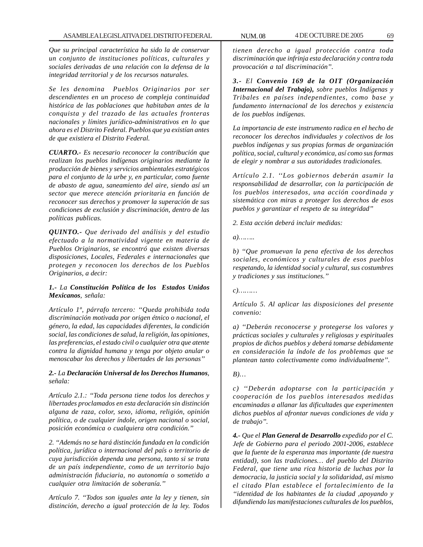*Que su principal característica ha sido la de conservar un conjunto de instituciones políticas, culturales y sociales derivadas de una relación con la defensa de la integridad territorial y de los recursos naturales.*

*Se les denomina Pueblos Originarios por ser descendientes en un proceso de compleja continuidad histórica de las poblaciones que habitaban antes de la conquista y del trazado de las actuales fronteras nacionales y límites jurídico-administrativos en lo que ahora es el Distrito Federal. Pueblos que ya existían antes de que existiera el Distrito Federal.*

*CUARTO.- Es necesario reconocer la contribución que realizan los pueblos indígenas originarios mediante la producción de bienes y servicios ambientales estratégicos para el conjunto de la urbe y, en particular, como fuente de abasto de agua, saneamiento del aire, siendo así un sector que merece atención prioritaria en función de reconocer sus derechos y promover la superación de sus condiciones de exclusión y discriminación, dentro de las políticas publicas.*

*QUINTO.- Que derivado del análisis y del estudio efectuado a la normatividad vigente en materia de Pueblos Originarios, se encontró que existen diversas disposiciones, Locales, Federales e internacionales que protegen y reconocen los derechos de los Pueblos Originarios, a decir:*

# *1.- La Constitución Política de los Estados Unidos Mexicanos, señala:*

*Artículo 1º, párrafo tercero: ''Queda prohibida toda discriminación motivada por origen étnico o nacional, el género, la edad, las capacidades diferentes, la condición social, las condiciones de salud, la religión, las opiniones, las preferencias, el estado civil o cualquier otra que atente contra la dignidad humana y tenga por objeto anular o menoscabar los derechos y libertades de las personas''*

## *2.- La Declaración Universal de los Derechos Humanos, señala:*

*Artículo 2.1.: ''Toda persona tiene todos los derechos y libertades proclamados en esta declaración sin distinción alguna de raza, color, sexo, idioma, religión, opinión política, o de cualquier índole, origen nacional o social, posición económica o cualquiera otra condición.''*

*2. ''Además no se hará distinción fundada en la condición política, jurídica o internacional del país o territorio de cuya jurisdicción dependa una persona, tanto si se trata de un país independiente, como de un territorio bajo administración fiduciaria, no autonomía o sometido a cualquier otra limitación de soberanía.''*

*Artículo 7. ''Todos son iguales ante la ley y tienen, sin distinción, derecho a igual protección de la ley. Todos*

*tienen derecho a igual protección contra toda discriminación que infrinja esta declaración y contra toda provocación a tal discriminación''.*

*3.- El Convenio 169 de la OIT (Organización Internacional del Trabajo), sobre pueblos Indígenas y Tribales en países independientes, como base y fundamento internacional de los derechos y existencia de los pueblos indígenas.*

*La importancia de este instrumento radica en el hecho de reconocer los derechos individuales y colectivos de los pueblos indígenas y sus propias formas de organización política, social, cultural y económica, así como sus formas de elegir y nombrar a sus autoridades tradicionales.*

*Artículo 2.1. ''Los gobiernos deberán asumir la responsabilidad de desarrollar, con la participación de los pueblos interesados, una acción coordinada y sistemática con miras a proteger los derechos de esos pueblos y garantizar el respeto de su integridad''*

*2. Esta acción deberá incluir medidas:*

*a)……..*

*b) ''Que promuevan la pena efectiva de los derechos sociales, económicos y culturales de esos pueblos respetando, la identidad social y cultural, sus costumbres y tradiciones y sus instituciones.''*

*c)………*

*Artículo 5. Al aplicar las disposiciones del presente convenio:*

*a) ''Deberán reconocerse y protegerse los valores y prácticas sociales y culturales y religiosas y espirituales propios de dichos pueblos y deberá tomarse debidamente en consideración la índole de los problemas que se plantean tanto colectivamente como individualmente''.*

*B)…*

*c) ''Deberán adoptarse con la participación y cooperación de los pueblos interesados medidas encaminadas a allanar las dificultades que experimenten dichos pueblos al afrontar nuevas condiciones de vida y de trabajo''.*

*4.- Que el Plan General de Desarrollo expedido por el C. Jefe de Gobierno para el periodo 2001-2006, establece que la fuente de la esperanza mas importante (de nuestra entidad), son las tradiciones… del pueblo del Distrito Federal, que tiene una rica historia de luchas por la democracia, la justicia social y la solidaridad, así mismo el citado Plan establece el fortalecimiento de la ''identidad de los habitantes de la ciudad ,apoyando y difundiendo las manifestaciones culturales de los pueblos,*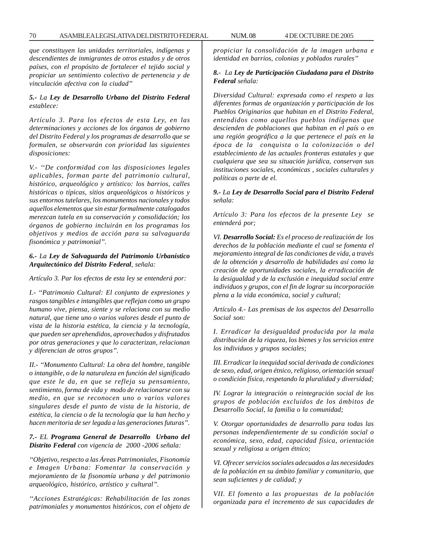*que constituyen las unidades territoriales, indígenas y descendientes de inmigrantes de otros estados y de otros países, con el propósito de fortalecer el tejido social y propiciar un sentimiento colectivo de pertenencia y de vinculación afectiva con la ciudad''*

# *5.- La Ley de Desarrollo Urbano del Distrito Federal establece:*

*Artículo 3. Para los efectos de esta Ley, en las determinaciones y acciones de los órganos de gobierno del Distrito Federal y los programas de desarrollo que se formulen, se observarán con prioridad las siguientes disposiciones:*

*V.- ''De conformidad con las disposiciones legales aplicables, forman parte del patrimonio cultural, histórico, arqueológico y artístico: los barrios, calles históricas o típicas, sitios arqueológicos o históricos y sus entornos tutelares, los monumentos nacionales y todos aquellos elementos que sin estar formalmente catalogados merezcan tutela en su conservación y consolidación; los órganos de gobierno incluirán en los programas los objetivos y medios de acción para su salvaguarda fisonómica y patrimonial''.*

# *6.- La Ley de Salvaguarda del Patrimonio Urbanístico Arquitectónico del Distrito Federal, señala:*

*Artículo 3. Par los efectos de esta ley se entenderá por:*

*I.- ''Patrimonio Cultural: El conjunto de expresiones y rasgos tangibles e intangibles que reflejan como un grupo humano vive, piensa, siente y se relaciona con su medio natural, que tiene uno o varios valores desde el punto de vista de la historia estética, la ciencia y la tecnología, que pueden ser aprehendidos, aprovechados y disfrutados por otras generaciones y que lo caracterizan, relacionan y diferencian de otros grupos''.*

*II.- ''Monumento Cultural: La obra del hombre, tangible o intangible, o de la naturaleza en función del significado que este le da, en que se refleja su pensamiento, sentimiento, forma de vida y modo de relacionarse con su medio, en que se reconocen uno o varios valores singulares desde el punto de vista de la historia, de estética, la ciencia o de la tecnología que la han hecho y hacen meritoria de ser legada a las generaciones futuras''.*

# *7.- EL Programa General de Desarrollo Urbano del Distrito Federal con vigencia de 2000 -2006 señala:*

*''Objetivo, respecto a las Áreas Patrimoniales, Fisonomía e Imagen Urbana: Fomentar la conservación y mejoramiento de la fisonomía urbana y del patrimonio arqueológico, histórico, artístico y cultural''.*

*''Acciones Estratégicas: Rehabilitación de las zonas patrimoniales y monumentos históricos, con el objeto de*

*propiciar la consolidación de la imagen urbana e identidad en barrios, colonias y poblados rurales''*

# *8.- La Ley de Participación Ciudadana para el Distrito Federal señala:*

*Diversidad Cultural: expresada como el respeto a las diferentes formas de organización y participación de los Pueblos Originarios que habitan en el Distrito Federal, entendidos como aquellos pueblos indígenas que descienden de poblaciones que habitan en el país o en una región geográfica a la que pertenece el país en la época de la conquista o la colonización o del establecimiento de las actuales fronteras estatales y que cualquiera que sea su situación jurídica, conservan sus instituciones sociales, económicas , sociales culturales y políticas o parte de el.*

# *9.- La Ley de Desarrollo Social para el Distrito Federal señala:*

*Artículo 3: Para los efectos de la presente Ley se entenderá por;*

*VI. Desarrollo Social: Es el proceso de realización de los derechos de la población mediante el cual se fomenta el mejoramiento integral de las condiciones de vida, a través de la obtención y desarrollo de habilidades así como la creación de oportunidades sociales, la erradicación de la desigualdad y de la exclusión e inequidad social entre individuos y grupos, con el fin de lograr su incorporación plena a la vida económica, social y cultural;*

*Artículo 4.- Las premisas de los aspectos del Desarrollo Social son:*

*I. Erradicar la desigualdad producida por la mala distribución de la riqueza, los bienes y los servicios entre los individuos y grupos sociales;*

*III. Erradicar la inequidad social derivada de condiciones de sexo, edad, origen étnico, religioso, orientación sexual o condición física, respetando la pluralidad y diversidad;*

*IV. Lograr la integración o reintegración social de los grupos de población excluidos de los ámbitos de Desarrollo Social, la familia o la comunidad;*

*V. Otorgar oportunidades de desarrollo para todas las personas independientemente de su condición social o económica, sexo, edad, capacidad física, orientación sexual y religiosa u origen étnico;*

*VI. Ofrecer servicios sociales adecuados a las necesidades de la población en su ámbito familiar y comunitario, que sean suficientes y de calidad; y*

*VII. El fomento a las propuestas de la población organizada para el incremento de sus capacidades de*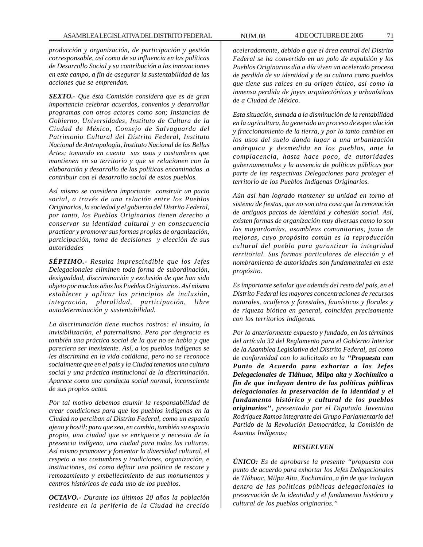*producción y organización, de participación y gestión corresponsable, así como de su influencia en las políticas de Desarrollo Social y su contribución a las innovaciones en este campo, a fin de asegurar la sustentabilidad de las acciones que se emprendan.*

*SEXTO.- Que ésta Comisión considera que es de gran importancia celebrar acuerdos, convenios y desarrollar programas con otros actores como son; Instancias de Gobierno, Universidades, Instituto de Cultura de la Ciudad de México, Consejo de Salvaguarda del Patrimonio Cultural del Distrito Federal, Instituto Nacional de Antropología, Instituto Nacional de las Bellas Artes; tomando en cuenta sus usos y costumbres que mantienen en su territorio y que se relacionen con la elaboración y desarrollo de las políticas encaminadas a contribuir con el desarrollo social de estos pueblos.*

*Así mismo se considera importante construir un pacto social, a través de una relación entre los Pueblos Originarios, la sociedad y el gobierno del Distrito Federal, por tanto, los Pueblos Originarios tienen derecho a conservar su identidad cultural y en consecuencia practicar y promover sus formas propias de organización, participación, toma de decisiones y elección de sus autoridades*

*SÉPTIMO.- Resulta imprescindible que los Jefes Delegacionales eliminen toda forma de subordinación, desigualdad, discriminación y exclusión de que han sido objeto por muchos años los Pueblos Originarios. Así mismo establecer y aplicar los principios de inclusión, integración, pluralidad, participación, libre autodeterminación y sustentabilidad.*

*La discriminación tiene muchos rostros: el insulto, la invisibilización, el paternalismo. Pero por desgracia es también una práctica social de la que no se habla y que pareciera ser inexistente. Así, a los pueblos indígenas se les discrimina en la vida cotidiana, pero no se reconoce socialmente que en el país y la Ciudad tenemos una cultura social y una práctica institucional de la discriminación. Aparece como una conducta social normal, inconsciente de sus propios actos.*

*Por tal motivo debemos asumir la responsabilidad de crear condiciones para que los pueblos indígenas en la Ciudad no perciban al Distrito Federal, como un espacio ajeno y hostil; para que sea, en cambio, también su espacio propio, una ciudad que se enriquece y necesita de la presencia indígena, una ciudad para todas las culturas. Así mismo promover y fomentar la diversidad cultural, el respeto a sus costumbres y tradiciones, organización, e instituciones, así como definir una política de rescate y remozamiento y embellecimiento de sus monumentos y centros históricos de cada uno de los pueblos.*

*OCTAVO.- Durante los últimos 20 años la población residente en la periferia de la Ciudad ha crecido* *aceleradamente, debido a que el área central del Distrito Federal se ha convertido en un polo de expulsión y los Pueblos Originarios día a día viven un acelerado proceso de perdida de su identidad y de su cultura como pueblos que tiene sus raíces en su origen étnico, así como la inmensa perdida de joyas arquitectónicas y urbanísticas de a Ciudad de México.*

*Esta situación, sumada a la disminución de la rentabilidad en la agricultura, ha generado un proceso de especulación y fraccionamiento de la tierra, y por lo tanto cambios en los usos del suelo dando lugar a una urbanización anárquica y desmedida en los pueblos, ante la complacencia, hasta hace poco, de autoridades gubernamentales y la ausencia de políticas públicas por parte de las respectivas Delegaciones para proteger el territorio de los Pueblos Indígenas Originarios.*

*Aún así han logrado mantener su unidad en torno al sistema de fiestas, que no son otra cosa que la renovación de antiguos pactos de identidad y cohesión social. Así, existen formas de organización muy diversas como lo son las mayordomías, asambleas comunitarias, junta de mejoras, cuyo propósito común es la reproducción cultural del pueblo para garantizar la integridad territorial. Sus formas particulares de elección y el nombramiento de autoridades son fundamentales en este propósito.*

*Es importante señalar que además del resto del país, en el Distrito Federal las mayores concentraciones de recursos naturales, acuíferos y forestales, faunísticos y florales y de riqueza biótica en general, coinciden precisamente con los territorios indígenas.*

*Por lo anteriormente expuesto y fundado, en los términos del artículo 32 del Reglamento para el Gobierno Interior de la Asamblea Legislativa del Distrito Federal, así como de conformidad con lo solicitado en la ''Propuesta con Punto de Acuerdo para exhortar a los Jefes Delegacionales de Tláhuac, Milpa alta y Xochimilco a fin de que incluyan dentro de las políticas públicas delegacionales la preservación de la identidad y el fundamento histórico y cultural de los pueblos originarios'', presentada por el Diputado Juventino Rodríguez Ramos integrante del Grupo Parlamentario del Partido de la Revolución Democrática, la Comisión de Asuntos Indígenas;*

### *RESUELVEN*

*ÚNICO: Es de aprobarse la presente ''propuesta con punto de acuerdo para exhortar los Jefes Delegacionales de Tláhuac, Milpa Alta, Xochimilco, a fin de que incluyan dentro de las políticas públicas delegacionales la preservación de la identidad y el fundamento histórico y cultural de los pueblos originarios.''*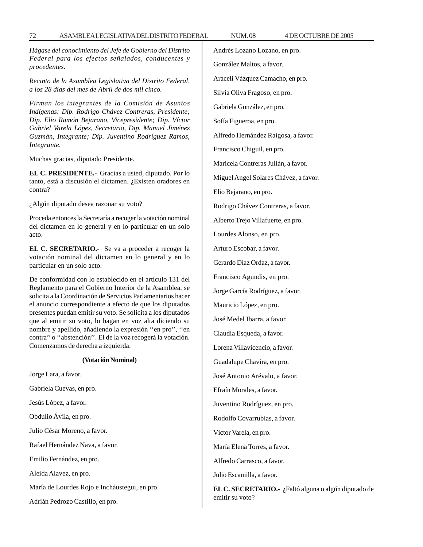*Hágase del conocimiento del Jefe de Gobierno del Distrito Federal para los efectos señalados, conducentes y procedentes.*

*Recinto de la Asamblea Legislativa del Distrito Federal, a los 28 días del mes de Abril de dos mil cinco.*

*Firman los integrantes de la Comisión de Asuntos Indígenas: Dip. Rodrigo Chávez Contreras, Presidente; Dip. Elio Ramón Bejarano, Vicepresidente; Dip. Víctor Gabriel Varela López, Secretario, Dip. Manuel Jiménez Guzmán, Integrante; Dip. Juventino Rodríguez Ramos, Integrante.*

Muchas gracias, diputado Presidente.

**EL C. PRESIDENTE.-** Gracias a usted, diputado. Por lo tanto, está a discusión el dictamen. ¿Existen oradores en contra?

¿Algún diputado desea razonar su voto?

Proceda entonces la Secretaría a recoger la votación nominal del dictamen en lo general y en lo particular en un solo acto.

**EL C. SECRETARIO.-** Se va a proceder a recoger la votación nominal del dictamen en lo general y en lo particular en un solo acto.

De conformidad con lo establecido en el artículo 131 del Reglamento para el Gobierno Interior de la Asamblea, se solicita a la Coordinación de Servicios Parlamentarios hacer el anuncio correspondiente a efecto de que los diputados presentes puedan emitir su voto. Se solicita a los diputados que al emitir su voto, lo hagan en voz alta diciendo su nombre y apellido, añadiendo la expresión ''en pro'', ''en contra'' o ''abstención''. El de la voz recogerá la votación. Comenzamos de derecha a izquierda.

### **(Votación Nominal)**

Jorge Lara, a favor.

Gabriela Cuevas, en pro.

Jesús López, a favor.

Obdulio Ávila, en pro.

Julio César Moreno, a favor.

Rafael Hernández Nava, a favor.

Emilio Fernández, en pro.

Aleida Alavez, en pro.

María de Lourdes Rojo e Incháustegui, en pro.

Adrián Pedrozo Castillo, en pro.

Andrés Lozano Lozano, en pro. González Maltos, a favor. Araceli Vázquez Camacho, en pro. Silvia Oliva Fragoso, en pro. Gabriela González, en pro. Sofía Figueroa, en pro. Alfredo Hernández Raigosa, a favor. Francisco Chiguil, en pro. Maricela Contreras Julián, a favor. Miguel Angel Solares Chávez, a favor. Elio Bejarano, en pro. Rodrigo Chávez Contreras, a favor. Alberto Trejo Villafuerte, en pro. Lourdes Alonso, en pro. Arturo Escobar, a favor. Gerardo Díaz Ordaz, a favor. Francisco Agundis, en pro. Jorge García Rodríguez, a favor. Mauricio López, en pro. José Medel Ibarra, a favor. Claudia Esqueda, a favor. Lorena Villavicencio, a favor. Guadalupe Chavira, en pro. José Antonio Arévalo, a favor. Efraín Morales, a favor. Juventino Rodríguez, en pro. Rodolfo Covarrubias, a favor. Víctor Varela, en pro. María Elena Torres, a favor. Alfredo Carrasco, a favor. Julio Escamilla, a favor. **EL C. SECRETARIO.-** ¿Faltó alguna o algún diputado de

emitir su voto?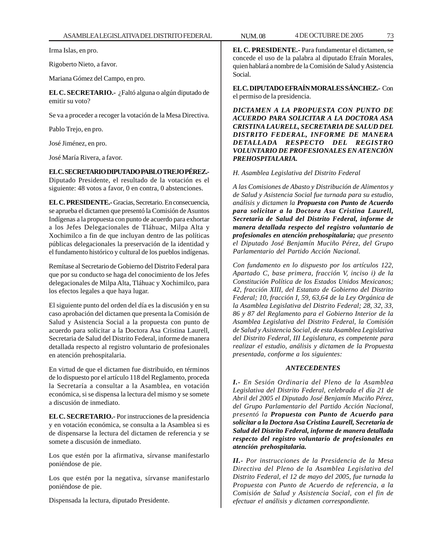Irma Islas, en pro.

Rigoberto Nieto, a favor.

Mariana Gómez del Campo, en pro.

**EL C. SECRETARIO.-** ¿Faltó alguna o algún diputado de emitir su voto?

Se va a proceder a recoger la votación de la Mesa Directiva.

Pablo Trejo, en pro.

José Jiménez, en pro.

José María Rivera, a favor.

**EL C. SECRETARIO DIPUTADO PABLO TREJO PÉREZ.-**

Diputado Presidente, el resultado de la votación es el siguiente: 48 votos a favor, 0 en contra, 0 abstenciones.

**EL C. PRESIDENTE.-** Gracias, Secretario. En consecuencia, se aprueba el dictamen que presentó la Comisión de Asuntos Indígenas a la propuesta con punto de acuerdo para exhortar a los Jefes Delegacionales de Tláhuac, Milpa Alta y Xochimilco a fin de que incluyan dentro de las políticas públicas delegacionales la preservación de la identidad y el fundamento histórico y cultural de los pueblos indígenas.

Remítase al Secretario de Gobierno del Distrito Federal para que por su conducto se haga del conocimiento de los Jefes delegacionales de Milpa Alta, Tláhuac y Xochimilco, para los efectos legales a que haya lugar.

El siguiente punto del orden del día es la discusión y en su caso aprobación del dictamen que presenta la Comisión de Salud y Asistencia Social a la propuesta con punto de acuerdo para solicitar a la Doctora Asa Cristina Laurell, Secretaria de Salud del Distrito Federal, informe de manera detallada respecto al registro voluntario de profesionales en atención prehospitalaria.

En virtud de que el dictamen fue distribuido, en términos de lo dispuesto por el artículo 118 del Reglamento, proceda la Secretaría a consultar a la Asamblea, en votación económica, si se dispensa la lectura del mismo y se somete a discusión de inmediato.

**EL C. SECRETARIO.-** Por instrucciones de la presidencia y en votación económica, se consulta a la Asamblea si es de dispensarse la lectura del dictamen de referencia y se somete a discusión de inmediato.

Los que estén por la afirmativa, sírvanse manifestarlo poniéndose de pie.

Los que estén por la negativa, sírvanse manifestarlo poniéndose de pie.

Dispensada la lectura, diputado Presidente.

**EL C. PRESIDENTE.-** Para fundamentar el dictamen, se concede el uso de la palabra al diputado Efraín Morales, quien hablará a nombre de la Comisión de Salud y Asistencia Social.

**EL C. DIPUTADO EFRAÍN MORALES SÁNCHEZ.-** Con el permiso de la presidencia.

*DICTAMEN A LA PROPUESTA CON PUNTO DE ACUERDO PARA SOLICITAR A LA DOCTORA ASA CRISTINA LAURELL, SECRETARIA DE SALUD DEL DISTRITO FEDERAL, INFORME DE MANERA DETALLADA RESPECTO DEL REGISTRO VOLUNTARIO DE PROFESIONALES EN ATENCIÓN PREHOSPITALARIA.*

*H. Asamblea Legislativa del Distrito Federal*

*A las Comisiones de Abasto y Distribución de Alimentos y de Salud y Asistencia Social fue turnada para su estudio, análisis y dictamen la Propuesta con Punto de Acuerdo para solicitar a la Doctora Asa Cristina Laurell, Secretaria de Salud del Distrito Federal, informe de manera detallada respecto del registro voluntario de profesionales en atención prehospitalaria; que presento el Diputado José Benjamín Muciño Pérez, del Grupo Parlamentario del Partido Acción Nacional.*

*Con fundamento en lo dispuesto por los artículos 122, Apartado C, base primera, fracción V, inciso i) de la Constitución Política de los Estados Unidos Mexicanos; 42, fracción XIII, del Estatuto de Gobierno del Distrito Federal; 10, fracción I, 59, 63,64 de la Ley Orgánica de la Asamblea Legislativa del Distrito Federal; 28, 32, 33, 86 y 87 del Reglamento para el Gobierno Interior de la Asamblea Legislativa del Distrito Federal, la Comisión de Salud y Asistencia Social, de esta Asamblea Legislativa del Distrito Federal, III Legislatura, es competente para realizar el estudio, análisis y dictamen de la Propuesta presentada, conforme a los siguientes:*

# *ANTECEDENTES*

*I.- En Sesión Ordinaria del Pleno de la Asamblea Legislativa del Distrito Federal, celebrada el día 21 de Abril del 2005 el Diputado José Benjamín Muciño Pérez, del Grupo Parlamentario del Partido Acción Nacional, presentó la Propuesta con Punto de Acuerdo para solicitar a la Doctora Asa Cristina Laurell, Secretaria de Salud del Distrito Federal, informe de manera detallada respecto del registro voluntario de profesionales en atención prehospitalaria.*

*II.- Por instrucciones de la Presidencia de la Mesa Directiva del Pleno de la Asamblea Legislativa del Distrito Federal, el 12 de mayo del 2005, fue turnada la Propuesta con Punto de Acuerdo de referencia, a la Comisión de Salud y Asistencia Social, con el fin de efectuar el análisis y dictamen correspondiente.*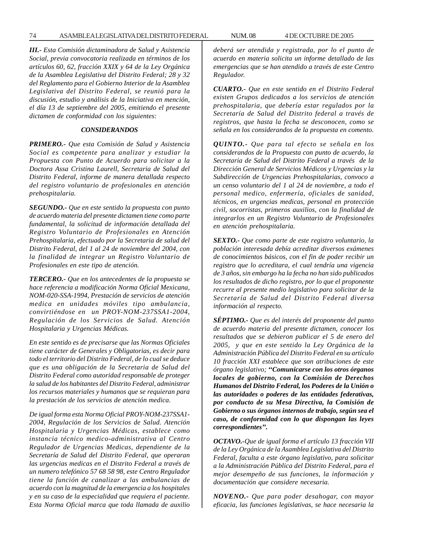74 ASAMBLEA LEGISLATIVA DEL DISTRITO FEDERAL NUM. 08 4 DE OCTUBRE DE 2005

*III.- Esta Comisión dictaminadora de Salud y Asistencia Social, previa convocatoria realizada en términos de los artículos 60, 62, fracción XXIX y 64 de la Ley Orgánica de la Asamblea Legislativa del Distrito Federal; 28 y 32 del Reglamento para el Gobierno Interior de la Asamblea Legislativa del Distrito Federal, se reunió para la discusión, estudio y análisis de la Iniciativa en mención, el día 13 de septiembre del 2005, emitiendo el presente dictamen de conformidad con los siguientes:*

# *CONSIDERANDOS*

*PRIMERO.- Que esta Comisión de Salud y Asistencia Social es competente para analizar y estudiar la Propuesta con Punto de Acuerdo para solicitar a la Doctora Assa Cristina Laurell, Secretaria de Salud del Distrito Federal, informe de manera detallada respecto del registro voluntario de profesionales en atención prehospitalaria.*

*SEGUNDO.- Que en este sentido la propuesta con punto de acuerdo materia del presente dictamen tiene como parte fundamental, la solicitud de información detallada del Registro Voluntario de Profesionales en Atención Prehospitalaria, efectuado por la Secretaria de salud del Distrito Federal, del 1 al 24 de noviembre del 2004, con la finalidad de integrar un Registro Voluntario de Profesionales en este tipo de atención.*

*TERCERO.- Que en los antecedentes de la propuesta se hace referencia a modificación Norma Oficial Mexicana, NOM-020-SSA-1994, Prestación de servicios de atención medica en unidades móviles tipo ambulancia, convirtiéndose en un PROY-NOM-237SSA1-2004, Regulación de los Servicios de Salud. Atención Hospitalaria y Urgencias Médicas.*

*En este sentido es de precisarse que las Normas Oficiales tiene carácter de Generales y Obligatorias, es decir para todo el territorio del Distrito Federal, de lo cual se deduce que es una obligación de la Secretaria de Salud del Distrito Federal como autoridad responsable de proteger la salud de los habitantes del Distrito Federal, administrar los recursos materiales y humanos que se requieran para la prestación de los servicios de atención medica.*

*De igual forma esta Norma Oficial PROY-NOM-237SSA1- 2004, Regulación de los Servicios de Salud. Atención Hospitalaria y Urgencias Médicas, establece como instancia técnico medico-administrativa al Centro Regulador de Urgencias Medicas, dependiente de la Secretaría de Salud del Distrito Federal, que operaran las urgencias medicas en el Distrito Federal a través de un numero telefónico 57 68 58 98, este Centro Regulador tiene la función de canalizar a las ambulancias de acuerdo con la magnitud de la emergencia a los hospitales y en su caso de la especialidad que requiera el paciente. Esta Norma Oficial marca que toda llamada de auxilio* *deberá ser atendida y registrada, por lo el punto de acuerdo en materia solicita un informe detallado de las emergencias que se han atendido a través de este Centro Regulador.*

*CUARTO.- Que en este sentido en el Distrito Federal existen Grupos dedicados a los servicios de atención prehospitalaria, que debería estar regulados por la Secretaría de Salud del Distrito federal a través de registros, que hasta la fecha se desconocen, como se señala en los considerandos de la propuesta en comento.*

*QUINTO.- Que para tal efecto se señala en los considerandos de la Propuesta con punto de acuerdo, la Secretaria de Salud del Distrito Federal a través de la Dirección General de Servicios Médicos y Urgencias y la Subdirección de Urgencias Prehospitalarias, convoco a un censo voluntario del 1 al 24 de noviembre, a todo el personal medico, enfermería, oficiales de sanidad, técnicos, en urgencias medicas, personal en protección civil, socorristas, primeros auxilios, con la finalidad de integrarlos en un Registro Voluntario de Profesionales en atención prehospitalaria.*

*SEXTO.- Que como parte de este registro voluntario, la población interesada debía acreditar diversos exámenes de conocimientos básicos, con el fin de poder recibir un registro que lo acreditara, el cual tendría una vigencia de 3 años, sin embargo ha la fecha no han sido publicados los resultados de dicho registro, por lo que el proponente recurre al presente medio legislativo para solicitar de la Secretaría de Salud del Distrito Federal diversa información al respecto.*

*SÉPTIMO.- Que es del interés del proponente del punto de acuerdo materia del presente dictamen, conocer los resultados que se debieron publicar el 5 de enero del 2005, y que en este sentido la Ley Orgánica de la Administración Pública del Distrito Federal en su artículo 10 fracción XXI establece que son atribuciones de este órgano legislativo; ''Comunicarse con los otros órganos locales de gobierno, con la Comisión de Derechos Humanos del Distrito Federal, los Poderes de la Unión o las autoridades o poderes de las entidades federativas, por conducto de su Mesa Directiva, la Comisión de Gobierno o sus órganos internos de trabajo, según sea el caso, de conformidad con lo que dispongan las leyes correspondientes''.*

*OCTAVO.-Que de igual forma el artículo 13 fracción VII de la Ley Orgánica de la Asamblea Legislativa del Distrito Federal, faculta a este órgano legislativo, para solicitar a la Administración Pública del Distrito Federal, para el mejor desempeño de sus funciones, la información y documentación que considere necesaria.*

*NOVENO.- Que para poder desahogar, con mayor eficacia, las funciones legislativas, se hace necesaria la*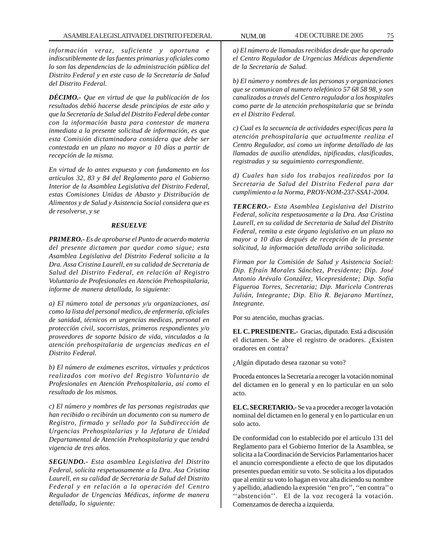*información veraz, suficiente y oportuna e indiscutiblemente de las fuentes primarias y oficiales como lo son las dependencias de la administración pública del Distrito Federal y en este caso de la Secretaría de Salud del Distrito Federal.*

*DÉCIMO.- Que en virtud de que la publicación de los resultados debió hacerse desde principios de este año y que la Secretaría de Salud del Distrito Federal debe contar con la información basta para contestar de manera inmediata a la presente solicitud de información, es que esta Comisión dictaminadora considera que debe ser contestada en un plazo no mayor a 10 días a partir de recepción de la misma.*

*En virtud de lo antes expuesto y con fundamento en los artículos 32, 83 y 84 del Reglamento para el Gobierno Interior de la Asamblea Legislativa del Distrito Federal, estas Comisiones Unidas de Abasto y Distribución de Alimentos y de Salud y Asistencia Social considera que es de resolverse, y se*

#### *RESUELVE*

*PRIMERO.- Es de aprobarse el Punto de acuerdo materia del presente dictamen par quedar como sigue; esta Asamblea Legislativa del Distrito Federal solicita a la Dra. Assa Cristina Laurell, en su calidad de Secretaria de Salud del Distrito Federal, en relación al Registro Voluntario de Profesionales en Atención Prehospitalaria, informe de manera detallada, lo siguiente:*

*a) El número total de personas y/u organizaciones, así como la lista del personal medico, de enfermería, oficiales de sanidad, técnicos en urgencias medicas, personal en protección civil, socorristas, primeros respondientes y/o proveedores de soporte básico de vida, vinculados a la atención prehospitalaria de urgencias medicas en el Distrito Federal.*

*b) El número de exámenes escritos, virtuales y prácticos realizados con motivo del Registro Voluntario de Profesionales en Atención Prehospitalaria, así como el resultado de los mismos.*

*c) El número y nombres de las personas registradas que han recibido o recibirán un documento con su numero de Registro, firmado y sellado por la Subdirección de Urgencias Prehospitalarias y la Jefatura de Unidad Departamental de Atención Prehospitalaria y que tendrá vigencia de tres años.*

*SEGUNDO.- Esta asamblea Legislativa del Distrito Federal, solicita respetuosamente a la Dra. Asa Cristina Laurell, en su calidad de Secretaria de Salud del Distrito Federal y en relación a la operación del Centro Regulador de Urgencias Médicas, informe de manera detallada, lo siguiente:*

*a) El número de llamadas recibidas desde que ha operado el Centro Regulador de Urgencias Médicas dependiente de la Secretaría de Salud.*

*b) El número y nombres de las personas y organizaciones que se comunican al numero telefónico 57 68 58 98, y son canalizados a través del Centro regulador a los hospitales como parte de la atención prehospitalaria que se brinda en el Distrito Federal.*

*c) Cual es la secuencia de actividades especificas para la atención prehospitalaria que actualmente realiza el Centro Regulador, así como un informe detallado de las llamadas de auxilio atendidas, tipificadas, clasificadas, registradas y su seguimiento correspondiente.*

*d) Cuales han sido los trabajos realizados por la Secretaria de Salud del Distrito Federal para dar cumplimiento a la Norma, PROY-NOM-237-SSA1-2004.*

*TERCERO.- Esta Asamblea Legislativa del Distrito Federal, solicita respetuosamente a la Dra. Asa Cristina Laurell, en su calidad de Secretaria de Salud del Distrito Federal, remita a este órgano legislativo en un plazo no mayor a 10 días después de recepción de la presente solicitud, la información detallada arriba solicitada.*

*Firman por la Comisión de Salud y Asistencia Social: Dip. Efraín Morales Sánchez, Presidente; Dip. José Antonio Arévalo González, Vicepresidente; Dip. Sofía Figueroa Torres, Secretaria; Dip. Maricela Contreras Julián, Integrante; Dip. Elio R. Bejarano Martínez, Integrante.*

Por su atención, muchas gracias.

**EL C. PRESIDENTE.-** Gracias, diputado. Está a discusión el dictamen. Se abre el registro de oradores. ¿Existen oradores en contra?

¿Algún diputado desea razonar su voto?

Proceda entonces la Secretaría a recoger la votación nominal del dictamen en lo general y en lo particular en un solo acto.

**EL C. SECRETARIO.-** Se va a proceder a recoger la votación nominal del dictamen en lo general y en lo particular en un solo acto.

De conformidad con lo establecido por el artículo 131 del Reglamento para el Gobierno Interior de la Asamblea, se solicita a la Coordinación de Servicios Parlamentarios hacer el anuncio correspondiente a efecto de que los diputados presentes puedan emitir su voto. Se solicita a los diputados que al emitir su voto lo hagan en voz alta diciendo su nombre y apellido, añadiendo la expresión ''en pro'', ''en contra'' o "abstención". El de la voz recogerá la votación. Comenzamos de derecha a izquierda.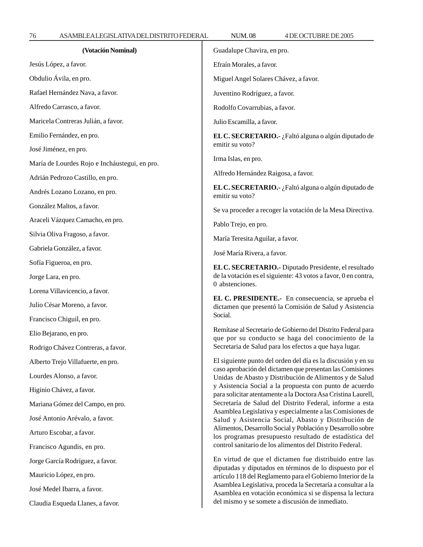Claudia Esqueda Llanes, a favor.

Т

| (Votación Nominal)                            | Guadalupe Chavira, en pro.                                                                                                                                                                                                                                                                                                                                                                                                                                                                                                                                                                                           |
|-----------------------------------------------|----------------------------------------------------------------------------------------------------------------------------------------------------------------------------------------------------------------------------------------------------------------------------------------------------------------------------------------------------------------------------------------------------------------------------------------------------------------------------------------------------------------------------------------------------------------------------------------------------------------------|
| Jesús López, a favor.                         | Efraín Morales, a favor.                                                                                                                                                                                                                                                                                                                                                                                                                                                                                                                                                                                             |
| Obdulio Ávila, en pro.                        | Miguel Angel Solares Chávez, a favor.                                                                                                                                                                                                                                                                                                                                                                                                                                                                                                                                                                                |
| Rafael Hernández Nava, a favor.               | Juventino Rodríguez, a favor.                                                                                                                                                                                                                                                                                                                                                                                                                                                                                                                                                                                        |
| Alfredo Carrasco, a favor.                    | Rodolfo Covarrubias, a favor.                                                                                                                                                                                                                                                                                                                                                                                                                                                                                                                                                                                        |
| Maricela Contreras Julián, a favor.           | Julio Escamilla, a favor.                                                                                                                                                                                                                                                                                                                                                                                                                                                                                                                                                                                            |
| Emilio Fernández, en pro.                     | EL C. SECRETARIO.- ¿Faltó alguna o algún diputado de<br>emitir su voto?                                                                                                                                                                                                                                                                                                                                                                                                                                                                                                                                              |
| José Jiménez, en pro.                         |                                                                                                                                                                                                                                                                                                                                                                                                                                                                                                                                                                                                                      |
| María de Lourdes Rojo e Incháustegui, en pro. | Irma Islas, en pro.                                                                                                                                                                                                                                                                                                                                                                                                                                                                                                                                                                                                  |
| Adrián Pedrozo Castillo, en pro.              | Alfredo Hernández Raigosa, a favor.                                                                                                                                                                                                                                                                                                                                                                                                                                                                                                                                                                                  |
| Andrés Lozano Lozano, en pro.                 | EL C. SECRETARIO.- ¿Faltó alguna o algún diputado de<br>emitir su voto?                                                                                                                                                                                                                                                                                                                                                                                                                                                                                                                                              |
| González Maltos, a favor.                     | Se va proceder a recoger la votación de la Mesa Directiva.                                                                                                                                                                                                                                                                                                                                                                                                                                                                                                                                                           |
| Araceli Vázquez Camacho, en pro.              | Pablo Trejo, en pro.                                                                                                                                                                                                                                                                                                                                                                                                                                                                                                                                                                                                 |
| Silvia Oliva Fragoso, a favor.                | María Teresita Aguilar, a favor.                                                                                                                                                                                                                                                                                                                                                                                                                                                                                                                                                                                     |
| Gabriela González, a favor.                   | José María Rivera, a favor.                                                                                                                                                                                                                                                                                                                                                                                                                                                                                                                                                                                          |
| Sofía Figueroa, en pro.                       | EL C. SECRETARIO.- Diputado Presidente, el resultado                                                                                                                                                                                                                                                                                                                                                                                                                                                                                                                                                                 |
| Jorge Lara, en pro.                           | de la votación es el siguiente: 43 votos a favor, 0 en contra,<br>0 abstenciones.                                                                                                                                                                                                                                                                                                                                                                                                                                                                                                                                    |
| Lorena Villavicencio, a favor.                | EL C. PRESIDENTE.- En consecuencia, se aprueba el<br>dictamen que presentó la Comisión de Salud y Asistencia                                                                                                                                                                                                                                                                                                                                                                                                                                                                                                         |
| Julio César Moreno, a favor.                  |                                                                                                                                                                                                                                                                                                                                                                                                                                                                                                                                                                                                                      |
| Francisco Chiguil, en pro.                    | Social.                                                                                                                                                                                                                                                                                                                                                                                                                                                                                                                                                                                                              |
| Elio Bejarano, en pro.                        | Remítase al Secretario de Gobierno del Distrito Federal para<br>que por su conducto se haga del conocimiento de la                                                                                                                                                                                                                                                                                                                                                                                                                                                                                                   |
| Rodrigo Chávez Contreras, a favor.            | Secretaria de Salud para los efectos a que haya lugar.                                                                                                                                                                                                                                                                                                                                                                                                                                                                                                                                                               |
| Alberto Trejo Villafuerte, en pro.            | El siguiente punto del orden del día es la discusión y en su                                                                                                                                                                                                                                                                                                                                                                                                                                                                                                                                                         |
| Lourdes Alonso, a favor.                      | caso aprobación del dictamen que presentan las Comisiones<br>Unidas de Abasto y Distribución de Alimentos y de Salud<br>y Asistencia Social a la propuesta con punto de acuerdo<br>para solicitar atentamente a la Doctora Asa Cristina Laurell,<br>Secretaría de Salud del Distrito Federal, informe a esta<br>Asamblea Legislativa y especialmente a las Comisiones de<br>Salud y Asistencia Social, Abasto y Distribución de<br>Alimentos, Desarrollo Social y Población y Desarrollo sobre<br>los programas presupuesto resultado de estadística del<br>control sanitario de los alimentos del Distrito Federal. |
| Higinio Chávez, a favor.                      |                                                                                                                                                                                                                                                                                                                                                                                                                                                                                                                                                                                                                      |
| Mariana Gómez del Campo, en pro.              |                                                                                                                                                                                                                                                                                                                                                                                                                                                                                                                                                                                                                      |
| José Antonio Arévalo, a favor.                |                                                                                                                                                                                                                                                                                                                                                                                                                                                                                                                                                                                                                      |
| Arturo Escobar, a favor.                      |                                                                                                                                                                                                                                                                                                                                                                                                                                                                                                                                                                                                                      |
| Francisco Agundis, en pro.                    |                                                                                                                                                                                                                                                                                                                                                                                                                                                                                                                                                                                                                      |
| Jorge García Rodríguez, a favor.              | En virtud de que el dictamen fue distribuido entre las<br>diputadas y diputados en términos de lo dispuesto por el<br>artículo 118 del Reglamento para el Gobierno Interior de la<br>Asamblea Legislativa, proceda la Secretaría a consultar a la<br>Asamblea en votación económica si se dispensa la lectura<br>del mismo y se somete a discusión de inmediato.                                                                                                                                                                                                                                                     |
| Mauricio López, en pro.                       |                                                                                                                                                                                                                                                                                                                                                                                                                                                                                                                                                                                                                      |
| José Medel Ibarra, a favor.                   |                                                                                                                                                                                                                                                                                                                                                                                                                                                                                                                                                                                                                      |
| Claudia Esqueda Llanes, a favor.              |                                                                                                                                                                                                                                                                                                                                                                                                                                                                                                                                                                                                                      |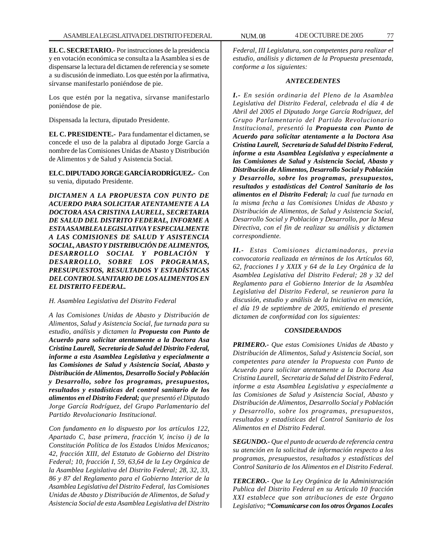**EL C. SECRETARIO.-** Por instrucciones de la presidencia y en votación económica se consulta a la Asamblea si es de dispensarse la lectura del dictamen de referencia y se somete a su discusión de inmediato. Los que estén por la afirmativa, sírvanse manifestarlo poniéndose de pie.

Los que estén por la negativa, sírvanse manifestarlo poniéndose de pie.

Dispensada la lectura, diputado Presidente.

**EL C. PRESIDENTE.-** Para fundamentar el dictamen, se concede el uso de la palabra al diputado Jorge García a nombre de las Comisiones Unidas de Abasto y Distribución de Alimentos y de Salud y Asistencia Social.

**EL C. DIPUTADO JORGE GARCÍA RODRÍGUEZ.-** Con su venia, diputado Presidente.

*DICTAMEN A LA PROPUESTA CON PUNTO DE ACUERDO PARA SOLICITAR ATENTAMENTE A LA DOCTORA ASA CRISTINA LAURELL, SECRETARIA DE SALUD DEL DISTRITO FEDERAL, INFORME A ESTA ASAMBLEA LEGISLATIVA Y ESPECIALMENTE A LAS COMISIONES DE SALUD Y ASISTENCIA SOCIAL, ABASTO Y DISTRIBUCIÓN DE ALIMENTOS, DESARROLLO SOCIAL Y POBLACIÓN Y DESARROLLO, SOBRE LOS PROGRAMAS, PRESUPUESTOS, RESULTADOS Y ESTADÍSTICAS DEL CONTROL SANITARIO DE LOS ALIMENTOS EN EL DISTRITO FEDERAL.*

*H. Asamblea Legislativa del Distrito Federal*

*A las Comisiones Unidas de Abasto y Distribución de Alimentos, Salud y Asistencia Social, fue turnada para su estudio, análisis y dictamen la Propuesta con Punto de Acuerdo para solicitar atentamente a la Doctora Asa Cristina Laurell, Secretaria de Salud del Distrito Federal, informe a esta Asamblea Legislativa y especialmente a las Comisiones de Salud y Asistencia Social, Abasto y Distribución de Alimentos, Desarrollo Social y Población y Desarrollo, sobre los programas, presupuestos, resultados y estadísticas del control sanitario de los alimentos en el Distrito Federal; que presentó el Diputado Jorge García Rodríguez, del Grupo Parlamentario del Partido Revolucionario Institucional.*

*Con fundamento en lo dispuesto por los artículos 122, Apartado C, base primera, fracción V, inciso i) de la Constitución Política de los Estados Unidos Mexicanos; 42, fracción XIII, del Estatuto de Gobierno del Distrito Federal; 10, fracción I, 59, 63,64 de la Ley Orgánica de la Asamblea Legislativa del Distrito Federal; 28, 32, 33, 86 y 87 del Reglamento para el Gobierno Interior de la Asamblea Legislativa del Distrito Federal, las Comisiones Unidas de Abasto y Distribución de Alimentos, de Salud y Asistencia Social de esta Asamblea Legislativa del Distrito*

*Federal, III Legislatura, son competentes para realizar el estudio, análisis y dictamen de la Propuesta presentada, conforme a los siguientes:*

# *ANTECEDENTES*

*I.- En sesión ordinaria del Pleno de la Asamblea Legislativa del Distrito Federal, celebrada el día 4 de Abril del 2005 el Diputado Jorge García Rodríguez, del Grupo Parlamentario del Partido Revolucionario Institucional, presentó la Propuesta con Punto de Acuerdo para solicitar atentamente a la Doctora Asa Cristina Laurell, Secretaria de Salud del Distrito Federal, informe a esta Asamblea Legislativa y especialmente a las Comisiones de Salud y Asistencia Social, Abasto y Distribución de Alimentos, Desarrollo Social y Población y Desarrollo, sobre los programas, presupuestos, resultados y estadísticas del Control Sanitario de los alimentos en el Distrito Federal; la cual fue turnada en la misma fecha a las Comisiones Unidas de Abasto y Distribución de Alimentos, de Salud y Asistencia Social, Desarrollo Social y Población y Desarrollo, por la Mesa Directiva, con el fin de realizar su análisis y dictamen correspondiente.*

*II.- Estas Comisiones dictaminadoras, previa convocatoria realizada en términos de los Artículos 60, 62, fracciones I y XXIX y 64 de la Ley Orgánica de la Asamblea Legislativa del Distrito Federal; 28 y 32 del Reglamento para el Gobierno Interior de la Asamblea Legislativa del Distrito Federal, se reunieron para la discusión, estudio y análisis de la Iniciativa en mención, el día 19 de septiembre de 2005, emitiendo el presente dictamen de conformidad con los siguientes:*

# *CONSIDERANDOS*

*PRIMERO.- Que estas Comisiones Unidas de Abasto y Distribución de Alimentos, Salud y Asistencia Social, son competentes para atender la Propuesta con Punto de Acuerdo para solicitar atentamente a la Doctora Asa Cristina Laurell, Secretaria de Salud del Distrito Federal, informe a esta Asamblea Legislativa y especialmente a las Comisiones de Salud y Asistencia Social, Abasto y Distribución de Alimentos, Desarrollo Social y Población y Desarrollo, sobre los programas, presupuestos, resultados y estadísticas del Control Sanitario de los Alimentos en el Distrito Federal.*

*SEGUNDO.- Que el punto de acuerdo de referencia centra su atención en la solicitud de información respecto a los programas, presupuestos, resultados y estadísticas del Control Sanitario de los Alimentos en el Distrito Federal.*

*TERCERO.- Que la Ley Orgánica de la Administración Publica del Distrito Federal en su Artículo 10 fracción XXI establece que son atribuciones de este Órgano Legislativo; ''Comunicarse con los otros Órganos Locales*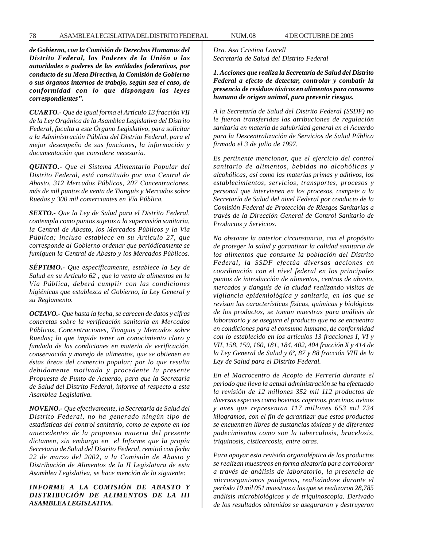*de Gobierno, con la Comisión de Derechos Humanos del Distrito Federal, los Poderes de la Unión o las autoridades o poderes de las entidades federativas, por conducto de su Mesa Directiva, la Comisión de Gobierno o sus órganos internos de trabajo, según sea el caso, de conformidad con lo que dispongan las leyes correspondientes''.*

*CUARTO.- Que de igual forma el Artículo 13 fracción VII de la Ley Orgánica de la Asamblea Legislativa del Distrito Federal, faculta a este Órgano Legislativo, para solicitar a la Administración Pública del Distrito Federal, para el mejor desempeño de sus funciones, la información y documentación que considere necesaria.*

*QUINTO.- Que el Sistema Alimentario Popular del Distrito Federal, está constituido por una Central de Abasto, 312 Mercados Públicos, 207 Concentraciones, más de mil puntos de venta de Tianguis y Mercados sobre Ruedas y 300 mil comerciantes en Vía Pública.*

*SEXTO.- Que la Ley de Salud para el Distrito Federal, contempla como puntos sujetos a la supervisión sanitaria, la Central de Abasto, los Mercados Públicos y la Vía Pública; incluso establece en su Artículo 27, que corresponde al Gobierno ordenar que periódicamente se fumiguen la Central de Abasto y los Mercados Públicos.*

*SÉPTIMO.- Que específicamente, establece la Ley de Salud en su Artículo 62 , que la venta de alimentos en la Vía Pública, deberá cumplir con las condiciones higiénicas que establezca el Gobierno, la Ley General y su Reglamento.*

*OCTAVO.- Que hasta la fecha, se carecen de datos y cifras concretas sobre la verificación sanitaria en Mercados Públicos, Concentraciones, Tianguis y Mercados sobre Ruedas; lo que impide tener un conocimiento claro y fundado de las condiciones en materia de verificación, conservación y manejo de alimentos, que se obtienen en éstas áreas del comercio popular; por lo que resulta debidamente motivada y procedente la presente Propuesta de Punto de Acuerdo, para que la Secretaría de Salud del Distrito Federal, informe al respecto a esta Asamblea Legislativa.*

*NOVENO.- Que efectivamente, la Secretaría de Salud del Distrito Federal, no ha generado ningún tipo de estadísticas del control sanitario, como se expone en los antecedentes de la propuesta materia del presente dictamen, sin embargo en el Informe que la propia Secretaria de Salud del Distrito Federal, remitió con fecha 22 de marzo del 2002, a la Comisión de Abasto y Distribución de Alimentos de la II Legislatura de esta Asamblea Legislativa, se hace mención de lo siguiente:*

# *INFORME A LA COMISIÓN DE ABASTO Y DISTRIBUCIÓN DE ALIMENTOS DE LA III ASAMBLEA LEGISLATIVA.*

*Dra. Asa Cristina Laurell Secretaria de Salud del Distrito Federal*

*1. Acciones que realiza la Secretaría de Salud del Distrito Federal a efecto de detectar, controlar y combatir la presencia de residuos tóxicos en alimentos para consumo humano de origen animal, para prevenir riesgos.*

*A la Secretaría de Salud del Distrito Federal (SSDF) no le fueron transferidas las atribuciones de regulación sanitaria en materia de salubridad general en el Acuerdo para la Descentralización de Servicios de Salud Pública firmado el 3 de julio de 1997.*

*Es pertinente mencionar, que el ejercicio del control sanitario de alimentos, bebidas no alcohólicas y alcohólicas, así como las materias primas y aditivos, los establecimientos, servicios, transportes, procesos y personal que intervienen en los procesos, compete a la Secretaría de Salud del nivel Federal por conducto de la Comisión Federal de Protección de Riesgos Sanitarias a través de la Dirección General de Control Sanitario de Productos y Servicios.*

*No obstante la anterior circunstancia, con el propósito de proteger la salud y garantizar la calidad sanitaria de los alimentos que consume la población del Distrito Federal, la SSDF efectúa diversas acciones en coordinación con el nivel federal en los principales puntos de introducción de alimentos, centros de abasto, mercados y tianguis de la ciudad realizando visitas de vigilancia epidemiológica y sanitaria, en las que se revisan las características físicas, químicas y biológicas de los productos, se toman muestras para análisis de laboratorio y se asegura el producto que no se encuentra en condiciones para el consumo humano, de conformidad con lo establecido en los artículos 13 fracciones I, VI y VII, 158, 159, 160, 181, 184, 402, 404 fracción X y 414 de la Ley General de Salud y 6º, 87 y 88 fracción VIII de la Ley de Salud para el Distrito Federal.*

*En el Macrocentro de Acopio de Ferrería durante el periodo que lleva la actual administración se ha efectuado la revisión de 12 millones 352 mil 112 productos de diversas especies como bovinos, caprinos, porcinos, ovinos y aves que representan 117 millones 653 mil 734 kilogramos, con el fin de garantizar que estos productos se encuentren libres de sustancias tóxicas y de diferentes padecimientos como son la tuberculosis, brucelosis, triquinosis, cisticercosis, entre otras.*

*Para apoyar esta revisión organoléptica de los productos se realizan muestreos en forma aleatoria para corroborar a través de análisis de laboratorio, la presencia de microorganismos patógenos, realizándose durante el período 10 mil 051 muestras a las que se realizaron 28,785 análisis microbiológicos y de triquinoscopía. Derivado de los resultados obtenidos se aseguraron y destruyeron*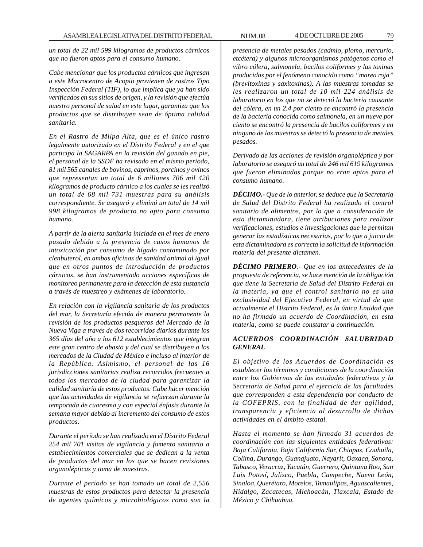*un total de 22 mil 599 kilogramos de productos cárnicos que no fueron aptos para el consumo humano.*

*Cabe mencionar que los productos cárnicos que ingresan a este Macrocentro de Acopio provienen de rastros Tipo Inspección Federal (TIF), lo que implica que ya han sido verificados en sus sitios de origen, y la revisión que efectúa nuestro personal de salud en este lugar, garantiza que los productos que se distribuyen sean de óptima calidad sanitaria.*

*En el Rastro de Milpa Alta, que es el único rastro legalmente autorizado en el Distrito Federal y en el que participa la SAGARPA en la revisión del ganado en pie, el personal de la SSDF ha revisado en el mismo periodo, 81 mil 565 canales de bovinos, caprinos, porcinos y ovinos que representan un total de 6 millones 706 mil 420 kilogramos de producto cárnico a los cuales se les realizó un total de 68 mil 731 muestras para su análisis correspondiente. Se aseguró y eliminó un total de 14 mil 998 kilogramos de producto no apto para consumo humano.*

*A partir de la alerta sanitaria iniciada en el mes de enero pasado debido a la presencia de casos humanos de intoxicación por consumo de hígado contaminado por clenbuterol, en ambas oficinas de sanidad animal al igual que en otros puntos de introducción de productos cárnicos, se han instrumentado acciones específicas de monitoreo permanente para la detección de esta sustancia a través de muestreo y exámenes de laboratorio.*

*En relación con la vigilancia sanitaria de los productos del mar, la Secretaría efectúa de manera permanente la revisión de los productos pesqueros del Mercado de la Nueva Viga a través de dos recorridos diarios durante los 365 días del año a los 612 establecimientos que integran este gran centro de abasto y del cual se distribuyen a los mercados de la Ciudad de México e incluso al interior de la República. Asimismo, el personal de las 16 jurisdicciones sanitarias realiza recorridos frecuentes a todos los mercados de la ciudad para garantizar la calidad sanitaria de estos productos. Cabe hacer mención que las actividades de vigilancia se refuerzan durante la temporada de cuaresma y con especial énfasis durante la semana mayor debido al incremento del consumo de estos productos.*

*Durante el período se han realizado en el Distrito Federal 254 mil 701 visitas de vigilancia y fomento sanitario a establecimientos comerciales que se dedican a la venta de productos del mar en los que se hacen revisiones organolépticas y toma de muestras.*

*Durante el período se han tomado un total de 2,556 muestras de estos productos para detectar la presencia de agentes químicos y microbiológicos como son la*

*presencia de metales pesados (cadmio, plomo, mercurio, etcétera) y algunos microorganismos patógenos como el vibro cólera, salmonela, bacilos coliformes y las toxinas producidas por el fenómeno conocido como ''marea roja'' (brevitoxinas y saxitoxinas). A las muestras tomadas se les realizaron un total de 10 mil 224 análisis de laboratorio en los que no se detectó la bacteria causante del cólera, en un 2.4 por ciento se encontró la presencia de la bacteria conocida como salmonela, en un nueve por ciento se encontró la presencia de bacilos coliformes y en ninguno de las muestras se detectó la presencia de metales pesados.*

*Derivado de las acciones de revisión organoléptica y por laboratorio se aseguró un total de 246 mil 619 kilogramos que fueron eliminados porque no eran aptos para el consumo humano.*

*DÉCIMO.- Que de lo anterior, se deduce que la Secretaría de Salud del Distrito Federal ha realizado el control sanitario de alimentos, por lo que a consideración de esta dictaminadora, tiene atribuciones para realizar verificaciones, estudios e investigaciones que le permitan generar las estadísticas necesarias, por lo que a juicio de esta dictaminadora es correcta la solicitud de información materia del presente dictamen.*

*DÉCIMO PRIMERO.- Que en los antecedentes de la propuesta de referencia, se hace mención de la obligación que tiene la Secretaria de Salud del Distrito Federal en la materia, ya que el control sanitario no es una exclusividad del Ejecutivo Federal, en virtud de que actualmente el Distrito Federal, es la única Entidad que no ha firmado un acuerdo de Coordinación, en esta materia, como se puede constatar a continuación.*

# *ACUERDOS COORDINACIÓN SALUBRIDAD GENERAL*

*El objetivo de los Acuerdos de Coordinación es establecer los términos y condiciones de la coordinación entre los Gobiernos de las entidades federativas y la Secretaría de Salud para el ejercicio de las facultades que corresponden a esta dependencia por conducto de la COFEPRIS, con la finalidad de dar agilidad, transparencia y eficiencia al desarrollo de dichas actividades en el ámbito estatal.*

*Hasta el momento se han firmado 31 acuerdos de coordinación con las siguientes entidades federativas: Baja California, Baja California Sur, Chiapas, Coahuila, Colima, Durango, Guanajuato, Nayarit, Oaxaca, Sonora, Tabasco, Veracruz, Yucatán, Guerrero, Quintana Roo, San Luis Potosí, Jalisco, Puebla, Campeche, Nuevo León, Sinaloa, Querétaro, Morelos, Tamaulipas, Aguascalientes, Hidalgo, Zacatecas, Michoacán, Tlaxcala, Estado de México y Chihuahua.*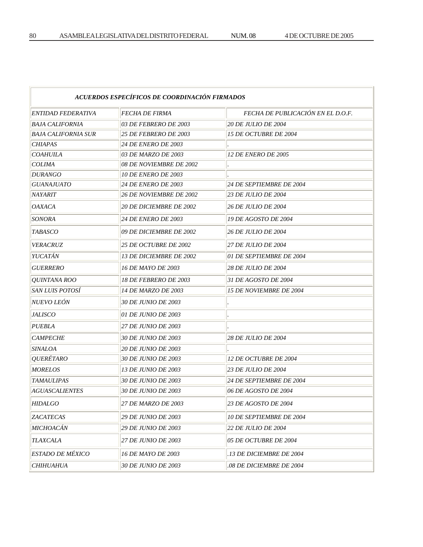| ACUERDOS ESPECÍFICOS DE COORDINACIÓN FIRMADOS |                                       |                                   |
|-----------------------------------------------|---------------------------------------|-----------------------------------|
| ENTIDAD FEDERATIVA                            | <b>FECHA DE FIRMA</b>                 | FECHA DE PUBLICACIÓN EN EL D.O.F. |
| <b>BAJA CALIFORNIA</b>                        | 03 DE FEBRERO DE 2003                 | <b>20 DE JULIO DE 2004</b>        |
| <b>BAJA CALIFORNIA SUR</b>                    | <b>25 DE FEBRERO DE 2003</b>          | 15 DE OCTUBRE DE 2004             |
| <b>CHIAPAS</b>                                | <i><b>24 DE ENERO DE 2003</b></i>     |                                   |
| <b>COAHUILA</b>                               | 03 DE MARZO DE 2003                   | <i><b>12 DE ENERO DE 2005</b></i> |
| <b>COLIMA</b>                                 | 08 DE NOVIEMBRE DE 2002               |                                   |
| <b>DURANGO</b>                                | <i><b>10 DE ENERO DE 2003</b></i>     |                                   |
| GUANAJUATO                                    | <b>24 DE ENERO DE 2003</b>            | 24 DE SEPTIEMBRE DE 2004          |
| NAYARIT                                       | <i><b>26 DE NOVIEMBRE DE 2002</b></i> | <i><b>23 DE JULIO DE 2004</b></i> |
| OAXACA                                        | <i><b>20 DE DICIEMBRE DE 2002</b></i> | <i><b>26 DE JULIO DE 2004</b></i> |
| <b>SONORA</b>                                 | <i><b>24 DE ENERO DE 2003</b></i>     | <i>19 DE AGOSTO DE 2004</i>       |
| <i>TABASCO</i>                                | 09 DE DICIEMBRE DE 2002               | <i><b>26 DE JULIO DE 2004</b></i> |
| <b>VERACRUZ</b>                               | <b>25 DE OCTUBRE DE 2002</b>          | <i>27 DE JULIO DE 2004</i>        |
| YUCATÁN                                       | <b>13 DE DICIEMBRE DE 2002</b>        | 01 DE SEPTIEMBRE DE 2004          |
| <b>GUERRERO</b>                               | <i>16 DE MAYO DE 2003</i>             | <i><b>28 DE JULIO DE 2004</b></i> |
| <i>OUINTANA ROO</i>                           | <i>18 DE FEBRERO DE 2003</i>          | 31 DE AGOSTO DE 2004              |
| SAN LUIS POTOSÍ                               | <i>14 DE MARZO DE 2003</i>            | <i>15 DE NOVIEMBRE DE 2004</i>    |
| NUEVO LEÓN                                    | <i>30 DE JUNIO DE 2003</i>            |                                   |
| <b>JALISCO</b>                                | 01 DE JUNIO DE 2003                   |                                   |
| <b>PUEBLA</b>                                 | <b>27 DE JUNIO DE 2003</b>            |                                   |
| <b>CAMPECHE</b>                               | <b>30 DE JUNIO DE 2003</b>            | 28 DE JULIO DE 2004               |
| <i>SINALOA</i>                                | 20 DE JUNIO DE 2003                   |                                   |
| <i>QUERÉTARO</i>                              | <b>30 DE JUNIO DE 2003</b>            | 12 DE OCTUBRE DE 2004             |
| <b>MORELOS</b>                                | <i>13 DE JUNIO DE 2003</i>            | <i><b>23 DE JULIO DE 2004</b></i> |
| <b>TAMAULIPAS</b>                             | <i>30 DE JUNIO DE 2003</i>            | 24 DE SEPTIEMBRE DE 2004          |
| <b>AGUASCALIENTES</b>                         | <i>30 DE JUNIO DE 2003</i>            | 06 DE AGOSTO DE 2004              |
| <b>HIDALGO</b>                                | 27 DE MARZO DE 2003                   | 23 DE AGOSTO DE 2004              |
| ZACATECAS                                     | <b>29 DE JUNIO DE 2003</b>            | <b>10 DE SEPTIEMBRE DE 2004</b>   |
| MICHOACÁN                                     | <b>29 DE JUNIO DE 2003</b>            | <b>22 DE JULIO DE 2004</b>        |
| <b>TLAXCALA</b>                               | <b>27 DE JUNIO DE 2003</b>            | 05 DE OCTUBRE DE 2004             |
| <b>ESTADO DE MÉXICO</b>                       | 16 DE MAYO DE 2003                    | <b>13 DE DICIEMBRE DE 2004</b>    |
| <b>CHIHUAHUA</b>                              | 30 DE JUNIO DE 2003                   | 08 DE DICIEMBRE DE 2004           |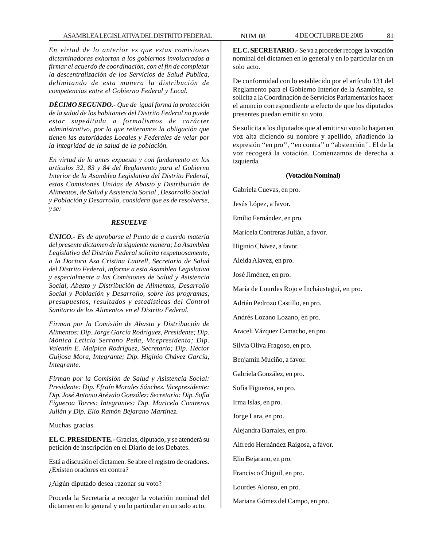*En virtud de lo anterior es que estas comisiones dictaminadoras exhortan a los gobiernos involucrados a firmar el acuerdo de coordinación, con el fin de completar la descentralización de los Servicios de Salud Publica, delimitando de esta manera la distribución de competencias entre el Gobierno Federal y Local.*

*DÉCIMO SEGUNDO.- Que de igual forma la protección de la salud de los habitantes del Distrito Federal no puede estar supeditada a formalismos de carácter administrativo, por lo que reiteramos la obligación que tienen las autoridades Locales y Federales de velar por la integridad de la salud de la población.*

*En virtud de lo antes expuesto y con fundamento en los artículos 32, 83 y 84 del Reglamento para el Gobierno Interior de la Asamblea Legislativa del Distrito Federal, estas Comisiones Unidas de Abasto y Distribución de Alimentos, de Salud y Asistencia Social , Desarrollo Social y Población y Desarrollo, considera que es de resolverse, y se:*

# *RESUELVE*

*ÚNICO.- Es de aprobarse el Punto de a cuerdo materia del presente dictamen de la siguiente manera; La Asamblea Legislativa del Distrito Federal solicita respetuosamente, a la Doctora Asa Cristina Laurell, Secretaria de Salud del Distrito Federal, informe a esta Asamblea Legislativa y especialmente a las Comisiones de Salud y Asistencia Social, Abasto y Distribución de Alimentos, Desarrollo Social y Población y Desarrollo, sobre los programas, presupuestos, resultados y estadísticas del Control Sanitario de los Alimentos en el Distrito Federal.*

*Firman por la Comisión de Abasto y Distribución de Alimentos: Dip. Jorge García Rodríguez, Presidente; Dip. Mónica Leticia Serrano Peña, Vicepresidenta; Dip. Valentín E. Malpica Rodríguez, Secretario; Dip. Héctor Guijosa Mora, Integrante; Dip. Higinio Chávez García, Integrante.*

*Firman por la Comisión de Salud y Asistencia Social: Presidente: Dip. Efraín Morales Sánchez. Vicepresidente: Dip. José Antonio Arévalo González: Secretaria: Dip. Sofía Figueroa Torres: Integrantes: Dip. Maricela Contreras Julián y Dip. Elio Ramón Bejarano Martínez.*

Muchas gracias.

**EL C. PRESIDENTE.-** Gracias, diputado, y se atenderá su petición de inscripción en el Diario de los Debates.

Está a discusión el dictamen. Se abre el registro de oradores. ¿Existen oradores en contra?

¿Algún diputado desea razonar su voto?

Proceda la Secretaría a recoger la votación nominal del dictamen en lo general y en lo particular en un solo acto.

**EL C. SECRETARIO.-** Se va a proceder recoger la votación nominal del dictamen en lo general y en lo particular en un solo acto.

De conformidad con lo establecido por el artículo 131 del Reglamento para el Gobierno Interior de la Asamblea, se solicita a la Coordinación de Servicios Parlamentarios hacer el anuncio correspondiente a efecto de que los diputados presentes puedan emitir su voto.

Se solicita a los diputados que al emitir su voto lo hagan en voz alta diciendo su nombre y apellido, añadiendo la expresión ''en pro'', ''en contra'' o ''abstención''. El de la voz recogerá la votación. Comenzamos de derecha a izquierda.

#### **(Votación Nominal)**

Gabriela Cuevas, en pro.

Jesús López, a favor.

Emilio Fernández, en pro.

Maricela Contreras Julián, a favor.

Higinio Chávez, a favor.

Aleida Alavez, en pro.

José Jiménez, en pro.

María de Lourdes Rojo e Incháustegui, en pro.

Adrián Pedrozo Castillo, en pro.

Andrés Lozano Lozano, en pro.

Araceli Vázquez Camacho, en pro.

Silvia Oliva Fragoso, en pro.

Benjamín Muciño, a favor.

Gabriela González, en pro.

Sofía Figueroa, en pro.

Irma Islas, en pro.

Jorge Lara, en pro.

Alejandra Barrales, en pro.

Alfredo Hernández Raigosa, a favor.

Elio Bejarano, en pro.

Francisco Chiguil, en pro.

Lourdes Alonso, en pro.

Mariana Gómez del Campo, en pro.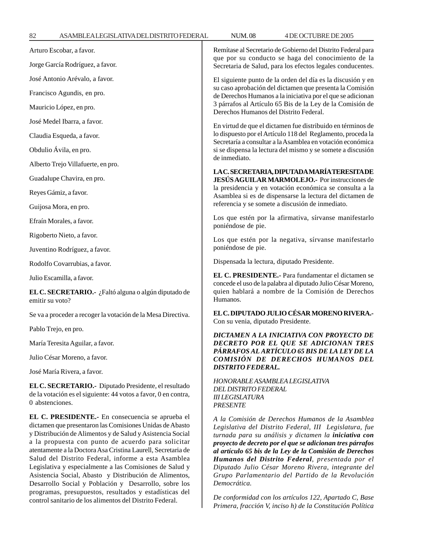82 ASAMBLEA LEGISLATIVA DEL DISTRITO FEDERAL NUM. 08 4 DE OCTUBRE DE 2005 T

| Arturo Escobar, a favor.                                                                                                                                                                                                                                                                                                                                                                                                                                                                                                              | Remítase al Secretario de Gobierno del Distrito Federal para<br>que por su conducto se haga del conocimiento de la                                                                                                                                                                                                                                                                                                                                                       |  |
|---------------------------------------------------------------------------------------------------------------------------------------------------------------------------------------------------------------------------------------------------------------------------------------------------------------------------------------------------------------------------------------------------------------------------------------------------------------------------------------------------------------------------------------|--------------------------------------------------------------------------------------------------------------------------------------------------------------------------------------------------------------------------------------------------------------------------------------------------------------------------------------------------------------------------------------------------------------------------------------------------------------------------|--|
| Jorge García Rodríguez, a favor.                                                                                                                                                                                                                                                                                                                                                                                                                                                                                                      | Secretaria de Salud, para los efectos legales conducentes.                                                                                                                                                                                                                                                                                                                                                                                                               |  |
| José Antonio Arévalo, a favor.                                                                                                                                                                                                                                                                                                                                                                                                                                                                                                        | El siguiente punto de la orden del día es la discusión y en                                                                                                                                                                                                                                                                                                                                                                                                              |  |
| Francisco Agundis, en pro.                                                                                                                                                                                                                                                                                                                                                                                                                                                                                                            | su caso aprobación del dictamen que presenta la Comisión<br>de Derechos Humanos a la iniciativa por el que se adicionan<br>3 párrafos al Artículo 65 Bis de la Ley de la Comisión de<br>Derechos Humanos del Distrito Federal.                                                                                                                                                                                                                                           |  |
| Mauricio López, en pro.                                                                                                                                                                                                                                                                                                                                                                                                                                                                                                               |                                                                                                                                                                                                                                                                                                                                                                                                                                                                          |  |
| José Medel Ibarra, a favor.                                                                                                                                                                                                                                                                                                                                                                                                                                                                                                           | En virtud de que el dictamen fue distribuido en términos de<br>lo dispuesto por el Artículo 118 del Reglamento, proceda la<br>Secretaría a consultar a la Asamblea en votación económica                                                                                                                                                                                                                                                                                 |  |
| Claudia Esqueda, a favor.                                                                                                                                                                                                                                                                                                                                                                                                                                                                                                             |                                                                                                                                                                                                                                                                                                                                                                                                                                                                          |  |
| Obdulio Ávila, en pro.                                                                                                                                                                                                                                                                                                                                                                                                                                                                                                                | si se dispensa la lectura del mismo y se somete a discusión<br>de inmediato.                                                                                                                                                                                                                                                                                                                                                                                             |  |
| Alberto Trejo Villafuerte, en pro.                                                                                                                                                                                                                                                                                                                                                                                                                                                                                                    |                                                                                                                                                                                                                                                                                                                                                                                                                                                                          |  |
| Guadalupe Chavira, en pro.                                                                                                                                                                                                                                                                                                                                                                                                                                                                                                            | LAC. SECRETARIA, DIPUTADA MARÍA TERESITA DE<br>JESÚS AGUILAR MARMOLEJO.- Por instrucciones de                                                                                                                                                                                                                                                                                                                                                                            |  |
| Reyes Gámiz, a favor.                                                                                                                                                                                                                                                                                                                                                                                                                                                                                                                 | la presidencia y en votación económica se consulta a la<br>Asamblea si es de dispensarse la lectura del dictamen de<br>referencia y se somete a discusión de inmediato.                                                                                                                                                                                                                                                                                                  |  |
| Guijosa Mora, en pro.                                                                                                                                                                                                                                                                                                                                                                                                                                                                                                                 |                                                                                                                                                                                                                                                                                                                                                                                                                                                                          |  |
| Efraín Morales, a favor.                                                                                                                                                                                                                                                                                                                                                                                                                                                                                                              | Los que estén por la afirmativa, sírvanse manifestarlo<br>poniéndose de pie.                                                                                                                                                                                                                                                                                                                                                                                             |  |
| Rigoberto Nieto, a favor.                                                                                                                                                                                                                                                                                                                                                                                                                                                                                                             | Los que estén por la negativa, sírvanse manifestarlo                                                                                                                                                                                                                                                                                                                                                                                                                     |  |
| Juventino Rodríguez, a favor.                                                                                                                                                                                                                                                                                                                                                                                                                                                                                                         | poniéndose de pie.                                                                                                                                                                                                                                                                                                                                                                                                                                                       |  |
| Rodolfo Covarrubias, a favor.                                                                                                                                                                                                                                                                                                                                                                                                                                                                                                         | Dispensada la lectura, diputado Presidente.                                                                                                                                                                                                                                                                                                                                                                                                                              |  |
| Julio Escamilla, a favor.                                                                                                                                                                                                                                                                                                                                                                                                                                                                                                             | EL C. PRESIDENTE.- Para fundamentar el dictamen se<br>concede el uso de la palabra al diputado Julio César Moreno,                                                                                                                                                                                                                                                                                                                                                       |  |
| EL C. SECRETARIO. · ¿Faltó alguna o algún diputado de<br>emitir su voto?                                                                                                                                                                                                                                                                                                                                                                                                                                                              | quien hablará a nombre de la Comisión de Derechos<br>Humanos.                                                                                                                                                                                                                                                                                                                                                                                                            |  |
| Se va a proceder a recoger la votación de la Mesa Directiva.                                                                                                                                                                                                                                                                                                                                                                                                                                                                          | EL C. DIPUTADO JULIO CÉSAR MORENO RIVERA.-<br>Con su venia, diputado Presidente.                                                                                                                                                                                                                                                                                                                                                                                         |  |
| Pablo Trejo, en pro.                                                                                                                                                                                                                                                                                                                                                                                                                                                                                                                  | DICTAMEN A LA INICIATIVA CON PROYECTO DE<br>DECRETO POR EL QUE SE ADICIONAN TRES                                                                                                                                                                                                                                                                                                                                                                                         |  |
| María Teresita Aguilar, a favor.                                                                                                                                                                                                                                                                                                                                                                                                                                                                                                      |                                                                                                                                                                                                                                                                                                                                                                                                                                                                          |  |
| Julio César Moreno, a favor.                                                                                                                                                                                                                                                                                                                                                                                                                                                                                                          | PÁRRAFOS AL ARTÍCULO 65 BIS DE LA LEY DE LA<br><b>COMISIÓN DE DERECHOS HUMANOS DEL</b>                                                                                                                                                                                                                                                                                                                                                                                   |  |
| José María Rivera, a favor.                                                                                                                                                                                                                                                                                                                                                                                                                                                                                                           | <b>DISTRITO FEDERAL.</b>                                                                                                                                                                                                                                                                                                                                                                                                                                                 |  |
| EL C. SECRETARIO.- Diputado Presidente, el resultado<br>de la votación es el siguiente: 44 votos a favor, 0 en contra,<br>0 abstenciones.                                                                                                                                                                                                                                                                                                                                                                                             | HONORABLE ASAMBLEA LEGISLATIVA<br>DEL DISTRITO FEDERAL<br><b>III LEGISLATURA</b><br><b>PRESENTE</b>                                                                                                                                                                                                                                                                                                                                                                      |  |
| EL C. PRESIDENTE.- En consecuencia se aprueba el<br>dictamen que presentaron las Comisiones Unidas de Abasto<br>y Distribución de Alimentos y de Salud y Asistencia Social<br>a la propuesta con punto de acuerdo para solicitar<br>atentamente a la Doctora Asa Cristina Laurell, Secretaria de<br>Salud del Distrito Federal, informe a esta Asamblea<br>Legislativa y especialmente a las Comisiones de Salud y<br>Asistencia Social, Abasto y Distribución de Alimentos,<br>Desarrollo Social y Población y Desarrollo, sobre los | A la Comisión de Derechos Humanos de la Asamblea<br>Legislativa del Distrito Federal, III Legislatura, fue<br>turnada para su análisis y dictamen la iniciativa con<br>proyecto de decreto por el que se adicionan tres párrafos<br>al artículo 65 bis de la Ley de la Comisión de Derechos<br>Humanos del Distrito Federal, presentada por el<br>Diputado Julio César Moreno Rivera, integrante del<br>Grupo Parlamentario del Partido de la Revolución<br>Democrática. |  |

programas, presupuestos, resultados y estadísticas del control sanitario de los alimentos del Distrito Federal.

*De conformidad con los artículos 122, Apartado C, Base Primera, fracción V, inciso h) de la Constitución Política*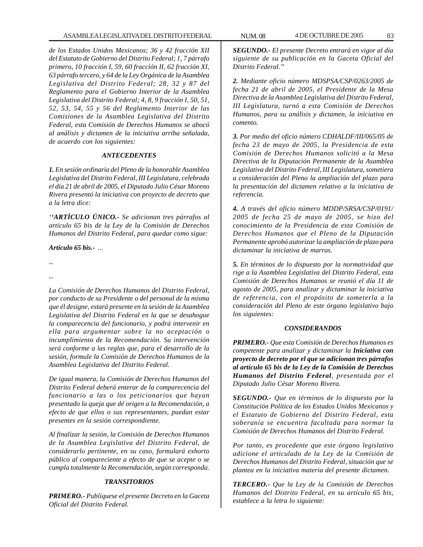*de los Estados Unidos Mexicanos; 36 y 42 fracción XII del Estatuto de Gobierno del Distrito Federal; 1, 7 párrafo primero, 10 fracción I, 59, 60 fracción II, 62 fracción XI, 63 párrafo tercero, y 64 de la Ley Orgánica de la Asamblea Legislativa del Distrito Federal; 28, 32 y 87 del Reglamento para el Gobierno Interior de la Asamblea Legislativa del Distrito Federal; 4, 8, 9 fracción I, 50, 51, 52, 53, 54, 55 y 56 del Reglamento Interior de las Comisiones de la Asamblea Legislativa del Distrito Federal, esta Comisión de Derechos Humanos se abocó al análisis y dictamen de la iniciativa arriba señalada, de acuerdo con los siguientes:*

# *ANTECEDENTES*

*1. En sesión ordinaria del Pleno de la honorable Asamblea Legislativa del Distrito Federal, III Legislatura, celebrada el día 21 de abril de 2005, el Diputado Julio César Moreno Rivera presentó la iniciativa con proyecto de decreto que a la letra dice:*

*''ARTÍCULO ÚNICO.- Se adicionan tres párrafos al artículo 65 bis de la Ley de la Comisión de Derechos Humanos del Distrito Federal, para quedar como sigue:*

*Artículo 65 bis.- ...*

*... ...*

*La Comisión de Derechos Humanos del Distrito Federal, por conducto de su Presidente o del personal de la misma que él designe, estará presente en la sesión de la Asamblea Legislativa del Distrito Federal en la que se desahogue la comparecencia del funcionario, y podrá intervenir en ella para argumentar sobre la no aceptación o incumplimiento de la Recomendación. Su intervención será conforme a las reglas que, para el desarrollo de la sesión, formule la Comisión de Derechos Humanos de la Asamblea Legislativa del Distrito Federal.*

*De igual manera, la Comisión de Derechos Humanos del Distrito Federal deberá enterar de la comparecencia del funcionario a las o los peticionarios que hayan presentado la queja que dé origen a la Recomendación, a efecto de que ellos o sus representantes, puedan estar presentes en la sesión correspondiente.*

*Al finalizar la sesión, la Comisión de Derechos Humanos de la Asamblea Legislativa del Distrito Federal, de considerarlo pertinente, en su caso, formulará exhorto público al compareciente a efecto de que se acepte o se cumpla totalmente la Recomendación, según corresponda.*

# *TRANSITORIOS*

*PRIMERO.- Publíquese el presente Decreto en la Gaceta Oficial del Distrito Federal.*

*SEGUNDO.- El presente Decreto entrará en vigor al día siguiente de su publicación en la Gaceta Oficial del Distrito Federal.''*

*2. Mediante oficio número MDSPSA/CSP/0263/2005 de fecha 21 de abril de 2005, el Presidente de la Mesa Directiva de la Asamblea Legislativa del Distrito Federal, III Legislatura, turnó a esta Comisión de Derechos Humanos, para su análisis y dictamen, la iniciativa en comento.*

*3. Por medio del oficio número CDHALDF/III/065/05 de fecha 23 de mayo de 2005, la Presidencia de esta Comisión de Derechos Humanos solicitó a la Mesa Directiva de la Diputación Permanente de la Asamblea Legislativa del Distrito Federal, III Legislatura, sometiera a consideración del Pleno la ampliación del plazo para la presentación del dictamen relativo a la iniciativa de referencia.*

*4. A través del oficio número MDDP/SRSA/CSP/0191/ 2005 de fecha 25 de mayo de 2005, se hizo del conocimiento de la Presidencia de esta Comisión de Derechos Humanos que el Pleno de la Diputación Permanente aprobó autorizar la ampliación de plazo para dictaminar la iniciativa de marras.*

*5. En términos de lo dispuesto por la normatividad que rige a la Asamblea Legislativa del Distrito Federal, esta Comisión de Derechos Humanos se reunió el día 11 de agosto de 2005, para analizar y dictaminar la iniciativa de referencia, con el propósito de someterla a la consideración del Pleno de este órgano legislativo bajo los siguientes:*

# *CONSIDERANDOS*

*PRIMERO.- Que esta Comisión de Derechos Humanos es competente para analizar y dictaminar la Iniciativa con proyecto de decreto por el que se adicionan tres párrafos al artículo 65 bis de la Ley de la Comisión de Derechos Humanos del Distrito Federal, presentada por el Diputado Julio César Moreno Rivera.*

*SEGUNDO.- Que en términos de lo dispuesto por la Constitución Política de los Estados Unidos Mexicanos y el Estatuto de Gobierno del Distrito Federal, esta soberanía se encuentra facultada para normar la Comisión de Derechos Humanos del Distrito Federal.*

*Por tanto, es procedente que este órgano legislativo adicione el articulado de la Ley de la Comisión de Derechos Humanos del Distrito Federal, situación que se plantea en la iniciativa materia del presente dictamen.*

*TERCERO.- Que la Ley de la Comisión de Derechos Humanos del Distrito Federal, en su artículo 65 bis, establece a la letra lo siguiente:*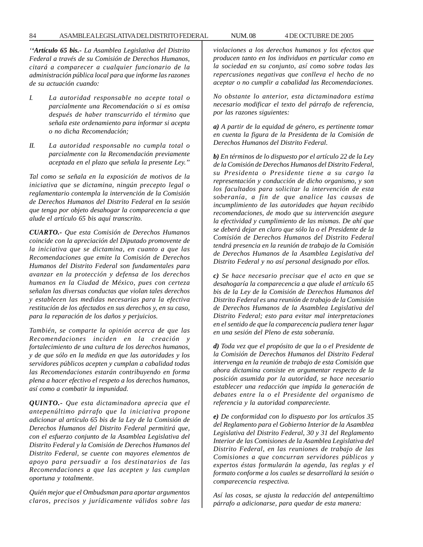#### 84 ASAMBLEA LEGISLATIVA DEL DISTRITO FEDERAL NUM. 08 4 DE OCTUBRE DE 2005

*''Artículo 65 bis.- La Asamblea Legislativa del Distrito Federal a través de su Comisión de Derechos Humanos, citará a comparecer a cualquier funcionario de la administración pública local para que informe las razones de su actuación cuando:*

- *I. La autoridad responsable no acepte total o parcialmente una Recomendación o si es omisa después de haber transcurrido el término que señala este ordenamiento para informar si acepta o no dicha Recomendación;*
- *II. La autoridad responsable no cumpla total o parcialmente con la Recomendación previamente aceptada en el plazo que señala la presente Ley.''*

*Tal como se señala en la exposición de motivos de la iniciativa que se dictamina, ningún precepto legal o reglamentario contempla la intervención de la Comisión de Derechos Humanos del Distrito Federal en la sesión que tenga por objeto desahogar la comparecencia a que alude el artículo 65 bis aquí transcrito.*

*CUARTO.- Que esta Comisión de Derechos Humanos coincide con la apreciación del Diputado promovente de la iniciativa que se dictamina, en cuanto a que las Recomendaciones que emite la Comisión de Derechos Humanos del Distrito Federal son fundamentales para avanzar en la protección y defensa de los derechos humanos en la Ciudad de México, pues con certeza señalan las diversas conductas que violan tales derechos y establecen las medidas necesarias para la efectiva restitución de los afectados en sus derechos y, en su caso, para la reparación de los daños y perjuicios.*

*También, se comparte la opinión acerca de que las Recomendaciones inciden en la creación y fortalecimiento de una cultura de los derechos humanos, y de que sólo en la medida en que las autoridades y los servidores públicos acepten y cumplan a cabalidad todas las Recomendaciones estarán contribuyendo en forma plena a hacer efectivo el respeto a los derechos humanos, así como a combatir la impunidad.*

*QUINTO.- Que esta dictaminadora aprecia que el antepenúltimo párrafo que la iniciativa propone adicionar al artículo 65 bis de la Ley de la Comisión de Derechos Humanos del Distrito Federal permitirá que, con el esfuerzo conjunto de la Asamblea Legislativa del Distrito Federal y la Comisión de Derechos Humanos del Distrito Federal, se cuente con mayores elementos de apoyo para persuadir a los destinatarios de las Recomendaciones a que las acepten y las cumplan oportuna y totalmente.*

*Quién mejor que el Ombudsman para aportar argumentos claros, precisos y jurídicamente válidos sobre las* *violaciones a los derechos humanos y los efectos que producen tanto en los individuos en particular como en la sociedad en su conjunto, así como sobre todas las repercusiones negativas que conlleva el hecho de no aceptar o no cumplir a cabalidad las Recomendaciones.*

*No obstante lo anterior, esta dictaminadora estima necesario modificar el texto del párrafo de referencia, por las razones siguientes:*

*a) A partir de la equidad de género, es pertinente tomar en cuenta la figura de la Presidenta de la Comisión de Derechos Humanos del Distrito Federal.*

*b) En términos de lo dispuesto por el artículo 22 de la Ley de la Comisión de Derechos Humanos del Distrito Federal, su Presidenta o Presidente tiene a su cargo la representación y conducción de dicho organismo, y son los facultados para solicitar la intervención de esta soberanía, a fin de que analice las causas de incumplimiento de las autoridades que hayan recibido recomendaciones, de modo que su intervención asegure la efectividad y cumplimiento de las mismas. De ahí que se deberá dejar en claro que sólo la o el Presidente de la Comisión de Derechos Humanos del Distrito Federal tendrá presencia en la reunión de trabajo de la Comisión de Derechos Humanos de la Asamblea Legislativa del Distrito Federal y no así personal designado por ellos.*

*c) Se hace necesario precisar que el acto en que se desahogaría la comparecencia a que alude el artículo 65 bis de la Ley de la Comisión de Derechos Humanos del Distrito Federal es una reunión de trabajo de la Comisión de Derechos Humanos de la Asamblea Legislativa del Distrito Federal; esto para evitar mal interpretaciones en el sentido de que la comparecencia pudiera tener lugar en una sesión del Pleno de esta soberanía.*

*d) Toda vez que el propósito de que la o el Presidente de la Comisión de Derechos Humanos del Distrito Federal intervenga en la reunión de trabajo de esta Comisión que ahora dictamina consiste en argumentar respecto de la posición asumida por la autoridad, se hace necesario establecer una redacción que impida la generación de debates entre la o el Presidente del organismo de referencia y la autoridad compareciente.*

*e) De conformidad con lo dispuesto por los artículos 35 del Reglamento para el Gobierno Interior de la Asamblea Legislativa del Distrito Federal, 30 y 31 del Reglamento Interior de las Comisiones de la Asamblea Legislativa del Distrito Federal, en las reuniones de trabajo de las Comisiones a que concurran servidores públicos y expertos éstas formularán la agenda, las reglas y el formato conforme a los cuales se desarrollará la sesión o comparecencia respectiva.*

*Así las cosas, se ajusta la redacción del antepenúltimo párrafo a adicionarse, para quedar de esta manera:*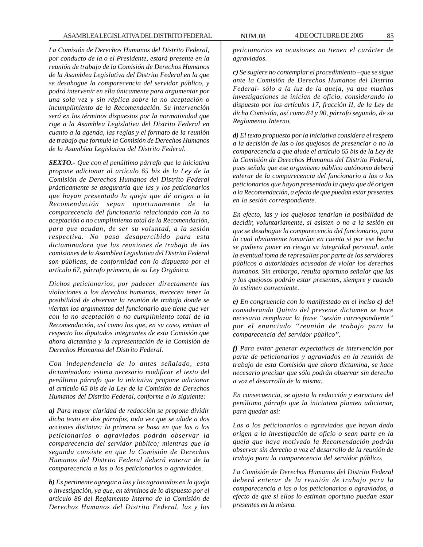*La Comisión de Derechos Humanos del Distrito Federal, por conducto de la o el Presidente, estará presente en la reunión de trabajo de la Comisión de Derechos Humanos de la Asamblea Legislativa del Distrito Federal en la que se desahogue la comparecencia del servidor público, y podrá intervenir en ella únicamente para argumentar por una sola vez y sin réplica sobre la no aceptación o incumplimiento de la Recomendación. Su intervención será en los términos dispuestos por la normatividad que rige a la Asamblea Legislativa del Distrito Federal en cuanto a la agenda, las reglas y el formato de la reunión de trabajo que formule la Comisión de Derechos Humanos de la Asamblea Legislativa del Distrito Federal.*

*SEXTO.- Que con el penúltimo párrafo que la iniciativa propone adicionar al artículo 65 bis de la Ley de la Comisión de Derechos Humanos del Distrito Federal prácticamente se aseguraría que las y los peticionarios que hayan presentado la queja que dé origen a la Recomendación sepan oportunamente de la comparecencia del funcionario relacionado con la no aceptación o no cumplimiento total de la Recomendación, para que acudan, de ser su voluntad, a la sesión respectiva. No pasa desapercibido para esta dictaminadora que las reuniones de trabajo de las comisiones de la Asamblea Legislativa del Distrito Federal son públicas, de conformidad con lo dispuesto por el artículo 67, párrafo primero, de su Ley Orgánica.*

*Dichos peticionarios, por padecer directamente las violaciones a los derechos humanos, merecen tener la posibilidad de observar la reunión de trabajo donde se viertan los argumentos del funcionario que tiene que ver con la no aceptación o no cumplimiento total de la Recomendación, así como los que, en su caso, emitan al respecto los diputados integrantes de esta Comisión que ahora dictamina y la representación de la Comisión de Derechos Humanos del Distrito Federal.*

*Con independencia de lo antes señalado, esta dictaminadora estima necesario modificar el texto del penúltimo párrafo que la iniciativa propone adicionar al artículo 65 bis de la Ley de la Comisión de Derechos Humanos del Distrito Federal, conforme a lo siguiente:*

*a) Para mayor claridad de redacción se propone dividir dicho texto en dos párrafos, toda vez que se alude a dos acciones distintas: la primera se basa en que las o los peticionarios o agraviados podrán observar la comparecencia del servidor público; mientras que la segunda consiste en que la Comisión de Derechos Humanos del Distrito Federal deberá enterar de la comparecencia a las o los peticionarios o agraviados.*

*b) Es pertinente agregar a las y los agraviados en la queja o investigación, ya que, en términos de lo dispuesto por el artículo 86 del Reglamento Interno de la Comisión de Derechos Humanos del Distrito Federal, las y los*

*peticionarios en ocasiones no tienen el carácter de agraviados.*

*c) Se sugiere no contemplar el procedimiento –que se sigue ante la Comisión de Derechos Humanos del Distrito Federal- sólo a la luz de la queja, ya que muchas investigaciones se inician de oficio, considerando lo dispuesto por los artículos 17, fracción II, de la Ley de dicha Comisión, así como 84 y 90, párrafo segundo, de su Reglamento Interno.*

*d) El texto propuesto por la iniciativa considera el respeto a la decisión de las o los quejosos de presenciar o no la comparecencia a que alude el artículo 65 bis de la Ley de la Comisión de Derechos Humanos del Distrito Federal, pues señala que ese organismo público autónomo deberá enterar de la comparecencia del funcionario a las o los peticionarios que hayan presentado la queja que dé origen a la Recomendación, a efecto de que puedan estar presentes en la sesión correspondiente.*

*En efecto, las y los quejosos tendrían la posibilidad de decidir, voluntariamente, si asisten o no a la sesión en que se desahogue la comparecencia del funcionario, para lo cual obviamente tomarían en cuenta si por ese hecho se pudiera poner en riesgo su integridad personal, ante la eventual toma de represalias por parte de los servidores públicos o autoridades acusados de violar los derechos humanos. Sin embargo, resulta oportuno señalar que las y los quejosos podrán estar presentes, siempre y cuando lo estimen conveniente.*

*e) En congruencia con lo manifestado en el inciso c) del considerando Quinto del presente dictamen se hace necesario remplazar la frase ''sesión correspondiente'' por el enunciado ''reunión de trabajo para la comparecencia del servidor público''.*

*f) Para evitar generar expectativas de intervención por parte de peticionarios y agraviados en la reunión de trabajo de esta Comisión que ahora dictamina, se hace necesario precisar que sólo podrán observar sin derecho a voz el desarrollo de la misma.*

*En consecuencia, se ajusta la redacción y estructura del penúltimo párrafo que la iniciativa plantea adicionar, para quedar así:*

*Las o los peticionarios o agraviados que hayan dado origen a la investigación de oficio o sean parte en la queja que haya motivado la Recomendación podrán observar sin derecho a voz el desarrollo de la reunión de trabajo para la comparecencia del servidor público.*

*La Comisión de Derechos Humanos del Distrito Federal deberá enterar de la reunión de trabajo para la comparecencia a las o los peticionarios o agraviados, a efecto de que si ellos lo estiman oportuno puedan estar presentes en la misma.*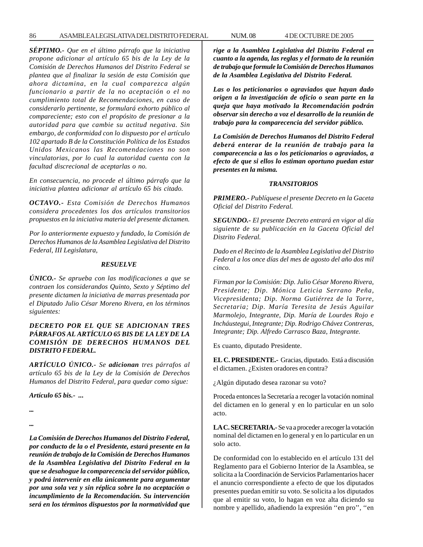*SÉPTIMO.- Que en el último párrafo que la iniciativa propone adicionar al artículo 65 bis de la Ley de la Comisión de Derechos Humanos del Distrito Federal se plantea que al finalizar la sesión de esta Comisión que ahora dictamina, en la cual comparezca algún funcionario a partir de la no aceptación o el no cumplimiento total de Recomendaciones, en caso de considerarlo pertinente, se formulará exhorto público al compareciente; esto con el propósito de presionar a la autoridad para que cambie su actitud negativa. Sin embargo, de conformidad con lo dispuesto por el artículo 102 apartado B de la Constitución Política de los Estados Unidos Mexicanos las Recomendaciones no son vinculatorias, por lo cual la autoridad cuenta con la facultad discrecional de aceptarlas o no.*

*En consecuencia, no procede el último párrafo que la iniciativa plantea adicionar al artículo 65 bis citado.*

*OCTAVO.- Esta Comisión de Derechos Humanos considera procedentes los dos artículos transitorios propuestos en la iniciativa materia del presente dictamen.*

*Por lo anteriormente expuesto y fundado, la Comisión de Derechos Humanos de la Asamblea Legislativa del Distrito Federal, III Legislatura,*

### *RESUELVE*

*ÚNICO.- Se aprueba con las modificaciones a que se contraen los considerandos Quinto, Sexto y Séptimo del presente dictamen la iniciativa de marras presentada por el Diputado Julio César Moreno Rivera, en los términos siguientes:*

# *DECRETO POR EL QUE SE ADICIONAN TRES PÁRRAFOS AL ARTÍCULO 65 BIS DE LA LEY DE LA COMISIÓN DE DERECHOS HUMANOS DEL DISTRITO FEDERAL.*

*ARTÍCULO ÚNICO.- Se adicionan tres párrafos al artículo 65 bis de la Ley de la Comisión de Derechos Humanos del Distrito Federal, para quedar como sigue:*

*Artículo 65 bis.- ...*

*... ...*

*La Comisión de Derechos Humanos del Distrito Federal, por conducto de la o el Presidente, estará presente en la reunión de trabajo de la Comisión de Derechos Humanos de la Asamblea Legislativa del Distrito Federal en la que se desahogue la comparecencia del servidor público, y podrá intervenir en ella únicamente para argumentar por una sola vez y sin réplica sobre la no aceptación o incumplimiento de la Recomendación. Su intervención será en los términos dispuestos por la normatividad que*

*rige a la Asamblea Legislativa del Distrito Federal en cuanto a la agenda, las reglas y el formato de la reunión de trabajo que formule la Comisión de Derechos Humanos de la Asamblea Legislativa del Distrito Federal.*

*Las o los peticionarios o agraviados que hayan dado origen a la investigación de oficio o sean parte en la queja que haya motivado la Recomendación podrán observar sin derecho a voz el desarrollo de la reunión de trabajo para la comparecencia del servidor público.*

*La Comisión de Derechos Humanos del Distrito Federal deberá enterar de la reunión de trabajo para la comparecencia a las o los peticionarios o agraviados, a efecto de que si ellos lo estiman oportuno puedan estar presentes en la misma.*

#### *TRANSITORIOS*

*PRIMERO.- Publíquese el presente Decreto en la Gaceta Oficial del Distrito Federal.*

*SEGUNDO.- El presente Decreto entrará en vigor al día siguiente de su publicación en la Gaceta Oficial del Distrito Federal.*

*Dado en el Recinto de la Asamblea Legislativa del Distrito Federal a los once días del mes de agosto del año dos mil cinco.*

*Firman por la Comisión: Dip. Julio César Moreno Rivera, Presidente; Dip. Mónica Leticia Serrano Peña, Vicepresidenta; Dip. Norma Gutiérrez de la Torre, Secretaria; Dip. María Teresita de Jesús Aguilar Marmolejo, Integrante, Dip. María de Lourdes Rojo e Incháustegui, Integrante; Dip. Rodrigo Chávez Contreras, Integrante; Dip. Alfredo Carrasco Baza, Integrante.*

Es cuanto, diputado Presidente.

**EL C. PRESIDENTE.-** Gracias, diputado. Está a discusión el dictamen. ¿Existen oradores en contra?

¿Algún diputado desea razonar su voto?

Proceda entonces la Secretaría a recoger la votación nominal del dictamen en lo general y en lo particular en un solo acto.

**LA C. SECRETARIA.-** Se va a proceder a recoger la votación nominal del dictamen en lo general y en lo particular en un solo acto.

De conformidad con lo establecido en el artículo 131 del Reglamento para el Gobierno Interior de la Asamblea, se solicita a la Coordinación de Servicios Parlamentarios hacer el anuncio correspondiente a efecto de que los diputados presentes puedan emitir su voto. Se solicita a los diputados que al emitir su voto, lo hagan en voz alta diciendo su nombre y apellido, añadiendo la expresión ''en pro'', ''en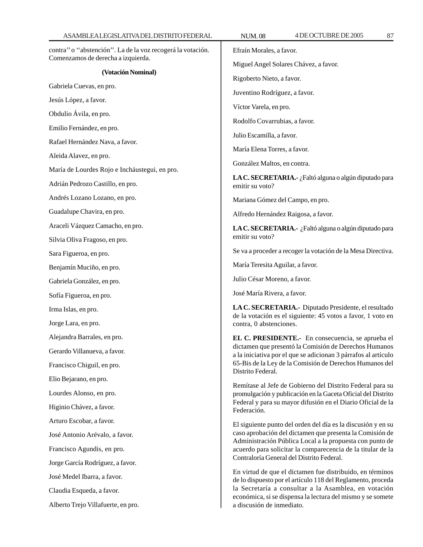| ASAMBLEALEGISLATIVADELDISTRITO FEDERAL                                                                                                      | 4 DE OCTUBRE DE 2005<br><b>NUM.08</b><br>87                                                                               |  |
|---------------------------------------------------------------------------------------------------------------------------------------------|---------------------------------------------------------------------------------------------------------------------------|--|
| contra" o "abstención". La de la voz recogerá la votación.                                                                                  | Efraín Morales, a favor.                                                                                                  |  |
| Comenzamos de derecha a izquierda.                                                                                                          | Miguel Angel Solares Chávez, a favor.                                                                                     |  |
| (Votación Nominal)                                                                                                                          | Rigoberto Nieto, a favor.                                                                                                 |  |
| Gabriela Cuevas, en pro.<br>Jesús López, a favor.<br>Obdulio Ávila, en pro.<br>Emilio Fernández, en pro.<br>Rafael Hernández Nava, a favor. | Juventino Rodríguez, a favor.                                                                                             |  |
|                                                                                                                                             | Víctor Varela, en pro.                                                                                                    |  |
|                                                                                                                                             | Rodolfo Covarrubias, a favor.                                                                                             |  |
|                                                                                                                                             | Julio Escamilla, a favor.                                                                                                 |  |
|                                                                                                                                             | María Elena Torres, a favor.                                                                                              |  |
| Aleida Alavez, en pro.                                                                                                                      | González Maltos, en contra.                                                                                               |  |
| María de Lourdes Rojo e Incháustegui, en pro.                                                                                               | LA C. SECRETARIA.- ¿Faltó alguna o algún diputado para                                                                    |  |
| Adrián Pedrozo Castillo, en pro.                                                                                                            | emitir su voto?                                                                                                           |  |
| Andrés Lozano Lozano, en pro.                                                                                                               | Mariana Gómez del Campo, en pro.                                                                                          |  |
| Guadalupe Chavira, en pro.                                                                                                                  | Alfredo Hernández Raigosa, a favor.                                                                                       |  |
| Araceli Vázquez Camacho, en pro.                                                                                                            | LA C. SECRETARIA.- ¿Faltó alguna o algún diputado para                                                                    |  |
| Silvia Oliva Fragoso, en pro.                                                                                                               | emitir su voto?                                                                                                           |  |
| Sara Figueroa, en pro.                                                                                                                      | Se va a proceder a recoger la votación de la Mesa Directiva.                                                              |  |
| Benjamín Muciño, en pro.                                                                                                                    | María Teresita Aguilar, a favor.                                                                                          |  |
| Gabriela González, en pro.                                                                                                                  | Julio César Moreno, a favor.                                                                                              |  |
| Sofía Figueroa, en pro.                                                                                                                     | José María Rivera, a favor.                                                                                               |  |
| Irma Islas, en pro.                                                                                                                         | LA C. SECRETARIA.- Diputado Presidente, el resultado                                                                      |  |
| Jorge Lara, en pro.                                                                                                                         | de la votación es el siguiente: 45 votos a favor, 1 voto en<br>contra, 0 abstenciones.                                    |  |
| Alejandra Barrales, en pro.                                                                                                                 | EL C. PRESIDENTE.- En consecuencia, se aprueba el                                                                         |  |
| Gerardo Villanueva, a favor.                                                                                                                | dictamen que presentó la Comisión de Derechos Humanos<br>a la iniciativa por el que se adicionan 3 párrafos al artículo   |  |
| Francisco Chiguil, en pro.                                                                                                                  | 65-Bis de la Ley de la Comisión de Derechos Humanos del                                                                   |  |
| Elio Bejarano, en pro.                                                                                                                      | Distrito Federal.                                                                                                         |  |
| Lourdes Alonso, en pro.                                                                                                                     | Remítase al Jefe de Gobierno del Distrito Federal para su<br>promulgación y publicación en la Gaceta Oficial del Distrito |  |
| Higinio Chávez, a favor.                                                                                                                    | Federal y para su mayor difusión en el Diario Oficial de la<br>Federación.                                                |  |
| Arturo Escobar, a favor.                                                                                                                    | El siguiente punto del orden del día es la discusión y en su                                                              |  |
| José Antonio Arévalo, a favor.                                                                                                              | caso aprobación del dictamen que presenta la Comisión de                                                                  |  |
| Francisco Agundis, en pro.                                                                                                                  | Administración Pública Local a la propuesta con punto de<br>acuerdo para solicitar la comparecencia de la titular de la   |  |
| Jorge García Rodríguez, a favor.                                                                                                            | Contraloría General del Distrito Federal.                                                                                 |  |
| José Medel Ibarra, a favor.                                                                                                                 | En virtud de que el dictamen fue distribuido, en términos<br>de lo dispuesto por el artículo 118 del Reglamento, proceda  |  |
| Claudia Esqueda, a favor.                                                                                                                   | la Secretaría a consultar a la Asamblea, en votación                                                                      |  |
| Alberto Trejo Villafuerte, en pro.                                                                                                          | económica, si se dispensa la lectura del mismo y se somete<br>a discusión de inmediato.                                   |  |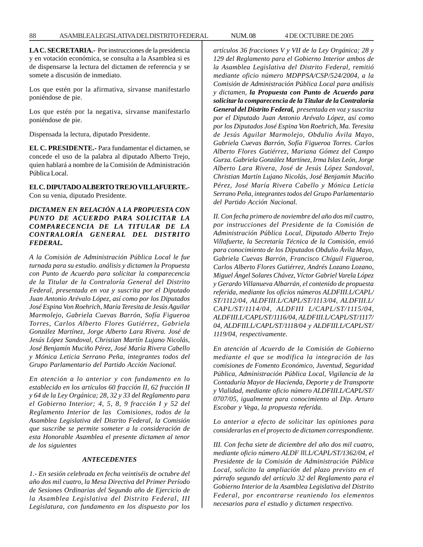**LA C. SECRETARIA.-** Por instrucciones de la presidencia y en votación económica, se consulta a la Asamblea si es de dispensarse la lectura del dictamen de referencia y se somete a discusión de inmediato.

Los que estén por la afirmativa, sírvanse manifestarlo poniéndose de pie.

Los que estén por la negativa, sírvanse manifestarlo poniéndose de pie.

Dispensada la lectura, diputado Presidente.

**EL C. PRESIDENTE.-** Para fundamentar el dictamen, se concede el uso de la palabra al diputado Alberto Trejo, quien hablará a nombre de la Comisión de Administración Pública Local.

**EL C. DIPUTADO ALBERTO TREJO VILLAFUERTE.-** Con su venia, diputado Presidente.

# *DICTAMEN EN RELACIÓN A LA PROPUESTA CON PUNTO DE ACUERDO PARA SOLICITAR LA COMPARECENCIA DE LA TITULAR DE LA CONTRALORÍA GENERAL DEL DISTRITO FEDERAL.*

*A la Comisión de Administración Pública Local le fue turnada para su estudio. análisis y dictamen la Propuesta con Punto de Acuerdo para solicitar la comparecencia de la Titular de la Contraloría General del Distrito Federal, presentada en voz y suscrita por el Diputado Juan Antonio Arévalo López, así como por los Diputados José Espina Von Roehrich, María Teresita de Jesús Aguilar Marmolejo, Gabriela Cuevas Barrón, Sofía Figueroa Torres, Carlos Alberto Flores Gutiérrez, Gabriela González Martínez, Jorge Alberto Lara Rivera. José de Jesús López Sandoval, Christian Martín Lujano Nicolás, José Benjamín Muciño Pérez, José María Rivera Cabello y Mónica Leticia Serrano Peña, integrantes todos del Grupo Parlamentario del Partido Acción Nacional.*

*En atención a lo anterior y con fundamento en lo establecido en los artículos 60 fracción II, 62 fracción II y 64 de la Ley Orgánica; 28, 32 y 33 del Reglamento para el Gobierno Interior; 4, 5, 8, 9 fracción I y 52 del Reglamento Interior de las Comisiones, todos de la Asamblea Legislativa del Distrito Federal, la Comisión que suscribe se permite someter a la consideración de esta Honorable Asamblea el presente dictamen al tenor de los siguientes*

#### *ANTECEDENTES*

*1.- En sesión celebrada en fecha veintiséis de octubre del año dos mil cuatro, la Mesa Directiva del Primer Período de Sesiones Ordinarias del Segundo año de Ejercicio de la Asamblea Legislativa del Distrito Federal, III Legislatura, con fundamento en los dispuesto por los*

*artículos 36 fracciones V y VII de la Ley Orgánica; 28 y 129 del Reglamento para el Gobierno Interior ambos de la Asamblea Legislativa del Distrito Federal, remitió mediante oficio número MDPPSA/CSP/524/2004, a la Comisión de Administración Pública Local para análisis y dictamen, la Propuesta con Punto de Acuerdo para solicitar la comparecencia de la Titular de la Contraloría General del Distrito Federal, presentada en voz y suscrita por el Diputado Juan Antonio Arévalo López, así como por los Diputados José Espina Von Roehrich, Ma. Teresita de Jesús Aguilar Marmolejo, Obdulio Ávila Mayo, Gabriela Cuevas Barrón, Sofía Figueroa Torres. Carlos Alberto Flores Gutiérrez, Mariana Gómez del Campo Gurza. Gabriela González Martínez, Irma Islas León, Jorge Alberto Lara Rivera, José de Jesús López Sandoval, Christian Martín Lujano Nicolás, José Benjamín Muciño Pérez, José María Rivera Cabello y Mónica Leticia Serrano Peña, integrantes todos del Grupo Parlamentario del Partido Acción Nacional.*

*II. Con fecha primero de noviembre del año dos mil cuatro, por instrucciones del Presidente de la Comisión de Administración Pública Local, Diputado Alberto Trejo Villafuerte, la Secretaría Técnica de la Comisión, envió para conocimiento de los Diputados Obdulio Ávila Mayo, Gabriela Cuevas Barrón, Francisco Chíguil Figueroa, Carlos Alberto Flores Gutiérrez, Andrés Lozano Lozano, Miguel Ángel Solares Chávez, Víctor Gabriel Varela López y Gerardo Villanueva Albarrán, el contenido de propuesta referida, mediante los oficios números ALDFIII.L/CAPL/ ST/1112/04, ALDFIII.L/CAPL/ST/1113/04, ALDFIII.L/ CAPL/ST/1114/04, ALDFIII L/CAPL/ST/1115/04, ALDFIII.L/CAPL/ST/1116/04, ALDFIII.L/CAPL/ST/1117/ 04, ALDFIII.L/CAPL/ST/1118/04 y ALDFIII.L/CAPL/ST/ 1119/04, respectivamente.*

*En atención al Acuerdo de la Comisión de Gobierno mediante el que se modifica la integración de las comisiones de Fomento Económico, Juventud, Seguridad Pública, Administración Pública Local, Vigilancia de la Contaduría Mayor de Hacienda, Deporte y de Transporte y Vialidad, mediante oficio número ALDFIII.L/CAPL/ST/ 0707/05, igualmente para conocimiento al Dip. Arturo Escobar y Vega, la propuesta referida.*

*Lo anterior a efecto de solicitar las opiniones para considerarlas en el proyecto de dictamen correspondiente.*

*III. Con fecha siete de diciembre del año dos mil cuatro, mediante oficio número ALDF lll.L/CAPL/ST/1362/04, el Presidente de la Comisión de Administración Pública Local, solicito la ampliación del plazo previsto en el párrafo segundo del artículo 32 del Reglamento para el Gobierno Interior de la Asamblea Legislativa del Distrito Federal, por encontrarse reuniendo los elementos necesarios para el estudio y dictamen respectivo.*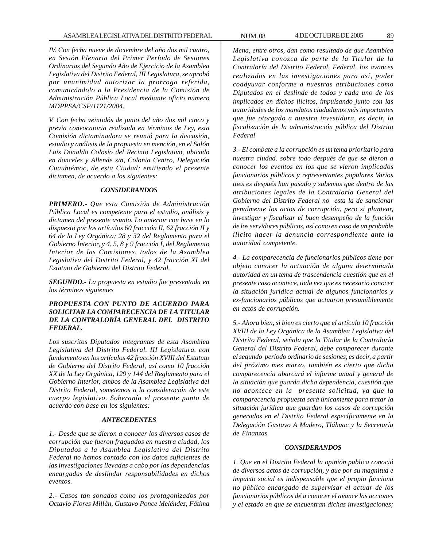*IV. Con fecha nueve de diciembre del año dos mil cuatro, en Sesión Plenaria del Primer Período de Sesiones Ordinarias del Segundo Año de Ejercicio de la Asamblea Legislativa del Distrito Federal, III Legislatura, se aprobó por unanimidad autorizar la prorroga referida, comunicándolo a la Presidencia de la Comisión de Administración Pública Local mediante oficio número MDPPSA/CSP/1121/2004.*

*V. Con fecha veintidós de junio del año dos mil cinco y previa convocatoria realizada en términos de Ley, esta Comisión dictaminadora se reunió para la discusión, estudio y análisis de la propuesta en mención, en el Salón Luis Donaldo Colosio del Recinto Legislativo, ubicado en donceles y Allende s/n, Colonia Centro, Delegación Cuauhtémoc, de esta Ciudad; emitiendo el presente dictamen, de acuerdo a los siguientes:*

# *CONSIDERANDOS*

*PRIMERO.- Que esta Comisión de Administración Pública Local es competente para el estudio, análisis y dictamen del presente asunto. Lo anterior con base en lo dispuesto por los artículos 60 fracción II, 62 fracción II y 64 de la Ley Orgánica; 28 y 32 del Reglamento para el Gobierno Interior, y 4, 5, 8 y 9 fracción I, del Reglamento Interior de las Comisiones, todos de la Asamblea Legislativa del Distrito Federal, y 42 fracción XI del Estatuto de Gobierno del Distrito Federal.*

*SEGUNDO.- La propuesta en estudio fue presentada en los términos siguientes*

# *PROPUESTA CON PUNTO DE ACUERDO PARA SOLICITAR LA COMPARECENCIA DE LA TITULAR DE LA CONTRALORÍA GENERAL DEL DISTRITO FEDERAL.*

*Los suscritos Diputados integrantes de esta Asamblea Legislativa del Distrito Federal. III Legislatura. con fundamento en los artículos 42 fracción XVIII del Estatuto de Gobierno del Distrito Federal, así como 10 fracción XX de la Ley Orgánica, 129 y 144 del Reglamento para el Gobierno Interior, ambos de la Asamblea Legislativa del Distrito Federal, sometemos a la consideración de este cuerpo legislativo. Soberanía el presente punto de acuerdo con base en los siguientes:*

# *ANTECEDENTES*

*1.- Desde que se dieron a conocer los diversos casos de corrupción que fueron fraguados en nuestra ciudad, los Diputados a la Asamblea Legislativa del Distrito Federal no hemos contado con los datos suficientes de las investigaciones llevadas a cabo por las dependencias encargadas de deslindar responsabilidades en dichos eventos.*

*2.- Casos tan sonados como los protagonizados por Octavio Flores Millán, Gustavo Ponce Meléndez, Fátima*

*Mena, entre otros, dan como resultado de que Asamblea Legislativa conozca de parte de la Titular de la Contraloría del Distrito Federal, Federal, los avances realizados en las investigaciones para así, poder coadyuvar conforme a nuestras atribuciones como Diputados en el deslinde de todos y cada uno de los implicados en dichos ilícitos, impulsando junto con las autoridades de los mandatos ciudadanos más importantes que fue otorgado a nuestra investidura, es decir, la fiscalización de la administración pública del Distrito Federal*

*3.- El combate a la corrupción es un tema prioritario para nuestra ciudad. sobre todo después de que se dieron a conocer los eventos en los que se vieron implicados funcionarios públicos y representantes populares Varios toes es después han pasado y sabemos que dentro de las atribuciones legales de la Contraloría General del Gobierno del Distrito Federal no esta la de sancionar penalmente los actos de corrupción, pero si plantear, investigar y fiscalizar el buen desempeño de la función de los servidores públicos, así como en caso de un probable ilícito hacer la denuncia correspondiente ante la autoridad competente.*

*4.- La comparecencia de funcionarios públicos tiene por objeto conocer la actuación de alguna determinada autoridad en un tema de trascendencia cuestión que en el presente caso acontece, toda vez que es necesario conocer la situación jurídica actual de algunos funcionarios y ex-funcionarios públicos que actuaron presumiblemente en actos de corrupción.*

*5.- Ahora bien, si bien es cierto que el artículo 10 fracción XVIII de la Ley Orgánica de la Asamblea Legislativa del Distrito Federal, señala que la Titular de la Contraloría General del Distrito Federal, debe comparecer durante el segundo período ordinario de sesiones, es decir, a partir del próximo mes marzo, también es cierto que dicha comparecencia abarcará el informe anual y general de la situación que guarda dicha dependencia, cuestión que no acontece en la presente solicitud, ya que la comparecencia propuesta será únicamente para tratar la situación jurídica que guardan los casos de corrupción generados en el Distrito Federal específicamente en la Delegación Gustavo A Madero, Tláhuac y la Secretaría de Finanzas.*

# *CONSIDERANDOS*

*1. Que en el Distrito Federal la opinión publica conoció de diversos actos de corrupción, y que por su magnitud e impacto social es indispensable que el propio funciona no público encargado de supervisar el actuar de los funcionarios públicos dé a conocer el avance las acciones y el estado en que se encuentran dichas investigaciones;*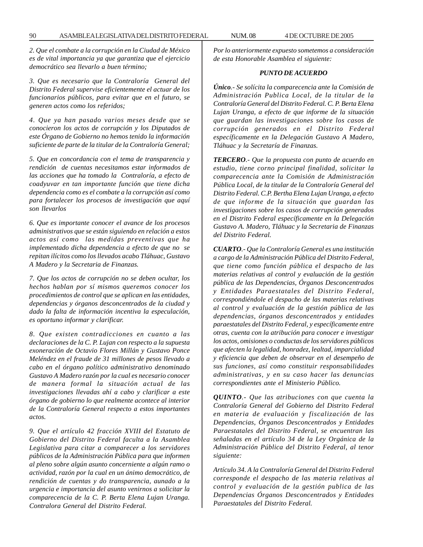*2. Que el combate a la corrupción en la Ciudad de México es de vital importancia ya que garantiza que el ejercicio democrático sea llevarlo a buen término;*

*3. Que es necesario que la Contraloría General del Distrito Federal supervise eficientemente el actuar de los funcionarios públicos, para evitar que en el futuro, se generen actos como los referidos;*

*4. Que ya han pasado varios meses desde que se conocieron los actos de corrupción y los Diputados de este Órgano de Gobierno no hemos tenido la información suficiente de parte de la titular de la Contraloría General;*

*5. Que en concordancia con el tema de transparencia y rendición de cuentas necesitamos estar informados de las acciones que ha tomado la Contraloría, a efecto de coadyuvar en tan importante función que tiene dicha dependencia como es el combate a la corrupción así como para fortalecer los procesos de investigación que aquí son llevarlos*

*6. Que es importante conocer el avance de los procesos administrativos que se están siguiendo en relación a estos actos así como las medidas preventivas que ha implementado dicha dependencia a efecto de que no se repitan ilícitos como los llevados acabo Tláhuac, Gustavo A Madero y la Secretaria de Finanzas.*

*7. Que los actos de corrupción no se deben ocultar, los hechos hablan por sí mismos queremos conocer los procedimientos de control que se aplican en las entidades, dependencias y órganos desconcentrados de la ciudad y dado la falta de información incentiva la especulación, es oportuno informar y clarificar.*

*8. Que existen contradicciones en cuanto a las declaraciones de la C. P. Lujan con respecto a la supuesta exoneración de Octavio Flores Millán y Gustavo Ponce Meléndez en el fraude de 31 millones de pesos llevado a cabo en el órgano político administrativo denominado Gustavo A Madero razón por la cual es necesario conocer de manera formal la situación actual de las investigaciones llevadas ahí a cabo y clarificar a este órgano de gobierno lo que realmente acontece al interior de la Contraloría General respecto a estos importantes actos.*

*9. Que el artículo 42 fracción XVIII del Estatuto de Gobierno del Distrito Federal faculta a la Asamblea Legislativa para citar a comparecer a los servidores públicos de la Administración Pública para que informen al pleno sobre algún asunto concerniente a algún ramo o actividad, razón por la cual en un ánimo democrático, de rendición de cuentas y do transparencia, aunado a la urgencia e importancia del asunto venirnos a solicitar la comparecencia de la C. P. Berta Elena Lujan Uranga. Contralora General del Distrito Federal.*

*Por lo anteriormente expuesto sometemos a consideración de esta Honorable Asamblea el siguiente:*

# *PUNTO DE ACUERDO*

*Único.- Se solícita la comparecencia ante la Comisión de Administración Publica Local, de la titular de la Contraloría General del Distrito Federal. C. P. Berta Elena Lujan Uranga, a efecto de que informe de la situación que guardan las investigaciones sobre los casos de corrupción generados en el Distrito Federal específicamente en la Delegación Gustavo A Madero, Tláhuac y la Secretaría de Finanzas.*

*TERCERO.- Que la propuesta con punto de acuerdo en estudio, tiene corno principal finalidad, solicitar la comparecencia ante la Comisión de Administración Pública Local, de la titular de la Contraloría General del Distrito Federal. C.P. Bertha Elena Lujan Uranga, a efecto de que informe de la situación que guardan las investigaciones sobre los casos de corrupción generados en el Distrito Federal específicamente en la Delegación Gustavo A. Madero, Tláhuac y la Secretaria de Finanzas del Distrito Federal.*

*CUARTO.- Que la Contraloría General es una institución a cargo de la Administración Pública del Distrito Federal, que tiene como función pública el despacho de las materias relativas al control y evaluación de la gestión pública de las Dependencias, Órganos Desconcentrados y Entidades Paraestatales del Distrito Federal, correspondiéndole el despacho de las materias relativas al control y evaluación de la gestión pública de las dependencias, órganos desconcentrados y entidades paraestatales del Distrito Federal, y específicamente entre otras, cuenta con la atribución para conocer e investigar los actos, omisiones o conductas de los servidores públicos que afecten la legalidad, honradez, lealtad, imparcialidad y eficiencia que deben de observar en el desempeño de sus funciones, así como constituir responsabilidades administrativas, y en su caso hacer las denuncias correspondientes ante el Ministerio Público.*

*QUINTO.- Que las atribuciones con que cuenta la Contraloría General del Gobierno del Distrito Federal en materia de evaluación y fiscalización de las Dependencias, Órganos Desconcentrados y Entidades Paraestatales del Distrito Federal, se encuentran las señaladas en el artículo 34 de la Ley Orgánica de la Administración Pública del Distrito Federal, al tenor siguiente:*

*Artículo 34. A la Contraloría General del Distrito Federal corresponde el despacho de las materia relativas al control y evaluación de la gestión publica de las Dependencias Órganos Desconcentrados y Entidades Paraestatales del Distrito Federal.*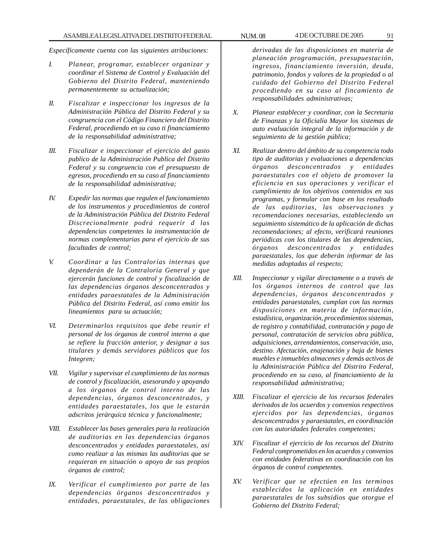*Específicamente cuenta con las siguientes atribuciones:*

- *I. Planear, programar, establecer organizar y coordinar el Sistema de Control y Evaluación del Gobierno del Distrito Federal, manteniendo permanentemente su actualización;*
- *II. Fiscalizar e inspeccionar los ingresos de la Administración Pública del Distrito Federal y su congruencia con el Código Financiero del Distrito Federal, procediendo en su caso ti financiamiento de la responsabilidad administrativa;*
- *III. Fiscalizar e inspeccionar el ejercicio del gasto publico de la Administración Publica del Distrito Federal y su congruencia con el presupuesto de egresos, procediendo en su caso al financiamiento de la responsabilidad administrativa;*
- *IV. Expedir las normas que regulen el funcionamiento de los instrumentos y procedimientos de control de la Administración Pública del Distrito Federal Discrecionalmente podrá requerir d las dependencias competentes la instrumentación de normas complementarias para el ejercicio de sus facultades de control;*
- *V. Coordinar a las Contralorías internas que dependerán de la Contraloría General y que ejercerán funciones de control y fiscalización de las dependencias órganos desconcentrados y entidades paraestatales de la Administración Pública del Distrito Federal, así como emitir los lineamientos para su actuación;*
- *VI. Determinarlos requisitos que debe reunir el personal de los órganos de control interno a que se refiere la fracción anterior, y designar a sus titulares y demás servidores públicos que los Integren;*
- *VII. Vigilar y supervisar el cumplimiento de las normas de control y fiscalización, asesorando y apoyando a los órganos de control interno de las dependencias, órganos desconcentrados, y entidades paraestatales, los que le estarán adscritos jerárquica técnica y funcionalmente;*
- *VIII. Establecer las bases generales para la realización de auditorias en las dependencias órganos desconcentrados y entidades paraestatales, así como realizar a las mismas las auditorias que se requieran en situación o apoyo de sus propios órganos de control;*
- *IX. Verificar el cumplimiento por parte de las dependencias órganos desconcentrados y entidades, paraestatales, de las obligaciones*

*derivadas de las disposiciones en materia de planeación programación, presupuestación, ingresos, financiamiento inversión, deuda, patrimonio, fondos y valores de la propiedad o al cuidado del Gobierno del Distrito Federal procediendo en su caso al fincamiento de responsabilidades administrativas;*

- *X. Planear establecer y coordinar, con la Secretaria de Finanzas y la Oficialía Mayor los sistemas de auto evaluación integral de la información y de seguimiento de la gestión pública;*
- *XI. Realizar dentro del ámbito de su competencia todo tipo de auditorias y evaluaciones a dependencias órganos desconcentrados y entidades paraestatales con el objeto de promover la eficiencia en sus operaciones y verificar el cumplimiento de los objetivos contenidos en sus programas, y formular con base en los resultado de las auditorias, las observaciones y recomendaciones necesarias, estableciendo un seguimiento sistemático de la aplicación de dichas recomendaciones; al efecto, verificará reuniones periódicas con los titulares de las dependencias, órganos desconcentrados y entidades paraestatales, los que deberán informar de las medidas adoptadas al respecto;*
- *XII. Inspeccionar y vigilar directamente o a través de los órganos internos de control que las dependencias, órganos desconcentrados y entidades paraestatales, cumplan con las normas disposiciones en materia de información, estadística, organización, procedimientos sistemas, de registro y contabilidad, contratación y pago de personal, contratación de servicios obra pública, adquisiciones, arrendamientos, conservación, uso, destino. Afectación, enajenación y baja de bienes muebles e inmuebles almacenes y demás activos de la Administración Pública del Distrito Federal, procediendo en su caso, al financiamiento de la responsabilidad administrativa;*
- *XIII. Fiscalizar el ejercicio de los recursos federales derivados de los acuerdos y convenios respectivos ejercidos por las dependencias, órganos desconcentrados y paraestatales, en coordinación con las autoridades federales competentes;*
- *XIV. Fiscalizar el ejercicio de los recursos del Distrito Federal comprometidos en los acuerdos y convenios con entidades federativas en coordinación con los órganos de control competentes.*
- *XV. Verificar que se efectúen en los terminos establecidos la aplicación en entidades paraestatales de los subsidios que otorgue el Gobierno del Distrito Federal;*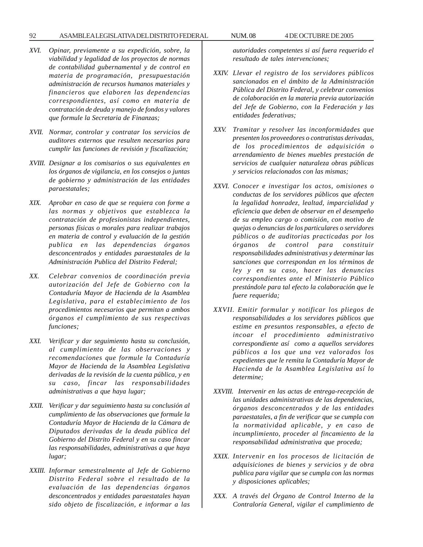# 92 ASAMBLEA LEGISLATIVA DEL DISTRITO FEDERAL NUM. 08 4 DE OCTUBRE DE 2005

- *XVI. Opinar, previamente a su expedición, sobre, la viabilidad y legalidad de los proyectos de normas de contabilidad gubernamental y de control en materia de programación, presupuestación administración de recursos humanos materiales y financieros que elaboren las dependencias correspondientes, así como en materia de contratación de deuda y manejo de fondos y valores que formule la Secretaria de Finanzas;*
- *XVII. Normar, controlar y contratar los servicios de auditores externos que resulten necesarios para cumplir las funciones de revisión y fiscalización;*
- *XVIII. Designar a los comisarios o sus equivalentes en los órganos de vigilancia, en los consejos o juntas de gobierno y administración de las entidades paraestatales;*
- *XIX. Aprobar en caso de que se requiera con forme a las normas y objetivos que establezca la contratación de profesionistas independientes, personas físicas o morales para realizar trabajos en materia de control y evaluación de la gestión publica en las dependencias órganos desconcentrados y entidades paraestatales de la Administración Publica del Distrito Federal;*
- *XX. Celebrar convenios de coordinación previa autorización del Jefe de Gobierno con la Contaduría Mayor de Hacienda de la Asamblea Legislativa, para el establecimiento de los procedimientos necesarios que permitan a ambos órganos el cumplimiento de sus respectivas funciones;*
- *XXI. Verificar y dar seguimiento hasta su conclusión, al cumplimiento de las observaciones y recomendaciones que formule la Contaduría Mayor de Hacienda de la Asamblea Legislativa derivadas de la revisión de la cuenta pública, y en su caso, fincar las responsabilidades administrativas a que haya lugar;*
- *XXII. Verificar y dar seguimiento hasta su conclusión al cumplimiento de las observaciones que formule la Contaduría Mayor de Hacienda de la Cámara de Diputados derivadas de la deuda pública del Gobierno del Distrito Federal y en su caso fincar las responsabilidades, administrativas a que haya lugar;*
- *XXIII. Informar semestralmente al Jefe de Gobierno Distrito Federal sobre el resultado de la evaluación de las dependencias órganos desconcentrados y entidades paraestatales hayan sido objeto de fiscalización, e informar a las*

*autoridades competentes si así fuera requerido el resultado de tales intervenciones;*

- *XXIV. Llevar el registro de los servidores públicos sancionados en el ámbito de la Administración Pública del Distrito Federal, y celebrar convenios de colaboración en la materia previa autorización del Jefe de Gobierno, con la Federación y las entidades federativas;*
- *XXV. Tramitar y resolver las inconformidades que presenten los proveedores o contratistas derivadas, de los procedimientos de adquisición o arrendamiento de bienes muebles prestación de servicios de cualquier naturaleza obras públicas y servicios relacionados con las mismas;*
- *XXVI. Conocer e investigar los actos, omisiones o conductas de los servidores públicos que afecten la legalidad honradez, lealtad, imparcialidad y eficiencia que deben de observar en el desempeño de su empleo cargo o comisión, con motivo de quejas o denuncias de los particulares o servidores públicos o de auditorias practicadas por los órganos de control para constituir responsabilidades administrativas y determinar las sanciones que correspondan en los términos de ley y en su caso, hacer las denuncias correspondientes ante el Ministerio Público prestándole para tal efecto la colaboración que le fuere requerida;*
- *XXVII. Emitir formular y notificar los pliegos de responsabilidades a los servidores públicos que estime en presuntos responsables, a efecto de incoar el procedimiento administrativo correspondiente así como a aquellos servidores públicos a los que una vez valorados los expedientes que le remita la Contaduría Mayor de Hacienda de la Asamblea Legislativa así lo determine;*
- *XXVIII. Intervenir en las actas de entrega-recepción de las unidades administrativas de las dependencias, órganos desconcentrados y de las entidades paraestatales, a fin de verificar que se cumpla con la normatividad aplicable, y en caso de incumplimiento, proceder al fincamiento de la responsabilidad administrativa que proceda;*
- *XXIX. Intervenir en los procesos de licitación de adquisiciones de bienes y servicios y de obra publica para vigilar que se cumpla con las normas y disposiciones aplicables;*
- *XXX. A través del Órgano de Control Interno de la Contraloría General, vigilar el cumplimiento de*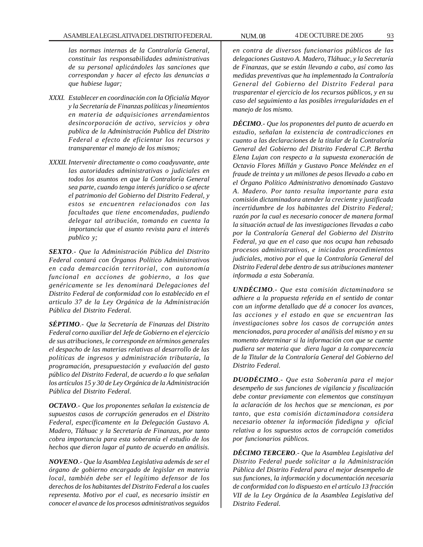*las normas internas de la Contraloría General, constituir las responsabilidades administrativas de su personal aplicándoles las sanciones que correspondan y hacer al efecto las denuncias a que hubiese lugar;*

- *XXXI. Establecer en coordinación con la Oficialía Mayor y la Secretaría de Finanzas políticas y lineamientos en materia de adquisiciones arrendamientos desincorporación de activo, servicios y obra publica de la Administración Publica del Distrito Federal a efecto de eficientar los recursos y transparentar el manejo de los mismos;*
- *XXXII. Intervenir directamente o como coadyuvante, ante las autoridades administrativas o judiciales en todos los asuntos en que la Contraloría General sea parte, cuando tenga interés jurídico o se afecte el patrimonio del Gobierno del Distrito Federal, y estos se encuentren relacionados con las facultades que tiene encomendadas, pudiendo delegar tal atribución, tomando en cuenta la importancia que el asunto revista para el interés publico y;*

*SEXTO.- Que la Administración Pública del Distrito Federal contará con Órganos Político Administrativos en cada demarcación territorial, con autonomía funcional en acciones de gobierno, a los que genéricamente se les denominará Delegaciones del Distrito Federal de conformidad con lo establecido en el articulo 37 de la Ley Orgánica de la Administración Pública del Distrito Federal.*

*SÉPTIMO.- Que la Secretaría de Finanzas del Distrito Federal corno auxiliar del Jefe de Gobierno en el ejercicio de sus atribuciones, le corresponde en términos generales el despacho de las materias relativas al desarrollo de las políticas de ingresos y administración tributaría, la programación, presupuestación y evaluación del gasto público del Distrito Federal, de acuerdo a lo que señalan los artículos 15 y 30 de Ley Orgánica de la Administración Pública del Distrito Federal.*

*OCTAVO.- Que los proponentes señalan la existencia de supuestos casos de corrupción generados en el Distrito Federal, específicamente en la Delegación Gustavo A. Madero, Tláhuac y la Secretaría de Finanzas, por tanto cobra importancia para esta soberanía el estudio de los hechos que dieron lugar al punto de acuerdo en análisis.*

*NOVENO.- Que la Asamblea Legislativa además de ser el órgano de gobierno encargado de legislar en materia local, también debe ser el legítimo defensor de los derechos de los habitantes del Distrito Federal a los cuales representa. Motivo por el cual, es necesario insistir en conocer el avance de los procesos administrativos seguidos*

*en contra de diversos funcionarios públicos de las delegaciones Gustavo A. Madero, Tláhuac, y la Secretaría de Finanzas, que se están llevando a cabo, así como las medidas preventivas que ha implementado la Contraloría General del Gobierno del Distrito Federal para trasparentar el ejercicio de los recursos públicos, y en su caso del seguimiento a las posibles irregularidades en el manejo de los mismo.*

*DÉCIMO.- Que los proponentes del punto de acuerdo en estudio, señalan la existencia de contradicciones en cuanto a las declaraciones de la titular de la Contraloría General del Gobierno del Distrito Federal C.P. Bertha Elena Lujan con respecto a la supuesta exoneración de Octavio Flores Millán y Gustavo Ponce Meléndez en el fraude de treinta y un millones de pesos llevado a cabo en el Órgano Político Administrativo denominado Gustavo A. Madero. Por tanto resulta importante para esta comisión dictaminadora atender la creciente y justificada incertidumbre de los habitantes del Distrito Federal; razón por la cual es necesario conocer de manera formal la situación actual de las investigaciones llevadas a cabo por la Contraloría General del Gobierno del Distrito Federal, ya que en el caso que nos ocupa han rebasado procesos administrativos, e iniciados procedimientos judiciales, motivo por el que la Contraloría General del Distrito Federal debe dentro de sus atribuciones mantener informada a esta Soberanía.*

*UNDÉCIMO.- Que esta comisión dictaminadora se adhiere a la propuesta referida en el sentido de contar con un informe detallado que dé a conocer los avances, las acciones y el estado en que se encuentran las investigaciones sobre los casos de corrupción antes mencionados, para proceder al análisis del mismo y en su momento determinar si la información con que se cuente pudiera ser materia que diera lugar a la comparecencia de la Titular de la Contraloría General del Gobierno del Distrito Federal.*

*DUODÉCIMO.- Que esta Soberanía para el mejor desempeño de sus funciones de vigilancia y fiscalización debe contar previamente con elementos que constituyan la aclaración de los hechos que se mencionan, es por tanto, que esta comisión dictaminadora considera necesario obtener la información fidedigna y oficial relativa a los supuestos actos de corrupción cometidos por funcionarios públicos.*

*DÉCIMO TERCERO.- Que la Asamblea Legislativa del Distrito Federal puede solicitar a la Administración Pública del Distrito Federal para el mejor desempeño de sus funciones, la información y documentación necesaria de conformidad con lo dispuesto en el artículo 13 fracción VII de la Ley Orgánica de la Asamblea Legislativa del Distrito Federal.*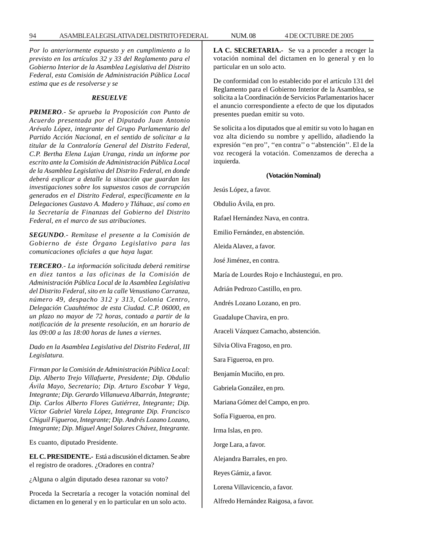*Por lo anteriormente expuesto y en cumplimiento a lo previsto en los artículos 32 y 33 del Reglamento para el Gobierno Interior de la Asamblea Legislativa del Distrito Federal, esta Comisión de Administración Pública Local estima que es de resolverse y se*

#### *RESUELVE*

*PRIMERO.- Se aprueba la Proposición con Punto de Acuerdo presentada por el Diputado Juan Antonio Arévalo López, integrante del Grupo Parlamentario del Partido Acción Nacional, en el sentido de solicitar a la titular de la Contraloría General del Distrito Federal, C.P. Bertha Elena Lujan Uranga, rinda un informe por escrito ante la Comisión de Administración Pública Local de la Asamblea Legislativa del Distrito Federal, en donde deberá explicar a detalle la situación que guardan las investigaciones sobre los supuestos casos de corrupción generados en el Distrito Federal, específicamente en la Delegaciones Gustavo A. Madero y Tláhuac, así como en la Secretaría de Finanzas del Gobierno del Distrito Federal, en el marco de sus atribuciones.*

*SEGUNDO.- Remítase el presente a la Comisión de Gobierno de éste Órgano Legislativo para las comunicaciones oficiales a que haya lugar.*

*TERCERO.- La información solicitada deberá remitirse en diez tantos a las oficinas de la Comisión de Administración Pública Local de la Asamblea Legislativa del Distrito Federal, sito en la calle Venustiano Carranza, número 49, despacho 312 y 313, Colonia Centro, Delegación Cuauhtémoc de esta Ciudad. C.P. 06000, en un plazo no mayor de 72 horas, contado a partir de la notificación de la presente resolución, en un horario de las 09:00 a las 18:00 horas de lunes a viernes.*

*Dado en la Asamblea Legislativa del Distrito Federal, III Legislatura.*

*Firman por la Comisión de Administración Pública Local: Dip. Alberto Trejo Villafuerte, Presidente; Dip. Obdulio Ávila Mayo, Secretario; Dip. Arturo Escobar Y Vega, Integrante; Dip. Gerardo Villanueva Albarrán, Integrante; Dip. Carlos Alberto Flores Gutiérrez, Integrante; Dip. Víctor Gabriel Varela López, Integrante Dip. Francisco Chiguil Figueroa, Integrante; Dip. Andrés Lozano Lozano, Integrante; Dip. Miguel Angel Solares Chávez, Integrante.*

Es cuanto, diputado Presidente.

**EL C. PRESIDENTE.-** Está a discusión el dictamen. Se abre el registro de oradores. ¿Oradores en contra?

¿Alguna o algún diputado desea razonar su voto?

Proceda la Secretaría a recoger la votación nominal del dictamen en lo general y en lo particular en un solo acto.

**LA C. SECRETARIA.-** Se va a proceder a recoger la votación nominal del dictamen en lo general y en lo particular en un solo acto.

De conformidad con lo establecido por el artículo 131 del Reglamento para el Gobierno Interior de la Asamblea, se solicita a la Coordinación de Servicios Parlamentarios hacer el anuncio correspondiente a efecto de que los diputados presentes puedan emitir su voto.

Se solicita a los diputados que al emitir su voto lo hagan en voz alta diciendo su nombre y apellido, añadiendo la expresión ''en pro'', ''en contra'' o ''abstención''. El de la voz recogerá la votación. Comenzamos de derecha a izquierda.

### **(Votación Nominal)**

Jesús López, a favor.

Obdulio Ávila, en pro.

Rafael Hernández Nava, en contra.

Emilio Fernández, en abstención.

Aleida Alavez, a favor.

José Jiménez, en contra.

María de Lourdes Rojo e Incháustegui, en pro.

Adrián Pedrozo Castillo, en pro.

Andrés Lozano Lozano, en pro.

Guadalupe Chavira, en pro.

Araceli Vázquez Camacho, abstención.

Silvia Oliva Fragoso, en pro.

Sara Figueroa, en pro.

Benjamín Muciño, en pro.

Gabriela González, en pro.

Mariana Gómez del Campo, en pro.

Sofía Figueroa, en pro.

Irma Islas, en pro.

Jorge Lara, a favor.

Alejandra Barrales, en pro.

Reyes Gámiz, a favor.

Lorena Villavicencio, a favor.

Alfredo Hernández Raigosa, a favor.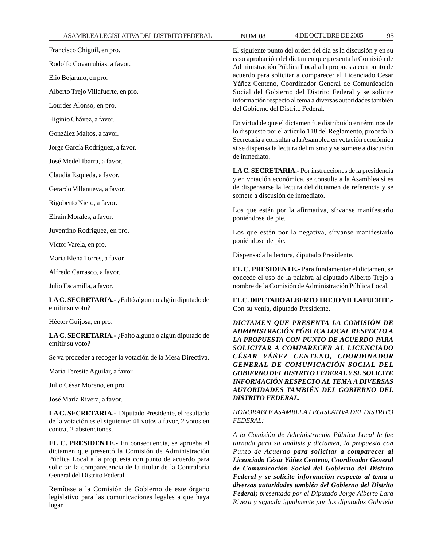lugar.

| Francisco Chiguil, en pro.                                                                                                                                                                                                                                                                                                                                                                      | El siguiente punto del orden del día es la discusión y en su<br>caso aprobación del dictamen que presenta la Comisión de<br>Administración Pública Local a la propuesta con punto de                                                                                                                                                                                                                                                                                                                              |  |
|-------------------------------------------------------------------------------------------------------------------------------------------------------------------------------------------------------------------------------------------------------------------------------------------------------------------------------------------------------------------------------------------------|-------------------------------------------------------------------------------------------------------------------------------------------------------------------------------------------------------------------------------------------------------------------------------------------------------------------------------------------------------------------------------------------------------------------------------------------------------------------------------------------------------------------|--|
| Rodolfo Covarrubias, a favor.                                                                                                                                                                                                                                                                                                                                                                   |                                                                                                                                                                                                                                                                                                                                                                                                                                                                                                                   |  |
| Elio Bejarano, en pro.                                                                                                                                                                                                                                                                                                                                                                          | acuerdo para solicitar a comparecer al Licenciado Cesar                                                                                                                                                                                                                                                                                                                                                                                                                                                           |  |
| Alberto Trejo Villafuerte, en pro.                                                                                                                                                                                                                                                                                                                                                              | Yáñez Centeno, Coordinador General de Comunicación<br>Social del Gobierno del Distrito Federal y se solicite<br>información respecto al tema a diversas autoridades también<br>del Gobierno del Distrito Federal.                                                                                                                                                                                                                                                                                                 |  |
| Lourdes Alonso, en pro.                                                                                                                                                                                                                                                                                                                                                                         |                                                                                                                                                                                                                                                                                                                                                                                                                                                                                                                   |  |
| Higinio Chávez, a favor.                                                                                                                                                                                                                                                                                                                                                                        | En virtud de que el dictamen fue distribuido en términos de                                                                                                                                                                                                                                                                                                                                                                                                                                                       |  |
| González Maltos, a favor.                                                                                                                                                                                                                                                                                                                                                                       | lo dispuesto por el artículo 118 del Reglamento, proceda la<br>Secretaría a consultar a la Asamblea en votación económica<br>si se dispensa la lectura del mismo y se somete a discusión                                                                                                                                                                                                                                                                                                                          |  |
| Jorge García Rodríguez, a favor.                                                                                                                                                                                                                                                                                                                                                                |                                                                                                                                                                                                                                                                                                                                                                                                                                                                                                                   |  |
| José Medel Ibarra, a favor.                                                                                                                                                                                                                                                                                                                                                                     | de inmediato.                                                                                                                                                                                                                                                                                                                                                                                                                                                                                                     |  |
| Claudia Esqueda, a favor.                                                                                                                                                                                                                                                                                                                                                                       | LA C. SECRETARIA.- Por instrucciones de la presidencia<br>y en votación económica, se consulta a la Asamblea si es                                                                                                                                                                                                                                                                                                                                                                                                |  |
| Gerardo Villanueva, a favor.                                                                                                                                                                                                                                                                                                                                                                    | de dispensarse la lectura del dictamen de referencia y se                                                                                                                                                                                                                                                                                                                                                                                                                                                         |  |
| Rigoberto Nieto, a favor.                                                                                                                                                                                                                                                                                                                                                                       | somete a discusión de inmediato.                                                                                                                                                                                                                                                                                                                                                                                                                                                                                  |  |
| Efraín Morales, a favor.                                                                                                                                                                                                                                                                                                                                                                        | Los que estén por la afirmativa, sírvanse manifestarlo<br>poniéndose de pie.                                                                                                                                                                                                                                                                                                                                                                                                                                      |  |
| Juventino Rodríguez, en pro.                                                                                                                                                                                                                                                                                                                                                                    | Los que estén por la negativa, sírvanse manifestarlo<br>poniéndose de pie.                                                                                                                                                                                                                                                                                                                                                                                                                                        |  |
| Víctor Varela, en pro.                                                                                                                                                                                                                                                                                                                                                                          |                                                                                                                                                                                                                                                                                                                                                                                                                                                                                                                   |  |
| María Elena Torres, a favor.                                                                                                                                                                                                                                                                                                                                                                    | Dispensada la lectura, diputado Presidente.                                                                                                                                                                                                                                                                                                                                                                                                                                                                       |  |
| Alfredo Carrasco, a favor.                                                                                                                                                                                                                                                                                                                                                                      | EL C. PRESIDENTE.- Para fundamentar el dictamen, se<br>concede el uso de la palabra al diputado Alberto Trejo a<br>nombre de la Comisión de Administración Pública Local.                                                                                                                                                                                                                                                                                                                                         |  |
| Julio Escamilla, a favor.                                                                                                                                                                                                                                                                                                                                                                       |                                                                                                                                                                                                                                                                                                                                                                                                                                                                                                                   |  |
| LA C. SECRETARIA.- ¿Faltó alguna o algún diputado de<br>emitir su voto?                                                                                                                                                                                                                                                                                                                         | EL C. DIPUTADO ALBERTO TREJO VILLAFUERTE.-<br>Con su venia, diputado Presidente.                                                                                                                                                                                                                                                                                                                                                                                                                                  |  |
| Héctor Guijosa, en pro.                                                                                                                                                                                                                                                                                                                                                                         | DICTAMEN QUE PRESENTA LA COMISIÓN DE                                                                                                                                                                                                                                                                                                                                                                                                                                                                              |  |
| LA C. SECRETARIA.- ¿Faltó alguna o algún diputado de<br>emitir su voto?                                                                                                                                                                                                                                                                                                                         | ADMINISTRACIÓN PÚBLICA LOCAL RESPECTO A<br>LA PROPUESTA CON PUNTO DE ACUERDO PARA<br>SOLICITAR A COMPARECER AL LICENCIADO                                                                                                                                                                                                                                                                                                                                                                                         |  |
| Se va proceder a recoger la votación de la Mesa Directiva.                                                                                                                                                                                                                                                                                                                                      | CÉSAR YÁÑEZ CENTENO, COORDINADOR                                                                                                                                                                                                                                                                                                                                                                                                                                                                                  |  |
| María Teresita Aguilar, a favor.                                                                                                                                                                                                                                                                                                                                                                | GENERAL DE COMUNICACIÓN SOCIAL DEL<br><b>GOBIERNO DEL DISTRITO FEDERAL Y SE SOLICITE</b><br><b>INFORMACIÓN RESPECTO AL TEMA A DIVERSAS</b><br>AUTORIDADES TAMBIÉN DEL GOBIERNO DEL<br><b>DISTRITO FEDERAL.</b>                                                                                                                                                                                                                                                                                                    |  |
| Julio César Moreno, en pro.                                                                                                                                                                                                                                                                                                                                                                     |                                                                                                                                                                                                                                                                                                                                                                                                                                                                                                                   |  |
| José María Rivera, a favor.                                                                                                                                                                                                                                                                                                                                                                     |                                                                                                                                                                                                                                                                                                                                                                                                                                                                                                                   |  |
| LA C. SECRETARIA.- Diputado Presidente, el resultado<br>de la votación es el siguiente: 41 votos a favor, 2 votos en<br>contra, 2 abstenciones.                                                                                                                                                                                                                                                 | HONORABLE ASAMBLEA LEGISLATIVA DEL DISTRITO<br><b>FEDERAL:</b>                                                                                                                                                                                                                                                                                                                                                                                                                                                    |  |
| EL C. PRESIDENTE.- En consecuencia, se aprueba el<br>dictamen que presentó la Comisión de Administración<br>Pública Local a la propuesta con punto de acuerdo para<br>solicitar la comparecencia de la titular de la Contraloría<br>General del Distrito Federal.<br>Remítase a la Comisión de Gobierno de este órgano<br>legislativo para las comunicaciones legales a que haya<br>$ln \alpha$ | A la Comisión de Administración Pública Local le fue<br>turnada para su análisis y dictamen, la propuesta con<br>Punto de Acuerdo para solicitar a comparecer al<br>Licenciado César Yáñez Centeno, Coordinador General<br>de Comunicación Social del Gobierno del Distrito<br>Federal y se solicite información respecto al tema a<br>diversas autoridades también del Gobierno del Distrito<br>Federal; presentada por el Diputado Jorge Alberto Lara<br>Rivera y signada igualmente por los diputados Gabriela |  |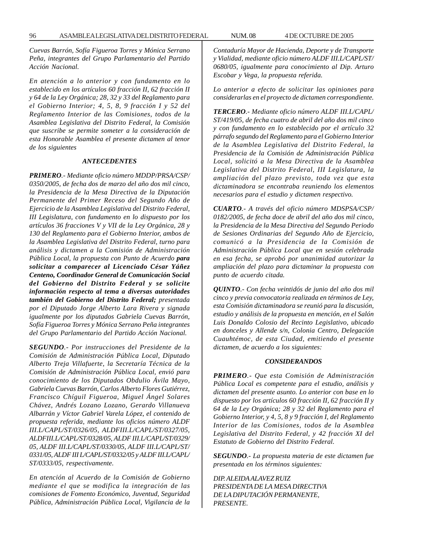*Cuevas Barrón, Sofía Figueroa Torres y Mónica Serrano Peña, integrantes del Grupo Parlamentario del Partido Acción Nacional.*

*En atención a lo anterior y con fundamento en lo establecido en los artículos 60 fracción II, 62 fracción II y 64 de la Ley Orgánica; 28, 32 y 33 del Reglamento para el Gobierno Interior; 4, 5, 8, 9 fracción I y 52 del Reglamento Interior de las Comisiones, todos de la Asamblea Legislativa del Distrito Federal, la Comisión que suscribe se permite someter a la consideración de esta Honorable Asamblea el presente dictamen al tenor de los siguientes*

#### *ANTECEDENTES*

*PRIMERO.- Mediante oficio número MDDP/PRSA/CSP/ 0350/2005, de fecha dos de marzo del año dos mil cinco, la Presidencia de la Mesa Directiva de la Diputación Permanente del Primer Receso del Segundo Año de Ejercicio de la Asamblea Legislativa del Distrito Federal, III Legislatura, con fundamento en lo dispuesto por los artículos 36 fracciones V y VII de la Ley Orgánica, 28 y 130 del Reglamento para el Gobierno Interior, ambos de la Asamblea Legislativa del Distrito Federal, turno para análisis y dictamen a la Comisión de Administración Pública Local, la propuesta con Punto de Acuerdo para solicitar a comparecer al Licenciado César Yáñez Centeno, Coordinador General de Comunicación Social del Gobierno del Distrito Federal y se solicite información respecto al tema a diversas autoridades también del Gobierno del Distrito Federal; presentada por el Diputado Jorge Alberto Lara Rivera y signada igualmente por los diputados Gabriela Cuevas Barrón, Sofía Figueroa Torres y Mónica Serrano Peña integrantes del Grupo Parlamentario del Partido Acción Nacional.*

*SEGUNDO.- Por instrucciones del Presidente de la Comisión de Administración Pública Local, Diputado Alberto Treja Villafuerte, la Secretaría Técnica de la Comisión de Administración Pública Local, envió para conocimiento de los Diputados Obdulio Ávila Mayo, Gabriela Cuevas Barrón, Carlos Alberto Flores Gutiérrez, Francisco Chíguil Figueroa, Miguel Ángel Solares Chávez, Andrés Lozano Lozano, Gerardo Villanueva Albarrán y Víctor Gabriel Varela López, el contenido de propuesta referida, mediante los oficios número ALDF III.L/CAPL/ST/0326/05, ALDFIII.L/CAPL/ST/0327/05, ALDFIII.L/CAPL/ST/0328/05, ALDF III.L/CAPL/ST/0329/ 05, ALDF III.L/CAPL/ST/0330/05, ALDF III.L/CAPL/ST/ 0331/05, ALDF III L/CAPL/ST/0332/05 y ALDF III.L/CAPL/ ST/0333/05, respectivamente.*

*En atención al Acuerdo de la Comisión de Gobierno mediante el que se modifica la integración de las comisiones de Fomento Económico, Juventud, Seguridad Pública, Administración Pública Local, Vigilancia de la* *Contaduría Mayor de Hacienda, Deporte y de Transporte y Vialidad, mediante oficio número ALDF III.L/CAPL/ST/ 0680/05, igualmente para conocimiento al Dip. Arturo Escobar y Vega, la propuesta referida.*

*Lo anterior a efecto de solicitar las opiniones para considerarlas en el proyecto de dictamen correspondiente.*

*TERCERO.- Mediante oficio número ALDF III.L/CAPL/ ST/419/05, de fecha cuatro de abril del año dos mil cinco y con fundamento en lo establecido por el artículo 32 párrafo segundo del Reglamento para el Gobierno Interior de la Asamblea Legislativa del Distrito Federal, la Presidencia de la Comisión de Administración Pública Local, solicitó a la Mesa Directiva de la Asamblea Legislativa del Distrito Federal, III Legislatura, la ampliación del plazo previsto, toda vez que esta dictaminadora se encontraba reuniendo los elementos necesarios para el estudio y dictamen respectivo.*

*CUARTO.- A través del oficio número MDSPSA/CSP/ 0182/2005, de fecha doce de abril del año dos mil cinco, la Presidencia de la Mesa Directiva del Segundo Periodo de Sesiones Ordinarias del Segundo Año de Ejercicio, comunicó a la Presidencia de la Comisión de Administración Pública Local que en sesión celebrada en esa fecha, se aprobó por unanimidad autorizar la ampliación del plazo para dictaminar la propuesta con punto de acuerdo citada.*

*QUINTO.- Con fecha veintidós de junio del año dos mil cinco y previa convocatoria realizada en términos de Ley, esta Comisión dictaminadora se reunió para la discusión, estudio y análisis de la propuesta en mención, en el Salón Luis Donaldo Colosio del Recinto Legislativo, ubicado en donceles y Allende s/n, Colonia Centro, Delegación Cuauhtémoc, de esta Ciudad, emitiendo el presente dictamen, de acuerdo a los siguientes:*

#### *CONSIDERANDOS*

*PRIMERO.- Que esta Comisión de Administración Pública Local es competente para el estudio, análisis y dictamen del presente asunto. Lo anterior con base en lo dispuesto por los artículos 60 fracción II, 62 fracción II y 64 de la Ley Orgánica; 28 y 32 del Reglamento para el Gobierno Interior, y 4, 5, 8 y 9 fracción I, del Reglamento Interior de las Comisiones, todos de la Asamblea Legislativa del Distrito Federal, y 42 fracción XI del Estatuto de Gobierno del Distrito Federal.*

*SEGUNDO.- La propuesta materia de este dictamen fue presentada en los términos siguientes:*

*DIP. ALEIDA ALAVEZ RUIZ PRESIDENTA DE LA MESA DIRECTIVA DE LA DIPUTACIÓN PERMANENTE, PRESENTE.*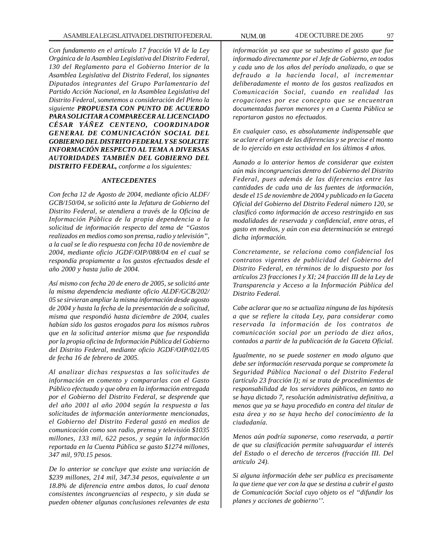*Con fundamento en el artículo 17 fracción VI de la Ley Orgánica de la Asamblea Legislativa del Distrito Federal, 130 del Reglamento para el Gobierno Interior de la Asamblea Legislativa del Distrito Federal, los signantes Diputados integrantes del Grupo Parlamentario del Partido Acción Nacional, en la Asamblea Legislativa del Distrito Federal, sometemos a consideración del Pleno la siguiente PROPUESTA CON PUNTO DE ACUERDO PARA SOLICITAR A COMPARECER AL LICENCIADO CÉSAR YÁÑEZ CENTENO, COORDINADOR GENERAL DE COMUNICACIÓN SOCIAL DEL GOBIERNO DEL DISTRITO FEDERAL Y SE SOLICITE INFORMACIÓN RESPECTO AL TEMA A DIVERSAS AUTORIDADES TAMBIÉN DEL GOBIERNO DEL DISTRITO FEDERAL, conforme a los siguientes:*

## *ANTECEDENTES*

*Con fecha 12 de Agosto de 2004, mediante oficio ALDF/ GCB/150/04, se solicitó ante la Jefatura de Gobierno del Distrito Federal, se atendiera a través de la Oficina de Información Pública de la propia dependencia a la solicitud de información respecto del tema de ''Gastos realizados en medios como son prensa, radio y televisión'', a la cual se le dio respuesta con fecha 10 de noviembre de 2004, mediante oficio JGDF/OIP/088/04 en el cual se respondía propiamente a los gastos efectuados desde el año 2000 y hasta julio de 2004.*

*Así mismo con fecha 20 de enero de 2005, se solicitó ante la misma dependencia mediante oficio ALDF/GCB/202/ 05 se sirvieran ampliar la misma información desde agosto de 2004 y hasta la fecha de la presentación de a solicitud, misma que respondió hasta diciembre de 2004, cuales habían sido los gastos erogados para los mismos rubros que en la solicitud anterior misma que fue respondida por la propia oficina de Información Pública del Gobierno del Distrito Federal, mediante oficio JGDF/OIP/021/05 de fecha 16 de febrero de 2005.*

*Al analizar dichas respuestas a las solicitudes de información en comento y compararlas con el Gasto Público efectuado y que obra en la información entregada por el Gobierno del Distrito Federal, se desprende que del año 2001 al año 2004 según la respuesta a las solicitudes de información anteriormente mencionadas, el Gobierno del Distrito Federal gastó en medios de comunicación como son radio, prensa y televisión \$1035 millones, 133 mil, 622 pesos, y según la información reportada en la Cuenta Pública se gasto \$1274 millones, 347 mil, 970.15 pesos.*

*De lo anterior se concluye que existe una variación de \$239 millones, 214 mil, 347.34 pesos, equivalente a un 18.8% de diferencia entre ambos datos, lo cual denota consistentes incongruencias al respecto, y sin duda se pueden obtener algunas conclusiones relevantes de esta*

*información ya sea que se subestimo el gasto que fue informado directamente por el Jefe de Gobierno, en todos y cada uno de los años del período analizado, o que se defraudo a la hacienda local, al incrementar deliberadamente el monto de los gastos realizados en Comunicación Social, cuando en realidad las erogaciones por ese concepto que se encuentran documentadas fueron menores y en a Cuenta Pública se reportaron gastos no efectuados.*

*En cualquier caso, es absolutamente indispensable que se aclare el origen de las diferencias y se precise el monto de lo ejercido en esta actividad en los últimos 4 años.*

*Aunado a lo anterior hemos de considerar que existen aún más incongruencias dentro del Gobierno del Distrito Federal, pues además de las diferencias entre las cantidades de cada una de las fuentes de información, desde el 15 de noviembre de 2004 y publicado en la Gaceta Oficial del Gobierno del Distrito Federal número 120, se clasificó como información de acceso restringido en sus modalidades de reservada y confidencial, entre otras, el gasto en medios, y aún con esa determinación se entregó dicha información.*

*Concretamente, se relaciona como confidencial los contratos vigentes de publicidad del Gobierno del Distrito Federal, en términos de lo dispuesto por los artículos 23 fracciones I y XI; 24 fracción III de la Ley de Transparencia y Acceso a la Información Pública del Distrito Federal.*

*Cabe aclarar que no se actualiza ninguna de las hipótesis a que se refiere la citada Ley, para considerar como reservada la información de los contratos de comunicación social por un periodo de diez años, contados a partir de la publicación de la Gaceta Oficial.*

*Igualmente, no se puede sostener en modo alguno que debe ser información reservada porque se compromete la Seguridad Pública Nacional o del Distrito Federal (artículo 23 fracción I); ni se trata de procedimientos de responsabilidad de los servidores públicos, en tanto no se haya dictado 7, resolución administrativa definitiva, a menos que ya se haya procedido en contra del titular de esta área y no se haya hecho del conocimiento de la ciudadanía.*

*Menos aún podría suponerse, como reservada, a partir de que su clasificación permite salvaguardar el interés del Estado o el derecho de terceros (fracción III. Del articulo 24).*

*Si alguna información debe ser publica es precisamente la que tiene que ver con la que se destina a cubrir el gasto de Comunicación Social cuyo objeto os el ''difundir los planes y acciones de gobierno''.*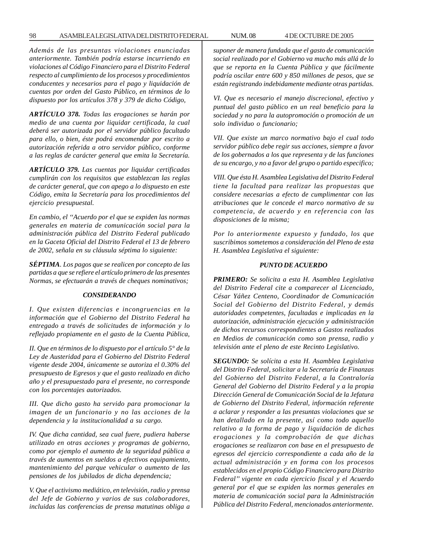*Además de las presuntas violaciones enunciadas anteriormente. También podría estarse incurriendo en violaciones al Código Financiero para el Distrito Federal respecto al cumplimiento de los procesos y procedimientos conducentes y necesarios para el pago y liquidación de cuentas por orden del Gasto Público, en términos de lo dispuesto por los artículos 378 y 379 de dicho Código,*

*ARTÍCULO 378. Todas las erogaciones se harán por medio de una cuenta por liquidar certificada, la cual deberá ser autorizada por el servidor público facultado para ello, o bien, éste podrá encomendar por escrito a autorización referida a otro servidor público, conforme a las reglas de carácter general que emita la Secretaría.*

*ARTÍCULO 379. Las cuentas por liquidar certificadas cumplirán con los requisitos que establezcan las reglas de carácter general, que con apego a lo dispuesto en este Código, emita la Secretaría para los procedimientos del ejercicio presupuestal.*

*En cambio, el ''Acuerdo por el que se expiden las normas generales en materia de comunicación social para la administración pública del Distrito Federal publicado en la Gaceta Oficial del Distrito Federal el 13 de febrero de 2002, señala en su cláusula séptima lo siguiente:*

*SÉPTIMA. Los pagos que se realicen por concepto de las partidas a que se refiere el artículo primero de las presentes Normas, se efectuarán a través de cheques nominativos;*

#### *CONSIDERANDO*

*I. Que existen diferencias e incongruencias en la información que el Gobierno del Distrito Federal ha entregado a través de solicitudes de información y lo reflejado propiamente en el gasto de la Cuenta Pública,*

*II. Que en términos de lo dispuesto por el artículo 5° de la Ley de Austeridad para el Gobierno del Distrito Federal vigente desde 2004, únicamente se autoriza el 0.30% del presupuesto de Egresos y que el gasto realizado en dicho año y el presupuestado para el presente, no corresponde con los porcentajes autorizados.*

*III. Que dicho gasto ha servido para promocionar la imagen de un funcionario y no las acciones de la dependencia y la institucionalidad a su cargo.*

*IV. Que dicha cantidad, sea cual fuere, pudiera haberse utilizado en otras acciones y programas de gobierno, como por ejemplo el aumento de la seguridad pública a través de aumentos en sueldos a efectivos equipamiento, mantenimiento del parque vehicular o aumento de las pensiones de los jubilados de dicha dependencia;*

*V. Que el activismo mediático, en televisión, radio y prensa del Jefe de Gobierno y varios de sus colaboradores, incluidas las conferencias de prensa matutinas obliga a* *suponer de manera fundada que el gasto de comunicación social realizado por el Gobierno va mucho más allá de lo que se reporta en la Cuenta Pública y que fácilmente podría oscilar entre 600 y 850 millones de pesos, que se están registrando indebidamente mediante otras partidas.*

*VI. Que es necesario el manejo discrecional, efectivo y puntual del gasto público en un real beneficio para la sociedad y no para la autopromoción o promoción de un solo individuo o funcionario;*

*VII. Que existe un marco normativo bajo el cual todo servidor público debe regir sus acciones, siempre a favor de los gobernados a los que representa y de las funciones de su encargo, y no a favor del grupo o partido especifico;*

*VIII. Que ésta H. Asamblea Legislativa del Distrito Federal tiene la facultad para realizar las propuestas que considere necesarias a efecto de cumplimentar con las atribuciones que le concede el marco normativo de su competencia, de acuerdo y en referencia con las disposiciones de la misma;*

*Por lo anteriormente expuesto y fundado, los que suscribimos sometemos a consideración del Pleno de esta H. Asamblea Legislativa el siguiente:*

# *PUNTO DE ACUERDO*

*PRIMERO: Se solicita a esta H. Asamblea Legislativa del Distrito Federal cite a comparecer al Licenciado, César Yáñez Centeno, Coordinador de Comunicación Social del Gobierno del Distrito Federal, y demás autoridades competentes, facultadas e implicadas en la autorización, administración ejecución y administración de dichos recursos correspondientes a Gastos realizados en Medios de comunicación como son prensa, radio y televisión ante el pleno de este Recinto Legislativo.*

*SEGUNDO: Se solícita a esta H. Asamblea Legislativa del Distrito Federal, solicitar a la Secretaría de Finanzas del Gobierno del Distrito Federal, a la Contraloría General del Gobierno del Distrito Federal y a la propia Dirección General de Comunicación Social de la Jefatura de Gobierno del Distrito Federal, información referente a aclarar y responder a las presuntas violaciones que se han detallado en la presente, así como todo aquello relativo a la forma de pago y liquidación de dichas erogaciones y la comprobación de que dichas erogaciones se realizaron con base en el presupuesto de egresos del ejercicio correspondiente a cada año de la actual administración y en forma con los procesos establecidos en el propio Código Financiero para Distrito Federal'' vigente en cada ejercicio fiscal y el Acuerdo general por el que se expiden las normas generales en materia de comunicación social para la Administración Pública del Distrito Federal, mencionados anteriormente.*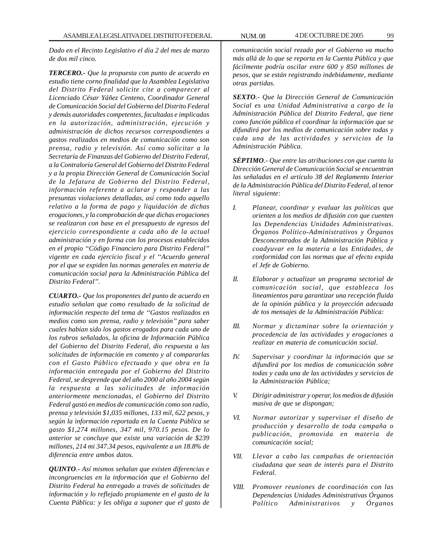*Dado en el Recinto Legislativo el día 2 del mes de marzo de dos mil cinco.*

*TERCERO.- Que la propuesta con punto de acuerdo en estudio tiene corno finalidad que la Asamblea Legislativa del Distrito Federal solicite cite a comparecer al Licenciado César Yáñez Centeno, Coordinador General de Comunicación Social del Gobierno del Distrito Federal y demás autoridades competentes, facultadas e implicadas en la autorización, administración, ejecución y administración de dichos recursos correspondientes a gastos realizados en medios de comunicación como son prensa, radio y televisión. Así como solicitar a la Secretaría de Finanzas del Gobierno del Distrito Federal, a la Contraloría General del Gobierno del Distrito Federal y a la propia Dirección General de Comunicación Social de la Jefatura de Gobierno del Distrito Federal, información referente a aclarar y responder a las presuntas violaciones detalladas, así como todo aquello relativo a la forma de pago y liquidación de dichas erogaciones, y la comprobación de que dichas erogaciones se realizaron con base en el presupuesto de egresos del ejercicio correspondiente a cada año de la actual administración y en forma con los procesos establecidos en el propio ''Código Financiero para Distrito Federal'' vigente en cada ejercicio fiscal y el ''Acuerdo general por el que se expiden las normas generales en materia de comunicación social para la Administración Pública del Distrito Federal''.*

*CUARTO.- Que los proponentes del punto de acuerdo en estudio señalan que como resultado de la solicitud de información respecto del tema de ''Gastos realizados en medios como son prensa, radio y televisión'' para saber cuales habían sido los gastos erogados para cada uno de los rubros señalados, la oficina de Información Pública del Gobierno del Distrito Federal, dio respuesta a las solicitudes de información en comento y al compararlas con el Gasto Público efectuado y que obra en la información entregada por el Gobierno del Distrito Federal, se desprende que del año 2000 al año 2004 según la respuesta a las solicitudes de información anteriormente mencionadas, el Gobierno del Distrito Federal gastó en medios de comunicación como son radio, prensa y televisión \$1,035 millones, 133 mil, 622 pesos, y según la información reportada en la Cuenta Pública se gasto \$1,274 millones, 347 mil, 970.15 pesos. De lo anterior se concluye que existe una variación de \$239 millones, 214 mi 347.34 pesos, equivalente a un 18.8% de diferencia entre ambos datos.*

*QUINTO.- Así mismos señalan que existen diferencias e incongruencias en la información que el Gobierno del Distrito Federal ha entregado a través de solicitudes de información y lo reflejado propiamente en el gasto de la Cuenta Pública: y les obliga a suponer que el gasto de*

*comunicación social rezado por el Gobierno va mucho más allá de lo que se reporta en la Cuenta Pública y que fácilmente podría oscilar entre 600 y 850 millones de pesos, que se están registrando indebidamente, mediante otras partidas.*

*SEXTO.- Que la Dirección General de Comunicación Social es una Unidad Administrativa a cargo de la Administración Pública del Distrito Federal, que tiene como función pública el coordinar la información que se difundirá por los medios de comunicación sobre todas y cada una de las actividades y servicios de la Administración Pública.*

*SÉPTIMO.- Que entre las atribuciones con que cuenta la Dirección General de Comunicación Social se encuentran las señaladas en el artículo 38 del Reglamento Interior de la Administración Pública del Distrito Federal, al tenor literal siguiente:*

- *I. Planear, coordinar y evaluar las políticas que orienten a los medios de difusión con que cuenten las Dependencias Unidades Administrativas. Órganos Político-Administrativos y Órganos Desconcentrados de la Administración Pública y coadyuvar en la materia a las Entidades, de conformidad con las normas que al efecto expida el Jefe de Gobierno.*
- *II. Elaborar y actualizar un programa sectorial de comunicación social, que establezca los lineamientos para garantizar una recepción fluida de la opinión pública y la proyección adecuada de tos mensajes de la Administración Pública:*
- *III. Normar y dictaminar sobre la orientación y procedencia de las actividades y erogaciones a realizar en materia de comunicación social*.
- *IV. Supervisar y coordinar la información que se difundirá por los medios de comunicación sobre todas y cada una de las actividades y servicios de la Administración Pública;*
- *V. Dirigir administrar y operar, los medios de difusión masiva de que se dispongan;*
- *VI. Normar autorizar y supervisar el diseño de producción y desarrollo de toda campaña o publicación, promovida en materia de comunicación social;*
- *VII. Llevar a cabo las campañas de orientación ciudadana que sean de interés para el Distrito Federal.*
- *VIII. Promover reuniones de coordinación con las Dependencias Unidades Administrativas Órganos Político Administrativos y Órganos*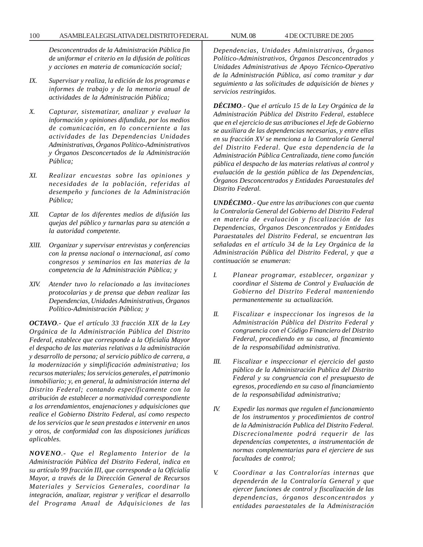### 100 ASAMBLEA LEGISLATIVA DEL DISTRITO FEDERAL NUM. 08 4 DE OCTUBRE DE 2005

*Desconcentrados de la Administración Pública fin de uniformar el criterio en la difusión de políticas y acciones en materia de comunicación social;*

- *IX. Supervisar y realiza, la edición de los programas e informes de trabajo y de la memoria anual de actividades de la Administración Pública;*
- *X. Capturar, sistematizar, analizar y evaluar la información y opiniones difundida, por los medios de comunicación, en lo concerniente a las actividades de las Dependencias Unidades Administrativas, Órganos Político-Administrativos y Órganos Desconcertados de la Administración Pública;*
- *XI. Realizar encuestas sobre las opiniones y necesidades de la población, referidas al desempeño y funciones de la Administración Pública;*
- *XII. Captar de los diferentes medios de difusión las quejas del público y turnarlas para su atención a la autoridad competente.*
- *XlII. Organizar y supervisar entrevistas y conferencias con la prensa nacional o internacional, así como congresos y seminarios en las materias de la competencia de la Administración Pública; y*
- *XIV. Atender tuvo lo relacionado a las invitaciones protocolarias y de prensa que deban realizar las Dependencias, Unidades Administrativas, Órganos Político-Administración Pública; y*

*OCTAVO.- Que el artículo 33 fracción XIX de la Ley Orgánica de la Administración Pública del Distrito Federal, establece que corresponde a la Oficialía Mayor el despacho de las materias relativas a la administración y desarrollo de persona; al servicio público de carrera, a la modernización y simplificación administrativa; los recursos materiales; los servicios generales, el patrimonio inmobiliario; y, en general, la administración interna del Distrito Federal; contando específicamente con la atribución de establecer a normatividad correspondiente a los arrendamientos, enajenaciones y adquisiciones que realice el Gobierno Distrito Federal, así como respecto de los servicios que le sean prestados e intervenir en unos y otros, de conformidad con las disposiciones jurídicas aplicables.*

*NOVENO.- Que el Reglamento Interior de la Administración Pública del Distrito Federal, indica en su artículo 99 fracción III, que corresponde a la Oficialía Mayor, a través de la Dirección General de Recursos Materiales y Servicios Generales, coordinar la integración, analizar, registrar y verificar el desarrollo del Programa Anual de Adquisiciones de las* *Dependencias, Unidades Administrativas, Órganos Político-Administrativos, Órganos Desconcentrados y Unidades Administrativas de Apoyo Técnico-Operativo de la Administración Pública, así como tramitar y dar seguimiento a las solicitudes de adquisición de bienes y servicios restringidos.*

*DÉCIMO.- Que el artículo 15 de la Ley Orgánica de la Administración Pública del Distrito Federal, establece que en el ejercicio de sus atribuciones el Jefe de Gobierno se auxiliara de las dependencias necesarias, y entre ellas en su fracción XV se menciona a la Contraloría General del Distrito Federal. Que esta dependencia de la Administración Pública Centralizada, tiene como función pública el despacho de las materias relativas al control y evaluación de la gestión pública de las Dependencias, Órganos Desconcentrados y Entidades Paraestatales del Distrito Federal.*

*UNDÉCIMO.- Que entre las atribuciones con que cuenta la Contraloría General del Gobierno del Distrito Federal en materia de evaluación y fiscalización de las Dependencias, Órganos Desconcentrados y Entidades Paraestatales del Distrito Federal, se encuentran las señaladas en el artículo 34 de la Ley Orgánica de la Administración Pública del Distrito Federal, y que a continuación se enumeran:*

- *I. Planear programar, establecer, organizar y coordinar el Sistema de Control y Evaluación de Gobierno del Distrito Federal manteniendo permanentemente su actualización.*
- *II. Fiscalizar e inspeccionar los ingresos de la Administración Pública del Distrito Federal y congruencia con el Código Financiero del Distrito Federal, procediendo en su caso, al fincamiento de la responsabilidad administrativa.*
- *III. Fiscalizar e inspeccionar el ejercicio del gasto público de la Administración Publica del Distrito Federal y su congruencia con el presupuesto de egresos, procediendo en su caso al financiamiento de la responsabilidad administrativa;*
- *IV. Expedir las normas que regulen el funcionamiento de los instrumentos y procedimientos de control de la Administración Publica del Distrito Federal. Discrecionalmente podrá requerir de las dependencias competentes, a instrumentación de normas complementarias para el ejerciere de sus facultades de control;*
- *V. Coordinar a las Contralorías internas que dependerán de la Contraloría General y que ejercer funciones de control y fiscalización de las dependencias, órganos desconcentrados y entidades paraestatales de la Administración*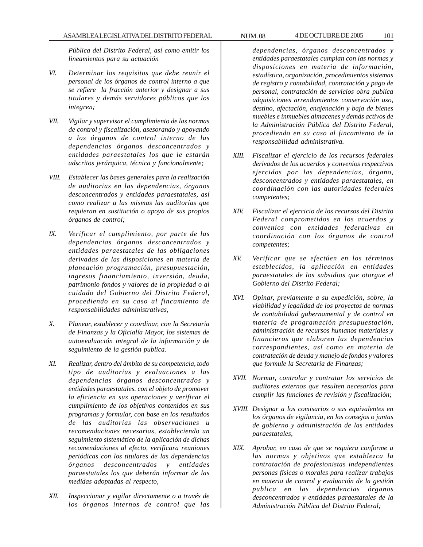*Pública del Distrito Federal, así como emitir los lineamientos para su actuación*

- *VI. Determinar los requisitos que debe reunir el personal de los órganos de control interno a que se refiere la fracción anterior y designar a sus titulares y demás servidores públicos que los integren;*
- *VII. Vigilar y supervisar el cumplimiento de las normas de control y fiscalización, asesorando y apoyando a los órganos de control interno de las dependencias órganos desconcentrados y entidades paraestatales los que le estarán adscritos jerárquica, técnica y funcionalmente;*
- *VIII. Establecer las bases generales para la realización de auditorias en las dependencias, órganos desconcentrados y entidades paraestatales, así como realizar a las mismas las auditorías que requieran en sustitución o apoyo de sus propios órganos de control;*
- *IX. Verificar el cumplimiento, por parte de las dependencias órganos desconcentrados y entidades paraestatales de las obligaciones derivadas de las disposiciones en materia de planeación programación, presupuestación, ingresos financiamiento, inversión, deuda, patrimonio fondos y valores de la propiedad o al cuidado del Gobierno del Distrito Federal, procediendo en su caso al fincamiento de responsabilidades administrativas,*
- *X. Planear, establecer y coordinar, con la Secretaria de Finanzas y la Oficialía Mayor, los sistemas de autoevaluación integral de la información y de seguimiento de la gestión publica.*
- *XI. Realizar, dentro del ámbito de su competencia, todo tipo de auditorias y evaluaciones a las dependencias órganos desconcentrados y entidades paraestatales. con el objeto de promover la eficiencia en sus operaciones y verificar el cumplimiento de los objetivos contenidos en sus programas y formular, con base en los resultados de las auditorias las observaciones u recomendaciones necesarias, estableciendo un seguimiento sistemático de la aplicación de dichas recomendaciones al efecto, verificara reuniones periódicas con los titulares de las dependencias órganos desconcentrados y entidades paraestatales los que deberán informar de las medidas adoptadas al respecto,*
- *XII. Inspeccionar y vigilar directamente o a través de los órganos internos de control que las*

*dependencias, órganos desconcentrados y entidades paraestatales cumplan con las normas y disposiciones en materia de información, estadística, organización, procedimientos sistemas de registro y contabilidad, contratación y pago de personal, contratación de servicios obra publica adquisiciones arrendamientos conservación uso, destino, afectación, enajenación y baja de bienes muebles e inmuebles almacenes y demás activos de la Administración Pública del Distrito Federal, procediendo en su caso al fincamiento de la responsabilidad administrativa.*

- *XIII. Fiscalizar el ejercicio de los recursos federales derivados de los acuerdos y convenios respectivos ejercidos por las dependencias, órgano, desconcentrados y entidades paraestatales, en coordinación con las autoridades federales competentes;*
- *XIV. Fiscalizar el ejercicio de los recursos del Distrito Federal comprometidos en los acuerdos y convenios con entidades federativas en coordinación con los órganos de control competentes;*
- *XV. Verificar que se efectúen en los términos establecidos, la aplicación en entidades paraestatales de los subsidios que otorgue el Gobierno del Distrito Federal;*
- *XVI. Opinar, previamente a su expedición, sobre, la viabilidad y legalidad de los proyectos de normas de contabilidad gubernamental y de control en materia de programación presupuestación, administración de recursos humanos materiales y financieros que elaboren las dependencias correspondientes, así como en materia de contratación de deuda y manejo de fondos y valores que formule la Secretaría de Finanzas;*
- *XVII. Normar, controlar y contratar los servicios de auditores externos que resulten necesarios para cumplir las funciones de revisión y fiscalización;*
- *XVIII. Designar a los comisarios o sus equivalentes en los órganos de vigilancia, en los consejos o juntas de gobierno y administración de las entidades paraestatales,*
- *XIX. Aprobar, en caso de que se requiera conforme a las normas y objetivos que establezca la contratación de profesionistas independientes personas físicas o morales para realizar trabajos en materia de control y evaluación de la gestión publica en las dependencias órganos desconcentrados y entidades paraestatales de la Administración Pública del Distrito Federal;*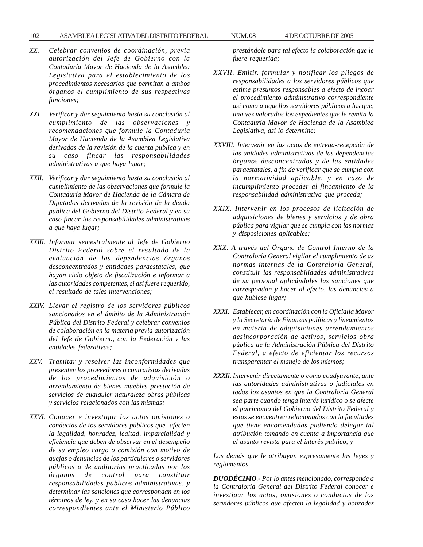### 102 ASAMBLEA LEGISLATIVA DEL DISTRITO FEDERAL NUM. 08 4 DE OCTUBRE DE 2005

- *XX. Celebrar convenios de coordinación, previa autorización del Jefe de Gobierno con la Contaduría Mayor de Hacienda de la Asamblea Legislativa para el establecimiento de los procedimientos necesarios que permitan a ambos órganos el cumplimiento de sus respectivas funciones;*
- *XXI. Verificar y dar seguimiento hasta su conclusión al cumplimiento de las observaciones y recomendaciones que formule la Contaduría Mayor de Hacienda de la Asamblea Legislativa derivadas de la revisión de la cuenta publica y en su caso fincar las responsabilidades administrativas a que haya lugar;*
- *XXII. Verificar y dar seguimiento hasta su conclusión al cumplimiento de las observaciones que formule la Contaduría Mayor de Hacienda de la Cámara de Diputados derivadas de la revisión de la deuda publica del Gobierno del Distrito Federal y en su caso fincar las responsabilidades administrativas a que haya lugar;*
- *XXIII. Informar semestralmente al Jefe de Gobierno Distrito Federal sobre el resultado de la evaluación de las dependencias órganos desconcentrados y entidades paraestatales, que hayan ciclo objeto de fiscalización e informar a las autoridades competentes, si así fuere requerido, el resultado de tales intervenciones;*
- *XXIV. Llevar el registro de los servidores públicos sancionados en el ámbito de la Administración Pública del Distrito Federal y celebrar convenios de colaboración en la materia previa autorización del Jefe de Gobierno, con la Federación y las entidades federativas;*
- *XXV. Tramitar y resolver las inconformidades que presenten los proveedores o contratistas derivadas de los procedimientos de adquisición o arrendamiento de bienes muebles prestación de servicios de cualquier naturaleza obras públicas y servicios relacionados con las mismas;*
- *XXVI. Conocer e investigar los actos omisiones o conductas de tos servidores públicos que afecten la legalidad, honradez, lealtad, imparcialidad y eficiencia que deben de observar en el desempeño de su empleo cargo o comisión con motivo de quejas o denuncias de los particulares o servidores públicos o de auditorias practicadas por los órganos de control para constituir responsabilidades públicos administrativas, y determinar las sanciones que correspondan en los términos de ley, y en su caso hacer las denuncias correspondientes ante el Ministerio Público*

*prestándole para tal efecto la colaboración que le fuere requerida;*

- *XXVII. Emitir, formular y notificar los pliegos de responsabilidades a los servidores públicos que estime presuntos responsables a efecto de incoar el procedimiento administrativo correspondiente así como a aquellos servidores públicos a los que, una vez valorados los expedientes que le remita la Contaduría Mayor de Hacienda de la Asamblea Legislativa, así lo determine;*
- *XXVIII. Intervenir en las actas de entrega-recepción de las unidades administrativas de las dependencias órganos desconcentrados y de las entidades paraestatales, a fin de verificar que se cumpla con la normatividad aplicable, y en caso de incumplimiento proceder al fincamiento de la responsabilidad administrativa que proceda;*
- *XXIX. Intervenir en los procesos de licitación de adquisiciones de bienes y servicios y de obra pública para vigilar que se cumpla con las normas y disposiciones aplicables;*
- *XXX. A través del Órgano de Control Interno de la Contraloría General vigilar el cumplimiento de as normas internas de la Contraloría General, constituir las responsabilidades administrativas de su personal aplicándoles las sanciones que correspondan y hacer al efecto, las denuncias a que hubiese lugar;*
- *XXXI. Establecer, en coordinación con la Oficialía Mayor y la Secretaría de Finanzas políticas y lineamientos en materia de adquisiciones arrendamientos desincorporación de activos, servicios obra pública de la Administración Pública del Distrito Federal, a efecto de eficientar los recursos transparentar el manejo de los mismos;*
- *XXXII. Intervenir directamente o como coadyuvante, ante las autoridades administrativas o judiciales en todos los asuntos en que la Contraloría General sea parte cuando tenga interés jurídico o se afecte el patrimonio del Gobierno del Distrito Federal y estos se encuentren relacionados con la facultades que tiene encomendadas pudiendo delegar tal atribución tomando en cuenta a importancia que el asunto revista para el interés publico, y*

*Las demás que le atribuyan expresamente las leyes y reglamentos.*

*DUODÉCIMO.- Por lo antes mencionado, corresponde a la Contraloría General del Distrito Federal conocer e investigar los actos, omisiones o conductas de los servidores públicos que afecten la legalidad y honradez*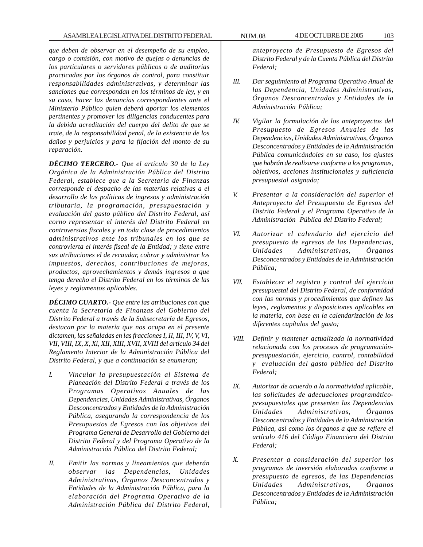*que deben de observar en el desempeño de su empleo, cargo o comisión, con motivo de quejas o denuncias de los particulares o servidores públicos o de auditorias practicadas por los órganos de control, para constituir responsabilidades administrativas, y determinar las sanciones que correspondan en los términos de ley, y en su caso, hacer las denuncias correspondientes ante el Ministerio Público quien deberá aportar los elementos pertinentes y promover las diligencias conducentes para la debida acreditación del cuerpo del delito de que se trate, de la responsabilidad penal, de la existencia de los daños y perjuicios y para la fijación del monto de su reparación.*

*DÉCIMO TERCERO.- Que el artículo 30 de la Ley Orgánica de la Administración Pública del Distrito Federal, establece que a la Secretaría de Finanzas corresponde el despacho de las materias relativas a el desarrollo de las políticas de ingresos y administración tributaria, la programación, presupuestación y evaluación del gasto público del Distrito Federal, así corno representar el interés del Distrito Federal en controversias fiscales y en toda clase de procedimientos administrativos ante los tribunales en los que se controvierta el interés fiscal de la Entidad; y tiene entre sus atribuciones el de recaudar, cobrar y administrar los impuestos, derechos, contribuciones de mejoras, productos, aprovechamientos y demás ingresos a que tenga derecho el Distrito Federal en los términos de las leyes y reglamentos aplicables.*

*DÉCIMO CUARTO.- Que entre las atribuciones con que cuenta la Secretaría de Finanzas del Gobierno del Distrito Federal a través de la Subsecretaría de Egresos, destacan por la materia que nos ocupa en el presente dictamen, las señaladas en las fracciones I, II, III, IV, V, VI, VII, VIII, IX, X, Xl, XII, XIII, XVII, XVIII del artículo 34 del Reglamento Interior de la Administración Pública del Distrito Federal, y que a continuación se enumeran;*

- *I. Vincular la presupuestación al Sistema de Planeación del Distrito Federal a través de los Programas Operativos Anuales de las Dependencias, Unidades Administrativas, Órganos Desconcentrados y Entidades de la Administración Pública, asegurando la correspondencia de los Presupuestos de Egresos con los objetivos del Programa General de Desarrollo del Gobierno del Distrito Federal y del Programa Operativo de la Administración Pública del Distrito Federal;*
- *II. Emitir las normas y lineamientos que deberán observar las Dependencias, Unidades Administrativas, Órganos Desconcentrados y Entidades de la Administración Pública, para la elaboración del Programa Operativo de la Administración Pública del Distrito Federal,*

*anteproyecto de Presupuesto de Egresos del Distrito Federal y de la Cuenta Pública del Distrito Federal;*

- *III. Dar seguimiento al Programa Operativo Anual de las Dependencia, Unidades Administrativas, Órganos Desconcentrados y Entidades de la Administración Pública;*
- *IV. Vigilar la formulación de los anteproyectos del Presupuesto de Egresos Anuales de las Dependencias, Unidades Administrativas, Órganos Desconcentrados y Entidades de la Administración Pública comunicándoles en su caso, los ajustes que habrán de realizarse conforme a los programas, objetivos, acciones institucionales y suficiencia presupuestal asignada;*
- *V. Presentar a la consideración del superior el Anteproyecto del Presupuesto de Egresos del Distrito Federal y el Programa Operativo de la Administración Pública del Distrito Federal;*
- *VI. Autorizar el calendario del ejercicio del presupuesto de egresos de las Dependencias, Unidades Administrativas, Órganos Desconcentrados y Entidades de la Administración Pública;*
- *VII. Establecer el registro y control del ejercicio presupuestal del Distrito Federal, de conformidad con las normas y procedimientos que definen las leyes, reglamentos y disposiciones aplicables en la materia, con base en la calendarización de los diferentes capítulos del gasto;*
- *VIII. Definir y mantener actualizada la normatividad relacionada con los procesos de programaciónpresupuestación, ejercicio, control, contabilidad y evaluación del gasto público del Distrito Federal;*
- *IX. Autorizar de acuerdo a la normatividad aplicable, las solicitudes de adecuaciones programáticopresupuestales que presenten las Dependencias Unidades Administrativas, Órganos Desconcentrados y Entidades de la Administración Pública, así como los órganos a que se refiere el artículo 416 del Código Financiero del Distrito Federal;*
- *X. Presentar a consideración del superior los programas de inversión elaborados conforme a presupuesto de egresos, de las Dependencias Unidades Administrativas, Órganos Desconcentrados y Entidades de la Administración Pública;*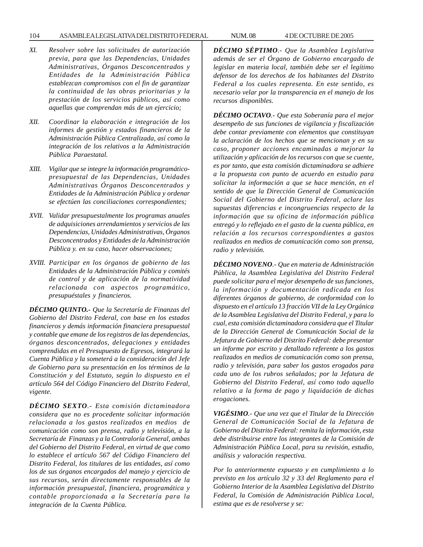### 104 ASAMBLEA LEGISLATIVA DEL DISTRITO FEDERAL NUM. 08 4 DE OCTUBRE DE 2005

- *XI. Resolver sobre las solicitudes de autorización previa, para que las Dependencias, Unidades Administrativas, Órganos Desconcentrados y Entidades de la Administración Pública establezcan compromisos con el fin de garantizar la continuidad de las obras prioritarias y la prestación de los servicios públicos, así como aquellas que comprendan más de un ejercicio;*
- *XII. Coordinar la elaboración e integración de los informes de gestión y estados financieros de la Administración Pública Centralizada, así como la integración de los relativos a la Administración Pública Paraestatal.*
- *XIII. Vigilar que se integre la información programáticopresupuestal de las Dependencias, Unidades Administrativas Órganos Desconcentrados y Entidades de la Administración Pública y ordenar se efectúen las conciliaciones correspondientes;*
- *XVII. Validar presupuestalmente los programas anuales de adquisiciones arrendamientos y servicios de las Dependencias, Unidades Administrativas, Órganos Desconcentrados y Entidades de la Administración Pública y. en su caso, hacer observaciones;*
- *XVIII. Participar en los órganos de gobierno de las Entidades de la Administración Pública y comités de control y de aplicación de la normatividad relacionada con aspectos programático, presupuéstales y financieros.*

*DÉCIMO QUINTO.- Que la Secretaría de Finanzas del Gobierno del Distrito Federal, con base en los estados financieros y demás información financiera presupuestal y contable que emane de los registros de las dependencias, órganos desconcentrados, delegaciones y entidades comprendidas en el Presupuesto de Egresos, integrará la Cuenta Pública y la someterá a la consideración del Jefe de Gobierno para su presentación en los términos de la Constitución y del Estatuto, según lo dispuesto en el artículo 564 del Código Financiero del Distrito Federal, vigente.*

*DÉCIMO SEXTO.- Esta comisión dictaminadora considera que no es procedente solicitar información relacionada a los gastos realizados en medios de comunicación como son prensa, radio y televisión, a la Secretaría de Finanzas y a la Contraloría General, ambas del Gobierno del Distrito Federal, en virtud de que como lo establece el artículo 567 del Código Financiero del Distrito Federal, los titulares de las entidades, así como los de sus órganos encargados del manejo y ejercicio de sus recursos, serán directamente responsables de la información presupuestal, financiera, programática y contable proporcionada a la Secretaría para la integración de la Cuenta Pública.*

*DÉCIMO SÉPTIMO.- Que la Asamblea Legislativa además de ser el Órgano de Gobierno encargado de legislar en materia local, también debe ser el legítimo defensor de los derechos de los habitantes del Distrito Federal a los cuales representa. En este sentido, es necesario velar por la transparencia en el manejo de los recursos disponibles.*

*DÉCIMO OCTAVO.- Que esta Soberanía para el mejor desempeño de sus funciones de vigilancia y fiscalización debe contar previamente con elementos que constituyan la aclaración de los hechos que se mencionan y en su caso, proponer acciones encaminadas a mejorar la utilización y aplicación de los recursos con que se cuente, es por tanto, que esta comisión dictaminadora se adhiere a la propuesta con punto de acuerdo en estudio para solicitar la información a que se hace mención, en el sentido de que la Dirección General de Comunicación Social del Gobierno del Distrito Federal, aclare las supuestas diferencias e incongruencias respecto de la información que su oficina de información pública entregó y lo reflejado en el gasto de la cuenta pública, en relación a los recursos correspondientes a gastos realizados en medios de comunicación como son prensa, radio y televisión.*

*DÉCIMO NOVENO.- Que en materia de Administración Pública, la Asamblea Legislativa del Distrito Federal puede solicitar para el mejor desempeño de sus funciones, la información y documentación radicada en los diferentes órganos de gobierno, de conformidad con lo dispuesto en el artículo 13 fracción VII de la Ley Orgánica de la Asamblea Legislativa del Distrito Federal, y para lo cual, esta comisión dictaminadora considera que el Titular de la Dirección General de Comunicación Social de la Jefatura de Gobierno del Distrito Federal: debe presentar un informe por escrito y detallado referente a los gastos realizados en medios de comunicación como son prensa, radio y televisión, para saber los gastos erogados para cada uno de los rubros señalados; por la Jefatura de Gobierno del Distrito Federal, así como todo aquello relativo a la forma de pago y liquidación de dichas erogaciones.*

*VIGÉSIMO.- Que una vez que el Titular de la Dirección General de Comunicación Social de la Jefatura de Gobierno del Distrito Federal: remita la información, esta debe distribuirse entre los integrantes de la Comisión de Administración Pública Local, para su revisión, estudio, análisis y valoración respectiva.*

*Por lo anteriormente expuesto y en cumplimiento a lo previsto en los artículo 32 y 33 del Reglamento para el Gobierno Interior de la Asamblea Legislativa del Distrito Federal, la Comisión de Administración Pública Local, estima que es de resolverse y se:*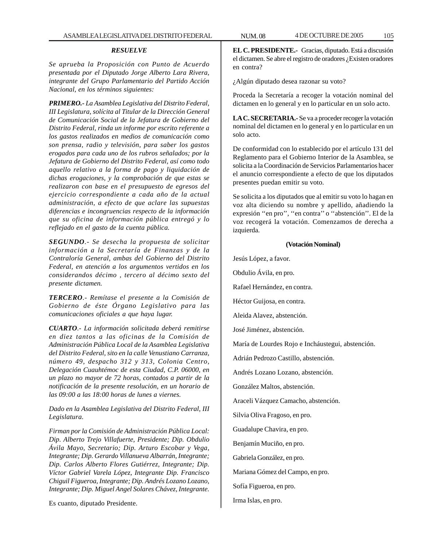#### *RESUELVE*

*Se aprueba la Proposición con Punto de Acuerdo presentada por el Diputado Jorge Alberto Lara Rivera, integrante del Grupo Parlamentario del Partido Acción Nacional, en los términos siguientes:*

*PRIMERO.- La Asamblea Legislativa del Distrito Federal, III Legislatura, solícita al Titular de la Dirección General de Comunicación Social de la Jefatura de Gobierno del Distrito Federal, rinda un informe por escrito referente a los gastos realizados en medios de comunicación como son prensa, radio y televisión, para saber los gastos erogados para cada uno de los rubros señalados; por la Jefatura de Gobierno del Distrito Federal, así como todo aquello relativo a la forma de pago y liquidación de dichas erogaciones, y la comprobación de que estas se realizaron con base en el presupuesto de egresos del ejercicio correspondiente a cada año de la actual administración, a efecto de que aclare las supuestas diferencias e incongruencias respecto de la información que su oficina de información pública entregó y lo reflejado en el gasto de la cuenta pública.*

*SEGUNDO.- Se desecha la propuesta de solicitar información a la Secretaría de Finanzas y de la Contraloría General, ambas del Gobierno del Distrito Federal, en atención a los argumentos vertidos en los considerandos décimo , tercero al décimo sexto del presente dictamen.*

*TERCERO.- Remítase el presente a la Comisión de Gobierno de éste Órgano Legislativo para las comunicaciones oficiales a que haya lugar.*

*CUARTO.- La información solicitada deberá remitirse en diez tantos a las oficinas de la Comisión de Administración Pública Local de la Asamblea Legislativa del Distrito Federal, sito en la calle Venustiano Carranza, número 49, despacho 312 y 313, Colonia Centro, Delegación Cuauhtémoc de esta Ciudad, C.P. 06000, en un plazo no mayor de 72 horas, contados a partir de la notificación de la presente resolución, en un horario de las 09:00 a las 18:00 horas de lunes a viernes.*

*Dado en la Asamblea Legislativa del Distrito Federal, III Legislatura.*

*Firman por la Comisión de Administración Pública Local: Dip. Alberto Trejo Villafuerte, Presidente; Dip. Obdulio Ávila Mayo, Secretario; Dip. Arturo Escobar y Vega, Integrante; Dip. Gerardo Villanueva Albarrán, Integrante; Dip. Carlos Alberto Flores Gutiérrez, Integrante; Dip. Víctor Gabriel Varela López, Integrante Dip. Francisco Chiguil Figueroa, Integrante; Dip. Andrés Lozano Lozano, Integrante; Dip. Miguel Angel Solares Chávez, Integrante.*

Es cuanto, diputado Presidente.

**EL C. PRESIDENTE.-** Gracias, diputado. Está a discusión el dictamen. Se abre el registro de oradores ¿Existen oradores en contra?

¿Algún diputado desea razonar su voto?

Proceda la Secretaría a recoger la votación nominal del dictamen en lo general y en lo particular en un solo acto.

**LA C. SECRETARIA.-** Se va a proceder recoger la votación nominal del dictamen en lo general y en lo particular en un solo acto.

De conformidad con lo establecido por el artículo 131 del Reglamento para el Gobierno Interior de la Asamblea, se solicita a la Coordinación de Servicios Parlamentarios hacer el anuncio correspondiente a efecto de que los diputados presentes puedan emitir su voto.

Se solicita a los diputados que al emitir su voto lo hagan en voz alta diciendo su nombre y apellido, añadiendo la expresión ''en pro'', ''en contra'' o ''abstención''. El de la voz recogerá la votación. Comenzamos de derecha a izquierda.

#### **(Votación Nominal)**

Jesús López, a favor. Obdulio Ávila, en pro. Rafael Hernández, en contra. Héctor Guijosa, en contra. Aleida Alavez, abstención. José Jiménez, abstención. María de Lourdes Rojo e Incháustegui, abstención. Adrián Pedrozo Castillo, abstención.

Andrés Lozano Lozano, abstención.

González Maltos, abstención.

Araceli Vázquez Camacho, abstención.

Silvia Oliva Fragoso, en pro.

Guadalupe Chavira, en pro.

Benjamín Muciño, en pro.

Gabriela González, en pro.

Mariana Gómez del Campo, en pro.

Sofía Figueroa, en pro.

Irma Islas, en pro.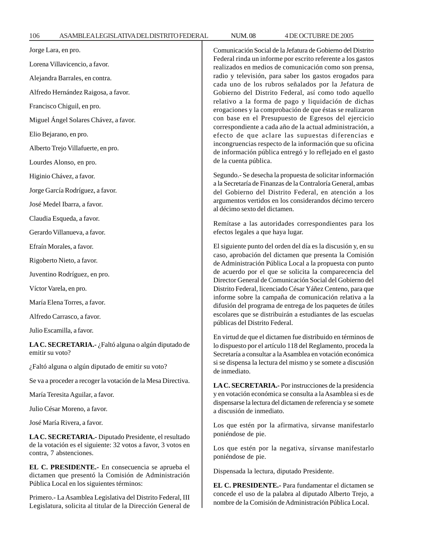| Jorge Lara, en pro.                                                                                                         | Comunicación Social de la Jefatura de Gobierno del Distrito<br>Federal rinda un informe por escrito referente a los gastos<br>realizados en medios de comunicación como son prensa,<br>radio y televisión, para saber los gastos erogados para<br>cada uno de los rubros señalados por la Jefatura de<br>Gobierno del Distrito Federal, así como todo aquello |
|-----------------------------------------------------------------------------------------------------------------------------|---------------------------------------------------------------------------------------------------------------------------------------------------------------------------------------------------------------------------------------------------------------------------------------------------------------------------------------------------------------|
| Lorena Villavicencio, a favor.                                                                                              |                                                                                                                                                                                                                                                                                                                                                               |
| Alejandra Barrales, en contra.                                                                                              |                                                                                                                                                                                                                                                                                                                                                               |
| Alfredo Hernández Raigosa, a favor.                                                                                         |                                                                                                                                                                                                                                                                                                                                                               |
| Francisco Chiguil, en pro.                                                                                                  | relativo a la forma de pago y liquidación de dichas<br>erogaciones y la comprobación de que éstas se realizaron                                                                                                                                                                                                                                               |
| Miguel Ángel Solares Chávez, a favor.                                                                                       | con base en el Presupuesto de Egresos del ejercicio                                                                                                                                                                                                                                                                                                           |
| Elio Bejarano, en pro.                                                                                                      | correspondiente a cada año de la actual administración, a<br>efecto de que aclare las supuestas diferencias e<br>incongruencias respecto de la información que su oficina<br>de información pública entregó y lo reflejado en el gasto                                                                                                                        |
| Alberto Trejo Villafuerte, en pro.                                                                                          |                                                                                                                                                                                                                                                                                                                                                               |
| Lourdes Alonso, en pro.                                                                                                     | de la cuenta pública.                                                                                                                                                                                                                                                                                                                                         |
| Higinio Chávez, a favor.                                                                                                    | Segundo.- Se desecha la propuesta de solicitar información                                                                                                                                                                                                                                                                                                    |
| Jorge García Rodríguez, a favor.                                                                                            | a la Secretaría de Finanzas de la Contraloría General, ambas<br>del Gobierno del Distrito Federal, en atención a los<br>argumentos vertidos en los considerandos décimo tercero<br>al décimo sexto del dictamen.                                                                                                                                              |
| José Medel Ibarra, a favor.                                                                                                 |                                                                                                                                                                                                                                                                                                                                                               |
| Claudia Esqueda, a favor.                                                                                                   | Remítase a las autoridades correspondientes para los                                                                                                                                                                                                                                                                                                          |
| Gerardo Villanueva, a favor.                                                                                                | efectos legales a que haya lugar.                                                                                                                                                                                                                                                                                                                             |
| Efraín Morales, a favor.                                                                                                    | El siguiente punto del orden del día es la discusión y, en su                                                                                                                                                                                                                                                                                                 |
| Rigoberto Nieto, a favor.                                                                                                   | caso, aprobación del dictamen que presenta la Comisión<br>de Administración Pública Local a la propuesta con punto                                                                                                                                                                                                                                            |
| Juventino Rodríguez, en pro.                                                                                                | de acuerdo por el que se solicita la comparecencia del<br>Director General de Comunicación Social del Gobierno del                                                                                                                                                                                                                                            |
| Víctor Varela, en pro.                                                                                                      | Distrito Federal, licenciado César Yáñez Centeno, para que<br>informe sobre la campaña de comunicación relativa a la<br>difusión del programa de entrega de los paquetes de útiles<br>escolares que se distribuirán a estudiantes de las escuelas<br>públicas del Distrito Federal.                                                                           |
| María Elena Torres, a favor.                                                                                                |                                                                                                                                                                                                                                                                                                                                                               |
| Alfredo Carrasco, a favor.                                                                                                  |                                                                                                                                                                                                                                                                                                                                                               |
| Julio Escamilla, a favor.                                                                                                   |                                                                                                                                                                                                                                                                                                                                                               |
| LA C. SECRETARIA.- ¿Faltó alguna o algún diputado de<br>emitir su voto?                                                     | En virtud de que el dictamen fue distribuido en términos de<br>lo dispuesto por el artículo 118 del Reglamento, proceda la<br>Secretaría a consultar a la Asamblea en votación económica<br>si se dispensa la lectura del mismo y se somete a discusión<br>de inmediato.                                                                                      |
| ¿Faltó alguna o algún diputado de emitir su voto?                                                                           |                                                                                                                                                                                                                                                                                                                                                               |
| Se va a proceder a recoger la votación de la Mesa Directiva.                                                                | LA C. SECRETARIA.- Por instrucciones de la presidencia                                                                                                                                                                                                                                                                                                        |
| María Teresita Aguilar, a favor.                                                                                            | y en votación económica se consulta a la Asamblea si es de<br>dispensarse la lectura del dictamen de referencia y se somete<br>a discusión de inmediato.                                                                                                                                                                                                      |
| Julio César Moreno, a favor.                                                                                                |                                                                                                                                                                                                                                                                                                                                                               |
| José María Rivera, a favor.                                                                                                 | Los que estén por la afirmativa, sírvanse manifestarlo<br>poniéndose de pie.<br>Los que estén por la negativa, sírvanse manifestarlo<br>poniéndose de pie.                                                                                                                                                                                                    |
| LA C. SECRETARIA.- Diputado Presidente, el resultado<br>de la votación es el siguiente: 32 votos a favor, 3 votos en        |                                                                                                                                                                                                                                                                                                                                                               |
| contra, 7 abstenciones.                                                                                                     |                                                                                                                                                                                                                                                                                                                                                               |
| EL C. PRESIDENTE.- En consecuencia se aprueba el<br>dictamen que presentó la Comisión de Administración                     | Dispensada la lectura, diputado Presidente.                                                                                                                                                                                                                                                                                                                   |
| Pública Local en los siguientes términos:                                                                                   | EL C. PRESIDENTE.- Para fundamentar el dictamen se                                                                                                                                                                                                                                                                                                            |
| Primero. - La Asamblea Legislativa del Distrito Federal, III<br>Legislatura, solicita al titular de la Dirección General de | concede el uso de la palabra al diputado Alberto Trejo, a<br>nombre de la Comisión de Administración Pública Local.                                                                                                                                                                                                                                           |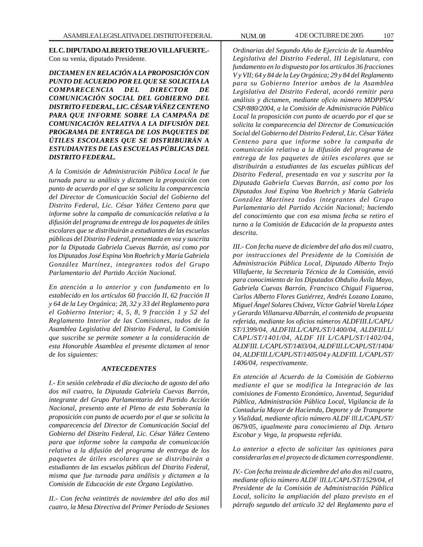**EL C. DIPUTADO ALBERTO TREJO VILLAFUERTE.-** Con su venia, diputado Presidente.

*DICTAMEN EN RELACIÓN A LA PROPOSICIÓN CON PUNTO DE ACUERDO POR EL QUE SE SOLICITA LA COMPARECENCIA DEL DIRECTOR DE COMUNICACIÓN SOCIAL DEL GOBIERNO DEL DISTRITO FEDERAL, LIC. CÉSAR YÁÑEZ CENTENO PARA QUE INFORME SOBRE LA CAMPAÑA DE COMUNICACIÓN RELATIVA A LA DIFUSIÓN DEL PROGRAMA DE ENTREGA DE LOS PAQUETES DE ÚTILES ESCOLARES QUE SE DISTRIBUIRÁN A ESTUDIANTES DE LAS ESCUELAS PÚBLICAS DEL DISTRITO FEDERAL.*

*A la Comisión de Administración Pública Local le fue turnada para su análisis y dictamen la proposición con punto de acuerdo por el que se solicita la comparecencia del Director de Comunicación Social del Gobierno del Distrito Federal, Lic. César Yáñez Centeno para que informe sobre la campaña de comunicación relativa a la difusión del programa de entrega de los paquetes de útiles escolares que se distribuirán a estudiantes de las escuelas públicas del Distrito Federal, presentada en voz y suscrita por la Diputada Gabriela Cuevas Barrón, así como por los Diputados José Espina Von Roehrich y María Gabriela González Martínez, integrantes todos del Grupo Parlamentario del Partido Acción Nacional.*

*En atención a lo anterior y con fundamento en lo establecido en los artículos 60 fracción II, 62 fracción II y 64 de la Ley Orgánica; 28, 32 y 33 del Reglamento para el Gobierno Interior; 4, 5, 8, 9 fracción 1 y 52 del Reglamento Interior de las Comisiones, todos de la Asamblea Legislativa del Distrito Federal, la Comisión que suscribe se permite someter a la consideración de esta Honorable Asamblea el presente dictamen al tenor de los siguientes:*

#### *ANTECEDENTES*

*I.- En sesión celebrada el día dieciocho de agosto del año dos mil cuatro, la Diputada Gabriela Cuevas Barrón, integrante del Grupo Parlamentario del Partido Acción Nacional, presento ante el Pleno de esta Soberanía la proposición con punto de acuerdo por el que se solicita la comparecencia del Director de Comunicación Social del Gobierno del Distrito Federal, Lic. César Yáñez Centeno para que informe sobre la campaña de comunicación relativa a la difusión del programa de entrega de los paquetes de útiles escolares que se distribuirán a estudiantes de las escuelas públicas del Distrito Federal, misma que fue turnada para análisis y dictamen a la Comisión de Educación de este Órgano Legislativo.*

*II.- Con fecha veintitrés de noviembre del año dos mil cuatro, la Mesa Directiva del Primer Período de Sesiones*

*Ordinarias del Segundo Año de Ejercicio de la Asamblea Legislativa del Distrito Federal, III Legislatura, con fundamento en lo dispuesto por los artículos 36 fracciones V y VII; 64 y 84 de la Ley Orgánica; 29 y 84 del Reglamento para su Gobierno Interior ambos de la Asamblea Legislativa del Distrito Federal, acordó remitir para análisis y dictamen, mediante oficio número MDPPSA/ CSP/880/2004, a la Comisión de Administración Pública Local la proposición con punto de acuerdo por el que se solicita la comparecencia del Director de Comunicación Social del Gobierno del Distrito Federal, Lic. César Yáñez Centeno para que informe sobre la campaña de comunicación relativa a la difusión del programa de entrega de los paquetes de útiles escolares que se distribuirán a estudiantes de las escuelas públicas del Distrito Federal, presentada en voz y suscrita por la Diputada Gabriela Cuevas Barrón, así como por los Diputados José Espina Von Roehrich y María Gabriela González Martínez todos integrantes del Grupo Parlamentario del Partido Acción Nacional; haciendo del conocimiento que con esa misma fecha se retiro el turno a la Comisión de Educación de la propuesta antes descrita.*

*III.- Con fecha nueve de diciembre del año dos mil cuatro, por instrucciones del Presidente de la Comisión de Administración Pública Local, Diputado Alberto Trejo Villafuerte, la Secretaría Técnica de la Comisión, envió para conocimiento de los Diputados Obdulio Ávila Mayo, Gabriela Cuevas Barrón, Francisco Chiguil Figueroa, Carlos Alberto Flores Gutiérrez, Andrés Lozano Lozano, Miguel Ángel Solares Chávez, Víctor Gabriel Varela López y Gerardo Villanueva Albarrán, el contenido de propuesta referida, mediante los oficios números ALDFIII.L/CAPL/ ST/1399/04, ALDFIII.L/CAPL/ST/1400/04, ALDFIII.L/ CAPL/ST/1401/04, ALDF III L/CAPL/ST/1402/04, ALDFIII. L/CAPL/ST/1403/04, ALDFIII.L/CAPL/ST/1404/ 04, ALDFIII.L/CAPL/ST/1405/04 y ALDFIII. L/CAPL/ST/ 1406/04, respectivamente.*

*En atención al Acuerdo de la Comisión de Gobierno mediante el que se modifica la Integración de las comisiones de Fomento Económico, Juventud, Seguridad Pública, Administración Pública Local, Vigilancia de la Contaduría Mayor de Hacienda, Deporte y de Transporte y Vialidad, mediante oficio número ALDF lll.L/CAPL/ST/ 0679/05, igualmente para conocimiento al Dip. Arturo Escobar y Vega, la propuesta referida.*

*Lo anterior a efecto de solicitar las opiniones para considerarlas en el proyecto de dictamen correspondiente.*

*IV.- Con fecha treinta de diciembre del año dos mil cuatro, mediante oficio número ALDF lII.L/CAPL/ST/1529/04, el Presidente de la Comisión de Administración Pública Local, solicito la ampliación del plazo previsto en el párrafo segundo del artículo 32 del Reglamento para el*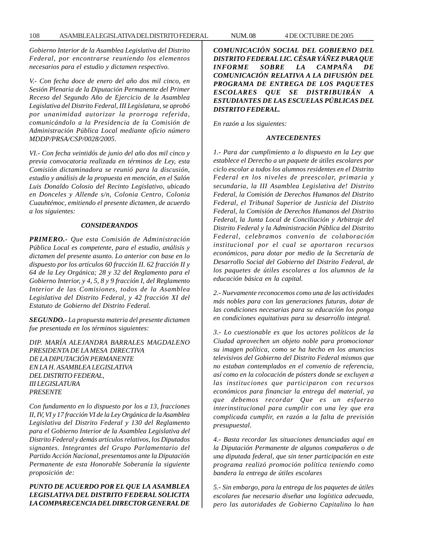*Gobierno Interior de la Asamblea Legislativa del Distrito Federal, por encontrarse reuniendo los elementos necesarios para el estudio y dictamen respectivo.*

*V.- Con fecha doce de enero del año dos mil cinco, en Sesión Plenaria de la Diputación Permanente del Primer Receso del Segundo Año de Ejercicio de la Asamblea Legislativa del Distrito Federal, III Legislatura, se aprobó por unanimidad autorizar la prorroga referida, comunicándolo a la Presidencia de la Comisión de Administración Pública Local mediante oficio número MDDP/PRSA/CSP/0028/2005*.

*VI.- Con fecha veintidós de junio del año dos mil cinco y previa convocatoria realizada en términos de Ley, esta Comisión dictaminadora se reunió para la discusión, estudio y análisis de la propuesta en mención, en el Salón Luis Donaldo Colosio del Recinto Legislativo, ubicado en Donceles y Allende s/n, Colonia Centro, Colonia Cuauhtémoc, emitiendo el presente dictamen, de acuerdo a los siguientes:*

#### *CONSIDERANDOS*

*PRIMERO.- Que esta Comisión de Administración Pública Local es competente, para el estudio, análisis y dictamen del presente asunto. Lo anterior con base en lo dispuesto por los artículos 60 fracción II. 62 fracción II y 64 de la Ley Orgánica; 28 y 32 del Reglamento para el Gobierno Interior, y 4, 5, 8 y 9 fracción I, del Reglamento Interior de las Comisiones, todos de la Asamblea Legislativa del Distrito Federal, y 42 fracción XI del Estatuto de Gobierno del Distrito Federal.*

*SEGUNDO.- La propuesta materia del presente dictamen fue presentada en los términos siguientes:*

*DIP. MARÍA ALEJANDRA BARRALES MAGDALENO PRESIDENTA DE LA MESA DIRECTIVA DE LA DIPUTACIÓN PERMANENTE EN LA H. ASAMBLEA LEGISLATIVA DEL DISTRITO FEDERAL, III LEGISLATURA PRESENTE*

*Con fundamento en lo dispuesto por los a 13, fracciones II, IV, VI y 17 fracción VI de la Ley Orgánica de la Asamblea Legislativa del Distrito Federal y 130 del Reglamento para el Gobierno Interior de la Asamblea Legislativa del Distrito Federal y demás artículos relativos, los Diputados signantes. Integrantes del Grupo Parlamentario del Partido Acción Nacional, presentamos ante la Diputación Permanente de esta Honorable Soberanía la siguiente proposición de:*

# *PUNTO DE ACUERDO POR EL QUE LA ASAMBLEA LEGISLATIVA DEL DISTRITO FEDERAL SOLICITA LA COMPARECENCIA DEL DIRECTOR GENERAL DE*

*COMUNICACIÓN SOCIAL DEL GOBIERNO DEL DISTRITO FEDERAL LIC. CÉSAR YÁÑEZ PARA QUE INFORME SOBRE LA CAMPAÑA DE COMUNICACIÓN RELATIVA A LA DIFUSIÓN DEL PROGRAMA DE ENTREGA DE LOS PAQUETES ESCOLARES QUE SE DISTRIBUIRÁN A ESTUDIANTES DE LAS ESCUELAS PÚBLICAS DEL DISTRITO FEDERAL.*

*En razón a los siguientes:*

#### *ANTECEDENTES*

*1.- Para dar cumplimiento a lo dispuesto en la Ley que establece el Derecho a un paquete de útiles escolares por ciclo escolar a todos los alumnos residentes en el Distrito Federal en los niveles de preescolar, primaria y secundaria, la III Asamblea Legislativa de! Distrito Federal, la Comisión de Derechos Humanos del Distrito Federal, el Tribunal Superior de Justicia del Distrito Federal, la Comisión de Derechos Humanos del Distrito Federal, la Junta Local de Conciliación y Arbitraje del Distrito Federal y la Administración Pública del Distrito Federal, celebramos convenio de colaboración institucional por el cual se aportaron recursos económicos, para dotar por medio de la Secretaría de Desarrollo Social del Gobierno del Distrito Federal, de los paquetes de útiles escolares a los alumnos de la educación básica en la capital.*

*2.- Nuevamente reconocemos como una de las actividades más nobles para con las generaciones futuras, dotar de las condiciones necesarias para su educación los ponga en condiciones equitativas para su desarrollo integral.*

*3.- Lo cuestionable es que los actores políticos de la Ciudad aprovechen un objeto noble para promocionar su imagen política, como se ha hecho en los anuncios televisivos del Gobierno del Distrito Federal mismos que no estaban contemplados en el convenio de referencia, así como en la colocación de pósters donde se excluyen a las instituciones que participaron con recursos económicos para financiar la entrega del material, ya que debemos recordar Que es un esfuerzo interinstitucional para cumplir con una ley que era complicada cumplir, en razón a la falta de previsión presupuestal.*

*4.- Basta recordar las situaciones denunciadas aquí en la Diputación Permanente de algunos compañeros o de una diputada federal, que sin tener participación en este programa realizó promoción política teniendo como bandera la entrega de útiles escolares*

*5.- Sin embargo, para la entrega de los paquetes de útiles escolares fue necesario diseñar una logística adecuada, pero las autoridades de Gobierno Capitalino lo han*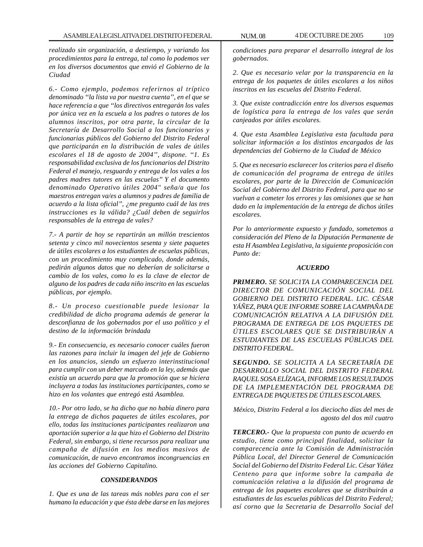*realizado sin organización, a destiempo, y variando los procedimientos para la entrega, tal como lo podemos ver en los diversos documentos que envió el Gobierno de la Ciudad*

*6.- Como ejemplo, podemos referirnos al tríptico denominado ''la lista va por nuestra cuenta'', en el que se hace referencia a que ''los directivos entregarán los vales por única vez en la escuela a los padres o tutores de los alumnos inscritos, por otra parte, la circular de la Secretaría de Desarrollo Social a los funcionarios y funcionarias públicos del Gobierno del Distrito Federal que participarán en la distribución de vales de útiles escolares el 18 de agosto de 2004'', dispone. ''1. Es responsabilidad exclusiva de los funcionarios del Distrito Federal el manejo, resguardo y entrega de los vales a los padres madres tutores en las escuelas'' Y el documento denominado Operativo útiles 2004" seña/a que los maestros entregan va/es a alumnos y padres de familia de acuerdo a la lista oficial'', ¿me pregunto cuál de las tres instrucciones es la válida? ¿Cuál deben de seguirlos responsables de la entrega de vales?*

*7.- A partir de hoy se repartirán un millón trescientos setenta y cinco mil novecientos sesenta y siete paquetes de útiles escolares a los estudiantes de escuelas públicas, con un procedimiento muy complicado, donde además, pedirán algunos datos que no deberían de solicitarse a cambio de los vales, como lo es la clave de elector de alguno de los padres de cada niño inscrito en las escuelas públicas, por ejemplo.*

*8.- Un proceso cuestionable puede lesionar la credibilidad de dicho programa además de generar la desconfianza de los gobernados por el uso político y el destino de la información brindada*

*9.- En consecuencia, es necesario conocer cuáles fueron las razones para incluir la imagen del jefe de Gobierno en los anuncios, siendo un esfuerzo interinstitucional para cumplir con un deber marcado en la ley, además que existía un acuerdo para que la promoción que se hiciera incluyera a todas las instituciones participantes, como se hizo en los volantes que entregó está Asamblea.*

*10.- Por otro lado, se ha dicho que no había dinero para la entrega de dichos paquetes de útiles escolares, por ello, todas las instituciones participantes realizaron una aportación superior a la que hizo el Gobierno del Distrito Federal, sin embargo, si tiene recursos para realizar una campaña de difusión en los medios masivos de comunicación, de nuevo encontramos incongruencias en las acciones del Gobierno Capitalino.*

# *CONSIDERANDOS*

*1. Que es una de las tareas más nobles para con el ser humano la educación y que ésta debe darse en las mejores* *condiciones para preparar el desarrollo integral de los gobernados.*

*2. Que es necesario velar por la transparencia en la entrega de los paquetes de útiles escolares a los niños inscritos en las escuelas del Distrito Federal.*

*3. Que existe contradicción entre los diversos esquemas de logística para la entrega de los vales que serán canjeados por útiles escolares.*

*4. Que esta Asamblea Legislativa esta facultada para solicitar información a los distintos encargados de las dependencias del Gobierno de la Ciudad de México*

*5. Que es necesario esclarecer los criterios para el diseño de comunicación del programa de entrega de útiles escolares, por parte de la Dirección de Comunicación Social del Gobierno del Distrito Federal, para que no se vuelvan a cometer los errores y las omisiones que se han dado en la implementación de la entrega de dichos útiles escolares.*

*Por lo anteriormente expuesto y fundado, sometemos a consideración del Pleno de la Diputación Permanente de esta H Asamblea Legislativa, la siguiente proposición con Punto de:*

#### *ACUERDO*

*PRIMERO***.** *SE SOLIC1TA LA COMPARECENCIA DEL DIRECTOR DE COMUNICACIÓN SOCIAL DEL GOBIERNO DEL DISTRITO FEDERAL. LIC. CÉSAR YÁÑEZ, PARA QUE INFORME SOBRE LA CAMPAÑA DE COMUNICACIÓN RELATIVA A LA DIFUSIÓN DEL PROGRAMA DE ENTREGA DE LOS PAQUETES DE ÚTILES ESCOLARES QUE SE DISTRIBUIRÁN A ESTUDIANTES DE LAS ESCUELAS PÚBLICAS DEL DISTRITO FEDERAL.*

*SEGUNDO. SE SOLICITA A LA SECRETARÍA DE DESARROLLO SOCIAL DEL DISTRITO FEDERAL RAQUEL SOSA ELÍZAGA, INFORME LOS RESULTADOS DE LA IMPLEMENTACIÓN DEL PROGRAMA DE ENTREGA DE PAQUETES DE ÚTILES ESCOLARES.*

*México, Distrito Federal a los dieciocho días del mes de agosto del dos mil cuatro*

*TERCERO.- Que la propuesta con punto de acuerdo en estudio, tiene como principal finalidad, solicitar la comparecencia ante la Comisión de Administración Pública Local, del Director General de Comunicación Social del Gobierno del Distrito Federal Lic. César Yáñez Centeno para que informe sobre la campaña de comunicación relativa a la difusión del programa de entrega de los paquetes escolares que se distribuirán a estudiantes de las escuelas públicas del Distrito Federal; así corno que la Secretaria de Desarrollo Social del*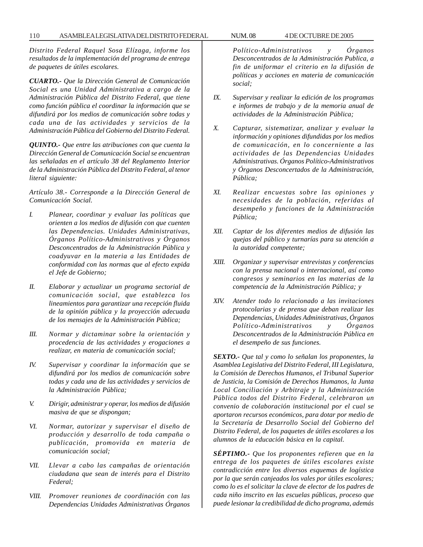*Distrito Federal Raquel Sosa Elízaga, informe los resultados de la implementación del programa de entrega de paquetes de útiles escolares.*

*CUARTO.- Que la Dirección General de Comunicación Social es una Unidad Administrativa a cargo de la Administración Pública del Distrito Federal, que tiene como función pública el coordinar la información que se difundirá por los medios de comunicación sobre todas y cada una de las actividades y servicios de la Administración Pública del Gobierno del Distrito Federal.*

*QUINTO.- Que entre las atribuciones con que cuenta la Dirección General de Comunicación Social se encuentran las señaladas en el artículo 38 del Reglamento Interior de la Administración Pública del Distrito Federal, al tenor literal siguiente:*

*Artículo 38.- Corresponde a la Dirección General de Comunicación Social.*

- *I. Planear, coordinar y evaluar las políticas que orienten a los medios de difusión con que cuenten las Dependencias. Unidades Administrativas, Órganos Político-Administrativos y Órganos Desconcentrados de la Administración Pública y coadyuvar en la materia a las Entidades de conformidad con las normas que al efecto expida el Jefe de Gobierno;*
- *II. Elaborar y actualizar un programa sectorial de comunicación social, que establezca los lineamientos para garantizar una recepción fluida de la opinión pública y la proyección adecuada de los mensajes de la Administración Pública;*
- *III. Normar y dictaminar sobre la orientación y procedencia de las actividades y erogaciones a realizar, en materia de comunicación social;*
- *IV. Supervisar y coordinar la información que se difundirá por los medios de comunicación sobre todas y cada una de las actividades y servicios de la Administración Pública;*
- *V. Dirigir, administrar y operar, los medios de difusión masiva de que se dispongan;*
- *VI. Normar, autorizar y supervisar el diseño de producción y desarrollo de toda campaña o publicación, promovida en materia de comunicación social;*
- *VII. Llevar a cabo las campañas de orientación ciudadana que sean de interés para el Distrito Federal;*
- *VIII. Promover reuniones de coordinación con las Dependencias Unidades Administrativas Órganos*

*Político-Administrativos y Órganos Desconcentrados de la Administración Publica, a fin de uniformar el criterio en la difusión de políticas y acciones en materia de comunicación social;*

- *IX. Supervisar y realizar la edición de los programas e informes de trabajo y de la memoria anual de actividades de la Administración Pública;*
- *X. Capturar, sistematizar, analizar y evaluar la información y opiniones difundidas por los medios de comunicación, en lo concerniente a las actividades de las Dependencias Unidades Administrativas. Órganos Político-Administrativos y Órganos Desconcertados de la Administración, Pública;*
- *XI. Realizar encuestas sobre las opiniones y necesidades de la población, referidas al desempeño y funciones de la Administración Pública;*
- *XII. Captar de los diferentes medios de difusión las quejas del público y turnarías para su atención a la autoridad competente;*
- *XIII. Organizar y supervisar entrevistas y conferencias con la prensa nacional o internacional, así como congresos y seminarios en las materias de la competencia de la Administración Pública; y*
- *XIV. Atender todo lo relacionado a las invitaciones protocolarias y de prensa que deban realizar las Dependencias, Unidades Administrativas, Órganos Político-Administrativos y Órganos Desconcentrados de la Administración Pública en el desempeño de sus funciones.*

*SEXTO.- Que tal y como lo señalan los proponentes, la Asamblea Legislativa del Distrito Federal, III Legislatura, la Comisión de Derechos Humanos, el Tribunal Superior de Justicia, la Comisión de Derechos Humanos, la Junta Local Conciliación y Arbitraje y la Administración Pública todos del Distrito Federal, celebraron un convenio de colaboración institucional por el cual se aportaron recursos económicos, para dotar por medio de la Secretaría de Desarrollo Social del Gobierno del Distrito Federal, de los paquetes de útiles escolares a los alumnos de la educación básica en la capital.*

*SÉPTIMO.- Que los proponentes refieren que en la entrega de los paquetes de útiles escolares existe contradicción entre los diversos esquemas de logística por la que serán canjeados los vales por útiles escolares; como lo es el solicitar la clave de elector de los padres de cada niño inscrito en las escuelas públicas, proceso que puede lesionar la credibilidad de dicho programa, además*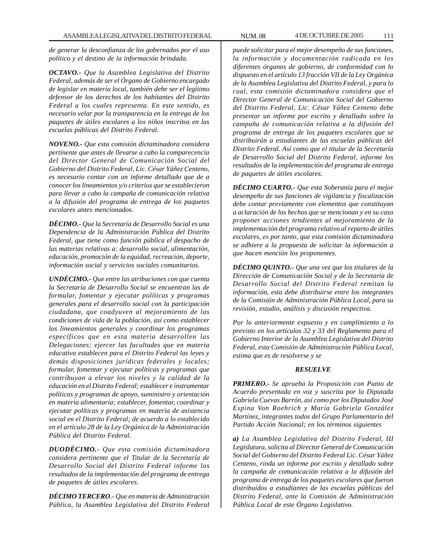*de generar la desconfianza de los gobernados por el uso político y el destino de la información brindada.*

*OCTAVO.- Que la Asamblea Legislativa del Distrito Federal, además de ser el Órgano de Gobierno encargado de legislar en materia local, también debe ser el legítimo defensor de los derechos de los habitantes del Distrito Federal a los cuales representa. En este sentido, es necesario velar por la transparencia en la entrega de los paquetes de útiles escolares a los niños inscritos en las escuelas públicas del Distrito Federal.*

*NOVENO.- Que esta comisión dictaminadora considera pertinente que antes de llevarse a cabo la comparecencia del Director General de Comunicación Social del Gobierno del Distrito Federal, Lic. César Yáñez Centeno, es necesario contar con un informe detallado que de a conocer los lineamientos y/o criterios que se establecieron para llevar a cabo la campaña de comunicación relativa a la difusión del programa de entrega de los paquetes escolares antes mencionados.*

*DÉCIMO.- Que la Secretaría de Desarrollo Social es una Dependencia de la Administración Pública del Distrito Federal, que tiene como función pública el despacho de las materias relativas a: desarrollo social, alimentación, educación, promoción de la equidad, recreación, deporte, información social y servicios sociales comunitarios.*

*UNDÉCIMO.- Que entre las atribuciones con que cuenta la Secretaría de Desarrollo Social se encuentran las de formular, fomentar y ejecutar políticas y programas generales para el desarrollo social con la participación ciudadana, que coadyuven al mejoramiento de las condiciones de vida de la población, así como establecer los lineamientos generales y coordinar los programas específicos que en esta materia desarrollen las Delegaciones; ejercer las facultades que en materia educativa establecen para el Distrito Federal las leyes y demás disposiciones jurídicas federales y locales; formular, fomentar y ejecutar políticas y programas que contribuyan a elevar los niveles y la calidad de la educación en el Distrito Federal; establecer e instrumentar políticas y programas de apoyo, suministro y orientación en materia alimentaría; establecer, fomentar, coordinar y ejecutar políticas y programas en materia de asistencia social en el Distrito Federal; de acuerdo a lo establecido en el artículo 28 de la Ley Orgánica de la Administración Pública del Distrito Federal.*

*DUODÉCIMO.- Que esta comisión dictaminadora considera pertinente que el Titular de la Secretaría de Desarrollo Social del Distrito Federal informe los resultados de la implementación del programa de entrega de paquetes de útiles escolares.*

*DÉCIMO TERCERO.- Que en materia de Administración Pública, la Asamblea Legislativa del Distrito Federal* *puede solicitar para el mejor desempeño de sus funciones, la información y documentación radicada en los diferentes órganos de gobierno, de conformidad con lo dispuesto en el artículo 13 fracción VII de la Ley Orgánica de la Asamblea Legislativa del Distrito Federal, y para lo cual, esta comisión dictaminadora considera que el Director General de Comunicación Social del Gobierno del Distrito Federal, Lic. César Yáñez Centeno debe presentar un informe por escrito y detallado sobre la campaña de comunicación relativa a la difusión del programa de entrega de los paquetes escolares que se distribuirán a estudiantes de las escuelas públicas del Distrito Federal. Así como que el titular de la Secretaría de Desarrollo Social del Distrito Federal, informe los resultados de la implementación del programa de entrega de paquetes de útiles escolares.*

*DÉCIMO CUARTO.- Que esta Soberanía para el mejor desempeño de sus funciones de vigilancia y fiscalización debe contar previamente con elementos que constituyan a aclaración de los hechos que se mencionan y en su caso proponer acciones tendientes al mejoramiento de la implementación del programa relativo al reparto de útiles escolares, es por tanto, que esta comisión dictaminadora se adhiere a la propuesta de solicitar la información a que hacen mención los proponentes.*

*DÉCIMO QUINTO.- Que una vez que los titulares de la Dirección de Comunicación Social y de la Secretaría de Desarrollo Social del Distrito Federal remitan la información, esta debe distribuirse entre los integrantes de la Comisión de Administración Pública Local, para su revisión, estudio, análisis y discusión respectiva.*

*Por lo anteriormente expuesto y en cumplimiento a lo previsto en los artículos 32 y 33 del Reglamento para el Gobierno Interior de la Asamblea Legislativa del Distrito Federal, esta Comisión de Administración Pública Local, estima que es de resolverse y se*

## *RESUELVE*

*PRIMERO***.-** *Se aprueba la Proposición con Punto de Acuerdo presentada en voz y suscrita por la Diputada Gabriela Cuevas Barrón, así como por los Diputados José Espina Von Roehrich y María Gabriela González Martínez, integrantes todos del Grupo Parlamentario del Partido Acción Nacional; en los términos siguientes*

*a) La Asamblea Legislativa del Distrito Federal, III Legislatura, solicita al Director General de Comunicación Social del Gobierno del Distrito Federal Lic. César Yáñez Centeno, rinda un informe por escrito y detallado sobre la campaña de comunicación relativa a la difusión del programa de entrega de los paquetes escolares que fueron distribuidos a estudiantes de las escuelas públicas del Distrito Federal, ante la Comisión de Administración Pública Local de este Órgano Legislativo.*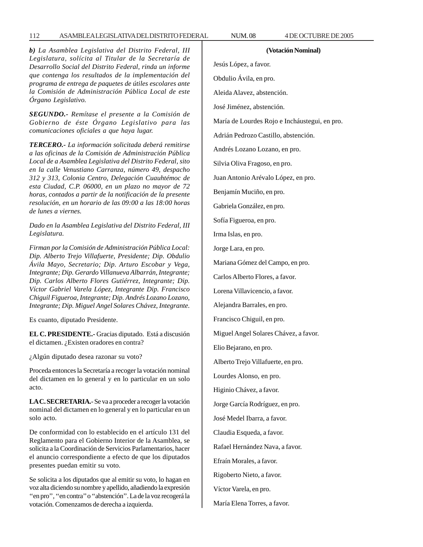# 112 ASAMBLEA LEGISLATIVA DEL DISTRITO FEDERAL NUM. 08 4 DE OCTUBRE DE 2005

*b) La Asamblea Legislativa del Distrito Federal, III Legislatura, solícita al Titular de la Secretaría de Desarrollo Social del Distrito Federal, rinda un informe que contenga los resultados de la implementación del programa de entrega de paquetes de útiles escolares ante la Comisión de Administración Pública Local de este Órgano Legislativo.*

*SEGUNDO.- Remítase el presente a la Comisión de Gobierno de éste Órgano Legislativo para las comunicaciones oficiales a que haya lugar.*

*TERCERO.- La información solicitada deberá remitirse a las oficinas de la Comisión de Administración Pública Local de a Asamblea Legislativa del Distrito Federal, sito en la calle Venustiano Carranza, número 49, despacho 312 y 313, Colonia Centro, Delegación Cuauhtémoc de esta Ciudad, C.P. 06000, en un plazo no mayor de 72 horas, contados a partir de la notificación de la presente resolución, en un horario de las 09:00 a las 18:00 horas de lunes a viernes.*

*Dado en la Asamblea Legislativa del Distrito Federal, III Legislatura.*

*Firman por la Comisión de Administración Pública Local: Dip. Alberto Trejo Villafuerte, Presidente; Dip. Obdulio Ávila Mayo, Secretario; Dip. Arturo Escobar y Vega, Integrante; Dip. Gerardo Villanueva Albarrán, Integrante; Dip. Carlos Alberto Flores Gutiérrez, Integrante; Dip. Víctor Gabriel Varela López, Integrante Dip. Francisco Chiguil Figueroa, Integrante; Dip. Andrés Lozano Lozano, Integrante; Dip. Miguel Angel Solares Chávez, Integrante.*

Es cuanto, diputado Presidente.

**EL C. PRESIDENTE.-** Gracias diputado. Está a discusión el dictamen. ¿Existen oradores en contra?

¿Algún diputado desea razonar su voto?

Proceda entonces la Secretaría a recoger la votación nominal del dictamen en lo general y en lo particular en un solo acto.

**LA C. SECRETARIA.**- Se va a proceder a recoger la votación nominal del dictamen en lo general y en lo particular en un solo acto.

De conformidad con lo establecido en el artículo 131 del Reglamento para el Gobierno Interior de la Asamblea, se solicita a la Coordinación de Servicios Parlamentarios, hacer el anuncio correspondiente a efecto de que los diputados presentes puedan emitir su voto.

Se solicita a los diputados que al emitir su voto, lo hagan en voz alta diciendo su nombre y apellido, añadiendo la expresión ''en pro'', ''en contra'' o ''abstención''. La de la voz recogerá la votación. Comenzamos de derecha a izquierda.

**(Votación Nominal)** Jesús López, a favor. Obdulio Ávila, en pro. Aleida Alavez, abstención. José Jiménez, abstención. María de Lourdes Rojo e Incháustegui, en pro. Adrián Pedrozo Castillo, abstención. Andrés Lozano Lozano, en pro. Silvia Oliva Fragoso, en pro.

Juan Antonio Arévalo López, en pro.

Benjamín Muciño, en pro.

Gabriela González, en pro.

Sofía Figueroa, en pro.

Irma Islas, en pro.

Jorge Lara, en pro.

Mariana Gómez del Campo, en pro.

Carlos Alberto Flores, a favor.

Lorena Villavicencio, a favor.

Alejandra Barrales, en pro.

Francisco Chiguil, en pro.

Miguel Angel Solares Chávez, a favor.

Elio Bejarano, en pro.

Alberto Trejo Villafuerte, en pro.

Lourdes Alonso, en pro.

Higinio Chávez, a favor.

Jorge García Rodríguez, en pro.

José Medel Ibarra, a favor.

Claudia Esqueda, a favor.

Rafael Hernández Nava, a favor.

Efraín Morales, a favor.

Rigoberto Nieto, a favor.

Víctor Varela, en pro.

María Elena Torres, a favor.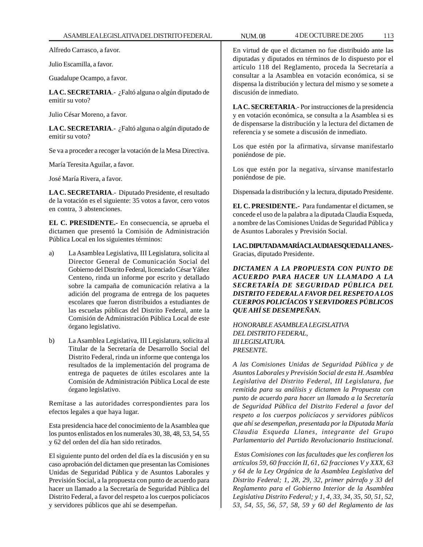Alfredo Carrasco, a favor.

Julio Escamilla, a favor.

Guadalupe Ocampo, a favor.

**LA C. SECRETARIA**.- ¿Faltó alguna o algún diputado de emitir su voto?

Julio César Moreno, a favor.

**LA C. SECRETARIA**.- ¿Faltó alguna o algún diputado de emitir su voto?

Se va a proceder a recoger la votación de la Mesa Directiva.

María Teresita Aguilar, a favor.

José María Rivera, a favor.

**LA C. SECRETARIA**.- Diputado Presidente, el resultado de la votación es el siguiente: 35 votos a favor, cero votos en contra, 3 abstenciones.

**EL C. PRESIDENTE.-** En consecuencia, se aprueba el dictamen que presentó la Comisión de Administración Pública Local en los siguientes términos:

- a) La Asamblea Legislativa, III Legislatura, solicita al Director General de Comunicación Social del Gobierno del Distrito Federal, licenciado César Yáñez Centeno, rinda un informe por escrito y detallado sobre la campaña de comunicación relativa a la adición del programa de entrega de los paquetes escolares que fueron distribuidos a estudiantes de las escuelas públicas del Distrito Federal, ante la Comisión de Administración Pública Local de este órgano legislativo.
- b) La Asamblea Legislativa, III Legislatura, solicita al Titular de la Secretaría de Desarrollo Social del Distrito Federal, rinda un informe que contenga los resultados de la implementación del programa de entrega de paquetes de útiles escolares ante la Comisión de Administración Pública Local de este órgano legislativo.

Remítase a las autoridades correspondientes para los efectos legales a que haya lugar.

Esta presidencia hace del conocimiento de la Asamblea que los puntos enlistados en los numerales 30, 38, 48, 53, 54, 55 y 62 del orden del día han sido retirados.

El siguiente punto del orden del día es la discusión y en su caso aprobación del dictamen que presentan las Comisiones Unidas de Seguridad Pública y de Asuntos Laborales y Previsión Social, a la propuesta con punto de acuerdo para hacer un llamado a la Secretaría de Seguridad Pública del Distrito Federal, a favor del respeto a los cuerpos policíacos y servidores públicos que ahí se desempeñan.

En virtud de que el dictamen no fue distribuido ante las diputadas y diputados en términos de lo dispuesto por el artículo 118 del Reglamento, proceda la Secretaría a consultar a la Asamblea en votación económica, si se dispensa la distribución y lectura del mismo y se somete a discusión de inmediato.

**LA C. SECRETARIA**.- Por instrucciones de la presidencia y en votación económica, se consulta a la Asamblea si es de dispensarse la distribución y la lectura del dictamen de referencia y se somete a discusión de inmediato.

Los que estén por la afirmativa, sírvanse manifestarlo poniéndose de pie.

Los que estén por la negativa, sírvanse manifestarlo poniéndose de pie.

Dispensada la distribución y la lectura, diputado Presidente.

**EL C. PRESIDENTE.-** Para fundamentar el dictamen, se concede el uso de la palabra a la diputada Claudia Esqueda, a nombre de las Comisiones Unidas de Seguridad Pública y de Asuntos Laborales y Previsión Social.

**LA C. DIPUTADA MARÍA CLAUDIA ESQUEDA LLANES.-** Gracias, diputado Presidente.

*DICTAMEN A LA PROPUESTA CON PUNTO DE ACUERDO PARA HACER UN LLAMADO A LA SECRETARÍA DE SEGURIDAD PÚBLICA DEL DISTRITO FEDERAL A FAVOR DEL RESPETO A LOS CUERPOS POLICÍACOS Y SERVIDORES PÚBLICOS QUE AHÍ SE DESEMPEÑAN.*

*HONORABLE ASAMBLEA LEGISLATIVA DEL DISTRITO FEDERAL, III LEGISLATURA. PRESENTE.*

*A las Comisiones Unidas de Seguridad Pública y de Asuntos Laborales y Previsión Social de esta H. Asamblea Legislativa del Distrito Federal, III Legislatura, fue remitida para su análisis y dictamen la Propuesta con punto de acuerdo para hacer un llamado a la Secretaría de Seguridad Pública del Distrito Federal a favor del respeto a los cuerpos policíacos y servidores públicos que ahí se desempeñan, presentada por la Diputada María Claudia Esqueda Llanes, integrante del Grupo Parlamentario del Partido Revolucionario Institucional.*

 *Estas Comisiones con las facultades que les confieren los artículos 59, 60 fracción II, 61, 62 fracciones V y XXX, 63 y 64 de la Ley Orgánica de la Asamblea Legislativa del Distrito Federal; 1, 28, 29, 32, primer párrafo y 33 del Reglamento para el Gobierno Interior de la Asamblea Legislativa Distrito Federal; y 1, 4, 33, 34, 35, 50, 51, 52, 53, 54, 55, 56, 57, 58, 59 y 60 del Reglamento de las*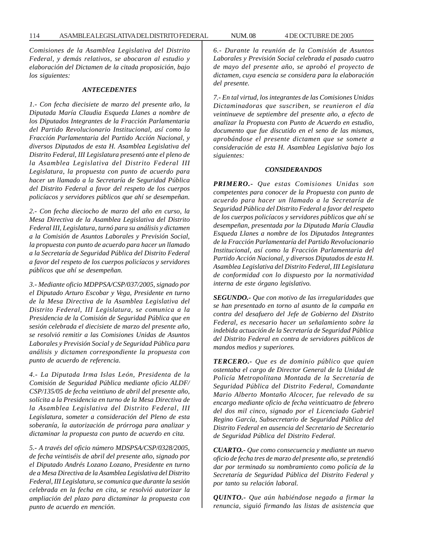*Comisiones de la Asamblea Legislativa del Distrito Federal, y demás relativos, se abocaron al estudio y elaboración del Dictamen de la citada proposición, bajo los siguientes:*

### *ANTECEDENTES*

*1.- Con fecha diecisiete de marzo del presente año, la Diputada María Claudia Esqueda Llanes a nombre de los Diputados Integrantes de la Fracción Parlamentaria del Partido Revolucionario Institucional, así como la Fracción Parlamentaria del Partido Acción Nacional, y diversos Diputados de esta H. Asamblea Legislativa del Distrito Federal, III Legislatura presentó ante el pleno de la Asamblea Legislativa del Distrito Federal III Legislatura, la propuesta con punto de acuerdo para hacer un llamado a la Secretaría de Seguridad Pública del Distrito Federal a favor del respeto de los cuerpos policíacos y servidores públicos que ahí se desempeñan.*

*2.- Con fecha dieciocho de marzo del año en curso, la Mesa Directiva de la Asamblea Legislativa del Distrito Federal III, Legislatura, turnó para su análisis y dictamen a la Comisión de Asuntos Laborales y Previsión Social, la propuesta con punto de acuerdo para hacer un llamado a la Secretaría de Seguridad Pública del Distrito Federal a favor del respeto de los cuerpos policíacos y servidores públicos que ahí se desempeñan.*

*3.- Mediante oficio MDPPSA/CSP/037/2005, signado por el Diputado Arturo Escobar y Vega, Presidente en turno de la Mesa Directiva de la Asamblea Legislativa del Distrito Federal, III Legislatura, se comunica a la Presidencia de la Comisión de Seguridad Pública que en sesión celebrada el diecisiete de marzo del presente año, se resolvió remitir a las Comisiones Unidas de Asuntos Laborales y Previsión Social y de Seguridad Pública para análisis y dictamen correspondiente la propuesta con punto de acuerdo de referencia*.

*4.- La Diputada Irma Islas León, Presidenta de la Comisión de Seguridad Pública mediante oficio ALDF/ CSP/135/05 de fecha veintiuno de abril del presente año, solícita a la Presidencia en turno de la Mesa Directiva de la Asamblea Legislativa del Distrito Federal, III Legislatura, someter a consideración del Pleno de esta soberanía, la autorización de prórroga para analizar y dictaminar la propuesta con punto de acuerdo en cita.*

*5.- A través del oficio número MDSPSA/CSP/0328/2005, de fecha veintiséis de abril del presente año, signado por el Diputado Andrés Lozano Lozano, Presidente en turno de a Mesa Directiva de la Asamblea Legislativa del Distrito Federal, III Legislatura, se comunica que durante la sesión celebrada en la fecha en cita, se resolvió autorizar la ampliación del plazo para dictaminar la propuesta con punto de acuerdo en mención.*

*6.- Durante la reunión de la Comisión de Asuntos Laborales y Previsión Social celebrada el pasado cuatro de mayo del presente año, se aprobó el proyecto de dictamen, cuya esencia se considera para la elaboración del presente.*

*7.- En tal virtud, los integrantes de las Comisiones Unidas Dictaminadoras que suscriben, se reunieron el día veintinueve de septiembre del presente año, a efecto de analizar la Propuesta con Punto de Acuerdo en estudio, documento que fue discutido en el seno de las mismas, aprobándose el presente dictamen que se somete a consideración de esta H. Asamblea Legislativa bajo los siguientes:*

#### *CONSIDERANDOS*

*PRIMERO.- Que estas Comisiones Unidas son competentes para conocer de la Propuesta con punto de acuerdo para hacer un llamado a la Secretaría de Seguridad Pública del Distrito Federal a favor del respeto de los cuerpos policíacos y servidores públicos que ahí se desempeñan, presentada por la Diputada María Claudia Esqueda Llanes a nombre de los Diputados Integrantes de la Fracción Parlamentaría del Partido Revolucionario Institucional, así como la Fracción Parlamentaria del Partido Acción Nacional, y diversos Diputados de esta H. Asamblea Legislativa del Distrito Federal, III Legislatura de conformidad con lo dispuesto por la normatividad interna de este órgano legislativo.*

*SEGUNDO.- Que con motivo de las irregularidades que se han presentado en torno al asunto de la campaña en contra del desafuero del Jefe de Gobierno del Distrito Federal, es necesario hacer un señalamiento sobre la indebida actuación de la Secretaría de Seguridad Pública del Distrito Federal en contra de servidores públicos de mandos medios y superiores.*

*TERCERO.- Que es de dominio público que quien ostentaba el cargo de Director General de la Unidad de Policía Metropolitana Montada de la Secretaría de Seguridad Pública del Distrito Federal, Comandante Mario Alberto Montaño Alcocer, fue relevado de su encargo mediante oficio de fecha veinticuatro de febrero del dos mil cinco, signado por el Licenciado Gabriel Regino García, Subsecretario de Seguridad Pública del Distrito Federal en ausencia del Secretario de Secretario de Seguridad Pública del Distrito Federal.*

*CUARTO.- Que como consecuencia y mediante un nuevo oficio de fecha tres de marzo del presente año, se pretendió dar por terminado su nombramiento como policía de la Secretaría de Seguridad Pública del Distrito Federal y por tanto su relación laboral.*

*QUINTO.- Que aún habiéndose negado a firmar la renuncia, siguió firmando las listas de asistencia que*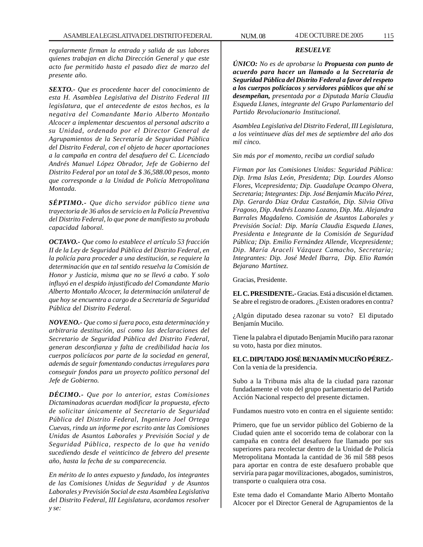*regularmente firman la entrada y salida de sus labores quienes trabajan en dicha Dirección General y que este acto fue permitido hasta el pasado diez de marzo del presente año.*

*SEXTO.- Que es procedente hacer del conocimiento de esta H. Asamblea Legislativa del Distrito Federal III legislatura, que el antecedente de estos hechos, es la negativa del Comandante Mario Alberto Montaño Alcocer a implementar descuentos al personal adscrito a su Unidad, ordenado por el Director General de Agrupamientos de la Secretaría de Seguridad Pública del Distrito Federal, con el objeto de hacer aportaciones a la campaña en contra del desafuero del C. Licenciado Andrés Manuel López Obrador, Jefe de Gobierno del Distrito Federal por un total de \$ 36,588.00 pesos, monto que corresponde a la Unidad de Policía Metropolitana Montada.*

*SÉPTIMO.- Que dicho servidor público tiene una trayectoria de 36 años de servicio en la Policía Preventiva del Distrito Federal, lo que pone de manifiesto su probada capacidad laboral.*

*OCTAVO.- Que como lo establece el artículo 53 fracción II de la Ley de Seguridad Pública del Distrito Federal, en la policía para proceder a una destitución, se requiere la determinación que en tal sentido resuelva la Comisión de Honor y Justicia, misma que no se llevó a cabo. Y solo influyó en el despido injustificado del Comandante Mario Alberto Montaño Alcocer, la determinación unilateral de que hoy se encuentra a cargo de a Secretaría de Seguridad Pública del Distrito Federal.*

*NOVENO.- Que como si fuera poco, esta determinación y arbitraria destitución, así como las declaraciones del Secretario de Seguridad Pública del Distrito Federal, generan desconfianza y falta de credibilidad hacia los cuerpos policíacos por parte de la sociedad en general, además de seguir fomentando conductas irregulares para conseguir fondos para un proyecto político personal del Jefe de Gobierno.*

*DÉCIMO.- Que por lo anterior, estas Comisiones Dictaminadoras acuerdan modificar la propuesta, efecto de solicitar únicamente al Secretario de Seguridad Pública del Distrito Federal, Ingeniero Joel Ortega Cuevas, rinda un informe por escrito ante las Comisiones Unidas de Asuntos Laborales y Previsión Social y de Seguridad Pública, respecto de lo que ha venido sucediendo desde el veinticinco de febrero del presente año, hasta la fecha de su comparecencia.*

*En mérito de lo antes expuesto y fundado, los integrantes de las Comisiones Unidas de Seguridad y de Asuntos Laborales y Previsión Social de esta Asamblea Legislativa del Distrito Federal, III Legislatura, acordamos resolver y se:*

### *RESUELVE*

*ÚNICO: No es de aprobarse la Propuesta con punto de acuerdo para hacer un llamado a la Secretaría de Seguridad Pública del Distrito Federal a favor del respeto a los cuerpos policíacos y servidores públicos que ahí se desempeñan, presentada por a Diputada María Claudia Esqueda Llanes, integrante del Grupo Parlamentario del Partido Revolucionario Institucional.*

*Asamblea Legislativa del Distrito Federal, III Legislatura, a los veintinueve días del mes de septiembre del año dos mil cinco.*

*Sin más por el momento, reciba un cordial saludo*

*Firman por las Comisiones Unidas: Seguridad Pública: Dip. Irma Islas León, Presidenta; Dip. Lourdes Alonso Flores, Vicepresidenta; Dip. Guadalupe Ocampo Olvera, Secretaria; Integrantes: Dip. José Benjamín Muciño Pérez, Dip. Gerardo Díaz Ordaz Castañón, Dip. Silvia Oliva Fragoso, Dip. Andrés Lozano Lozano, Dip. Ma. Alejandra Barrales Magdaleno. Comisión de Asuntos Laborales y Previsión Social: Dip. María Claudia Esqueda Llanes, Presidenta e Integrante de la Comisión de Seguridad Pública; Dip. Emilio Fernández Allende, Vicepresidente; Dip. María Araceli Vázquez Camacho, Secretaria; Integrantes: Dip. José Medel Ibarra, Dip. Elio Ramón Bejarano Martínez.*

Gracias, Presidente.

**EL C. PRESIDENTE.-** Gracias. Está a discusión el dictamen. Se abre el registro de oradores. ¿Existen oradores en contra?

¿Algún diputado desea razonar su voto? El diputado Benjamín Muciño.

Tiene la palabra el diputado Benjamín Muciño para razonar su voto, hasta por diez minutos.

**EL C. DIPUTADO JOSÉ BENJAMÍN MUCIÑO PÉREZ.-** Con la venia de la presidencia.

Subo a la Tribuna más alta de la ciudad para razonar fundadamente el voto del grupo parlamentario del Partido Acción Nacional respecto del presente dictamen.

Fundamos nuestro voto en contra en el siguiente sentido:

Primero, que fue un servidor público del Gobierno de la Ciudad quien ante el socorrido tema de colaborar con la campaña en contra del desafuero fue llamado por sus superiores para recolectar dentro de la Unidad de Policía Metropolitana Montada la cantidad de 36 mil 588 pesos para aportar en contra de este desafuero probable que serviría para pagar movilizaciones, abogados, suministros, transporte o cualquiera otra cosa.

Este tema dado el Comandante Mario Alberto Montaño Alcocer por el Director General de Agrupamientos de la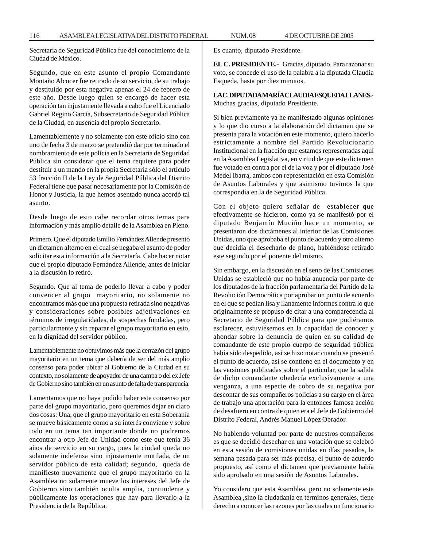116 ASAMBLEA LEGISLATIVA DEL DISTRITO FEDERAL NUM. 08 4 DE OCTUBRE DE 2005

Secretaría de Seguridad Pública fue del conocimiento de la Ciudad de México.

Segundo, que en este asunto el propio Comandante Montaño Alcocer fue retirado de su servicio, de su trabajo y destituido por esta negativa apenas el 24 de febrero de este año. Desde luego quien se encargó de hacer esta operación tan injustamente llevada a cabo fue el Licenciado Gabriel Regino García, Subsecretario de Seguridad Pública de la Ciudad, en ausencia del propio Secretario.

Lamentablemente y no solamente con este oficio sino con uno de fecha 3 de marzo se pretendió dar por terminado el nombramiento de este policía en la Secretaría de Seguridad Pública sin considerar que el tema requiere para poder destituir a un mando en la propia Secretaría sólo el artículo 53 fracción II de la Ley de Seguridad Pública del Distrito Federal tiene que pasar necesariamente por la Comisión de Honor y Justicia, la que hemos asentado nunca acordó tal asunto.

Desde luego de esto cabe recordar otros temas para información y más amplio detalle de la Asamblea en Pleno.

Primero. Que el diputado Emilio Fernández Allende presentó un dictamen alterno en el cual se negaba el asunto de poder solicitar esta información a la Secretaría. Cabe hacer notar que el propio diputado Fernández Allende, antes de iniciar a la discusión lo retiró.

Segundo. Que al tema de poderlo llevar a cabo y poder convencer al grupo mayoritario, no solamente no encontramos más que una propuesta retirada sino negativas y consideraciones sobre posibles adjetivaciones en términos de irregularidades, de sospechas fundadas, pero particularmente y sin reparar el grupo mayoritario en esto, en la dignidad del servidor público.

Lamentablemente no obtuvimos más que la cerrazón del grupo mayoritario en un tema que debería de ser del más amplio consenso para poder ubicar al Gobierno de la Ciudad en su contexto, no solamente de apoyador de una campa o del ex Jefe de Gobierno sino también en un asunto de falta de transparencia.

Lamentamos que no haya podido haber este consenso por parte del grupo mayoritario, pero queremos dejar en claro dos cosas: Una, que el grupo mayoritario en esta Soberanía se mueve básicamente como a su interés conviene y sobre todo en un tema tan importante donde no podremos encontrar a otro Jefe de Unidad como este que tenía 36 años de servicio en su cargo, pues la ciudad queda no solamente indefensa sino injustamente mutilada, de un servidor público de esta calidad; segundo, queda de manifiesto nuevamente que el grupo mayoritario en la Asamblea no solamente mueve los intereses del Jefe de Gobierno sino también oculta amplia, contundente y públicamente las operaciones que hay para llevarlo a la Presidencia de la República.

Es cuanto, diputado Presidente.

**EL C. PRESIDENTE.-** Gracias, diputado. Para razonar su voto, se concede el uso de la palabra a la diputada Claudia Esqueda, hasta por diez minutos.

**LA C. DIPUTADA MARÍA CLAUDIA ESQUEDA LLANES.-** Muchas gracias, diputado Presidente.

Si bien previamente ya he manifestado algunas opiniones y lo que dio curso a la elaboración del dictamen que se presenta para la votación en este momento, quiero hacerlo estrictamente a nombre del Partido Revolucionario Institucional en la fracción que estamos representadas aquí en la Asamblea Legislativa, en virtud de que este dictamen fue votado en contra por el de la voz y por el diputado José Medel Ibarra, ambos con representación en esta Comisión de Asuntos Laborales y que asimismo tuvimos la que correspondía en la de Seguridad Pública.

Con el objeto quiero señalar de establecer que efectivamente se hicieron, como ya se manifestó por el diputado Benjamín Muciño hace un momento, se presentaron dos dictámenes al interior de las Comisiones Unidas, uno que aprobaba el punto de acuerdo y otro alterno que decidía el desecharlo de plano, habiéndose retirado este segundo por el ponente del mismo.

Sin embargo, en la discusión en el seno de las Comisiones Unidas se estableció que no había anuencia por parte de los diputados de la fracción parlamentaria del Partido de la Revolución Democrática por aprobar un punto de acuerdo en el que se pedían lisa y llanamente informes contra lo que originalmente se propuso de citar a una comparecencia al Secretario de Seguridad Pública para que pudiéramos esclarecer, estuviésemos en la capacidad de conocer y ahondar sobre la denuncia de quien en su calidad de comandante de este propio cuerpo de seguridad pública había sido despedido, así se hizo notar cuando se presentó el punto de acuerdo, así se contiene en el documento y en las versiones publicadas sobre el particular, que la salida de dicho comandante obedecía exclusivamente a una venganza, a una especie de cobro de su negativa por descontar de sus compañeros policías a su cargo en el área de trabajo una aportación para la entonces famosa acción de desafuero en contra de quien era el Jefe de Gobierno del Distrito Federal, Andrés Manuel López Obrador.

No habiendo voluntad por parte de nuestros compañeros es que se decidió desechar en una votación que se celebró en esta sesión de comisiones unidas en días pasados, la semana pasada para ser más precisa, el punto de acuerdo propuesto, así como el dictamen que previamente había sido aprobado en una sesión de Asuntos Laborales.

Yo considero que esta Asamblea, pero no solamente esta Asamblea ,sino la ciudadanía en términos generales, tiene derecho a conocer las razones por las cuales un funcionario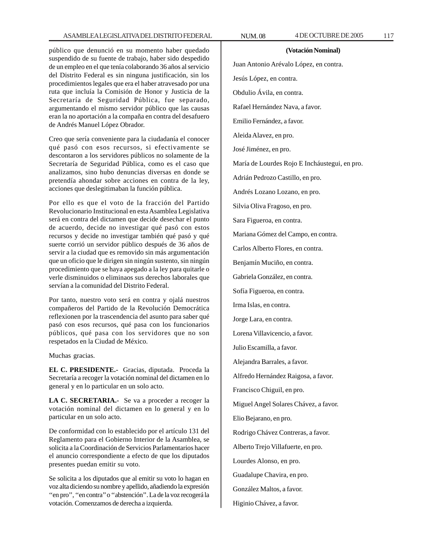público que denunció en su momento haber quedado suspendido de su fuente de trabajo, haber sido despedido de un empleo en el que tenía colaborando 36 años al servicio del Distrito Federal es sin ninguna justificación, sin los procedimientos legales que era el haber atravesado por una ruta que incluía la Comisión de Honor y Justicia de la Secretaría de Seguridad Pública, fue separado, argumentando el mismo servidor público que las causas eran la no aportación a la compaña en contra del desafuero de Andrés Manuel López Obrador.

Creo que sería conveniente para la ciudadanía el conocer qué pasó con esos recursos, si efectivamente se descontaron a los servidores públicos no solamente de la Secretaría de Seguridad Pública, como es el caso que analizamos, sino hubo denuncias diversas en donde se pretendía ahondar sobre acciones en contra de la ley, acciones que deslegitimaban la función pública.

Por ello es que el voto de la fracción del Partido Revolucionario Institucional en esta Asamblea Legislativa será en contra del dictamen que decide desechar el punto de acuerdo, decide no investigar qué pasó con estos recursos y decide no investigar también qué pasó y qué suerte corrió un servidor público después de 36 años de servir a la ciudad que es removido sin más argumentación que un oficio que le dirigen sin ningún sustento, sin ningún procedimiento que se haya apegado a la ley para quitarle o verle disminuidos o eliminaos sus derechos laborales que servían a la comunidad del Distrito Federal.

Por tanto, nuestro voto será en contra y ojalá nuestros compañeros del Partido de la Revolución Democrática reflexionen por la trascendencia del asunto para saber qué pasó con esos recursos, qué pasa con los funcionarios públicos, qué pasa con los servidores que no son respetados en la Ciudad de México.

Muchas gracias.

**EL C. PRESIDENTE.-** Gracias, diputada. Proceda la Secretaría a recoger la votación nominal del dictamen en lo general y en lo particular en un solo acto.

**LA C. SECRETARIA.-** Se va a proceder a recoger la votación nominal del dictamen en lo general y en lo particular en un solo acto.

De conformidad con lo establecido por el artículo 131 del Reglamento para el Gobierno Interior de la Asamblea, se solicita a la Coordinación de Servicios Parlamentarios hacer el anuncio correspondiente a efecto de que los diputados presentes puedan emitir su voto.

Se solicita a los diputados que al emitir su voto lo hagan en voz alta diciendo su nombre y apellido, añadiendo la expresión ''en pro'', ''en contra'' o ''abstención''. La de la voz recogerá la votación. Comenzamos de derecha a izquierda.

#### **(Votación Nominal)**

Juan Antonio Arévalo López, en contra. Jesús López, en contra. Obdulio Ávila, en contra. Rafael Hernández Nava, a favor. Emilio Fernández, a favor. Aleida Alavez, en pro. José Jiménez, en pro. María de Lourdes Rojo E Incháustegui, en pro. Adrián Pedrozo Castillo, en pro. Andrés Lozano Lozano, en pro. Silvia Oliva Fragoso, en pro. Sara Figueroa, en contra. Mariana Gómez del Campo, en contra. Carlos Alberto Flores, en contra. Benjamín Muciño, en contra. Gabriela González, en contra. Sofía Figueroa, en contra. Irma Islas, en contra. Jorge Lara, en contra. Lorena Villavicencio, a favor. Julio Escamilla, a favor. Alejandra Barrales, a favor. Alfredo Hernández Raigosa, a favor. Francisco Chiguil, en pro. Miguel Angel Solares Chávez, a favor. Elio Bejarano, en pro. Rodrigo Chávez Contreras, a favor. Alberto Trejo Villafuerte, en pro. Lourdes Alonso, en pro. Guadalupe Chavira, en pro. González Maltos, a favor. Higinio Chávez, a favor.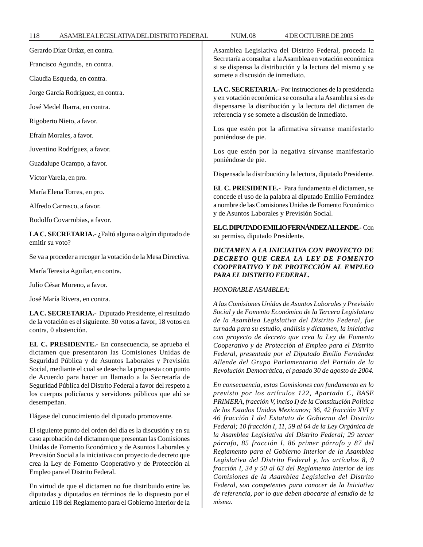Gerardo Díaz Ordaz, en contra.

Francisco Agundis, en contra.

Claudia Esqueda, en contra.

Jorge García Rodríguez, en contra.

José Medel Ibarra, en contra.

Rigoberto Nieto, a favor.

Efraín Morales, a favor.

Juventino Rodríguez, a favor.

Guadalupe Ocampo, a favor.

Víctor Varela, en pro.

María Elena Torres, en pro.

Alfredo Carrasco, a favor.

Rodolfo Covarrubias, a favor.

**LA C. SECRETARIA.-** ¿Faltó alguna o algún diputado de emitir su voto?

Se va a proceder a recoger la votación de la Mesa Directiva.

María Teresita Aguilar, en contra.

Julio César Moreno, a favor.

José María Rivera, en contra.

**LA C. SECRETARIA.-** Diputado Presidente, el resultado de la votación es el siguiente. 30 votos a favor, 18 votos en contra, 0 abstención.

**EL C. PRESIDENTE.-** En consecuencia, se aprueba el dictamen que presentaron las Comisiones Unidas de Seguridad Pública y de Asuntos Laborales y Previsión Social, mediante el cual se desecha la propuesta con punto de Acuerdo para hacer un llamado a la Secretaría de Seguridad Pública del Distrito Federal a favor del respeto a los cuerpos policíacos y servidores públicos que ahí se desempeñan.

Hágase del conocimiento del diputado promovente.

El siguiente punto del orden del día es la discusión y en su caso aprobación del dictamen que presentan las Comisiones Unidas de Fomento Económico y de Asuntos Laborales y Previsión Social a la iniciativa con proyecto de decreto que crea la Ley de Fomento Cooperativo y de Protección al Empleo para el Distrito Federal.

En virtud de que el dictamen no fue distribuido entre las diputadas y diputados en términos de lo dispuesto por el artículo 118 del Reglamento para el Gobierno Interior de la Asamblea Legislativa del Distrito Federal, proceda la Secretaría a consultar a la Asamblea en votación económica si se dispensa la distribución y la lectura del mismo y se somete a discusión de inmediato.

**LA C. SECRETARIA.-** Por instrucciones de la presidencia y en votación económica se consulta a la Asamblea si es de dispensarse la distribución y la lectura del dictamen de referencia y se somete a discusión de inmediato.

Los que estén por la afirmativa sírvanse manifestarlo poniéndose de pie.

Los que estén por la negativa sírvanse manifestarlo poniéndose de pie.

Dispensada la distribución y la lectura, diputado Presidente.

**EL C. PRESIDENTE.-** Para fundamenta el dictamen, se concede el uso de la palabra al diputado Emilio Fernández a nombre de las Comisiones Unidas de Fomento Económico y de Asuntos Laborales y Previsión Social.

**EL C. DIPUTADO EMILIO FERNÁNDEZ ALLENDE.-** Con su permiso, diputado Presidente.

# *DICTAMEN A LA INICIATIVA CON PROYECTO DE DECRETO QUE CREA LA LEY DE FOMENTO COOPERATIVO Y DE PROTECCIÓN AL EMPLEO PARA EL DISTRITO FEDERAL.*

## *HONORABLE ASAMBLEA:*

*A las Comisiones Unidas de Asuntos Laborales y Previsión Social y de Fomento Económico de la Tercera Legislatura de la Asamblea Legislativa del Distrito Federal, fue turnada para su estudio, análisis y dictamen, la iniciativa con proyecto de decreto que crea la Ley de Fomento Cooperativo y de Protección al Empleo para el Distrito Federal, presentada por el Diputado Emilio Fernández Allende del Grupo Parlamentario del Partido de la Revolución Democrática, el pasado 30 de agosto de 2004.*

*En consecuencia, estas Comisiones con fundamento en lo previsto por los artículos 122, Apartado C, BASE PRIMERA, fracción V, inciso I) de la Constitución Política de los Estados Unidos Mexicanos; 36, 42 fracción XVI y 46 fracción I del Estatuto de Gobierno del Distrito Federal; 10 fracción I, 11, 59 al 64 de la Ley Orgánica de la Asamblea Legislativa del Distrito Federal; 29 tercer párrafo, 85 fracción I, 86 primer párrafo y 87 del Reglamento para el Gobierno Interior de la Asamblea Legislativa del Distrito Federal y, los artículos 8, 9 fracción I, 34 y 50 al 63 del Reglamento Interior de las Comisiones de la Asamblea Legislativa del Distrito Federal, son competentes para conocer de la Iniciativa de referencia, por lo que deben abocarse al estudio de la misma.*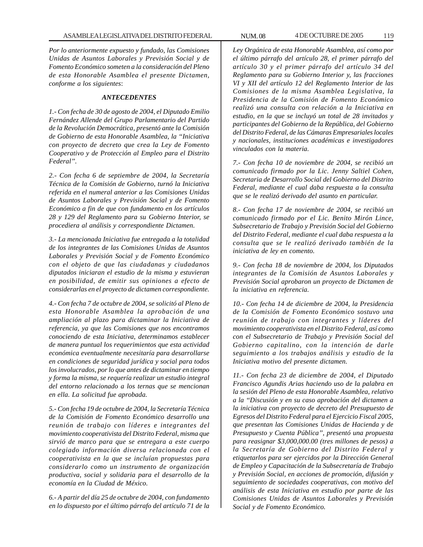*Por lo anteriormente expuesto y fundado, las Comisiones Unidas de Asuntos Laborales y Previsión Social y de Fomento Económico someten a la consideración del Pleno de esta Honorable Asamblea el presente Dictamen, conforme a los siguientes*:

# *ANTECEDENTES*

*1.- Con fecha de 30 de agosto de 2004, el Diputado Emilio Fernández Allende del Grupo Parlamentario del Partido de la Revolución Democrática, presentó ante la Comisión de Gobierno de esta Honorable Asamblea, la ''Iniciativa con proyecto de decreto que crea la Ley de Fomento Cooperativo y de Protección al Empleo para el Distrito Federal''.*

*2.- Con fecha 6 de septiembre de 2004, la Secretaría Técnica de la Comisión de Gobierno, turnó la Iniciativa referida en el numeral anterior a las Comisiones Unidas de Asuntos Laborales y Previsión Social y de Fomento Económico a fin de que con fundamento en los artículos 28 y 129 del Reglamento para su Gobierno Interior, se procediera al análisis y correspondiente Dictamen.*

*3.- La mencionada Iniciativa fue entregada a la totalidad de los integrantes de las Comisiones Unidas de Asuntos Laborales y Previsión Social y de Fomento Económico con el objeto de que las ciudadanas y ciudadanos diputados iniciaran el estudio de la misma y estuvieran en posibilidad, de emitir sus opiniones a efecto de considerarlas en el proyecto de dictamen correspondiente.*

*4.- Con fecha 7 de octubre de 2004, se solicitó al Pleno de esta Honorable Asamblea la aprobación de una ampliación al plazo para dictaminar la Iniciativa de referencia, ya que las Comisiones que nos encontramos conociendo de esta Iniciativa, determinamos establecer de manera puntual los requerimientos que esta actividad económica eventualmente necesitaría para desarrollarse en condiciones de seguridad jurídica y social para todos los involucrados, por lo que antes de dictaminar en tiempo y forma la misma, se requería realizar un estudio integral del entorno relacionado a los ternas que se mencionan en ella. La solicitud fue aprobada.*

*5.- Con fecha 19 de octubre de 2004, la Secretaría Técnica de la Comisión de Fomento Económico desarrollo una reunión de trabajo con líderes e integrantes del movimiento cooperativista del Distrito Federal, misma que sirvió de marco para que se entregara a este cuerpo colegiado información diversa relacionada con el cooperativista en la que se incluían propuestas para considerarlo como un instrumento de organización productiva, social y solidaria para el desarrollo de la economía en la Ciudad de México.*

*6.- A partir del día 25 de octubre de 2004, con fundamento en lo dispuesto por el último párrafo del artículo 71 de la*

*Ley Orgánica de esta Honorable Asamblea, así como por el último párrafo del artículo 28, el primer párrafo del artículo 30 y el primer párrafo del artículo 34 del Reglamento para su Gobierno Interior y, las fracciones VI y XII del artículo 12 del Reglamento Interior de las Comisiones de la misma Asamblea Legislativa, la Presidencia de la Comisión de Fomento Económico realizó una consulta con relación a la Iniciativa en estudio, en la que se incluyó un total de 28 invitados y participantes del Gobierno de la República, del Gobierno del Distrito Federal, de las Cámaras Empresariales locales y nacionales, instituciones académicas e investigadores vinculados con la materia.*

*7.- Con fecha 10 de noviembre de 2004, se recibió un comunicado firmado por la Lic. Jenny Saltiel Cohen, Secretaria de Desarrollo Social del Gobierno del Distrito Federal, mediante el cual daba respuesta a la consulta que se le realizó derivado del asunto en particular.*

*8.- Con fecha 17 de noviembre de 2004, se recibió un comunicado firmado por el Lic. Benito Mirón Lince, Subsecretario de Trabajo y Previsión Social del Gobierno del Distrito Federal, mediante el cual daba respuesta a la consulta que se le realizó derivado también de la iniciativa de ley en comento.*

*9.- Con fecha 18 de noviembre de 2004, los Diputados integrantes de la Comisión de Asuntos Laborales y Previsión Social aprobaron un proyecto de Dictamen de la iniciativa en referencia.*

*10.- Con fecha 14 de diciembre de 2004, la Presidencia de la Comisión de Fomento Económico sostuvo una reunión de trabajo con integrantes y líderes del movimiento cooperativista en el Distrito Federal, así como con el Subsecretario de Trabajo y Previsión Social del Gobierno capitalino, con la intención de darle seguimiento a los trabajos análisis y estudio de la Iniciativa motivo del presente dictamen.*

*11.- Con fecha 23 de diciembre de 2004, el Diputado Francisco Agundis Arias haciendo uso de la palabra en la sesión del Pleno de esta Honorable Asamblea, relativo a la ''Discusión y en su caso aprobación del dictamen a la iniciativa con proyecto de decreto del Presupuesto de Egresos del Distrito Federal para el Ejercicio Fiscal 2005, que presentan las Comisiones Unidas de Hacienda y de Presupuesto y Cuenta Pública'', presentó una propuesta para reasignar \$3,000,000.00 (tres millones de pesos) a la Secretaría de Gobierno del Distrito Federal y etiquetarlos para ser ejercidos por la Dirección General de Empleo y Capacitación de la Subsecretaría de Trabajo y Previsión Social, en acciones de promoción, difusión y seguimiento de sociedades cooperativas, con motivo del análisis de esta Iniciativa en estudio por parte de las Comisiones Unidas de Asuntos Laborales y Previsión Social y de Fomento Económico.*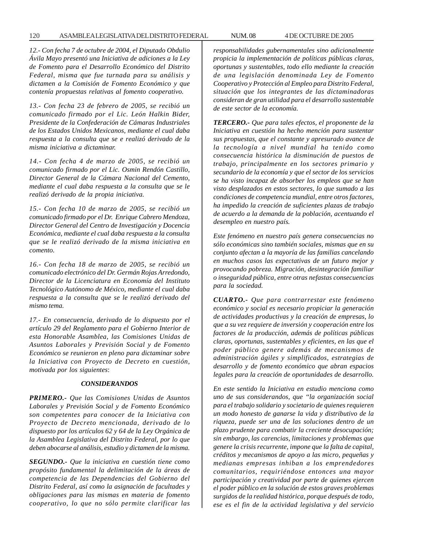### 120 ASAMBLEA LEGISLATIVA DEL DISTRITO FEDERAL NUM. 08 4 DE OCTUBRE DE 2005

*12.- Con fecha 7 de octubre de 2004, el Diputado Obdulio Ávila Mayo presentó una Iniciativa de adiciones a la Ley de Fomento para el Desarrollo Económico del Distrito Federal, misma que fue turnada para su análisis y dictamen a la Comisión de Fomento Económico y que contenía propuestas relativas al fomento cooperativo.*

*13.- Con fecha 23 de febrero de 2005, se recibió un comunicado firmado por el Lic. León Halkin Bider, Presidente de la Confederación de Cámaras Industriales de los Estados Unidos Mexicanos, mediante el cual daba respuesta a la consulta que se e realizó derivado de la misma iniciativa a dictaminar.*

*14.- Con fecha 4 de marzo de 2005, se recibió un comunicado firmado por el Lic. Osmin Rendón Castillo, Director General de la Cámara Nacional del Cemento, mediante el cual daba respuesta a la consulta que se le realizó derivado de la propia iniciativa.*

*15.- Con fecha 10 de marzo de 2005, se recibió un comunicado firmado por el Dr. Enrique Cabrero Mendoza, Director General del Centro de Investigación y Docencia Económica, mediante el cual daba respuesta a la consulta que se le realizó derivado de la misma iniciativa en comento.*

*16.- Con fecha 18 de marzo de 2005, se recibió un comunicado electrónico del Dr. Germán Rojas Arredondo, Director de la Licenciatura en Economía del Instituto Tecnológico Autónomo de México, mediante el cual daba respuesta a la consulta que se le realizó derivado del mismo tema.*

*17.- En consecuencia, derivado de lo dispuesto por el artículo 29 del Reglamento para el Gobierno Interior de esta Honorable Asamblea, las Comisiones Unidas de Asuntos Laborales y Previsión Social y de Fomento Económico se reunieron en pleno para dictaminar sobre la Iniciativa con Proyecto de Decreto en cuestión, motivada por los siguientes*:

### *CONSIDERANDOS*

*PRIMERO.- Que las Comisiones Unidas de Asuntos Laborales y Previsión Social y de Fomento Económico son competentes para conocer de la Iniciativa con Proyecto de Decreto mencionada, derivado de lo dispuesto por los artículos 62 y 64 de la Ley Orgánica de la Asamblea Legislativa del Distrito Federal, por lo que deben abocarse al análisis, estudio y dictamen de la misma.*

*SEGUNDO.- Que la iniciativa en cuestión tiene como propósito fundamental la delimitación de la áreas de competencia de las Dependencias del Gobierno del Distrito Federal, así como la asignación de facultades y obligaciones para las mismas en materia de fomento cooperativo, lo que no sólo permite clarificar las* *responsabilidades gubernamentales sino adicionalmente propicia la implementación de políticas públicas claras, oportunas y sustentables, todo ello mediante la creación de una legislación denominada Ley de Fomento Cooperativo y Protección al Empleo para Distrito Federal, situación que los integrantes de las dictaminadoras consideran de gran utilidad para el desarrollo sustentable de este sector de la economía.*

*TERCERO.- Que para tales efectos, el proponente de la Iniciativa en cuestión ha hecho mención para sustentar sus propuestas, que el constante y apresurado avance de la tecnología a nivel mundial ha tenido como consecuencia histórica la disminución de puestos de trabajo, principalmente en los sectores primario y secundario de la economía y que el sector de los servicios se ha visto incapaz de absorber los empleos que se han visto desplazados en estos sectores, lo que sumado a las condiciones de competencia mundial, entre otros factores, ha impedido la creación de suficientes plazas de trabajo de acuerdo a la demanda de la población, acentuando el desempleo en nuestro país.*

*Este fenómeno en nuestro país genera consecuencias no sólo económicas sino también sociales, mismas que en su conjunto afectan a la mayoría de las familias cancelando en muchos casos las expectativas de un futuro mejor y provocando pobreza. Migración, desintegración familiar o inseguridad pública, entre otras nefastas consecuencias para la sociedad.*

*CUARTO.- Que para contrarrestar este fenómeno económico y social es necesario propiciar la generación de actividades productivas y la creación de empresas, lo que a su vez requiere de inversión y cooperación entre los factores de la producción, además de políticas públicas claras, oportunas, sustentables y eficientes, en las que el poder público genere además de mecanismos de administración ágiles y simplificados, estrategias de desarrollo y de fomento económico que abran espacios legales para la creación de oportunidades de desarrollo.*

*En este sentido la Iniciativa en estudio menciona como uno de sus considerandos, que ''la organización social para el trabajo solidario y societario de quienes requieren un modo honesto de ganarse la vida y distributivo de la riqueza, puede ser una de las soluciones dentro de un plazo prudente para combatir la creciente desocupación; sin embargo, las carencias, limitaciones y problemas que genere la crisis recurrente, impone que la falta de capital, créditos y mecanismos de apoyo a las micro, pequeñas y medianas empresas inhiban a los emprendedores comunitarios, requiriéndose entonces una mayor participación y creatividad por parte de quienes ejercen el poder público en la solución de estos graves problemas surgidos de la realidad histórica, porque después de todo, ese es el fin de la actividad legislativa y del servicio*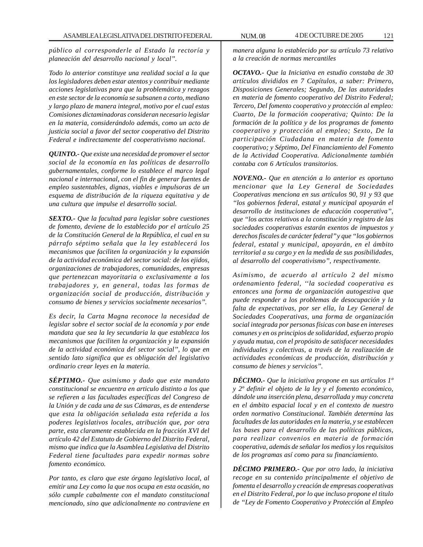*público al corresponderle al Estado la rectoría y planeación del desarrollo nacional y local''.*

*Todo lo anterior constituye una realidad social a la que los legisladores deben estar atentos y contribuir mediante acciones legislativas para que la problemática y rezagos en este sector de la economía se subsanen a corto, mediano y largo plazo de manera integral, motivo por el cual estas Comisiones dictaminadoras consideran necesario legislar en la materia, considerándolo además, como un acto de justicia social a favor del sector cooperativo del Distrito Federal e indirectamente del cooperativismo nacional.*

*QUINTO.- Que existe una necesidad de promover el sector social de la economía en las políticas de desarrollo gubernamentales, conforme lo establece el marco legal nacional e internacional, con el fin de generar fuentes de empleo sustentables, dignas, viables e impulsoras de un esquema de distribución de la riqueza equitativa y de una cultura que impulse el desarrollo social.*

*SEXTO.- Que la facultad para legislar sobre cuestiones de fomento, deviene de lo establecido por el artículo 25 de la Constitución General de la República, el cual en su párrafo séptimo señala que la ley establecerá los mecanismos que faciliten la organización y la expansión de la actividad económica del sector social: de los ejidos, organizaciones de trabajadores, comunidades, empresas que pertenezcan mayoritaria o exclusivamente a los trabajadores y, en general, todas las formas de organización social de producción, distribución y consumo de bienes y servicios socialmente necesarios''.*

*Es decir, la Carta Magna reconoce la necesidad de legislar sobre el sector social de la economía y por ende mandata que sea la ley secundaria la que establezca los mecanismos que faciliten la organización y la expansión de la actividad económica del sector social'', lo que en sentido lato significa que es obligación del legislativo ordinario crear leyes en la materia.*

*SÉPTIMO.- Que asimismo y dado que este mandato constitucional se encuentra en articulo distinto a los que se refieren a las facultades específicas del Congreso de la Unión y de cada una de sus Cámaras, es de entenderse que esta la obligación señalada esta referida a los poderes legislativos locales, atribución que, por otra parte, esta claramente establecida en la fracción XVI del artículo 42 del Estatuto de Gobierno del Distrito Federal, mismo que indica que la Asamblea Legislativa del Distrito Federal tiene facultades para expedir normas sobre fomento económico.*

*Por tanto, es claro que este órgano legislativo local, al emitir una Ley como la que nos ocupa en esta ocasión, no sólo cumple cabalmente con el mandato constitucional mencionado, sino que adicionalmente no contraviene en*

*manera alguna lo establecido por su artículo 73 relativo a la creación de normas mercantiles*

*OCTAVO.- Que la Iniciativa en estudio constaba de 30 artículos divididos en 7 Capítulos, a saber: Primero, Disposiciones Generales; Segundo, De las autoridades en materia de fomento cooperativo del Distrito Federal; Tercero, Del fomento cooperativo y protección al empleo: Cuarto, De la formación cooperativa; Quinto: De la formación de la política y de los programas de fomento cooperativo y protección al empleo; Sexto, De la participación Ciudadana en materia de fomento cooperativo; y Séptimo, Del Financiamiento del Fomento de la Actividad Cooperativa. Adicionalmente también contaba con 6 Artículos transitorios.*

*NOVENO.- Que en atención a lo anterior es oportuno mencionar que la Ley General de Sociedades Cooperativas menciona en sus artículos 90, 91 y 93 que ''los gobiernos federal, estatal y municipal apoyarán el desarrollo de instituciones de educación cooperativa'', que ''los actos relativos a la constitución y registro de las sociedades cooperativas estarán exentos de impuestos y derechos fiscales de carácter federal'' y que ''los gobiernos federal, estatal y municipal, apoyarán, en el ámbito territorial a su cargo y en la medida de sus posibilidades, al desarrollo del cooperativismo'', respectivamente.*

*Asimismo, de acuerdo al artículo 2 del mismo ordenamiento federal, ''la sociedad cooperativa es entonces una forma de organización autogestiva que puede responder a los problemas de desocupación y la falta de expectativas, por ser ella, la Ley General de Sociedades Cooperativas, una forma de organización social integrada por personas físicas con base en intereses comunes y en os principios de solidaridad, esfuerzo propio y ayuda mutua, con el propósito de satisfacer necesidades individuales y colectivas, a través de la realización de actividades económicas de producción, distribución y consumo de bienes y servicios''.*

*DÉCIMO.- Que la iniciativa propone en sus artículos 1º y 2º definir el objeto de la ley y el fomento económico, dándole una inserción plena, desarrollada y muy concreta en el ámbito espacial local y en el contexto de nuestro orden normativo Constitucional. También determina las facultades de las autoridades en la materia, y se establecen las bases para el desarrollo de las políticas públicas, para realizar convenios en materia de formación cooperativa, además de señalar los medios y los requisitos de los programas así como para su financiamiento.*

*DÉCIMO PRIMERO.- Que por otro lado, la iniciativa recoge en su contenido principalmente el objetivo de fomenta el desarrollo y creación de empresas cooperativas en el Distrito Federal, por lo que incluso propone el titulo de ''Ley de Fomento Cooperativo y Protección al Empleo*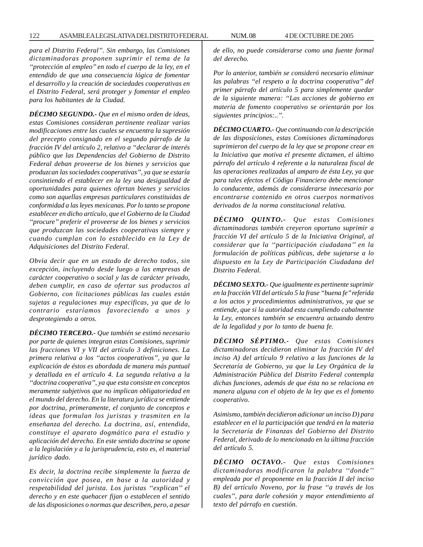*para el Distrito Federal''. Sin embargo, las Comisiones dictaminadoras proponen suprimir el tema de la ''protección al empleo'' en todo el cuerpo de la ley, en el entendido de que una consecuencia lógica de fomentar el desarrollo y la creación de sociedades cooperativas en el Distrito Federal, será proteger y fomentar el empleo para los habitantes de la Ciudad.*

*DÉCIMO SEGUNDO.- Que en el mismo orden de ideas, estas Comisiones consideran pertinente realizar varias modificaciones entre las cuales se encuentra la supresión del precepto consignado en el segundo párrafo de la fracción IV del artículo 2, relativo a ''declarar de interés público que las Dependencias del Gobierno de Distrito Federal deban proveerse de los bienes y servicios que produzcan las sociedades cooperativas'', ya que se estaría consintiendo el establecer en la ley una desigualdad de oportunidades para quienes ofertan bienes y servicios como son aquellas empresas particulares constituidas de conformidad a las leyes mexicanas. Por lo tanto se propone establecer en dicho artículo, que el Gobierno de la Ciudad ''procure'' preferir el proveerse de los bienes y servicios que produzcan las sociedades cooperativas siempre y cuando cumplan con lo establecido en la Ley de Adquisiciones del Distrito Federal.*

*Obvia decir que en un estado de derecho todos, sin excepción, incluyendo desde luego a las empresas de carácter cooperativo o social y las de carácter privado, deben cumplir, en caso de ofertar sus productos al Gobierno, con licitaciones públicas las cuales están sujetas a regulaciones muy especificas, ya que de lo contrario estaríamos favoreciendo a unos y desprotegiendo a otros.*

*DÉCIMO TERCERO.- Que también se estimó necesario por parte de quienes integran estas Comisiones, suprimir las fracciones VI y VII del artículo 3 definiciones. La primera relativa a los ''actos cooperativos'', ya que la explicación de éstos es abordada de manera más puntual y detallada en el artículo 4. La segunda relativa a la ''doctrina cooperativa'', ya que esta consiste en conceptos meramente subjetivos que no implican obligatoriedad en el mundo del derecho. En la literatura jurídica se entiende por doctrina, primeramente, el conjunto de conceptos e ideas que formulan los juristas y trasmiten en la enseñanza del derecho. La doctrina, así, entendida, constituye el aparato dogmático para el estudio y aplicación del derecho. En este sentido doctrina se opone a la legislación y a la jurisprudencia, esto es, el material jurídico dado.*

*Es decir, la doctrina recibe simplemente la fuerza de convicción que posea, en base a la autoridad y respetabilidad del jurista. Los juristas ''explican'' el derecho y en este quehacer fijan o establecen el sentido de las disposiciones o normas que describen, pero, a pesar*

*de ello, no puede considerarse como una fuente formal del derecho.*

*Por lo anterior, también se consideró necesario eliminar las palabras ''el respeto a la doctrina cooperativa'' del primer párrafo del artículo 5 para simplemente quedar de la siguiente manera: ''Las acciones de gobierno en materia de fomento cooperativo se orientarán por los siguientes principios:..''.*

*DÉCIMO CUARTO.- Que continuando con la descripción de las disposiciones, estas Comisiones dictaminadoras suprimieron del cuerpo de la ley que se propone crear en la Iniciativa que motiva el presente dictamen, el último párrafo del artículo 4 referente a la naturaleza fiscal de las operaciones realizadas al amparo de ésta Ley, ya que para tales efectos el Código Financiero debe mencionar lo conducente, además de considerarse innecesario por encontrarse contenido en otros cuerpos normativos derivados de la norma constitucional relativa.*

*DÉCIMO QUINTO.- Que estas Comisiones dictaminadoras también creyeron oportuno suprimir a fracción VI del artículo 5 de la Iniciativa Original, al considerar que la ''participación ciudadana'' en la formulación de políticas públicas, debe sujetarse a lo dispuesto en la Ley de Participación Ciudadana del Distrito Federal.*

*DÉCIMO SEXTO.- Que igualmente es pertinente suprimir en la fracción VII del artículo 5 la frase ''buena fe'' referida a los actos y procedimientos administrativos, ya que se entiende, que si la autoridad esta cumpliendo cabalmente la Ley, entonces también se encuentra actuando dentro de la legalidad y por lo tanto de buena fe.*

*DÉCIMO SÉPTIMO.- Que estas Comisiones dictaminadoras decidieron eliminar la fracción IV del inciso A) del artículo 9 relativo a las funciones de la Secretaría de Gobierno, ya que la Ley Orgánica de la Administración Pública del Distrito Federal contempla dichas funciones, además de que ésta no se relaciona en manera alguna con el objeto de la ley que es el fomento cooperativo.*

*Asimismo, también decidieron adicionar un inciso D) para establecer en el la participación que tendrá en la materia la Secretaría de Finanzas del Gobierno del Distrito Federal, derivado de lo mencionado en la última fracción del artículo 5.*

*DÉCIMO OCTAVO.- Que estas Comisiones dictaminadoras modificaron la palabra ''donde'' empleada por el proponente en la fracción II del inciso B) del artículo Noveno, por la frase ''a través de los cuales'', para darle cohesión y mayor entendimiento al texto del párrafo en cuestión.*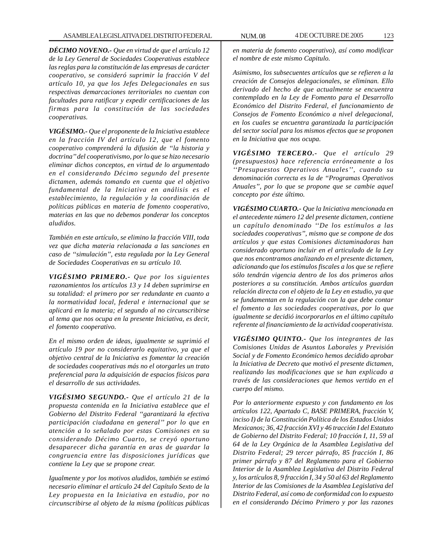*DÉCIMO NOVENO.- Que en virtud de que el artículo 12 de la Ley General de Sociedades Cooperativas establece las reglas para la constitución de las empresas de carácter cooperativo, se consideró suprimir la fracción V del artículo 10, ya que los Jefes Delegacionales en sus respectivas demarcaciones territoriales no cuentan con facultades para ratificar y expedir certificaciones de las firmas para la constitución de las sociedades cooperativas.*

*VIGÉSIMO.- Que el proponente de la Iniciativa establece en la fracción IV del artículo 12, que el fomento cooperativo comprenderá la difusión de ''la historia y doctrina'' del cooperativismo, por lo que se hizo necesario eliminar dichos conceptos, en virtud de lo argumentado en el considerando Décimo segundo del presente dictamen, además tomando en cuenta que el objetivo fundamental de la Iniciativa en análisis es el establecimiento, la regulación y la coordinación de políticas públicas en materia de fomento cooperativo, materias en las que no debemos ponderar los conceptos aludidos.*

*También en este artículo, se elimino la fracción VIII, toda vez que dicha materia relacionada a las sanciones en caso de ''simulación'', esta regulada por la Ley General de Sociedades Cooperativas en su artículo 10.*

*VIGÉSIMO PRIMERO.- Que por los siguientes razonamientos los artículos 13 y 14 deben suprimirse en su totalidad: el primero por ser redundante en cuanto a la normatividad local, federal e internacional que se aplicará en la materia; el segundo al no circunscribirse al tema que nos ocupa en la presente Iniciativa, es decir, el fomento cooperativo.*

*En el mismo orden de ideas, igualmente se suprimió el artículo 19 por no considerarlo equitativo, ya que el objetivo central de la Iniciativa es fomentar la creación de sociedades cooperativas más no el otorgarles un trato preferencial para la adquisición de espacios físicos para el desarrollo de sus actividades.*

*VIGÉSIMO SEGUNDO.- Que el artículo 21 de la propuesta contenida en la Iniciativa establece que el Gobierno del Distrito Federal ''garantizará la efectiva participación ciudadana en general'' por lo que en atención a lo señalado por estas Comisiones en su considerando Décimo Cuarto, se creyó oportuno desaparecer dicha garantía en aras de guardar la congruencia entre las disposiciones jurídicas que contiene la Ley que se propone crear.*

*Igualmente y por los motivos aludidos, también se estimó necesario eliminar el artículo 24 del Capítulo Sexto de la Ley propuesta en la Iniciativa en estudio, por no circunscribirse al objeto de la misma (políticas públicas*

*en materia de fomento cooperativo), así como modificar el nombre de este mismo Capitulo.*

*Asimismo, los subsecuentes artículos que se refieren a la creación de Consejos delegacionales, se eliminan. Ello derivado del hecho de que actualmente se encuentra contemplado en la Ley de Fomento para el Desarrollo Económico del Distrito Federal, el funcionamiento de Consejos de Fomento Económico a nivel delegacional, en los cuales se encuentra garantizada la participación del sector social para los mismos efectos que se proponen en la Iniciativa que nos ocupa.*

*VIGÉSIMO TERCERO.- Que el artículo 29 (presupuestos) hace referencia erróneamente a los ''Presupuestos Operativos Anuales'', cuando su denominación correcta es la de ''Programas Operativos Anuales'', por lo que se propone que se cambie aquel concepto por éste último.*

*VIGÉSIMO CUARTO.- Que la Iniciativa mencionada en el antecedente número 12 del presente dictamen, contiene un capítulo denominado ''De los estímulos a las sociedades cooperativas'', mismo que se compone de dos artículos y que estas Comisiones dictaminadoras han considerado oportuno incluir en el articulado de la Ley que nos encontramos analizando en el presente dictamen, adicionando que los estímulos fiscales a los que se refiere sólo tendrán vigencia dentro de los dos primeros años posteriores a su constitución. Ambos artículos guardan relación directa con el objeto de la Ley en estudio, ya que se fundamentan en la regulación con la que debe contar el fomento a las sociedades cooperativas, por lo que igualmente se decidió incorporarlos en el último capítulo referente al financiamiento de la actividad cooperativista.*

*VIGÉSIMO QUINTO.- Que los integrantes de las Comisiones Unidas de Asuntos Laborales y Previsión Social y de Fomento Económico hemos decidido aprobar la Iniciativa de Decreto que motivó el presente dictamen, realizando las modificaciones que se han explicado a través de las consideraciones que hemos vertido en el cuerpo del mismo.*

*Por lo anteriormente expuesto y con fundamento en los artículos 122, Apartado C, BASE PRIMERA, fracción V, inciso I) de la Constitución Política de los Estados Unidos Mexicanos; 36, 42 fracción XVI y 46 tracción I del Estatuto de Gobierno del Distrito Federal; 10 fracción I, 11, 59 al 64 de la Ley Orgánica de la Asamblea Legislativa del Distrito Federal; 29 tercer párrafo, 85 fracción I, 86 primer párrafo y 87 del Reglamento para el Gobierno Interior de la Asamblea Legislativa del Distrito Federal y, los artículos 8, 9 fracción I, 34 y 50 al 63 del Reglamento Interior de las Comisiones de la Asamblea Legislativa del Distrito Federal, así como de conformidad con lo expuesto en el considerando Décimo Primero y por las razones*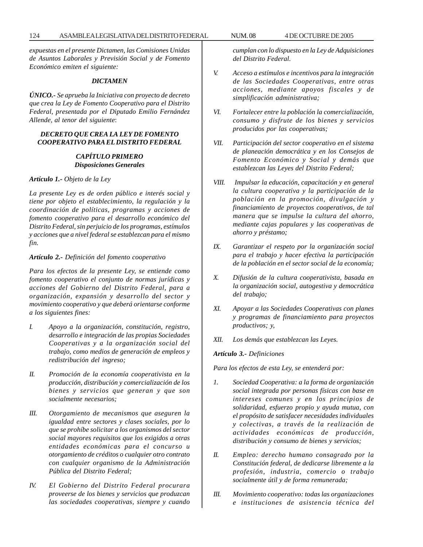*expuestas en el presente Dictamen, las Comisiones Unidas de Asuntos Laborales y Previsión Social y de Fomento Económico emiten el siguiente:*

### *DICTAMEN*

*ÚNICO.- Se aprueba la Iniciativa con proyecto de decreto que crea la Ley de Fomento Cooperativo para el Distrito Federal, presentada por el Diputado Emilio Fernández Allende, al tenor del siguiente*:

# *DECRETO QUE CREA LA LEY DE FOMENTO COOPERATIVO PARA EL DISTRITO FEDERAL*

# *CAPÍTULO PRIMERO Disposiciones Generales*

*Artículo 1.- Objeto de la Ley*

*La presente Ley es de orden público e interés social y tiene por objeto el establecimiento, la regulación y la coordinación de políticas, programas y acciones de fomento cooperativo para el desarrollo económico del Distrito Federal, sin perjuicio de los programas, estímulos y acciones que a nivel federal se establezcan para el mismo fin.*

### *Artículo 2.- Definición del fomento cooperativo*

*Para los efectos de la presente Ley, se entiende como fomento cooperativo el conjunto de normas jurídicas y acciones del Gobierno del Distrito Federal, para a organización, expansión y desarrollo del sector y movimiento cooperativo y que deberá orientarse conforme a los siguientes fines:*

- *I. Apoyo a la organización, constitución, registro, desarrollo e integración de las propias Sociedades Cooperativas y a la organización social del trabajo, como medios de generación de empleos y redistribución del ingreso;*
- *II. Promoción de la economía cooperativista en la producción, distribución y comercialización de los bienes y servicios que generan y que son socialmente necesarios;*
- *III. Otorgamiento de mecanismos que aseguren la igualdad entre sectores y clases sociales, por lo que se prohíbe solicitar a los organismos del sector social mayores requisitos que los exigidos a otras entidades económicas para el concurso u otorgamiento de créditos o cualquier otro contrato con cualquier organismo de la Administración Pública del Distrito Federal;*
- *IV. El Gobierno del Distrito Federal procurara proveerse de los bienes y servicios que produzcan las sociedades cooperativas, siempre y cuando*

*cumplan con lo dispuesto en la Ley de Adquisiciones del Distrito Federal.*

- *V. Acceso a estímulos e incentivos para la integración de las Sociedades Cooperativas, entre otras acciones, mediante apoyos fiscales y de simplificación administrativa;*
- *VI. Fortalecer entre la población la comercialización, consumo y disfrute de los bienes y servicios producidos por las cooperativas;*
- *VII. Participación del sector cooperativo en el sistema de planeación democrática y en los Consejos de Fomento Económico y Social y demás que establezcan las Leyes del Distrito Federal;*
- *VIII. Impulsar la educación, capacitación y en general la cultura cooperativa y la participación de la población en la promoción, divulgación y financiamiento de proyectos cooperativos, de tal manera que se impulse la cultura del ahorro, mediante cajas populares y las cooperativas de ahorro y préstamo;*
- *IX. Garantizar el respeto por la organización social para el trabajo y hacer efectiva la participación de la población en el sector social de la economía;*
- *X. Difusión de la cultura cooperativista, basada en la organización social, autogestiva y democrática del trabajo;*
- *XI. Apoyar a las Sociedades Cooperativas con planes y programas de financiamiento para proyectos productivos; y,*
- *XII. Los demás que establezcan las Leyes.*

### *Artículo 3.- Definiciones*

*Para los efectos de esta Ley, se entenderá por:*

- *1. Sociedad Cooperativa: a la forma de organización social integrada por personas físicas con base en intereses comunes y en los principios de solidaridad, esfuerzo propio y ayuda mutua, con el propósito de satisfacer necesidades individuales y colectivas, a través de la realización de actividades económicas de producción, distribución y consumo de bienes y servicios;*
- *II. Empleo: derecho humano consagrado por la Constitución federal, de dedicarse libremente a la profesión, industria, comercio o trabajo socialmente útil y de forma remunerada;*
- *III. Movimiento cooperativo: todas las organizaciones e instituciones de asistencia técnica del*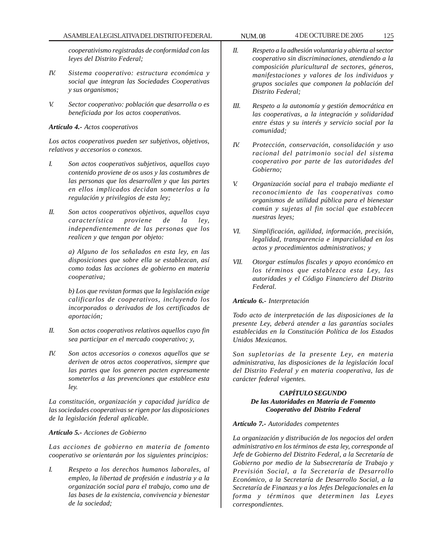# ASAMBLEA LEGISLATIVA DEL DISTRITO FEDERAL NUM. 08 4DE OCTUBRE DE 2005 125

*cooperativismo registradas de conformidad con las leyes del Distrito Federal;*

- *IV. Sistema cooperativo: estructura económica y social que integran las Sociedades Cooperativas y sus organismos;*
- *V. Sector cooperativo: población que desarrolla o es beneficiada por los actos cooperativos.*

## *Artículo 4.- Actos cooperativos*

*Los actos cooperativos pueden ser subjetivos, objetivos, relativos y accesorios o conexos.*

- *I. Son actos cooperativos subjetivos, aquellos cuyo contenido proviene de os usos y las costumbres de las personas que los desarrollen y que las partes en ellos implicados decidan someterlos a la regulación y privilegios de esta ley;*
- *II. Son actos cooperativos objetivos, aquellos cuya característica proviene de la ley, independientemente de las personas que los realicen y que tengan por objeto:*

*a) Alguno de los señalados en esta ley, en las disposiciones que sobre ella se establezcan, así como todas las acciones de gobierno en materia cooperativa;*

*b) Los que revistan formas que la legislación exige calificarlos de cooperativos, incluyendo los incorporados o derivados de los certificados de aportación;*

- *II. Son actos cooperativos relativos aquellos cuyo fin sea participar en el mercado cooperativo; y,*
- *IV. Son actos accesorios o conexos aquellos que se deriven de otros actos cooperativos, siempre que las partes que los generen pacten expresamente someterlos a las prevenciones que establece esta ley.*

*La constitución, organización y capacidad jurídica de las sociedades cooperativas se rigen por las disposiciones de la legislación federal aplicable.*

# *Artículo 5.- Acciones de Gobierno*

*Las acciones de gobierno en materia de fomento cooperativo se orientarán por los siguientes principios:*

*I. Respeto a los derechos humanos laborales, al empleo, la libertad de profesión e industria y a la organización social para el trabajo, como una de las bases de la existencia, convivencia y bienestar de la sociedad;*

- *II. Respeto a la adhesión voluntaria y abierta al sector cooperativo sin discriminaciones, atendiendo a la composición pluricultural de sectores, géneros, manifestaciones y valores de los individuos y grupos sociales que componen la población del Distrito Federal;*
- *III. Respeto a la autonomía y gestión democrática en las cooperativas, a la integración y solidaridad entre éstas y su interés y servicio social por la comunidad;*
- *IV. Protección, conservación, consolidación y uso racional del patrimonio social del sistema cooperativo por parte de las autoridades del Gobierno;*
- *V. Organización social para el trabajo mediante el reconocimiento de las cooperativas como organismos de utilidad pública para el bienestar común y sujetas al fin social que establecen nuestras leyes;*
- *VI. Simplificación, agilidad, información, precisión, legalidad, transparencia e imparcialidad en los actos y procedimientos administrativos; y*
- *VII. Otorgar estímulos fiscales y apoyo económico en los términos que establezca esta Ley, las autoridades y el Código Financiero del Distrito Federal.*

## *Artículo 6.- Interpretación*

*Todo acto de interpretación de las disposiciones de la presente Ley, deberá atender a las garantías sociales establecidas en la Constitución Política de los Estados Unidos Mexicanos.*

*Son supletorias de la presente Ley, en materia administrativa, las disposiciones de la legislación local del Distrito Federal y en materia cooperativa, las de carácter federal vigentes.*

# *CAPÍTULO SEGUNDO De las Autoridades en Materia de Fomento Cooperativo del Distrito Federal*

## *Artículo 7.- Autoridades competentes*

*La organización y distribución de los negocios del orden administrativo en los términos de esta ley, corresponde al Jefe de Gobierno del Distrito Federal, a la Secretaría de Gobierno por medio de la Subsecretaría de Trabajo y Previsión Social, a la Secretaría de Desarrollo Económico, a la Secretaría de Desarrollo Social, a la Secretaría de Finanzas y a los Jefes Delegacionales en la forma y términos que determinen las Leyes correspondientes.*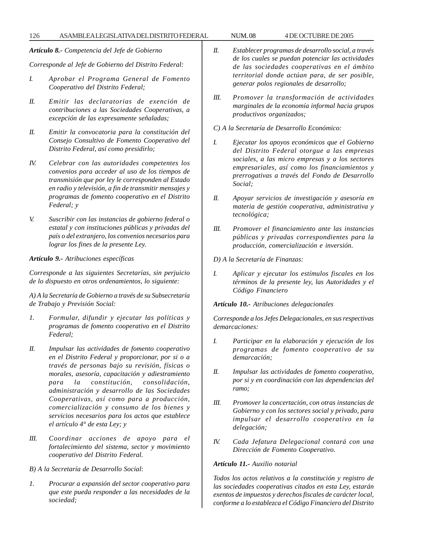*Artículo 8.- Competencia del Jefe de Gobierno*

*Corresponde al Jefe de Gobierno del Distrito Federal:*

- *I. Aprobar el Programa General de Fomento Cooperativo del Distrito Federal;*
- *II. Emitir las declaratorias de exención de contribuciones a las Sociedades Cooperativas, a excepción de las expresamente señaladas;*
- *II. Emitir la convocatoria para la constitución del Consejo Consultivo de Fomento Cooperativo del Distrito Federal, así como presidirlo;*
- *IV. Celebrar con las autoridades competentes los convenios para acceder al uso de los tiempos de transmisión que por ley le corresponden al Estado en radio y televisión, a fin de transmitir mensajes y programas de fomento cooperativo en el Distrito Federal; y*
- *V. Suscribir con las instancias de gobierno federal o estatal y con instituciones públicas y privadas del país o del extranjero, los convenios necesarios para lograr los fines de la presente Ley.*

*Artículo 9.- Atribuciones específicas*

*Corresponde a las siguientes Secretarías, sin perjuicio de lo dispuesto en otros ordenamientos, lo siguiente:*

*A) A la Secretaría de Gobierno a través de su Subsecretaría de Trabajo y Previsión Social:*

- *1. Formular, difundir y ejecutar las políticas y programas de fomento cooperativo en el Distrito Federal;*
- *II. Impulsar las actividades de fomento cooperativo en el Distrito Federal y proporcionar, por si o a través de personas bajo su revisión, físicas o morales, asesoría, capacitación y adiestramiento para la constitución, consolidación, administración y desarrollo de las Sociedades Cooperativas, así como para a producción, comercialización y consumo de los bienes y servicios necesarios para los actos que establece el artículo 4° de esta Ley; y*
- *III. Coordinar acciones de apoyo para el fortalecimiento del sistema, sector y movimiento cooperativo del Distrito Federal.*
- *B) A la Secretaría de Desarrollo Social*:
- *1. Procurar a expansión del sector cooperativo para que este pueda responder a las necesidades de la sociedad;*
- *II. Establecer programas de desarrollo social, a través de los cuales se puedan potenciar las actividades de las sociedades cooperativas en el ámbito territorial donde actúan para, de ser posible, generar polos regionales de desarrollo;*
- *III. Promover la transformación de actividades marginales de la economía informal hacia grupos productivos organizados;*
- *C) A la Secretaría de Desarrollo Económico:*
- *I. Ejecutar los apoyos económicos que el Gobierno del Distrito Federal otorgue a las empresas sociales, a las micro empresas y a los sectores empresariales, así como los financiamientos y prerrogativas a través del Fondo de Desarrollo Social;*
- *II. Apoyar servicios de investigación y asesoría en materia de gestión cooperativa, administrativa y tecnológica;*
- *III. Promover el financiamiento ante las instancias públicas y privadas correspondientes para la producción, comercialización e inversión*.
- *D) A la Secretaría de Finanzas:*
- *I. Aplicar y ejecutar los estímulos fiscales en los términos de la presente ley, las Autoridades y el Código Financiero*

*Artículo 10.- Atribuciones delegacionales*

*Corresponde a los Jefes Delegacionales, en sus respectivas demarcaciones:*

- *I. Participar en la elaboración y ejecución de los programas de fomento cooperativo de su demarcación;*
- *II. Impulsar las actividades de fomento cooperativo, por si y en coordinación con las dependencias del ramo;*
- *III. Promover la concertación, con otras instancias de Gobierno y con los sectores social y privado, para impulsar el desarrollo cooperativo en la delegación;*
- *IV. Cada Jefatura Delegacional contará con una Dirección de Fomento Cooperativo*.

# *Artículo 11.- Auxilio notarial*

*Todos los actos relativos a la constitución y registro de las sociedades cooperativas citados en esta Ley, estarán exentos de impuestos y derechos fiscales de carácter local, conforme a lo establezca el Código Financiero del Distrito*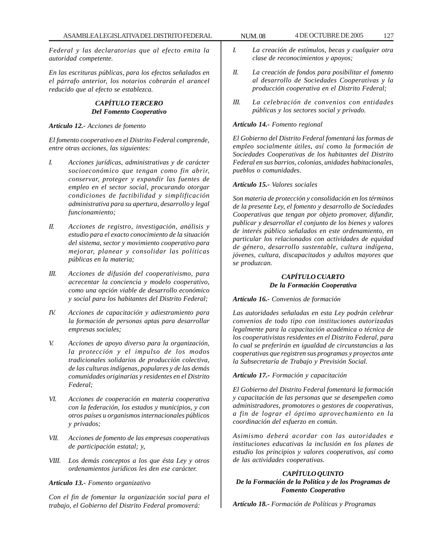*Federal y las declaratorias que al efecto emita la autoridad competente.*

*En las escrituras públicas, para los efectos señalados en el párrafo anterior, los notarios cobrarán el arancel reducido que al efecto se establezca.*

# *CAPÍTULO TERCERO Del Fomento Cooperativo*

### *Artículo 12.- Acciones de fomento*

*El fomento cooperativo en el Distrito Federal comprende, entre otras acciones, las siguientes:*

- *I. Acciones jurídicas, administrativas y de carácter socioeconómico que tengan como fin abrir, conservar, proteger y expandir las fuentes de empleo en el sector social, procurando otorgar condiciones de factibilidad y simplificación administrativa para su apertura, desarrollo y legal funcionamiento;*
- *II. Acciones de registro, investigación, análisis y estudio para el exacto conocimiento de la situación del sistema, sector y movimiento cooperativo para mejorar, planear y consolidar las políticas públicas en la materia;*
- *III. Acciones de difusión del cooperativismo, para acrecentar la conciencia y modelo cooperativo, como una opción viable de desarrollo económico y social para los habitantes del Distrito Federal;*
- *IV. Acciones de capacitación y adiestramiento para la formación de personas aptas para desarrollar empresas sociales;*
- *V. Acciones de apoyo diverso para la organización, la protección y el impulso de los modos tradicionales solidarios de producción colectiva, de las culturas indígenas, populares y de las demás comunidades originarias y residentes en el Distrito Federal;*
- *VI. Acciones de cooperación en materia cooperativa con la federación, los estados y municipios, y con otros países u organismos internacionales públicos y privados;*
- *VII. Acciones de fomento de las empresas cooperativas de participación estatal; y,*
- *VIII. Los demás conceptos a los que ésta Ley y otros ordenamientos jurídicos les den ese carácter.*

#### *Artículo 13.- Fomento organizativo*

*Con el fin de fomentar la organización social para el trabajo, el Gobierno del Distrito Federal promoverá:*

- *I. La creación de estímulos, becas y cualquier otra clase de reconocimientos y apoyos;*
- *II. La creación de fondos para posibilitar el fomento al desarrollo de Sociedades Cooperativas y la producción cooperativa en el Distrito Federal;*
- *III. La celebración de convenios con entidades públicas y los sectores social y privado.*

### *Artículo 14.- Fomento regional*

*El Gobierno del Distrito Federal fomentará las formas de empleo socialmente útiles, así como la formación de Sociedades Cooperativas de los habitantes del Distrito Federal en sus barrios, colonias, unidades habitacionales, pueblos o comunidades*.

#### *Artículo 15.- Valores sociales*

*Son materia de protección y consolidación en los términos de la presente Ley, el fomento y desarrollo de Sociedades Cooperativas que tengan por objeto promover, difundir, publicar y desarrollar el conjunto de los bienes y valores de interés público señalados en este ordenamiento, en particular los relacionados con actividades de equidad de género, desarrollo sustentable, cultura indígena, jóvenes, cultura, discapacitados y adultos mayores que se produzcan.*

# *CAPÍTULO CUARTO De la Formación Cooperativa*

*Artículo 16.- Convenios de formación*

*Las autoridades señaladas en esta Ley podrán celebrar convenios de todo tipo con instituciones autorizadas legalmente para la capacitación académica o técnica de los cooperativistas residentes en el Distrito Federal, para lo cual se preferirán en igualdad de circunstancias a las cooperativas que registren sus programas y proyectos ante la Subsecretaría de Trabajo y Previsión Social.*

### *Artículo 17.- Formación y capacitación*

*El Gobierno del Distrito Federal fomentará la formación y capacitación de las personas que se desempeñen como administradores, promotores o gestores de cooperativas, a fin de lograr el óptimo aprovechamiento en la coordinación del esfuerzo en común.*

*Asimismo deberá acordar con las autoridades e instituciones educativas la inclusión en los planes de estudio los principios y valores cooperativos, así como de las actividades cooperativas*.

# *CAPÍTULO QUINTO De la Formación de la Política y de los Programas de Fomento Cooperativo*

*Artículo 18.- Formación de Políticas y Programas*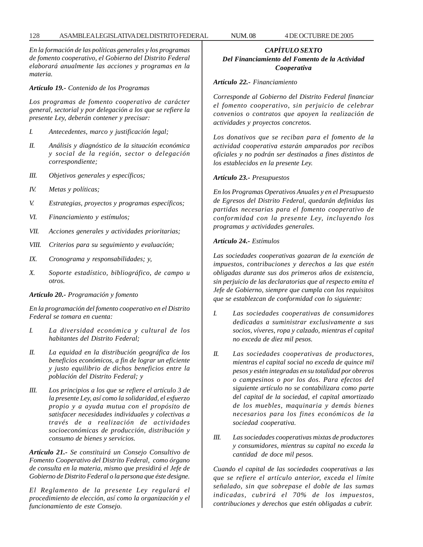*En la formación de las políticas generales y los programas de fomento cooperativo, el Gobierno del Distrito Federal elaborará anualmente las acciones y programas en la materia.*

# *Artículo 19.- Contenido de los Programas*

*Los programas de fomento cooperativo de carácter general, sectorial y por delegación a los que se refiere la presente Ley, deberán contener y precisar:*

- *I. Antecedentes, marco y justificación legal;*
- *II. Análisis y diagnóstico de la situación económica y social de la región, sector o delegación correspondiente;*
- *III. Objetivos generales y específicos;*
- *IV. Metas y políticas;*
- *V. Estrategias, proyectos y programas específicos;*
- *VI. Financiamiento y estímulos;*
- *VII. Acciones generales y actividades prioritarias;*
- *VIII. Criterios para su seguimiento y evaluación;*
- *IX. Cronograma y responsabilidades; y,*
- *X. Soporte estadístico, bibliográfico, de campo u otros.*

## *Artículo 20.- Programación y fomento*

*En la programación del fomento cooperativo en el Distrito Federal se tomara en cuenta:*

- *I. La diversidad económica y cultural de los habitantes del Distrito Federal;*
- *II. La equidad en la distribución geográfica de los beneficios económicos, a fin de lograr un eficiente y justo equilibrio de dichos beneficios entre la población del Distrito Federal; y*
- *III. Los principios a los que se refiere el artículo 3 de la presente Ley, así como la solidaridad, el esfuerzo propio y a ayuda mutua con el propósito de satisfacer necesidades individuales y colectivas a través de a realización de actividades socioeconómicas de producción, distribución y consumo de bienes y servicios.*

*Artículo 21.- Se constituirá un Consejo Consultivo de Fomento Cooperativo del Distrito Federal, como órgano de consulta en la materia, mismo que presidirá el Jefe de Gobierno de Distrito Federal o la persona que éste designe.*

*El Reglamento de la presente Ley regulará el procedimiento de elección, así como la organización y el funcionamiento de este Consejo.*

# *CAPÍTULO SEXTO Del Financiamiento del Fomento de la Actividad Cooperativa*

# *Artículo 22.- Financiamiento*

*Corresponde al Gobierno del Distrito Federal financiar el fomento cooperativo, sin perjuicio de celebrar convenios o contratos que apoyen la realización de actividades y proyectos concretos.*

*Los donativos que se reciban para el fomento de la actividad cooperativa estarán amparados por recibos oficiales y no podrán ser destinados a fines distintos de los establecidos en la presente Ley.*

# *Artículo 23.- Presupuestos*

*En los Programas Operativos Anuales y en el Presupuesto de Egresos del Distrito Federal, quedarán definidas las partidas necesarias para el fomento cooperativo de conformidad con la presente Ley, incluyendo los programas y actividades generales.*

# *Artículo 24.- Estímulos*

*Las sociedades cooperativas gozaran de la exención de impuestos, contribuciones y derechos a las que estén obligadas durante sus dos primeros años de existencia, sin perjuicio de las declaratorias que al respecto emita el Jefe de Gobierno, siempre que cumpla con los requisitos que se establezcan de conformidad con lo siguiente:*

- *I. Las sociedades cooperativas de consumidores dedicadas a suministrar exclusivamente a sus socios, víveres, ropa y calzado, mientras el capital no exceda de diez mil pesos.*
- *II. Las sociedades cooperativas de productores, mientras el capital social no exceda de quince mil pesos y estén integradas en su totalidad por obreros o campesinos o por los dos. Para efectos del siguiente artículo no se contabilizara como parte del capital de la sociedad, el capital amortizado de los muebles, maquinaria y demás bienes necesarios para los fines económicos de la sociedad cooperativa.*
- *III. Las sociedades cooperativas mixtas de productores y consumidores, mientras su capital no exceda la cantidad de doce mil pesos.*

*Cuando el capital de las sociedades cooperativas a las que se refiere el artículo anterior, exceda el límite señalado, sin que sobrepase el doble de las sumas indicadas, cubrirá el 70% de los impuestos, contribuciones y derechos que estén obligadas a cubrir.*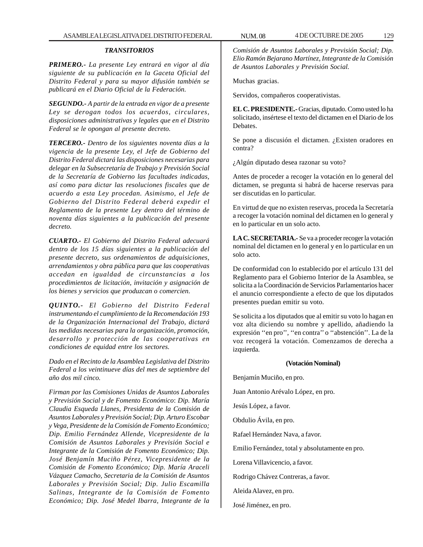### *TRANSITORIOS*

*PRIMERO.- La presente Ley entrará en vigor al día siguiente de su publicación en la Gaceta Oficial del Distrito Federal y para su mayor difusión también se publicará en el Diario Oficial de la Federación.*

*SEGUNDO.- A partir de la entrada en vigor de a presente Ley se derogan todos los acuerdos, circulares, disposiciones administrativas y legales que en el Distrito Federal se le opongan al presente decreto.*

*TERCERO.- Dentro de los siguientes noventa días a la vigencia de la presente Ley, el Jefe de Gobierno del Distrito Federal dictará las disposiciones necesarias para delegar en la Subsecretaría de Trabajo y Previsión Social de la Secretaría de Gobierno las facultades indicadas, así como para dictar las resoluciones fiscales que de acuerdo a esta Ley procedan. Asimismo, el Jefe de Gobierno del Distrito Federal deberá expedir el Reglamento de la presente Ley dentro del término de noventa días siguientes a la publicación del presente decreto.*

*CUARTO.- El Gobierno del Distrito Federal adecuará dentro de los 15 días siguientes a la publicación del presente decreto, sus ordenamientos de adquisiciones, arrendamientos y obra pública para que las cooperativas accedan en igualdad de circunstancias a los procedimientos de licitación, invitación y asignación de los bienes y servicios que produzcan o comercien.*

*QUINTO.- El Gobierno del Distrito Federal instrumentando el cumplimiento de la Recomendación 193 de la Organización Internacional del Trabajo, dictará las medidas necesarias para la organización, promoción, desarrollo y protección de las cooperativas en condiciones de equidad entre los sectores.*

*Dado en el Recinto de la Asamblea Legislativa del Distrito Federal a los veintinueve días del mes de septiembre del año dos mil cinco.*

*Firman por las Comisiones Unidas de Asuntos Laborales y Previsión Social y de Fomento Económico*: *Dip. María Claudia Esqueda Llanes, Presidenta de la Comisión de Asuntos Laborales y Previsión Social; Dip. Arturo Escobar y Vega, Presidente de la Comisión de Fomento Económico; Dip. Emilio Fernández Allende, Vicepresidente de la Comisión de Asuntos Laborales y Previsión Social e Integrante de la Comisión de Fomento Económico; Dip. José Benjamín Muciño Pérez, Vicepresidente de la Comisión de Fomento Económico; Dip. María Araceli Vázquez Camacho, Secretaria de la Comisión de Asuntos Laborales y Previsión Social; Dip. Julio Escamilla Salinas, Integrante de la Comisión de Fomento Económico; Dip. José Medel Ibarra, Integrante de la*

*Comisión de Asuntos Laborales y Previsión Social; Dip. Elio Ramón Bejarano Martínez, Integrante de la Comisión de Asuntos Laborales y Previsión Social.*

Muchas gracias.

Servidos, compañeros cooperativistas.

**EL C. PRESIDENTE.-** Gracias, diputado. Como usted lo ha solicitado, insértese el texto del dictamen en el Diario de los Debates.

Se pone a discusión el dictamen. ¿Existen oradores en contra?

¿Algún diputado desea razonar su voto?

Antes de proceder a recoger la votación en lo general del dictamen, se pregunta si habrá de hacerse reservas para ser discutidas en lo particular.

En virtud de que no existen reservas, proceda la Secretaría a recoger la votación nominal del dictamen en lo general y en lo particular en un solo acto.

**LA C. SECRETARIA.-** Se va a proceder recoger la votación nominal del dictamen en lo general y en lo particular en un solo acto.

De conformidad con lo establecido por el artículo 131 del Reglamento para el Gobierno Interior de la Asamblea, se solicita a la Coordinación de Servicios Parlamentarios hacer el anuncio correspondiente a efecto de que los diputados presentes puedan emitir su voto.

Se solicita a los diputados que al emitir su voto lo hagan en voz alta diciendo su nombre y apellido, añadiendo la expresión ''en pro'', ''en contra'' o ''abstención''. La de la voz recogerá la votación. Comenzamos de derecha a izquierda.

## **(Votación Nominal)**

Benjamín Muciño, en pro.

Juan Antonio Arévalo López, en pro.

Jesús López, a favor.

Obdulio Ávila, en pro.

Rafael Hernández Nava, a favor.

Emilio Fernández, total y absolutamente en pro.

Lorena Villavicencio, a favor.

Rodrigo Chávez Contreras, a favor.

Aleida Alavez, en pro.

José Jiménez, en pro.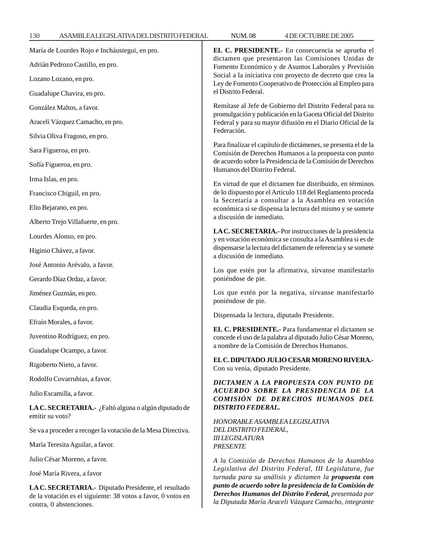| María de Lourdes Rojo e Incháustegui, en pro.                                                                                                   | EL C. PRESIDENTE.- En consecuencia se aprueba el<br>dictamen que presentaron las Comisiones Unidas de<br>Fomento Económico y de Asuntos Laborales y Previsión<br>Social a la iniciativa con proyecto de decreto que crea la<br>Ley de Fomento Cooperativo de Protección al Empleo para<br>el Distrito Federal.                                  |
|-------------------------------------------------------------------------------------------------------------------------------------------------|-------------------------------------------------------------------------------------------------------------------------------------------------------------------------------------------------------------------------------------------------------------------------------------------------------------------------------------------------|
| Adrián Pedrozo Castillo, en pro.                                                                                                                |                                                                                                                                                                                                                                                                                                                                                 |
| Lozano Lozano, en pro.                                                                                                                          |                                                                                                                                                                                                                                                                                                                                                 |
| Guadalupe Chavira, en pro.                                                                                                                      |                                                                                                                                                                                                                                                                                                                                                 |
| González Maltos, a favor.                                                                                                                       | Remítase al Jefe de Gobierno del Distrito Federal para su<br>promulgación y publicación en la Gaceta Oficial del Distrito<br>Federal y para su mayor difusión en el Diario Oficial de la<br>Federación.                                                                                                                                         |
| Araceli Vázquez Camacho, en pro.                                                                                                                |                                                                                                                                                                                                                                                                                                                                                 |
| Silvia Oliva Fragoso, en pro.                                                                                                                   |                                                                                                                                                                                                                                                                                                                                                 |
| Sara Figueroa, en pro.                                                                                                                          | Para finalizar el capítulo de dictámenes, se presenta el de la<br>Comisión de Derechos Humanos a la propuesta con punto<br>de acuerdo sobre la Presidencia de la Comisión de Derechos<br>Humanos del Distrito Federal.                                                                                                                          |
| Sofía Figueroa, en pro.                                                                                                                         |                                                                                                                                                                                                                                                                                                                                                 |
| Irma Islas, en pro.                                                                                                                             | En virtud de que el dictamen fue distribuido, en términos                                                                                                                                                                                                                                                                                       |
| Francisco Chiguil, en pro.                                                                                                                      | de lo dispuesto por el Artículo 118 del Reglamento proceda<br>la Secretaría a consultar a la Asamblea en votación<br>económica si se dispensa la lectura del mismo y se somete<br>a discusión de inmediato.                                                                                                                                     |
| Elio Bejarano, en pro.                                                                                                                          |                                                                                                                                                                                                                                                                                                                                                 |
| Alberto Trejo Villafuerte, en pro.                                                                                                              |                                                                                                                                                                                                                                                                                                                                                 |
| Lourdes Alonso, en pro.                                                                                                                         | LA C. SECRETARIA.- Por instrucciones de la presidencia<br>y en votación económica se consulta a la Asamblea si es de<br>dispensarse la lectura del dictamen de referencia y se somete<br>a discusión de inmediato.                                                                                                                              |
| Higinio Chávez, a favor.                                                                                                                        |                                                                                                                                                                                                                                                                                                                                                 |
| José Antonio Arévalo, a favor.                                                                                                                  | Los que estén por la afirmativa, sírvanse manifestarlo<br>poniéndose de pie.                                                                                                                                                                                                                                                                    |
| Gerardo Díaz Ordaz, a favor.                                                                                                                    |                                                                                                                                                                                                                                                                                                                                                 |
| Jiménez Guzmán, en pro.                                                                                                                         | Los que estén por la negativa, sírvanse manifestarlo<br>poniéndose de pie.<br>Dispensada la lectura, diputado Presidente.<br>EL C. PRESIDENTE.- Para fundamentar el dictamen se<br>concede el uso de la palabra al diputado Julio César Moreno,<br>a nombre de la Comisión de Derechos Humanos.                                                 |
| Claudia Esqueda, en pro.                                                                                                                        |                                                                                                                                                                                                                                                                                                                                                 |
| Efraín Morales, a favor.                                                                                                                        |                                                                                                                                                                                                                                                                                                                                                 |
| Juventino Rodríguez, en pro.                                                                                                                    |                                                                                                                                                                                                                                                                                                                                                 |
| Guadalupe Ocampo, a favor.                                                                                                                      |                                                                                                                                                                                                                                                                                                                                                 |
| Rigoberto Nieto, a favor.                                                                                                                       | EL C. DIPUTADO JULIO CESAR MORENO RIVERA.-<br>Con su venia, diputado Presidente.                                                                                                                                                                                                                                                                |
| Rodolfo Covarrubias, a favor.                                                                                                                   | DICTAMEN A LA PROPUESTA CON PUNTO DE<br>ACUERDO SOBRE LA PRESIDENCIA DE LA<br>COMISIÓN DE DERECHOS HUMANOS DEL<br><b>DISTRITO FEDERAL.</b><br>HONORABLE ASAMBLEA LEGISLATIVA<br>DEL DISTRITO FEDERAL,<br><b>III LEGISLATURA</b><br><b>PRESENTE</b>                                                                                              |
| Julio Escamilla, a favor.                                                                                                                       |                                                                                                                                                                                                                                                                                                                                                 |
| LA C. SECRETARIA.- ¿Faltó alguna o algún diputado de<br>emitir su voto?                                                                         |                                                                                                                                                                                                                                                                                                                                                 |
| Se va a proceder a recoger la votación de la Mesa Directiva.                                                                                    |                                                                                                                                                                                                                                                                                                                                                 |
| María Teresita Aguilar, a favor.                                                                                                                |                                                                                                                                                                                                                                                                                                                                                 |
| Julio César Moreno, a favor.                                                                                                                    | A la Comisión de Derechos Humanos de la Asamblea<br>Legislativa del Distrito Federal, III Legislatura, fue<br>turnada para su análisis y dictamen la propuesta con<br>punto de acuerdo sobre la presidencia de la Comisión de<br>Derechos Humanos del Distrito Federal, presentada por<br>la Diputada María Araceli Vázquez Camacho, integrante |
| José María Rivera, a favor                                                                                                                      |                                                                                                                                                                                                                                                                                                                                                 |
| LA C. SECRETARIA.- Diputado Presidente, el resultado<br>de la votación es el siguiente: 38 votos a favor, 0 votos en<br>contra, 0 abstenciones. |                                                                                                                                                                                                                                                                                                                                                 |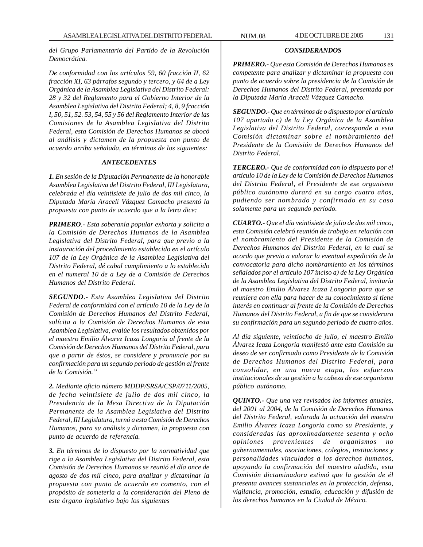*del Grupo Parlamentario del Partido de la Revolución Democrática.*

*De conformidad con los artículos 59, 60 fracción II, 62 fracción XI, 63 párrafos segundo y tercero, y 64 de a Ley Orgánica de la Asamblea Legislativa del Distrito Federal: 28 y 32 del Reglamento para el Gobierno Interior de la Asamblea Legislativa del Distrito Federal; 4, 8, 9 fracción I, 50, 51, 52. 53, 54, 55 y 56 del Reglamento Interior de las Comisiones de la Asamblea Legislativa del Distrito Federal, esta Comisión de Derechos Humanos se abocó al análisis y dictamen de la propuesta con punto de acuerdo arriba señalada, en términos de los siguientes:*

### *ANTECEDENTES*

*1. En sesión de la Diputación Permanente de la honorable Asamblea Legislativa del Distrito Federal, III Legislatura, celebrada el día veintisiete de julio de dos mil cinco, la Diputada María Araceli Vázquez Camacho presentó la propuesta con punto de acuerdo que a la letra dice:*

*PRIMERO.- Esta soberanía popular exhorta y solicita a la Comisión de Derechos Humanos de la Asamblea Legislativa del Distrito Federal, para que previo a la instauración del procedimiento establecido en el artículo 107 de la Ley Orgánica de la Asamblea Legislativa del Distrito Federal, dé cabal cumplimiento a lo establecido en el numeral 10 de a Ley de a Comisión de Derechos Humanos del Distrito Federal.*

*SEGUNDO.- Esta Asamblea Legislativa del Distrito Federal de conformidad con el artículo 10 de la Ley de la Comisión de Derechos Humanos del Distrito Federal, solícita a la Comisión de Derechos Humanos de esta Asamblea Legislativa, evalúe los resultados obtenidos por el maestro Emilio Álvarez Icaza Longoria al frente de la Comisión de Derechos Humanos del Distrito Federal, para que a partir de éstos, se considere y pronuncie por su confirmación para un segundo periodo de gestión al frente de la Comisión.''*

*2. Mediante oficio número MDDP/SRSA/CSP/0711/2005, de fecha veintisiete de julio de dos mil cinco, la Presidencia de la Mesa Directiva de la Diputación Permanente de la Asamblea Legislativa del Distrito Federal, III Legislatura, turnó a esta Comisión de Derechos Humanos, para su análisis y dictamen, la propuesta con punto de acuerdo de referencia.*

*3. En términos de lo dispuesto por la normatividad que rige a la Asamblea Legislativa del Distrito Federal, esta Comisión de Derechos Humanos se reunió el día once de agosto de dos mil cinco, para analizar y dictaminar la propuesta con punto de acuerdo en comento, con el propósito de someterla a la consideración del Pleno de este órgano legislativo bajo los siguientes*

# *CONSIDERANDOS*

*PRIMERO.- Que esta Comisión de Derechos Humanos es competente para analizar y dictaminar la propuesta con punto de acuerdo sobre la presidencia de la Comisión de Derechos Humanos del Distrito Federal, presentada por la Diputada María Araceli Vázquez Camacho.*

*SEGUNDO.- Que en términos de o dispuesto por el artículo 107 apartado c) de la Ley Orgánica de la Asamblea Legislativa del Distrito Federal, corresponde a esta Comisión dictaminar sobre el nombramiento del Presidente de la Comisión de Derechos Humanos del Distrito Federal.*

*TERCERO.- Que de conformidad con lo dispuesto por el artículo 10 de la Ley de la Comisión de Derechos Humanos del Distrito Federal, el Presidente de ese organismo público autónomo durará en su cargo cuatro años, pudiendo ser nombrado y confirmado en su caso solamente para un segundo período.*

*CUARTO.- Que el día veintisiete de julio de dos mil cinco, esta Comisión celebró reunión de trabajo en relación con el nombramiento del Presidente de la Comisión de Derechos Humanos del Distrito Federal, en la cual se acordo que previo a valorar la eventual expedición de la convocatoria para dicho nombramiento en los términos señalados por el articulo 107 inciso a) de la Ley Orgánica de la Asamblea Legislativa del Distrito Federal, invitaría al maestro Emilio Álvarez Icaza Longoria para que se reuniera con ella para hacer de su conocimiento si tiene interés en continuar al frente de la Comisión de Derechos Humanos del Distrito Federal, a fin de que se considerara su confirmación para un segundo periodo de cuatro años.*

*Al día siguiente, veintiocho de julio, el maestro Emilio Álvarez Icaza Longoria manifestó ante esta Comisión su deseo de ser confirmado como Presidente de la Comisión de Derechos Humanos del Distrito Federal, para consolidar, en una nueva etapa, los esfuerzos institucionales de su gestión a la cabeza de ese organismo público autónomo.*

*QUINTO.- Que una vez revisados los informes anuales, del 2001 al 2004, de la Comisión de Derechos Humanos del Distrito Federal, valorada la actuación del maestro Emilio Álvarez Icaza Longoria como su Presidente, y consideradas las aproximadamente sesenta y ocho opiniones provenientes de organismos no gubernamentales, asociaciones, colegios, instituciones y personalidades vinculados a los derechos humanos, apoyando la confirmación del maestro aludido, esta Comisión dictaminadora estimó que la gestión de él presenta avances sustanciales en la protección, defensa, vigilancia, promoción, estudio, educación y difusión de los derechos humanos en la Ciudad de México.*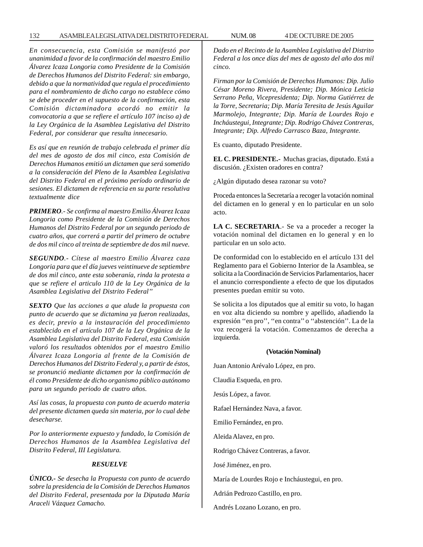*En consecuencia, esta Comisión se manifestó por unanimidad a favor de la confirmación del maestro Emilio Álvarez Icaza Longoria como Presidente de la Comisión de Derechos Humanos del Distrito Federal: sin embargo, debido a que la normatividad que regula el procedimiento para el nombramiento de dicho cargo no establece cómo se debe proceder en el supuesto de la confirmación, esta Comisión dictaminadora acordó no emitir la convocatoria a que se refiere el artículo 107 inciso a) de la Ley Orgánica de la Asamblea Legislativa del Distrito Federal, por considerar que resulta innecesario.*

*Es así que en reunión de trabajo celebrada el primer día del mes de agosto de dos mil cinco, esta Comisión de Derechos Humanos emitió un dictamen que será sometido a la consideración del Pleno de la Asamblea Legislativa del Distrito Federal en el próximo período ordinario de sesiones. El dictamen de referencia en su parte resolutiva textualmente dice*

*PRIMERO.- Se confirma al maestro Emilio Álvarez Icaza Longoria como Presidente de la Comisión de Derechos Humanos del Distrito Federal por un segundo periodo de cuatro años, que correrá a partir del primero de octubre de dos mil cinco al treinta de septiembre de dos mil nueve.*

*SEGUNDO.- Cítese al maestro Emilio Álvarez caza Longoria para que el día jueves veintinueve de septiembre de dos mil cinco, ante esta soberanía, rinda la protesta a que se refiere el articulo 110 de la Ley Orgánica de la Asamblea Legislativa del Distrito Federal''*

*SEXTO Que las acciones a que alude la propuesta con punto de acuerdo que se dictamina ya fueron realizadas, es decir, previo a la instauración del procedimiento establecido en el artículo 107 de la Ley Orgánica de la Asamblea Legislativa del Distrito Federal, esta Comisión valoró los resultados obtenidos por el maestro Emilio Álvarez Icaza Longoria al frente de la Comisión de Derechos Humanos del Distrito Federal y, a partir de éstos, se pronunció mediante dictamen por la confirmación de él como Presidente de dicho organismo público autónomo para un segundo periodo de cuatro años.*

*Así las cosas, la propuesta con punto de acuerdo materia del presente dictamen queda sin materia, por lo cual debe desecharse.*

*Por lo anteriormente expuesto y fundado, la Comisión de Derechos Humanos de la Asamblea Legislativa del Distrito Federal, III Legislatura.*

#### *RESUELVE*

*ÚNICO.- Se desecha la Propuesta con punto de acuerdo sobre la presidencia de la Comisión de Derechos Humanos del Distrito Federal, presentada por la Diputada María Araceli Vázquez Camacho.*

*Dado en el Recinto de la Asamblea Legislativa del Distrito Federal a los once días del mes de agosto del año dos mil cinco.*

*Firman por la Comisión de Derechos Humanos: Dip. Julio César Moreno Rivera, Presidente; Dip. Mónica Leticia Serrano Peña, Vicepresidenta; Dip. Norma Gutiérrez de la Torre, Secretaria; Dip. María Teresita de Jesús Aguilar Marmolejo, Integrante; Dip. María de Lourdes Rojo e Incháustegui, Integrante; Dip. Rodrigo Chávez Contreras, Integrante; Dip. Alfredo Carrasco Baza, Integrante.*

Es cuanto, diputado Presidente.

**EL C. PRESIDENTE.-** Muchas gracias, diputado. Está a discusión. ¿Existen oradores en contra?

¿Algún diputado desea razonar su voto?

Proceda entonces la Secretaría a recoger la votación nominal del dictamen en lo general y en lo particular en un solo acto.

**LA C. SECRETARIA**.- Se va a proceder a recoger la votación nominal del dictamen en lo general y en lo particular en un solo acto.

De conformidad con lo establecido en el artículo 131 del Reglamento para el Gobierno Interior de la Asamblea, se solicita a la Coordinación de Servicios Parlamentarios, hacer el anuncio correspondiente a efecto de que los diputados presentes puedan emitir su voto.

Se solicita a los diputados que al emitir su voto, lo hagan en voz alta diciendo su nombre y apellido, añadiendo la expresión ''en pro'', ''en contra'' o ''abstención''. La de la voz recogerá la votación. Comenzamos de derecha a izquierda.

#### **(Votación Nominal)**

Juan Antonio Arévalo López, en pro.

Claudia Esqueda, en pro.

Jesús López, a favor.

Rafael Hernández Nava, a favor.

Emilio Fernández, en pro.

Aleida Alavez, en pro.

Rodrigo Chávez Contreras, a favor.

José Jiménez, en pro.

María de Lourdes Rojo e Incháustegui, en pro.

Adrián Pedrozo Castillo, en pro.

Andrés Lozano Lozano, en pro.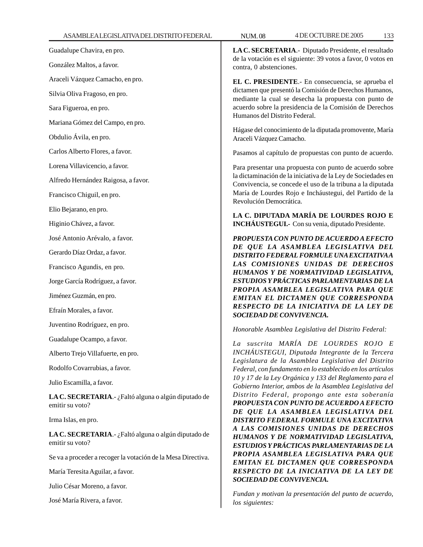Guadalupe Chavira, en pro.

González Maltos, a favor.

Araceli Vázquez Camacho, en pro.

Silvia Oliva Fragoso, en pro.

Sara Figueroa, en pro.

Mariana Gómez del Campo, en pro.

Obdulio Ávila, en pro.

Carlos Alberto Flores, a favor.

Lorena Villavicencio, a favor.

Alfredo Hernández Raigosa, a favor.

Francisco Chiguil, en pro.

Elio Bejarano, en pro.

Higinio Chávez, a favor.

José Antonio Arévalo, a favor.

Gerardo Díaz Ordaz, a favor.

Francisco Agundis, en pro.

Jorge García Rodríguez, a favor.

Jiménez Guzmán, en pro.

Efraín Morales, a favor.

Juventino Rodríguez, en pro.

Guadalupe Ocampo, a favor.

Alberto Trejo Villafuerte, en pro.

Rodolfo Covarrubias, a favor.

Julio Escamilla, a favor.

**LA C. SECRETARIA**.- ¿Faltó alguna o algún diputado de emitir su voto?

Irma Islas, en pro.

**LA C. SECRETARIA**.- ¿Faltó alguna o algún diputado de emitir su voto?

Se va a proceder a recoger la votación de la Mesa Directiva.

María Teresita Aguilar, a favor.

Julio César Moreno, a favor.

José María Rivera, a favor.

**LA C. SECRETARIA**.- Diputado Presidente, el resultado de la votación es el siguiente: 39 votos a favor, 0 votos en contra, 0 abstenciones.

**EL C. PRESIDENTE**.- En consecuencia, se aprueba el dictamen que presentó la Comisión de Derechos Humanos, mediante la cual se desecha la propuesta con punto de acuerdo sobre la presidencia de la Comisión de Derechos Humanos del Distrito Federal.

Hágase del conocimiento de la diputada promovente, María Araceli Vázquez Camacho.

Pasamos al capítulo de propuestas con punto de acuerdo.

Para presentar una propuesta con punto de acuerdo sobre la dictaminación de la iniciativa de la Ley de Sociedades en Convivencia, se concede el uso de la tribuna a la diputada María de Lourdes Rojo e Incháustegui, del Partido de la Revolución Democrática.

**LA C. DIPUTADA MARÍA DE LOURDES ROJO E INCHÁUSTEGUI.-** Con su venia, diputado Presidente.

*PROPUESTA CON PUNTO DE ACUERDO A EFECTO DE QUE LA ASAMBLEA LEGISLATIVA DEL DISTRITO FEDERAL FORMULE UNA EXCITATIVA A LAS COMISIONES UNIDAS DE DERECHOS HUMANOS Y DE NORMATIVIDAD LEGISLATIVA, ESTUDIOS Y PRÁCTICAS PARLAMENTARIAS DE LA PROPIA ASAMBLEA LEGISLATIVA PARA QUE EMITAN EL DICTAMEN QUE CORRESPONDA RESPECTO DE LA INICIATIVA DE LA LEY DE SOCIEDAD DE CONVIVENCIA.*

*Honorable Asamblea Legislativa del Distrito Federal:*

*La suscrita MARÍA DE LOURDES ROJO E INCHÁUSTEGUI, Diputada Integrante de la Tercera Legislatura de la Asamblea Legislativa del Distrito Federal, con fundamento en lo establecido en los artículos 10 y 17 de la Ley Orgánica y 133 del Reglamento para el Gobierno Interior, ambos de la Asamblea Legislativa del Distrito Federal, propongo ante esta soberanía PROPUESTA CON PUNTO DE ACUERDO A EFECTO DE QUE LA ASAMBLEA LEGISLATIVA DEL DISTRITO FEDERAL FORMULE UNA EXCITATIVA A LAS COMISIONES UNIDAS DE DERECHOS HUMANOS Y DE NORMATIVIDAD LEGISLATIVA, ESTUDIOS Y PRÁCTICAS PARLAMENTARIAS DE LA PROPIA ASAMBLEA LEGISLATIVA PARA QUE EMITAN EL DICTAMEN QUE CORRESPONDA RESPECTO DE LA INICIATIVA DE LA LEY DE SOCIEDAD DE CONVIVENCIA.*

*Fundan y motivan la presentación del punto de acuerdo, los siguientes:*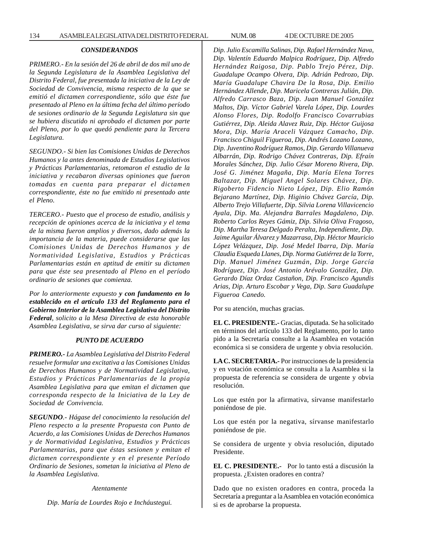# *CONSIDERANDOS*

*PRIMERO.- En la sesión del 26 de abril de dos mil uno de la Segunda Legislatura de la Asamblea Legislativa del Distrito Federal, fue presentada la iniciativa de la Ley de Sociedad de Convivencia, misma respecto de la que se emitió el dictamen correspondiente, sólo que éste fue presentado al Pleno en la última fecha del último período de sesiones ordinario de la Segunda Legislatura sin que se hubiera discutido ni aprobado el dictamen por parte del Pleno, por lo que quedó pendiente para la Tercera Legislatura.*

*SEGUNDO.- Si bien las Comisiones Unidas de Derechos Humanos y la antes denominada de Estudios Legislativos y Prácticas Parlamentarias, retomaron el estudio de la iniciativa y recabaron diversas opiniones que fueron tomadas en cuenta para preparar el dictamen correspondiente, éste no fue emitido ni presentado ante el Pleno.*

*TERCERO.- Puesto que el proceso de estudio, análisis y recepción de opiniones acerca de la iniciativa y el tema de la misma fueron amplios y diversos, dado además la importancia de la materia, puede considerarse que las Comisiones Unidas de Derechos Humanos y de Normatividad Legislativa, Estudios y Prácticas Parlamentarias están en aptitud de emitir su dictamen para que éste sea presentado al Pleno en el período ordinario de sesiones que comienza.*

*Por lo anteriormente expuesto y con fundamento en lo establecido en el artículo 133 del Reglamento para el Gobierno Interior de la Asamblea Legislativa del Distrito Federal, solicito a la Mesa Directiva de esta honorable Asamblea Legislativa, se sirva dar curso al siguiente:*

#### *PUNTO DE ACUERDO*

*PRIMERO.- La Asamblea Legislativa del Distrito Federal resuelve formular una excitativa a las Comisiones Unidas de Derechos Humanos y de Normatividad Legislativa, Estudios y Prácticas Parlamentarias de la propia Asamblea Legislativa para que emitan el dictamen que corresponda respecto de la Iniciativa de la Ley de Sociedad de Convivencia.*

*SEGUNDO.- Hágase del conocimiento la resolución del Pleno respecto a la presente Propuesta con Punto de Acuerdo, a las Comisiones Unidas de Derechos Humanos y de Normatividad Legislativa, Estudios y Prácticas Parlamentarias, para que éstas sesionen y emitan el dictamen correspondiente y en el presente Período Ordinario de Sesiones, sometan la iniciativa al Pleno de la Asamblea Legislativa.*

#### *Atentamente*

*Dip. María de Lourdes Rojo e Incháustegui.*

*Dip. Julio Escamilla Salinas, Dip. Rafael Hernández Nava, Dip. Valentín Eduardo Malpica Rodríguez, Dip. Alfredo Hernández Raigosa, Dip. Pablo Trejo Pérez, Dip. Guadalupe Ocampo Olvera, Dip. Adrián Pedrozo, Dip. María Guadalupe Chavira De la Rosa, Dip. Emilio Hernández Allende, Dip. Maricela Contreras Julián, Dip. Alfredo Carrasco Baza, Dip. Juan Manuel González Maltos, Dip. Víctor Gabriel Varela López, Dip. Lourdes Alonso Flores, Dip. Rodolfo Francisco Covarrubias Gutiérrez, Dip. Aleida Alavez Ruiz, Dip. Héctor Guijosa Mora, Dip. María Araceli Vázquez Camacho, Dip. Francisco Chiguil Figueroa, Dip. Andrés Lozano Lozano, Dip. Juventino Rodríguez Ramos, Dip. Gerardo Villanueva Albarrán, Dip. Rodrigo Chávez Contreras, Dip. Efraín Morales Sánchez, Dip. Julio César Moreno Rivera, Dip. José G. Jiménez Magaña, Dip. María Elena Torres Baltazar, Dip. Miguel Angel Solares Chávez, Dip. Rigoberto Fidencio Nieto López, Dip. Elio Ramón Bejarano Martínez, Dip. Higinio Chávez García, Dip. Alberto Trejo Villafuerte, Dip. Silvia Lorena Villavicencio Ayala, Dip. Ma. Alejandra Barrales Magdaleno, Dip. Roberto Carlos Reyes Gámiz, Dip. Silvia Oliva Fragoso, Dip. Martha Teresa Delgado Peralta, Independiente, Dip. Jaime Aguilar Álvarez y Mazarrasa, Dip. Héctor Mauricio López Velázquez, Dip. José Medel Ibarra, Dip. María Claudia Esqueda Llanes, Dip. Norma Gutiérrez de la Torre, Dip. Manuel Jiménez Guzmán, Dip. Jorge García Rodríguez, Dip. José Antonio Arévalo González, Dip. Gerardo Díaz Ordaz Castañon, Dip. Francisco Agundis Arias, Dip. Arturo Escobar y Vega, Dip. Sara Guadalupe Figueroa Canedo.*

Por su atención, muchas gracias.

**EL C. PRESIDENTE.-** Gracias, diputada. Se ha solicitado en términos del artículo 133 del Reglamento, por lo tanto pido a la Secretaría consulte a la Asamblea en votación económica si se considera de urgente y obvia resolución.

**LA C. SECRETARIA.-** Por instrucciones de la presidencia y en votación económica se consulta a la Asamblea si la propuesta de referencia se considera de urgente y obvia resolución.

Los que estén por la afirmativa, sírvanse manifestarlo poniéndose de pie.

Los que estén por la negativa, sírvanse manifestarlo poniéndose de pie.

Se considera de urgente y obvia resolución, diputado Presidente.

**EL C. PRESIDENTE.-** Por lo tanto está a discusión la propuesta. ¿Existen oradores en contra?

Dado que no existen oradores en contra, proceda la Secretaría a preguntar a la Asamblea en votación económica si es de aprobarse la propuesta.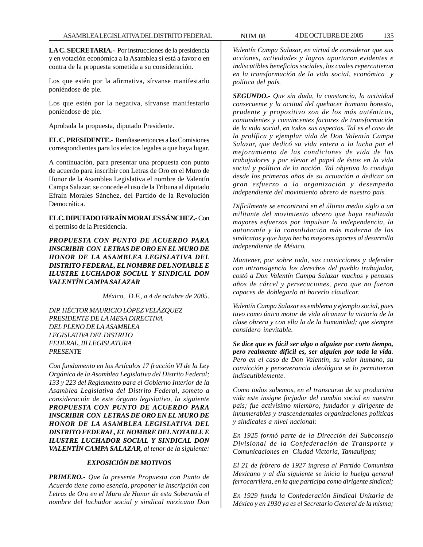**LA C. SECRETARIA.-** Por instrucciones de la presidencia y en votación económica a la Asamblea si está a favor o en contra de la propuesta sometida a su consideración.

Los que estén por la afirmativa, sírvanse manifestarlo poniéndose de pie.

Los que estén por la negativa, sírvanse manifestarlo poniéndose de pie.

Aprobada la propuesta, diputado Presidente.

**EL C. PRESIDENTE.-** Remítase entonces a las Comisiones correspondientes para los efectos legales a que haya lugar.

A continuación, para presentar una propuesta con punto de acuerdo para inscribir con Letras de Oro en el Muro de Honor de la Asamblea Legislativa el nombre de Valentín Campa Salazar, se concede el uso de la Tribuna al diputado Efraín Morales Sánchez, del Partido de la Revolución Democrática.

**EL C. DIPUTADO EFRAÍN MORALES SÁNCHEZ.-** Con el permiso de la Presidencia.

*PROPUESTA CON PUNTO DE ACUERDO PARA INSCRIBIR CON LETRAS DE ORO EN EL MURO DE HONOR DE LA ASAMBLEA LEGISLATIVA DEL DISTRITO FEDERAL, EL NOMBRE DEL NOTABLE E ILUSTRE LUCHADOR SOCIAL Y SINDICAL DON VALENTÍN CAMPA SALAZAR*

*México, D.F., a 4 de octubre de 2005.*

*DIP. HÉCTOR MAURICIO LÓPEZ VELÁZQUEZ PRESIDENTE DE LA MESA DIRECTIVA DEL PLENO DE LA ASAMBLEA LEGISLATIVA DEL DISTRITO FEDERAL, III LEGISLATURA PRESENTE*

*Con fundamento en los Artículos 17 fracción VI de la Ley Orgánica de la Asamblea Legislativa del Distrito Federal; 133 y 223 del Reglamento para el Gobierno Interior de la Asamblea Legislativa del Distrito Federal, someto a consideración de este órgano legislativo, la siguiente PROPUESTA CON PUNTO DE ACUERDO PARA INSCRIBIR CON LETRAS DE ORO EN EL MURO DE HONOR DE LA ASAMBLEA LEGISLATIVA DEL DISTRITO FEDERAL, EL NOMBRE DEL NOTABLE E ILUSTRE LUCHADOR SOCIAL Y SINDICAL DON VALENTÍN CAMPA SALAZAR, al tenor de la siguiente:*

# *EXPOSICIÓN DE MOTIVOS*

*PRIMERO.- Que la presente Propuesta con Punto de Acuerdo tiene como esencia, proponer la Inscripción con Letras de Oro en el Muro de Honor de esta Soberanía el nombre del luchador social y sindical mexicano Don*

*Valentín Campa Salazar, en virtud de considerar que sus acciones, actividades y logros aportaron evidentes e indiscutibles beneficios sociales, los cuales repercutieron en la transformación de la vida social, económica y política del país.*

*SEGUNDO.- Que sin duda, la constancia, la actividad consecuente y la actitud del quehacer humano honesto, prudente y propositivo son de los más auténticos, contundentes y convincentes factores de transformación de la vida social, en todos sus aspectos. Tal es el caso de la prolífica y ejemplar vida de Don Valentín Campa Salazar, que dedicó su vida entera a la lucha por el mejoramiento de las condiciones de vida de los trabajadores y por elevar el papel de éstos en la vida social y política de la nación. Tal objetivo lo condujo desde los primeros años de su actuación a dedicar un gran esfuerzo a la organización y desempeño independiente del movimiento obrero de nuestro país.*

*Difícilmente se encontrará en el último medio siglo a un militante del movimiento obrero que haya realizado mayores esfuerzos por impulsar la independencia, la autonomía y la consolidación más moderna de los sindicatos y que haya hecho mayores aportes al desarrollo independiente de México.*

*Mantener, por sobre todo, sus convicciones y defender con intransigencia los derechos del pueblo trabajador, costó a Don Valentín Campa Salazar muchos y penosos años de cárcel y persecuciones, pero que no fueron capaces de doblegarlo ni hacerlo claudicar.*

*Valentín Campa Salazar es emblema y ejemplo social, pues tuvo como único motor de vida alcanzar la victoria de la clase obrera y con ella la de la humanidad; que siempre considero inevitable.*

*Se dice que es fácil ser algo o alguien por corto tiempo, pero realmente difícil es, ser alguien por toda la vida. Pero en el caso de Don Valentín, su valor humano, su convicción y perseverancia ideológica se lo permitieron indiscutiblemente.*

*Como todos sabemos, en el transcurso de su productiva vida este insigne forjador del cambio social en nuestro país; fue activísimo miembro, fundador y dirigente de innumerables y trascendentales organizaciones políticas y sindicales a nivel nacional:*

*En 1925 formó parte de la Dirección del Subconsejo Divisional de la Confederación de Transporte y Comunicaciones en Ciudad Victoria, Tamaulipas;*

*El 21 de febrero de 1927 ingresa al Partido Comunista Mexicano y al día siguiente se inicia la huelga general ferrocarrilera, en la que participa como dirigente sindical;*

*En 1929 funda la Confederación Sindical Unitaria de México y en 1930 ya es el Secretario General de la misma;*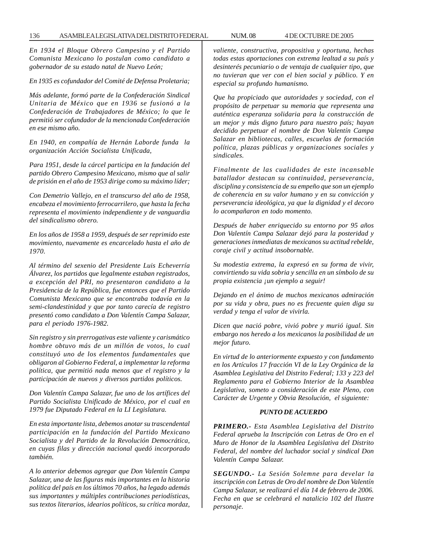136 ASAMBLEA LEGISLATIVA DEL DISTRITO FEDERAL NUM. 08 4 DE OCTUBRE DE 2005

*En 1934 el Bloque Obrero Campesino y el Partido Comunista Mexicano lo postulan como candidato a gobernador de su estado natal de Nuevo León;*

*En 1935 es cofundador del Comité de Defensa Proletaria;*

*Más adelante, formó parte de la Confederación Sindical Unitaria de México que en 1936 se fusionó a la Confederación de Trabajadores de México; lo que le permitió ser cofundador de la mencionada Confederación en ese mismo año.*

*En 1940, en compañía de Hernán Laborde funda la organización Acción Socialista Unificada,*

*Para 1951, desde la cárcel participa en la fundación del partido Obrero Campesino Mexicano, mismo que al salir de prisión en el año de 1953 dirige como su máximo líder;*

*Con Demetrio Vallejo, en el transcurso del año de 1958, encabeza el movimiento ferrocarrilero, que hasta la fecha representa el movimiento independiente y de vanguardia del sindicalismo obrero.*

*En los años de 1958 a 1959, después de ser reprimido este movimiento, nuevamente es encarcelado hasta el año de 1970.*

*Al término del sexenio del Presidente Luis Echeverría Álvarez, los partidos que legalmente estaban registrados, a excepción del PRI, no presentaron candidato a la Presidencia de la República, fue entonces que el Partido Comunista Mexicano que se encontraba todavía en la semi-clandestinidad y que por tanto carecía de registro presentó como candidato a Don Valentín Campa Salazar, para el periodo 1976-1982.*

*Sin registro y sin prerrogativas este valiente y carismático hombre obtuvo más de un millón de votos, lo cual constituyó uno de los elementos fundamentales que obligaron al Gobierno Federal, a implementar la reforma política, que permitió nada menos que el registro y la participación de nuevos y diversos partidos políticos.*

*Don Valentín Campa Salazar, fue uno de los artífices del Partido Socialista Unificado de México, por el cual en 1979 fue Diputado Federal en la LI Legislatura.*

*En esta importante lista, debemos anotar su trascendental participación en la fundación del Partido Mexicano Socialista y del Partido de la Revolución Democrática, en cuyas filas y dirección nacional quedó incorporado también.*

*A lo anterior debemos agregar que Don Valentín Campa Salazar, una de las figuras más importantes en la historia política del país en los últimos 70 años, ha legado además sus importantes y múltiples contribuciones periodísticas, sus textos literarios, idearios políticos, su crítica mordaz,*

*valiente, constructiva, propositiva y oportuna, hechas todas estas aportaciones con extrema lealtad a su país y desinterés pecuniario o de ventaja de cualquier tipo, que no tuvieran que ver con el bien social y público. Y en especial su profundo humanismo.*

*Que ha propiciado que autoridades y sociedad, con el propósito de perpetuar su memoria que representa una auténtica esperanza solidaria para la construcción de un mejor y más digno futuro para nuestro país; hayan decidido perpetuar el nombre de Don Valentín Campa Salazar en bibliotecas, calles, escuelas de formación política, plazas públicas y organizaciones sociales y sindicales.*

*Finalmente de las cualidades de este incansable batallador destacan su continuidad, perseverancia, disciplina y consistencia de su empeño que son un ejemplo de coherencia en su valor humano y en su convicción y perseverancia ideológica, ya que la dignidad y el decoro lo acompañaron en todo momento.*

*Después de haber enriquecido su entorno por 95 años Don Valentín Campa Salazar dejó para la posteridad y generaciones inmediatas de mexicanos su actitud rebelde, coraje civil y actitud insobornable.*

*Su modestia extrema, la expresó en su forma de vivir, convirtiendo su vida sobria y sencilla en un símbolo de su propia existencia ¡un ejemplo a seguir!*

*Dejando en el ánimo de muchos mexicanos admiración por su vida y obra, pues no es frecuente quien diga su verdad y tenga el valor de vivirla.*

*Dicen que nació pobre, vivió pobre y murió igual. Sin embargo nos heredo a los mexicanos la posibilidad de un mejor futuro.*

*En virtud de lo anteriormente expuesto y con fundamento en los Artículos 17 fracción VI de la Ley Orgánica de la Asamblea Legislativa del Distrito Federal; 133 y 223 del Reglamento para el Gobierno Interior de la Asamblea Legislativa, someto a consideración de este Pleno, con Carácter de Urgente y Obvia Resolución, el siguiente:*

## *PUNTO DE ACUERDO*

*PRIMERO.- Esta Asamblea Legislativa del Distrito Federal aprueba la Inscripción con Letras de Oro en el Muro de Honor de la Asamblea Legislativa del Distrito Federal, del nombre del luchador social y sindical Don Valentín Campa Salazar.*

*SEGUNDO.- La Sesión Solemne para develar la inscripción con Letras de Oro del nombre de Don Valentín Campa Salazar, se realizará el día 14 de febrero de 2006. Fecha en que se celebrará el natalicio 102 del Ilustre personaje.*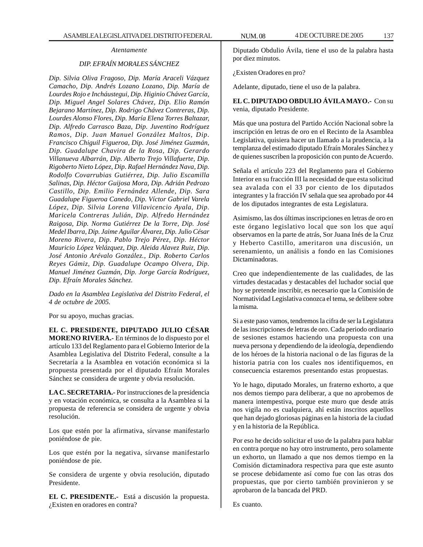# *DIP. EFRAÍN MORALES SÁNCHEZ*

*Dip. Silvia Oliva Fragoso, Dip. María Araceli Vázquez Camacho, Dip. Andrés Lozano Lozano, Dip. María de Lourdes Rojo e Incháustegui, Dip. Higinio Chávez García, Dip. Miguel Angel Solares Chávez, Dip. Elio Ramón Bejarano Martínez, Dip. Rodrigo Chávez Contreras, Dip. Lourdes Alonso Flores, Dip. María Elena Torres Baltazar, Dip. Alfredo Carrasco Baza, Dip. Juventino Rodríguez Ramos, Dip. Juan Manuel González Maltos, Dip. Francisco Chiguil Figueroa, Dip. José Jiménez Guzmán, Dip. Guadalupe Chavira de la Rosa, Dip. Gerardo Villanueva Albarrán, Dip. Alberto Trejo Villafuerte, Dip. Rigoberto Nieto López, Dip. Rafael Hernández Nava, Dip. Rodolfo Covarrubias Gutiérrez, Dip. Julio Escamilla Salinas, Dip. Héctor Guijosa Mora, Dip. Adrián Pedrozo Castillo, Dip. Emilio Fernández Allende, Dip. Sara Guadalupe Figueroa Canedo, Dip. Víctor Gabriel Varela López, Dip. Silvia Lorena Villavicencio Ayala, Dip. Maricela Contreras Julián, Dip. Alfredo Hernández Raigosa, Dip. Norma Gutiérrez De la Torre, Dip. José Medel Ibarra, Dip. Jaime Aguilar Álvarez, Dip. Julio César Moreno Rivera, Dip. Pablo Trejo Pérez, Dip. Héctor Mauricio López Velázquez, Dip. Aleida Alavez Ruiz, Dip. José Antonio Arévalo González., Dip. Roberto Carlos Reyes Gámiz, Dip. Guadalupe Ocampo Olvera, Dip. Manuel Jiménez Guzmán, Dip. Jorge García Rodríguez, Dip. Efraín Morales Sánchez.*

*Dado en la Asamblea Legislativa del Distrito Federal, el 4 de octubre de 2005.*

Por su apoyo, muchas gracias.

**EL C. PRESIDENTE, DIPUTADO JULIO CÉSAR MORENO RIVERA.-** En términos de lo dispuesto por el artículo 133 del Reglamento para el Gobierno Interior de la Asamblea Legislativa del Distrito Federal, consulte a la Secretaría a la Asamblea en votación económica si la propuesta presentada por el diputado Efraín Morales Sánchez se considera de urgente y obvia resolución.

**LA C. SECRETARIA.-** Por instrucciones de la presidencia y en votación económica, se consulta a la Asamblea si la propuesta de referencia se considera de urgente y obvia resolución.

Los que estén por la afirmativa, sírvanse manifestarlo poniéndose de pie.

Los que estén por la negativa, sírvanse manifestarlo poniéndose de pie.

Se considera de urgente y obvia resolución, diputado Presidente.

**EL C. PRESIDENTE.-** Está a discusión la propuesta. ¿Existen en oradores en contra?

Diputado Obdulio Ávila, tiene el uso de la palabra hasta por diez minutos.

¿Existen Oradores en pro?

Adelante, diputado, tiene el uso de la palabra.

**EL C. DIPUTADO OBDULIO ÁVILA MAYO.-** Con su venia, diputado Presidente.

Más que una postura del Partido Acción Nacional sobre la inscripción en letras de oro en el Recinto de la Asamblea Legislativa, quisiera hacer un llamado a la prudencia, a la templanza del estimado diputado Efraín Morales Sánchez y de quienes suscriben la proposición con punto de Acuerdo.

Señala el artículo 223 del Reglamento para el Gobierno Interior en su fracción III la necesidad de que esta solicitud sea avalada con el 33 por ciento de los diputados integrantes y la fracción IV señala que sea aprobado por 44 de los diputados integrantes de esta Legislatura.

Asimismo, las dos últimas inscripciones en letras de oro en este órgano legislativo local que son los que aquí observamos en la parte de atrás, Sor Juana Inés de la Cruz y Heberto Castillo, ameritaron una discusión, un serenamiento, un análisis a fondo en las Comisiones Dictaminadoras.

Creo que independientemente de las cualidades, de las virtudes destacadas y destacables del luchador social que hoy se pretende inscribir, es necesario que la Comisión de Normatividad Legislativa conozca el tema, se delibere sobre la misma.

Si a este paso vamos, tendremos la cifra de ser la Legislatura de las inscripciones de letras de oro. Cada periodo ordinario de sesiones estamos haciendo una propuesta con una nueva persona y dependiendo de la ideología, dependiendo de los héroes de la historia nacional o de las figuras de la historia patria con los cuales nos identifiquemos, en consecuencia estaremos presentando estas propuestas.

Yo le hago, diputado Morales, un fraterno exhorto, a que nos demos tiempo para deliberar, a que no aprobemos de manera intempestiva, porque este muro que desde atrás nos vigila no es cualquiera, ahí están inscritos aquellos que han dejado gloriosas páginas en la historia de la ciudad y en la historia de la República.

Por eso he decido solicitar el uso de la palabra para hablar en contra porque no hay otro instrumento, pero solamente un exhorto, un llamado a que nos demos tiempo en la Comisión dictaminadora respectiva para que este asunto se procese debidamente así como fue con las otras dos propuestas, que por cierto también provinieron y se aprobaron de la bancada del PRD.

Es cuanto.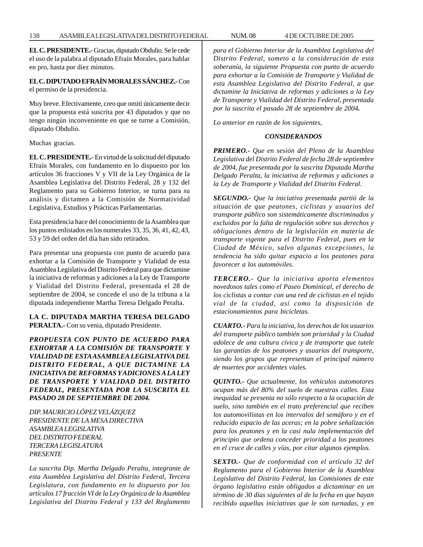**EL C. PRESIDENTE.-** Gracias, diputado Obdulio. Se le cede el uso de la palabra al diputado Efraín Morales, para hablar en pro, hasta por diez minutos.

# **EL C. DIPUTADO EFRAÍN MORALES SÁNCHEZ.-** Con el permiso de la presidencia.

Muy breve. Efectivamente, creo que omití únicamente decir que la propuesta está suscrita por 43 diputados y que no tengo ningún inconveniente en que se turne a Comisión, diputado Obdulio.

Muchas gracias.

**EL C. PRESIDENTE.-** En virtud de la solicitud del diputado Efraín Morales, con fundamento en lo dispuesto por los artículos 36 fracciones V y VII de la Ley Orgánica de la Asamblea Legislativa del Distrito Federal, 28 y 132 del Reglamento para su Gobierno Interior, se turna para su análisis y dictamen a la Comisión de Normatividad Legislativa, Estudios y Prácticas Parlamentarias.

Esta presidencia hace del conocimiento de la Asamblea que los puntos enlistados en los numerales 33, 35, 36, 41, 42, 43, 53 y 59 del orden del día han sido retirados.

Para presentar una propuesta con punto de acuerdo para exhortar a la Comisión de Transporte y Vialidad de esta Asamblea Legislativa del Distrito Federal para que dictamine la iniciativa de reformas y adiciones a la Ley de Transporte y Vialidad del Distrito Federal, presentada el 28 de septiembre de 2004, se concede el uso de la tribuna a la diputada independiente Martha Teresa Delgado Peralta.

# **LA C. DIPUTADA MARTHA TERESA DELGADO PERALTA.-** Con su venia, diputado Presidente.

*PROPUESTA CON PUNTO DE ACUERDO PARA EXHORTAR A LA COMISIÓN DE TRANSPORTE Y VIALIDAD DE ESTA ASAMBLEA LEGISLATIVA DEL DISTRITO FEDERAL, A QUE DICTAMINE LA INICIATIVA DE REFORMAS Y ADICIONES A LA LEY DE TRANSPORTE Y VIALIDAD DEL DISTRITO FEDERAL, PRESENTADA POR LA SUSCRITA EL PASADO 28 DE SEPTIEMBRE DE 2004.*

*DIP. MAURICIO LÓPEZ VELÁZQUEZ PRESIDENTE DE LA MESA DIRECTIVA ASAMBLEA LEGISLATIVA DEL DISTRITO FEDERAL TERCERA LEGISLATURA PRESENTE*

*La suscrita Dip. Martha Delgado Peralta, integrante de esta Asamblea Legislativa del Distrito Federal, Tercera Legislatura, con fundamento en lo dispuesto por los artículos 17 fracción VI de la Ley Orgánica de la Asamblea Legislativa del Distrito Federal y 133 del Reglamento* *para el Gobierno Interior de la Asamblea Legislativa del Distrito Federal, someto a la consideración de esta soberanía, la siguiente Propuesta con punto de acuerdo para exhortar a la Comisión de Transporte y Vialidad de esta Asamblea Legislativa del Distrito Federal, a que dictamine la Iniciativa de reformas y adiciones a la Ley de Transporte y Vialidad del Distrito Federal, presentada por la suscrita el pasado 28 de septiembre de 2004.*

*Lo anterior en razón de los siguientes,*

# *CONSIDERANDOS*

*PRIMERO.- Que en sesión del Pleno de la Asamblea Legislativa del Distrito Federal de fecha 28 de septiembre de 2004, fue presentada por la suscrita Diputada Martha Delgado Peralta, la iniciativa de reformas y adiciones a la Ley de Transporte y Vialidad del Distrito Federal.*

*SEGUNDO.- Que la iniciativa presentada partió de la situación de que peatones, ciclistas y usuarios del transporte público son sistemáticamente discriminados y excluidos por la falta de regulación sobre sus derechos y obligaciones dentro de la legislación en materia de transporte vigente para el Distrito Federal, pues en la Ciudad de México, salvo algunas excepciones, la tendencia ha sido quitar espacio a los peatones para favorecer a los automóviles.*

*TERCERO.- Que la iniciativa aporta elementos novedosos tales como el Paseo Dominical, el derecho de los ciclistas a contar con una red de ciclistas en el tejido vial de la ciudad, así como la disposición de estacionamientos para bicicletas.*

*CUARTO.- Para la iniciativa, los derechos de los usuarios del transporte público también son prioridad y la Ciudad adolece de una cultura cívica y de transporte que tutele las garantías de los peatones y usuarios del transporte, siendo los grupos que representan el principal número de muertes por accidentes viales.*

*QUINTO.- Que actualmente, los vehículos automotores ocupan más del 80% del suelo de nuestras calles. Esta inequidad se presenta no sólo respecto a la ocupación de suelo, sino también en el trato preferencial que reciben los automovilistas en los intervalos del semáforo y en el reducido espacio de las aceras; en la pobre señalización para los peatones y en la casi nula implementación del principio que ordena conceder prioridad a los peatones en el cruce de calles y vías, por citar algunos ejemplos.*

*SEXTO.- Que de conformidad con el artículo 32 del Reglamento para el Gobierno Interior de la Asamblea Legislativa del Distrito Federal, las Comisiones de este órgano legislativo están obligados a dictaminar en un término de 30 días siguientes al de la fecha en que hayan recibido aquellas iniciativas que le son turnadas, y en*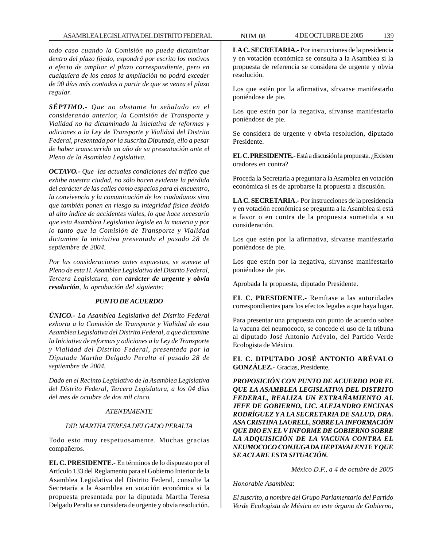*todo caso cuando la Comisión no pueda dictaminar dentro del plazo fijado, expondrá por escrito los motivos a efecto de ampliar el plazo correspondiente, pero en cualquiera de los casos la ampliación no podrá exceder de 90 días más contados a partir de que se venza el plazo regular.*

*SÉPTIMO.- Que no obstante lo señalado en el considerando anterior, la Comisión de Transporte y Vialidad no ha dictaminado la iniciativa de reformas y adiciones a la Ley de Transporte y Vialidad del Distrito Federal, presentada por la suscrita Diputada, ello a pesar de haber transcurrido un año de su presentación ante el Pleno de la Asamblea Legislativa.*

*OCTAVO.- Que las actuales condiciones del tráfico que exhibe nuestra ciudad, no sólo hacen evidente la pérdida del carácter de las calles como espacios para el encuentro, la convivencia y la comunicación de los ciudadanos sino que también ponen en riesgo su integridad física debido al alto índice de accidentes viales, lo que hace necesario que esta Asamblea Legislativa legisle en la materia y por lo tanto que la Comisión de Transporte y Vialidad dictamine la iniciativa presentada el pasado 28 de septiembre de 2004.*

*Por las consideraciones antes expuestas, se somete al Pleno de esta H. Asamblea Legislativa del Distrito Federal, Tercera Legislatura, con carácter de urgente y obvia resolución, la aprobación del siguiente:*

# *PUNTO DE ACUERDO*

*ÚNICO.- La Asamblea Legislativa del Distrito Federal exhorta a la Comisión de Transporte y Vialidad de esta Asamblea Legislativa del Distrito Federal, a que dictamine la Iniciativa de reformas y adiciones a la Ley de Transporte y Vialidad del Distrito Federal, presentada por la Diputada Martha Delgado Peralta el pasado 28 de septiembre de 2004.*

*Dado en el Recinto Legislativo de la Asamblea Legislativa del Distrito Federal, Tercera Legislatura, a los 04 días del mes de octubre de dos mil cinco.*

## *ATENTAMENTE*

# *DIP. MARTHA TERESA DELGADO PERALTA*

Todo esto muy respetuosamente. Muchas gracias compañeros.

**EL C. PRESIDENTE.-** En términos de lo dispuesto por el Artículo 133 del Reglamento para el Gobierno Interior de la Asamblea Legislativa del Distrito Federal, consulte la Secretaría a la Asamblea en votación económica si la propuesta presentada por la diputada Martha Teresa Delgado Peralta se considera de urgente y obvia resolución.

**LA C. SECRETARIA.-** Por instrucciones de la presidencia y en votación económica se consulta a la Asamblea si la propuesta de referencia se considera de urgente y obvia resolución.

Los que estén por la afirmativa, sírvanse manifestarlo poniéndose de pie.

Los que estén por la negativa, sírvanse manifestarlo poniéndose de pie.

Se considera de urgente y obvia resolución, diputado Presidente.

**EL C. PRESIDENTE.-** Está a discusión la propuesta. ¿Existen oradores en contra?

Proceda la Secretaría a preguntar a la Asamblea en votación económica si es de aprobarse la propuesta a discusión.

**LA C. SECRETARIA.-** Por instrucciones de la presidencia y en votación económica se pregunta a la Asamblea si está a favor o en contra de la propuesta sometida a su consideración.

Los que estén por la afirmativa, sírvanse manifestarlo poniéndose de pie.

Los que estén por la negativa, sírvanse manifestarlo poniéndose de pie.

Aprobada la propuesta, diputado Presidente.

**EL C. PRESIDENTE.-** Remítase a las autoridades correspondientes para los efectos legales a que haya lugar.

Para presentar una propuesta con punto de acuerdo sobre la vacuna del neumococo, se concede el uso de la tribuna al diputado José Antonio Arévalo, del Partido Verde Ecologista de México.

**EL C. DIPUTADO JOSÉ ANTONIO ARÉVALO GONZÁLEZ.-** Gracias, Presidente.

*PROPOSICIÓN CON PUNTO DE ACUERDO POR EL QUE LA ASAMBLEA LEGISLATIVA DEL DISTRITO FEDERAL, REALIZA UN EXTRAÑAMIENTO AL JEFE DE GOBIERNO, LIC. ALEJANDRO ENCINAS RODRÍGUEZ Y A LA SECRETARIA DE SALUD, DRA. ASA CRISTINA LAURELL, SOBRE LA INFORMACIÓN QUE DIO EN EL V INFORME DE GOBIERNO SOBRE LA ADQUISICIÓN DE LA VACUNA CONTRA EL NEUMOCOCO CONJUGADA HEPTAVALENTE Y QUE SE ACLARE ESTA SITUACIÓN.*

*México D.F., a 4 de octubre de 2005*

*Honorable Asamblea*:

*El suscrito, a nombre del Grupo Parlamentario del Partido Verde Ecologista de México en este órgano de Gobierno,*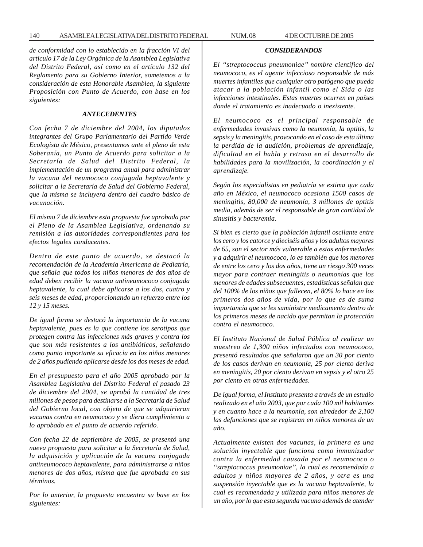140 ASAMBLEA LEGISLATIVA DEL DISTRITO FEDERAL NUM. 08 4 DE OCTUBRE DE 2005

*de conformidad con lo establecido en la fracción VI del articulo 17 de la Ley Orgánica de la Asamblea Legislativa del Distrito Federal, así como en el artículo 132 del Reglamento para su Gobierno Interior, sometemos a la consideración de esta Honorable Asamblea, la siguiente Proposición con Punto de Acuerdo, con base en los siguientes:*

### *ANTECEDENTES*

*Con fecha 7 de diciembre del 2004, los diputados integrantes del Grupo Parlamentario del Partido Verde Ecologista de México, presentamos ante el pleno de esta Soberanía, un Punto de Acuerdo para solicitar a la Secretaría de Salud del Distrito Federal, la implementación de un programa anual para administrar la vacuna del neumococo conjugada heptavalente y solicitar a la Secretaría de Salud del Gobierno Federal, que la misma se incluyera dentro del cuadro básico de vacunación.*

*El mismo 7 de diciembre esta propuesta fue aprobada por el Pleno de la Asamblea Legislativa, ordenando su remisión a las autoridades correspondientes para los efectos legales conducentes*.

*Dentro de este punto de acuerdo, se destacó la recomendación de la Academia Americana de Pediatría, que señala que todos los niños menores de dos años de edad deben recibir la vacuna antineumococo conjugada heptavalente, la cual debe aplicarse a los dos, cuatro y seis meses de edad, proporcionando un refuerzo entre los 12 y 15 meses.*

*De igual forma se destacó la importancia de la vacuna heptavalente, pues es la que contiene los serotipos que protegen contra las infecciones más graves y contra los que son más resistentes a los antibióticos, señalando como punto importante su eficacia en los niños menores de 2 años pudiendo aplicarse desde los dos meses de edad.*

*En el presupuesto para el año 2005 aprobado por la Asamblea Legislativa del Distrito Federal el pasado 23 de diciembre del 2004, se aprobó la cantidad de tres millones de pesos para destinarse a la Secretaría de Salud del Gobierno local, con objeto de que se adquirieran vacunas contra en neumococo y se diera cumplimiento a lo aprobado en el punto de acuerdo referido.*

*Con fecha 22 de septiembre de 2005, se presentó una nueva propuesta para solicitar a la Secretaría de Salud, la adquisición y aplicación de la vacuna conjugada antineumococo heptavalente, para administrarse a niños menores de dos años, misma que fue aprobada en sus términos.*

*Por lo anterior, la propuesta encuentra su base en los siguientes:*

# *CONSIDERANDOS*

*El ''streptococcus pneumoniae'' nombre científico del neumococo, es el agente infeccioso responsable de más muertes infantiles que cualquier otro patógeno que pueda atacar a la población infantil como el Sida o las infecciones intestinales. Estas muertes ocurren en países donde el tratamiento es inadecuado o inexistente.*

*El neumococo es el principal responsable de enfermedades invasivas como la neumonía, la optitis, la sepsis y la meningitis, provocando en el caso de esta última la perdida de la audición, problemas de aprendizaje, dificultad en el habla y retraso en el desarrollo de habilidades para la movilización, la coordinación y el aprendizaje.*

*Según los especialistas en pediatría se estima que cada año en México, el neumococo ocasiona 1500 casos de meningitis, 80,000 de neumonía, 3 millones de optitis media, además de ser el responsable de gran cantidad de sinusitis y bacteremia.*

*Si bien es cierto que la población infantil oscilante entre los cero y los catorce y dieciséis años y los adultos mayores de 65, son el sector más vulnerable a estas enfermedades y a adquirir el neumococo, lo es también que los menores de entre los cero y los dos años, tiene un riesgo 300 veces mayor para contraer meningitis o neumonías que los menores de edades subsecuentes, estadísticas señalan que del 100% de los niños que fallecen, el 80% lo hace en los primeros dos años de vida, por lo que es de suma importancia que se les suministre medicamento dentro de los primeros meses de nacido que permitan la protección contra el neumococo.*

*El Instituto Nacional de Salud Pública al realizar un muestreo de 1,300 niños infectados con neumococo, presentó resultados que señalaron que un 30 por ciento de los casos derivan en neumonía, 25 por ciento deriva en meningitis, 20 por ciento derivan en sepsis y el otro 25 por ciento en otras enfermedades*.

*De igual forma, el Instituto presenta a través de un estudio realizado en el año 2003, que por cada 100 mil habitantes y en cuanto hace a la neumonía, son alrededor de 2,100 las defunciones que se registran en niños menores de un año.*

*Actualmente existen dos vacunas, la primera es una solución inyectable que funciona como inmunizador contra la enfermedad causada por el neumococo o ''streptococcus pneumoniae'', la cual es recomendada a adultos y niños mayores de 2 años, y otra es una suspensión inyectable que es la vacuna heptavalente, la cual es recomendada y utilizada para niños menores de un año, por lo que esta segunda vacuna además de atender*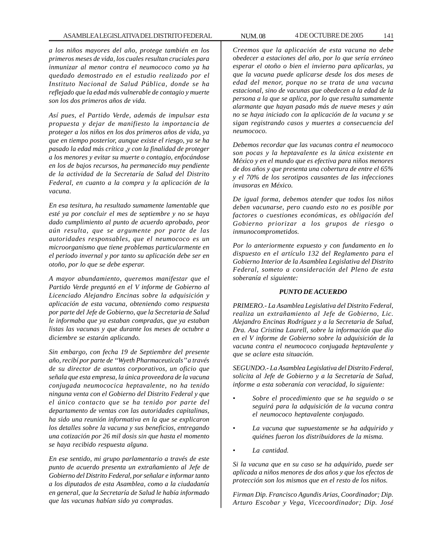*a los niños mayores del año, protege también en los primeros meses de vida, los cuales resultan cruciales para inmunizar al menor contra el neumococo como ya ha quedado demostrado en el estudio realizado por el Instituto Nacional de Salud Pública, donde se ha reflejado que la edad más vulnerable de contagio y muerte son los dos primeros años de vida.*

*Así pues, el Partido Verde, además de impulsar esta propuesta y dejar de manifiesto la importancia de proteger a los niños en los dos primeros años de vida, ya que en tiempo posterior, aunque existe el riesgo, ya se ha pasado la edad más crítica ,y con la finalidad de proteger a los menores y evitar su muerte o contagio, enfocándose en los de bajos recursos, ha permanecido muy pendiente de la actividad de la Secretaría de Salud del Distrito Federal, en cuanto a la compra y la aplicación de la vacuna.*

*En esa tesitura, ha resultado sumamente lamentable que esté ya por concluir el mes de septiembre y no se haya dado cumplimiento al punto de acuerdo aprobado, peor aún resulta, que se argumente por parte de las autoridades responsables, que el neumococo es un microorganismo que tiene problemas particularmente en el periodo invernal y por tanto su aplicación debe ser en otoño, por lo que se debe esperar.*

*A mayor abundamiento, queremos manifestar que el Partido Verde preguntó en el V informe de Gobierno al Licenciado Alejandro Encinas sobre la adquisición y aplicación de esta vacuna, obteniendo como respuesta por parte del Jefe de Gobierno, que la Secretaria de Salud le informaba que ya estaban compradas, que ya estaban listas las vacunas y que durante los meses de octubre a diciembre se estarán aplicando.*

*Sin embargo, con fecha 19 de Septiembre del presente año, recibí por parte de ''Wyeth Pharmaceuticals'' a través de su director de asuntos corporativos, un oficio que señala que esta empresa, la única proveedora de la vacuna conjugada neumococica heptavalente, no ha tenido ninguna venta con el Gobierno del Distrito Federal y que el único contacto que se ha tenido por parte del departamento de ventas con las autoridades capitalinas, ha sido una reunión informativa en la que se explicaron los detalles sobre la vacuna y sus beneficios, entregando una cotización por 26 mil dosis sin que hasta el momento se haya recibido respuesta alguna.*

*En ese sentido, mi grupo parlamentario a través de este punto de acuerdo presenta un extrañamiento al Jefe de Gobierno del Distrito Federal, por señalar e informar tanto a los diputados de esta Asamblea, como a la ciudadanía en general, que la Secretaría de Salud le había informado que las vacunas habían sido ya compradas.*

*Creemos que la aplicación de esta vacuna no debe obedecer a estaciones del año, por lo que sería erróneo esperar el otoño o bien el invierno para aplicarlas, ya que la vacuna puede aplicarse desde los dos meses de edad del menor, porque no se trata de una vacuna estacional, sino de vacunas que obedecen a la edad de la persona a la que se aplica, por lo que resulta sumamente alarmante que hayan pasado más de nueve meses y aún no se haya iniciado con la aplicación de la vacuna y se sigan registrando casos y muertes a consecuencia del neumococo.*

*Debemos recordar que las vacunas contra el neumococo son pocas y la heptavalente es la única existente en México y en el mundo que es efectiva para niños menores de dos años y que presenta una cobertura de entre el 65% y el 70% de los serotipos causantes de las infecciones invasoras en México.*

*De igual forma, debemos atender que todos los niños deben vacunarse, pero cuando esto no es posible por factores o cuestiones económicas, es obligación del Gobierno priorizar a los grupos de riesgo o inmunocomprometidos.*

*Por lo anteriormente expuesto y con fundamento en lo dispuesto en el artículo 132 del Reglamento para el Gobierno Interior de la Asamblea Legislativa del Distrito Federal, someto a consideración del Pleno de esta soberanía el siguiente:*

## *PUNTO DE ACUERDO*

*PRIMERO.- La Asamblea Legislativa del Distrito Federal, realiza un extrañamiento al Jefe de Gobierno, Lic. Alejandro Encinas Rodríguez y a la Secretaria de Salud, Dra. Asa Cristina Laurell, sobre la información que dio en el V informe de Gobierno sobre la adquisición de la vacuna contra el neumococo conjugada heptavalente y que se aclare esta situación.*

*SEGUNDO.- La Asamblea Legislativa del Distrito Federal, solicita al Jefe de Gobierno y a la Secretaría de Salud, informe a esta soberanía con veracidad, lo siguiente:*

- *Sobre el procedimiento que se ha seguido o se seguirá para la adquisición de la vacuna contra el neumococo heptavalente conjugado.*
- *La vacuna que supuestamente se ha adquirido y quiénes fueron los distribuidores de la misma.*
- *La cantidad.*

*Si la vacuna que en su caso se ha adquirido, puede ser aplicada a niños menores de dos años y que los efectos de protección son los mismos que en el resto de los niños.*

*Firman Dip. Francisco Agundis Arias, Coordinador; Dip. Arturo Escobar y Vega, Vicecoordinador; Dip. José*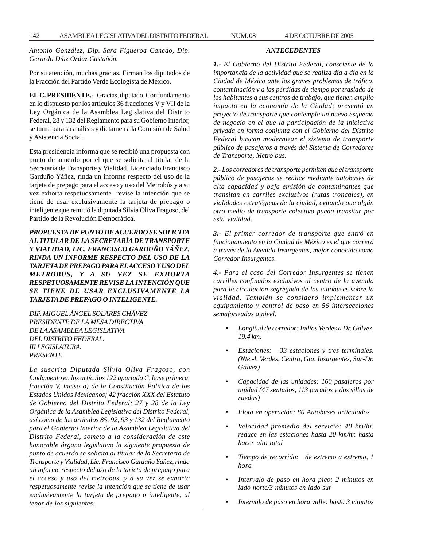*Antonio González, Dip. Sara Figueroa Canedo, Dip. Gerardo Díaz Ordaz Castañón.*

Por su atención, muchas gracias. Firman los diputados de la Fracción del Partido Verde Ecologista de México.

**EL C. PRESIDENTE.-** Gracias, diputado. Con fundamento en lo dispuesto por los artículos 36 fracciones V y VII de la Ley Orgánica de la Asamblea Legislativa del Distrito Federal, 28 y 132 del Reglamento para su Gobierno Interior, se turna para su análisis y dictamen a la Comisión de Salud y Asistencia Social.

Esta presidencia informa que se recibió una propuesta con punto de acuerdo por el que se solicita al titular de la Secretaría de Transporte y Vialidad, Licenciado Francisco Garduño Yáñez, rinda un informe respecto del uso de la tarjeta de prepago para el acceso y uso del Metrobús y a su vez exhorta respetuosamente revise la intención que se tiene de usar exclusivamente la tarjeta de prepago o inteligente que remitió la diputada Silvia Oliva Fragoso, del Partido de la Revolución Democrática.

*PROPUESTA DE PUNTO DE ACUERDO SE SOLICITA AL TITULAR DE LA SECRETARÍA DE TRANSPORTE Y VIALIDAD, LIC. FRANCISCO GARDUÑO YÁÑEZ, RINDA UN INFORME RESPECTO DEL USO DE LA TARJETA DE PREPAGO PARA EL ACCESO Y USO DEL METROBUS, Y A SU VEZ SE EXHORTA RESPETUOSAMENTE REVISE LA INTENCIÓN QUE SE TIENE DE USAR EXCLUSIVAMENTE LA TARJETA DE PREPAGO O INTELIGENTE.*

*DIP. MIGUEL ÁNGEL SOLARES CHÁVEZ PRESIDENTE DE LA MESA DIRECTIVA DE LA ASAMBLEA LEGISLATIVA DEL DISTRITO FEDERAL. III LEGISLATURA. PRESENTE.*

*La suscrita Diputada Silvia Oliva Fragoso, con fundamento en los artículos 122 apartado C, base primera, fracción V, inciso o) de la Constitución Política de los Estados Unidos Mexicanos; 42 fracción XXX del Estatuto de Gobierno del Distrito Federal; 27 y 28 de la Ley Orgánica de la Asamblea Legislativa del Distrito Federal, así como de los artículos 85, 92, 93 y 132 del Reglamento para el Gobierno Interior de la Asamblea Legislativa del Distrito Federal, someto a la consideración de este honorable órgano legislativo la siguiente propuesta de punto de acuerdo se solicita al titular de la Secretaría de Transporte y Vialidad, Lic. Francisco Garduño Yáñez, rinda un informe respecto del uso de la tarjeta de prepago para el acceso y uso del metrobus, y a su vez se exhorta respetuosamente revise la intención que se tiene de usar exclusivamente la tarjeta de prepago o inteligente, al tenor de los siguientes:*

# *ANTECEDENTES*

*1.- El Gobierno del Distrito Federal, consciente de la importancia de la actividad que se realiza día a día en la Ciudad de México ante los graves problemas de tráfico, contaminación y a las pérdidas de tiempo por traslado de los habitantes a sus centros de trabajo, que tienen amplio impacto en la economía de la Ciudad; presentó un proyecto de transporte que contempla un nuevo esquema de negocio en el que la participación de la iniciativa privada en forma conjunta con el Gobierno del Distrito Federal buscan modernizar el sistema de transporte público de pasajeros a través del Sistema de Corredores de Transporte, Metro bus.*

*2.- Los corredores de transporte permiten que el transporte público de pasajeros se realice mediante autobuses de alta capacidad y baja emisión de contaminantes que transitan en carriles exclusivos (rutas troncales), en vialidades estratégicas de la ciudad, evitando que algún otro medio de transporte colectivo pueda transitar por esta vialidad*.

*3.- El primer corredor de transporte que entró en funcionamiento en la Ciudad de México es el que correrá a través de la Avenida Insurgentes, mejor conocido como Corredor Insurgentes.*

*4.- Para el caso del Corredor Insurgentes se tienen carrilles confinados exclusivos al centro de la avenida para la circulación segregada de los autobuses sobre la vialidad. También se consideró implementar un equipamiento y control de paso en 56 intersecciones semaforizadas a nivel.*

- *Longitud de corredor: Indios Verdes a Dr. Gálvez, 19.4 km.*
- *Estaciones: 33 estaciones y tres terminales. (Nte.-l. Verdes, Centro, Gta. Insurgentes, Sur-Dr. Gálvez)*
- *Capacidad de las unidades: 160 pasajeros por unidad (47 sentados, 113 parados y dos sillas de ruedas)*
- *Flota en operación: 80 Autobuses articulados*
- *Velocidad promedio del servicio: 40 km/hr. reduce en las estaciones hasta 20 km/hr. hasta hacer alto total*
- *Tiempo de recorrido: de extremo a extremo, 1 hora*
- *Intervalo de paso en hora pico: 2 minutos en lado norte/3 minutos en lado sur*
- *Intervalo de paso en hora valle: hasta 3 minutos*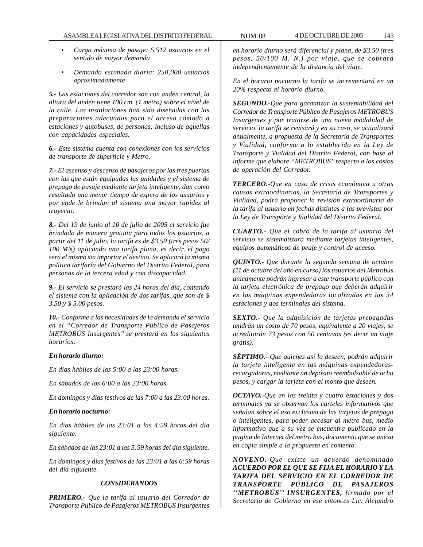- *Carga máxima de pasaje: 5,512 usuarios en el sentido de mayor demanda*
- *Demanda estimada diaria: 250,000 usuarios aproximadamente*

*5.- Las estaciones del corredor son con andén central, la altura del andén tiene 100 cm. (1 metro) sobre el nivel de la calle. Las instalaciones han sido diseñadas con las preparaciones adecuadas para el acceso cómodo a estaciones y autobuses, de personas; incluso de aquellas con capacidades especiales.*

*6.- Este sistema cuenta con conexiones con los servicios de transporte de superficie y Metro.*

*7.- El ascenso y descenso de pasajeros por las tres puertas con las que están equipadas las unidades y el sistema de prepago de pasaje mediante tarjeta inteligente, dan como resultado una menor tiempo de espera de los usuarios y por ende le brindan al sistema una mayor rapidez al trayecto*.

*8.- Del 19 de junio al 10 de julio de 2005 el servicio fue brindado de manera gratuita para todos los usuarios, a partir del 11 de julio, la tarifa es de \$3.50 (tres pesos 50/ 100 MN) aplicando una tarifa plana, es decir, el pago será el mismo sin importar el destino. Se aplicará la misma política tarifaría del Gobierno del Distrito Federal, para personas de la tercera edad y con discapacidad.*

*9.- El servicio se prestará las 24 horas del día, contando el sistema con la aplicación de dos tarifas, que son de \$ 3.50 y \$ 5.00 pesos.*

*10.- Conforme a las necesidades de la demanda el servicio en el ''Corredor de Transporte Público de Pasajeros METROBÚS Insurgentes'' se prestará en los siguientes horarios:*

## *En horario diurno:*

*En días hábiles de las 5:00 a las 23:00 horas.*

*En sábados de las 6:00 a las 23:00 horas.*

*En domingos y días festivos de las 7:00 a las 23:00 horas.*

#### *En horario nocturno:*

*En días hábiles de las 23:01 a las 4:59 horas del día siguiente.*

*En sábados de las 23:01 a las 5:59 horas del día siguiente.*

*En domingos y días festivos de las 23:01 a las 6:59 horas del día siguiente.*

## *CONSIDERANDOS*

*PRIMERO.- Que la tarifa al usuario del Corredor de Transporte Público de Pasajeros METROBUS Insurgentes* *en horario diurno será diferencial y plana, de \$3.50 (tres pesos, 50/100 M. N.) por viaje, que se cobrará independientemente de la distancia del viaje.*

*En el horario nocturno la tarifa se incrementará en un 20% respecto al horario diurno.*

*SEGUNDO.-Que para garantizar la sustentabilidad del Corredor de Transporte Público de Pasajeros METROBÚS Insurgentes y por tratarse de una nueva modalidad de servicio, la tarifa se revisará y en su caso, se actualizará anualmente, a propuesta de la Secretaría de Transportes y Vialidad, conforme a lo establecido en la Ley de Transporte y Vialidad del Distrito Federal, con base al informe que elabore ''METROBUS'' respecto a los costos de operación del Corredor.*

*TERCERO.-Que en caso de crisis económica u otras causas extraordinarias, la Secretaría de Transportes y Vialidad, podrá proponer la revisión extraordinaria de la tarifa al usuario en fechas distintas a las previstas por la Ley de Transporte y Vialidad del Distrito Federal.*

*CUARTO.- Que el cobro de la tarifa al usuario del servicio se sistematizará mediante tarjetas inteligentes, equipos automáticos de peaje y control de acceso.*

*QUINTO.- Que durante la segunda semana de octubre (11 de octubre del año en curso) los usuarios del Metrobús únicamente podrán ingresar a este transporte público con la tarjeta electrónica de prepago que deberán adquirir en las máquinas expendedoras localizadas en las 34 estaciones y dos terminales del sistema.*

*SEXTO.- Que la adquisición de tarjetas prepagadas tendrán un costo de 70 pesos, equivalente a 20 viajes, se acreditarán 73 pesos con 50 centavos (es decir un viaje gratis).*

*SÉPTIMO.- Que quienes así lo deseen, podrán adquirir la tarjeta inteligente en las máquinas expendedorasrecargadoras, mediante un depósito reembolsable de ocho pesos, y cargar la tarjeta con el monto que deseen.*

*OCTAVO.-Que en las treinta y cuatro estaciones y dos terminales ya se observan los carteles informativos que señalan sobre el uso exclusivo de las tarjetas de prepago o inteligentes, para poder accesar al metro bus, medio informativo que a su vez se encuentra publicado en la pagina de Internet del metro bus, documento que se anexa en copia simple a la propuesta en comento.*

*NOVENO.-Que existe un acuerdo denominado ACUERDO POR EL QUE SE FIJA EL HORARIO Y LA TARIFA DEL SERVICIO EN EL CORREDOR DE TRANSPORTE PÚBLICO DE PASAJEROS ''METROBÚS'' INSURGENTES, firmado por el Secretario de Gobierno en ese entonces Lic. Alejandro*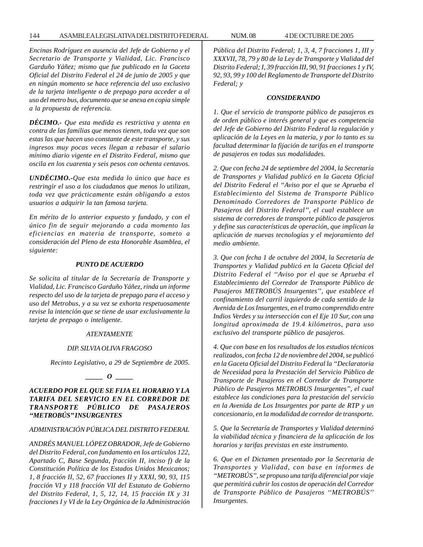### 144 ASAMBLEA LEGISLATIVA DEL DISTRITO FEDERAL NUM. 08 4 DE OCTUBRE DE 2005

*Encinas Rodríguez en ausencia del Jefe de Gobierno y el Secretario de Transporte y Vialidad, Lic. Francisco Garduño Yáñez; mismo que fue publicado en la Gaceta Oficial del Distrito Federal el 24 de junio de 2005 y que en ningún momento se hace referencia del uso exclusivo de la tarjeta inteligente o de prepago para acceder a al uso del metro bus, documento que se anexa en copia simple a la propuesta de referencia.*

*DÉCIMO.- Que esta medida es restrictiva y atenta en contra de las familias que menos tienen, toda vez que son estas las que hacen uso constante de este transporte, y sus ingresos muy pocas veces llegan a rebasar el salario mínimo diario vigente en el Distrito Federal, mismo que oscila en los cuarenta y seis pesos con ochenta centavos.*

*UNDÉCIMO.-Que esta medida lo único que hace es restringir el uso a los ciudadanos que menos lo utilizan, toda vez que prácticamente están obligando a estos usuarios a adquirir la tan famosa tarjeta.*

*En mérito de lo anterior expuesto y fundado, y con el único fin de seguir mejorando a cada momento las eficiencias en materia de transporte, someto a consideración del Pleno de esta Honorable Asamblea, el siguiente:*

### *PUNTO DE ACUERDO*

*Se solicita al titular de la Secretaría de Transporte y Vialidad, Lic. Francisco Garduño Yáñez, rinda un informe respecto del uso de la tarjeta de prepago para el acceso y uso del Metrobus, y a su vez se exhorta respetuosamente revise la intención que se tiene de usar exclusivamente la tarjeta de prepago o inteligente.*

### *ATENTAMENTE*

#### *DIP. SILVIA OLIVA FRAGOSO*

*Recinto Legislativo, a 29 de Septiembre de 2005.*

*\_\_\_\_\_ O \_\_\_\_\_*

# *ACUERDO POR EL QUE SE FIJA EL HORARIO Y LA TARIFA DEL SERVICIO EN EL CORREDOR DE TRANSPORTE PÚBLICO DE PASAJEROS ''METROBÚS'' INSURGENTES*

# *ADMINISTRACIÓN PÚBLICA DEL DISTRITO FEDERAL*

*ANDRÉS MANUEL LÓPEZ OBRADOR, Jefe de Gobierno del Distrito Federal, con fundamento en los artículos 122, Apartado C, Base Segunda, fracción II, inciso f) de la Constitución Política de los Estados Unidos Mexicanos; 1, 8 fracción II, 52, 67 fracciones II y XXXI, 90, 93, 115 fracción VI y 118 fracción VII del Estatuto de Gobierno del Distrito Federal, 1, 5, 12, 14, 15 fracción IX y 31 fracciones I y VI de la Ley Orgánica de la Administración* *Pública del Distrito Federal; 1, 3, 4, 7 fracciones 1, III y XXXVII, 78, 79 y 80 de la Ley de Transporte y Vialidad del Distrito Federal; I, 39 fracción III, 90, 91 fracciones 1 y IV, 92, 93, 99 y 100 del Reglamento de Transporte del Distrito Federal; y*

#### *CONSIDERANDO*

*1. Que el servicio de transporte público de pasajeros es de orden público e interés general y que es competencia del Jefe de Gobierno del Distrito Federal la regulación y aplicación de la Leyes en la materia, y por lo tanto es su facultad determinar la fijación de tarifas en el transporte de pasajeros en todas sus modalidades.*

*2. Que con fecha 24 de septiembre del 2004, la Secretaría de Transportes y Vialidad publicó en la Gaceta Oficial del Distrito Federal el ''Aviso por el que se Aprueba el Establecimiento del Sistema de Transporte Público Denominado Corredores de Transporte Público de Pasajeros del Distrito Federal'', el cual establece un sistema de corredores de transporte público de pasajeros y define sus características de operación, que implican la aplicación de nuevas tecnologías y el mejoramiento del medio ambiente.*

*3. Que con fecha 1 de octubre del 2004, la Secretaría de Transportes y Vialidad publicó en la Gaceta Oficial del Distrito Federal el ''Aviso por el que se Aprueba el Establecimiento del Corredor de Transporte Público de Pasajeros METROBÚS Insurgentes'', que establece el confinamiento del carril izquierdo de cada sentido de la Avenida de Los Insurgentes, en el tramo comprendido entre Indios Verdes y su intersección con el Eje 10 Sur, con una longitud aproximada de 19.4 kilómetros, para uso exclusivo del transporte público de pasajeros.*

*4. Que con base en los resultados de los estudios técnicos realizados, con fecha 12 de noviembre del 2004, se publicó en la Gaceta Oficial del Distrito Federal la ''Declaratoria de Necesidad para la Prestación del Servicio Público de Transporte de Pasajeros en el Corredor de Transporte Público de Pasajeros METROBUS Insurgentes'', el cual establece las condiciones para la prestación del servicio en la Avenida de Los Insurgentes por parte de RTP y un concesionario, en la modalidad de corredor de transporte.*

*5. Que la Secretaría de Transportes y Vialidad determinó la viabilidad técnica y financiera de la aplicación de los horarios y tarifas previstas en este instrumento.*

*6. Que en el Dictamen presentado por la Secretaria de Transportes y Vialidad, con base en informes de ''METROBÚS'', se propuso una tarifa diferencial por viaje que permitirá cubrir los costos de operación del Corredor de Transporte Público de Pasajeros ''METROBÚS'' Insurgentes.*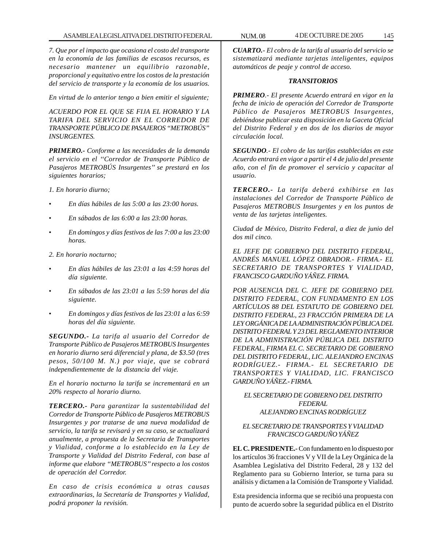*7. Que por el impacto que ocasiona el costo del transporte en la economía de las familias de escasos recursos, es necesario mantener un equilibrio razonable, proporcional y equitativo entre los costos de la prestación del servicio de transporte y la economía de los usuarios.*

*En virtud de lo anterior tengo a bien emitir el siguiente;*

*ACUERDO POR EL QUE SE FIJA EL HORARIO Y LA TARIFA DEL SERVICIO EN EL CORREDOR DE TRANSPORTE PÚBLICO DE PASAJEROS ''METROBÚS'' INSURGENTES.*

*PRIMERO.- Conforme a las necesidades de la demanda el servicio en el ''Corredor de Transporte Público de Pasajeros METROBÚS Insurgentes'' se prestará en los siguientes horarios;*

*1. En horario diurno;*

- *En días hábiles de las 5:00 a las 23:00 horas.*
- *En sábados de las 6:00 a las 23:00 horas.*
- *En domingos y días festivos de las 7:00 a las 23:00 horas.*

*2. En horario nocturno;*

- *En días hábiles de las 23:01 a las 4:59 horas del día siguiente.*
- *En sábados de las 23:01 a las 5:59 horas del día siguiente.*
- *En domingos y días festivos de las 23:01 a las 6:59 horas del día siguiente.*

*SEGUNDO.- La tarifa al usuario del Corredor de Transporte Público de Pasajeros METROBUS Insurgentes en horario diurno será diferencial y plana, de \$3.50 (tres pesos, 50/100 M. N.) por viaje, que se cobrará independientemente de la distancia del viaje.*

*En el horario nocturno la tarifa se incrementará en un 20% respecto al horario diurno.*

*TERCERO.- Para garantizar la sustentabilidad del Corredor de Transporte Público de Pasajeros METROBUS Insurgentes y por tratarse de una nueva modalidad de servicio, la tarifa se revisará y en su caso, se actualizará anualmente, a propuesta de la Secretaria de Transportes y Vialidad, conforme a lo establecido en la Ley de Transporte y Vialidad del Distrito Federal, con base al informe que elabore ''METROBUS'' respecto a los costos de operación del Corredor.*

*En caso de crisis económica u otras causas extraordinarias, la Secretaría de Transportes y Vialidad, podrá proponer la revisión.*

*CUARTO.- El cobro de la tarifa al usuario del servicio se sistematizará mediante tarjetas inteligentes, equipos automáticos de peaje y control de acceso.*

## *TRANSITORIOS*

*PRIMERO.- El presente Acuerdo entrará en vigor en la fecha de inicio de operación del Corredor de Transporte Público de Pasajeros METROBUS Insurgentes, debiéndose publicar esta disposición en la Gaceta Oficial del Distrito Federal y en dos de los diarios de mayor circulación local.*

*SEGUNDO.- El cobro de las tarifas establecidas en este Acuerdo entrará en vigor a partir el 4 de julio del presente año, con el fin de promover el servicio y capacitar al usuario.*

*TERCERO.- La tarifa deberá exhibirse en las instalaciones del Corredor de Transporte Público de Pasajeros METROBUS Insurgentes y en los puntos de venta de las tarjetas inteligentes.*

*Ciudad de México, Distrito Federal, a diez de junio del dos mil cinco.*

*EL JEFE DE GOBIERNO DEL DISTRITO FEDERAL, ANDRÉS MANUEL LÓPEZ OBRADOR.- FIRMA.- EL SECRETARIO DE TRANSPORTES Y VIALIDAD, FRANCISCO GARDUÑO YÁÑEZ. FIRMA.*

*POR AUSENCIA DEL C. JEFE DE GOBIERNO DEL DISTRITO FEDERAL, CON FUNDAMENTO EN LOS ARTÍCULOS 88 DEL ESTATUTO DE GOBIERNO DEL DISTRITO FEDERAL, 23 FRACCIÓN PRIMERA DE LA LEY ORGÁNICA DE LA ADMINISTRACIÓN PÚBLICA DEL DISTRITO FEDERAL Y 23 DEL REGLAMENTO INTERIOR DE LA ADMINISTRACIÓN PÚBLICA DEL DISTRITO FEDERAL, FIRMA EL C. SECRETARIO DE GOBIERNO DEL DISTRITO FEDERAL, LIC. ALEJANDRO ENCINAS RODRÍGUEZ.- FIRMA.- EL SECRETARIO DE TRANSPORTES Y VIALIDAD, LIC. FRANCISCO GARDUÑO YÁÑEZ.- FIRMA.*

*EL SECRETARIO DE GOBIERNO DEL DISTRITO FEDERAL ALEJANDRO ENCINAS RODRÍGUEZ*

## *EL SECRETARIO DE TRANSPORTES Y VIALIDAD FRANCISCO GARDUÑO YÁÑEZ*

**EL C. PRESIDENTE.-** Con fundamento en lo dispuesto por los artículos 36 fracciones V y VII de la Ley Orgánica de la Asamblea Legislativa del Distrito Federal, 28 y 132 del Reglamento para su Gobierno Interior, se turna para su análisis y dictamen a la Comisión de Transporte y Vialidad.

Esta presidencia informa que se recibió una propuesta con punto de acuerdo sobre la seguridad pública en el Distrito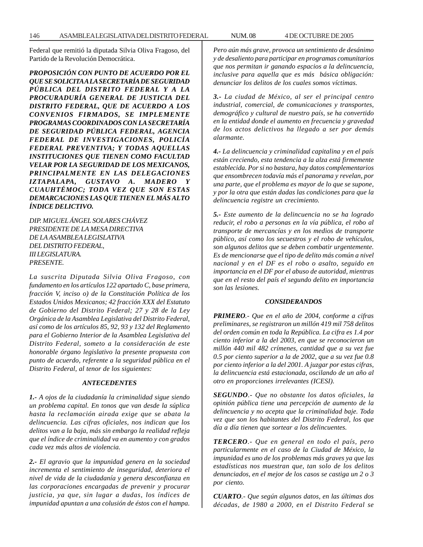Federal que remitió la diputada Silvia Oliva Fragoso, del Partido de la Revolución Democrática.

*PROPOSICIÓN CON PUNTO DE ACUERDO POR EL QUE SE SOLICITA A LA SECRETARÍA DE SEGURIDAD PÚBLICA DEL DISTRITO FEDERAL Y A LA PROCURADURÍA GENERAL DE JUSTICIA DEL DISTRITO FEDERAL, QUE DE ACUERDO A LOS CONVENIOS FIRMADOS, SE IMPLEMENTE PROGRAMAS COORDINADOS CON LA SECRETARÍA DE SEGURIDAD PÚBLICA FEDERAL, AGENCIA FEDERAL DE INVESTIGACIONES, POLICÍA FEDERAL PREVENTIVA; Y TODAS AQUELLAS INSTITUCIONES QUE TIENEN COMO FACULTAD VELAR POR LA SEGURIDAD DE LOS MEXICANOS, PRINCIPALMENTE EN LAS DELEGACIONES IZTAPALAPA, GUSTAVO A. MADERO Y CUAUHTÉMOC; TODA VEZ QUE SON ESTAS DEMARCACIONES LAS QUE TIENEN EL MÁS ALTO ÍNDICE DELICTIVO.*

*DIP. MIGUEL ÁNGEL SOLARES CHÁVEZ PRESIDENTE DE LA MESA DIRECTIVA DE LA ASAMBLEA LEGISLATIVA DEL DISTRITO FEDERAL, III LEGISLATURA. PRESENTE.*

*La suscrita Diputada Silvia Oliva Fragoso, con fundamento en los artículos 122 apartado C, base primera, fracción V, inciso o) de la Constitución Política de los Estados Unidos Mexicanos; 42 fracción XXX del Estatuto de Gobierno del Distrito Federal; 27 y 28 de la Ley Orgánica de la Asamblea Legislativa del Distrito Federal, así como de los artículos 85, 92, 93 y 132 del Reglamento para el Gobierno Interior de la Asamblea Legislativa del Distrito Federal, someto a la consideración de este honorable órgano legislativo la presente propuesta con punto de acuerdo, referente a la seguridad pública en el Distrito Federal, al tenor de los siguientes:*

### *ANTECEDENTES*

*1.- A ojos de la ciudadanía la criminalidad sigue siendo un problema capital. En tonos que van desde la súplica hasta la reclamación airada exige que se abata la delincuencia. Las cifras oficiales, nos indican que los delitos van a la baja, más sin embargo la realidad refleja que el índice de criminalidad va en aumento y con grados cada vez más altos de violencia.*

*2.- El agravio que la impunidad genera en la sociedad incrementa el sentimiento de inseguridad, deteriora el nivel de vida de la ciudadanía y genera desconfianza en las corporaciones encargadas de prevenir y procurar justicia, ya que, sin lugar a dudas, los índices de impunidad apuntan a una colusión de éstos con el hampa.*

*Pero aún más grave, provoca un sentimiento de desánimo y de desaliento para participar en programas comunitarios que nos permitan ir ganando espacios a la delincuencia, inclusive para aquella que es más básica obligación: denunciar los delitos de los cuales somos víctimas.*

*3.- La ciudad de México, al ser el principal centro industrial, comercial, de comunicaciones y transportes, demográfico y cultural de nuestro país, se ha convertido en la entidad donde el aumento en frecuencia y gravedad de los actos delictivos ha llegado a ser por demás alarmante.*

*4.- La delincuencia y criminalidad capitalina y en el país están creciendo, esta tendencia a la alza está firmemente establecida. Por si no bastara, hay datos complementarios que ensombrecen todavía más el panorama y revelan, por una parte, que el problema es mayor de lo que se supone, y por la otra que están dadas las condiciones para que la delincuencia registre un crecimiento.*

*5.- Este aumento de la delincuencia no se ha logrado reducir, el robo a personas en la vía pública, el robo al transporte de mercancías y en los medios de transporte público, así como los secuestros y el robo de vehículos, son algunos delitos que se deben combatir urgentemente. Es de mencionarse que el tipo de delito más común a nivel nacional y en el DF es el robo o asalto, seguido en importancia en el DF por el abuso de autoridad, mientras que en el resto del país el segundo delito en importancia son las lesiones.*

#### *CONSIDERANDOS*

*PRIMERO.- Que en el año de 2004, conforme a cifras preliminares, se registraron un millón 419 mil 758 delitos del orden común en toda la República. La cifra es 1.4 por ciento inferior a la del 2003, en que se reconocieron un millón 440 mil 482 crímenes, cantidad que a su vez fue 0.5 por ciento superior a la de 2002, que a su vez fue 0.8 por ciento inferior a la del 2001. A juzgar por estas cifras, la delincuencia está estacionada, oscilando de un año al otro en proporciones irrelevantes (ICESI).*

*SEGUNDO.- Que no obstante los datos oficiales, la opinión pública tiene una percepción de aumento de la delincuencia y no acepta que la criminalidad baje. Toda vez que son los habitantes del Distrito Federal, los que día a día tienen que sortear a los delincuentes.*

*TERCERO.- Que en general en todo el país, pero particularmente en el caso de la Ciudad de México, la impunidad es uno de los problemas más graves ya que las estadísticas nos muestran que, tan solo de los delitos denunciados, en el mejor de los casos se castiga un 2 o 3 por ciento.*

*CUARTO.- Que según algunos datos, en las últimas dos décadas, de 1980 a 2000, en el Distrito Federal se*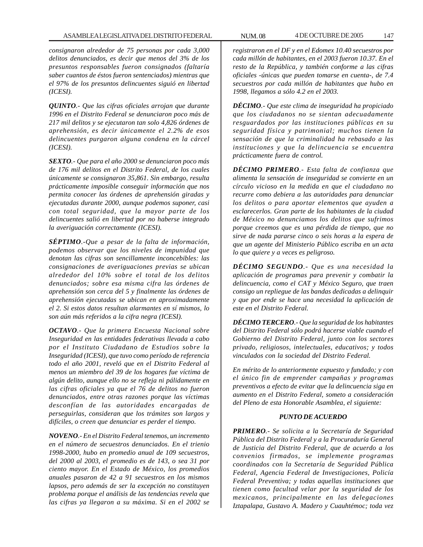*consignaron alrededor de 75 personas por cada 3,000 delitos denunciados, es decir que menos del 3% de los presuntos responsables fueron consignados (faltaría saber cuantos de éstos fueron sentenciados) mientras que el 97% de los presuntos delincuentes siguió en libertad (ICESI).*

*QUINTO.- Que las cifras oficiales arrojan que durante 1996 en el Distrito Federal se denunciaron poco más de 217 mil delitos y se ejecutaron tan solo 4,826 órdenes de aprehensión, es decir únicamente el 2.2% de esos delincuentes purgaron alguna condena en la cárcel (ICESI).*

*SEXTO.- Que para el año 2000 se denunciaron poco más de 176 mil delitos en el Distrito Federal, de los cuales únicamente se consignaron 35,861. Sin embargo, resulta prácticamente imposible conseguir información que nos permita conocer las órdenes de aprehensión giradas y ejecutadas durante 2000, aunque podemos suponer, casi con total seguridad, que la mayor parte de los delincuentes salió en libertad por no haberse integrado la averiguación correctamente (ICESI).*

*SÉPTIMO.-Que a pesar de la falta de información, podemos observar que los niveles de impunidad que denotan las cifras son sencillamente inconcebibles: las consignaciones de averiguaciones previas se ubican alrededor del 10% sobre el total de los delitos denunciados; sobre esa misma cifra las órdenes de aprehensión son cerca del 5 y finalmente las órdenes de aprehensión ejecutadas se ubican en aproximadamente el 2. Si estos datos resultan alarmantes en sí mismos, lo son aún más referidos a la cifra negra (ICESI).*

*OCTAVO.- Que la primera Encuesta Nacional sobre Inseguridad en las entidades federativas llevada a cabo por el Instituto Ciudadano de Estudios sobre la Inseguridad (ICESI), que tuvo como período de referencia todo el año 2001, reveló que en el Distrito Federal al menos un miembro del 39 de los hogares fue víctima de algún delito, aunque ello no se refleja ni pálidamente en las cifras oficiales ya que el 76 de delitos no fueron denunciados, entre otras razones porque las víctimas desconfían de las autoridades encargadas de perseguirlas, consideran que los trámites son largos y difíciles, o creen que denunciar es perder el tiempo.*

*NOVENO.- En el Distrito Federal tenemos, un incremento en el número de secuestros denunciados. En el trienio 1998-2000, hubo en promedio anual de 109 secuestros, del 2000 al 2003, el promedio es de 143, o sea 31 por ciento mayor. En el Estado de México, los promedios anuales pasaron de 42 a 91 secuestros en los mismos lapsos, pero además de ser la excepción no constituyen problema porque el análisis de las tendencias revela que las cifras ya llegaron a su máxima. Si en el 2002 se*

*registraron en el DF y en el Edomex 10.40 secuestros por cada millón de habitantes, en el 2003 fueron 10.37. En el resto de la República, y también conforme a las cifras oficiales -únicas que pueden tomarse en cuenta-, de 7.4 secuestros por cada millón de habitantes que hubo en 1998, llegamos a sólo 4.2 en el 2003.*

*DÉCIMO.- Que este clima de inseguridad ha propiciado que los ciudadanos no se sientan adecuadamente resguardados por las instituciones públicas en su seguridad física y patrimonial; muchos tienen la sensación de que la criminalidad ha rebasado a las instituciones y que la delincuencia se encuentra prácticamente fuera de control.*

*DÉCIMO PRIMERO.- Esta falta de confianza que alimenta la sensación de inseguridad se convierte en un círculo vicioso en la medida en que el ciudadano no recurre como debiera a las autoridades para denunciar los delitos o para aportar elementos que ayuden a esclarecerlos. Gran parte de los habitantes de la ciudad de México no denunciamos los delitos que sufrimos porque creemos que es una pérdida de tiempo, que no sirve de nada pararse cinco o seis horas a la espera de que un agente del Ministerio Público escriba en un acta lo que quiere y a veces es peligroso.*

*DÉCIMO SEGUNDO.- Que es una necesidad la aplicación de programas para prevenir y combatir la delincuencia, como el CAT y México Seguro, que traen consigo un repliegue de las bandas dedicadas a delinquir y que por ende se hace una necesidad la aplicación de este en el Distrito Federal.*

*DÉCIMO TERCERO.- Que la seguridad de los habitantes del Distrito Federal sólo podrá hacerse viable cuando el Gobierno del Distrito Federal, junto con los sectores privado, religiosos, intelectuales, educativos; y todos vinculados con la sociedad del Distrito Federal.*

*En mérito de lo anteriormente expuesto y fundado; y con el único fin de emprender campañas y programas preventivos a efecto de evitar que la delincuencia siga en aumento en el Distrito Federal, someto a consideración del Pleno de esta Honorable Asamblea, el siguiente:*

### *PUNTO DE ACUERDO*

*PRIMERO.- Se solicita a la Secretaría de Seguridad Pública del Distrito Federal y a la Procuraduría General de Justicia del Distrito Federal, que de acuerdo a los convenios firmados, se implemente programas coordinados con la Secretaría de Seguridad Pública Federal, Agencia Federal de Investigaciones, Policía Federal Preventiva; y todas aquellas instituciones que tienen como facultad velar por la seguridad de los mexicanos, principalmente en las delegaciones Iztapalapa, Gustavo A. Madero y Cuauhtémoc; toda vez*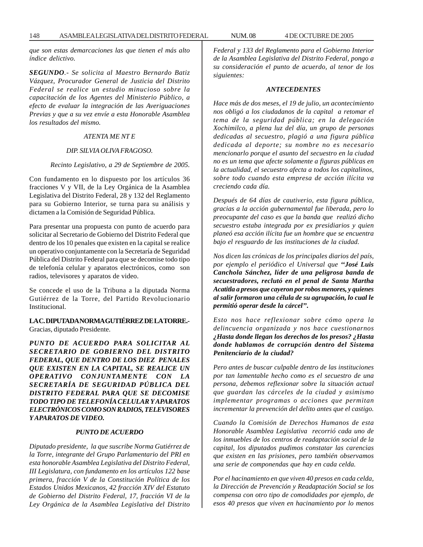148 ASAMBLEA LEGISLATIVA DEL DISTRITO FEDERAL NUM. 08 4 DE OCTUBRE DE 2005

*que son estas demarcaciones las que tienen el más alto índice delictivo.*

*SEGUNDO.- Se solicita al Maestro Bernardo Batiz Vázquez, Procurador General de Justicia del Distrito Federal se realice un estudio minucioso sobre la capacitación de los Agentes del Ministerio Público, a efecto de evaluar la integración de las Averiguaciones Previas y que a su vez envíe a esta Honorable Asamblea los resultados del mismo.*

### *ATENTA ME NT E*

### *DIP. SILVIA OLIVA FRAGOSO.*

#### *Recinto Legislativo, a 29 de Septiembre de 2005.*

Con fundamento en lo dispuesto por los artículos 36 fracciones V y VII, de la Ley Orgánica de la Asamblea Legislativa del Distrito Federal, 28 y 132 del Reglamento para su Gobierno Interior, se turna para su análisis y dictamen a la Comisión de Seguridad Pública.

Para presentar una propuesta con punto de acuerdo para solicitar al Secretario de Gobierno del Distrito Federal que dentro de los 10 penales que existen en la capital se realice un operativo conjuntamente con la Secretaría de Seguridad Pública del Distrito Federal para que se decomise todo tipo de telefonía celular y aparatos electrónicos, como son radios, televisores y aparatos de video.

Se concede el uso de la Tribuna a la diputada Norma Gutiérrez de la Torre, del Partido Revolucionario Institucional.

## **LA C. DIPUTADA NORMA GUTIÉRREZ DE LA TORRE.-** Gracias, diputado Presidente.

*PUNTO DE ACUERDO PARA SOLICITAR AL SECRETARIO DE GOBIERNO DEL DISTRITO FEDERAL, QUE DENTRO DE LOS DIEZ PENALES QUE EXISTEN EN LA CAPITAL, SE REALICE UN OPERATIVO CONJUNTAMENTE CON LA SECRETARÍA DE SEGURIDAD PÚBLICA DEL DISTRITO FEDERAL PARA QUE SE DECOMISE TODO TIPO DE TELEFONÍA CELULAR Y APARATOS ELECTRÓNICOS COMO SON RADIOS, TELEVISORES Y APARATOS DE VIDEO.*

## *PUNTO DE ACUERDO*

*Diputado presidente, la que suscribe Norma Gutiérrez de la Torre, integrante del Grupo Parlamentario del PRI en esta honorable Asamblea Legislativa del Distrito Federal, III Legislatura, con fundamento en los artículos 122 base primera, fracción V de la Constitución Política de los Estados Unidos Mexicanos, 42 fracción XIV del Estatuto de Gobierno del Distrito Federal, 17, fracción VI de la Ley Orgánica de la Asamblea Legislativa del Distrito* *Federal y 133 del Reglamento para el Gobierno Interior de la Asamblea Legislativa del Distrito Federal, pongo a su consideración el punto de acuerdo, al tenor de los siguientes:*

#### *ANTECEDENTES*

*Hace más de dos meses, el 19 de julio, un acontecimiento nos obligó a los ciudadanos de la capital a retomar el tema de la seguridad pública; en la delegación Xochimilco, a plena luz del día, un grupo de personas dedicadas al secuestro, plagió a una figura pública dedicada al deporte; su nombre no es necesario mencionarlo porque el asunto del secuestro en la ciudad no es un tema que afecte solamente a figuras públicas en la actualidad, el secuestro afecta a todos los capitalinos, sobre todo cuando esta empresa de acción ilícita va creciendo cada día.*

*Después de 64 días de cautiverio, esta figura pública, gracias a la acción gubernamental fue liberada, pero lo preocupante del caso es que la banda que realizó dicho secuestro estaba integrada por ex presidiarios y quien planeó esa acción ilícita fue un hombre que se encuentra bajo el resguardo de las instituciones de la ciudad.*

*Nos dicen las crónicas de los principales diarios del país, por ejemplo el periódico el Universal que ''José Luis Canchola Sánchez, líder de una peligrosa banda de secuestradores, reclutó en el penal de Santa Martha Acatitla a presos que cayeron por robos menores, y quienes al salir formaron una célula de su agrupación, lo cual le permitió operar desde la cárcel''.*

*Esto nos hace reflexionar sobre cómo opera la delincuencia organizada y nos hace cuestionarnos ¿Hasta donde llegan los derechos de los presos? ¿Hasta donde hablamos de corrupción dentro del Sistema Penitenciario de la ciudad?*

*Pero antes de buscar culpable dentro de las instituciones por tan lamentable hecho como es el secuestro de una persona, debemos reflexionar sobre la situación actual que guardan las cárceles de la ciudad y asimismo implementar programas o acciones que permitan incrementar la prevención del delito antes que el castigo.*

*Cuando la Comisión de Derechos Humanos de esta Honorable Asamblea Legislativa recorrió cada uno de los inmuebles de los centros de readaptación social de la capital, los diputados pudimos constatar las carencias que existen en las prisiones, pero también observamos una serie de componendas que hay en cada celda.*

*Por el hacinamiento en que viven 40 presos en cada celda, la Dirección de Prevención y Readaptación Social se los compensa con otro tipo de comodidades por ejemplo, de esos 40 presos que viven en hacinamiento por lo menos*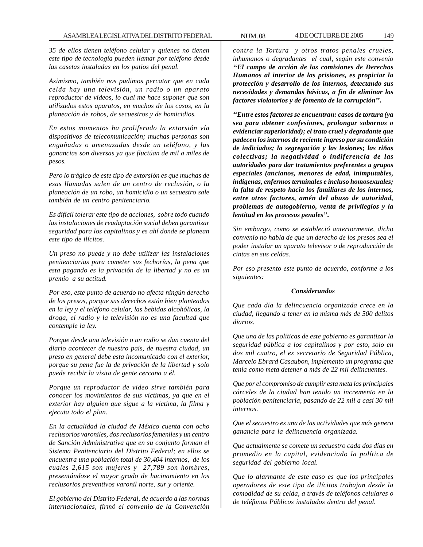*35 de ellos tienen teléfono celular y quienes no tienen este tipo de tecnología pueden llamar por teléfono desde las casetas instaladas en los patios del penal.*

*Asimismo, también nos pudimos percatar que en cada celda hay una televisión, un radio o un aparato reproductor de videos, lo cual me hace suponer que son utilizados estos aparatos, en muchos de los casos, en la planeación de robos, de secuestros y de homicidios.*

*En estos momentos ha proliferado la extorsión vía dispositivos de telecomunicación; muchas personas son engañadas o amenazadas desde un teléfono, y las ganancias son diversas ya que fluctúan de mil a miles de pesos.*

*Pero lo trágico de este tipo de extorsión es que muchas de esas llamadas salen de un centro de reclusión, o la planeación de un robo, un homicidio o un secuestro sale también de un centro penitenciario.*

*Es difícil tolerar este tipo de acciones, sobre todo cuando las instalaciones de readaptación social deben garantizar seguridad para los capitalinos y es ahí donde se planean este tipo de ilícitos.*

*Un preso no puede y no debe utilizar las instalaciones penitenciarias para cometer sus fechorías, la pena que esta pagando es la privación de la libertad y no es un premio a su actitud.*

*Por eso, este punto de acuerdo no afecta ningún derecho de los presos, porque sus derechos están bien planteados en la ley y el teléfono celular, las bebidas alcohólicas, la droga, el radio y la televisión no es una facultad que contemple la ley.*

*Porque desde una televisión o un radio se dan cuenta del diario acontecer de nuestro país, de nuestra ciudad, un preso en general debe esta incomunicado con el exterior, porque su pena fue la de privación de la libertad y solo puede recibir la visita de gente cercana a él.*

*Porque un reproductor de video sirve también para conocer los movimientos de sus víctimas, ya que en el exterior hay alguien que sigue a la victima, la filma y ejecuta todo el plan.*

*En la actualidad la ciudad de México cuenta con ocho reclusorios varoniles, dos reclusorios femeniles y un centro de Sanción Administrativa que en su conjunto forman el Sistema Penitenciario del Distrito Federal; en ellos se encuentra una población total de 30,404 internos, de los cuales 2,615 son mujeres y 27,789 son hombres, presentándose el mayor grado de hacinamiento en los reclusorios preventivos varonil norte, sur y oriente.*

*El gobierno del Distrito Federal, de acuerdo a las normas internacionales, firmó el convenio de la Convención*

*contra la Tortura y otros tratos penales crueles, inhumanos o degradantes el cual, según este convenio ''El campo de acción de las comisiones de Derechos Humanos al interior de las prisiones, es propiciar la protección y desarrollo de los internos, detectando sus necesidades y demandas básicas, a fin de eliminar los factores violatorios y de fomento de la corrupción''.*

*''Entre estos factores se encuentran: casos de tortura (ya sea para obtener confesiones, prolongar sobornos o evidenciar superioridad); el trato cruel y degradante que padecen los internos de reciente ingreso por su condición de indiciados; la segregación y las lesiones; las riñas colectivas; la negatividad o indiferencia de las autoridades para dar tratamientos preferentes a grupos especiales (ancianos, menores de edad, inimputables, indígenas, enfermos terminales e incluso homosexuales; la falta de respeto hacia los familiares de los internos, entre otros factores, amén del abuso de autoridad, problemas de autogobierno, venta de privilegios y la lentitud en los procesos penales''.*

*Sin embargo, como se estableció anteriormente, dicho convenio no habla de que un derecho de los presos sea el poder instalar un aparato televisor o de reproducción de cintas en sus celdas.*

*Por eso presento este punto de acuerdo, conforme a los siguientes:*

### *Considerandos*

*Que cada día la delincuencia organizada crece en la ciudad, llegando a tener en la misma más de 500 delitos diarios.*

*Que una de las políticas de este gobierno es garantizar la seguridad pública a los capitalinos y por esto, solo en dos mil cuatro, el ex secretario de Seguridad Pública, Marcelo Ebrard Casaubon, implemento un programa que tenía como meta detener a más de 22 mil delincuentes.*

*Que por el compromiso de cumplir esta meta las principales cárceles de la ciudad han tenido un incremento en la población penitenciaria, pasando de 22 mil a casi 30 mil internos.*

*Que el secuestro es una de las actividades que más genera ganancia para la delincuencia organizada.*

*Que actualmente se comete un secuestro cada dos días en promedio en la capital, evidenciado la política de seguridad del gobierno local.*

*Que lo alarmante de este caso es que los principales operadores de este tipo de ilícitos trabajan desde la comodidad de su celda, a través de teléfonos celulares o de teléfonos Públicos instalados dentro del penal.*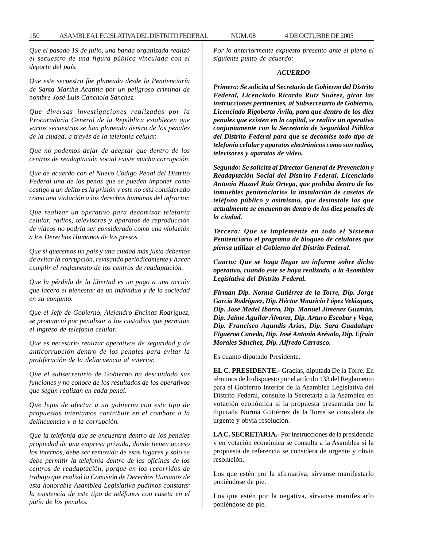*Que el pasado 19 de julio, una banda organizada realizó el secuestro de una figura pública vinculada con el deporte del país.*

*Que este secuestro fue planeado desde la Penitenciaría de Santa Martha Acatitla por un peligroso criminal de nombre José Luis Canchola Sánchez.*

*Que diversas investigaciones realizadas por la Procuraduría General de la República establecen que varios secuestros se han planeado dentro de los penales de la ciudad, a través de la telefonía celular.*

*Que no podemos dejar de aceptar que dentro de los centros de readaptación social existe mucha corrupción.*

*Que de acuerdo con el Nuevo Código Penal del Distrito Federal una de las penas que se pueden imponer como castigo a un delito es la prisión y este no esta considerado como una violación a los derechos humanos del infractor.*

*Que realizar un operativo para decomisar telefonía celular, radios, televisores y aparatos de reproducción de videos no podría ser considerado como una violación a los Derechos Humanos de los presos.*

*Que si queremos un país y una ciudad más justa debemos de evitar la corrupción, revisando periódicamente y hacer cumplir el reglamento de los centros de readaptación.*

*Que la pérdida de la libertad es un pago a una acción que laceró el bienestar de un individuo y de la sociedad en su conjunto.*

*Que el Jefe de Gobierno, Alejandro Encinas Rodríguez, se pronunció por penalizar a los custodios que permitan el ingreso de telefonía celular.*

*Que es necesario realizar operativos de seguridad y de anticorrupción dentro de los penales para evitar la proliferación de la delincuencia al exterior.*

*Que el subsecretario de Gobierno ha descuidado sus funciones y no conoce de los resultados de los operativos que según realizan en cada penal.*

*Que lejos de afectar a un gobierno con este tipo de propuestas intentamos contribuir en el combate a la delincuencia y a la corrupción.*

*Que la telefonía que se encuentra dentro de los penales propiedad de una empresa privada, donde tienen acceso los internos, debe ser removida de esos lugares y solo se debe permitir la telefonía dentro de las oficinas de los centros de readaptación, porque en los recorridos de trabajo que realizó la Comisión de Derechos Humanos de esta honorable Asamblea Legislativa pudimos constatar la existencia de este tipo de teléfonos con caseta en el patio de los penales.*

*Por lo anteriormente expuesto presento ante el pleno el siguiente punto de acuerdo:*

### *ACUERDO*

*Primero: Se solicita al Secretario de Gobierno del Distrito Federal, Licenciado Ricardo Ruiz Suárez, girar las instrucciones pertinentes, al Subsecretario de Gobierno, Licenciado Rigoberto Ávila, para que dentro de los diez penales que existen en la capital, se realice un operativo conjuntamente con la Secretaría de Seguridad Pública del Distrito Federal para que se decomise todo tipo de telefonía celular y aparatos electrónicos como son radios, televisores y aparatos de video.*

*Segundo: Se solicita al Director General de Prevención y Readaptación Social del Distrito Federal, Licenciado Antonio Hazael Ruiz Ortega, que prohíba dentro de los inmuebles penitenciarios la instalación de casetas de teléfono público y asimismo, que desinstale las que actualmente se encuentran dentro de los diez penales de la ciudad.*

*Tercero: Que se implemente en todo el Sistema Penitenciario el programa de bloqueo de celulares que piensa utilizar el Gobierno del Distrito Federal.*

*Cuarto: Que se haga llegar un informe sobre dicho operativo, cuando este se haya realizado, a la Asamblea Legislativa del Distrito Federal.*

*Firman Dip. Norma Gutiérrez de la Torre, Dip. Jorge García Rodríguez, Dip. Héctor Mauricio López Velázquez, Dip. José Medel Ibarra, Dip. Manuel Jiménez Guzmán, Dip. Jaime Aguilar Álvarez, Dip. Arturo Escobar y Vega, Dip. Francisco Agundis Arias, Dip. Sara Guadalupe Figueroa Canedo, Dip. José Antonio Arévalo, Dip. Efraín Morales Sánchez, Dip. Alfredo Carrasco.*

Es cuanto diputado Presidente.

**EL C. PRESIDENTE.-** Gracias, diputada De la Torre. En términos de lo dispuesto por el artículo 133 del Reglamento para el Gobierno Interior de la Asamblea Legislativa del Distrito Federal, consulte la Secretaría a la Asamblea en votación económica si la propuesta presentada por la diputada Norma Gutiérrez de la Torre se considera de urgente y obvia resolución.

**LA C. SECRETARIA.-** Por instrucciones de la presidencia y en votación económica se consulta a la Asamblea si la propuesta de referencia se considera de urgente y obvia resolución.

Los que estén por la afirmativa, sírvanse manifestarlo poniéndose de pie.

Los que estén por la negativa, sírvanse manifestarlo poniéndose de pie.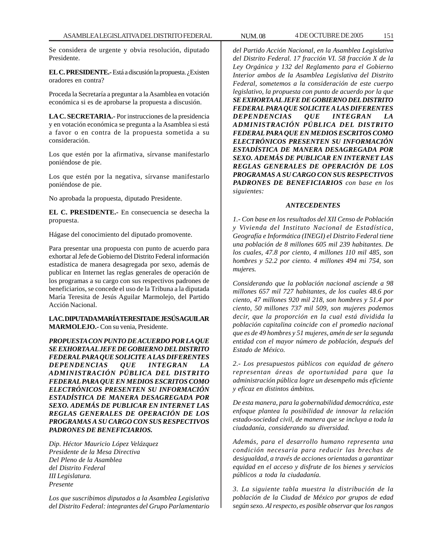Se considera de urgente y obvia resolución, diputado Presidente.

**EL C. PRESIDENTE.-** Está a discusión la propuesta. ¿Existen oradores en contra?

Proceda la Secretaría a preguntar a la Asamblea en votación económica si es de aprobarse la propuesta a discusión.

**LA C. SECRETARIA.-** Por instrucciones de la presidencia y en votación económica se pregunta a la Asamblea si está a favor o en contra de la propuesta sometida a su consideración.

Los que estén por la afirmativa, sírvanse manifestarlo poniéndose de pie.

Los que estén por la negativa, sírvanse manifestarlo poniéndose de pie.

No aprobada la propuesta, diputado Presidente.

**EL C. PRESIDENTE.-** En consecuencia se desecha la propuesta.

Hágase del conocimiento del diputado promovente.

Para presentar una propuesta con punto de acuerdo para exhortar al Jefe de Gobierno del Distrito Federal información estadística de manera desagregada por sexo, además de publicar en Internet las reglas generales de operación de los programas a su cargo con sus respectivos padrones de beneficiarios, se concede el uso de la Tribuna a la diputada María Teresita de Jesús Aguilar Marmolejo, del Partido Acción Nacional.

**LA C. DIPUTADA MARÍA TERESITA DE JESÚS AGUILAR MARMOLEJO.-** Con su venia, Presidente.

*PROPUESTA CON PUNTO DE ACUERDO POR LA QUE SE EXHORTA AL JEFE DE GOBIERNO DEL DISTRITO FEDERAL PARA QUE SOLICITE A LAS DIFERENTES DEPENDENCIAS QUE INTEGRAN LA ADMINISTRACIÓN PÚBLICA DEL DISTRITO FEDERAL PARA QUE EN MEDIOS ESCRITOS COMO ELECTRÓNICOS PRESENTEN SU INFORMACIÓN ESTADÍSTICA DE MANERA DESAGREGADA POR SEXO. ADEMÁS DE PUBLICAR EN INTERNET LAS REGLAS GENERALES DE OPERACIÓN DE LOS PROGRAMAS A SU CARGO CON SUS RESPECTIVOS PADRONES DE BENEFICIARIOS.*

*Dip. Héctor Mauricio López Velázquez Presidente de la Mesa Directiva Del Pleno de la Asamblea del Distrito Federal III Legislatura. Presente*

*Los que suscribimos diputados a la Asamblea Legislativa del Distrito Federal: integrantes del Grupo Parlamentario* *del Partido Acción Nacional, en la Asamblea Legislativa del Distrito Federal. 17 fracción VI. 58 fracción X de la Ley Orgánica y 132 del Reglamento para el Gobierno Interior ambos de la Asamblea Legislativa del Distrito Federal, sometemos a la consideración de este cuerpo legislativo, la propuesta con punto de acuerdo por la que SE EXHORTA AL JEFE DE GOBIERNO DEL DISTRITO FEDERAL PARA QUE SOLICITE A LAS DIFERENTES DEPENDENCIAS QUE INTEGRAN LA ADMINISTRACIÓN PÚBLICA DEL DISTRITO FEDERAL PARA QUE EN MEDIOS ESCRITOS COMO ELECTRÓNICOS PRESENTEN SU INFORMACIÓN ESTADÍSTICA DE MANERA DESAGREGADA POR SEXO. ADEMÁS DE PUBLICAR EN INTERNET LAS REGLAS GENERALES DE OPERACIÓN DE LOS PROGRAMAS A SU CARGO CON SUS RESPECTIVOS PADRONES DE BENEFICIARIOS con base en los siguientes:*

## *ANTECEDENTES*

*1.- Con base en los resultados del XII Censo de Población y Vivienda del Instituto Nacional de Estadística, Geografía e Informática (INEGI) el Distrito Federal tiene una población de 8 millones 605 mil 239 habitantes. De los cuales, 47.8 por ciento, 4 millones 110 mil 485, son hombres y 52.2 por ciento. 4 millones 494 mi 754, son mujeres.*

*Considerando que la población nacional asciende a 98 millones 657 mil 727 habitantes, de los cuales 48.6 por ciento, 47 millones 920 mil 218, son hombres y 51.4 por ciento, 50 millones 737 mil 509, son mujeres podemos decir, que la proporción en la cual está dividida la población capitalina coincide con el promedio nacional que es de 49 hombres y 51 mujeres, amén de ser la segunda entidad con el mayor número de población, después del Estado de México.*

*2.- Los presupuestos públicos con equidad de género representan áreas de oportunidad para que la administración pública logre un desempeño más eficiente y eficaz en distintos ámbitos.*

*De esta manera, para la gobernabilidad democrática, este enfoque plantea la posibilidad de innovar la relación estado-sociedad civil, de manera que se incluya a toda la ciudadanía, considerando su diversidad.*

*Además, para el desarrollo humano representa una condición necesaria para reducir las brechas de desigualdad, a través de acciones orientadas a garantizar equidad en el acceso y disfrute de los bienes y servicios públicos a toda la ciudadanía.*

*3. La siguiente tabla muestra la distribución de la población de la Ciudad de México por grupos de edad según sexo. Al respecto, es posible observar que los rangos*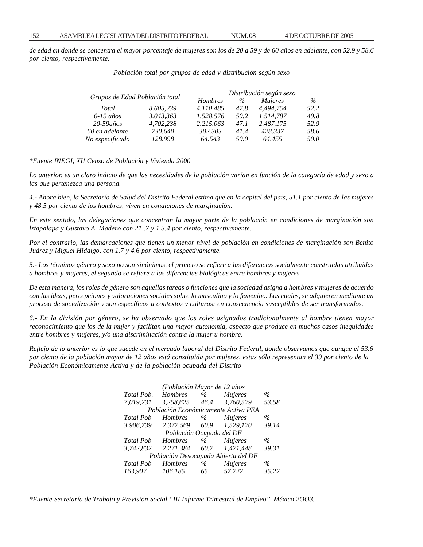*de edad en donde se concentra el mayor porcentaje de mujeres son los de 20 a 59 y de 60 años en adelante, con 52.9 y 58.6 por ciento, respectivamente.*

| Población total por grupos de edad y distribución según sexo |  |  |  |  |
|--------------------------------------------------------------|--|--|--|--|
|--------------------------------------------------------------|--|--|--|--|

| Grupos de Edad Población total |           | Distribución según sexo |      |                |      |
|--------------------------------|-----------|-------------------------|------|----------------|------|
|                                |           | <b>Hombres</b>          | $\%$ | <i>Mujeres</i> | $\%$ |
| Total                          | 8.605.239 | 4.110.485               | 47.8 | 4.494.754      | 52.2 |
| $0-19$ años                    | 3.043,363 | 1.528.576               | 50.2 | 1.514.787      | 49.8 |
| $20 - 59a\tilde{n}$ os         | 4,702,238 | 2.215.063               | 47.1 | 2.487.175      | 52.9 |
| 60 en adelante                 | 730.640   | 302.303                 | 41.4 | 428.337        | 58.6 |
| No especificado                | 128.998   | 64.543                  | 50.0 | 64.455         | 50.0 |
|                                |           |                         |      |                |      |

*\*Fuente INEGI, XII Censo de Población y Vivienda 2000*

*Lo anterior, es un claro indicio de que las necesidades de la población varían en función de la categoría de edad y sexo a las que pertenezca una persona.*

*4.- Ahora bien, la Secretaría de Salud del Distrito Federal estima que en la capital del país, 51.1 por ciento de las mujeres y 48.5 por ciento de los hombres, viven en condiciones de marginación.*

*En este sentido, las delegaciones que concentran la mayor parte de la población en condiciones de marginación son lztapalapa y Gustavo A. Madero con 21 .7 y 1 3.4 por ciento, respectivamente.*

*Por el contrario, las demarcaciones que tienen un menor nivel de población en condiciones de marginación son Benito Juárez y Miguel Hidalgo, con 1.7 y 4.6 por ciento, respectivamente.*

*5.- Los términos género y sexo no son sinónimos, el primero se refiere a las diferencias socialmente construidas atribuidas a hombres y mujeres, el segundo se refiere a las diferencias biológicas entre hombres y mujeres.*

*De esta manera, los roles de género son aquellas tareas o funciones que la sociedad asigna a hombres y mujeres de acuerdo con las ideas, percepciones y valoraciones sociales sobre lo masculino y lo femenino. Los cuales, se adquieren mediante un proceso de socialización y son específicos a contextos y culturas: en consecuencia susceptibles de ser transformados.*

*6.- En la división por género, se ha observado que los roles asignados tradicionalmente al hombre tienen mayor reconocimiento que los de la mujer y facilitan una mayor autonomía, aspecto que produce en muchos casos inequidades entre hombres y mujeres, y/o una discriminación contra la mujer u hombre.*

*Reflejo de lo anterior es lo que sucede en el mercado laboral del Distrito Federal, donde observamos que aunque el 53.6 por ciento de la población mayor de 12 años está constituida por mujeres, estas sólo representan el 39 por ciento de la Población Económicamente Activa y de la población ocupada del Distrito*

| (Población Mayor de 12 años         |                |      |                |       |  |  |
|-------------------------------------|----------------|------|----------------|-------|--|--|
| Total Pob.                          | Hombres        | $\%$ | <i>Mujeres</i> | $\%$  |  |  |
| 7.019.231                           | 3.258.625      | 46.4 | 3.760.579      | 53.58 |  |  |
| Población Económicamente Activa PEA |                |      |                |       |  |  |
| <b>Total Pob</b>                    | <b>Hombres</b> | $\%$ | <i>Mujeres</i> | $\%$  |  |  |
| 3.906,739                           | 2,377,569      | 60.9 | 1,529,170      | 39.14 |  |  |
| Población Ocupada del DF            |                |      |                |       |  |  |
| <b>Total Pob</b>                    | <b>Hombres</b> | $\%$ | <i>Mujeres</i> | $\%$  |  |  |
| 3.742.832                           | 2,271,384      | 60.7 | 1.471.448      | 39.31 |  |  |
| Población Desocupada Abierta del DF |                |      |                |       |  |  |
| <b>Total Pob</b>                    | <b>Hombres</b> | $\%$ | <b>Mujeres</b> | $\%$  |  |  |
| 163.907                             | 106.185        | 65   | 57.722         | 35.22 |  |  |

*\*Fuente Secretaría de Trabajo y Previsión Social ''III Informe Trimestral de Empleo''. México 2OO3.*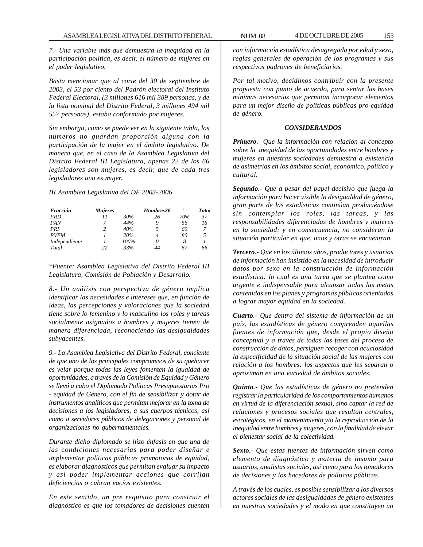*7.- Una variable más que demuestra la inequidad en la participación política, es decir, el número de mujeres en el poder legislativo.*

*Basta mencionar que al corte del 30 de septiembre de 2003, el 53 por ciento del Padrón electoral del Instituto Federal Electoral, (3 millones 616 mil 389 personas, y de la lista nominal del Distrito Federal, 3 millones 494 mil 557 personas), estaba conformado por mujeres.*

*Sin embargo, como se puede ver en la siguiente tabla, los números no guardan proporción alguna con la participación de la mujer en el ámbito legislativo. De manera que, en el caso de la Asamblea Legislativa del Distrito Federal III Legislatura, apenas 22 de los 66 legisladores son mujeres, es decir, que de cada tres legisladores uno es mujer.*

### *III Asamblea Legislativa del DF 2003-2006*

| Fracción      | <b>Mujeres</b> |      | Hombres26 | ,   | <b>Tota</b> |
|---------------|----------------|------|-----------|-----|-------------|
| <b>PRD</b>    |                | 30%  | 26        | 70% | 37          |
| <b>PAN</b>    |                | 44%  | 9         | 56  | 16          |
| PRI           | 2              | 40%  | 5         | 60  |             |
| <b>PVEM</b>   |                | 20%  |           | 80  | 5           |
| Independiente |                | 100% | 0         | 8   |             |
| Total         | 22             | 33%  | 44        | 67  | 66          |

*\*Fuente: Asamblea Legislativa del Distrito Federal III Legislatura, Comisión de Población y Desarrollo.*

*8.- Un análisis con perspectiva de género implica identificar las necesidades e intereses que, en función de ideas, las percepciones y valoraciones que la sociedad tiene sobre lo femenino y lo masculino los roles y tareas socialmente asignados a hombres y mujeres tienen de manera diferenciada, reconociendo las desigualdades subyacentes.*

*9.- La Asamblea Legislativa del Distrito Federal, conciente de que uno de los principales compromisos de su quehacer es velar porque todas las leyes fomenten la igualdad de oportunidades, a través de la Comisión de Equidad y Género se llevó a cabo el Diplomado Políticas Presupuestarias Pro - equidad de Género, con el fin de sensibilizar y dotar de instrumentos analíticos que permitan mejorar en la toma de decisiones a los legisladores, a sus cuerpos técnicos, así como a servidores públicos de delegaciones y personal de organizaciones no gubernamentales.*

*Durante dicho diplomado se hizo énfasis en que una de las condiciones necesarias para poder diseñar e implementar políticas públicas promotoras de equidad, es elaborar diagnósticos que permitan evaluar su impacto y así poder implementar acciones que corrijan deficiencias o cubran vacíos existentes.*

*En este sentido, un pre requisito para construir el diagnóstico es que los tomadores de decisiones cuenten*

*con información estadística desagregada por edad y sexo, reglas generales de operación de los programas y sus respectivos padrones de beneficiarios.*

*Por tal motivo, decidimos contribuir con la presente propuesta con punto de acuerdo, para sentar las bases mínimas necesarias que permitan incorporar elementos para un mejor diseño de políticas públicas pro-equidad de género.*

#### *CONSIDERANDOS*

*Primero.- Que la información con relación al concepto sobre la inequidad de las oportunidades entre hombres y mujeres en nuestras sociedades demuestra a existencia de asimetrías en los ámbitos social, económico, político y cultural.*

*Segundo.- Que a pesar del papel decisivo que juega la información para hacer visible la desigualdad de género, gran parte de las estadísticas continúan produciéndose sin contemplar los roles, las tareas, y las responsabilidades diferenciadas de hombres y mujeres en la sociedad: y en consecuencia, no consideran la situación particular en que, unos y otras se encuentran.*

*Tercero.- Que en los últimos años, productores y usuarios de información han insistido en la necesidad de introducir datos por sexo en la construcción de información estadística: lo cual es una tarea que se plantea como urgente e indispensable para alcanzar todas las metas contenidas en los planes y programas públicos orientados a lograr mayor equidad en la sociedad.*

*Cuarto.- Que dentro del sistema de información de un país, las estadísticas de género comprenden aquellas fuentes de información que, desde el propio diseño conceptual y a través de todas las fases del proceso de construcción de datos, persiguen recoger con acuciosidad la especificidad de la situación social de las mujeres con relación a los hombres: los aspectos que les separan o aproximan en una variedad de ámbitos sociales.*

*Quinto.- Que las estadísticas de género no pretenden registrar la particularidad de los comportamientos humanos en virtud de la diferenciación sexual, sino captar la red de relaciones y procesos sociales que resultan centrales, estratégicos, en el mantenimiento y/o la reproducción de la inequidad entre hombres y mujeres, con la finalidad de elevar el bienestar social de la colectividad.*

*Sexto.- Que estas fuentes de información sirven como elemento de diagnóstico y materia de insumo para usuarios, analistas sociales, así como para los tomadores de decisiones y los hacedores de políticas públicas.*

*A través de los cuales, es posible sensibilizar a los diversos actores sociales de las desigualdades de género existentes en nuestras sociedades y el modo en que constituyen un*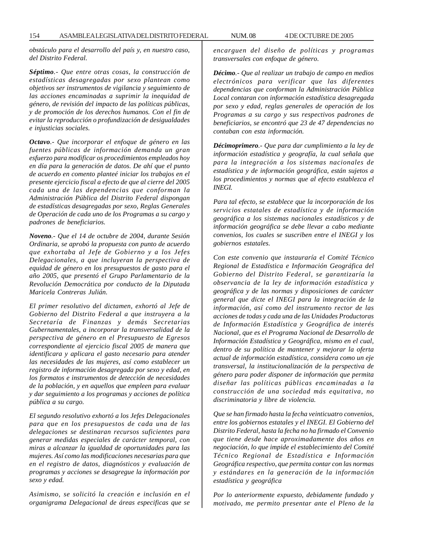*obstáculo para el desarrollo del país y, en nuestro caso, del Distrito Federal.*

*Séptimo.- Que entre otras cosas, la construcción de estadísticas desagregadas por sexo plantean como objetivos ser instrumentos de vigilancia y seguimiento de las acciones encaminadas a suprimir la inequidad de género, de revisión del impacto de las políticas públicas, y de promoción de los derechos humanos. Con el fin de evitar la reproducción o profundización de desigualdades e injusticias sociales.*

*Octavo.- Que incorporar el enfoque de género en las fuentes públicas de información demanda un gran esfuerzo para modificar os procedimientos empleados hoy en día para la generación de datos. De ahí que el punto de acuerdo en comento planteé iniciar los trabajos en el presente ejercicio fiscal a efecto de que al cierre del 2005 cada una de las dependencias que conforman la Administración Pública del Distrito Federal dispongan de estadísticas desagregadas por sexo, Reglas Generales de Operación de cada uno de los Programas a su cargo y padrones de beneficiarios.*

*Noveno.- Que el 14 de octubre de 2004, durante Sesión Ordinaria, se aprobó la propuesta con punto de acuerdo que exhortaba al Jefe de Gobierno y a los Jefes Delegacionales, a que incluyeran la perspectiva de equidad de género en los presupuestos de gasto para el año 2005, que presentó el Grupo Parlamentario de la Revolución Democrática por conducto de la Diputada Maricela Contreras Julián.*

*El primer resolutivo del dictamen, exhortó al Jefe de Gobierno del Distrito Federal a que instruyera a la Secretaría de Finanzas y demás Secretarias Gubernamentales, a incorporar la transversalidad de la perspectiva de género en el Presupuesto de Egresos correspondiente al ejercicio fiscal 2005 de manera que identificara y aplicara el gasto necesario para atender las necesidades de las mujeres, así como establecer un registro de información desagregada por sexo y edad, en los formatos e instrumentos de detección de necesidades de la población, y en aquellos que empleen para evaluar y dar seguimiento a los programas y acciones de política pública a su cargo.*

*El segundo resolutivo exhortó a los Jefes Delegacionales para que en los presupuestos de cada una de las delegaciones se destinaran recursos suficientes para generar medidas especiales de carácter temporal, con miras a alcanzar la igualdad de oportunidades para las mujeres. Así como las modificaciones necesarias para que en el registro de datos, diagnósticos y evaluación de programas y acciones se desagregue la información por sexo y edad.*

*Asimismo, se solicitó la creación e inclusión en el organigrama Delegacional de áreas especificas que se* *encarguen del diseño de políticas y programas transversales con enfoque de género.*

*Décimo.- Que al realizar un trabajo de campo en medios electrónicos para verificar que las diferentes dependencias que conforman la Administración Pública Local contaran con información estadística desagregada por sexo y edad, reglas generales de operación de los Programas a su cargo y sus respectivos padrones de beneficiarios, se encontró que 23 de 47 dependencias no contaban con esta información.*

*Décimoprimero.- Que para dar cumplimiento a la ley de información estadística y geografía, la cual señala que para la integración a los sistemas nacionales de estadística y de información geográfica, están sujetos a los procedimientos y normas que al efecto establezca el INEGI.*

*Para tal efecto, se establece que la incorporación de los servicios estatales de estadística y de información geográfica a los sistemas nacionales estadísticos y de información geográfica se debe llevar a cabo mediante convenios, los cuales se suscriben entre el INEGI y los gobiernos estatales.*

*Con este convenio que instauraría el Comité Técnico Regional de Estadística e Información Geográfica del Gobierno del Distrito Federal, se garantizaría la observancia de la ley de información estadística y geográfica y de las normas y disposiciones de carácter general que dicte el INEGI para la integración de la información, así como del instrumento rector de las acciones de todas y cada una de las Unidades Productoras de Información Estadística y Geográfica de interés Nacional, que es el Programa Nacional de Desarrollo de Información Estadística y Geográfica, mismo en el cual, dentro de su política de mantener y mejorar la oferta actual de información estadística, considera como un eje transversal, la institucionalización de la perspectiva de género para poder disponer de información que permita diseñar las políticas públicas encaminadas a la construcción de una sociedad más equitativa, no discriminatoria y libre de violencia.*

*Que se han firmado hasta la fecha veinticuatro convenios, entre los gobiernos estatales y el INEGI. El Gobierno del Distrito Federal, hasta la fecha no ha firmado el Convenio que tiene desde hace aproximadamente dos años en negociación, lo que impide el establecimiento del Comité Técnico Regional de Estadística e Información Geográfica respectivo, que permita contar con las normas y estándares en la generación de la información estadística y geográfica*

*Por lo anteriormente expuesto, debidamente fundado y motivado, me permito presentar ante el Pleno de la*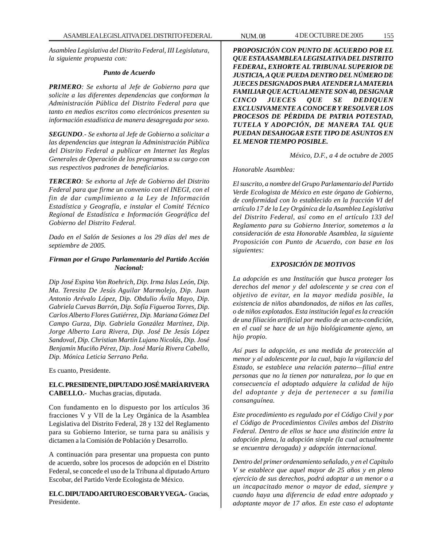*Asamblea Legislativa del Distrito Federal, III Legislatura, la siguiente propuesta con:*

### *Punto de Acuerdo*

*PRIMERO: Se exhorta al Jefe de Gobierno para que solicite a las diferentes dependencias que conforman la Administración Pública del Distrito Federal para que tanto en medios escritos como electrónicos presenten su información estadística de manera desagregada por sexo.*

*SEGUNDO.- Se exhorta al Jefe de Gobierno a solicitar a las dependencias que integran la Administración Pública del Distrito Federal a publicar en Internet las Reglas Generales de Operación de los programas a su cargo con sus respectivos padrones de beneficiarios.*

*TERCERO: Se exhorta al Jefe de Gobierno del Distrito Federal para que firme un convenio con el INEGI, con el fin de dar cumplimiento a la Ley de Información Estadística y Geografía, e instalar el Comité Técnico Regional de Estadística e Información Geográfica del Gobierno del Distrito Federal.*

*Dado en el Salón de Sesiones a los 29 días del mes de septiembre de 2005.*

## *Firman por el Grupo Parlamentario del Partido Acción Nacional:*

*Dip José Espina Von Roehrich, Dip. Irma Islas León, Dip. Ma. Teresita De Jesús Aguilar Marmolejo, Dip. Juan Antonio Arévalo López, Dip. Obdulio Ávila Mayo, Dip. Gabriela Cuevas Barrón, Dip. Sofía Figueroa Torres, Dip. Carlos Alberto Flores Gutiérrez, Dip. Mariana Gómez Del Campo Gurza, Dip. Gabriela González Martínez, Dip. Jorge Alberto Lara Rivera, Dip. José De Jesús López Sandoval, Dip. Christian Martín Lujano Nicolás, Dip. José Benjamín Muciño Pérez, Dip. José María Rivera Cabello, Dip. Mónica Leticia Serrano Peña.*

Es cuanto, Presidente.

## **EL C. PRESIDENTE, DIPUTADO JOSÉ MARÍA RIVERA CABELLO.-** Muchas gracias, diputada.

Con fundamento en lo dispuesto por los artículos 36 fracciones V y VII de la Ley Orgánica de la Asamblea Legislativa del Distrito Federal, 28 y 132 del Reglamento para su Gobierno Interior, se turna para su análisis y dictamen a la Comisión de Población y Desarrollo.

A continuación para presentar una propuesta con punto de acuerdo, sobre los procesos de adopción en el Distrito Federal, se concede el uso de la Tribuna al diputado Arturo Escobar, del Partido Verde Ecologista de México.

**EL C. DIPUTADO ARTURO ESCOBAR Y VEGA.-** Gracias, Presidente.

*PROPOSICIÓN CON PUNTO DE ACUERDO POR EL QUE ESTA ASAMBLEA LEGISLATIVA DEL DISTRITO FEDERAL, EXHORTE AL TRIBUNAL SUPERIOR DE JUSTICIA, A QUE PUEDA DENTRO DEL NÚMERO DE JUECES DESIGNADOS PARA ATENDER LA MATERIA FAMILIAR QUE ACTUALMENTE SON 40, DESIGNAR CINCO JUECES QUE SE DEDIQUEN EXCLUSIVAMENTE A CONOCER Y RESOLVER LOS PROCESOS DE PÉRDIDA DE PATRIA POTESTAD, TUTELA Y ADOPCIÓN, DE MANERA TAL QUE PUEDAN DESAHOGAR ESTE TIPO DE ASUNTOS EN EL MENOR TIEMPO POSIBLE.*

*México, D.F., a 4 de octubre de 2005*

### *Honorable Asamblea:*

*El suscrito, a nombre del Grupo Parlamentario del Partido Verde Ecologista de México en este órgano de Gobierno, de conformidad con lo establecido en la fracción VI del artículo 17 de la Ley Orgánica de la Asamblea Legislativa del Distrito Federal, así como en el artículo 133 del Reglamento para su Gobierno Interior, sometemos a la consideración de esta Honorable Asamblea, la siguiente Proposición con Punto de Acuerdo, con base en los siguientes:*

## *EXPOSICIÓN DE MOTIVOS*

*La adopción es una Institución que busca proteger los derechos del menor y del adolescente y se crea con el objetivo de evitar, en la mayor medida posible, la existencia de niños abandonados, de niños en las calles, o de niños explotados. Esta institución legal es la creación de una filiación artificial por medio de un acto-condición, en el cual se hace de un hijo biológicamente ajeno, un hijo propio.*

*Así pues la adopción, es una medida de protección al menor y al adolescente por la cual, bajo la vigilancia del Estado, se establece una relación paterno—filial entre personas que no la tienen por naturaleza, por lo que en consecuencia el adoptado adquiere la calidad de hijo del adoptante y deja de pertenecer a su familia consanguínea.*

*Este procedimiento es regulado por el Código Civil y por el Código de Procedimientos Civiles ambos del Distrito Federal. Dentro de ellos se hace una distinción entre la adopción plena, la adopción simple (la cual actualmente se encuentra derogada) y adopción internacional.*

*Dentro del primer ordenamiento señalado, y en el Capitulo V se establece que aquel mayor de 25 años y en pleno ejercicio de sus derechos, podrá adoptar a un menor o a un incapacitado menor o mayor de edad, siempre y cuando haya una diferencia de edad entre adoptado y adoptante mayor de 17 años. En este caso el adoptante*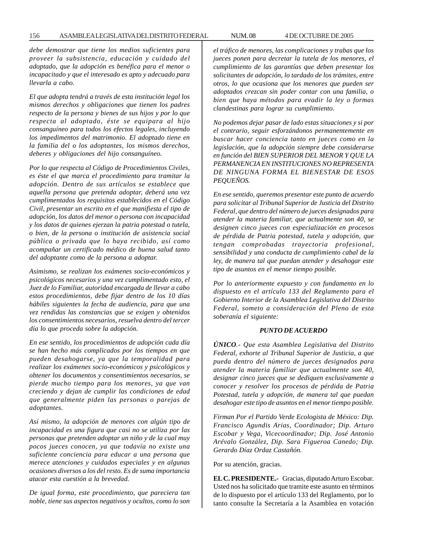*debe demostrar que tiene los medios suficientes para proveer la subsistencia, educación y cuidado del adoptado, que la adopción es benéfica para el menor o incapacitado y que el interesado es apto y adecuado para llevarla a cabo.*

*El que adopta tendrá a través de esta institución legal los mismos derechos y obligaciones que tienen los padres respecto de la persona y bienes de sus hijos y por lo que respecta al adoptado, éste se equipara al hijo consanguíneo para todos los efectos legales, incluyendo los impedimentos del matrimonio. El adoptado tiene en la familia del o los adoptantes, los mismos derechos, deberes y obligaciones del hijo consanguíneo.*

*Por lo que respecta al Código de Procedimientos Civiles, es éste el que marca el procedimiento para tramitar la adopción. Dentro de sus artículos se establece que aquella persona que pretenda adoptar, deberá una vez cumplimentados los requisitos establecidos en el Código Civil, presentar un escrito en el que manifiesta el tipo de adopción, los datos del menor o persona con incapacidad y los datos de quienes ejerzan la patria potestad o tutela, o bien, de la persona o institución de asistencia social pública o privada que lo haya recibido, así como acompañar un certificado médico de buena salud tanto del adoptante como de la persona a adoptar.*

*Asimismo, se realizan los exámenes socio-económicos y psicológicos necesarios y una vez cumplimentado esto, el Juez de lo Familiar, autoridad encargada de llevar a cabo estos procedimientos, debe fijar dentro de los 10 días hábiles siguientes la fecha de audiencia, para que una vez rendidas las constancias que se exigen y obtenidos los consentimientos necesarios, resuelva dentro del tercer día lo que proceda sobre la adopción.*

*En ese sentido, los procedimientos de adopción cada día se han hecho más complicados por los tiempos en que pueden desahogarse, ya que la temporalidad para realizar los exámenes socio-económicos y psicológicos y obtener los documentos y consentimientos necesarios, se pierde mucho tiempo para los menores, ya que van creciendo y dejan de cumplir las condiciones de edad que generalmente piden las personas o parejas de adoptantes.*

*Así mismo, la adopción de menores con algún tipo de incapacidad es una figura que casi no se utiliza por las personas que pretenden adoptar un niño y de la cual muy pocos jueces conocen, ya que todavía no existe una suficiente conciencia para educar a una persona que merece atenciones y cuidados especiales y en algunas ocasiones diversos a los del resto. Es de suma importancia atacar esta cuestión a la brevedad.*

*De igual forma, este procedimiento, que pareciera tan noble, tiene sus aspectos negativos y ocultos, como lo son* *el tráfico de menores, las complicaciones y trabas que los jueces ponen para decretar la tutela de los menores, el cumplimiento de las garantías que deben presentar los solicitantes de adopción, lo tardado de los trámites, entre otros, lo que ocasiona que los menores que pueden ser adoptados crezcan sin poder contar con una familia, o bien que haya métodos para evadir la ley o formas clandestinas para lograr su cumplimiento.*

*No podemos dejar pasar de lado estas situaciones y si por el contrario, seguir esforzándonos permanentemente en buscar hacer conciencia tanto en jueces como en la legislación, que la adopción siempre debe considerarse en función del BIEN SUPERIOR DEL MENOR Y QUE LA PERMANENCIA EN INSTITUCIONES NO REPRESENTA DE NINGUNA FORMA EL BIENESTAR DE ESOS PEQUEÑOS.*

*En ese sentido, queremos presentar este punto de acuerdo para solicitar al Tribunal Superior de Justicia del Distrito Federal, que dentro del número de jueces designados para atender la materia familiar, que actualmente son 40, se designen cinco jueces con especialización en procesos de pérdida de Patria potestad, tutela y adopción, que tengan comprobadas trayectoria profesional, sensibilidad y una conducta de cumplimiento cabal de la ley, de manera tal que puedan atender y desahogar este tipo de asuntos en el menor tiempo posible.*

*Por lo anteriormente expuesto y con fundamento en lo dispuesto en el artículo 133 del Reglamento para el Gobierno Interior de la Asamblea Legislativa del Distrito Federal, someto a consideración del Pleno de esta soberanía el siguiente:*

### *PUNTO DE ACUERDO*

*ÚNICO.- Que esta Asamblea Legislativa del Distrito Federal, exhorte al Tribunal Superior de Justicia, a que pueda dentro del número de jueces designados para atender la materia familiar que actualmente son 40, designar cinco jueces que se dediquen exclusivamente a conocer y resolver los procesos de pérdida de Patria Potestad, tutela y adopción, de manera tal que puedan desahogar este tipo de asuntos en el menor tiempo posible.*

*Firman Por el Partido Verde Ecologista de México: Dip. Francisco Agundis Arias, Coordinador; Dip. Arturo Escobar y Vega, Vicecoordinador; Dip. José Antonio Arévalo González, Dip. Sara Figueroa Canedo; Dip. Gerardo Díaz Ordaz Castañón.*

Por su atención, gracias.

**EL C. PRESIDENTE.-** Gracias, diputado Arturo Escobar. Usted nos ha solicitado que tramite este asunto en términos de lo dispuesto por el artículo 133 del Reglamento, por lo tanto consulte la Secretaría a la Asamblea en votación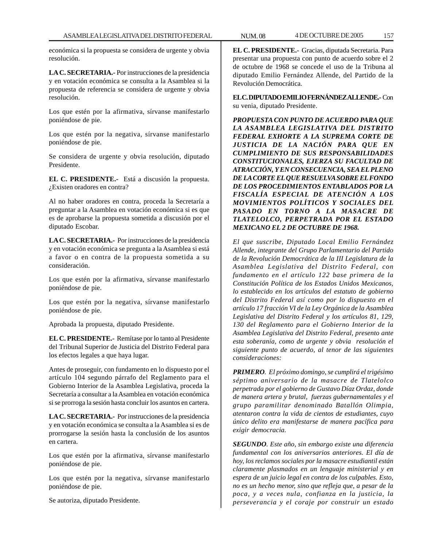económica si la propuesta se considera de urgente y obvia resolución.

**LA C. SECRETARIA.-** Por instrucciones de la presidencia y en votación económica se consulta a la Asamblea si la propuesta de referencia se considera de urgente y obvia resolución.

Los que estén por la afirmativa, sírvanse manifestarlo poniéndose de pie.

Los que estén por la negativa, sírvanse manifestarlo poniéndose de pie.

Se considera de urgente y obvia resolución, diputado Presidente.

**EL C. PRESIDENTE.-** Está a discusión la propuesta. ¿Existen oradores en contra?

Al no haber oradores en contra, proceda la Secretaría a preguntar a la Asamblea en votación económica si es que es de aprobarse la propuesta sometida a discusión por el diputado Escobar.

**LA C. SECRETARIA.-** Por instrucciones de la presidencia y en votación económica se pregunta a la Asamblea si está a favor o en contra de la propuesta sometida a su consideración.

Los que estén por la afirmativa, sírvanse manifestarlo poniéndose de pie.

Los que estén por la negativa, sírvanse manifestarlo poniéndose de pie.

Aprobada la propuesta, diputado Presidente.

**EL C. PRESIDENTE.-** Remítase por lo tanto al Presidente del Tribunal Superior de Justicia del Distrito Federal para los efectos legales a que haya lugar.

Antes de proseguir, con fundamento en lo dispuesto por el artículo 104 segundo párrafo del Reglamento para el Gobierno Interior de la Asamblea Legislativa, proceda la Secretaría a consultar a la Asamblea en votación económica si se prorroga la sesión hasta concluir los asuntos en cartera.

**LA C. SECRETARIA.-** Por instrucciones de la presidencia y en votación económica se consulta a la Asamblea si es de prorrogarse la sesión hasta la conclusión de los asuntos en cartera.

Los que estén por la afirmativa, sírvanse manifestarlo poniéndose de pie.

Los que estén por la negativa, sírvanse manifestarlo poniéndose de pie.

Se autoriza, diputado Presidente.

**EL C. PRESIDENTE.-** Gracias, diputada Secretaria. Para presentar una propuesta con punto de acuerdo sobre el 2 de octubre de 1968 se concede el uso de la Tribuna al diputado Emilio Fernández Allende, del Partido de la Revolución Democrática.

**EL C. DIPUTADO EMILIO FERNÁNDEZ ALLENDE.-** Con su venia, diputado Presidente.

*PROPUESTA CON PUNTO DE ACUERDO PARA QUE LA ASAMBLEA LEGISLATIVA DEL DISTRITO FEDERAL EXHORTE A LA SUPREMA CORTE DE JUSTICIA DE LA NACIÓN PARA QUE EN CUMPLIMIENTO DE SUS RESPONSABILIDADES CONSTITUCIONALES, EJERZA SU FACULTAD DE ATRACCIÓN, Y EN CONSECUENCIA, SEA EL PLENO DE LA CORTE EL QUE RESUELVA SOBRE EL FONDO DE LOS PROCEDIMIENTOS ENTABLADOS POR LA FISCALÍA ESPECIAL DE ATENCIÓN A LOS MOVIMIENTOS POLÍTICOS Y SOCIALES DEL PASADO EN TORNO A LA MASACRE DE TLATELOLCO, PERPETRADA POR EL ESTADO MEXICANO EL 2 DE OCTUBRE DE 1968.*

*El que suscribe, Diputado Local Emilio Fernández Allende, integrante del Grupo Parlamentario del Partido de la Revolución Democrática de la III Legislatura de la Asamblea Legislativa del Distrito Federal, con fundamento en el artículo 122 base primera de la Constitución Política de los Estados Unidos Mexicanos, lo establecido en los artículos del estatuto de gobierno del Distrito Federal así como por lo dispuesto en el artículo 17 fracción VI de la Ley Orgánica de la Asamblea Legislativa del Distrito Federal y los artículos 81, 129, 130 del Reglamento para el Gobierno Interior de la Asamblea Legislativa del Distrito Federal, presento ante esta soberanía, como de urgente y obvia resolución el siguiente punto de acuerdo, al tenor de las siguientes consideraciones:*

*PRIMERO. El próximo domingo, se cumplirá el trigésimo séptimo aniversario de la masacre de Tlatelolco perpetrada por el gobierno de Gustavo Díaz Ordaz, donde de manera artera y brutal, fuerzas gubernamentales y el grupo paramilitar denominado Batallón Olimpia, atentaron contra la vida de cientos de estudiantes, cuyo único delito era manifestarse de manera pacífica para exigir democracia.*

*SEGUNDO. Este año, sin embargo existe una diferencia fundamental con los aniversarios anteriores. El día de hoy, los reclamos sociales por la masacre estudiantil están claramente plasmados en un lenguaje ministerial y en espera de un juicio legal en contra de los culpables. Esto, no es un hecho menor, sino que refleja que, a pesar de la poca, y a veces nula, confianza en la justicia, la perseverancia y el coraje por construir un estado*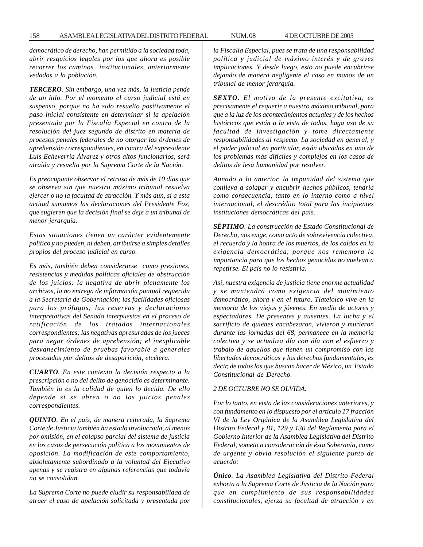*democrático de derecho, han permitido a la sociedad toda, abrir resquicios legales por los que ahora es posible recorrer los caminos institucionales, anteriormente vedados a la población.*

*TERCERO. Sin embargo, una vez más, la justicia pende de un hilo. Por el momento el curso judicial está en suspenso, porque no ha sido resuelto positivamente el paso inicial consistente en determinar si la apelación presentada por la Fiscalía Especial en contra de la resolución del juez segundo de distrito en materia de procesos penales federales de no otorgar las órdenes de aprehensión correspondientes, en contra del expresidente Luis Echeverría Álvarez y otros altos funcionarios, será atraída y resuelta por la Suprema Corte de la Nación.*

*Es preocupante observar el retraso de más de 10 días que se observa sin que nuestro máximo tribunal resuelva ejercer o no la facultad de atracción. Y más aun, si a esta actitud sumamos las declaraciones del Presidente Fox, que sugieren que la decisión final se deje a un tribunal de menor jerarquía.*

*Estas situaciones tienen un carácter evidentemente político y no pueden, ni deben, atribuirse a simples detalles propios del proceso judicial en curso.*

*Es más, también deben considerarse como presiones, resistencias y medidas políticas oficiales de obstrucción de los juicios: la negativa de abrir plenamente los archivos, la no entrega de información puntual requerida a la Secretaría de Gobernación; las facilidades oficiosas para los prófugos; las reservas y declaraciones interpretativas del Senado interpuestas en el proceso de ratificación de los tratados internacionales correspondientes; las negativas apresuradas de los jueces para negar órdenes de aprehensión; el inexplicable desvanecimiento de pruebas favorable a generales procesados por delitos de desaparición, etcétera.*

*CUARTO. En este contexto la decisión respecto a la prescripción o no del delito de genocidio es determinante. También lo es la calidad de quien lo decida. De ello depende si se abren o no los juicios penales correspondientes.*

*QUINTO. En el país, de manera reiterada, la Suprema Corte de Justicia también ha estado involucrada, al menos por omisión, en el colapso parcial del sistema de justicia en los casos de persecución política a los movimientos de oposición. La modificación de este comportamiento, absolutamente subordinado a la voluntad del Ejecutivo apenas y se registra en algunas referencias que todavía no se consolidan.*

*La Suprema Corte no puede eludir su responsabilidad de atraer el caso de apelación solicitada y presentada por* *la Fiscalía Especial, pues se trata de una responsabilidad política y judicial de máximo interés y de graves implicaciones. Y desde luego, esto no puede encubrirse dejando de manera negligente el caso en manos de un tribunal de menor jerarquía.*

*SEXTO. El motivo de la presente excitativa, es precisamente el requerir a nuestro máximo tribunal, para que a la luz de los acontecimientos actuales y de los hechos históricos que están a la vista de todos, haga uso de su facultad de investigación y tome directamente responsabilidades al respecto. La sociedad en general, y el poder judicial en particular, están ubicados en uno de los problemas más difíciles y complejos en los casos de delitos de lesa humanidad por resolver.*

*Aunado a lo anterior, la impunidad del sistema que conlleva a solapar y encubrir hechos públicos, tendría como consecuencia, tanto en lo interno como a nivel internacional, el descrédito total para las incipientes instituciones democráticas del país.*

*SÉPTIMO. La construcción de Estado Constitucional de Derecho, nos exige, como acto de sobrevivencia colectiva, el recuerdo y la honra de los muertos, de los caídos en la exigencia democrática, porque nos rememora la importancia para que los hechos genocidas no vuelvan a repetirse. El país no lo resistiría.*

*Así, nuestra exigencia de justicia tiene enorme actualidad y se mantendrá como exigencia del movimiento democrático, ahora y en el futuro. Tlatelolco vive en la memoria de los viejos y jóvenes. En medio de actores y espectadores. De presentes y ausentes. La lucha y el sacrificio de quienes encabezaron, vivieron y murieron durante las jornadas del 68, permanece en la memoria colectiva y se actualiza día con día con el esfuerzo y trabajo de aquellos que tienen un compromiso con las libertades democráticas y los derechos fundamentales, es decir, de todos los que buscan hacer de México, un Estado Constitucional de Derecho.*

## *2 DE OCTUBRE NO SE OLVIDA.*

*Por lo tanto, en vista de las consideraciones anteriores, y con fundamento en lo dispuesto por el artículo 17 fracción VI de la Ley Orgánica de la Asamblea Legislativa del Distrito Federal y 81, 129 y 130 del Reglamento para el Gobierno Interior de la Asamblea Legislativa del Distrito Federal, someto a consideración de ésta Soberanía, como de urgente y obvia resolución el siguiente punto de acuerdo:*

*Único. La Asamblea Legislativa del Distrito Federal exhorta a la Suprema Corte de Justicia de la Nación para que en cumplimiento de sus responsabilidades constitucionales, ejerza su facultad de atracción y en*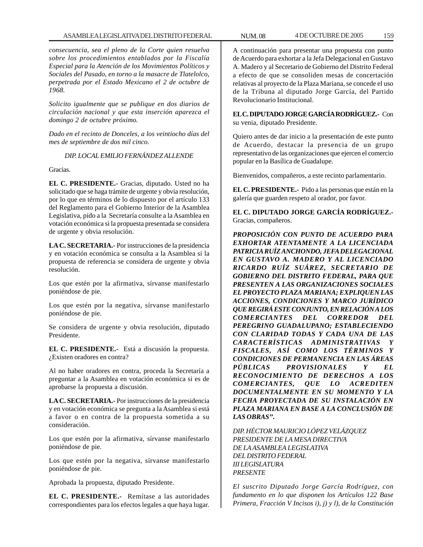*consecuencia, sea el pleno de la Corte quien resuelva sobre los procedimientos entablados por la Fiscalía Especial para la Atención de los Movimientos Políticos y Sociales del Pasado, en torno a la masacre de Tlatelolco, perpetrada por el Estado Mexicano el 2 de octubre de 1968.*

*Solicito igualmente que se publique en dos diarios de circulación nacional y que esta inserción aparezca el domingo 2 de octubre próximo.*

*Dado en el recinto de Donceles, a los veintiocho días del mes de septiembre de dos mil cinco.*

## *DIP. LOCAL EMILIO FERNÁNDEZ ALLENDE*

Gracias.

**EL C. PRESIDENTE.-** Gracias, diputado. Usted no ha solicitado que se haga trámite de urgente y obvia resolución, por lo que en términos de lo dispuesto por el artículo 133 del Reglamento para el Gobierno Interior de la Asamblea Legislativa, pido a la Secretaría consulte a la Asamblea en votación económica si la propuesta presentada se considera de urgente y obvia resolución.

**LA C. SECRETARIA.-** Por instrucciones de la presidencia y en votación económica se consulta a la Asamblea si la propuesta de referencia se considera de urgente y obvia resolución.

Los que estén por la afirmativa, sírvanse manifestarlo poniéndose de pie.

Los que estén por la negativa, sírvanse manifestarlo poniéndose de pie.

Se considera de urgente y obvia resolución, diputado Presidente.

**EL C. PRESIDENTE.-** Está a discusión la propuesta. ¿Existen oradores en contra?

Al no haber oradores en contra, proceda la Secretaría a preguntar a la Asamblea en votación económica si es de aprobarse la propuesta a discusión.

**LA C. SECRETARIA.-** Por instrucciones de la presidencia y en votación económica se pregunta a la Asamblea si está a favor o en contra de la propuesta sometida a su consideración.

Los que estén por la afirmativa, sírvanse manifestarlo poniéndose de pie.

Los que estén por la negativa, sírvanse manifestarlo poniéndose de pie.

Aprobada la propuesta, diputado Presidente.

**EL C. PRESIDENTE.-** Remítase a las autoridades correspondientes para los efectos legales a que haya lugar.

A continuación para presentar una propuesta con punto de Acuerdo para exhortar a la Jefa Delegacional en Gustavo A. Madero y al Secretario de Gobierno del Distrito Federal a efecto de que se consoliden mesas de concertación relativas al proyecto de la Plaza Mariana, se concede el uso de la Tribuna al diputado Jorge García, del Partido Revolucionario Institucional.

**EL C. DIPUTADO JORGE GARCÍA RODRÍGUEZ.-** Con su venia, diputado Presidente.

Quiero antes de dar inicio a la presentación de este punto de Acuerdo, destacar la presencia de un grupo representativo de las organizaciones que ejercen el comercio popular en la Basílica de Guadalupe.

Bienvenidos, compañeros, a este recinto parlamentario.

**EL C. PRESIDENTE.-** Pido a las personas que están en la galería que guarden respeto al orador, por favor.

**EL C. DIPUTADO JORGE GARCÍA RODRÍGUEZ.-** Gracias, compañeros.

*PROPOSICIÓN CON PUNTO DE ACUERDO PARA EXHORTAR ATENTAMENTE A LA LICENCIADA PATRICIA RUÍZ ANCHONDO, JEFA DELEGACIONAL EN GUSTAVO A. MADERO Y AL LICENCIADO RICARDO RUÍZ SUÁREZ, SECRETARIO DE GOBIERNO DEL DISTRITO FEDERAL, PARA QUE PRESENTEN A LAS ORGANIZACIONES SOCIALES EL PROYECTO PLAZA MARIANA; EXPLIQUEN LAS ACCIONES, CONDICIONES Y MARCO JURÍDICO QUE REGIRÁ ESTE CONJUNTO, EN RELACIÓN A LOS COMERCIANTES DEL CORREDOR DEL PEREGRINO GUADALUPANO; ESTABLECIENDO CON CLARIDAD TODAS Y CADA UNA DE LAS CARACTERÍSTICAS ADMINISTRATIVAS Y FISCALES, ASÍ COMO LOS TÉRMINOS Y CONDICIONES DE PERMANENCIA EN LAS ÁREAS PÚBLICAS PROVISIONALES Y EL RECONOCIMIENTO DE DERECHOS A LOS COMERCIANTES, QUE LO ACREDITEN DOCUMENTALMENTE EN SU MOMENTO Y LA FECHA PROYECTADA DE SU INSTALACIÓN EN PLAZA MARIANA EN BASE A LA CONCLUSIÓN DE LAS OBRAS''.*

*DIP. HÉCTOR MAURICIO LÓPEZ VELÁZQUEZ PRESIDENTE DE LA MESA DIRECTIVA DE LA ASAMBLEA LEGISLATIVA DEL DISTRITO FEDERAL III LEGISLATURA PRESENTE*

*El suscrito Diputado Jorge García Rodríguez, con fundamento en lo que disponen los Artículos 122 Base Primera, Fracción V Incisos i), j) y l), de la Constitución*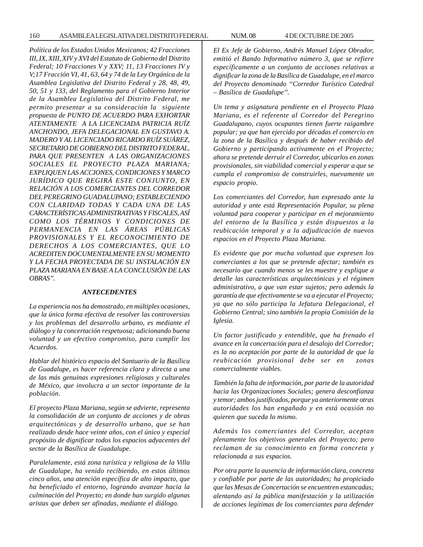*Política de los Estados Unidos Mexicanos; 42 Fracciones III, IX, XIII, XIV y XVI del Estatuto de Gobierno del Distrito Federal; 10 Fracciones V y XXV; 11, 13 Fracciones IV y V;17 Fracción VI, 41, 63, 64 y 74 de la Ley Orgánica de la Asamblea Legislativa del Distrito Federal y 28, 48, 49, 50, 51 y 133, del Reglamento para el Gobierno Interior de la Asamblea Legislativa del Distrito Federal, me permito presentar a su consideración la siguiente propuesta de PUNTO DE ACUERDO PARA EXHORTAR ATENTAMENTE A LA LICENCIADA PATRICIA RUÍZ ANCHONDO, JEFA DELEGACIONAL EN GUSTAVO A. MADERO Y AL LICENCIADO RICARDO RUÍZ SUÁREZ, SECRETARIO DE GOBIERNO DEL DISTRITO FEDERAL, PARA QUE PRESENTEN A LAS ORGANIZACIONES SOCIALES EL PROYECTO PLAZA MARIANA; EXPLIQUEN LAS ACCIONES, CONDICIONES Y MARCO JURÍDICO QUE REGIRÁ ESTE CONJUNTO, EN RELACIÓN A LOS COMERCIANTES DEL CORREDOR DEL PEREGRINO GUADALUPANO; ESTABLECIENDO CON CLARIDAD TODAS Y CADA UNA DE LAS CARACTERÍSTICAS ADMINISTRATIVAS Y FISCALES, ASÍ COMO LOS TÉRMINOS Y CONDICIONES DE PERMANENCIA EN LAS ÁREAS PÚBLICAS PROVISIONALES Y EL RECONOCIMIENTO DE DERECHOS A LOS COMERCIANTES, QUE LO ACREDITEN DOCUMENTALMENTE EN SU MOMENTO Y LA FECHA PROYECTADA DE SU INSTALACIÓN EN PLAZA MARIANA EN BASE A LA CONCLUSIÓN DE LAS OBRAS''.*

### *ANTECEDENTES*

*La experiencia nos ha demostrado, en múltiples ocasiones, que la única forma efectiva de resolver las controversias y los problemas del desarrollo urbano, es mediante el diálogo y la concertación respetuosa; adicionando buena voluntad y un efectivo compromiso, para cumplir los Acuerdos.*

*Hablar del histórico espacio del Santuario de la Basílica de Guadalupe, es hacer referencia clara y directa a una de las más genuinas expresiones religiosas y culturales de México, que involucra a un sector importante de la población.*

*El proyecto Plaza Mariana, según se advierte, representa la consolidación de un conjunto de acciones y de obras arquitectónicas y de desarrollo urbano, que se han realizado desde hace veinte años, con el único y especial propósito de dignificar todos los espacios adyacentes del sector de la Basílica de Guadalupe.*

*Paralelamente, está zona turística y religiosa de la Villa de Guadalupe, ha venido recibiendo, en estos últimos cinco años, una atención específica de alto impacto, que ha beneficiado el entorno, logrando avanzar hacia la culminación del Proyecto; en donde han surgido algunas aristas que deben ser afinadas, mediante el diálogo.*

*El Ex Jefe de Gobierno, Andrés Manuel López Obrador, emitió el Bando Informativo número 3, que se refiere específicamente a un conjunto de acciones relativas a dignificar la zona de la Basílica de Guadalupe, en el marco del Proyecto denominado ''Corredor Turístico Catedral – Basílica de Guadalupe''.*

*Un tema y asignatura pendiente en el Proyecto Plaza Mariana, es el referente al Corredor del Peregrino Guadalupano, cuyos ocupantes tienen fuerte raigambre popular; ya que han ejercido por décadas el comercio en la zona de la Basílica y después de haber recibido del Gobierno y participando activamente en el Proyecto; ahora se pretende derruir el Corredor, ubicarlos en zonas provisionales, sin viabilidad comercial y esperar a que se cumpla el compromiso de construirles, nuevamente un espacio propio.*

*Los comerciantes del Corredor, han expresado ante la autoridad y ante está Representación Popular, su plena voluntad para cooperar y participar en el mejoramiento del entorno de la Basílica y están dispuestos a la reubicación temporal y a la adjudicación de nuevos espacios en el Proyecto Plaza Mariana.*

*Es evidente que por mucha voluntad que expresen los comerciantes a los que se pretende afectar; también es necesario que cuando menos se les muestre y explique a detalle las características arquitectónicas y el régimen administrativo, a que van estar sujetos; pero además la garantía de que efectivamente se va a ejecutar el Proyecto; ya que no sólo participa la Jefatura Delegacional, el Gobierno Central; sino también la propia Comisión de la Iglesia.*

*Un factor justificado y entendible, que ha frenado el avance en la concertación para el desalojo del Corredor; es la no aceptación por parte de la autoridad de que la reubicación provisional debe ser en zonas comercialmente viables.*

*También la falta de información, por parte de la autoridad hacia las Organizaciones Sociales; genera desconfianza y temor; ambos justificados, porque ya anteriormente otras autoridades los han engañado y en está ocasión no quieren que suceda lo mismo.*

*Además los comerciantes del Corredor, aceptan plenamente los objetivos generales del Proyecto; pero reclaman de su conocimiento en forma concreta y relacionada a sus espacios.*

*Por otra parte la ausencia de información clara, concreta y confiable por parte de las autoridades; ha propiciado que las Mesas de Concertación se encuentren estancadas; alentando así la pública manifestación y la utilización de acciones legítimas de los comerciantes para defender*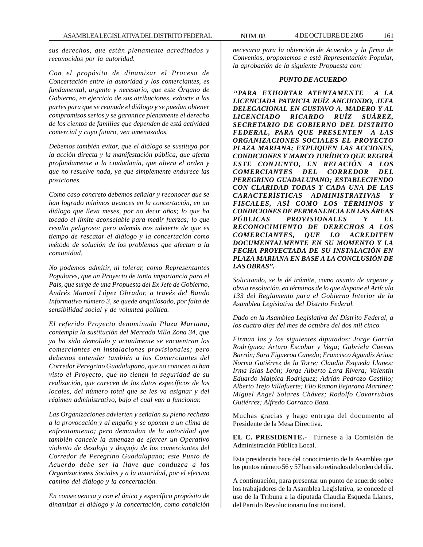*sus derechos, que están plenamente acreditados y reconocidos por la autoridad.*

*Con el propósito de dinamizar el Proceso de Concertación entre la autoridad y los comerciantes, es fundamental, urgente y necesario, que este Órgano de Gobierno, en ejercicio de sus atribuciones, exhorte a las partes para que se reanude el diálogo y se puedan obtener compromisos serios y se garantice plenamente el derecho de los cientos de familias que dependen de está actividad comercial y cuyo futuro, ven amenazados.*

*Debemos también evitar, que el diálogo se sustituya por la acción directa y la manifestación pública, que afecta profundamente a la ciudadanía, que altera el orden y que no resuelve nada, ya que simplemente endurece las posiciones.*

*Como caso concreto debemos señalar y reconocer que se han logrado mínimos avances en la concertación, en un diálogo que lleva meses, por no decir años; lo que ha tocado el límite aconsejable para medir fuerzas; lo que resulta peligroso; pero además nos advierte de que es tiempo de rescatar el diálogo y la concertación como método de solución de los problemas que afectan a la comunidad.*

*No podemos admitir, ni tolerar, como Representantes Populares, que un Proyecto de tanta importancia para el País, que surge de una Propuesta del Ex Jefe de Gobierno, Andrés Manuel López Obrador, a través del Bando Informativo número 3, se quede anquilosado, por falta de sensibilidad social y de voluntad política.*

*El referido Proyecto denominado Plaza Mariana, contempla la sustitución del Mercado Villa Zona 34, que ya ha sido demolido y actualmente se encuentran los comerciantes en instalaciones provisionales; pero debemos entender también a los Comerciantes del Corredor Peregrino Guadalupano, que no conocen ni han visto el Proyecto, que no tienen la seguridad de su realización, que carecen de los datos específicos de los locales, del número total que se les va asignar y del régimen administrativo, bajo el cual van a funcionar.*

*Las Organizaciones advierten y señalan su pleno rechazo a la provocación y al engaño y se oponen a un clima de enfrentamiento; pero demandan de la autoridad que también cancele la amenaza de ejercer un Operativo violento de desalojo y despojo de los comerciantes del Corredor de Peregrino Guadalupano; este Punto de Acuerdo debe ser la llave que conduzca a las Organizaciones Sociales y a la autoridad, por el efectivo camino del diálogo y la concertación.*

*En consecuencia y con el único y específico propósito de dinamizar el diálogo y la concertación, como condición*

*necesaria para la obtención de Acuerdos y la firma de Convenios, proponemos a está Representación Popular, la aprobación de la siguiente Propuesta con:*

## *PUNTO DE ACUERDO*

*''PARA EXHORTAR ATENTAMENTE A LA LICENCIADA PATRICIA RUÍZ ANCHONDO, JEFA DELEGACIONAL EN GUSTAVO A. MADERO Y AL LICENCIADO RICARDO RUÍZ SUÁREZ, SECRETARIO DE GOBIERNO DEL DISTRITO FEDERAL, PARA QUE PRESENTEN A LAS ORGANIZACIONES SOCIALES EL PROYECTO PLAZA MARIANA; EXPLIQUEN LAS ACCIONES, CONDICIONES Y MARCO JURÍDICO QUE REGIRÁ ESTE CONJUNTO, EN RELACIÓN A LOS COMERCIANTES DEL CORREDOR DEL PEREGRINO GUADALUPANO; ESTABLECIENDO CON CLARIDAD TODAS Y CADA UNA DE LAS CARACTERÍSTICAS ADMINISTRATIVAS Y FISCALES, ASÍ COMO LOS TÉRMINOS Y CONDICIONES DE PERMANENCIA EN LAS ÁREAS PÚBLICAS PROVISIONALES Y EL RECONOCIMIENTO DE DERECHOS A LOS COMERCIANTES, QUE LO ACREDITEN DOCUMENTALMENTE EN SU MOMENTO Y LA FECHA PROYECTADA DE SU INSTALACIÓN EN PLAZA MARIANA EN BASE A LA CONCLUSIÓN DE LAS OBRAS''.*

*Solicitando, se le dé trámite, como asunto de urgente y obvia resolución, en términos de lo que dispone el Artículo 133 del Reglamento para el Gobierno Interior de la Asamblea Legislativa del Distrito Federal.*

*Dado en la Asamblea Legislativa del Distrito Federal, a los cuatro días del mes de octubre del dos mil cinco.*

*Firman las y los siguientes diputados: Jorge García Rodríguez; Arturo Escobar y Vega; Gabriela Cuevas Barrón; Sara Figueroa Canedo; Francisco Agundis Arias; Norma Gutiérrez de la Torre; Claudia Esqueda Llanes; Irma Islas León; Jorge Alberto Lara Rivera; Valentin Eduardo Malpica Rodríguez; Adrián Pedrozo Castillo; Alberto Trejo Villafuerte; Elio Ramon Bejarano Martínez; Miguel Angel Solares Chávez; Rodolfo Covarrubias Gutiérrez; Alfredo Carrazco Baza.*

Muchas gracias y hago entrega del documento al Presidente de la Mesa Directiva.

**EL C. PRESIDENTE.-** Túrnese a la Comisión de Administración Pública Local.

Esta presidencia hace del conocimiento de la Asamblea que los puntos número 56 y 57 han sido retirados del orden del día.

A continuación, para presentar un punto de acuerdo sobre los trabajadores de la Asamblea Legislativa, se concede el uso de la Tribuna a la diputada Claudia Esqueda Llanes, del Partido Revolucionario Institucional.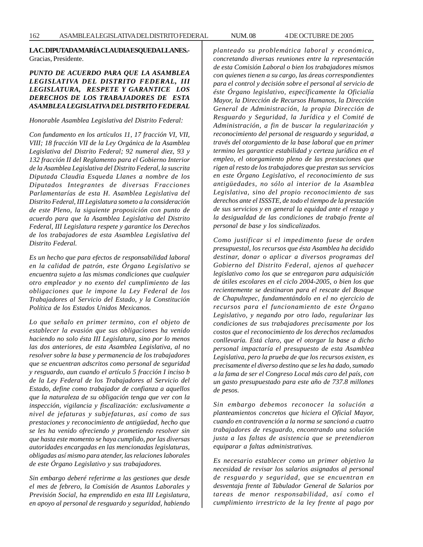## **LA C. DIPUTADA MARÍA CLAUDIA ESQUEDA LLANES.-** Gracias, Presidente.

## *PUNTO DE ACUERDO PARA QUE LA ASAMBLEA LEGISLATIVA DEL DISTRITO FEDERAL, III LEGISLATURA, RESPETE Y GARANTICE LOS DERECHOS DE LOS TRABAJADORES DE ESTA ASAMBLEA LEGISLATIVA DEL DISTRITO FEDERAL*

## *Honorable Asamblea Legislativa del Distrito Federal:*

*Con fundamento en los artículos 11, 17 fracción VI, VII, VIII; 18 fracción VII de la Ley Orgánica de la Asamblea Legislativa del Distrito Federal; 92 numeral diez, 93 y 132 fracción II del Reglamento para el Gobierno Interior de la Asamblea Legislativa del Distrito Federal, la suscrita Diputada Claudia Esqueda Llanes a nombre de los Diputados Integrantes de diversas Fracciones Parlamentarías de esta H. Asamblea Legislativa del Distrito Federal, III Legislatura someto a la consideración de este Pleno, la siguiente proposición con punto de acuerdo para que la Asamblea Legislativa del Distrito Federal, III Legislatura respete y garantice los Derechos de los trabajadores de esta Asamblea Legislativa del Distrito Federal.*

*Es un hecho que para efectos de responsabilidad laboral en la calidad de patrón, este Órgano Legislativo se encuentra sujeto a las mismas condiciones que cualquier otro empleador y no exento del cumplimiento de las obligaciones que le impone la Ley Federal de los Trabajadores al Servicio del Estado, y la Constitución Política de los Estados Unidos Mexicanos.*

*Lo que señalo en primer termino, con el objeto de establecer la evasión que sus obligaciones ha venido haciendo no solo ésta III Legislatura, sino por lo menos las dos anteriores, de esta Asamblea Legislativa, al no resolver sobre la base y permanencia de los trabajadores que se encuentran adscritos como personal de seguridad y resguardo, aun cuando el artículo 5 fracción I inciso b de la Ley Federal de los Trabajadores al Servicio del Estado, define como trabajador de confianza a aquellos que la naturaleza de su obligación tenga que ver con la inspección, vigilancia y fiscalización: exclusivamente a nivel de jefaturas y subjefaturas, así como de sus prestaciones y reconocimiento de antigüedad, hecho que se les ha venido ofreciendo y prometiendo resolver sin que hasta este momento se haya cumplido, por las diversas autoridades encargadas en las mencionadas legislaturas, obligadas así mismo para atender, las relaciones laborales de este Órgano Legislativo y sus trabajadores.*

*Sin embargo deberé referirme a las gestiones que desde el mes de febrero, la Comisión de Asuntos Laborales y Previsión Social, ha emprendido en esta III Legislatura, en apoyo al personal de resguardo y seguridad, habiendo* *planteado su problemática laboral y económica, concretando diversas reuniones entre la representación de esta Comisión Laboral o bien los trabajadores mismos con quienes tienen a su cargo, las áreas correspondientes para el control y decisión sobre el personal al servicio de éste Órgano legislativo, específicamente la Oficialía Mayor, la Dirección de Recursos Humanos, la Dirección General de Administración, la propia Dirección de Resguardo y Seguridad, la Jurídica y el Comité de Administración, a fin de buscar la regularización y reconocimiento del personal de resguardo y seguridad, a través del otorgamiento de la base laboral que en primer termino les garantice estabilidad y certeza jurídica en el empleo, el otorgamiento pleno de las prestaciones que rigen al resto de los trabajadores que prestan sus servicios en este Órgano Legislativo, el reconocimiento de sus antigüedades, no sólo al interior de la Asamblea Legislativa, sino del propio reconocimiento de sus derechos ante el ISSSTE, de todo el tiempo de la prestación de sus servicios y en general la equidad ante el rezago y la desigualdad de las condiciones de trabajo frente al personal de base y los sindicalizados.*

*Como justificar si el impedimento fuese de orden presupuestal, los recursos que ésta Asamblea ha decidido destinar, donar o aplicar a diversos programas del Gobierno del Distrito Federal, ajenos al quehacer legislativo como los que se entregaron para adquisición de útiles escolares en el ciclo 2004-2005, o bien los que recientemente se destinaron para el rescate del Bosque de Chapultepec, fundamentándolo en el no ejercicio de recursos para el funcionamiento de este Órgano Legislativo, y negando por otro lado, regularizar las condiciones de sus trabajadores precisamente por los costos que el reconocimiento de los derechos reclamados conllevaría. Está claro, que el otorgar la base a dicho personal impactaría el presupuesto de esta Asamblea Legislativa, pero la prueba de que los recursos existen, es precisamente el diverso destino que se les ha dado, sumado a la fama de ser el Congreso Local más caro del país, con un gasto presupuestado para este año de 737.8 millones de pesos.*

*Sin embargo debemos reconocer la solución a planteamientos concretos que hiciera el Oficial Mayor, cuando en contravención a la norma se sancionó a cuatro trabajadores de resguardo, encontrando una solución justa a las faltas de asistencia que se pretendieron equiparar a faltas administrativas.*

*Es necesario establecer como un primer objetivo la necesidad de revisar los salarios asignados al personal de resguardo y seguridad, que se encuentran en desventaja frente al Tabulador General de Salarios por tareas de menor responsabilidad, así como el cumplimiento irrestricto de la ley frente al pago por*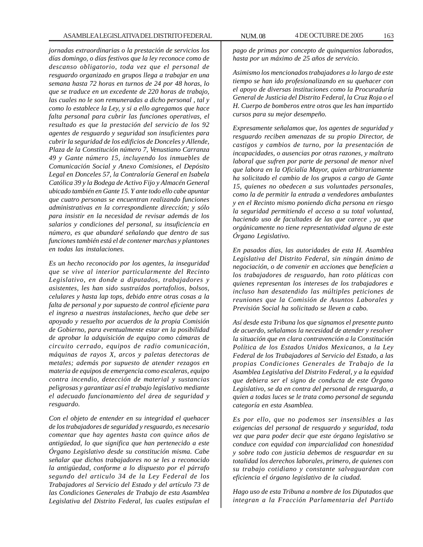*jornadas extraordinarias o la prestación de servicios los días domingo, o días festivos que la ley reconoce como de descanso obligatorio, toda vez que el personal de resguardo organizado en grupos llega a trabajar en una semana hasta 72 horas en turnos de 24 por 48 horas, lo que se traduce en un excedente de 220 horas de trabajo, las cuales no le son remuneradas a dicho personal , tal y como lo establece la Ley, y si a ello agregamos que hace falta personal para cubrir las funciones operativas, el resultado es que la prestación del servicio de los 92 agentes de resguardo y seguridad son insuficientes para cubrir la seguridad de los edificios de Donceles y Allende, Plaza de la Constitución número 7, Venustiano Carranza 49 y Gante número 15, incluyendo los inmuebles de Comunicación Social y Anexo Comisiones, el Depósito Legal en Donceles 57, la Contraloría General en Isabela Católica 39 y la Bodega de Activo Fijo y Almacén General ubicado también en Gante 15. Y ante todo ello cabe apuntar que cuatro personas se encuentran realizando funciones administrativas en la correspondiente dirección; y sólo para insistir en la necesidad de revisar además de los salarios y condiciones del personal, su insuficiencia en número, es que abundaré señalando que dentro de sus funciones también está el de contener marchas y plantones en todas las instalaciones.*

*Es un hecho reconocido por los agentes, la inseguridad que se vive al interior particularmente del Recinto Legislativo, en donde a diputados, trabajadores y asistentes, les han sido sustraídos portafolios, bolsos, celulares y hasta lap tops, debido entre otras cosas a la falta de personal y por supuesto de control eficiente para el ingreso a nuestras instalaciones, hecho que debe ser apoyado y resuelto por acuerdos de la propia Comisión de Gobierno, para eventualmente estar en la posibilidad de aprobar la adquisición de equipo como cámaras de circuito cerrado, equipos de radio comunicación, máquinas de rayos X, arcos y paletas detectoras de metales; además por supuesto de atender rezagos en materia de equipos de emergencia como escaleras, equipo contra incendio, detección de material y sustancias peligrosas y garantizar así el trabajo legislativo mediante el adecuado funcionamiento del área de seguridad y resguardo.*

*Con el objeto de entender en su integridad el quehacer de los trabajadores de seguridad y resguardo, es necesario comentar que hay agentes hasta con quince años de antigüedad, lo que significa que han pertenecido a este Órgano Legislativo desde su constitución misma. Cabe señalar que dichos trabajadores no se les a reconocido la antigüedad, conforme a lo dispuesto por el párrafo segundo del articulo 34 de la Ley Federal de los Trabajadores al Servicio del Estado y del artículo 73 de las Condiciones Generales de Trabajo de esta Asamblea Legislativa del Distrito Federal, las cuales estipulan el*

*pago de primas por concepto de quinquenios laborados, hasta por un máximo de 25 años de servicio.*

*Asimismo los mencionados trabajadores a lo largo de este tiempo se han ido profesionalizando en su quehacer con el apoyo de diversas instituciones como la Procuraduría General de Justicia del Distrito Federal, la Cruz Roja o el H. Cuerpo de bomberos entre otros que les han impartido cursos para su mejor desempeño.*

*Expresamente señalamos que, los agentes de seguridad y resguardo reciben amenazas de su propio Director, de castigos y cambios de turno, por la presentación de incapacidades, o ausencias por otras razones, y maltrato laboral que sufren por parte de personal de menor nivel que labora en la Oficialía Mayor, quien arbitrariamente ha solicitado el cambio de los grupos a cargo de Gante 15, quienes no obedecen a sus voluntades personales, como la de permitir la entrada a vendedores ambulantes y en el Recinto mismo poniendo dicha persona en riesgo la seguridad permitiendo el acceso a su total voluntad, haciendo uso de facultades de las que carece , ya que orgánicamente no tiene representatividad alguna de este Órgano Legislativo.*

*En pasados días, las autoridades de esta H. Asamblea Legislativa del Distrito Federal, sin ningún ánimo de negociación, o de convenir en acciones que beneficien a los trabajadores de resguardo, han roto pláticas con quienes representan los intereses de los trabajadores e incluso han desatendido las múltiples peticiones de reuniones que la Comisión de Asuntos Laborales y Previsión Social ha solicitado se lleven a cabo.*

*Así desde esta Tribuna los que signamos el presente punto de acuerdo, señalamos la necesidad de atender y resolver la situación que en clara contravención a la Constitución Política de los Estados Unidos Mexicanos, a la Ley Federal de los Trabajadores al Servicio del Estado, a las propias Condiciones Generales de Trabajo de la Asamblea Legislativa del Distrito Federal, y a la equidad que debiera ser el signo de conducta de este Órgano Legislativo, se da en contra del personal de resguardo, a quien a todas luces se le trata como personal de segunda categoría en esta Asamblea.*

*Es por ello, que no podemos ser insensibles a las exigencias del personal de resguardo y seguridad, toda vez que para poder decir que este órgano legislativo se conduce con equidad con imparcialidad con honestidad y sobre todo con justicia debemos de resguardar en su totalidad los derechos laborales, primero, de quienes con su trabajo cotidiano y constante salvaguardan con eficiencia el órgano legislativo de la ciudad.*

*Hago uso de esta Tribuna a nombre de los Diputados que integran a la Fracción Parlamentaria del Partido*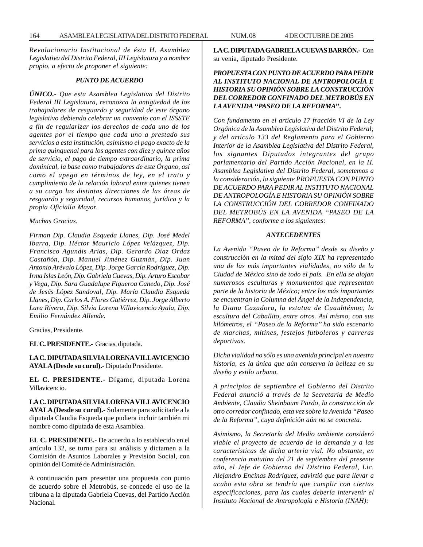*Revolucionario Institucional de ésta H. Asamblea Legislativa del Distrito Federal, III Legislatura y a nombre propio, a efecto de proponer el siguiente:*

### *PUNTO DE ACUERDO*

*ÚNICO.- Que esta Asamblea Legislativa del Distrito Federal III Legislatura, reconozca la antigüedad de los trabajadores de resguardo y seguridad de este órgano legislativo debiendo celebrar un convenio con el ISSSTE a fin de regularizar los derechos de cada uno de los agentes por el tiempo que cada uno a prestado sus servicios a esta institución, asimismo el pago exacto de la prima quinquenal para los agentes con diez y quince años de servicio, el pago de tiempo extraordinario, la prima dominical, la base como trabajadores de este Órgano, así como el apego en términos de ley, en el trato y cumplimiento de la relación laboral entre quienes tienen a su cargo las distintas direcciones de las áreas de resguardo y seguridad, recursos humanos, jurídica y la propia Oficialía Mayor.*

*Muchas Gracias.*

*Firman Dip. Claudia Esqueda Llanes, Dip. José Medel Ibarra, Dip. Héctor Mauricio López Velázquez, Dip. Francisco Agundis Arias, Dip. Gerardo Díaz Ordaz Castañón, Dip. Manuel Jiménez Guzmán, Dip. Juan Antonio Arévalo López, Dip. Jorge García Rodríguez, Dip. Irma Islas León, Dip. Gabriela Cuevas, Dip. Arturo Escobar y Vega, Dip. Sara Guadalupe Figueroa Canedo, Dip. José de Jesús López Sandoval, Dip. María Claudia Esqueda Llanes, Dip. Carlos A. Flores Gutiérrez, Dip. Jorge Alberto Lara Rivera, Dip. Silvia Lorena Villavicencio Ayala, Dip. Emilio Fernández Allende.*

Gracias, Presidente.

**EL C. PRESIDENTE.-** Gracias, diputada.

**LA C. DIPUTADA SILVIA LORENA VILLAVICENCIO AYALA (Desde su curul).-** Diputado Presidente.

**EL C. PRESIDENTE.-** Dígame, diputada Lorena Villavicencio.

**LA C. DIPUTADA SILVIA LORENA VILLAVICENCIO AYALA (Desde su curul).-** Solamente para solicitarle a la diputada Claudia Esqueda que pudiera incluir también mi nombre como diputada de esta Asamblea.

**EL C. PRESIDENTE.-** De acuerdo a lo establecido en el artículo 132, se turna para su análisis y dictamen a la Comisión de Asuntos Laborales y Previsión Social, con opinión del Comité de Administración.

A continuación para presentar una propuesta con punto de acuerdo sobre el Metrobús, se concede el uso de la tribuna a la diputada Gabriela Cuevas, del Partido Acción Nacional.

**LA C. DIPUTADA GABRIELA CUEVAS BARRÓN.-** Con su venia, diputado Presidente.

## *PROPUESTA CON PUNTO DE ACUERDO PARA PEDIR AL INSTITUTO NACIONAL DE ANTROPOLOGÍA E HISTORIA SU OPINIÓN SOBRE LA CONSTRUCCIÓN DEL CORREDOR CONFINADO DEL METROBÚS EN LA AVENIDA ''PASEO DE LA REFORMA''.*

*Con fundamento en el artículo 17 fracción VI de la Ley Orgánica de la Asamblea Legislativa del Distrito Federal; y del artículo 133 del Reglamento para el Gobierno Interior de la Asamblea Legislativa del Distrito Federal, los signantes Diputados integrantes del grupo parlamentario del Partido Acción Nacional, en la H. Asamblea Legislativa del Distrito Federal, sometemos a la consideración, la siguiente PROPUESTA CON PUNTO DE ACUERDO PARA PEDIR AL INSTITUTO NACIONAL DE ANTROPOLOGÍA E HISTORIA SU OPINIÓN SOBRE LA CONSTRUCCIÓN DEL CORREDOR CONFINADO DEL METROBÚS EN LA AVENIDA ''PASEO DE LA REFORMA'', conforme a los siguientes:*

#### *ANTECEDENTES*

*La Avenida ''Paseo de la Reforma'' desde su diseño y construcción en la mitad del siglo XIX ha representado una de las más importantes vialidades, no sólo de la Ciudad de México sino de todo el país. En ella se alojan numerosos esculturas y monumentos que representan parte de la historia de México; entre los más importantes se encuentran la Columna del Ángel de la Independencia, la Diana Cazadora, la estatua de Cuauhtémoc, la escultura del Caballito, entre otros. Así mismo, con sus kilómetros, el ''Paseo de la Reforma'' ha sido escenario de marchas, mítines, festejos futboleros y carreras deportivas.*

*Dicha vialidad no sólo es una avenida principal en nuestra historia, es la única que aún conserva la belleza en su diseño y estilo urbano.*

*A principios de septiembre el Gobierno del Distrito Federal anunció a través de la Secretaria de Medio Ambiente, Claudia Sheinbaum Pardo, la construcción de otro corredor confinado, esta vez sobre la Avenida ''Paseo de la Reforma'', cuya definición aún no se concreta.*

*Asimismo, la Secretaría del Medio ambiente consideró viable el proyecto de acuerdo de la demanda y a las características de dicha arteria vial. No obstante, en conferencia matutina del 21 de septiembre del presente año, el Jefe de Gobierno del Distrito Federal, Lic. Alejandro Encinas Rodríguez, advirtió que para llevar a acabo esta obra se tendría que cumplir con ciertas especificaciones, para las cuales debería intervenir el Instituto Nacional de Antropología e Historia (INAH):*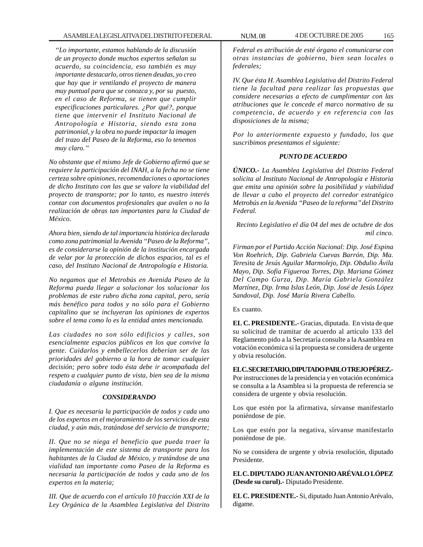*''Lo importante, estamos hablando de la discusión de un proyecto donde muchos expertos señalan su acuerdo, su coincidencia, eso también es muy importante destacarlo, otros tienen deudas, yo creo que hay que ir ventilando el proyecto de manera muy puntual para que se conozca y, por su puesto, en el caso de Reforma, se tienen que cumplir especificaciones particulares. ¿Por qué?, porque tiene que intervenir el Instituto Nacional de Antropología e Historia, siendo esta zona patrimonial, y la obra no puede impactar la imagen del trazo del Paseo de la Reforma, eso lo tenemos muy claro.''*

*No obstante que el mismo Jefe de Gobierno afirmó que se requiere la participación del INAH, a la fecha no se tiene certeza sobre opiniones, recomendaciones o aportaciones de dicho Instituto con las que se valore la viabilidad del proyecto de transporte; por lo tanto, es nuestro interés contar con documentos profesionales que avalen o no la realización de obras tan importantes para la Ciudad de México.*

*Ahora bien, siendo de tal importancia histórica declarada como zona patrimonial la Avenida ''Paseo de la Reforma'', es de considerarse la opinión de la institución encargada de velar por la protección de dichos espacios, tal es el caso, del Instituto Nacional de Antropología e Historia.*

*No negamos que el Metrobús en Avenida Paseo de la Reforma pueda llegar a solucionar los solucionar los problemas de este rubro dicha zona capital, pero, sería más benéfico para todos y no sólo para el Gobierno capitalino que se incluyeran las opiniones de expertos sobre el tema como lo es la entidad antes mencionada.*

*Las ciudades no son sólo edificios y calles, son esencialmente espacios públicos en los que convive la gente. Cuidarlos y embellecerlos deberían ser de las prioridades del gobierno a la hora de tomar cualquier decisión; pero sobre todo ésta debe ir acompañada del respeto a cualquier punto de vista, bien sea de la misma ciudadanía o alguna institución.*

### *CONSIDERANDO*

*I. Que es necesaria la participación de todos y cada uno de los expertos en el mejoramiento de los servicios de esta ciudad, y aún más, tratándose del servicio de transporte;*

*II. Que no se niega el beneficio que pueda traer la implementación de este sistema de transporte para los habitantes de la Ciudad de México, y tratándose de una vialidad tan importante como Paseo de la Reforma es necesaria la participación de todos y cada uno de los expertos en la materia;*

*III. Que de acuerdo con el artículo 10 fracción XXI de la Ley Orgánica de la Asamblea Legislativa del Distrito*

*Federal es atribución de esté órgano el comunicarse con otras instancias de gobierno, bien sean locales o federales;*

*IV. Que ésta H. Asamblea Legislativa del Distrito Federal tiene la facultad para realizar las propuestas que considere necesarias a efecto de cumplimentar con las atribuciones que le concede el marco normativo de su competencia, de acuerdo y en referencia con las disposiciones de la misma;*

*Por lo anteriormente expuesto y fundado, los que suscribimos presentamos el siguiente:*

## *PUNTO DE ACUERDO*

*ÚNICO.- La Asamblea Legislativa del Distrito Federal solicita al Instituto Nacional de Antropología e Historia que emita una opinión sobre la posibilidad y viabilidad de llevar a cabo el proyecto del corredor estratégico Metrobús en la Avenida ''Paseo de la reforma'' del Distrito Federal.*

*Recinto Legislativo el día 04 del mes de octubre de dos mil cinco.*

*Firman por el Partido Acción Nacional: Dip. José Espina Von Roehrich, Dip. Gabriela Cuevas Barrón, Dip. Ma. Teresita de Jesús Aguilar Marmolejo, Dip. Obdulio Ávila Mayo, Dip. Sofía Figueroa Torres, Dip. Mariana Gómez Del Campo Gurza, Dip. María Gabriela González Martínez, Dip. Irma Islas León, Dip. José de Jesús López Sandoval, Dip. José María Rivera Cabello.*

Es cuanto.

**EL C. PRESIDENTE.-** Gracias, diputada. En vista de que su solicitud de tramitar de acuerdo al artículo 133 del Reglamento pido a la Secretaría consulte a la Asamblea en votación económica si la propuesta se considera de urgente y obvia resolución.

## **EL C. SECRETARIO, DIPUTADO PABLO TREJO PÉREZ.-**

Por instrucciones de la presidencia y en votación económica se consulta a la Asamblea si la propuesta de referencia se considera de urgente y obvia resolución.

Los que estén por la afirmativa, sírvanse manifestarlo poniéndose de pie.

Los que estén por la negativa, sírvanse manifestarlo poniéndose de pie.

No se considera de urgente y obvia resolución, diputado Presidente.

**EL C. DIPUTADO JUAN ANTONIO ARÉVALO LÓPEZ (Desde su curul).-** Diputado Presidente.

**EL C. PRESIDENTE.-** Si, diputado Juan Antonio Arévalo, dígame.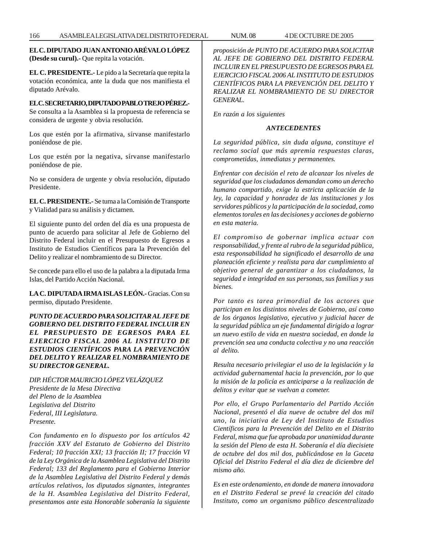**EL C. DIPUTADO JUAN ANTONIO ARÉVALO LÓPEZ (Desde su curul).-** Que repita la votación.

**EL C. PRESIDENTE.-** Le pido a la Secretaría que repita la votación económica, ante la duda que nos manifiesta el diputado Arévalo.

## **EL C. SECRETARIO, DIPUTADO PABLO TREJO PÉREZ.-**

Se consulta a la Asamblea si la propuesta de referencia se considera de urgente y obvia resolución.

Los que estén por la afirmativa, sírvanse manifestarlo poniéndose de pie.

Los que estén por la negativa, sírvanse manifestarlo poniéndose de pie.

No se considera de urgente y obvia resolución, diputado Presidente.

**EL C. PRESIDENTE.-** Se turna a la Comisión de Transporte y Vialidad para su análisis y dictamen.

El siguiente punto del orden del día es una propuesta de punto de acuerdo para solicitar al Jefe de Gobierno del Distrito Federal incluir en el Presupuesto de Egresos a Instituto de Estudios Científicos para la Prevención del Delito y realizar el nombramiento de su Director.

Se concede para ello el uso de la palabra a la diputada Irma Islas, del Partido Acción Nacional.

**LA C. DIPUTADA IRMA ISLAS LEÓN.-** Gracias. Con su permiso, diputado Presidente.

*PUNTO DE ACUERDO PARA SOLICITAR AL JEFE DE GOBIERNO DEL DISTRITO FEDERAL INCLUIR EN EL PRESUPUESTO DE EGRESOS PARA EL EJERCICIO FISCAL 2006 AL INSTITUTO DE ESTUDIOS CIENTÍFICOS PARA LA PREVENCIÓN DEL DELITO Y REALIZAR EL NOMBRAMIENTO DE SU DIRECTOR GENERAL.*

*DIP. HÉCTOR MAURICIO LÓPEZ VELÁZQUEZ Presidente de la Mesa Directiva del Pleno de la Asamblea Legislativa del Distrito Federal, III Legislatura. Presente.*

*Con fundamento en lo dispuesto por los artículos 42 fracción XXV del Estatuto de Gobierno del Distrito Federal; 10 fracción XXI; 13 fracción II; 17 fracción VI de la Ley Orgánica de la Asamblea Legislativa del Distrito Federal; 133 del Reglamento para el Gobierno Interior de la Asamblea Legislativa del Distrito Federal y demás artículos relativos, los diputados signantes, integrantes de la H. Asamblea Legislativa del Distrito Federal, presentamos ante esta Honorable soberanía la siguiente* *proposición de PUNTO DE ACUERDO PARA SOLICITAR AL JEFE DE GOBIERNO DEL DISTRITO FEDERAL INCLUIR EN EL PRESUPUESTO DE EGRESOS PARA EL EJERCICIO FISCAL 2006 AL INSTITUTO DE ESTUDIOS CIENTÍFICOS PARA LA PREVENCIÓN DEL DELITO Y REALIZAR EL NOMBRAMIENTO DE SU DIRECTOR GENERAL.*

*En razón a los siguientes*

## *ANTECEDENTES*

*La seguridad pública, sin duda alguna, constituye el reclamo social que más apremia respuestas claras, comprometidas, inmediatas y permanentes.*

*Enfrentar con decisión el reto de alcanzar los niveles de seguridad que los ciudadanos demandan como un derecho humano compartido, exige la estricta aplicación de la ley, la capacidad y honradez de las instituciones y los servidores públicos y la participación de la sociedad, como elementos torales en las decisiones y acciones de gobierno en esta materia.*

*El compromiso de gobernar implica actuar con responsabilidad, y frente al rubro de la seguridad pública, esta responsabilidad ha significado el desarrollo de una planeación eficiente y realista para dar cumplimiento al objetivo general de garantizar a los ciudadanos, la seguridad e integridad en sus personas, sus familias y sus bienes.*

*Por tanto es tarea primordial de los actores que participan en los distintos niveles de Gobierno, así como de los órganos legislativo, ejecutivo y judicial hacer de la seguridad pública un eje fundamental dirigido a lograr un nuevo estilo de vida en nuestra sociedad, en donde la prevención sea una conducta colectiva y no una reacción al delito.*

*Resulta necesario privilegiar el uso de la legislación y la actividad gubernamental hacia la prevención, por lo que la misión de la policía es anticiparse a la realización de delitos y evitar que se vuelvan a cometer.*

*Por ello, el Grupo Parlamentario del Partido Acción Nacional, presentó el día nueve de octubre del dos mil uno, la iniciativa de Ley del Instituto de Estudios Científicos para la Prevención del Delito en el Distrito Federal, misma que fue aprobada por unanimidad durante la sesión del Pleno de esta H. Soberanía el día diecisiete de octubre del dos mil dos, publicándose en la Gaceta Oficial del Distrito Federal el día diez de diciembre del mismo año.*

*Es en este ordenamiento, en donde de manera innovadora en el Distrito Federal se prevé la creación del citado Instituto, como un organismo público descentralizado*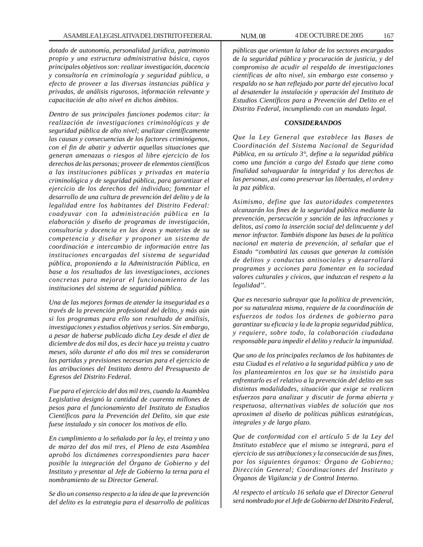*dotado de autonomía, personalidad jurídica, patrimonio propio y una estructura administrativa básica, cuyos principales objetivos son: realizar investigación, docencia y consultoría en criminología y seguridad pública, a efecto de proveer a las diversas instancias pública y privadas, de análisis rigurosos, información relevante y capacitación de alto nivel en dichos ámbitos.*

*Dentro de sus principales funciones podemos citar: la realización de investigaciones criminológicas y de seguridad pública de alto nivel; analizar científicamente las causas y consecuencias de los factores criminógenos, con el fin de abatir y advertir aquellas situaciones que generan amenazas o riesgos al libre ejercicio de los derechos de las personas; proveer de elementos científicos a las instituciones públicas y privadas en materia criminológica y de seguridad pública, para garantizar el ejercicio de los derechos del individuo; fomentar el desarrollo de una cultura de prevención del delito y de la legalidad entre los habitantes del Distrito Federal: coadyuvar con la administración pública en la elaboración y diseño de programas de investigación, consultoría y docencia en las áreas y materias de su competencia y diseñar y proponer un sistema de coordinación e intercambio de información entre las instituciones encargadas del sistema de seguridad pública, proponiendo a la Administración Pública, en base a los resultados de las investigaciones, acciones concretas para mejorar el funcionamiento de las instituciones del sistema de seguridad pública.*

*Una de las mejores formas de atender la inseguridad es a través de la prevención profesional del delito, y más aún si los programas para ello son resultado de análisis, investigaciones y estudios objetivos y serios. Sin embargo, a pesar de haberse publicado dicha Ley desde el diez de diciembre de dos mil dos, es decir hace ya treinta y cuatro meses, sólo durante el año dos mil tres se consideraron las partidas y previsiones necesarias para el ejercicio de las atribuciones del Instituto dentro del Presupuesto de Egresos del Distrito Federal.*

*Fue para el ejercicio del dos mil tres, cuando la Asamblea Legislativa designó la cantidad de cuarenta millones de pesos para el funcionamiento del Instituto de Estudios Científicos para la Prevención del Delito, sin que este fuese instalado y sin conocer los motivos de ello.*

*En cumplimiento a lo señalado por la ley, el treinta y uno de marzo del dos mil tres, el Pleno de esta Asamblea aprobó los dictámenes correspondientes para hacer posible la integración del Órgano de Gobierno y del Instituto y presentar al Jefe de Gobierno la terna para el nombramiento de su Director General.*

*Se dio un consenso respecto a la idea de que la prevención del delito es la estrategia para el desarrollo de políticas* *públicas que orientan la labor de los sectores encargados de la seguridad pública y procuración de justicia, y del compromiso de acudir al respaldo de investigaciones científicas de alto nivel, sin embargo este consenso y respaldo no se han reflejado por parte del ejecutivo local al desatender la instalación y operación del Instituto de Estudios Científicos para a Prevención del Delito en el Distrito Federal, incumpliendo con un mandato legal.*

### *CONSIDERANDOS*

*Que la Ley General que establece las Bases de Coordinación del Sistema Nacional de Seguridad Pública, en su artículo 3°, define a la seguridad pública como una función a cargo del Estado que tiene como finalidad salvaguardar la integridad y los derechos de las personas, así como preservar las libertades, el orden y la paz pública.*

*Asimismo, define que las autoridades competentes alcanzarán los fines de la seguridad pública mediante la prevención, persecución y sanción de las infracciones y delitos, así como la inserción social del delincuente y del menor infractor. También dispone las bases de la política nacional en materia de prevención, al señalar que el Estado ''combatirá las causas que generan la comisión de delitos y conductas antisociales y desarrollará programas y acciones para fomentar en la sociedad valores culturales y cívicos, que induzcan el respeto a la legalidad''.*

*Que es necesario subrayar que la política de prevención, por su naturaleza misma, requiere de la coordinación de esfuerzos de todos los órdenes de gobierno para garantizar su eficacia y la de la propia seguridad pública, y requiere, sobre todo, la colaboración ciudadana responsable para impedir el delito y reducir la impunidad.*

*Que uno de los principales reclamos de los habitantes de esta Ciudad es el relativo a la seguridad pública y uno de los planteamientos en los que se ha insistido para enfrentarlo es el relativo a la prevención del delito en sus distintas modalidades, situación que exige se realicen esfuerzos para analizar y discutir de forma abierta y respetuosa, alternativas viables de solución que nos aproximen al diseño de políticas públicas estratégicas, integrales y de largo plazo.*

*Que de conformidad con el artículo 5 de la Ley del Instituto establece que el mismo se integrará, para el ejercicio de sus atribuciones y la consecución de sus fines, por los siguientes órganos: Órgano de Gobierno; Dirección General; Coordinaciones del Instituto y Órganos de Vigilancia y de Control Interno.*

*Al respecto el artículo 16 señala que el Director General será nombrado por el Jefe de Gobierno del Distrito Federal,*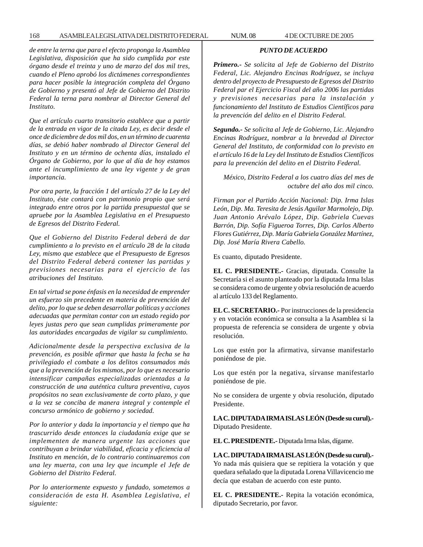*de entre la terna que para el efecto proponga la Asamblea Legislativa, disposición que ha sido cumplida por este órgano desde el treinta y uno de marzo del dos mil tres, cuando el Pleno aprobó los dictámenes correspondientes para hacer posible la integración completa del Órgano de Gobierno y presentó al Jefe de Gobierno del Distrito Federal la terna para nombrar al Director General del Instituto.*

*Que el artículo cuarto transitorio establece que a partir de la entrada en vigor de la citada Ley, es decir desde el once de diciembre de dos mil dos, en un término de cuarenta días, se debió haber nombrado al Director General del Instituto y en un término de ochenta días, instalado el Órgano de Gobierno, por lo que al día de hoy estamos ante el incumplimiento de una ley vigente y de gran importancia.*

*Por otra parte, la fracción 1 del artículo 27 de la Ley del Instituto, éste contará con patrimonio propio que será integrado entre otros por la partida presupuestal que se apruebe por la Asamblea Legislativa en el Presupuesto de Egresos del Distrito Federal.*

*Que el Gobierno del Distrito Federal deberá de dar cumplimiento a lo previsto en el artículo 28 de la citada Ley, mismo que establece que el Presupuesto de Egresos del Distrito Federal deberá contener las partidas y previsiones necesarias para el ejercicio de las atribuciones del Instituto.*

*En tal virtud se pone énfasis en la necesidad de emprender un esfuerzo sin precedente en materia de prevención del delito, por lo que se deben desarrollar políticas y acciones adecuadas que permitan contar con un estado regido por leyes justas pero que sean cumplidas primeramente por las autoridades encargadas de vigilar su cumplimiento.*

*Adicionalmente desde la perspectiva exclusiva de la prevención, es posible afirmar que hasta la fecha se ha privilegiado el combate a los delitos consumados más que a la prevención de los mismos, por lo que es necesario intensificar campañas especializadas orientadas a la construcción de una auténtica cultura preventiva, cuyos propósitos no sean exclusivamente de corto plazo, y que a la vez se conciba de manera integral y contemple el concurso armónico de gobierno y sociedad.*

*Por lo anterior y dada la importancia y el tiempo que ha trascurrido desde entonces la ciudadanía exige que se implementen de manera urgente las acciones que contribuyan a brindar viabilidad, eficacia y eficiencia al Instituto en mención, de lo contrario continuaremos con una ley muerta, con una ley que incumple el Jefe de Gobierno del Distrito Federal.*

*Por lo anteriormente expuesto y fundado, sometemos a consideración de esta H. Asamblea Legislativa, el siguiente:*

### *PUNTO DE ACUERDO*

*Primero.- Se solicita al Jefe de Gobierno del Distrito Federal, Lic. Alejandro Encinas Rodríguez, se incluya dentro del proyecto de Presupuesto de Egresos del Distrito Federal par el Ejercicio Fiscal del año 2006 las partidas y previsiones necesarias para la instalación y funcionamiento del Instituto de Estudios Científicos para la prevención del delito en el Distrito Federal.*

*Segundo.- Se solicita al Jefe de Gobierno, Lic. Alejandro Encinas Rodríguez, nombrar a la brevedad al Director General del Instituto, de conformidad con lo previsto en el artículo 16 de la Ley del Instituto de Estudios Científicos para la prevención del delito en el Distrito Federal.*

*México, Distrito Federal a los cuatro días del mes de octubre del año dos mil cinco.*

*Firman por el Partido Acción Nacional: Dip. Irma Islas León, Dip. Ma. Teresita de Jesús Aguilar Marmolejo, Dip. Juan Antonio Arévalo López, Dip. Gabriela Cuevas Barrón, Dip. Sofía Figueroa Torres, Dip. Carlos Alberto Flores Gutiérrez, Dip. María Gabriela González Martínez, Dip. José María Rivera Cabello.*

Es cuanto, diputado Presidente.

**EL C. PRESIDENTE.-** Gracias, diputada. Consulte la Secretaría si el asunto planteado por la diputada Irma Islas se considera como de urgente y obvia resolución de acuerdo al artículo 133 del Reglamento.

**EL C. SECRETARIO.-** Por instrucciones de la presidencia y en votación económica se consulta a la Asamblea si la propuesta de referencia se considera de urgente y obvia resolución.

Los que estén por la afirmativa, sírvanse manifestarlo poniéndose de pie.

Los que estén por la negativa, sírvanse manifestarlo poniéndose de pie.

No se considera de urgente y obvia resolución, diputado Presidente.

**LA C. DIPUTADA IRMA ISLAS LEÓN (Desde su curul).-** Diputado Presidente.

**EL C. PRESIDENTE.-** Diputada Irma Islas, dígame.

**LA C. DIPUTADA IRMA ISLAS LEÓN (Desde su curul).-** Yo nada más quisiera que se repitiera la votación y que quedara señalado que la diputada Lorena Villavicencio me decía que estaban de acuerdo con este punto.

**EL C. PRESIDENTE.-** Repita la votación económica, diputado Secretario, por favor.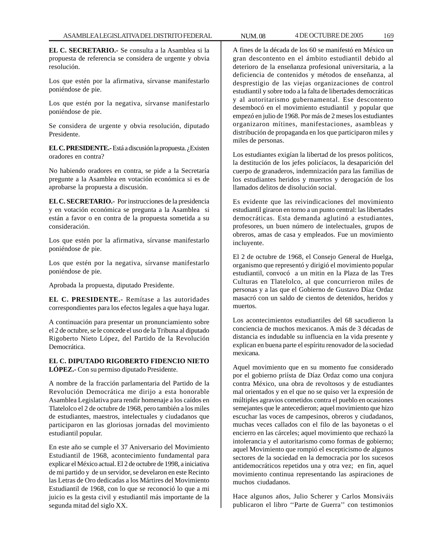**EL C. SECRETARIO.-** Se consulta a la Asamblea si la propuesta de referencia se considera de urgente y obvia resolución.

Los que estén por la afirmativa, sírvanse manifestarlo poniéndose de pie.

Los que estén por la negativa, sírvanse manifestarlo poniéndose de pie.

Se considera de urgente y obvia resolución, diputado Presidente.

**EL C. PRESIDENTE.-** Está a discusión la propuesta. ¿Existen oradores en contra?

No habiendo oradores en contra, se pide a la Secretaría pregunte a la Asamblea en votación económica si es de aprobarse la propuesta a discusión.

**EL C. SECRETARIO.-** Por instrucciones de la presidencia y en votación económica se pregunta a la Asamblea si están a favor o en contra de la propuesta sometida a su consideración.

Los que estén por la afirmativa, sírvanse manifestarlo poniéndose de pie.

Los que estén por la negativa, sírvanse manifestarlo poniéndose de pie.

Aprobada la propuesta, diputado Presidente.

**EL C. PRESIDENTE.-** Remítase a las autoridades correspondientes para los efectos legales a que haya lugar.

A continuación para presentar un pronunciamiento sobre el 2 de octubre, se le concede el uso de la Tribuna al diputado Rigoberto Nieto López, del Partido de la Revolución Democrática.

## **EL C. DIPUTADO RIGOBERTO FIDENCIO NIETO LÓPEZ.-** Con su permiso diputado Presidente.

A nombre de la fracción parlamentaria del Partido de la Revolución Democrática me dirijo a esta honorable Asamblea Legislativa para rendir homenaje a los caídos en Tlatelolco el 2 de octubre de 1968, pero también a los miles de estudiantes, maestros, intelectuales y ciudadanos que participaron en las gloriosas jornadas del movimiento estudiantil popular.

En este año se cumple el 37 Aniversario del Movimiento Estudiantil de 1968, acontecimiento fundamental para explicar el México actual. El 2 de octubre de 1998, a iniciativa de mi partido y de un servidor, se develaron en este Recinto las Letras de Oro dedicadas a los Mártires del Movimiento Estudiantil de 1968, con lo que se reconoció lo que a mi juicio es la gesta civil y estudiantil más importante de la segunda mitad del siglo XX.

A fines de la década de los 60 se manifestó en México un gran descontento en el ámbito estudiantil debido al deterioro de la enseñanza profesional universitaria, a la deficiencia de contenidos y métodos de enseñanza, al desprestigio de las viejas organizaciones de control estudiantil y sobre todo a la falta de libertades democráticas y al autoritarismo gubernamental. Ese descontento desembocó en el movimiento estudiantil y popular que empezó en julio de 1968. Por más de 2 meses los estudiantes organizaron mítines, manifestaciones, asambleas y distribución de propaganda en los que participaron miles y miles de personas.

Los estudiantes exigían la libertad de los presos políticos, la destitución de los jefes policíacos, la desaparición del cuerpo de granaderos, indemnización para las familias de los estudiantes heridos y muertos y derogación de los llamados delitos de disolución social.

Es evidente que las reivindicaciones del movimiento estudiantil giraron en torno a un punto central: las libertades democráticas. Esta demanda aglutinó a estudiantes, profesores, un buen número de intelectuales, grupos de obreros, amas de casa y empleados. Fue un movimiento incluyente.

El 2 de octubre de 1968, el Consejo General de Huelga, organismo que representó y dirigió el movimiento popular estudiantil, convocó a un mitin en la Plaza de las Tres Culturas en Tlatelolco, al que concurrieron miles de personas y a las que el Gobierno de Gustavo Díaz Ordaz masacró con un saldo de cientos de detenidos, heridos y muertos.

Los acontecimientos estudiantiles del 68 sacudieron la conciencia de muchos mexicanos. A más de 3 décadas de distancia es indudable su influencia en la vida presente y explican en buena parte el espíritu renovador de la sociedad mexicana.

Aquel movimiento que en su momento fue considerado por el gobierno priísta de Díaz Ordaz como una conjura contra México, una obra de revoltosos y de estudiantes mal orientados y en el que no se quiso ver la expresión de múltiples agravios cometidos contra el pueblo en ocasiones semejantes que le antecedieron; aquel movimiento que hizo escuchar las voces de campesinos, obreros y ciudadanos, muchas veces callados con el filo de las bayonetas o el encierro en las cárceles; aquel movimiento que rechazó la intolerancia y el autoritarismo como formas de gobierno; aquel Movimiento que rompió el escepticismo de algunos sectores de la sociedad en la democracia por los sucesos antidemocráticos repetidos una y otra vez; en fin, aquel movimiento continua representando las aspiraciones de muchos ciudadanos.

Hace algunos años, Julio Scherer y Carlos Monsiváis publicaron el libro ''Parte de Guerra'' con testimonios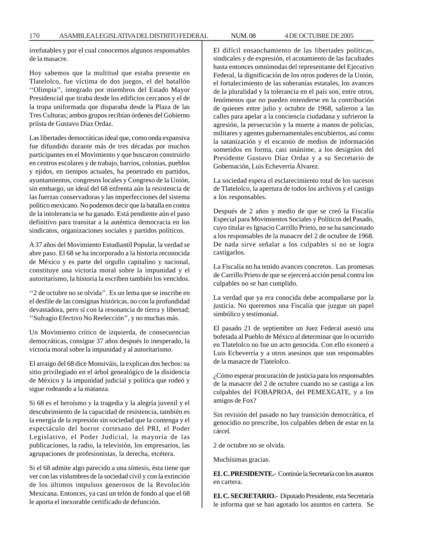irrefutables y por el cual conocemos algunos responsables de la masacre.

Hoy sabemos que la multitud que estaba presente en Tlatelolco, fue víctima de dos juegos, el del batallón ''Olimpia'', integrado por miembros del Estado Mayor Presidencial que tiraba desde los edificios cercanos y el de la tropa uniformada que disparaba desde la Plaza de las Tres Culturas; ambos grupos recibían órdenes del Gobierno priísta de Gustavo Díaz Ordaz.

Las libertades democráticas ideal que, como onda expansiva fue difundido durante más de tres décadas por muchos participantes en el Movimiento y que buscaron construirlo en centros escolares y de trabajo, barrios, colonias, pueblos y ejidos, en tiempos actuales, ha penetrado en partidos, ayuntamientos, congresos locales y Congreso de la Unión, sin embargo, un ideal del 68 enfrenta aún la resistencia de las fuerzas conservadoras y las imperfecciones del sistema político mexicano. No podemos decir que la batalla en contra de la intolerancia se ha ganado. Está pendiente aún el paso definitivo para transitar a la auténtica democracia en los sindicatos, organizaciones sociales y partidos políticos.

A 37 años del Movimiento Estudiantil Popular, la verdad se abre paso. El 68 se ha incorporado a la historia reconocida de México y es parte del orgullo capitalino y nacional, constituye una victoria moral sobre la impunidad y el autoritarismo, la historia la escriben también los vencidos.

''2 de octubre no se olvida''. Es un lema que se inscribe en el desfile de las consignas históricas, no con la profundidad devastadora, pero sí con la resonancia de tierra y libertad; ''Sufragio Efectivo No Reelección'', y no muchas más.

Un Movimiento crítico de izquierda, de consecuencias democráticas, consigue 37 años después lo inesperado, la victoria moral sobre la impunidad y al autoritarismo.

El arraigo del 68 dice Monsiváis, la explican dos hechos: su sitio privilegiado en el árbol genealógico de la disidencia de México y la impunidad judicial y política que rodeó y sigue rodeando a la matanza.

Si 68 es el heroísmo y la tragedia y la alegría juvenil y el descubrimiento de la capacidad de resistencia, también es la energía de la represión sin sociedad que la contenga y el espectáculo del horror cortesano del PRI, el Poder Legislativo, el Poder Judicial, la mayoría de las publicaciones, la radio, la televisión, los empresarios, las agrupaciones de profesionistas, la derecha, etcétera.

Si el 68 admite algo parecido a una síntesis, ésta tiene que ver con las vislumbres de la sociedad civil y con la extinción de los últimos impulsos generosos de la Revolución Mexicana. Entonces, ya casi un telón de fondo al que el 68 le aporta el inexorable certificado de defunción.

El difícil ensanchamiento de las libertades políticas, sindicales y de expresión, el acotamiento de las facultades hasta entonces omnímodas del representante del Ejecutivo Federal, la dignificación de los otros poderes de la Unión, el fortalecimiento de las soberanías estatales, los avances de la pluralidad y la tolerancia en el país son, entre otros, fenómenos que no pueden entenderse en la contribución de quienes entre julio y octubre de 1968, salieron a las calles para apelar a la conciencia ciudadana y sufrieron la agresión, la persecución y la muerte a manos de policías, militares y agentes gubernamentales encubiertos, así como la satanización y el escarnio de medios de información sometidos en forma, casi unánime, a los designios del Presidente Gustavo Díaz Ordaz y a su Secretario de Gobernación, Luis Echeverría Álvarez.

La sociedad espera el esclarecimiento total de los sucesos de Tlatelolco, la apertura de todos los archivos y el castigo a los responsables.

Después de 2 años y medio de que se creó la Fiscalía Especial para Movimientos Sociales y Políticos del Pasado, cuyo titular es Ignacio Carrillo Prieto, no se ha sancionado a los responsables de la masacre del 2 de octubre de 1968. De nada sirve señalar a los culpables si no se logra castigarlos.

La Fiscalía no ha tenido avances concretos. Las promesas de Carrillo Prieto de que se ejercerá acción penal contra los culpables no se han cumplido.

La verdad que ya era conocida debe acompañarse por la justicia. No queremos una Fiscalía que juzgue un papel simbólico y testimonial.

El pasado 21 de septiembre un Juez Federal asestó una bofetada al Pueblo de México al determinar que lo ocurrido en Tlatelolco no fue un acto genocida. Con ello exoneró a Luis Echeverría y a otros asesinos que son responsables de la masacre de Tlatelolco.

¿Cómo esperar procuración de justicia para los responsables de la masacre del 2 de octubre cuando no se castiga a los culpables del FOBAPROA, del PEMEXGATE, y a los amigos de Fox?

Sin revisión del pasado no hay transición democrática, el genocidio no prescribe, los culpables deben de estar en la cárcel.

2 de octubre no se olvida.

Muchísimas gracias.

**EL C. PRESIDENTE.-** Continúe la Secretaría con los asuntos en cartera.

**EL C. SECRETARIO.-** Diputado Presidente, esta Secretaría le informa que se han agotado los asuntos en cartera. Se